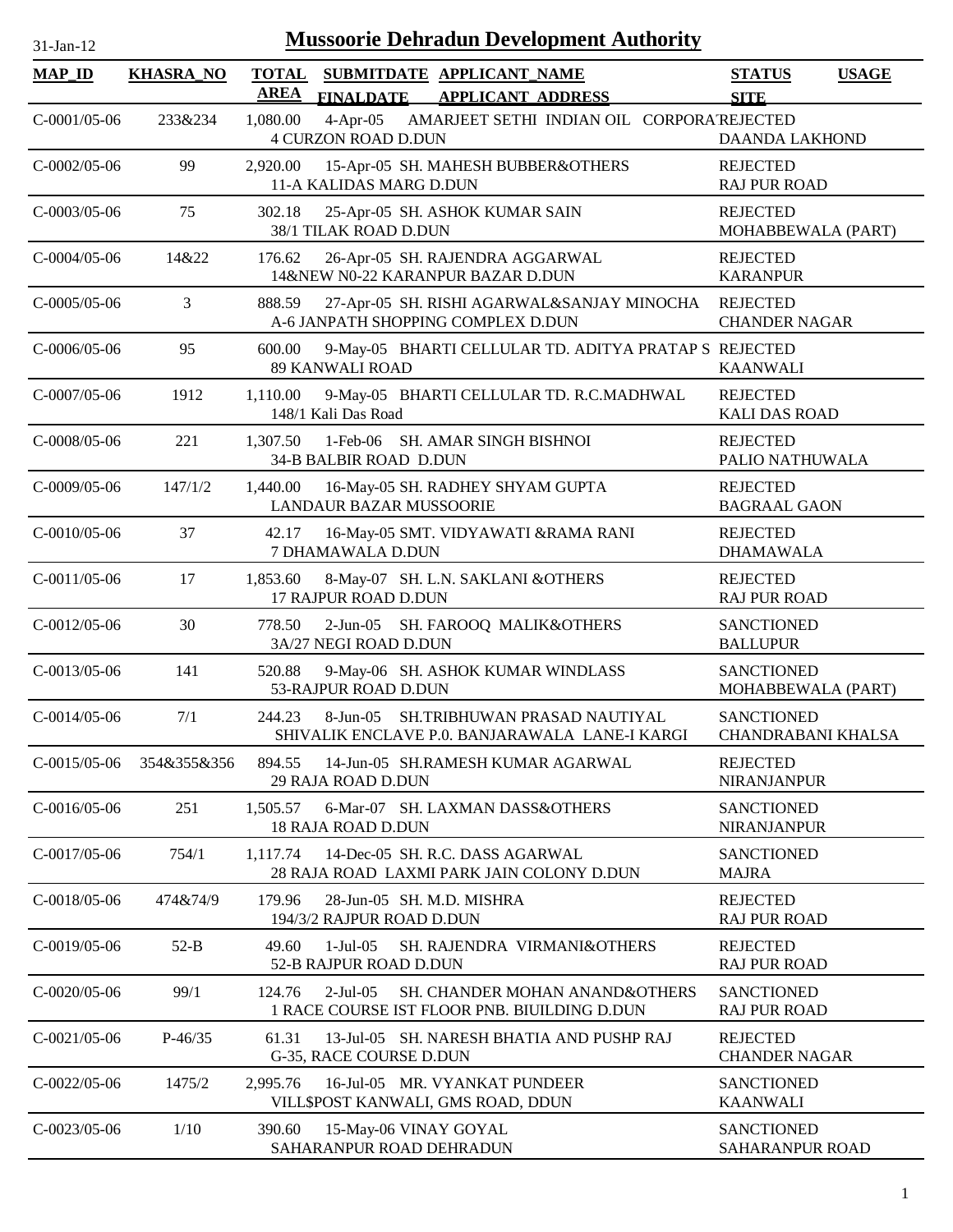| $31-Ian-1'$ |  |
|-------------|--|

| <b>MAP ID</b>  | <b>KHASRA_NO</b> | <b>TOTAL</b><br><b>AREA</b> |                                                   | SUBMITDATE APPLICANT NAME                                                               | <b>STATUS</b>                                  | <b>USAGE</b> |
|----------------|------------------|-----------------------------|---------------------------------------------------|-----------------------------------------------------------------------------------------|------------------------------------------------|--------------|
|                |                  |                             | <b>FINALDATE</b>                                  | <b>APPLICANT ADDRESS</b>                                                                | <b>SITE</b>                                    |              |
| $C-0001/05-06$ | 233&234          | 1,080.00                    | $4$ -Apr-05<br><b>4 CURZON ROAD D.DUN</b>         | AMARJEET SETHI INDIAN OIL CORPORATREJECTED                                              | <b>DAANDA LAKHOND</b>                          |              |
| $C-0002/05-06$ | 99               | 2,920.00                    | 11-A KALIDAS MARG D.DUN                           | 15-Apr-05 SH. MAHESH BUBBER&OTHERS                                                      | <b>REJECTED</b><br><b>RAJ PUR ROAD</b>         |              |
| $C-0003/05-06$ | 75               | 302.18                      | 38/1 TILAK ROAD D.DUN                             | 25-Apr-05 SH. ASHOK KUMAR SAIN                                                          | <b>REJECTED</b><br>MOHABBEWALA (PART)          |              |
| $C-0004/05-06$ | 14&22            | 176.62                      |                                                   | 26-Apr-05 SH. RAJENDRA AGGARWAL<br>14&NEW N0-22 KARANPUR BAZAR D.DUN                    | <b>REJECTED</b><br><b>KARANPUR</b>             |              |
| $C-0005/05-06$ | 3                | 888.59                      |                                                   | 27-Apr-05 SH. RISHI AGARWAL&SANJAY MINOCHA<br>A-6 JANPATH SHOPPING COMPLEX D.DUN        | <b>REJECTED</b><br><b>CHANDER NAGAR</b>        |              |
| $C-0006/05-06$ | 95               | 600.00                      | <b>89 KANWALI ROAD</b>                            | 9-May-05 BHARTI CELLULAR TD. ADITYA PRATAP S REJECTED                                   | <b>KAANWALI</b>                                |              |
| $C-0007/05-06$ | 1912             | 1,110.00                    | 148/1 Kali Das Road                               | 9-May-05 BHARTI CELLULAR TD. R.C.MADHWAL                                                | <b>REJECTED</b><br><b>KALI DAS ROAD</b>        |              |
| $C-0008/05-06$ | 221              | 1.307.50                    | 34-B BALBIR ROAD D.DUN                            | 1-Feb-06 SH. AMAR SINGH BISHNOI                                                         | <b>REJECTED</b><br>PALIO NATHUWALA             |              |
| $C-0009/05-06$ | 147/1/2          | 1,440.00                    | <b>LANDAUR BAZAR MUSSOORIE</b>                    | 16-May-05 SH. RADHEY SHYAM GUPTA                                                        | <b>REJECTED</b><br><b>BAGRAAL GAON</b>         |              |
| $C-0010/05-06$ | 37               | 42.17                       | 7 DHAMAWALA D.DUN                                 | 16-May-05 SMT. VIDYAWATI &RAMA RANI                                                     | <b>REJECTED</b><br><b>DHAMAWALA</b>            |              |
| $C-0011/05-06$ | 17               | 1,853.60                    | 17 RAJPUR ROAD D.DUN                              | 8-May-07 SH. L.N. SAKLANI &OTHERS                                                       | <b>REJECTED</b><br><b>RAJ PUR ROAD</b>         |              |
| $C-0012/05-06$ | 30               | 778.50                      | 3A/27 NEGI ROAD D.DUN                             | 2-Jun-05 SH. FAROOQ MALIK&OTHERS                                                        | <b>SANCTIONED</b><br><b>BALLUPUR</b>           |              |
| $C-0013/05-06$ | 141              | 520.88                      | 53-RAJPUR ROAD D.DUN                              | 9-May-06 SH. ASHOK KUMAR WINDLASS                                                       | <b>SANCTIONED</b><br>MOHABBEWALA (PART)        |              |
| $C-0014/05-06$ | 7/1              | 244.23                      |                                                   | 8-Jun-05 SH.TRIBHUWAN PRASAD NAUTIYAL<br>SHIVALIK ENCLAVE P.0. BANJARAWALA LANE-I KARGI | <b>SANCTIONED</b><br><b>CHANDRABANI KHALSA</b> |              |
| $C-0015/05-06$ | 354&355&356      | 894.55                      | 29 RAJA ROAD D.DUN                                | 14-Jun-05 SH.RAMESH KUMAR AGARWAL                                                       | <b>REJECTED</b><br><b>NIRANJANPUR</b>          |              |
| $C-0016/05-06$ | 251              | 1,505.57                    | 18 RAJA ROAD D.DUN                                | 6-Mar-07 SH. LAXMAN DASS&OTHERS                                                         | <b>SANCTIONED</b><br>NIRANJANPUR               |              |
| $C-0017/05-06$ | 754/1            | 1,117.74                    |                                                   | 14-Dec-05 SH. R.C. DASS AGARWAL<br>28 RAJA ROAD LAXMI PARK JAIN COLONY D.DUN            | <b>SANCTIONED</b><br><b>MAJRA</b>              |              |
| C-0018/05-06   | 474&74/9         | 179.96                      | 194/3/2 RAJPUR ROAD D.DUN                         | 28-Jun-05 SH. M.D. MISHRA                                                               | <b>REJECTED</b><br><b>RAJ PUR ROAD</b>         |              |
| $C-0019/05-06$ | $52-B$           | 49.60                       | $1-Jul-05$<br>52-B RAJPUR ROAD D.DUN              | SH. RAJENDRA VIRMANI&OTHERS                                                             | <b>REJECTED</b><br><b>RAJ PUR ROAD</b>         |              |
| $C-0020/05-06$ | 99/1             | 124.76                      | $2$ -Jul-05                                       | SH. CHANDER MOHAN ANAND&OTHERS<br>1 RACE COURSE IST FLOOR PNB. BIUILDING D.DUN          | <b>SANCTIONED</b><br><b>RAJ PUR ROAD</b>       |              |
| $C-0021/05-06$ | $P-46/35$        | 61.31                       | G-35, RACE COURSE D.DUN                           | 13-Jul-05 SH. NARESH BHATIA AND PUSHP RAJ                                               | <b>REJECTED</b><br><b>CHANDER NAGAR</b>        |              |
| $C-0022/05-06$ | 1475/2           | 2,995.76                    |                                                   | 16-Jul-05 MR. VYANKAT PUNDEER<br>VILL\$POST KANWALI, GMS ROAD, DDUN                     | <b>SANCTIONED</b><br><b>KAANWALI</b>           |              |
| $C-0023/05-06$ | 1/10             | 390.60                      | 15-May-06 VINAY GOYAL<br>SAHARANPUR ROAD DEHRADUN |                                                                                         | <b>SANCTIONED</b><br>SAHARANPUR ROAD           |              |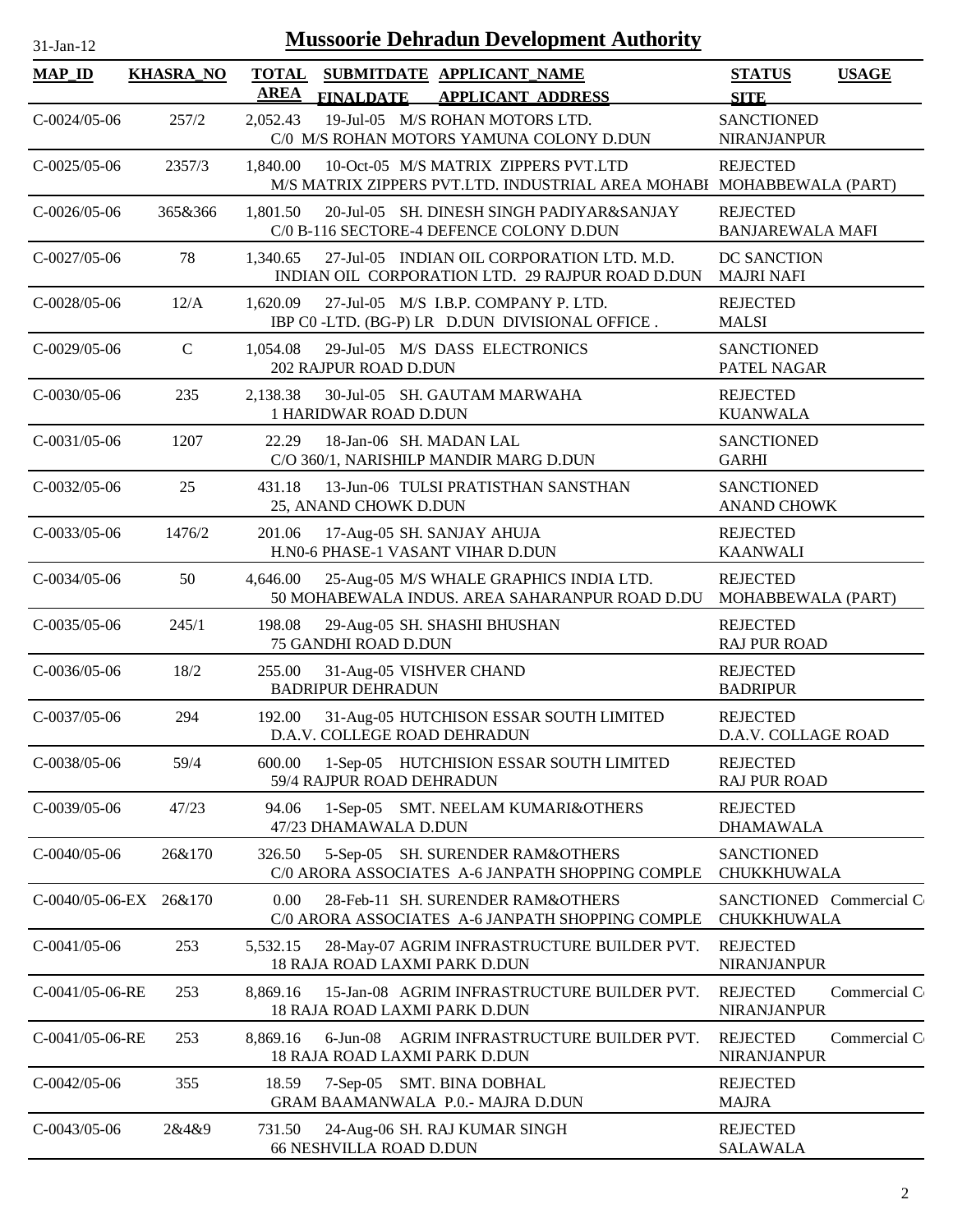| <b>MAP_ID</b>         | <b>KHASRA_NO</b> | <b>TOTAL</b> |                                                     | SUBMITDATE APPLICANT NAME                                                                                     | <b>STATUS</b>                              | <b>USAGE</b> |
|-----------------------|------------------|--------------|-----------------------------------------------------|---------------------------------------------------------------------------------------------------------------|--------------------------------------------|--------------|
|                       |                  | <b>AREA</b>  | <b>FINALDATE</b>                                    | <b>APPLICANT ADDRESS</b>                                                                                      | <b>SITE</b>                                |              |
| $C-0024/05-06$        | 257/2            | 2,052.43     |                                                     | 19-Jul-05 M/S ROHAN MOTORS LTD.<br>C/0 M/S ROHAN MOTORS YAMUNA COLONY D.DUN                                   | <b>SANCTIONED</b><br><b>NIRANJANPUR</b>    |              |
| $C-0025/05-06$        | 2357/3           | 1,840.00     |                                                     | 10-Oct-05 M/S MATRIX ZIPPERS PVT.LTD<br>M/S MATRIX ZIPPERS PVT.LTD. INDUSTRIAL AREA MOHABI MOHABBEWALA (PART) | <b>REJECTED</b>                            |              |
| $C-0026/05-06$        | 365&366          | 1,801.50     |                                                     | 20-Jul-05 SH. DINESH SINGH PADIYAR&SANJAY<br>C/0 B-116 SECTORE-4 DEFENCE COLONY D.DUN                         | <b>REJECTED</b><br><b>BANJAREWALA MAFI</b> |              |
| $C - 0027/05 - 06$    | 78               | 1,340.65     |                                                     | 27-Jul-05 INDIAN OIL CORPORATION LTD. M.D.<br>INDIAN OIL CORPORATION LTD. 29 RAJPUR ROAD D.DUN                | DC SANCTION<br><b>MAJRI NAFI</b>           |              |
| $C-0028/05-06$        | 12/A             | 1,620.09     |                                                     | 27-Jul-05 M/S I.B.P. COMPANY P. LTD.<br>IBP CO-LTD. (BG-P) LR D.DUN DIVISIONAL OFFICE.                        | <b>REJECTED</b><br><b>MALSI</b>            |              |
| $C-0029/05-06$        | $\mathcal{C}$    | 1.054.08     | 202 RAJPUR ROAD D.DUN                               | 29-Jul-05 M/S DASS ELECTRONICS                                                                                | <b>SANCTIONED</b><br>PATEL NAGAR           |              |
| $C-0030/05-06$        | 235              | 2,138.38     | 1 HARIDWAR ROAD D.DUN                               | 30-Jul-05 SH. GAUTAM MARWAHA                                                                                  | <b>REJECTED</b><br><b>KUANWALA</b>         |              |
| $C-0031/05-06$        | 1207             | 22.29        | 18-Jan-06 SH. MADAN LAL                             | C/O 360/1, NARISHILP MANDIR MARG D.DUN                                                                        | <b>SANCTIONED</b><br><b>GARHI</b>          |              |
| $C - 0.032/0.5 - 0.6$ | 25               | 431.18       | 25, ANAND CHOWK D.DUN                               | 13-Jun-06 TULSI PRATISTHAN SANSTHAN                                                                           | <b>SANCTIONED</b><br><b>ANAND CHOWK</b>    |              |
| $C-0033/05-06$        | 1476/2           | 201.06       |                                                     | 17-Aug-05 SH. SANJAY AHUJA<br>H.N0-6 PHASE-1 VASANT VIHAR D.DUN                                               | <b>REJECTED</b><br><b>KAANWALI</b>         |              |
| $C-0034/05-06$        | 50               | 4,646.00     |                                                     | 25-Aug-05 M/S WHALE GRAPHICS INDIA LTD.<br>50 MOHABEWALA INDUS. AREA SAHARANPUR ROAD D.DU                     | <b>REJECTED</b><br>MOHABBEWALA (PART)      |              |
| $C - 0035/05 - 06$    | 245/1            | 198.08       | 75 GANDHI ROAD D.DUN                                | 29-Aug-05 SH. SHASHI BHUSHAN                                                                                  | <b>REJECTED</b><br><b>RAJ PUR ROAD</b>     |              |
| $C - 0036/05 - 06$    | 18/2             | 255.00       | 31-Aug-05 VISHVER CHAND<br><b>BADRIPUR DEHRADUN</b> |                                                                                                               | <b>REJECTED</b><br><b>BADRIPUR</b>         |              |
| $C-0037/05-06$        | 294              | 192.00       | D.A.V. COLLEGE ROAD DEHRADUN                        | 31-Aug-05 HUTCHISON ESSAR SOUTH LIMITED                                                                       | <b>REJECTED</b><br>D.A.V. COLLAGE ROAD     |              |
| C-0038/05-06          | 59/4             | 600.00       | 59/4 RAJPUR ROAD DEHRADUN                           | 1-Sep-05 HUTCHISION ESSAR SOUTH LIMITED                                                                       | <b>REJECTED</b><br><b>RAJ PUR ROAD</b>     |              |
| $C-0039/05-06$        | 47/23            | 94.06        | 47/23 DHAMAWALA D.DUN                               | 1-Sep-05 SMT. NEELAM KUMARI&OTHERS                                                                            | <b>REJECTED</b><br><b>DHAMAWALA</b>        |              |
| $C-0040/05-06$        | 26&170           | 326.50       |                                                     | 5-Sep-05 SH. SURENDER RAM&OTHERS<br>C/0 ARORA ASSOCIATES A-6 JANPATH SHOPPING COMPLE                          | <b>SANCTIONED</b><br>CHUKKHUWALA           |              |
| C-0040/05-06-EX       | 26&170           | 0.00         |                                                     | 28-Feb-11 SH. SURENDER RAM&OTHERS<br>C/0 ARORA ASSOCIATES A-6 JANPATH SHOPPING COMPLE                         | SANCTIONED Commercial C<br>CHUKKHUWALA     |              |
| $C-0041/05-06$        | 253              | 5,532.15     | 18 RAJA ROAD LAXMI PARK D.DUN                       | 28-May-07 AGRIM INFRASTRUCTURE BUILDER PVT.                                                                   | <b>REJECTED</b><br><b>NIRANJANPUR</b>      |              |
| C-0041/05-06-RE       | 253              | 8,869.16     | 18 RAJA ROAD LAXMI PARK D.DUN                       | 15-Jan-08 AGRIM INFRASTRUCTURE BUILDER PVT.                                                                   | <b>REJECTED</b><br>NIRANJANPUR             | Commercial C |
| C-0041/05-06-RE       | 253              | 8,869.16     | $6$ -Jun-08<br>18 RAJA ROAD LAXMI PARK D.DUN        | AGRIM INFRASTRUCTURE BUILDER PVT.                                                                             | <b>REJECTED</b><br><b>NIRANJANPUR</b>      | Commercial C |
| $C-0042/05-06$        | 355              | 18.59        |                                                     | 7-Sep-05 SMT. BINA DOBHAL<br>GRAM BAAMANWALA P.0.- MAJRA D.DUN                                                | <b>REJECTED</b><br><b>MAJRA</b>            |              |
| $C-0043/05-06$        | 2&4&9            | 731.50       | <b>66 NESHVILLA ROAD D.DUN</b>                      | 24-Aug-06 SH. RAJ KUMAR SINGH                                                                                 | <b>REJECTED</b><br><b>SALAWALA</b>         |              |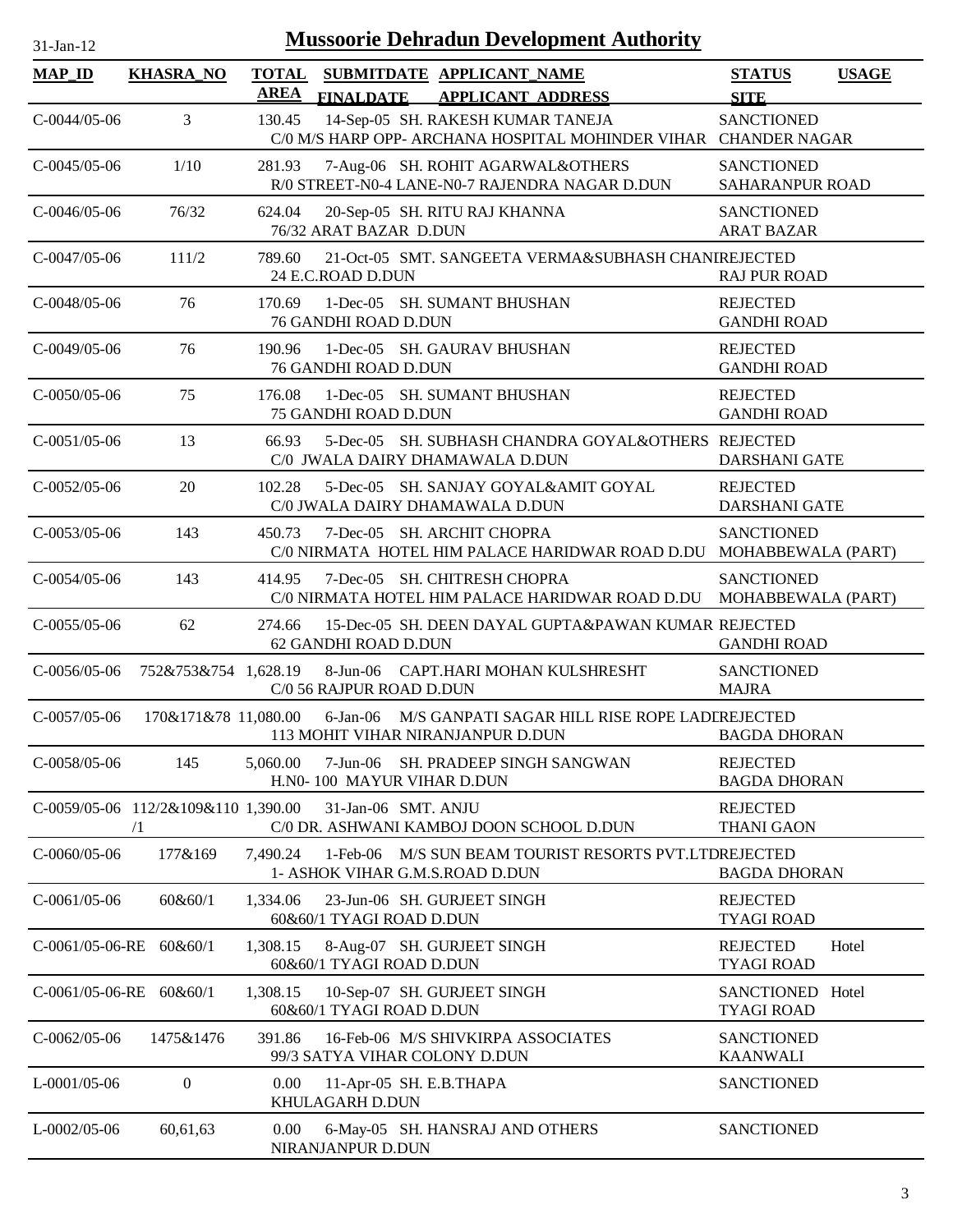| <b>Mussoorie Dehradun Development Authority</b><br>31-Jan-12 |                                                   |             |                                                                                                      |                                         |              |
|--------------------------------------------------------------|---------------------------------------------------|-------------|------------------------------------------------------------------------------------------------------|-----------------------------------------|--------------|
| <b>MAP_ID</b>                                                | <b>KHASRA_NO</b>                                  | <b>AREA</b> | TOTAL SUBMITDATE APPLICANT_NAME<br><b>FINALDATE</b><br><b>APPLICANT ADDRESS</b>                      | <b>STATUS</b><br><b>SITE</b>            | <b>USAGE</b> |
| $C-0044/05-06$                                               | 3                                                 | 130.45      | 14-Sep-05 SH. RAKESH KUMAR TANEJA<br>C/0 M/S HARP OPP- ARCHANA HOSPITAL MOHINDER VIHAR CHANDER NAGAR | <b>SANCTIONED</b>                       |              |
| $C-0045/05-06$                                               | 1/10                                              | 281.93      | 7-Aug-06 SH. ROHIT AGARWAL&OTHERS<br>R/0 STREET-N0-4 LANE-N0-7 RAJENDRA NAGAR D.DUN                  | <b>SANCTIONED</b><br>SAHARANPUR ROAD    |              |
| $C-0046/05-06$                                               | 76/32                                             | 624.04      | 20-Sep-05 SH. RITU RAJ KHANNA<br>76/32 ARAT BAZAR D.DUN                                              | <b>SANCTIONED</b><br><b>ARAT BAZAR</b>  |              |
| $C-0047/05-06$                                               | 111/2                                             | 789.60      | 21-Oct-05 SMT. SANGEETA VERMA&SUBHASH CHANIREJECTED<br>24 E.C.ROAD D.DUN                             | <b>RAJ PUR ROAD</b>                     |              |
| $C-0048/05-06$                                               | 76                                                | 170.69      | 1-Dec-05 SH. SUMANT BHUSHAN<br>76 GANDHI ROAD D.DUN                                                  | <b>REJECTED</b><br><b>GANDHI ROAD</b>   |              |
| $C-0049/05-06$                                               | 76                                                | 190.96      | 1-Dec-05 SH. GAURAV BHUSHAN<br>76 GANDHI ROAD D.DUN                                                  | <b>REJECTED</b><br><b>GANDHI ROAD</b>   |              |
| $C-0050/05-06$                                               | 75                                                | 176.08      | 1-Dec-05 SH. SUMANT BHUSHAN<br>75 GANDHI ROAD D.DUN                                                  | <b>REJECTED</b><br><b>GANDHI ROAD</b>   |              |
| $C-0051/05-06$                                               | 13                                                | 66.93       | 5-Dec-05 SH. SUBHASH CHANDRA GOYAL&OTHERS REJECTED<br>C/0 JWALA DAIRY DHAMAWALA D.DUN                | <b>DARSHANI GATE</b>                    |              |
| $C-0052/05-06$                                               | 20                                                | 102.28      | 5-Dec-05 SH. SANJAY GOYAL&AMIT GOYAL<br>C/0 JWALA DAIRY DHAMAWALA D.DUN                              | <b>REJECTED</b><br><b>DARSHANI GATE</b> |              |
| $C-0053/05-06$                                               | 143                                               | 450.73      | 7-Dec-05 SH. ARCHIT CHOPRA<br>C/0 NIRMATA HOTEL HIM PALACE HARIDWAR ROAD D.DU                        | <b>SANCTIONED</b><br>MOHABBEWALA (PART) |              |
| $C-0054/05-06$                                               | 143                                               | 414.95      | 7-Dec-05 SH. CHITRESH CHOPRA<br>C/0 NIRMATA HOTEL HIM PALACE HARIDWAR ROAD D.DU                      | <b>SANCTIONED</b><br>MOHABBEWALA (PART) |              |
| $C-0055/05-06$                                               | 62                                                | 274.66      | 15-Dec-05 SH. DEEN DAYAL GUPTA&PAWAN KUMAR REJECTED<br>62 GANDHI ROAD D.DUN                          | <b>GANDHI ROAD</b>                      |              |
| $C-0056/05-06$                                               | 752&753&754 1,628.19                              |             | 8-Jun-06 CAPT.HARI MOHAN KULSHRESHT<br>C/0 56 RAJPUR ROAD D.DUN                                      | <b>SANCTIONED</b><br><b>MAJRA</b>       |              |
| $C-0057/05-06$                                               | 170&171&78 11,080.00                              |             | 6-Jan-06 M/S GANPATI SAGAR HILL RISE ROPE LADEREJECTED<br>113 MOHIT VIHAR NIRANJANPUR D.DUN          | <b>BAGDA DHORAN</b>                     |              |
| C-0058/05-06                                                 | 145                                               | 5,060.00    | 7-Jun-06 SH. PRADEEP SINGH SANGWAN<br>H.N0-100 MAYUR VIHAR D.DUN                                     | <b>REJECTED</b><br><b>BAGDA DHORAN</b>  |              |
|                                                              | C-0059/05-06 112/2&109&110 1,390.00<br>$\sqrt{1}$ |             | 31-Jan-06 SMT. ANJU<br>C/0 DR. ASHWANI KAMBOJ DOON SCHOOL D.DUN                                      | <b>REJECTED</b><br><b>THANI GAON</b>    |              |
| $C-0060/05-06$                                               | 177&169                                           |             | 7,490.24 1-Feb-06 M/S SUN BEAM TOURIST RESORTS PVT.LTDREJECTED<br>1- ASHOK VIHAR G.M.S.ROAD D.DUN    | <b>BAGDA DHORAN</b>                     |              |
| $C-0061/05-06$                                               | 60&60/1                                           | 1,334.06    | 23-Jun-06 SH. GURJEET SINGH<br>60&60/1 TYAGI ROAD D.DUN                                              | <b>REJECTED</b><br><b>TYAGI ROAD</b>    |              |
|                                                              | C-0061/05-06-RE 60&60/1                           | 1,308.15    | 8-Aug-07 SH. GURJEET SINGH<br>60&60/1 TYAGI ROAD D.DUN                                               | <b>REJECTED</b><br><b>TYAGI ROAD</b>    | Hotel        |
| $C$ -0061/05-06-RE 60&60/1                                   |                                                   | 1,308.15    | 10-Sep-07 SH. GURJEET SINGH<br>60&60/1 TYAGI ROAD D.DUN                                              | SANCTIONED Hotel<br><b>TYAGI ROAD</b>   |              |
| $C-0062/05-06$                                               | 1475&1476                                         | 391.86      | 16-Feb-06 M/S SHIVKIRPA ASSOCIATES<br>99/3 SATYA VIHAR COLONY D.DUN                                  | <b>SANCTIONED</b><br><b>KAANWALI</b>    |              |
| $L$ -0001/05-06                                              | $\boldsymbol{0}$                                  | 0.00        | 11-Apr-05 SH. E.B.THAPA<br>KHULAGARH D.DUN                                                           | <b>SANCTIONED</b>                       |              |
| $L$ -0002/05-06                                              | 60,61,63                                          | 0.00        | 6-May-05 SH. HANSRAJ AND OTHERS<br>NIRANJANPUR D.DUN                                                 | <b>SANCTIONED</b>                       |              |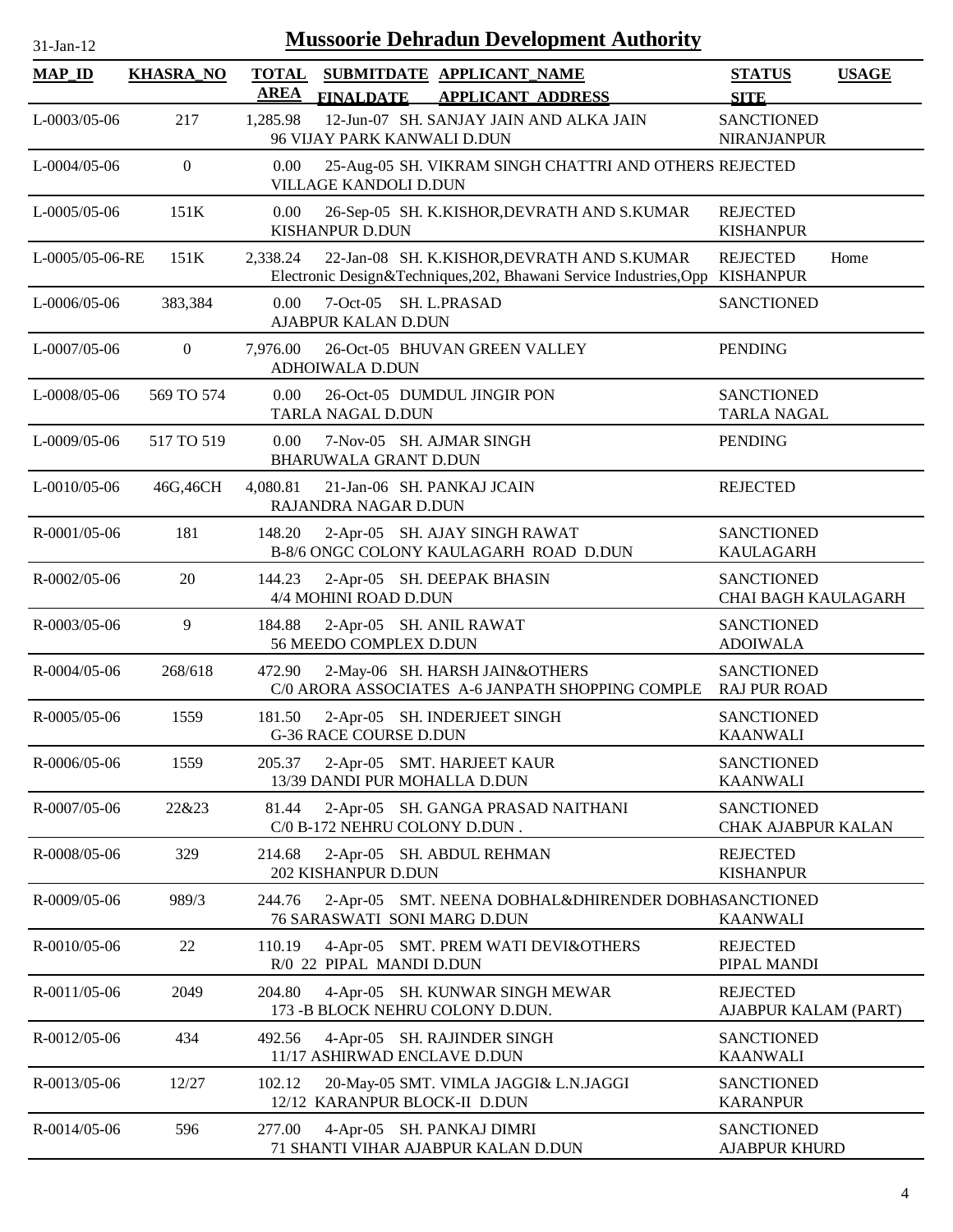| <b>Mussoorie Dehradun Development Authority</b><br>31-Jan-12 |                  |                             |                                                                                                                   |                                           |              |  |
|--------------------------------------------------------------|------------------|-----------------------------|-------------------------------------------------------------------------------------------------------------------|-------------------------------------------|--------------|--|
| <b>MAP_ID</b>                                                | <b>KHASRA_NO</b> | <b>TOTAL</b><br><b>AREA</b> | SUBMITDATE APPLICANT NAME<br><b>FINALDATE</b><br><b>APPLICANT ADDRESS</b>                                         | <b>STATUS</b><br><b>SITE</b>              | <b>USAGE</b> |  |
| $L$ -0003/05-06                                              | 217              | 1,285.98                    | 12-Jun-07 SH. SANJAY JAIN AND ALKA JAIN<br>96 VIJAY PARK KANWALI D.DUN                                            | <b>SANCTIONED</b><br><b>NIRANJANPUR</b>   |              |  |
| $L$ -0004/05-06                                              | $\mathbf{0}$     | 0.00                        | 25-Aug-05 SH. VIKRAM SINGH CHATTRI AND OTHERS REJECTED<br><b>VILLAGE KANDOLI D.DUN</b>                            |                                           |              |  |
| $L - 0005/05 - 06$                                           | 151K             | 0.00                        | 26-Sep-05 SH. K.KISHOR, DEVRATH AND S.KUMAR<br><b>KISHANPUR D.DUN</b>                                             | <b>REJECTED</b><br><b>KISHANPUR</b>       |              |  |
| L-0005/05-06-RE                                              | 151K             | 2,338.24                    | 22-Jan-08 SH. K.KISHOR, DEVRATH AND S.KUMAR<br>Electronic Design&Techniques, 202, Bhawani Service Industries, Opp | <b>REJECTED</b><br><b>KISHANPUR</b>       | Home         |  |
| $L-0006/05-06$                                               | 383,384          | 0.00                        | 7-Oct-05 SH. L.PRASAD<br>AJABPUR KALAN D.DUN                                                                      | <b>SANCTIONED</b>                         |              |  |
| $L$ -0007/05-06                                              | $\boldsymbol{0}$ | 7,976.00                    | 26-Oct-05 BHUVAN GREEN VALLEY<br>ADHOIWALA D.DUN                                                                  | <b>PENDING</b>                            |              |  |
| $L$ -0008/05-06                                              | 569 TO 574       | 0.00                        | 26-Oct-05 DUMDUL JINGIR PON<br>TARLA NAGAL D.DUN                                                                  | <b>SANCTIONED</b><br><b>TARLA NAGAL</b>   |              |  |
| $L$ -0009/05-06                                              | 517 TO 519       | 0.00                        | 7-Nov-05 SH. AJMAR SINGH<br><b>BHARUWALA GRANT D.DUN</b>                                                          | <b>PENDING</b>                            |              |  |
| $L$ -0010/05-06                                              | 46G, 46CH        | 4,080.81                    | 21-Jan-06 SH. PANKAJ JCAIN<br>RAJANDRA NAGAR D.DUN                                                                | <b>REJECTED</b>                           |              |  |
| R-0001/05-06                                                 | 181              | 148.20                      | 2-Apr-05 SH. AJAY SINGH RAWAT<br>B-8/6 ONGC COLONY KAULAGARH ROAD D.DUN                                           | <b>SANCTIONED</b><br><b>KAULAGARH</b>     |              |  |
| R-0002/05-06                                                 | 20               | 144.23                      | 2-Apr-05 SH. DEEPAK BHASIN<br>4/4 MOHINI ROAD D.DUN                                                               | <b>SANCTIONED</b><br>CHAI BAGH KAULAGARH  |              |  |
| R-0003/05-06                                                 | 9                | 184.88                      | 2-Apr-05 SH. ANIL RAWAT<br>56 MEEDO COMPLEX D.DUN                                                                 | <b>SANCTIONED</b><br><b>ADOIWALA</b>      |              |  |
| $R - 0004/05 - 06$                                           | 268/618          | 472.90                      | 2-May-06 SH. HARSH JAIN&OTHERS<br>C/0 ARORA ASSOCIATES A-6 JANPATH SHOPPING COMPLE                                | <b>SANCTIONED</b><br><b>RAJ PUR ROAD</b>  |              |  |
| $R - 0005/05 - 06$                                           | 1559             | 181.50                      | 2-Apr-05 SH. INDERJEET SINGH<br><b>G-36 RACE COURSE D.DUN</b>                                                     | <b>SANCTIONED</b><br><b>KAANWALI</b>      |              |  |
| R-0006/05-06                                                 | 1559             | 205.37                      | 2-Apr-05 SMT. HARJEET KAUR<br>13/39 DANDI PUR MOHALLA D.DUN                                                       | <b>SANCTIONED</b><br><b>KAANWALI</b>      |              |  |
| R-0007/05-06                                                 | 22&23            | 81.44                       | 2-Apr-05 SH. GANGA PRASAD NAITHANI<br>C/0 B-172 NEHRU COLONY D.DUN.                                               | <b>SANCTIONED</b><br>CHAK AJABPUR KALAN   |              |  |
| R-0008/05-06                                                 | 329              | 214.68                      | 2-Apr-05 SH. ABDUL REHMAN<br>202 KISHANPUR D.DUN                                                                  | <b>REJECTED</b><br><b>KISHANPUR</b>       |              |  |
| R-0009/05-06                                                 | 989/3            | 244.76                      | 2-Apr-05 SMT. NEENA DOBHAL&DHIRENDER DOBHASANCTIONED<br>76 SARASWATI SONI MARG D.DUN                              | <b>KAANWALI</b>                           |              |  |
| R-0010/05-06                                                 | 22               | 110.19                      | 4-Apr-05 SMT. PREM WATI DEVI&OTHERS<br>R/0 22 PIPAL MANDI D.DUN                                                   | <b>REJECTED</b><br>PIPAL MANDI            |              |  |
| $R - 0011/05 - 06$                                           | 2049             | 204.80                      | 4-Apr-05 SH. KUNWAR SINGH MEWAR<br>173 - B BLOCK NEHRU COLONY D.DUN.                                              | <b>REJECTED</b><br>AJABPUR KALAM (PART)   |              |  |
| R-0012/05-06                                                 | 434              | 492.56                      | 4-Apr-05 SH. RAJINDER SINGH<br>11/17 ASHIRWAD ENCLAVE D.DUN                                                       | <b>SANCTIONED</b><br><b>KAANWALI</b>      |              |  |
| R-0013/05-06                                                 | 12/27            | 102.12                      | 20-May-05 SMT. VIMLA JAGGI& L.N.JAGGI<br>12/12 KARANPUR BLOCK-II D.DUN                                            | <b>SANCTIONED</b><br><b>KARANPUR</b>      |              |  |
| $R - 0014/05 - 06$                                           | 596              | 277.00                      | 4-Apr-05 SH. PANKAJ DIMRI<br>71 SHANTI VIHAR AJABPUR KALAN D.DUN                                                  | <b>SANCTIONED</b><br><b>AJABPUR KHURD</b> |              |  |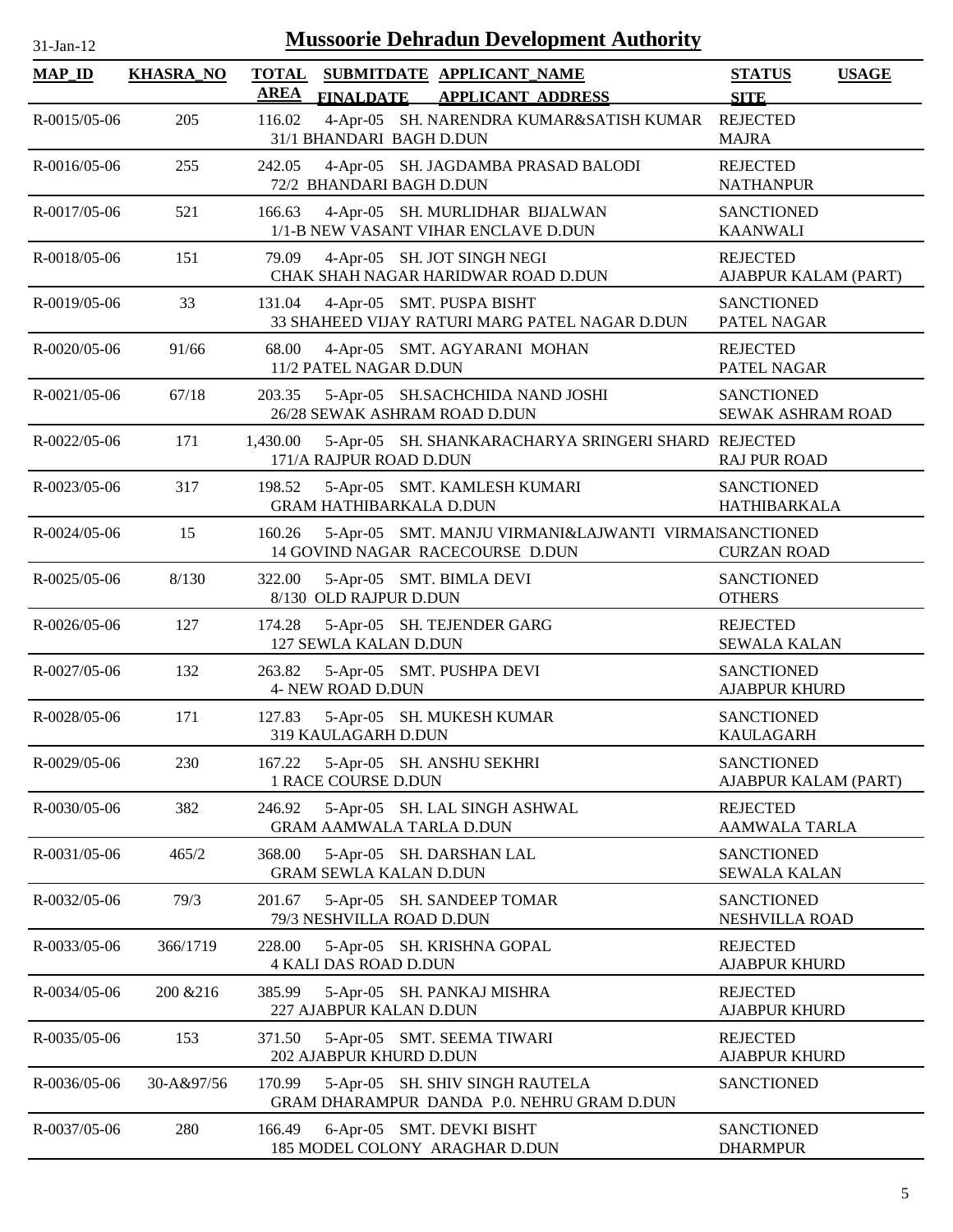| $31$ -Jan-1 |  |
|-------------|--|
|             |  |

| <b>MAP_ID</b>      | <b>KHASRA_NO</b> | <b>TOTAL</b><br><b>AREA</b> | <b>FINALDATE</b>               | SUBMITDATE APPLICANT NAME<br><b>APPLICANT ADDRESS</b>                                     | <b>STATUS</b><br><b>SITE</b>                  | <b>USAGE</b> |
|--------------------|------------------|-----------------------------|--------------------------------|-------------------------------------------------------------------------------------------|-----------------------------------------------|--------------|
| R-0015/05-06       | 205              | 116.02                      | 31/1 BHANDARI BAGH D.DUN       | 4-Apr-05 SH. NARENDRA KUMAR&SATISH KUMAR                                                  | <b>REJECTED</b><br><b>MAJRA</b>               |              |
| R-0016/05-06       | 255              | 242.05                      | 72/2 BHANDARI BAGH D.DUN       | 4-Apr-05 SH. JAGDAMBA PRASAD BALODI                                                       | <b>REJECTED</b><br><b>NATHANPUR</b>           |              |
| R-0017/05-06       | 521              | 166.63                      |                                | 4-Apr-05 SH. MURLIDHAR BIJALWAN<br>1/1-B NEW VASANT VIHAR ENCLAVE D.DUN                   | <b>SANCTIONED</b><br><b>KAANWALI</b>          |              |
| R-0018/05-06       | 151              | 79.09                       |                                | 4-Apr-05 SH. JOT SINGH NEGI<br>CHAK SHAH NAGAR HARIDWAR ROAD D.DUN                        | <b>REJECTED</b><br>AJABPUR KALAM (PART)       |              |
| $R - 0019/05 - 06$ | 33               | 131.04                      |                                | 4-Apr-05 SMT. PUSPA BISHT<br>33 SHAHEED VIJAY RATURI MARG PATEL NAGAR D.DUN               | <b>SANCTIONED</b><br>PATEL NAGAR              |              |
| R-0020/05-06       | 91/66            | 68.00                       | 11/2 PATEL NAGAR D.DUN         | 4-Apr-05 SMT. AGYARANI MOHAN                                                              | <b>REJECTED</b><br>PATEL NAGAR                |              |
| $R - 0021/05 - 06$ | 67/18            | 203.35                      |                                | 5-Apr-05 SH.SACHCHIDA NAND JOSHI<br>26/28 SEWAK ASHRAM ROAD D.DUN                         | <b>SANCTIONED</b><br><b>SEWAK ASHRAM ROAD</b> |              |
| R-0022/05-06       | 171              | 1,430.00                    | 171/A RAJPUR ROAD D.DUN        | 5-Apr-05 SH. SHANKARACHARYA SRINGERI SHARD REJECTED                                       | <b>RAJ PUR ROAD</b>                           |              |
| R-0023/05-06       | 317              | 198.52                      | <b>GRAM HATHIBARKALA D.DUN</b> | 5-Apr-05 SMT. KAMLESH KUMARI                                                              | <b>SANCTIONED</b><br><b>HATHIBARKALA</b>      |              |
| R-0024/05-06       | 15               | 160.26                      |                                | 5-Apr-05 SMT. MANJU VIRMANI&LAJWANTI VIRMAISANCTIONED<br>14 GOVIND NAGAR RACECOURSE D.DUN | <b>CURZAN ROAD</b>                            |              |
| R-0025/05-06       | 8/130            | 322.00                      | 8/130 OLD RAJPUR D.DUN         | 5-Apr-05 SMT. BIMLA DEVI                                                                  | <b>SANCTIONED</b><br><b>OTHERS</b>            |              |
| R-0026/05-06       | 127              | 174.28                      | 127 SEWLA KALAN D.DUN          | 5-Apr-05 SH. TEJENDER GARG                                                                | <b>REJECTED</b><br><b>SEWALA KALAN</b>        |              |
| R-0027/05-06       | 132              | 263.82                      | 4- NEW ROAD D.DUN              | 5-Apr-05 SMT. PUSHPA DEVI                                                                 | <b>SANCTIONED</b><br><b>AJABPUR KHURD</b>     |              |
| R-0028/05-06       | 171              | 127.83                      | 319 KAULAGARH D.DUN            | 5-Apr-05 SH. MUKESH KUMAR                                                                 | <b>SANCTIONED</b><br><b>KAULAGARH</b>         |              |
| R-0029/05-06       | 230              | 167.22                      | 1 RACE COURSE D.DUN            | 5-Apr-05 SH. ANSHU SEKHRI                                                                 | <b>SANCTIONED</b><br>AJABPUR KALAM (PART)     |              |
| R-0030/05-06       | 382              | 246.92                      |                                | 5-Apr-05 SH. LAL SINGH ASHWAL<br><b>GRAM AAMWALA TARLA D.DUN</b>                          | <b>REJECTED</b><br><b>AAMWALA TARLA</b>       |              |
| R-0031/05-06       | 465/2            | 368.00                      | <b>GRAM SEWLA KALAN D.DUN</b>  | 5-Apr-05 SH. DARSHAN LAL                                                                  | <b>SANCTIONED</b><br><b>SEWALA KALAN</b>      |              |
| R-0032/05-06       | 79/3             | 201.67                      | 79/3 NESHVILLA ROAD D.DUN      | 5-Apr-05 SH. SANDEEP TOMAR                                                                | <b>SANCTIONED</b><br>NESHVILLA ROAD           |              |
| R-0033/05-06       | 366/1719         | 228.00                      | <b>4 KALI DAS ROAD D.DUN</b>   | 5-Apr-05 SH. KRISHNA GOPAL                                                                | <b>REJECTED</b><br><b>AJABPUR KHURD</b>       |              |
| R-0034/05-06       | 200 & 216        | 385.99                      | 227 AJABPUR KALAN D.DUN        | 5-Apr-05 SH. PANKAJ MISHRA                                                                | <b>REJECTED</b><br><b>AJABPUR KHURD</b>       |              |
| R-0035/05-06       | 153              | 371.50                      | 202 AJABPUR KHURD D.DUN        | 5-Apr-05 SMT. SEEMA TIWARI                                                                | <b>REJECTED</b><br><b>AJABPUR KHURD</b>       |              |
| R-0036/05-06       | 30-A&97/56       | 170.99                      |                                | 5-Apr-05 SH. SHIV SINGH RAUTELA<br>GRAM DHARAMPUR DANDA P.0. NEHRU GRAM D.DUN             | <b>SANCTIONED</b>                             |              |
| R-0037/05-06       | 280              | 166.49                      |                                | 6-Apr-05 SMT. DEVKI BISHT<br>185 MODEL COLONY ARAGHAR D.DUN                               | <b>SANCTIONED</b><br><b>DHARMPUR</b>          |              |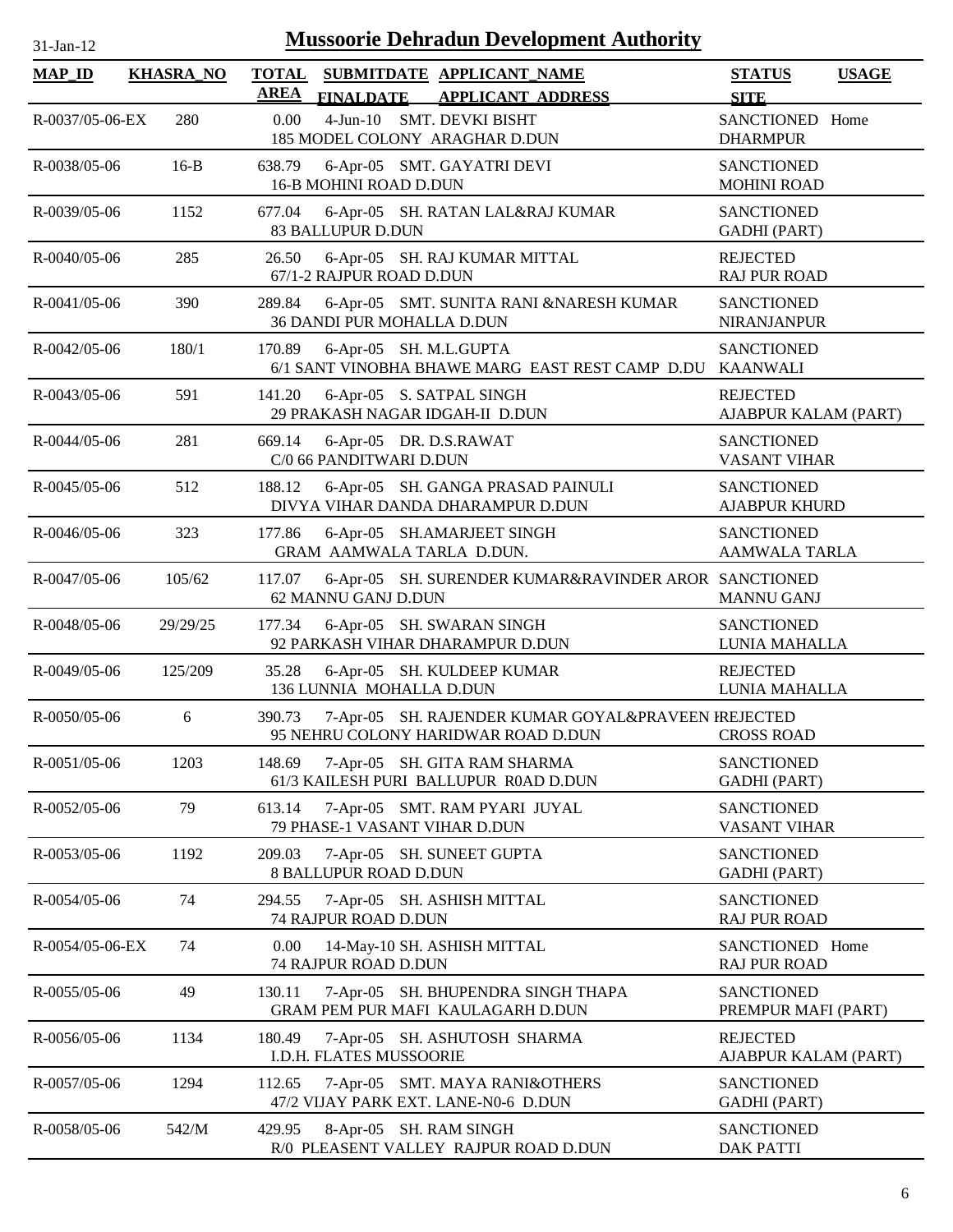| <b>MAP_ID</b>      | <b>KHASRA_NO</b> | <b>TOTAL</b><br><b>AREA</b> | SUBMITDATE APPLICANT_NAME<br><b>FINALDATE</b>                           | <b>APPLICANT ADDRESS</b>                             | <b>STATUS</b><br><b>SITE</b>              | <b>USAGE</b> |
|--------------------|------------------|-----------------------------|-------------------------------------------------------------------------|------------------------------------------------------|-------------------------------------------|--------------|
| R-0037/05-06-EX    | 280              | 0.00                        | 4-Jun-10 SMT. DEVKI BISHT<br>185 MODEL COLONY ARAGHAR D.DUN             |                                                      | SANCTIONED Home<br><b>DHARMPUR</b>        |              |
| R-0038/05-06       | $16-B$           | 638.79                      | 6-Apr-05 SMT. GAYATRI DEVI<br><b>16-B MOHINI ROAD D.DUN</b>             |                                                      | <b>SANCTIONED</b><br><b>MOHINI ROAD</b>   |              |
| $R - 0039/05 - 06$ | 1152             | 677.04                      | 6-Apr-05 SH. RATAN LAL&RAJ KUMAR<br><b>83 BALLUPUR D.DUN</b>            |                                                      | <b>SANCTIONED</b><br><b>GADHI</b> (PART)  |              |
| R-0040/05-06       | 285              | 26.50                       | 6-Apr-05 SH. RAJ KUMAR MITTAL<br>67/1-2 RAJPUR ROAD D.DUN               |                                                      | <b>REJECTED</b><br><b>RAJ PUR ROAD</b>    |              |
| $R - 0041/05 - 06$ | 390              | 289.84                      | 36 DANDI PUR MOHALLA D.DUN                                              | 6-Apr-05 SMT. SUNITA RANI &NARESH KUMAR              | <b>SANCTIONED</b><br><b>NIRANJANPUR</b>   |              |
| R-0042/05-06       | 180/1            | 170.89                      | 6-Apr-05 SH. M.L.GUPTA                                                  | 6/1 SANT VINOBHA BHAWE MARG EAST REST CAMP D.DU      | <b>SANCTIONED</b><br><b>KAANWALI</b>      |              |
| R-0043/05-06       | 591              | 141.20                      | 6-Apr-05 S. SATPAL SINGH<br>29 PRAKASH NAGAR IDGAH-II D.DUN             |                                                      | <b>REJECTED</b><br>AJABPUR KALAM (PART)   |              |
| R-0044/05-06       | 281              | 669.14                      | 6-Apr-05 DR. D.S.RAWAT<br>C/0 66 PANDITWARI D.DUN                       |                                                      | <b>SANCTIONED</b><br><b>VASANT VIHAR</b>  |              |
| R-0045/05-06       | 512              | 188.12                      | 6-Apr-05 SH. GANGA PRASAD PAINULI<br>DIVYA VIHAR DANDA DHARAMPUR D.DUN  |                                                      | <b>SANCTIONED</b><br><b>AJABPUR KHURD</b> |              |
| R-0046/05-06       | 323              | 177.86                      | 6-Apr-05 SH.AMARJEET SINGH<br>GRAM AAMWALA TARLA D.DUN.                 |                                                      | <b>SANCTIONED</b><br><b>AAMWALA TARLA</b> |              |
| R-0047/05-06       | 105/62           | 117.07                      | 62 MANNU GANJ D.DUN                                                     | 6-Apr-05 SH. SURENDER KUMAR&RAVINDER AROR SANCTIONED | <b>MANNU GANJ</b>                         |              |
| R-0048/05-06       | 29/29/25         | 177.34                      | 6-Apr-05 SH. SWARAN SINGH<br>92 PARKASH VIHAR DHARAMPUR D.DUN           |                                                      | <b>SANCTIONED</b><br>LUNIA MAHALLA        |              |
| R-0049/05-06       | 125/209          | 35.28                       | 6-Apr-05 SH. KULDEEP KUMAR<br>136 LUNNIA MOHALLA D.DUN                  |                                                      | <b>REJECTED</b><br>LUNIA MAHALLA          |              |
| R-0050/05-06       | 6                | 390.73                      | 95 NEHRU COLONY HARIDWAR ROAD D.DUN                                     | 7-Apr-05 SH. RAJENDER KUMAR GOYAL&PRAVEEN FREJECTED  | <b>CROSS ROAD</b>                         |              |
| $R - 0051/05 - 06$ | 1203             | 148.69                      | 7-Apr-05 SH. GITA RAM SHARMA<br>61/3 KAILESH PURI BALLUPUR R0AD D.DUN   |                                                      | <b>SANCTIONED</b><br><b>GADHI</b> (PART)  |              |
| R-0052/05-06       | 79               | 613.14                      | 7-Apr-05 SMT. RAM PYARI JUYAL<br>79 PHASE-1 VASANT VIHAR D.DUN          |                                                      | <b>SANCTIONED</b><br><b>VASANT VIHAR</b>  |              |
| R-0053/05-06       | 1192             | 209.03                      | 7-Apr-05 SH. SUNEET GUPTA<br><b>8 BALLUPUR ROAD D.DUN</b>               |                                                      | <b>SANCTIONED</b><br><b>GADHI (PART)</b>  |              |
| $R - 0054/05 - 06$ | 74               | 294.55                      | 7-Apr-05 SH. ASHISH MITTAL<br>74 RAJPUR ROAD D.DUN                      |                                                      | <b>SANCTIONED</b><br><b>RAJ PUR ROAD</b>  |              |
| R-0054/05-06-EX    | 74               | 0.00                        | 14-May-10 SH. ASHISH MITTAL<br>74 RAJPUR ROAD D.DUN                     |                                                      | SANCTIONED Home<br><b>RAJ PUR ROAD</b>    |              |
| $R - 0055/05 - 06$ | 49               | 130.11                      | 7-Apr-05 SH. BHUPENDRA SINGH THAPA<br>GRAM PEM PUR MAFI KAULAGARH D.DUN |                                                      | <b>SANCTIONED</b><br>PREMPUR MAFI (PART)  |              |
| R-0056/05-06       | 1134             | 180.49                      | 7-Apr-05 SH. ASHUTOSH SHARMA<br>I.D.H. FLATES MUSSOORIE                 |                                                      | <b>REJECTED</b><br>AJABPUR KALAM (PART)   |              |
| R-0057/05-06       | 1294             | 112.65                      | 7-Apr-05 SMT. MAYA RANI&OTHERS<br>47/2 VIJAY PARK EXT. LANE-N0-6 D.DUN  |                                                      | <b>SANCTIONED</b><br><b>GADHI</b> (PART)  |              |
| R-0058/05-06       | 542/M            | 429.95                      | 8-Apr-05 SH. RAM SINGH<br>R/0 PLEASENT VALLEY RAJPUR ROAD D.DUN         |                                                      | <b>SANCTIONED</b><br><b>DAK PATTI</b>     |              |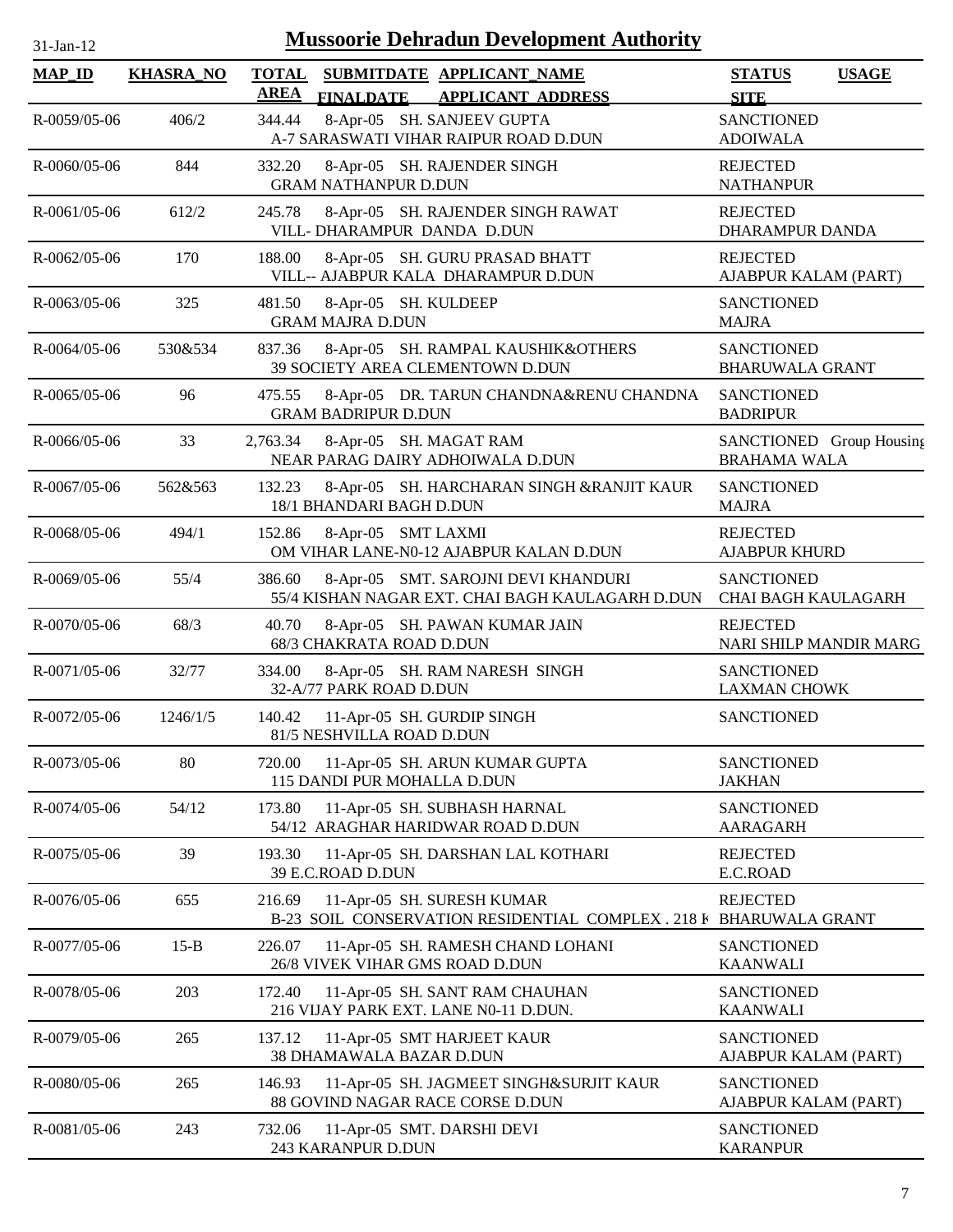| $1$ -Jan- $1$ |  |
|---------------|--|

| <b>MAP_ID</b>      | <b>KHASRA_NO</b> | <b>TOTAL</b><br>AREA | SUBMITDATE APPLICANT_NAME<br><b>FINALDATE</b><br><b>APPLICANT ADDRESS</b>                        | <b>STATUS</b><br><b>SITE</b>                    | <b>USAGE</b> |
|--------------------|------------------|----------------------|--------------------------------------------------------------------------------------------------|-------------------------------------------------|--------------|
| R-0059/05-06       | 406/2            | 344.44               | 8-Apr-05 SH. SANJEEV GUPTA<br>A-7 SARASWATI VIHAR RAIPUR ROAD D.DUN                              | <b>SANCTIONED</b><br><b>ADOIWALA</b>            |              |
| $R - 0060/05 - 06$ | 844              | 332.20               | 8-Apr-05 SH. RAJENDER SINGH<br><b>GRAM NATHANPUR D.DUN</b>                                       | <b>REJECTED</b><br><b>NATHANPUR</b>             |              |
| $R - 0061/05 - 06$ | 612/2            | 245.78               | 8-Apr-05 SH. RAJENDER SINGH RAWAT<br>VILL-DHARAMPUR DANDA D.DUN                                  | <b>REJECTED</b><br>DHARAMPUR DANDA              |              |
| $R - 0062/05 - 06$ | 170              | 188.00               | 8-Apr-05 SH. GURU PRASAD BHATT<br>VILL-- AJABPUR KALA DHARAMPUR D.DUN                            | <b>REJECTED</b><br>AJABPUR KALAM (PART)         |              |
| R-0063/05-06       | 325              | 481.50               | 8-Apr-05 SH. KULDEEP<br><b>GRAM MAJRA D.DUN</b>                                                  | <b>SANCTIONED</b><br><b>MAJRA</b>               |              |
| R-0064/05-06       | 530&534          | 837.36               | 8-Apr-05 SH. RAMPAL KAUSHIK&OTHERS<br>39 SOCIETY AREA CLEMENTOWN D.DUN                           | <b>SANCTIONED</b><br><b>BHARUWALA GRANT</b>     |              |
| $R - 0065/05 - 06$ | 96               | 475.55               | 8-Apr-05 DR. TARUN CHANDNA&RENU CHANDNA<br><b>GRAM BADRIPUR D.DUN</b>                            | <b>SANCTIONED</b><br><b>BADRIPUR</b>            |              |
| R-0066/05-06       | 33               | 2,763.34             | 8-Apr-05 SH. MAGAT RAM<br>NEAR PARAG DAIRY ADHOIWALA D.DUN                                       | SANCTIONED Group Housing<br><b>BRAHAMA WALA</b> |              |
| R-0067/05-06       | 562&563          | 132.23               | 8-Apr-05 SH. HARCHARAN SINGH &RANJIT KAUR<br>18/1 BHANDARI BAGH D.DUN                            | <b>SANCTIONED</b><br><b>MAJRA</b>               |              |
| R-0068/05-06       | 494/1            | 152.86               | 8-Apr-05 SMT LAXMI<br>OM VIHAR LANE-N0-12 AJABPUR KALAN D.DUN                                    | <b>REJECTED</b><br><b>AJABPUR KHURD</b>         |              |
| R-0069/05-06       | 55/4             | 386.60               | 8-Apr-05 SMT. SAROJNI DEVI KHANDURI<br>55/4 KISHAN NAGAR EXT. CHAI BAGH KAULAGARH D.DUN          | <b>SANCTIONED</b><br><b>CHAI BAGH KAULAGARH</b> |              |
| R-0070/05-06       | 68/3             | 40.70                | 8-Apr-05 SH. PAWAN KUMAR JAIN<br>68/3 CHAKRATA ROAD D.DUN                                        | <b>REJECTED</b><br>NARI SHILP MANDIR MARG       |              |
| R-0071/05-06       | 32/77            | 334.00               | 8-Apr-05 SH. RAM NARESH SINGH<br>32-A/77 PARK ROAD D.DUN                                         | <b>SANCTIONED</b><br><b>LAXMAN CHOWK</b>        |              |
| R-0072/05-06       | 1246/1/5         | 140.42               | 11-Apr-05 SH. GURDIP SINGH<br>81/5 NESHVILLA ROAD D.DUN                                          | <b>SANCTIONED</b>                               |              |
| R-0073/05-06       | 80               | 720.00               | 11-Apr-05 SH. ARUN KUMAR GUPTA<br>115 DANDI PUR MOHALLA D.DUN                                    | <b>SANCTIONED</b><br><b>JAKHAN</b>              |              |
| R-0074/05-06       | 54/12            | 173.80               | 11-Apr-05 SH. SUBHASH HARNAL<br>54/12 ARAGHAR HARIDWAR ROAD D.DUN                                | <b>SANCTIONED</b><br><b>AARAGARH</b>            |              |
| R-0075/05-06       | 39               | 193.30               | 11-Apr-05 SH. DARSHAN LAL KOTHARI<br>39 E.C.ROAD D.DUN                                           | <b>REJECTED</b><br>E.C.ROAD                     |              |
| R-0076/05-06       | 655              | 216.69               | 11-Apr-05 SH. SURESH KUMAR<br>B-23 SOIL CONSERVATION RESIDENTIAL COMPLEX . 218 F BHARUWALA GRANT | <b>REJECTED</b>                                 |              |
| R-0077/05-06       | $15-B$           | 226.07               | 11-Apr-05 SH. RAMESH CHAND LOHANI<br>26/8 VIVEK VIHAR GMS ROAD D.DUN                             | <b>SANCTIONED</b><br><b>KAANWALI</b>            |              |
| R-0078/05-06       | 203              | 172.40               | 11-Apr-05 SH. SANT RAM CHAUHAN<br>216 VIJAY PARK EXT. LANE N0-11 D.DUN.                          | <b>SANCTIONED</b><br><b>KAANWALI</b>            |              |
| R-0079/05-06       | 265              | 137.12               | 11-Apr-05 SMT HARJEET KAUR<br>38 DHAMAWALA BAZAR D.DUN                                           | <b>SANCTIONED</b><br>AJABPUR KALAM (PART)       |              |
| R-0080/05-06       | 265              | 146.93               | 11-Apr-05 SH. JAGMEET SINGH&SURJIT KAUR<br>88 GOVIND NAGAR RACE CORSE D.DUN                      | <b>SANCTIONED</b><br>AJABPUR KALAM (PART)       |              |
| R-0081/05-06       | 243              | 732.06               | 11-Apr-05 SMT. DARSHI DEVI<br>243 KARANPUR D.DUN                                                 | <b>SANCTIONED</b><br><b>KARANPUR</b>            |              |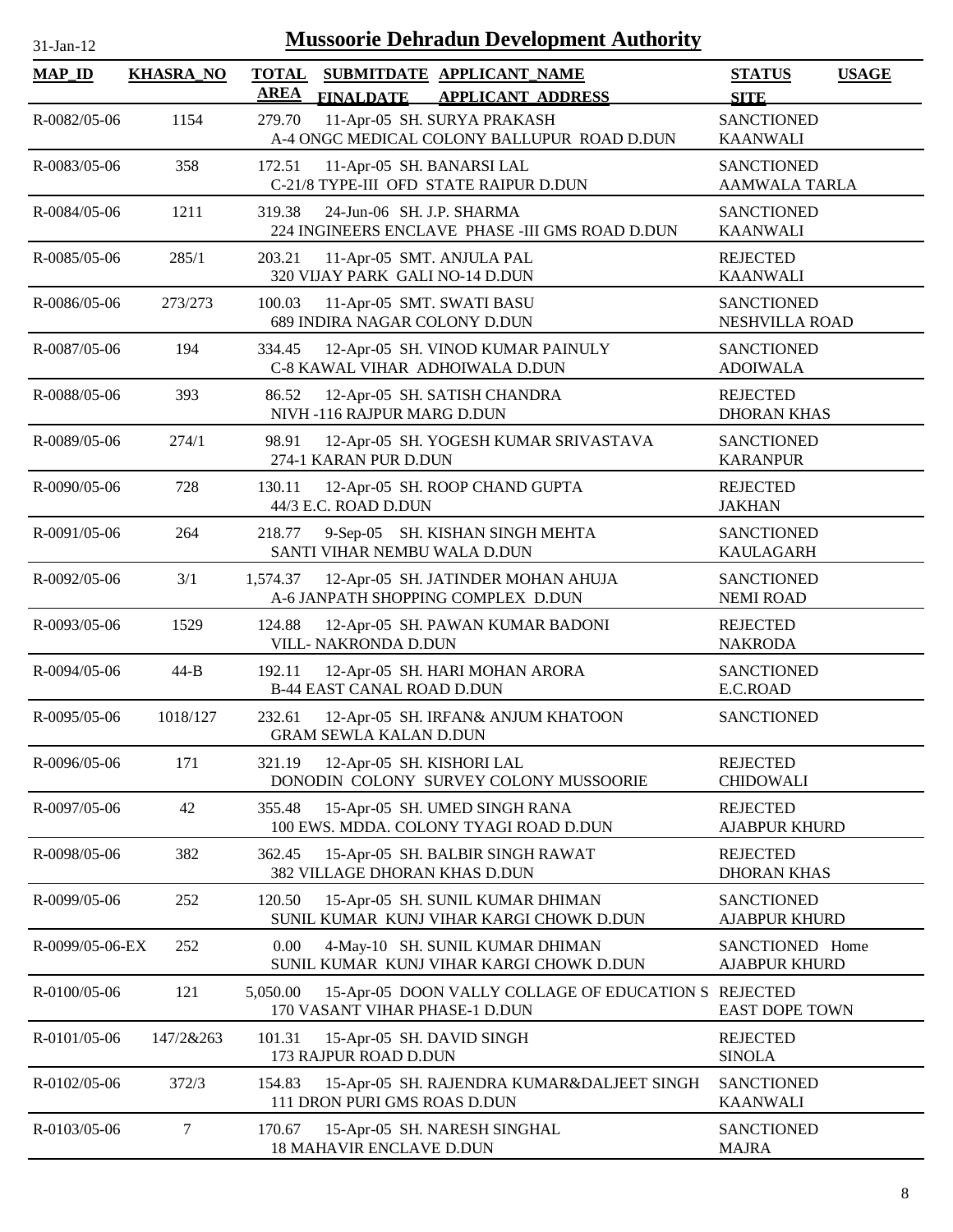| <b>Mussoorie Dehradun Development Authority</b><br>31-Jan-12 |                  |                                                                                                          |                                              |  |  |
|--------------------------------------------------------------|------------------|----------------------------------------------------------------------------------------------------------|----------------------------------------------|--|--|
| <b>MAP_ID</b>                                                | <b>KHASRA_NO</b> | <b>TOTAL</b><br>SUBMITDATE APPLICANT_NAME<br><b>AREA</b><br><b>FINALDATE</b><br><b>APPLICANT ADDRESS</b> | <b>USAGE</b><br><b>STATUS</b><br><b>SITE</b> |  |  |
| R-0082/05-06                                                 | 1154             | 11-Apr-05 SH. SURYA PRAKASH<br>279.70<br>A-4 ONGC MEDICAL COLONY BALLUPUR ROAD D.DUN                     | <b>SANCTIONED</b><br><b>KAANWALI</b>         |  |  |
| R-0083/05-06                                                 | 358              | 172.51<br>11-Apr-05 SH. BANARSI LAL<br>C-21/8 TYPE-III OFD STATE RAIPUR D.DUN                            | <b>SANCTIONED</b><br>AAMWALA TARLA           |  |  |
| R-0084/05-06                                                 | 1211             | 24-Jun-06 SH. J.P. SHARMA<br>319.38<br>224 INGINEERS ENCLAVE PHASE - III GMS ROAD D.DUN                  | <b>SANCTIONED</b><br><b>KAANWALI</b>         |  |  |
| R-0085/05-06                                                 | 285/1            | 203.21<br>11-Apr-05 SMT. ANJULA PAL<br>320 VIJAY PARK GALI NO-14 D.DUN                                   | <b>REJECTED</b><br><b>KAANWALI</b>           |  |  |
| R-0086/05-06                                                 | 273/273          | 11-Apr-05 SMT. SWATI BASU<br>100.03<br>689 INDIRA NAGAR COLONY D.DUN                                     | <b>SANCTIONED</b><br>NESHVILLA ROAD          |  |  |
| R-0087/05-06                                                 | 194              | 334.45<br>12-Apr-05 SH. VINOD KUMAR PAINULY<br>C-8 KAWAL VIHAR ADHOIWALA D.DUN                           | <b>SANCTIONED</b><br><b>ADOIWALA</b>         |  |  |
| R-0088/05-06                                                 | 393              | 12-Apr-05 SH. SATISH CHANDRA<br>86.52<br>NIVH-116 RAJPUR MARG D.DUN                                      | <b>REJECTED</b><br><b>DHORAN KHAS</b>        |  |  |
| R-0089/05-06                                                 | 274/1            | 98.91<br>12-Apr-05 SH. YOGESH KUMAR SRIVASTAVA<br>274-1 KARAN PUR D.DUN                                  | <b>SANCTIONED</b><br><b>KARANPUR</b>         |  |  |
| R-0090/05-06                                                 | 728              | 12-Apr-05 SH. ROOP CHAND GUPTA<br>130.11<br>44/3 E.C. ROAD D.DUN                                         | <b>REJECTED</b><br><b>JAKHAN</b>             |  |  |
| R-0091/05-06                                                 | 264              | 218.77<br>9-Sep-05 SH. KISHAN SINGH MEHTA<br>SANTI VIHAR NEMBU WALA D.DUN                                | <b>SANCTIONED</b><br><b>KAULAGARH</b>        |  |  |
| R-0092/05-06                                                 | 3/1              | 12-Apr-05 SH. JATINDER MOHAN AHUJA<br>1,574.37<br>A-6 JANPATH SHOPPING COMPLEX D.DUN                     | <b>SANCTIONED</b><br><b>NEMI ROAD</b>        |  |  |
| R-0093/05-06                                                 | 1529             | 124.88<br>12-Apr-05 SH. PAWAN KUMAR BADONI<br>VILL- NAKRONDA D.DUN                                       | <b>REJECTED</b><br><b>NAKRODA</b>            |  |  |
| R-0094/05-06                                                 | $44-B$           | 192.11<br>12-Apr-05 SH. HARI MOHAN ARORA<br><b>B-44 EAST CANAL ROAD D.DUN</b>                            | <b>SANCTIONED</b><br>E.C.ROAD                |  |  |
| R-0095/05-06                                                 | 1018/127         | 232.61<br>12-Apr-05 SH. IRFAN& ANJUM KHATOON<br><b>GRAM SEWLA KALAN D.DUN</b>                            | <b>SANCTIONED</b>                            |  |  |
| R-0096/05-06                                                 | 171              | 321.19<br>12-Apr-05 SH. KISHORI LAL<br>DONODIN COLONY SURVEY COLONY MUSSOORIE                            | <b>REJECTED</b><br><b>CHIDOWALI</b>          |  |  |
| R-0097/05-06                                                 | 42               | 355.48<br>15-Apr-05 SH. UMED SINGH RANA<br>100 EWS. MDDA. COLONY TYAGI ROAD D.DUN                        | <b>REJECTED</b><br><b>AJABPUR KHURD</b>      |  |  |
| R-0098/05-06                                                 | 382              | 15-Apr-05 SH. BALBIR SINGH RAWAT<br>362.45<br>382 VILLAGE DHORAN KHAS D.DUN                              | <b>REJECTED</b><br><b>DHORAN KHAS</b>        |  |  |
| R-0099/05-06                                                 | 252              | 120.50<br>15-Apr-05 SH. SUNIL KUMAR DHIMAN<br>SUNIL KUMAR KUNJ VIHAR KARGI CHOWK D.DUN                   | <b>SANCTIONED</b><br><b>AJABPUR KHURD</b>    |  |  |
| R-0099/05-06-EX                                              | 252              | 0.00<br>4-May-10 SH. SUNIL KUMAR DHIMAN<br>SUNIL KUMAR KUNJ VIHAR KARGI CHOWK D.DUN                      | SANCTIONED Home<br><b>AJABPUR KHURD</b>      |  |  |
| R-0100/05-06                                                 | 121              | 5,050.00<br>15-Apr-05 DOON VALLY COLLAGE OF EDUCATION S REJECTED<br>170 VASANT VIHAR PHASE-1 D.DUN       | <b>EAST DOPE TOWN</b>                        |  |  |
| R-0101/05-06                                                 | 147/2&263        | 101.31<br>15-Apr-05 SH. DAVID SINGH<br>173 RAJPUR ROAD D.DUN                                             | <b>REJECTED</b><br><b>SINOLA</b>             |  |  |
| R-0102/05-06                                                 | 372/3            | 154.83<br>15-Apr-05 SH. RAJENDRA KUMAR&DALJEET SINGH<br>111 DRON PURI GMS ROAS D.DUN                     | <b>SANCTIONED</b><br><b>KAANWALI</b>         |  |  |
| R-0103/05-06                                                 | 7                | 170.67<br>15-Apr-05 SH. NARESH SINGHAL<br>18 MAHAVIR ENCLAVE D.DUN                                       | <b>SANCTIONED</b><br><b>MAJRA</b>            |  |  |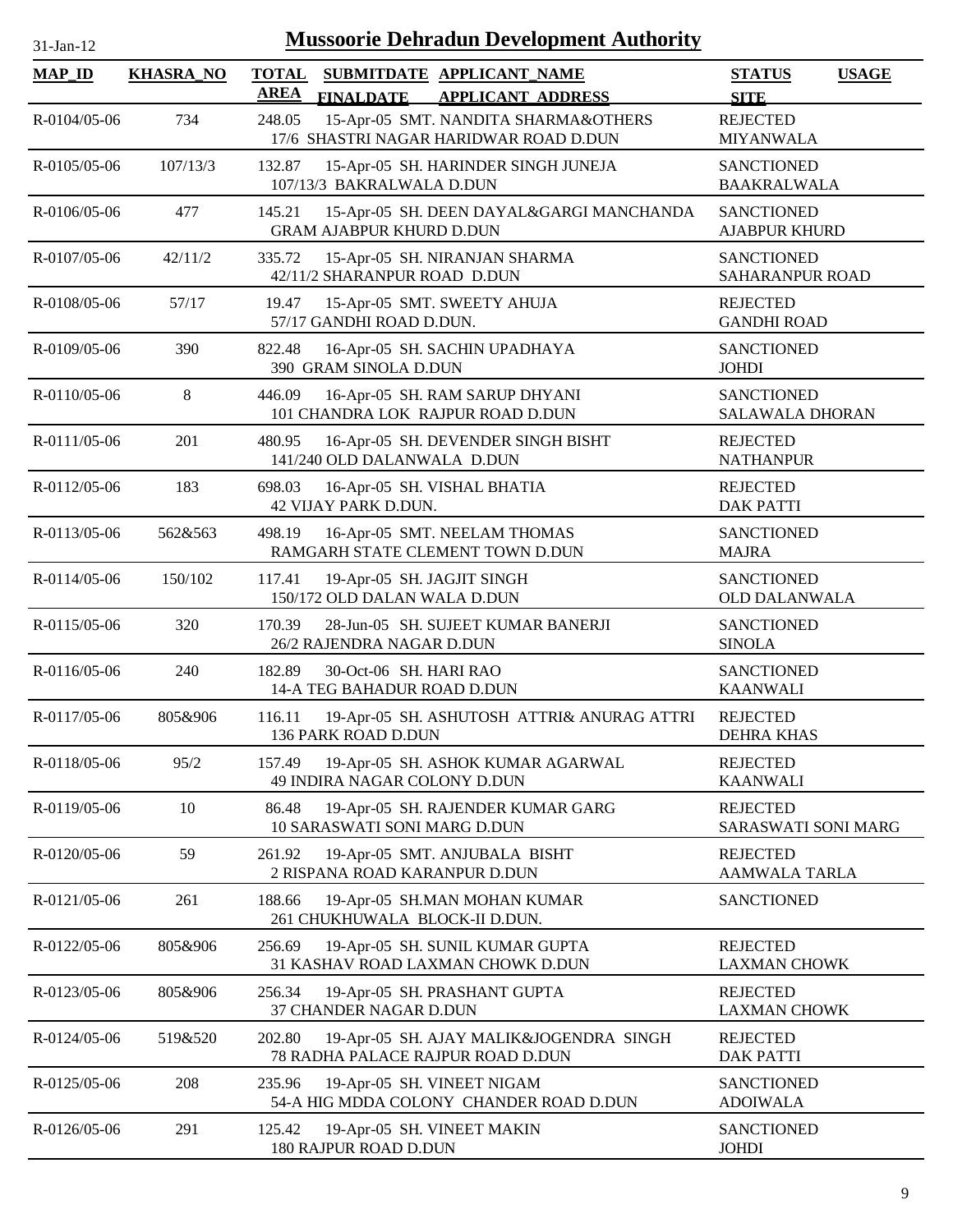| 1-Jan-1 |  |
|---------|--|
|         |  |

| <b>MAP_ID</b>      | <b>KHASRA_NO</b> | <b>TOTAL</b><br>SUBMITDATE APPLICANT NAME                                                | <b>STATUS</b><br><b>USAGE</b>               |
|--------------------|------------------|------------------------------------------------------------------------------------------|---------------------------------------------|
|                    |                  | <b>AREA</b><br><b>FINALDATE</b><br><b>APPLICANT ADDRESS</b>                              | <b>SITE</b>                                 |
| R-0104/05-06       | 734              | 248.05<br>15-Apr-05 SMT. NANDITA SHARMA&OTHERS<br>17/6 SHASTRI NAGAR HARIDWAR ROAD D.DUN | <b>REJECTED</b><br><b>MIYANWALA</b>         |
| R-0105/05-06       | 107/13/3         | 132.87<br>15-Apr-05 SH. HARINDER SINGH JUNEJA<br>107/13/3 BAKRALWALA D.DUN               | <b>SANCTIONED</b><br><b>BAAKRALWALA</b>     |
| $R - 0106/05 - 06$ | 477              | 145.21<br>15-Apr-05 SH. DEEN DAYAL&GARGI MANCHANDA<br><b>GRAM AJABPUR KHURD D.DUN</b>    | <b>SANCTIONED</b><br><b>AJABPUR KHURD</b>   |
| R-0107/05-06       | 42/11/2          | 335.72<br>15-Apr-05 SH. NIRANJAN SHARMA<br>42/11/2 SHARANPUR ROAD D.DUN                  | <b>SANCTIONED</b><br><b>SAHARANPUR ROAD</b> |
| R-0108/05-06       | 57/17            | 15-Apr-05 SMT. SWEETY AHUJA<br>19.47<br>57/17 GANDHI ROAD D.DUN.                         | <b>REJECTED</b><br><b>GANDHI ROAD</b>       |
| R-0109/05-06       | 390              | 822.48<br>16-Apr-05 SH. SACHIN UPADHAYA<br>390 GRAM SINOLA D.DUN                         | <b>SANCTIONED</b><br><b>JOHDI</b>           |
| R-0110/05-06       | 8                | 16-Apr-05 SH. RAM SARUP DHYANI<br>446.09<br>101 CHANDRA LOK RAJPUR ROAD D.DUN            | <b>SANCTIONED</b><br><b>SALAWALA DHORAN</b> |
| R-0111/05-06       | 201              | 480.95<br>16-Apr-05 SH. DEVENDER SINGH BISHT<br>141/240 OLD DALANWALA D.DUN              | <b>REJECTED</b><br><b>NATHANPUR</b>         |
| R-0112/05-06       | 183              | 16-Apr-05 SH. VISHAL BHATIA<br>698.03<br>42 VIJAY PARK D.DUN.                            | <b>REJECTED</b><br><b>DAK PATTI</b>         |
| R-0113/05-06       | 562&563          | 498.19<br>16-Apr-05 SMT. NEELAM THOMAS<br>RAMGARH STATE CLEMENT TOWN D.DUN               | <b>SANCTIONED</b><br><b>MAJRA</b>           |
| R-0114/05-06       | 150/102          | 117.41<br>19-Apr-05 SH. JAGJIT SINGH<br>150/172 OLD DALAN WALA D.DUN                     | <b>SANCTIONED</b><br>OLD DALANWALA          |
| R-0115/05-06       | 320              | 170.39<br>28-Jun-05 SH. SUJEET KUMAR BANERJI<br>26/2 RAJENDRA NAGAR D.DUN                | <b>SANCTIONED</b><br><b>SINOLA</b>          |
| R-0116/05-06       | 240              | 182.89<br>30-Oct-06 SH. HARI RAO<br>14-A TEG BAHADUR ROAD D.DUN                          | <b>SANCTIONED</b><br><b>KAANWALI</b>        |
| R-0117/05-06       | 805&906          | 116.11<br>19-Apr-05 SH. ASHUTOSH ATTRI& ANURAG ATTRI<br>136 PARK ROAD D.DUN              | <b>REJECTED</b><br><b>DEHRA KHAS</b>        |
| R-0118/05-06       | 95/2             | 157.49<br>19-Apr-05 SH. ASHOK KUMAR AGARWAL<br>49 INDIRA NAGAR COLONY D.DUN              | <b>REJECTED</b><br><b>KAANWALI</b>          |
| R-0119/05-06       | 10               | 19-Apr-05 SH. RAJENDER KUMAR GARG<br>86.48<br>10 SARASWATI SONI MARG D.DUN               | <b>REJECTED</b><br>SARASWATI SONI MARG      |
| R-0120/05-06       | 59               | 261.92<br>19-Apr-05 SMT. ANJUBALA BISHT<br>2 RISPANA ROAD KARANPUR D.DUN                 | <b>REJECTED</b><br><b>AAMWALA TARLA</b>     |
| R-0121/05-06       | 261              | 188.66<br>19-Apr-05 SH.MAN MOHAN KUMAR<br>261 CHUKHUWALA BLOCK-II D.DUN.                 | <b>SANCTIONED</b>                           |
| R-0122/05-06       | 805&906          | 19-Apr-05 SH. SUNIL KUMAR GUPTA<br>256.69<br>31 KASHAV ROAD LAXMAN CHOWK D.DUN           | <b>REJECTED</b><br><b>LAXMAN CHOWK</b>      |
| R-0123/05-06       | 805&906          | 256.34<br>19-Apr-05 SH. PRASHANT GUPTA<br>37 CHANDER NAGAR D.DUN                         | <b>REJECTED</b><br><b>LAXMAN CHOWK</b>      |
| R-0124/05-06       | 519&520          | 202.80<br>19-Apr-05 SH. AJAY MALIK&JOGENDRA SINGH<br>78 RADHA PALACE RAJPUR ROAD D.DUN   | <b>REJECTED</b><br><b>DAK PATTI</b>         |
| R-0125/05-06       | 208              | 235.96<br>19-Apr-05 SH. VINEET NIGAM<br>54-A HIG MDDA COLONY CHANDER ROAD D.DUN          | <b>SANCTIONED</b><br><b>ADOIWALA</b>        |
| R-0126/05-06       | 291              | 125.42<br>19-Apr-05 SH. VINEET MAKIN<br>180 RAJPUR ROAD D.DUN                            | <b>SANCTIONED</b><br><b>JOHDI</b>           |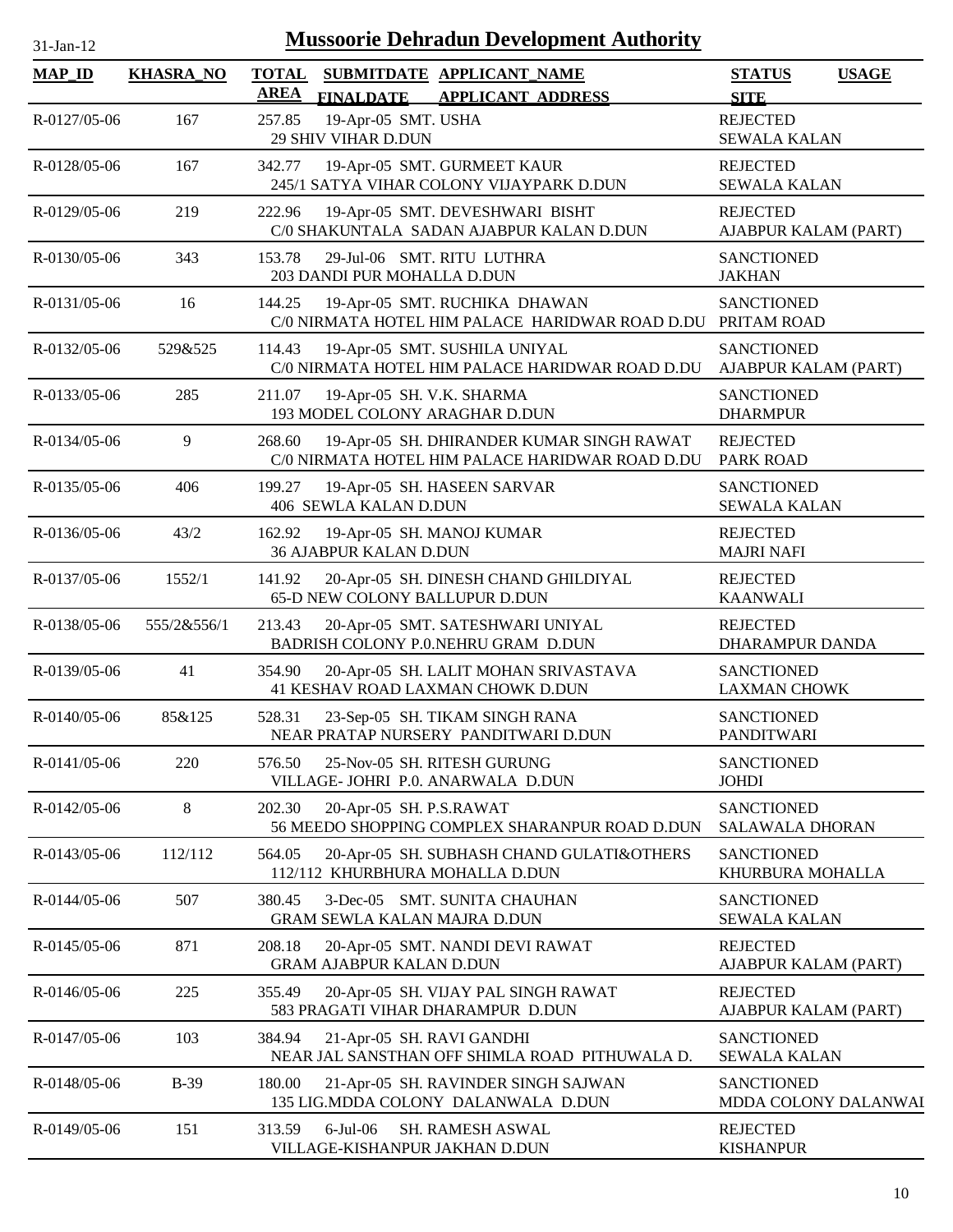| $31-Ian-1$ |  |
|------------|--|

| <b>MAP_ID</b>      | <b>KHASRA_NO</b> | <b>TOTAL</b> |                                                            | SUBMITDATE APPLICANT NAME                                                                    | <b>STATUS</b><br><b>USAGE</b>               |
|--------------------|------------------|--------------|------------------------------------------------------------|----------------------------------------------------------------------------------------------|---------------------------------------------|
|                    |                  | AREA         | <b>FINALDATE</b>                                           | <b>APPLICANT ADDRESS</b>                                                                     | <b>SITE</b>                                 |
| R-0127/05-06       | 167              | 257.85       | 19-Apr-05 SMT. USHA<br>29 SHIV VIHAR D.DUN                 |                                                                                              | <b>REJECTED</b><br><b>SEWALA KALAN</b>      |
| R-0128/05-06       | 167              | 342.77       |                                                            | 19-Apr-05 SMT. GURMEET KAUR<br>245/1 SATYA VIHAR COLONY VIJAYPARK D.DUN                      | <b>REJECTED</b><br><b>SEWALA KALAN</b>      |
| R-0129/05-06       | 219              | 222.96       |                                                            | 19-Apr-05 SMT. DEVESHWARI BISHT<br>C/0 SHAKUNTALA SADAN AJABPUR KALAN D.DUN                  | <b>REJECTED</b><br>AJABPUR KALAM (PART)     |
| $R - 0130/05 - 06$ | 343              | 153.78       | 203 DANDI PUR MOHALLA D.DUN                                | 29-Jul-06 SMT. RITU LUTHRA                                                                   | <b>SANCTIONED</b><br><b>JAKHAN</b>          |
| R-0131/05-06       | 16               | 144.25       |                                                            | 19-Apr-05 SMT. RUCHIKA DHAWAN<br>C/0 NIRMATA HOTEL HIM PALACE HARIDWAR ROAD D.DU             | <b>SANCTIONED</b><br>PRITAM ROAD            |
| $R - 0132/05 - 06$ | 529&525          | 114.43       |                                                            | 19-Apr-05 SMT. SUSHILA UNIYAL<br>C/0 NIRMATA HOTEL HIM PALACE HARIDWAR ROAD D.DU             | <b>SANCTIONED</b><br>AJABPUR KALAM (PART)   |
| R-0133/05-06       | 285              | 211.07       | 19-Apr-05 SH. V.K. SHARMA                                  | 193 MODEL COLONY ARAGHAR D.DUN                                                               | <b>SANCTIONED</b><br><b>DHARMPUR</b>        |
| R-0134/05-06       | 9                | 268.60       |                                                            | 19-Apr-05 SH. DHIRANDER KUMAR SINGH RAWAT<br>C/0 NIRMATA HOTEL HIM PALACE HARIDWAR ROAD D.DU | <b>REJECTED</b><br><b>PARK ROAD</b>         |
| R-0135/05-06       | 406              | 199.27       | 406 SEWLA KALAN D.DUN                                      | 19-Apr-05 SH. HASEEN SARVAR                                                                  | <b>SANCTIONED</b><br><b>SEWALA KALAN</b>    |
| R-0136/05-06       | 43/2             | 162.92       | 19-Apr-05 SH. MANOJ KUMAR<br><b>36 AJABPUR KALAN D.DUN</b> |                                                                                              | <b>REJECTED</b><br><b>MAJRI NAFI</b>        |
| R-0137/05-06       | 1552/1           | 141.92       | 65-D NEW COLONY BALLUPUR D.DUN                             | 20-Apr-05 SH. DINESH CHAND GHILDIYAL                                                         | <b>REJECTED</b><br><b>KAANWALI</b>          |
| R-0138/05-06       | 555/2&556/1      | 213.43       |                                                            | 20-Apr-05 SMT. SATESHWARI UNIYAL<br>BADRISH COLONY P.O.NEHRU GRAM D.DUN                      | <b>REJECTED</b><br>DHARAMPUR DANDA          |
| R-0139/05-06       | 41               | 354.90       |                                                            | 20-Apr-05 SH. LALIT MOHAN SRIVASTAVA<br>41 KESHAV ROAD LAXMAN CHOWK D.DUN                    | <b>SANCTIONED</b><br><b>LAXMAN CHOWK</b>    |
| R-0140/05-06       | 85&125           | 528.31       |                                                            | 23-Sep-05 SH. TIKAM SINGH RANA<br>NEAR PRATAP NURSERY PANDITWARI D.DUN                       | <b>SANCTIONED</b><br><b>PANDITWARI</b>      |
| R-0141/05-06       | 220              | 576.50       |                                                            | 25-Nov-05 SH. RITESH GURUNG<br>VILLAGE- JOHRI P.0. ANARWALA D.DUN                            | <b>SANCTIONED</b><br><b>JOHDI</b>           |
| R-0142/05-06       | 8                | 202.30       | 20-Apr-05 SH. P.S.RAWAT                                    | 56 MEEDO SHOPPING COMPLEX SHARANPUR ROAD D.DUN                                               | <b>SANCTIONED</b><br><b>SALAWALA DHORAN</b> |
| R-0143/05-06       | 112/112          | 564.05       |                                                            | 20-Apr-05 SH. SUBHASH CHAND GULATI&OTHERS<br>112/112 KHURBHURA MOHALLA D.DUN                 | <b>SANCTIONED</b><br>KHURBURA MOHALLA       |
| R-0144/05-06       | 507              | 380.45       | GRAM SEWLA KALAN MAJRA D.DUN                               | 3-Dec-05 SMT. SUNITA CHAUHAN                                                                 | <b>SANCTIONED</b><br><b>SEWALA KALAN</b>    |
| R-0145/05-06       | 871              | 208.18       | <b>GRAM AJABPUR KALAN D.DUN</b>                            | 20-Apr-05 SMT. NANDI DEVI RAWAT                                                              | <b>REJECTED</b><br>AJABPUR KALAM (PART)     |
| R-0146/05-06       | 225              | 355.49       |                                                            | 20-Apr-05 SH. VIJAY PAL SINGH RAWAT<br>583 PRAGATI VIHAR DHARAMPUR D.DUN                     | <b>REJECTED</b><br>AJABPUR KALAM (PART)     |
| R-0147/05-06       | 103              | 384.94       | 21-Apr-05 SH. RAVI GANDHI                                  | NEAR JAL SANSTHAN OFF SHIMLA ROAD PITHUWALA D.                                               | <b>SANCTIONED</b><br><b>SEWALA KALAN</b>    |
| R-0148/05-06       | <b>B-39</b>      | 180.00       |                                                            | 21-Apr-05 SH. RAVINDER SINGH SAJWAN<br>135 LIG.MDDA COLONY DALANWALA D.DUN                   | <b>SANCTIONED</b><br>MDDA COLONY DALANWAI   |
| R-0149/05-06       | 151              | 313.59       | $6$ -Jul $-06$<br>VILLAGE-KISHANPUR JAKHAN D.DUN           | SH. RAMESH ASWAL                                                                             | <b>REJECTED</b><br><b>KISHANPUR</b>         |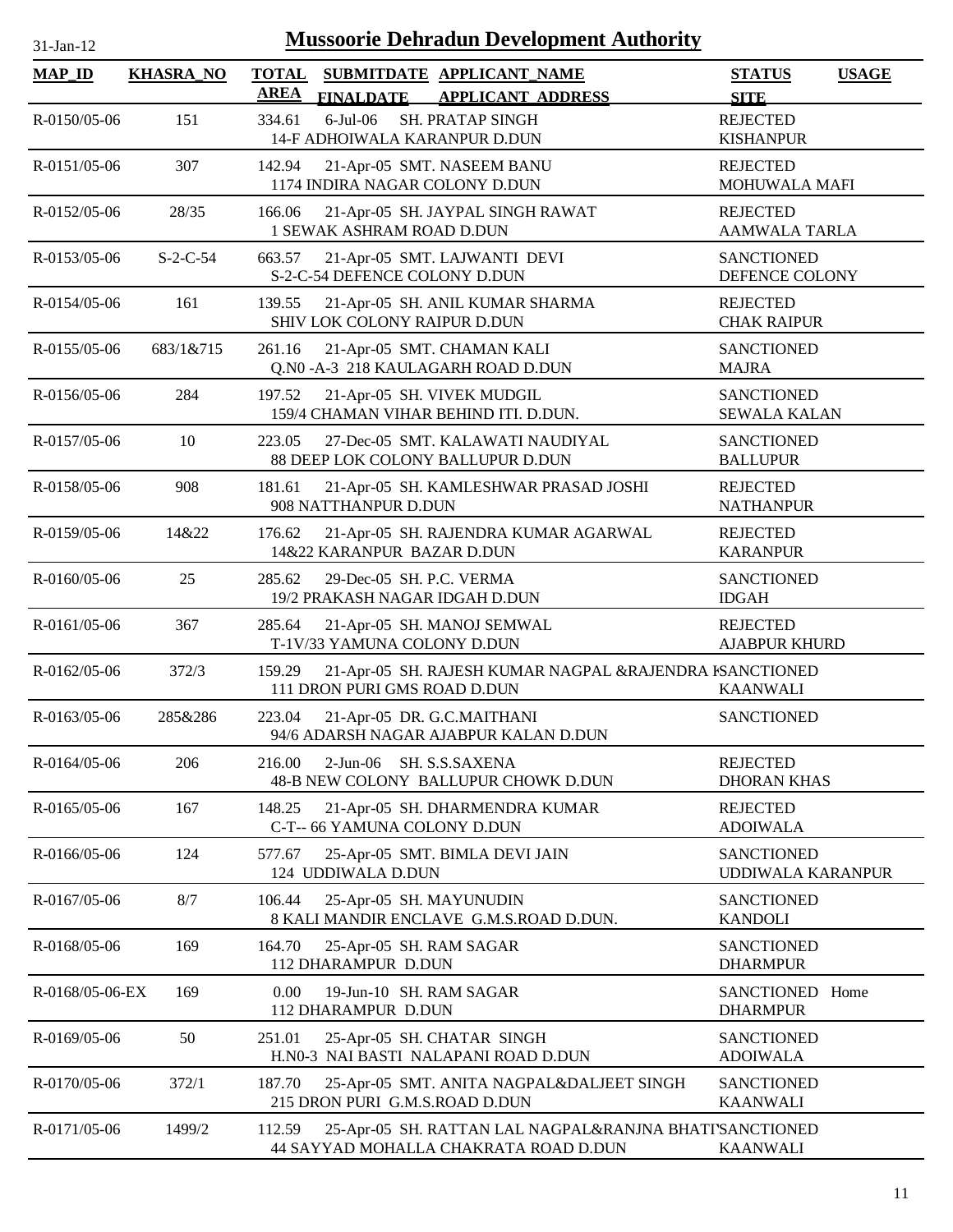| 1-Jan-1 |  |
|---------|--|

| <b>MAP_ID</b>   | <b>KHASRA_NO</b> | <b>TOTAL</b><br><b>AREA</b> |                                                | SUBMITDATE APPLICANT NAME                                                                        | <b>STATUS</b>                            | <b>USAGE</b> |
|-----------------|------------------|-----------------------------|------------------------------------------------|--------------------------------------------------------------------------------------------------|------------------------------------------|--------------|
| R-0150/05-06    | 151              | 334.61                      | <b>FINALDATE</b><br>$6$ -Jul $-06$             | <b>APPLICANT ADDRESS</b><br><b>SH. PRATAP SINGH</b>                                              | <b>SITE</b><br><b>REJECTED</b>           |              |
|                 |                  |                             |                                                | 14-F ADHOIWALA KARANPUR D.DUN                                                                    | <b>KISHANPUR</b>                         |              |
| R-0151/05-06    | 307              | 142.94                      |                                                | 21-Apr-05 SMT. NASEEM BANU<br>1174 INDIRA NAGAR COLONY D.DUN                                     | <b>REJECTED</b><br>MOHUWALA MAFI         |              |
| R-0152/05-06    | 28/35            | 166.06                      | 1 SEWAK ASHRAM ROAD D.DUN                      | 21-Apr-05 SH. JAYPAL SINGH RAWAT                                                                 | <b>REJECTED</b><br><b>AAMWALA TARLA</b>  |              |
| R-0153/05-06    | $S-2-C-54$       | 663.57                      | S-2-C-54 DEFENCE COLONY D.DUN                  | 21-Apr-05 SMT. LAJWANTI DEVI                                                                     | <b>SANCTIONED</b><br>DEFENCE COLONY      |              |
| R-0154/05-06    | 161              | 139.55                      | SHIV LOK COLONY RAIPUR D.DUN                   | 21-Apr-05 SH. ANIL KUMAR SHARMA                                                                  | <b>REJECTED</b><br><b>CHAK RAIPUR</b>    |              |
| R-0155/05-06    | 683/1&715        | 261.16                      |                                                | 21-Apr-05 SMT. CHAMAN KALI<br>Q.N0 - A-3 218 KAULAGARH ROAD D.DUN                                | <b>SANCTIONED</b><br><b>MAJRA</b>        |              |
| R-0156/05-06    | 284              | 197.52                      |                                                | 21-Apr-05 SH. VIVEK MUDGIL<br>159/4 CHAMAN VIHAR BEHIND ITI. D.DUN.                              | <b>SANCTIONED</b><br><b>SEWALA KALAN</b> |              |
| R-0157/05-06    | 10               | 223.05                      |                                                | 27-Dec-05 SMT. KALAWATI NAUDIYAL<br>88 DEEP LOK COLONY BALLUPUR D.DUN                            | <b>SANCTIONED</b><br><b>BALLUPUR</b>     |              |
| R-0158/05-06    | 908              | 181.61                      | 908 NATTHANPUR D.DUN                           | 21-Apr-05 SH. KAMLESHWAR PRASAD JOSHI                                                            | <b>REJECTED</b><br><b>NATHANPUR</b>      |              |
| R-0159/05-06    | 14&22            | 176.62                      | 14&22 KARANPUR BAZAR D.DUN                     | 21-Apr-05 SH. RAJENDRA KUMAR AGARWAL                                                             | <b>REJECTED</b><br><b>KARANPUR</b>       |              |
| R-0160/05-06    | 25               | 285.62                      | 29-Dec-05 SH. P.C. VERMA                       | 19/2 PRAKASH NAGAR IDGAH D.DUN                                                                   | <b>SANCTIONED</b><br><b>IDGAH</b>        |              |
| R-0161/05-06    | 367              | 285.64                      | T-1V/33 YAMUNA COLONY D.DUN                    | 21-Apr-05 SH. MANOJ SEMWAL                                                                       | <b>REJECTED</b><br><b>AJABPUR KHURD</b>  |              |
| R-0162/05-06    | 372/3            | 159.29                      | 111 DRON PURI GMS ROAD D.DUN                   | 21-Apr-05 SH. RAJESH KUMAR NAGPAL &RAJENDRA ISANCTIONED                                          | <b>KAANWALI</b>                          |              |
| R-0163/05-06    | 285&286          | 223.04                      |                                                | 21-Apr-05 DR. G.C.MAITHANI<br>94/6 ADARSH NAGAR AJABPUR KALAN D.DUN                              | <b>SANCTIONED</b>                        |              |
| R-0164/05-06    | 206              | 216.00                      | $2-Jun-06$                                     | SH. S.S.SAXENA<br>48-B NEW COLONY BALLUPUR CHOWK D.DUN                                           | <b>REJECTED</b><br><b>DHORAN KHAS</b>    |              |
| R-0165/05-06    | 167              | 148.25                      | C-T-- 66 YAMUNA COLONY D.DUN                   | 21-Apr-05 SH. DHARMENDRA KUMAR                                                                   | <b>REJECTED</b><br><b>ADOIWALA</b>       |              |
| R-0166/05-06    | 124              | 577.67                      | 124 UDDIWALA D.DUN                             | 25-Apr-05 SMT. BIMLA DEVI JAIN                                                                   | <b>SANCTIONED</b><br>UDDIWALA KARANPUR   |              |
| R-0167/05-06    | 8/7              | 106.44                      | 25-Apr-05 SH. MAYUNUDIN                        | 8 KALI MANDIR ENCLAVE G.M.S.ROAD D.DUN.                                                          | <b>SANCTIONED</b><br><b>KANDOLI</b>      |              |
| R-0168/05-06    | 169              | 164.70                      | 25-Apr-05 SH. RAM SAGAR<br>112 DHARAMPUR D.DUN |                                                                                                  | <b>SANCTIONED</b><br><b>DHARMPUR</b>     |              |
| R-0168/05-06-EX | 169              | 0.00                        | 19-Jun-10 SH. RAM SAGAR<br>112 DHARAMPUR D.DUN |                                                                                                  | SANCTIONED Home<br><b>DHARMPUR</b>       |              |
| R-0169/05-06    | 50               | 251.01                      |                                                | 25-Apr-05 SH. CHATAR SINGH<br>H.N0-3 NAI BASTI NALAPANI ROAD D.DUN                               | <b>SANCTIONED</b><br><b>ADOIWALA</b>     |              |
| R-0170/05-06    | 372/1            | 187.70                      |                                                | 25-Apr-05 SMT. ANITA NAGPAL&DALJEET SINGH<br>215 DRON PURI G.M.S.ROAD D.DUN                      | <b>SANCTIONED</b><br><b>KAANWALI</b>     |              |
| R-0171/05-06    | 1499/2           | 112.59                      |                                                | 25-Apr-05 SH. RATTAN LAL NAGPAL&RANJNA BHATI'SANCTIONED<br>44 SAYYAD MOHALLA CHAKRATA ROAD D.DUN | <b>KAANWALI</b>                          |              |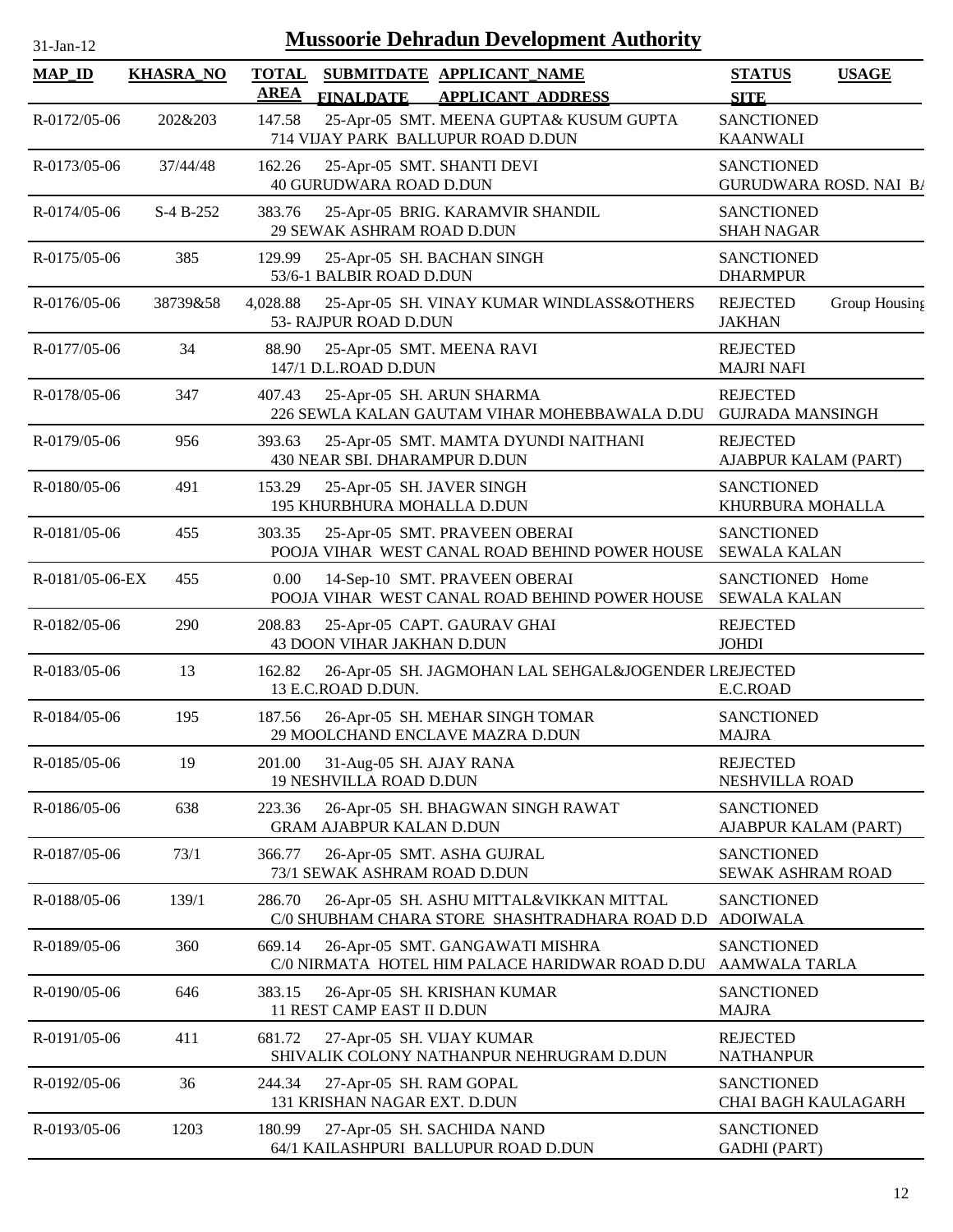| $1 - Jan - 1$ |  |
|---------------|--|
|               |  |

| <b>MAP_ID</b>   | <b>KHASRA_NO</b> | <b>TOTAL</b><br><b>AREA</b> | <b>FINALDATE</b>                                             | SUBMITDATE APPLICANT NAME<br><b>APPLICANT ADDRESS</b>                                     | <b>STATUS</b><br><b>SITE</b>                       | <b>USAGE</b>  |
|-----------------|------------------|-----------------------------|--------------------------------------------------------------|-------------------------------------------------------------------------------------------|----------------------------------------------------|---------------|
| R-0172/05-06    | 202&203          | 147.58                      |                                                              | 25-Apr-05 SMT. MEENA GUPTA& KUSUM GUPTA<br>714 VIJAY PARK BALLUPUR ROAD D.DUN             | <b>SANCTIONED</b><br><b>KAANWALI</b>               |               |
| R-0173/05-06    | 37/44/48         | 162.26                      | 25-Apr-05 SMT. SHANTI DEVI<br><b>40 GURUDWARA ROAD D.DUN</b> |                                                                                           | <b>SANCTIONED</b><br><b>GURUDWARA ROSD. NAI B/</b> |               |
| R-0174/05-06    | $S-4B-252$       | 383.76                      | 29 SEWAK ASHRAM ROAD D.DUN                                   | 25-Apr-05 BRIG. KARAMVIR SHANDIL                                                          | <b>SANCTIONED</b><br><b>SHAH NAGAR</b>             |               |
| R-0175/05-06    | 385              | 129.99                      | 53/6-1 BALBIR ROAD D.DUN                                     | 25-Apr-05 SH. BACHAN SINGH                                                                | <b>SANCTIONED</b><br><b>DHARMPUR</b>               |               |
| R-0176/05-06    | 38739&58         | 4,028.88                    | 53- RAJPUR ROAD D.DUN                                        | 25-Apr-05 SH. VINAY KUMAR WINDLASS&OTHERS                                                 | <b>REJECTED</b><br><b>JAKHAN</b>                   | Group Housing |
| R-0177/05-06    | 34               | 88.90                       | 25-Apr-05 SMT. MEENA RAVI<br>147/1 D.L.ROAD D.DUN            |                                                                                           | <b>REJECTED</b><br><b>MAJRI NAFI</b>               |               |
| R-0178/05-06    | 347              | 407.43                      | 25-Apr-05 SH. ARUN SHARMA                                    | 226 SEWLA KALAN GAUTAM VIHAR MOHEBBAWALA D.DU                                             | <b>REJECTED</b><br><b>GUJRADA MANSINGH</b>         |               |
| R-0179/05-06    | 956              | 393.63                      | 430 NEAR SBI. DHARAMPUR D.DUN                                | 25-Apr-05 SMT. MAMTA DYUNDI NAITHANI                                                      | <b>REJECTED</b><br>AJABPUR KALAM (PART)            |               |
| R-0180/05-06    | 491              | 153.29                      | 25-Apr-05 SH. JAVER SINGH<br>195 KHURBHURA MOHALLA D.DUN     |                                                                                           | <b>SANCTIONED</b><br>KHURBURA MOHALLA              |               |
| R-0181/05-06    | 455              | 303.35                      |                                                              | 25-Apr-05 SMT. PRAVEEN OBERAI<br>POOJA VIHAR WEST CANAL ROAD BEHIND POWER HOUSE           | <b>SANCTIONED</b><br><b>SEWALA KALAN</b>           |               |
| R-0181/05-06-EX | 455              | 0.00                        |                                                              | 14-Sep-10 SMT. PRAVEEN OBERAI<br>POOJA VIHAR WEST CANAL ROAD BEHIND POWER HOUSE           | SANCTIONED Home<br><b>SEWALA KALAN</b>             |               |
| R-0182/05-06    | 290              | 208.83                      | 43 DOON VIHAR JAKHAN D.DUN                                   | 25-Apr-05 CAPT. GAURAV GHAI                                                               | <b>REJECTED</b><br><b>JOHDI</b>                    |               |
| R-0183/05-06    | 13               | 162.82                      | 13 E.C.ROAD D.DUN.                                           | 26-Apr-05 SH. JAGMOHAN LAL SEHGAL&JOGENDER LREJECTED                                      | E.C.ROAD                                           |               |
| R-0184/05-06    | 195              | 187.56                      |                                                              | 26-Apr-05 SH. MEHAR SINGH TOMAR<br>29 MOOLCHAND ENCLAVE MAZRA D.DUN                       | <b>SANCTIONED</b><br><b>MAJRA</b>                  |               |
| R-0185/05-06    | 19               | 201.00                      | 31-Aug-05 SH. AJAY RANA<br><b>19 NESHVILLA ROAD D.DUN</b>    |                                                                                           | <b>REJECTED</b><br>NESHVILLA ROAD                  |               |
| R-0186/05-06    | 638              | 223.36                      | <b>GRAM AJABPUR KALAN D.DUN</b>                              | 26-Apr-05 SH. BHAGWAN SINGH RAWAT                                                         | <b>SANCTIONED</b><br>AJABPUR KALAM (PART)          |               |
| R-0187/05-06    | 73/1             | 366.77                      | 73/1 SEWAK ASHRAM ROAD D.DUN                                 | 26-Apr-05 SMT. ASHA GUJRAL                                                                | <b>SANCTIONED</b><br>SEWAK ASHRAM ROAD             |               |
| R-0188/05-06    | 139/1            | 286.70                      |                                                              | 26-Apr-05 SH. ASHU MITTAL&VIKKAN MITTAL<br>C/0 SHUBHAM CHARA STORE SHASHTRADHARA ROAD D.D | <b>SANCTIONED</b><br><b>ADOIWALA</b>               |               |
| R-0189/05-06    | 360              | 669.14                      |                                                              | 26-Apr-05 SMT. GANGAWATI MISHRA<br>C/0 NIRMATA HOTEL HIM PALACE HARIDWAR ROAD D.DU        | <b>SANCTIONED</b><br>AAMWALA TARLA                 |               |
| R-0190/05-06    | 646              | 383.15                      | 11 REST CAMP EAST II D.DUN                                   | 26-Apr-05 SH. KRISHAN KUMAR                                                               | <b>SANCTIONED</b><br><b>MAJRA</b>                  |               |
| R-0191/05-06    | 411              | 681.72                      | 27-Apr-05 SH. VIJAY KUMAR                                    | SHIVALIK COLONY NATHANPUR NEHRUGRAM D.DUN                                                 | <b>REJECTED</b><br><b>NATHANPUR</b>                |               |
| R-0192/05-06    | 36               | 244.34                      | 27-Apr-05 SH. RAM GOPAL<br>131 KRISHAN NAGAR EXT. D.DUN      |                                                                                           | <b>SANCTIONED</b><br>CHAI BAGH KAULAGARH           |               |
| R-0193/05-06    | 1203             | 180.99                      |                                                              | 27-Apr-05 SH. SACHIDA NAND<br>64/1 KAILASHPURI BALLUPUR ROAD D.DUN                        | <b>SANCTIONED</b><br><b>GADHI</b> (PART)           |               |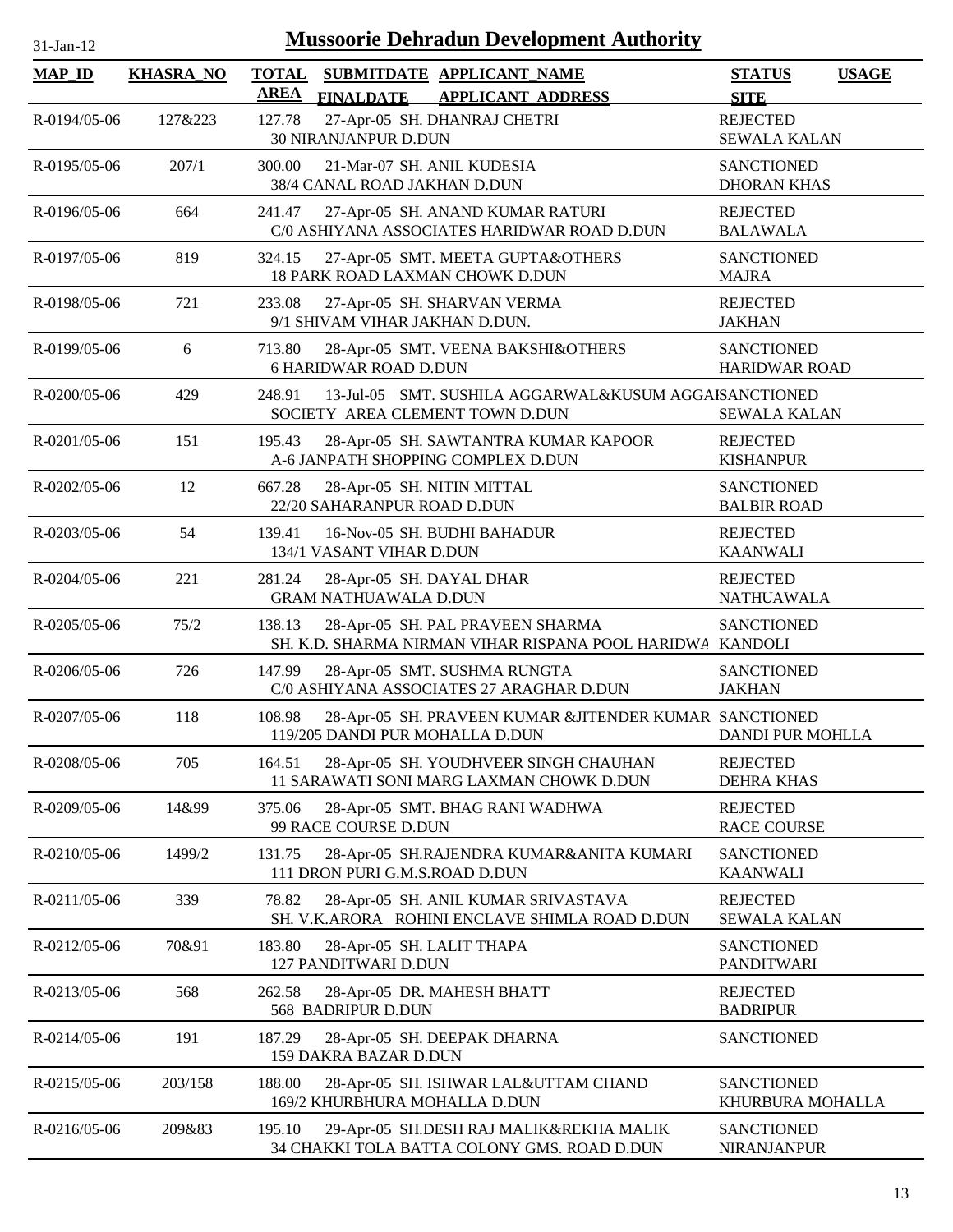| <b>MAP_ID</b>      | <b>KHASRA_NO</b> | <b>TOTAL</b><br><b>AREA</b> | <b>FINALDATE</b>                                           | SUBMITDATE APPLICANT_NAME<br><b>APPLICANT ADDRESS</b>                                         | <b>STATUS</b><br><b>SITE</b>              | <b>USAGE</b> |
|--------------------|------------------|-----------------------------|------------------------------------------------------------|-----------------------------------------------------------------------------------------------|-------------------------------------------|--------------|
| R-0194/05-06       | 127&223          | 127.78                      | 30 NIRANJANPUR D.DUN                                       | 27-Apr-05 SH. DHANRAJ CHETRI                                                                  | <b>REJECTED</b><br><b>SEWALA KALAN</b>    |              |
| $R - 0195/05 - 06$ | 207/1            | 300.00                      | 21-Mar-07 SH. ANIL KUDESIA<br>38/4 CANAL ROAD JAKHAN D.DUN |                                                                                               | <b>SANCTIONED</b><br><b>DHORAN KHAS</b>   |              |
| $R - 0196/05 - 06$ | 664              | 241.47                      |                                                            | 27-Apr-05 SH. ANAND KUMAR RATURI<br>C/0 ASHIYANA ASSOCIATES HARIDWAR ROAD D.DUN               | <b>REJECTED</b><br><b>BALAWALA</b>        |              |
| R-0197/05-06       | 819              | 324.15                      |                                                            | 27-Apr-05 SMT. MEETA GUPTA&OTHERS<br>18 PARK ROAD LAXMAN CHOWK D.DUN                          | <b>SANCTIONED</b><br><b>MAJRA</b>         |              |
| R-0198/05-06       | 721              | 233.08                      | 9/1 SHIVAM VIHAR JAKHAN D.DUN.                             | 27-Apr-05 SH. SHARVAN VERMA                                                                   | <b>REJECTED</b><br><b>JAKHAN</b>          |              |
| R-0199/05-06       | 6                | 713.80                      | <b>6 HARIDWAR ROAD D.DUN</b>                               | 28-Apr-05 SMT. VEENA BAKSHI&OTHERS                                                            | <b>SANCTIONED</b><br><b>HARIDWAR ROAD</b> |              |
| $R - 0200/05 - 06$ | 429              | 248.91                      |                                                            | 13-Jul-05 SMT. SUSHILA AGGARWAL&KUSUM AGGAISANCTIONED<br>SOCIETY AREA CLEMENT TOWN D.DUN      | <b>SEWALA KALAN</b>                       |              |
| R-0201/05-06       | 151              | 195.43                      |                                                            | 28-Apr-05 SH. SAWTANTRA KUMAR KAPOOR<br>A-6 JANPATH SHOPPING COMPLEX D.DUN                    | <b>REJECTED</b><br><b>KISHANPUR</b>       |              |
| R-0202/05-06       | 12               | 667.28                      | 28-Apr-05 SH. NITIN MITTAL<br>22/20 SAHARANPUR ROAD D.DUN  |                                                                                               | <b>SANCTIONED</b><br><b>BALBIR ROAD</b>   |              |
| R-0203/05-06       | 54               | 139.41                      | 134/1 VASANT VIHAR D.DUN                                   | 16-Nov-05 SH. BUDHI BAHADUR                                                                   | <b>REJECTED</b><br><b>KAANWALI</b>        |              |
| R-0204/05-06       | 221              | 281.24                      | 28-Apr-05 SH. DAYAL DHAR<br><b>GRAM NATHUAWALA D.DUN</b>   |                                                                                               | <b>REJECTED</b><br><b>NATHUAWALA</b>      |              |
| R-0205/05-06       | 75/2             | 138.13                      |                                                            | 28-Apr-05 SH. PAL PRAVEEN SHARMA<br>SH. K.D. SHARMA NIRMAN VIHAR RISPANA POOL HARIDWA KANDOLI | <b>SANCTIONED</b>                         |              |
| $R - 0206/05 - 06$ | 726              | 147.99                      |                                                            | 28-Apr-05 SMT. SUSHMA RUNGTA<br>C/0 ASHIYANA ASSOCIATES 27 ARAGHAR D.DUN                      | <b>SANCTIONED</b><br><b>JAKHAN</b>        |              |
| R-0207/05-06       | 118              | 108.98                      | 119/205 DANDI PUR MOHALLA D.DUN                            | 28-Apr-05 SH. PRAVEEN KUMAR &JITENDER KUMAR SANCTIONED                                        | <b>DANDI PUR MOHLLA</b>                   |              |
| R-0208/05-06       | 705              | 164.51                      |                                                            | 28-Apr-05 SH. YOUDHVEER SINGH CHAUHAN<br>11 SARAWATI SONI MARG LAXMAN CHOWK D.DUN             | <b>REJECTED</b><br><b>DEHRA KHAS</b>      |              |
| R-0209/05-06       | 14&99            | 375.06                      | 99 RACE COURSE D.DUN                                       | 28-Apr-05 SMT. BHAG RANI WADHWA                                                               | <b>REJECTED</b><br><b>RACE COURSE</b>     |              |
| R-0210/05-06       | 1499/2           | 131.75                      | 111 DRON PURI G.M.S.ROAD D.DUN                             | 28-Apr-05 SH.RAJENDRA KUMAR&ANITA KUMARI                                                      | <b>SANCTIONED</b><br><b>KAANWALI</b>      |              |
| R-0211/05-06       | 339              | 78.82                       |                                                            | 28-Apr-05 SH. ANIL KUMAR SRIVASTAVA<br>SH. V.K.ARORA ROHINI ENCLAVE SHIMLA ROAD D.DUN         | <b>REJECTED</b><br><b>SEWALA KALAN</b>    |              |
| R-0212/05-06       | 70&91            | 183.80                      | 28-Apr-05 SH. LALIT THAPA<br>127 PANDITWARI D.DUN          |                                                                                               | <b>SANCTIONED</b><br><b>PANDITWARI</b>    |              |
| R-0213/05-06       | 568              | 262.58                      | 568 BADRIPUR D.DUN                                         | 28-Apr-05 DR. MAHESH BHATT                                                                    | <b>REJECTED</b><br><b>BADRIPUR</b>        |              |
| R-0214/05-06       | 191              | 187.29                      | 159 DAKRA BAZAR D.DUN                                      | 28-Apr-05 SH. DEEPAK DHARNA                                                                   | <b>SANCTIONED</b>                         |              |
| R-0215/05-06       | 203/158          | 188.00                      | 169/2 KHURBHURA MOHALLA D.DUN                              | 28-Apr-05 SH. ISHWAR LAL&UTTAM CHAND                                                          | <b>SANCTIONED</b><br>KHURBURA MOHALLA     |              |
| R-0216/05-06       | 209&83           | 195.10                      |                                                            | 29-Apr-05 SH.DESH RAJ MALIK&REKHA MALIK<br>34 CHAKKI TOLA BATTA COLONY GMS. ROAD D.DUN        | <b>SANCTIONED</b><br><b>NIRANJANPUR</b>   |              |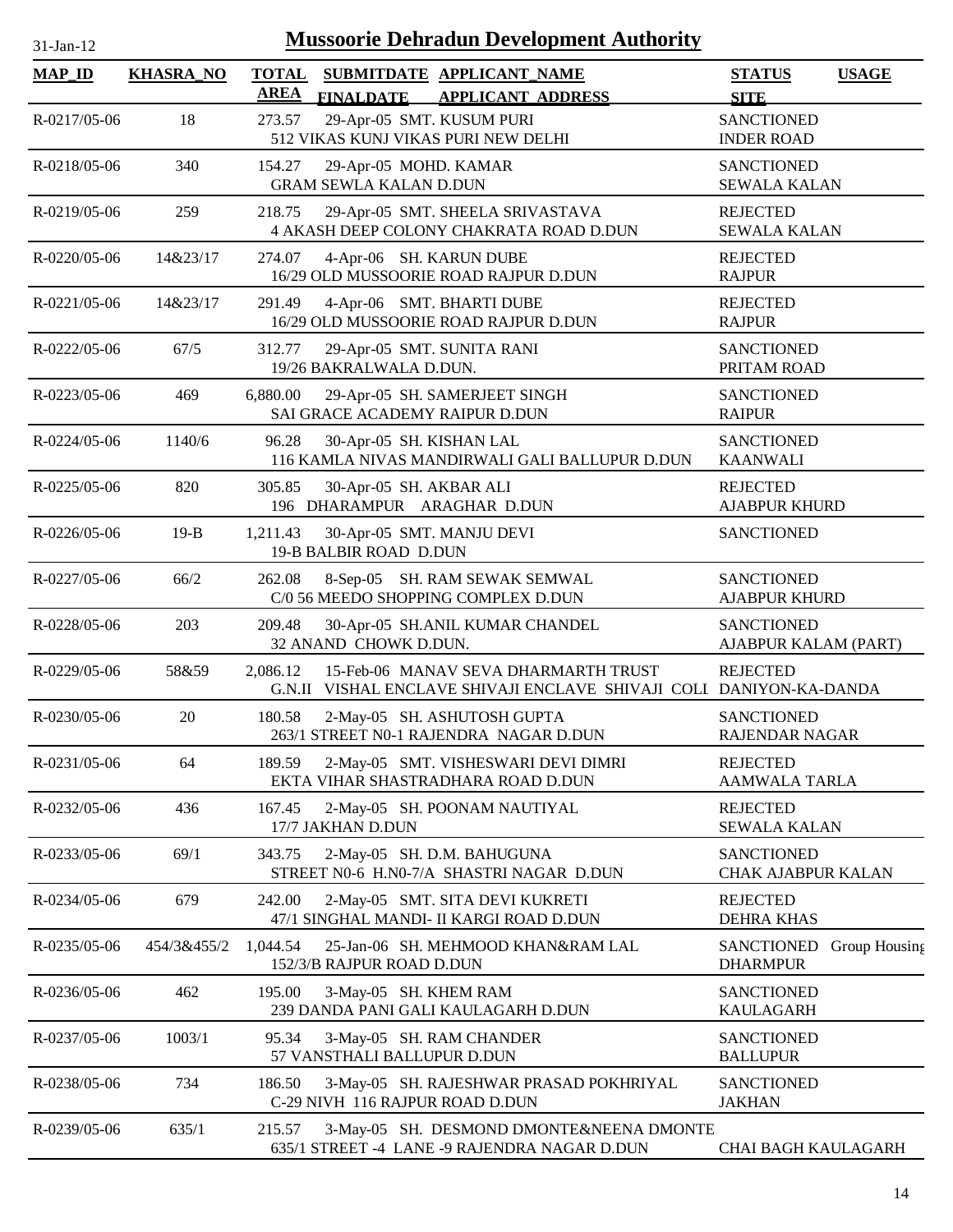| $31-Jan-12$        |                  |                             |                                                        | <b>Mussoorie Dehradun Development Authority</b>                                                             |                                            |               |
|--------------------|------------------|-----------------------------|--------------------------------------------------------|-------------------------------------------------------------------------------------------------------------|--------------------------------------------|---------------|
| <b>MAP_ID</b>      | <b>KHASRA_NO</b> | <b>TOTAL</b><br><b>AREA</b> |                                                        | SUBMITDATE APPLICANT_NAME<br>FINALDATE APPLICANT ADDRESS                                                    | <b>STATUS</b><br><b>SITE</b>               | <b>USAGE</b>  |
| R-0217/05-06       | 18               | 273.57                      |                                                        | 29-Apr-05 SMT. KUSUM PURI<br>512 VIKAS KUNJ VIKAS PURI NEW DELHI                                            | <b>SANCTIONED</b><br><b>INDER ROAD</b>     |               |
| R-0218/05-06       | 340              | 154.27                      | 29-Apr-05 MOHD. KAMAR<br><b>GRAM SEWLA KALAN D.DUN</b> |                                                                                                             | <b>SANCTIONED</b><br><b>SEWALA KALAN</b>   |               |
| R-0219/05-06       | 259              | 218.75                      |                                                        | 29-Apr-05 SMT. SHEELA SRIVASTAVA<br>4 AKASH DEEP COLONY CHAKRATA ROAD D.DUN                                 | <b>REJECTED</b><br><b>SEWALA KALAN</b>     |               |
| R-0220/05-06       | 14&23/17         | 274.07                      |                                                        | 4-Apr-06 SH. KARUN DUBE<br>16/29 OLD MUSSOORIE ROAD RAJPUR D.DUN                                            | <b>REJECTED</b><br><b>RAJPUR</b>           |               |
| $R - 0221/05 - 06$ | 14&23/17         | 291.49                      |                                                        | 4-Apr-06 SMT. BHARTI DUBE<br>16/29 OLD MUSSOORIE ROAD RAJPUR D.DUN                                          | <b>REJECTED</b><br><b>RAJPUR</b>           |               |
| R-0222/05-06       | 67/5             | 312.77                      | 19/26 BAKRALWALA D.DUN.                                | 29-Apr-05 SMT. SUNITA RANI                                                                                  | <b>SANCTIONED</b><br>PRITAM ROAD           |               |
| R-0223/05-06       | 469              | 6,880.00                    |                                                        | 29-Apr-05 SH. SAMERJEET SINGH<br>SAI GRACE ACADEMY RAIPUR D.DUN                                             | <b>SANCTIONED</b><br><b>RAIPUR</b>         |               |
| $R - 0224/05 - 06$ | 1140/6           | 96.28                       | 30-Apr-05 SH. KISHAN LAL                               | 116 KAMLA NIVAS MANDIRWALI GALI BALLUPUR D.DUN                                                              | <b>SANCTIONED</b><br><b>KAANWALI</b>       |               |
| R-0225/05-06       | 820              | 305.85                      | 30-Apr-05 SH. AKBAR ALI                                | 196 DHARAMPUR ARAGHAR D.DUN                                                                                 | <b>REJECTED</b><br><b>AJABPUR KHURD</b>    |               |
| R-0226/05-06       | $19-B$           | 1,211.43                    | 19-B BALBIR ROAD D.DUN                                 | 30-Apr-05 SMT. MANJU DEVI                                                                                   | <b>SANCTIONED</b>                          |               |
| R-0227/05-06       | 66/2             | 262.08                      |                                                        | 8-Sep-05 SH. RAM SEWAK SEMWAL<br>C/0 56 MEEDO SHOPPING COMPLEX D.DUN                                        | <b>SANCTIONED</b><br><b>AJABPUR KHURD</b>  |               |
| R-0228/05-06       | 203              | 209.48                      | 32 ANAND CHOWK D.DUN.                                  | 30-Apr-05 SH.ANIL KUMAR CHANDEL                                                                             | <b>SANCTIONED</b><br>AJABPUR KALAM (PART)  |               |
| R-0229/05-06       | 58&59            | 2,086.12                    |                                                        | 15-Feb-06 MANAV SEVA DHARMARTH TRUST<br>G.N.II VISHAL ENCLAVE SHIVAJI ENCLAVE SHIVAJI COLI DANIYON-KA-DANDA | <b>REJECTED</b>                            |               |
| R-0230/05-06       | 20               | 180.58                      |                                                        | 2-May-05 SH. ASHUTOSH GUPTA<br>263/1 STREET N0-1 RAJENDRA NAGAR D.DUN                                       | <b>SANCTIONED</b><br><b>RAJENDAR NAGAR</b> |               |
| R-0231/05-06       | 64               | 189.59                      |                                                        | 2-May-05 SMT. VISHESWARI DEVI DIMRI<br>EKTA VIHAR SHASTRADHARA ROAD D.DUN                                   | <b>REJECTED</b><br><b>AAMWALA TARLA</b>    |               |
| R-0232/05-06       | 436              | 167.45                      | 17/7 JAKHAN D.DUN                                      | 2-May-05 SH. POONAM NAUTIYAL                                                                                | <b>REJECTED</b><br><b>SEWALA KALAN</b>     |               |
| R-0233/05-06       | 69/1             | 343.75                      |                                                        | 2-May-05 SH. D.M. BAHUGUNA<br>STREET N0-6 H.N0-7/A SHASTRI NAGAR D.DUN                                      | <b>SANCTIONED</b><br>CHAK AJABPUR KALAN    |               |
| R-0234/05-06       | 679              | 242.00                      |                                                        | 2-May-05 SMT. SITA DEVI KUKRETI<br>47/1 SINGHAL MANDI- II KARGI ROAD D.DUN                                  | <b>REJECTED</b><br><b>DEHRA KHAS</b>       |               |
| R-0235/05-06       | 454/3&455/2      | 1,044.54                    | 152/3/B RAJPUR ROAD D.DUN                              | 25-Jan-06 SH. MEHMOOD KHAN&RAM LAL                                                                          | SANCTIONED<br><b>DHARMPUR</b>              | Group Housing |
| R-0236/05-06       | 462              | 195.00                      | 3-May-05 SH. KHEM RAM                                  | 239 DANDA PANI GALI KAULAGARH D.DUN                                                                         | <b>SANCTIONED</b><br><b>KAULAGARH</b>      |               |
| R-0237/05-06       | 1003/1           | 95.34                       | 57 VANSTHALI BALLUPUR D.DUN                            | 3-May-05 SH. RAM CHANDER                                                                                    | <b>SANCTIONED</b><br><b>BALLUPUR</b>       |               |
| R-0238/05-06       | 734              | 186.50                      |                                                        | 3-May-05 SH. RAJESHWAR PRASAD POKHRIYAL<br>C-29 NIVH 116 RAJPUR ROAD D.DUN                                  | <b>SANCTIONED</b><br><b>JAKHAN</b>         |               |
| R-0239/05-06       | 635/1            | 215.57                      |                                                        | 3-May-05 SH. DESMOND DMONTE&NEENA DMONTE<br>635/1 STREET -4 LANE -9 RAJENDRA NAGAR D.DUN                    | CHAI BAGH KAULAGARH                        |               |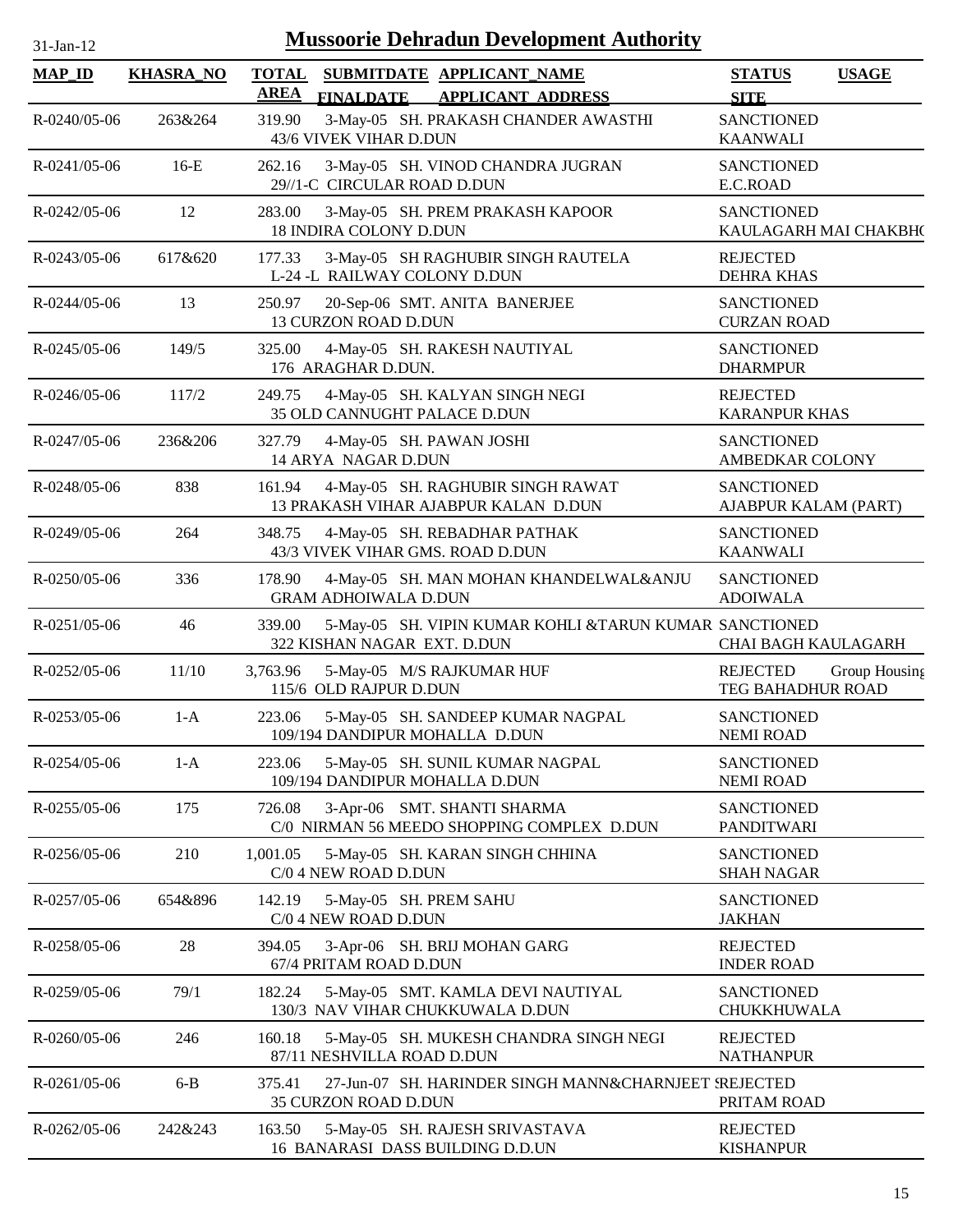| $31$ -Jan-12 |  |
|--------------|--|

| <b>MAP_ID</b>      | <b>KHASRA_NO</b> | <b>TOTAL</b><br>SUBMITDATE APPLICANT NAME<br><b>AREA</b><br><b>APPLICANT ADDRESS</b><br><b>FINALDATE</b> | <b>USAGE</b><br><b>STATUS</b><br><b>SITE</b>   |
|--------------------|------------------|----------------------------------------------------------------------------------------------------------|------------------------------------------------|
| $R - 0240/05 - 06$ | 263&264          | 319.90<br>3-May-05 SH. PRAKASH CHANDER AWASTHI<br>43/6 VIVEK VIHAR D.DUN                                 | <b>SANCTIONED</b><br><b>KAANWALI</b>           |
| $R - 0241/05 - 06$ | $16-E$           | 262.16<br>3-May-05 SH. VINOD CHANDRA JUGRAN<br>29//1-C CIRCULAR ROAD D.DUN                               | <b>SANCTIONED</b><br>E.C.ROAD                  |
| R-0242/05-06       | 12               | 283.00<br>3-May-05 SH. PREM PRAKASH KAPOOR<br>18 INDIRA COLONY D.DUN                                     | <b>SANCTIONED</b><br>KAULAGARH MAI CHAKBH(     |
| $R - 0243/05 - 06$ | 617&620          | 3-May-05 SH RAGHUBIR SINGH RAUTELA<br>177.33<br>L-24 -L RAILWAY COLONY D.DUN                             | <b>REJECTED</b><br><b>DEHRA KHAS</b>           |
| R-0244/05-06       | 13               | 250.97<br>20-Sep-06 SMT. ANITA BANERJEE<br>13 CURZON ROAD D.DUN                                          | <b>SANCTIONED</b><br><b>CURZAN ROAD</b>        |
| $R - 0245/05 - 06$ | 149/5            | 325.00<br>4-May-05 SH. RAKESH NAUTIYAL<br>176 ARAGHAR D.DUN.                                             | <b>SANCTIONED</b><br><b>DHARMPUR</b>           |
| $R - 0246/05 - 06$ | 117/2            | 249.75<br>4-May-05 SH. KALYAN SINGH NEGI<br>35 OLD CANNUGHT PALACE D.DUN                                 | <b>REJECTED</b><br><b>KARANPUR KHAS</b>        |
| $R - 0247/05 - 06$ | 236&206          | 327.79<br>4-May-05 SH. PAWAN JOSHI<br>14 ARYA NAGAR D.DUN                                                | <b>SANCTIONED</b><br>AMBEDKAR COLONY           |
| $R - 0248/05 - 06$ | 838              | 4-May-05 SH. RAGHUBIR SINGH RAWAT<br>161.94<br>13 PRAKASH VIHAR AJABPUR KALAN D.DUN                      | <b>SANCTIONED</b><br>AJABPUR KALAM (PART)      |
| R-0249/05-06       | 264              | 4-May-05 SH. REBADHAR PATHAK<br>348.75<br>43/3 VIVEK VIHAR GMS. ROAD D.DUN                               | <b>SANCTIONED</b><br><b>KAANWALI</b>           |
| $R - 0250/05 - 06$ | 336              | 178.90<br>4-May-05 SH. MAN MOHAN KHANDELWAL&ANJU<br><b>GRAM ADHOIWALA D.DUN</b>                          | <b>SANCTIONED</b><br><b>ADOIWALA</b>           |
| $R - 0251/05 - 06$ | 46               | 5-May-05 SH. VIPIN KUMAR KOHLI &TARUN KUMAR SANCTIONED<br>339.00<br>322 KISHAN NAGAR EXT. D.DUN          | <b>CHAI BAGH KAULAGARH</b>                     |
| $R - 0252/05 - 06$ | 11/10            | 5-May-05 M/S RAJKUMAR HUF<br>3,763.96<br>115/6 OLD RAJPUR D.DUN                                          | REJECTED<br>Group Housing<br>TEG BAHADHUR ROAD |
| R-0253/05-06       | $1-A$            | 5-May-05 SH. SANDEEP KUMAR NAGPAL<br>223.06<br>109/194 DANDIPUR MOHALLA D.DUN                            | <b>SANCTIONED</b><br><b>NEMI ROAD</b>          |
| R-0254/05-06       | $1-A$            | 223.06<br>5-May-05 SH. SUNIL KUMAR NAGPAL<br>109/194 DANDIPUR MOHALLA D.DUN                              | <b>SANCTIONED</b><br><b>NEMI ROAD</b>          |
| R-0255/05-06       | 175              | 3-Apr-06 SMT. SHANTI SHARMA<br>726.08<br>C/0 NIRMAN 56 MEEDO SHOPPING COMPLEX D.DUN                      | <b>SANCTIONED</b><br><b>PANDITWARI</b>         |
| R-0256/05-06       | 210              | 1,001.05<br>5-May-05 SH. KARAN SINGH CHHINA<br>C/0 4 NEW ROAD D.DUN                                      | <b>SANCTIONED</b><br><b>SHAH NAGAR</b>         |
| R-0257/05-06       | 654&896          | 5-May-05 SH. PREM SAHU<br>142.19<br>C/0 4 NEW ROAD D.DUN                                                 | <b>SANCTIONED</b><br><b>JAKHAN</b>             |
| R-0258/05-06       | 28               | 3-Apr-06 SH. BRIJ MOHAN GARG<br>394.05<br>67/4 PRITAM ROAD D.DUN                                         | <b>REJECTED</b><br><b>INDER ROAD</b>           |
| R-0259/05-06       | 79/1             | 5-May-05 SMT. KAMLA DEVI NAUTIYAL<br>182.24<br>130/3 NAV VIHAR CHUKKUWALA D.DUN                          | <b>SANCTIONED</b><br>CHUKKHUWALA               |
| $R - 0260/05 - 06$ | 246              | 160.18<br>5-May-05 SH. MUKESH CHANDRA SINGH NEGI<br>87/11 NESHVILLA ROAD D.DUN                           | <b>REJECTED</b><br><b>NATHANPUR</b>            |
| R-0261/05-06       | $6-B$            | 375.41<br>27-Jun-07 SH. HARINDER SINGH MANN&CHARNJEET SREJECTED<br>35 CURZON ROAD D.DUN                  | PRITAM ROAD                                    |
| R-0262/05-06       | 242&243          | 163.50<br>5-May-05 SH. RAJESH SRIVASTAVA<br>16 BANARASI DASS BUILDING D.D.UN                             | <b>REJECTED</b><br><b>KISHANPUR</b>            |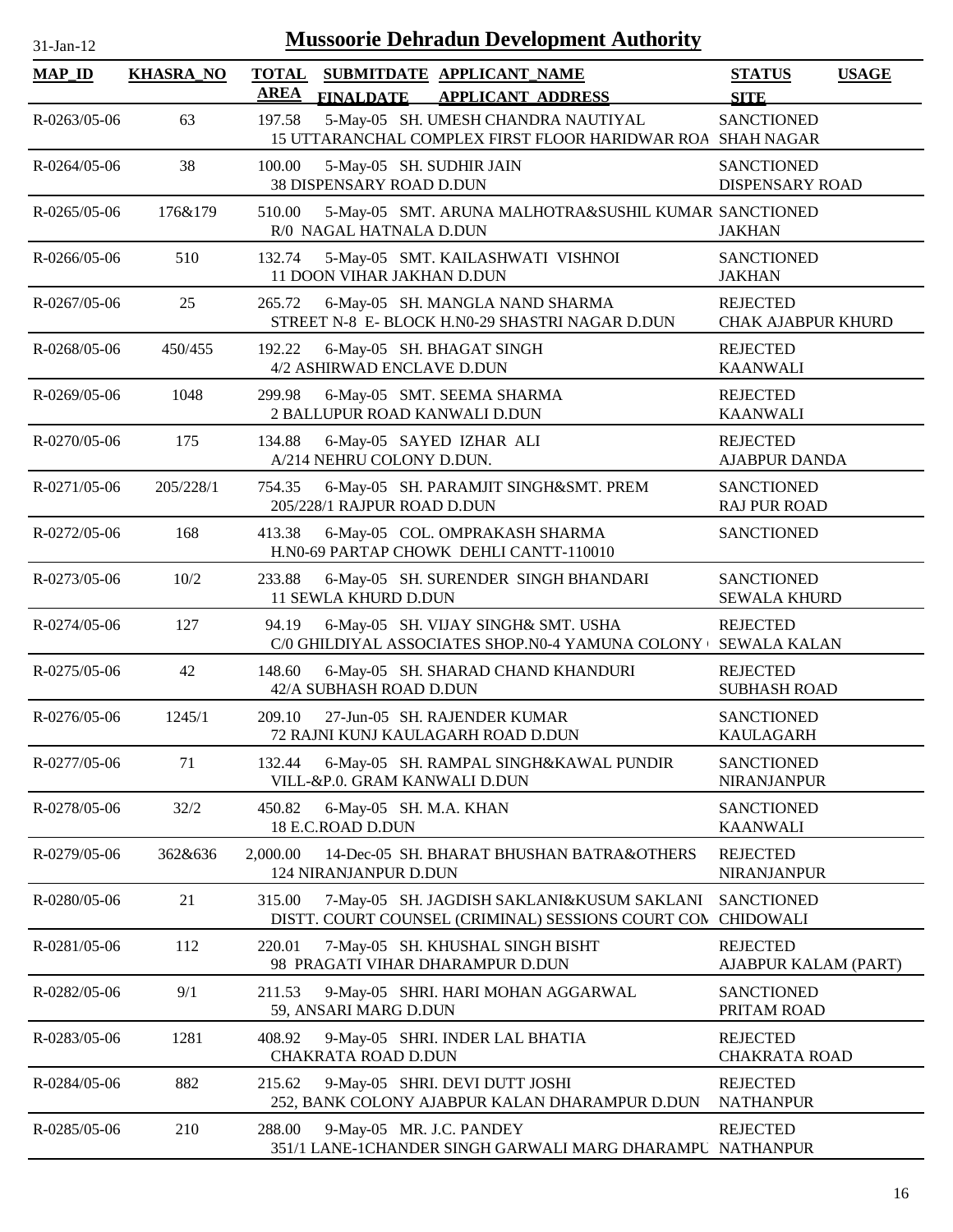| $31$ -Jan-12       |                  |                             | <b>Mussoorie Dehradun Development Authority</b>                                                   |                                              |              |
|--------------------|------------------|-----------------------------|---------------------------------------------------------------------------------------------------|----------------------------------------------|--------------|
| <b>MAP_ID</b>      | <b>KHASRA_NO</b> | <b>TOTAL</b><br><b>AREA</b> | SUBMITDATE APPLICANT NAME<br><b>FINALDATE</b><br><b>APPLICANT ADDRESS</b>                         | <b>STATUS</b><br><b>SITE</b>                 | <b>USAGE</b> |
| R-0263/05-06       | 63               | 197.58                      | 5-May-05 SH. UMESH CHANDRA NAUTIYAL<br>15 UTTARANCHAL COMPLEX FIRST FLOOR HARIDWAR ROA SHAH NAGAR | <b>SANCTIONED</b>                            |              |
| $R - 0264/05 - 06$ | 38               | 100.00                      | 5-May-05 SH. SUDHIR JAIN<br>38 DISPENSARY ROAD D.DUN                                              | <b>SANCTIONED</b><br>DISPENSARY ROAD         |              |
| $R - 0265/05 - 06$ | 176&179          | 510.00                      | 5-May-05 SMT. ARUNA MALHOTRA&SUSHIL KUMAR SANCTIONED<br>R/0 NAGAL HATNALA D.DUN                   | <b>JAKHAN</b>                                |              |
| $R - 0266/05 - 06$ | 510              | 132.74                      | 5-May-05 SMT. KAILASHWATI VISHNOI<br>11 DOON VIHAR JAKHAN D.DUN                                   | <b>SANCTIONED</b><br><b>JAKHAN</b>           |              |
| $R - 0267/05 - 06$ | 25               | 265.72                      | 6-May-05 SH. MANGLA NAND SHARMA<br>STREET N-8 E- BLOCK H.N0-29 SHASTRI NAGAR D.DUN                | <b>REJECTED</b><br><b>CHAK AJABPUR KHURD</b> |              |
| R-0268/05-06       | 450/455          | 192.22                      | 6-May-05 SH. BHAGAT SINGH<br>4/2 ASHIRWAD ENCLAVE D.DUN                                           | <b>REJECTED</b><br><b>KAANWALI</b>           |              |
| R-0269/05-06       | 1048             | 299.98                      | 6-May-05 SMT. SEEMA SHARMA<br>2 BALLUPUR ROAD KANWALI D.DUN                                       | <b>REJECTED</b><br><b>KAANWALI</b>           |              |
| R-0270/05-06       | 175              | 134.88                      | 6-May-05 SAYED IZHAR ALI<br>A/214 NEHRU COLONY D.DUN.                                             | <b>REJECTED</b><br><b>AJABPUR DANDA</b>      |              |
| R-0271/05-06       | 205/228/1        | 754.35                      | 6-May-05 SH. PARAMJIT SINGH&SMT. PREM<br>205/228/1 RAJPUR ROAD D.DUN                              | <b>SANCTIONED</b><br><b>RAJ PUR ROAD</b>     |              |
| R-0272/05-06       | 168              | 413.38                      | 6-May-05 COL. OMPRAKASH SHARMA<br>H.N0-69 PARTAP CHOWK DEHLI CANTT-110010                         | <b>SANCTIONED</b>                            |              |
| R-0273/05-06       | 10/2             | 233.88                      | 6-May-05 SH. SURENDER SINGH BHANDARI<br>11 SEWLA KHURD D.DUN                                      | <b>SANCTIONED</b><br><b>SEWALA KHURD</b>     |              |
| R-0274/05-06       | 127              | 94.19                       | 6-May-05 SH. VIJAY SINGH& SMT. USHA<br>C/0 GHILDIYAL ASSOCIATES SHOP.N0-4 YAMUNA COLONY +         | <b>REJECTED</b><br><b>SEWALA KALAN</b>       |              |
| R-0275/05-06       | 42               | 148.60                      | 6-May-05 SH. SHARAD CHAND KHANDURI<br>42/A SUBHASH ROAD D.DUN                                     | <b>REJECTED</b><br><b>SUBHASH ROAD</b>       |              |
| $R - 0276/05 - 06$ | 1245/1           | 209.10                      | 27-Jun-05 SH. RAJENDER KUMAR<br>72 RAJNI KUNJ KAULAGARH ROAD D.DUN                                | <b>SANCTIONED</b><br><b>KAULAGARH</b>        |              |
| R-0277/05-06       | 71               | 132.44                      | 6-May-05 SH. RAMPAL SINGH&KAWAL PUNDIR<br>VILL-&P.0. GRAM KANWALI D.DUN                           | <b>SANCTIONED</b><br>NIRANJANPUR             |              |
| R-0278/05-06       | 32/2             | 450.82                      | 6-May-05 SH. M.A. KHAN<br>18 E.C.ROAD D.DUN                                                       | <b>SANCTIONED</b><br><b>KAANWALI</b>         |              |
| R-0279/05-06       | 362&636          | 2,000.00                    | 14-Dec-05 SH. BHARAT BHUSHAN BATRA&OTHERS<br>124 NIRANJANPUR D.DUN                                | <b>REJECTED</b><br>NIRANJANPUR               |              |
| R-0280/05-06       | 21               | 315.00                      | 7-May-05 SH. JAGDISH SAKLANI&KUSUM SAKLANI<br>DISTT. COURT COUNSEL (CRIMINAL) SESSIONS COURT COM  | <b>SANCTIONED</b><br><b>CHIDOWALI</b>        |              |
| R-0281/05-06       | 112              | 220.01                      | 7-May-05 SH. KHUSHAL SINGH BISHT<br>98 PRAGATI VIHAR DHARAMPUR D.DUN                              | <b>REJECTED</b><br>AJABPUR KALAM (PART)      |              |
| R-0282/05-06       | 9/1              | 211.53                      | 9-May-05 SHRI. HARI MOHAN AGGARWAL<br>59, ANSARI MARG D.DUN                                       | <b>SANCTIONED</b><br>PRITAM ROAD             |              |
| R-0283/05-06       | 1281             | 408.92                      | 9-May-05 SHRI. INDER LAL BHATIA<br><b>CHAKRATA ROAD D.DUN</b>                                     | <b>REJECTED</b><br><b>CHAKRATA ROAD</b>      |              |
| R-0284/05-06       | 882              | 215.62                      | 9-May-05 SHRI. DEVI DUTT JOSHI<br>252, BANK COLONY AJABPUR KALAN DHARAMPUR D.DUN                  | <b>REJECTED</b><br><b>NATHANPUR</b>          |              |
| R-0285/05-06       | 210              | 288.00                      | 9-May-05 MR. J.C. PANDEY<br>351/1 LANE-1CHANDER SINGH GARWALI MARG DHARAMPU NATHANPUR             | <b>REJECTED</b>                              |              |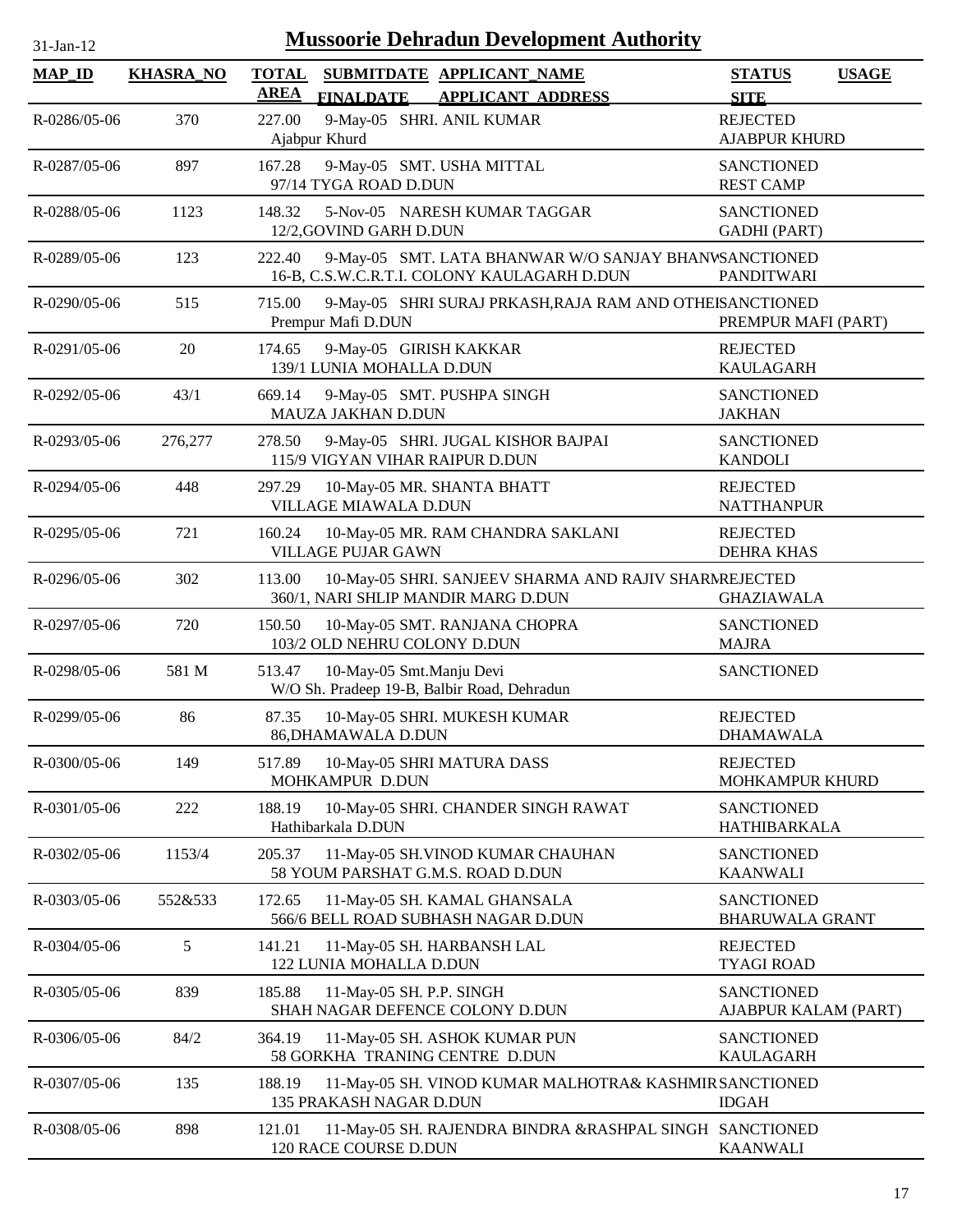| 31-Jan-12     | <b>Mussoorie Dehradun Development Authority</b> |                                                                                                                |                                              |  |  |  |  |
|---------------|-------------------------------------------------|----------------------------------------------------------------------------------------------------------------|----------------------------------------------|--|--|--|--|
| <b>MAP_ID</b> | <b>KHASRA_NO</b>                                | SUBMITDATE APPLICANT NAME<br><b>TOTAL</b><br><b>AREA</b><br><b>FINALDATE</b><br><b>APPLICANT ADDRESS</b>       | <b>USAGE</b><br><b>STATUS</b><br><b>SITE</b> |  |  |  |  |
| R-0286/05-06  | 370                                             | 9-May-05 SHRI. ANIL KUMAR<br>227.00<br>Ajabpur Khurd                                                           | <b>REJECTED</b><br><b>AJABPUR KHURD</b>      |  |  |  |  |
| R-0287/05-06  | 897                                             | 167.28<br>9-May-05 SMT. USHA MITTAL<br>97/14 TYGA ROAD D.DUN                                                   | <b>SANCTIONED</b><br><b>REST CAMP</b>        |  |  |  |  |
| R-0288/05-06  | 1123                                            | 148.32<br>5-Nov-05 NARESH KUMAR TAGGAR<br>12/2, GOVIND GARH D.DUN                                              | <b>SANCTIONED</b><br><b>GADHI</b> (PART)     |  |  |  |  |
| R-0289/05-06  | 123                                             | 222.40<br>9-May-05 SMT. LATA BHANWAR W/O SANJAY BHANWSANCTIONED<br>16-B, C.S.W.C.R.T.I. COLONY KAULAGARH D.DUN | <b>PANDITWARI</b>                            |  |  |  |  |
| R-0290/05-06  | 515                                             | 715.00<br>9-May-05 SHRI SURAJ PRKASH, RAJA RAM AND OTHEISANCTIONED<br>Prempur Mafi D.DUN                       | PREMPUR MAFI (PART)                          |  |  |  |  |
| R-0291/05-06  | 20                                              | 9-May-05 GIRISH KAKKAR<br>174.65<br>139/1 LUNIA MOHALLA D.DUN                                                  | <b>REJECTED</b><br><b>KAULAGARH</b>          |  |  |  |  |
| R-0292/05-06  | 43/1                                            | 669.14<br>9-May-05 SMT. PUSHPA SINGH<br>MAUZA JAKHAN D.DUN                                                     | <b>SANCTIONED</b><br><b>JAKHAN</b>           |  |  |  |  |
| R-0293/05-06  | 276,277                                         | 278.50<br>9-May-05 SHRI. JUGAL KISHOR BAJPAI<br>115/9 VIGYAN VIHAR RAIPUR D.DUN                                | <b>SANCTIONED</b><br><b>KANDOLI</b>          |  |  |  |  |
| R-0294/05-06  | 448                                             | 297.29<br>10-May-05 MR. SHANTA BHATT<br>VILLAGE MIAWALA D.DUN                                                  | <b>REJECTED</b><br><b>NATTHANPUR</b>         |  |  |  |  |
| R-0295/05-06  | 721                                             | 160.24<br>10-May-05 MR. RAM CHANDRA SAKLANI<br><b>VILLAGE PUJAR GAWN</b>                                       | <b>REJECTED</b><br><b>DEHRA KHAS</b>         |  |  |  |  |
| R-0296/05-06  | 302                                             | 10-May-05 SHRI. SANJEEV SHARMA AND RAJIV SHARMREJECTED<br>113.00<br>360/1, NARI SHLIP MANDIR MARG D.DUN        | <b>GHAZIAWALA</b>                            |  |  |  |  |
| R-0297/05-06  | 720                                             | 10-May-05 SMT. RANJANA CHOPRA<br>150.50<br>103/2 OLD NEHRU COLONY D.DUN                                        | <b>SANCTIONED</b><br><b>MAJRA</b>            |  |  |  |  |
| R-0298/05-06  | 581 M                                           | 513.47<br>10-May-05 Smt.Manju Devi<br>W/O Sh. Pradeep 19-B, Balbir Road, Dehradun                              | <b>SANCTIONED</b>                            |  |  |  |  |
| R-0299/05-06  | 86                                              | 87.35<br>10-May-05 SHRI. MUKESH KUMAR<br>86, DHAMAWALA D.DUN                                                   | <b>REJECTED</b><br><b>DHAMAWALA</b>          |  |  |  |  |
| R-0300/05-06  | 149                                             | 10-May-05 SHRI MATURA DASS<br>517.89<br>MOHKAMPUR D.DUN                                                        | <b>REJECTED</b><br>MOHKAMPUR KHURD           |  |  |  |  |
| R-0301/05-06  | 222                                             | 188.19<br>10-May-05 SHRI. CHANDER SINGH RAWAT<br>Hathibarkala D.DUN                                            | <b>SANCTIONED</b><br><b>HATHIBARKALA</b>     |  |  |  |  |
| R-0302/05-06  | 1153/4                                          | 11-May-05 SH.VINOD KUMAR CHAUHAN<br>205.37<br>58 YOUM PARSHAT G.M.S. ROAD D.DUN                                | <b>SANCTIONED</b><br><b>KAANWALI</b>         |  |  |  |  |
| R-0303/05-06  | 552&533                                         | 172.65<br>11-May-05 SH. KAMAL GHANSALA<br>566/6 BELL ROAD SUBHASH NAGAR D.DUN                                  | <b>SANCTIONED</b><br><b>BHARUWALA GRANT</b>  |  |  |  |  |
| R-0304/05-06  | 5                                               | 141.21<br>11-May-05 SH. HARBANSH LAL<br>122 LUNIA MOHALLA D.DUN                                                | <b>REJECTED</b><br><b>TYAGI ROAD</b>         |  |  |  |  |
| R-0305/05-06  | 839                                             | 11-May-05 SH. P.P. SINGH<br>185.88<br>SHAH NAGAR DEFENCE COLONY D.DUN                                          | <b>SANCTIONED</b><br>AJABPUR KALAM (PART)    |  |  |  |  |
| R-0306/05-06  | 84/2                                            | 364.19<br>11-May-05 SH. ASHOK KUMAR PUN<br>58 GORKHA TRANING CENTRE D.DUN                                      | <b>SANCTIONED</b><br><b>KAULAGARH</b>        |  |  |  |  |
| R-0307/05-06  | 135                                             | 188.19<br>11-May-05 SH. VINOD KUMAR MALHOTRA& KASHMIR SANCTIONED<br>135 PRAKASH NAGAR D.DUN                    | <b>IDGAH</b>                                 |  |  |  |  |
| R-0308/05-06  | 898                                             | 11-May-05 SH. RAJENDRA BINDRA &RASHPAL SINGH SANCTIONED<br>121.01<br>120 RACE COURSE D.DUN                     | <b>KAANWALI</b>                              |  |  |  |  |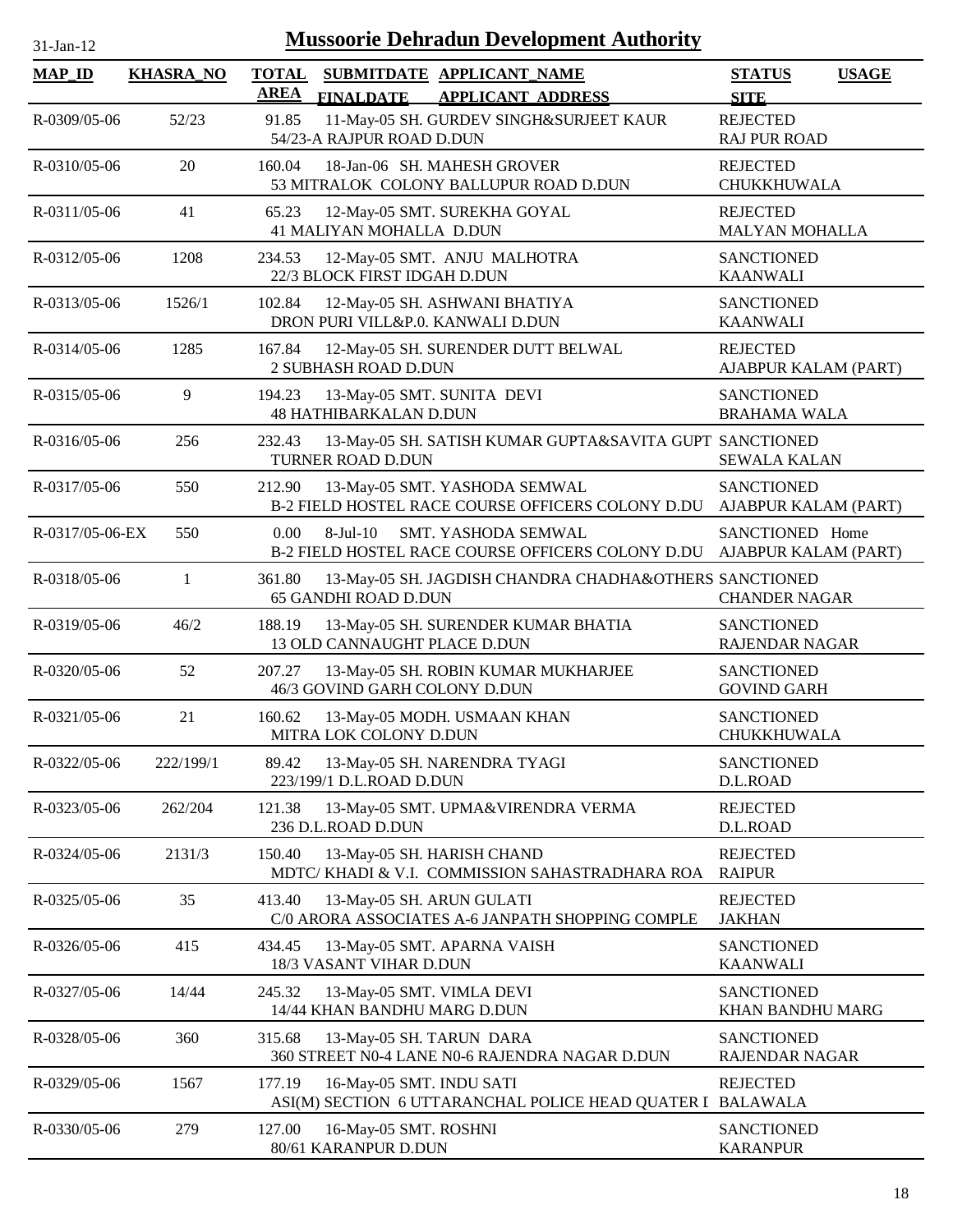| $31$ -Jan- $12$ |                  | <b>Mussoorie Dehradun Development Authority</b>                                                          |                                              |
|-----------------|------------------|----------------------------------------------------------------------------------------------------------|----------------------------------------------|
| <b>MAP_ID</b>   | <b>KHASRA_NO</b> | <b>TOTAL</b><br>SUBMITDATE APPLICANT_NAME<br><b>AREA</b><br><b>FINALDATE</b><br><b>APPLICANT ADDRESS</b> | <b>STATUS</b><br><b>USAGE</b><br><b>SITE</b> |
| R-0309/05-06    | 52/23            | 11-May-05 SH. GURDEV SINGH&SURJEET KAUR<br>91.85<br>54/23-A RAJPUR ROAD D.DUN                            | <b>REJECTED</b><br><b>RAJ PUR ROAD</b>       |
| R-0310/05-06    | 20               | 160.04<br>18-Jan-06 SH. MAHESH GROVER<br>53 MITRALOK COLONY BALLUPUR ROAD D.DUN                          | <b>REJECTED</b><br>CHUKKHUWALA               |
| R-0311/05-06    | 41               | 12-May-05 SMT. SUREKHA GOYAL<br>65.23<br>41 MALIYAN MOHALLA D.DUN                                        | <b>REJECTED</b><br><b>MALYAN MOHALLA</b>     |
| R-0312/05-06    | 1208             | 234.53<br>12-May-05 SMT. ANJU MALHOTRA<br>22/3 BLOCK FIRST IDGAH D.DUN                                   | <b>SANCTIONED</b><br><b>KAANWALI</b>         |
| R-0313/05-06    | 1526/1           | 12-May-05 SH. ASHWANI BHATIYA<br>102.84<br>DRON PURI VILL&P.0. KANWALI D.DUN                             | <b>SANCTIONED</b><br><b>KAANWALI</b>         |
| R-0314/05-06    | 1285             | 167.84<br>12-May-05 SH. SURENDER DUTT BELWAL<br>2 SUBHASH ROAD D.DUN                                     | <b>REJECTED</b><br>AJABPUR KALAM (PART)      |
| R-0315/05-06    | 9                | 13-May-05 SMT. SUNITA DEVI<br>194.23<br><b>48 HATHIBARKALAN D.DUN</b>                                    | <b>SANCTIONED</b><br><b>BRAHAMA WALA</b>     |
| R-0316/05-06    | 256              | 232.43<br>13-May-05 SH. SATISH KUMAR GUPTA&SAVITA GUPT SANCTIONED<br>TURNER ROAD D.DUN                   | <b>SEWALA KALAN</b>                          |
| R-0317/05-06    | 550              | 13-May-05 SMT. YASHODA SEMWAL<br>212.90<br>B-2 FIELD HOSTEL RACE COURSE OFFICERS COLONY D.DU             | <b>SANCTIONED</b><br>AJABPUR KALAM (PART)    |
| R-0317/05-06-EX | 550              | 0.00<br>$8-Jul-10$<br>SMT. YASHODA SEMWAL<br>B-2 FIELD HOSTEL RACE COURSE OFFICERS COLONY D.DU           | SANCTIONED Home<br>AJABPUR KALAM (PART)      |
| R-0318/05-06    | $\mathbf{1}$     | 13-May-05 SH. JAGDISH CHANDRA CHADHA&OTHERS SANCTIONED<br>361.80<br><b>65 GANDHI ROAD D.DUN</b>          | <b>CHANDER NAGAR</b>                         |
| R-0319/05-06    | 46/2             | 188.19<br>13-May-05 SH. SURENDER KUMAR BHATIA<br>13 OLD CANNAUGHT PLACE D.DUN                            | <b>SANCTIONED</b><br><b>RAJENDAR NAGAR</b>   |
| R-0320/05-06    | 52               | 13-May-05 SH. ROBIN KUMAR MUKHARJEE<br>207.27<br>46/3 GOVIND GARH COLONY D.DUN                           | <b>SANCTIONED</b><br><b>GOVIND GARH</b>      |
| R-0321/05-06    | 21               | 160.62<br>13-May-05 MODH. USMAAN KHAN<br>MITRA LOK COLONY D.DUN                                          | <b>SANCTIONED</b><br>CHUKKHUWALA             |
| R-0322/05-06    | 222/199/1        | 89.42<br>13-May-05 SH. NARENDRA TYAGI<br>223/199/1 D.L.ROAD D.DUN                                        | <b>SANCTIONED</b><br>D.L.ROAD                |
| R-0323/05-06    | 262/204          | 121.38<br>13-May-05 SMT. UPMA&VIRENDRA VERMA<br>236 D.L.ROAD D.DUN                                       | <b>REJECTED</b><br>D.L.ROAD                  |
| R-0324/05-06    | 2131/3           | 13-May-05 SH. HARISH CHAND<br>150.40<br>MDTC/KHADI & V.I. COMMISSION SAHASTRADHARA ROA                   | <b>REJECTED</b><br><b>RAIPUR</b>             |
| R-0325/05-06    | 35               | 413.40<br>13-May-05 SH. ARUN GULATI<br>C/0 ARORA ASSOCIATES A-6 JANPATH SHOPPING COMPLE                  | <b>REJECTED</b><br><b>JAKHAN</b>             |
| R-0326/05-06    | 415              | 13-May-05 SMT. APARNA VAISH<br>434.45<br>18/3 VASANT VIHAR D.DUN                                         | <b>SANCTIONED</b><br><b>KAANWALI</b>         |
| R-0327/05-06    | 14/44            | 245.32<br>13-May-05 SMT. VIMLA DEVI<br>14/44 KHAN BANDHU MARG D.DUN                                      | <b>SANCTIONED</b><br>KHAN BANDHU MARG        |
| R-0328/05-06    | 360              | 315.68<br>13-May-05 SH. TARUN DARA<br>360 STREET N0-4 LANE N0-6 RAJENDRA NAGAR D.DUN                     | <b>SANCTIONED</b><br>RAJENDAR NAGAR          |
| R-0329/05-06    | 1567             | 177.19<br>16-May-05 SMT. INDU SATI<br>ASI(M) SECTION 6 UTTARANCHAL POLICE HEAD QUATER I                  | <b>REJECTED</b><br><b>BALAWALA</b>           |
| R-0330/05-06    | 279              | 127.00<br>16-May-05 SMT. ROSHNI<br>80/61 KARANPUR D.DUN                                                  | <b>SANCTIONED</b><br><b>KARANPUR</b>         |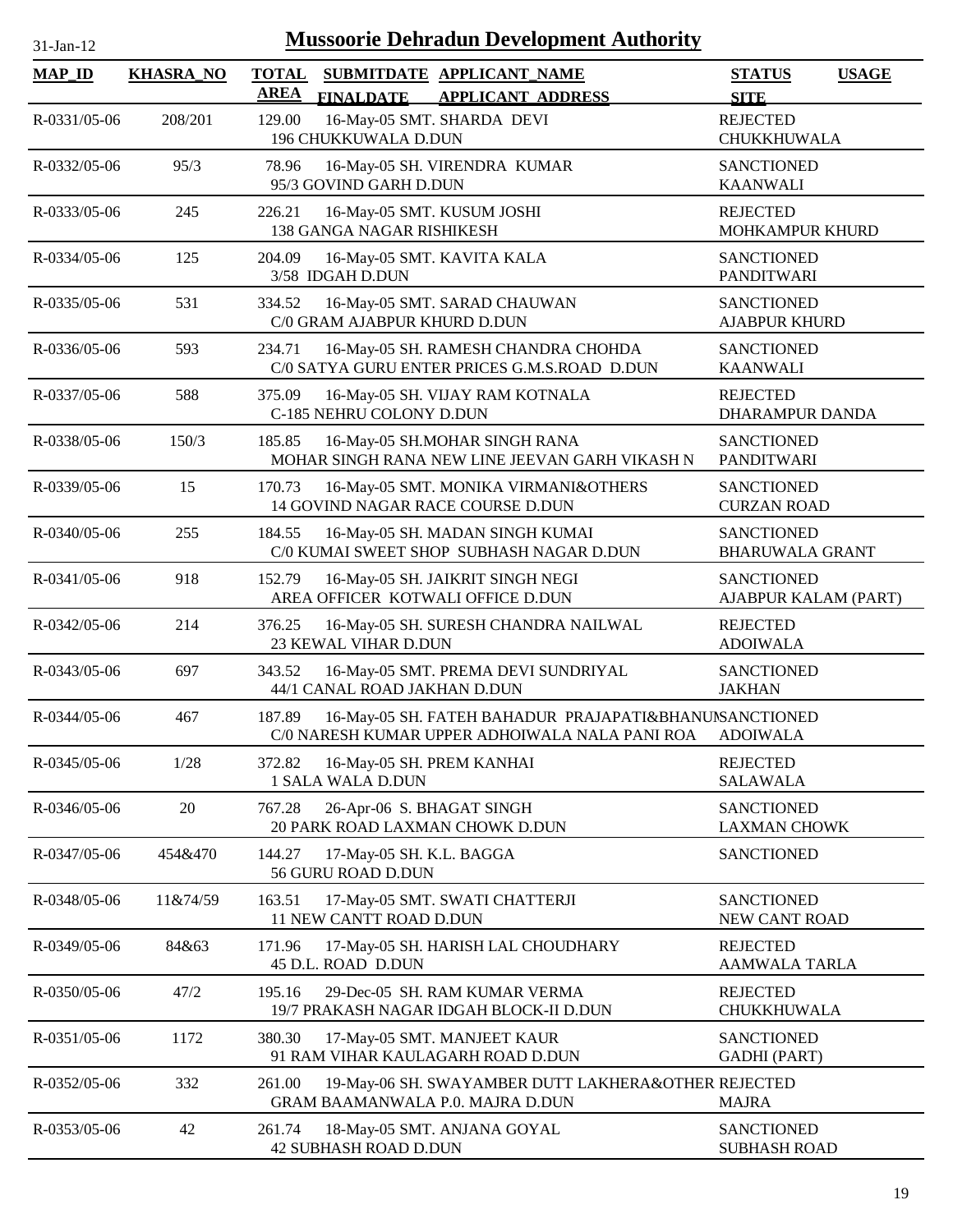| $31$ -Jan-12 |  |
|--------------|--|

| <b>MAP_ID</b>      | <b>KHASRA_NO</b> | <b>TOTAL</b><br><b>AREA</b> |                                                | SUBMITDATE APPLICANT_NAME                                                                                | <b>STATUS</b><br><b>USAGE</b>                 |
|--------------------|------------------|-----------------------------|------------------------------------------------|----------------------------------------------------------------------------------------------------------|-----------------------------------------------|
| R-0331/05-06       | 208/201          | 129.00                      | <b>FINALDATE</b><br>196 CHUKKUWALA D.DUN       | <b>APPLICANT ADDRESS</b><br>16-May-05 SMT. SHARDA DEVI                                                   | <b>SITE</b><br><b>REJECTED</b><br>CHUKKHUWALA |
| R-0332/05-06       | 95/3             | 78.96                       | 95/3 GOVIND GARH D.DUN                         | 16-May-05 SH. VIRENDRA KUMAR                                                                             | <b>SANCTIONED</b><br><b>KAANWALI</b>          |
| R-0333/05-06       | 245              | 226.21                      | 138 GANGA NAGAR RISHIKESH                      | 16-May-05 SMT. KUSUM JOSHI                                                                               | <b>REJECTED</b><br>MOHKAMPUR KHURD            |
| R-0334/05-06       | 125              | 204.09                      | 3/58 IDGAH D.DUN                               | 16-May-05 SMT. KAVITA KALA                                                                               | <b>SANCTIONED</b><br><b>PANDITWARI</b>        |
| R-0335/05-06       | 531              | 334.52                      | C/0 GRAM AJABPUR KHURD D.DUN                   | 16-May-05 SMT. SARAD CHAUWAN                                                                             | <b>SANCTIONED</b><br><b>AJABPUR KHURD</b>     |
| R-0336/05-06       | 593              | 234.71                      |                                                | 16-May-05 SH. RAMESH CHANDRA CHOHDA<br>C/0 SATYA GURU ENTER PRICES G.M.S.ROAD D.DUN                      | <b>SANCTIONED</b><br><b>KAANWALI</b>          |
| R-0337/05-06       | 588              | 375.09                      | C-185 NEHRU COLONY D.DUN                       | 16-May-05 SH. VIJAY RAM KOTNALA                                                                          | <b>REJECTED</b><br>DHARAMPUR DANDA            |
| R-0338/05-06       | 150/3            | 185.85                      |                                                | 16-May-05 SH.MOHAR SINGH RANA<br>MOHAR SINGH RANA NEW LINE JEEVAN GARH VIKASH N                          | <b>SANCTIONED</b><br><b>PANDITWARI</b>        |
| R-0339/05-06       | 15               | 170.73                      |                                                | 16-May-05 SMT. MONIKA VIRMANI&OTHERS<br>14 GOVIND NAGAR RACE COURSE D.DUN                                | <b>SANCTIONED</b><br><b>CURZAN ROAD</b>       |
| R-0340/05-06       | 255              | 184.55                      |                                                | 16-May-05 SH. MADAN SINGH KUMAI<br>C/0 KUMAI SWEET SHOP SUBHASH NAGAR D.DUN                              | <b>SANCTIONED</b><br><b>BHARUWALA GRANT</b>   |
| R-0341/05-06       | 918              | 152.79                      |                                                | 16-May-05 SH. JAIKRIT SINGH NEGI<br>AREA OFFICER KOTWALI OFFICE D.DUN                                    | <b>SANCTIONED</b><br>AJABPUR KALAM (PART)     |
| R-0342/05-06       | 214              | 376.25                      | 23 KEWAL VIHAR D.DUN                           | 16-May-05 SH. SURESH CHANDRA NAILWAL                                                                     | <b>REJECTED</b><br><b>ADOIWALA</b>            |
| R-0343/05-06       | 697              | 343.52                      | 44/1 CANAL ROAD JAKHAN D.DUN                   | 16-May-05 SMT. PREMA DEVI SUNDRIYAL                                                                      | <b>SANCTIONED</b><br><b>JAKHAN</b>            |
| R-0344/05-06       | 467              | 187.89                      |                                                | 16-May-05 SH. FATEH BAHADUR PRAJAPATI&BHANUNSANCTIONED<br>C/0 NARESH KUMAR UPPER ADHOIWALA NALA PANI ROA | <b>ADOIWALA</b>                               |
| R-0345/05-06       | 1/28             | 372.82                      | 16-May-05 SH. PREM KANHAI<br>1 SALA WALA D.DUN |                                                                                                          | <b>REJECTED</b><br><b>SALAWALA</b>            |
| R-0346/05-06       | 20               | 767.28                      | 26-Apr-06 S. BHAGAT SINGH                      | 20 PARK ROAD LAXMAN CHOWK D.DUN                                                                          | <b>SANCTIONED</b><br><b>LAXMAN CHOWK</b>      |
| R-0347/05-06       | 454&470          | 144.27                      | 17-May-05 SH. K.L. BAGGA<br>56 GURU ROAD D.DUN |                                                                                                          | <b>SANCTIONED</b>                             |
| R-0348/05-06       | 11&74/59         | 163.51                      | 11 NEW CANTT ROAD D.DUN                        | 17-May-05 SMT. SWATI CHATTERJI                                                                           | <b>SANCTIONED</b><br>NEW CANT ROAD            |
| R-0349/05-06       | 84&63            | 171.96                      | 45 D.L. ROAD D.DUN                             | 17-May-05 SH. HARISH LAL CHOUDHARY                                                                       | <b>REJECTED</b><br><b>AAMWALA TARLA</b>       |
| R-0350/05-06       | 47/2             | 195.16                      |                                                | 29-Dec-05 SH. RAM KUMAR VERMA<br>19/7 PRAKASH NAGAR IDGAH BLOCK-II D.DUN                                 | <b>REJECTED</b><br><b>CHUKKHUWALA</b>         |
| $R - 0351/05 - 06$ | 1172             | 380.30                      |                                                | 17-May-05 SMT. MANJEET KAUR<br>91 RAM VIHAR KAULAGARH ROAD D.DUN                                         | <b>SANCTIONED</b><br><b>GADHI</b> (PART)      |
| R-0352/05-06       | 332              | 261.00                      |                                                | 19-May-06 SH. SWAYAMBER DUTT LAKHERA&OTHER REJECTED<br>GRAM BAAMANWALA P.0. MAJRA D.DUN                  | <b>MAJRA</b>                                  |
| R-0353/05-06       | 42               | 261.74                      | <b>42 SUBHASH ROAD D.DUN</b>                   | 18-May-05 SMT. ANJANA GOYAL                                                                              | <b>SANCTIONED</b><br><b>SUBHASH ROAD</b>      |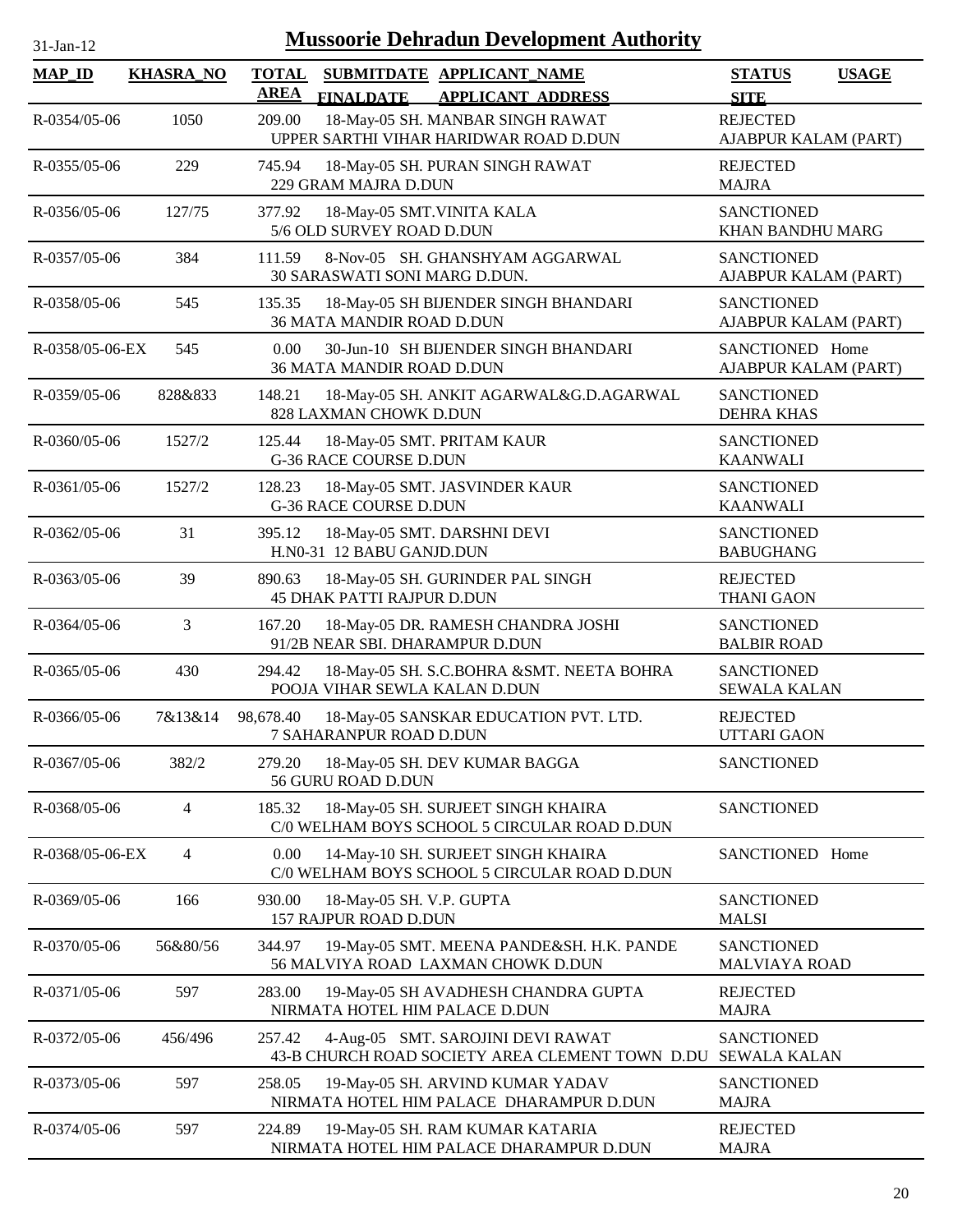| <b>MAP_ID</b>   | <b>KHASRA_NO</b> | <b>TOTAL</b><br><b>AREA</b> | <b>FINALDATE</b>                                       | SUBMITDATE APPLICANT NAME<br><b>APPLICANT ADDRESS</b>                                | <b>STATUS</b><br><b>USAGE</b><br><b>SITE</b> |
|-----------------|------------------|-----------------------------|--------------------------------------------------------|--------------------------------------------------------------------------------------|----------------------------------------------|
| R-0354/05-06    | 1050             | 209.00                      |                                                        | 18-May-05 SH. MANBAR SINGH RAWAT<br>UPPER SARTHI VIHAR HARIDWAR ROAD D.DUN           | <b>REJECTED</b><br>AJABPUR KALAM (PART)      |
| R-0355/05-06    | 229              | 745.94                      | 229 GRAM MAJRA D.DUN                                   | 18-May-05 SH. PURAN SINGH RAWAT                                                      | <b>REJECTED</b><br><b>MAJRA</b>              |
| R-0356/05-06    | 127/75           | 377.92                      | 18-May-05 SMT.VINITA KALA<br>5/6 OLD SURVEY ROAD D.DUN |                                                                                      | <b>SANCTIONED</b><br>KHAN BANDHU MARG        |
| R-0357/05-06    | 384              | 111.59                      | 30 SARASWATI SONI MARG D.DUN.                          | 8-Nov-05 SH. GHANSHYAM AGGARWAL                                                      | <b>SANCTIONED</b><br>AJABPUR KALAM (PART)    |
| R-0358/05-06    | 545              | 135.35                      | 36 MATA MANDIR ROAD D.DUN                              | 18-May-05 SH BIJENDER SINGH BHANDARI                                                 | <b>SANCTIONED</b><br>AJABPUR KALAM (PART)    |
| R-0358/05-06-EX | 545              | 0.00                        | <b>36 MATA MANDIR ROAD D.DUN</b>                       | 30-Jun-10 SH BIJENDER SINGH BHANDARI                                                 | SANCTIONED Home<br>AJABPUR KALAM (PART)      |
| R-0359/05-06    | 828&833          | 148.21                      | 828 LAXMAN CHOWK D.DUN                                 | 18-May-05 SH. ANKIT AGARWAL&G.D.AGARWAL                                              | <b>SANCTIONED</b><br><b>DEHRA KHAS</b>       |
| R-0360/05-06    | 1527/2           | 125.44                      | <b>G-36 RACE COURSE D.DUN</b>                          | 18-May-05 SMT. PRITAM KAUR                                                           | <b>SANCTIONED</b><br><b>KAANWALI</b>         |
| R-0361/05-06    | 1527/2           | 128.23                      | <b>G-36 RACE COURSE D.DUN</b>                          | 18-May-05 SMT. JASVINDER KAUR                                                        | <b>SANCTIONED</b><br><b>KAANWALI</b>         |
| R-0362/05-06    | 31               | 395.12                      | H.N0-31 12 BABU GANJD.DUN                              | 18-May-05 SMT. DARSHNI DEVI                                                          | <b>SANCTIONED</b><br><b>BABUGHANG</b>        |
| R-0363/05-06    | 39               | 890.63                      | <b>45 DHAK PATTI RAJPUR D.DUN</b>                      | 18-May-05 SH. GURINDER PAL SINGH                                                     | <b>REJECTED</b><br><b>THANI GAON</b>         |
| R-0364/05-06    | 3                | 167.20                      | 91/2B NEAR SBI. DHARAMPUR D.DUN                        | 18-May-05 DR. RAMESH CHANDRA JOSHI                                                   | <b>SANCTIONED</b><br><b>BALBIR ROAD</b>      |
| R-0365/05-06    | 430              | 294.42                      | POOJA VIHAR SEWLA KALAN D.DUN                          | 18-May-05 SH. S.C.BOHRA &SMT. NEETA BOHRA                                            | <b>SANCTIONED</b><br><b>SEWALA KALAN</b>     |
| R-0366/05-06    | 7&13&14          | 98,678.40                   | 7 SAHARANPUR ROAD D.DUN                                | 18-May-05 SANSKAR EDUCATION PVT. LTD.                                                | <b>REJECTED</b><br><b>UTTARI GAON</b>        |
| R-0367/05-06    | 382/2            | 279.20                      | 56 GURU ROAD D.DUN                                     | 18-May-05 SH. DEV KUMAR BAGGA                                                        | <b>SANCTIONED</b>                            |
| R-0368/05-06    | 4                | 185.32                      |                                                        | 18-May-05 SH. SURJEET SINGH KHAIRA<br>C/0 WELHAM BOYS SCHOOL 5 CIRCULAR ROAD D.DUN   | <b>SANCTIONED</b>                            |
| R-0368/05-06-EX | 4                | 0.00                        |                                                        | 14-May-10 SH. SURJEET SINGH KHAIRA<br>C/0 WELHAM BOYS SCHOOL 5 CIRCULAR ROAD D.DUN   | SANCTIONED Home                              |
| R-0369/05-06    | 166              | 930.00                      | 18-May-05 SH. V.P. GUPTA<br>157 RAJPUR ROAD D.DUN      |                                                                                      | <b>SANCTIONED</b><br><b>MALSI</b>            |
| R-0370/05-06    | 56&80/56         | 344.97                      |                                                        | 19-May-05 SMT. MEENA PANDE&SH. H.K. PANDE<br>56 MALVIYA ROAD LAXMAN CHOWK D.DUN      | <b>SANCTIONED</b><br><b>MALVIAYA ROAD</b>    |
| R-0371/05-06    | 597              | 283.00                      | NIRMATA HOTEL HIM PALACE D.DUN                         | 19-May-05 SH AVADHESH CHANDRA GUPTA                                                  | <b>REJECTED</b><br><b>MAJRA</b>              |
| R-0372/05-06    | 456/496          | 257.42                      |                                                        | 4-Aug-05 SMT. SAROJINI DEVI RAWAT<br>43-B CHURCH ROAD SOCIETY AREA CLEMENT TOWN D.DU | <b>SANCTIONED</b><br><b>SEWALA KALAN</b>     |
| R-0373/05-06    | 597              | 258.05                      |                                                        | 19-May-05 SH. ARVIND KUMAR YADAV<br>NIRMATA HOTEL HIM PALACE DHARAMPUR D.DUN         | <b>SANCTIONED</b><br><b>MAJRA</b>            |
| R-0374/05-06    | 597              | 224.89                      |                                                        | 19-May-05 SH. RAM KUMAR KATARIA<br>NIRMATA HOTEL HIM PALACE DHARAMPUR D.DUN          | <b>REJECTED</b><br><b>MAJRA</b>              |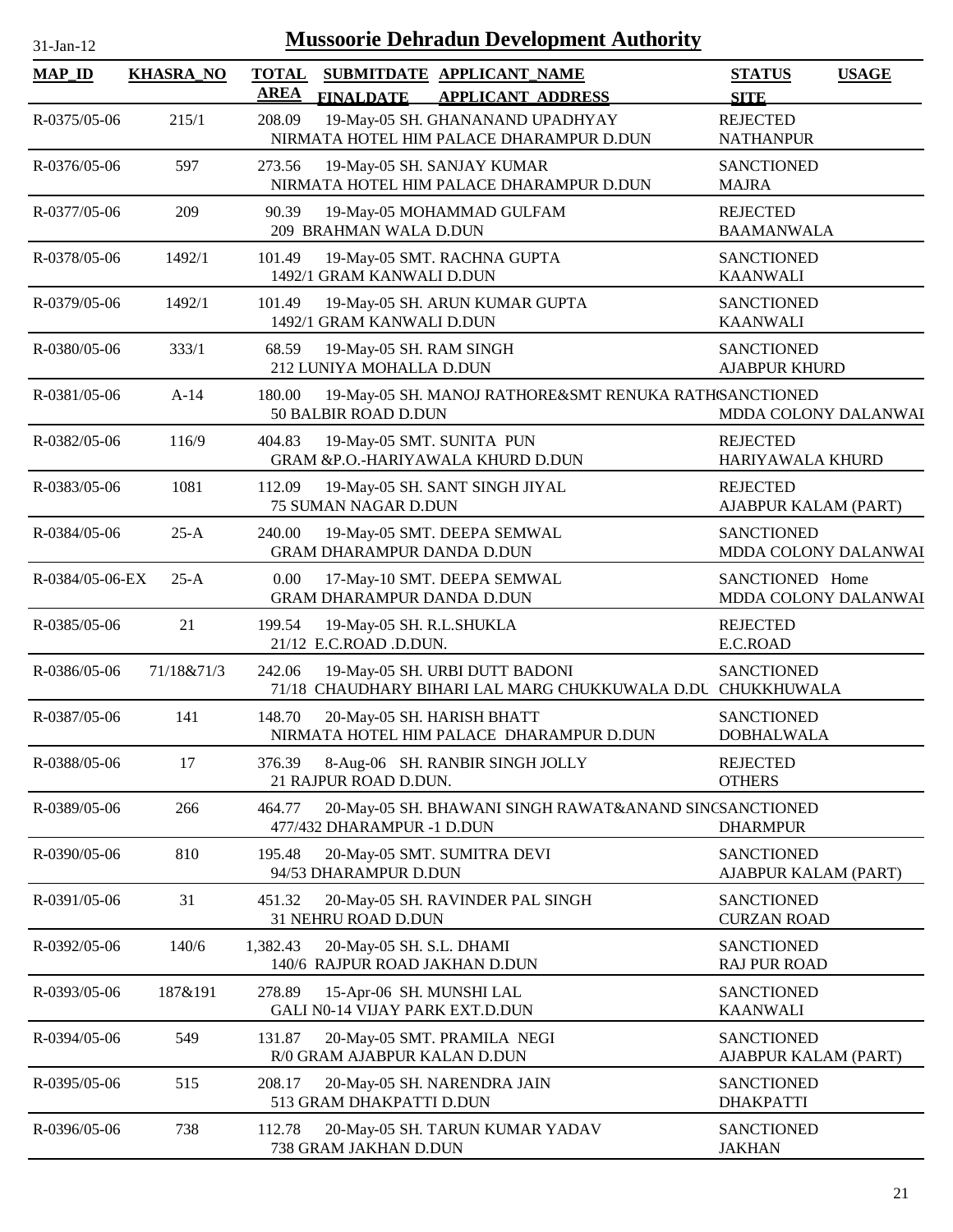| 1-Jan-1 |  |
|---------|--|

| <b>MAP_ID</b>         | <b>KHASRA_NO</b> | <b>TOTAL</b> | SUBMITDATE APPLICANT NAME                                                                     | <b>STATUS</b><br><b>USAGE</b>             |
|-----------------------|------------------|--------------|-----------------------------------------------------------------------------------------------|-------------------------------------------|
|                       |                  | <b>AREA</b>  | <b>FINALDATE</b><br><b>APPLICANT ADDRESS</b>                                                  | <b>SITE</b>                               |
| R-0375/05-06          | 215/1            | 208.09       | 19-May-05 SH. GHANANAND UPADHYAY<br>NIRMATA HOTEL HIM PALACE DHARAMPUR D.DUN                  | <b>REJECTED</b><br><b>NATHANPUR</b>       |
| $R - 0376/05 - 06$    | 597              | 273.56       | 19-May-05 SH. SANJAY KUMAR<br>NIRMATA HOTEL HIM PALACE DHARAMPUR D.DUN                        | <b>SANCTIONED</b><br><b>MAJRA</b>         |
| $R - 0.377/0.5 - 0.6$ | 209              | 90.39        | 19-May-05 MOHAMMAD GULFAM<br>209 BRAHMAN WALA D.DUN                                           | <b>REJECTED</b><br><b>BAAMANWALA</b>      |
| R-0378/05-06          | 1492/1           | 101.49       | 19-May-05 SMT. RACHNA GUPTA<br>1492/1 GRAM KANWALI D.DUN                                      | <b>SANCTIONED</b><br><b>KAANWALI</b>      |
| R-0379/05-06          | 1492/1           | 101.49       | 19-May-05 SH. ARUN KUMAR GUPTA<br>1492/1 GRAM KANWALI D.DUN                                   | <b>SANCTIONED</b><br><b>KAANWALI</b>      |
| R-0380/05-06          | 333/1            | 68.59        | 19-May-05 SH. RAM SINGH<br>212 LUNIYA MOHALLA D.DUN                                           | <b>SANCTIONED</b><br><b>AJABPUR KHURD</b> |
| R-0381/05-06          | $A-14$           | 180.00       | 19-May-05 SH. MANOJ RATHORE&SMT RENUKA RATH/SANCTIONED<br>50 BALBIR ROAD D.DUN                | MDDA COLONY DALANWAI                      |
| R-0382/05-06          | 116/9            | 404.83       | 19-May-05 SMT. SUNITA PUN<br>GRAM &P.O.-HARIYAWALA KHURD D.DUN                                | <b>REJECTED</b><br>HARIYAWALA KHURD       |
| R-0383/05-06          | 1081             | 112.09       | 19-May-05 SH. SANT SINGH JIYAL<br>75 SUMAN NAGAR D.DUN                                        | <b>REJECTED</b><br>AJABPUR KALAM (PART)   |
| R-0384/05-06          | $25-A$           | 240.00       | 19-May-05 SMT. DEEPA SEMWAL<br><b>GRAM DHARAMPUR DANDA D.DUN</b>                              | <b>SANCTIONED</b><br>MDDA COLONY DALANWAI |
| R-0384/05-06-EX       | $25-A$           | 0.00         | 17-May-10 SMT. DEEPA SEMWAL<br><b>GRAM DHARAMPUR DANDA D.DUN</b>                              | SANCTIONED Home<br>MDDA COLONY DALANWAI   |
| R-0385/05-06          | 21               | 199.54       | 19-May-05 SH. R.L.SHUKLA<br>21/12 E.C.ROAD .D.DUN.                                            | <b>REJECTED</b><br>E.C.ROAD               |
| R-0386/05-06          | 71/18&71/3       | 242.06       | 19-May-05 SH. URBI DUTT BADONI<br>71/18 CHAUDHARY BIHARI LAL MARG CHUKKUWALA D.DU CHUKKHUWALA | <b>SANCTIONED</b>                         |
| R-0387/05-06          | 141              | 148.70       | 20-May-05 SH. HARISH BHATT<br>NIRMATA HOTEL HIM PALACE DHARAMPUR D.DUN                        | <b>SANCTIONED</b><br><b>DOBHALWALA</b>    |
| R-0388/05-06          | 17               | 376.39       | 8-Aug-06 SH. RANBIR SINGH JOLLY<br>21 RAJPUR ROAD D.DUN.                                      | <b>REJECTED</b><br><b>OTHERS</b>          |
| R-0389/05-06          | 266              | 464.77       | 20-May-05 SH. BHAWANI SINGH RAWAT&ANAND SINCSANCTIONED<br>477/432 DHARAMPUR -1 D.DUN          | <b>DHARMPUR</b>                           |
| R-0390/05-06          | 810              | 195.48       | 20-May-05 SMT. SUMITRA DEVI<br>94/53 DHARAMPUR D.DUN                                          | <b>SANCTIONED</b><br>AJABPUR KALAM (PART) |
| R-0391/05-06          | 31               | 451.32       | 20-May-05 SH. RAVINDER PAL SINGH<br>31 NEHRU ROAD D.DUN                                       | <b>SANCTIONED</b><br><b>CURZAN ROAD</b>   |
| R-0392/05-06          | 140/6            | 1,382.43     | 20-May-05 SH. S.L. DHAMI<br>140/6 RAJPUR ROAD JAKHAN D.DUN                                    | <b>SANCTIONED</b><br><b>RAJ PUR ROAD</b>  |
| R-0393/05-06          | 187&191          | 278.89       | 15-Apr-06 SH. MUNSHI LAL<br><b>GALI N0-14 VIJAY PARK EXT.D.DUN</b>                            | <b>SANCTIONED</b><br><b>KAANWALI</b>      |
| R-0394/05-06          | 549              | 131.87       | 20-May-05 SMT. PRAMILA NEGI<br>R/0 GRAM AJABPUR KALAN D.DUN                                   | <b>SANCTIONED</b><br>AJABPUR KALAM (PART) |
| R-0395/05-06          | 515              | 208.17       | 20-May-05 SH. NARENDRA JAIN<br>513 GRAM DHAKPATTI D.DUN                                       | <b>SANCTIONED</b><br><b>DHAKPATTI</b>     |
| R-0396/05-06          | 738              | 112.78       | 20-May-05 SH. TARUN KUMAR YADAV<br>738 GRAM JAKHAN D.DUN                                      | <b>SANCTIONED</b><br><b>JAKHAN</b>        |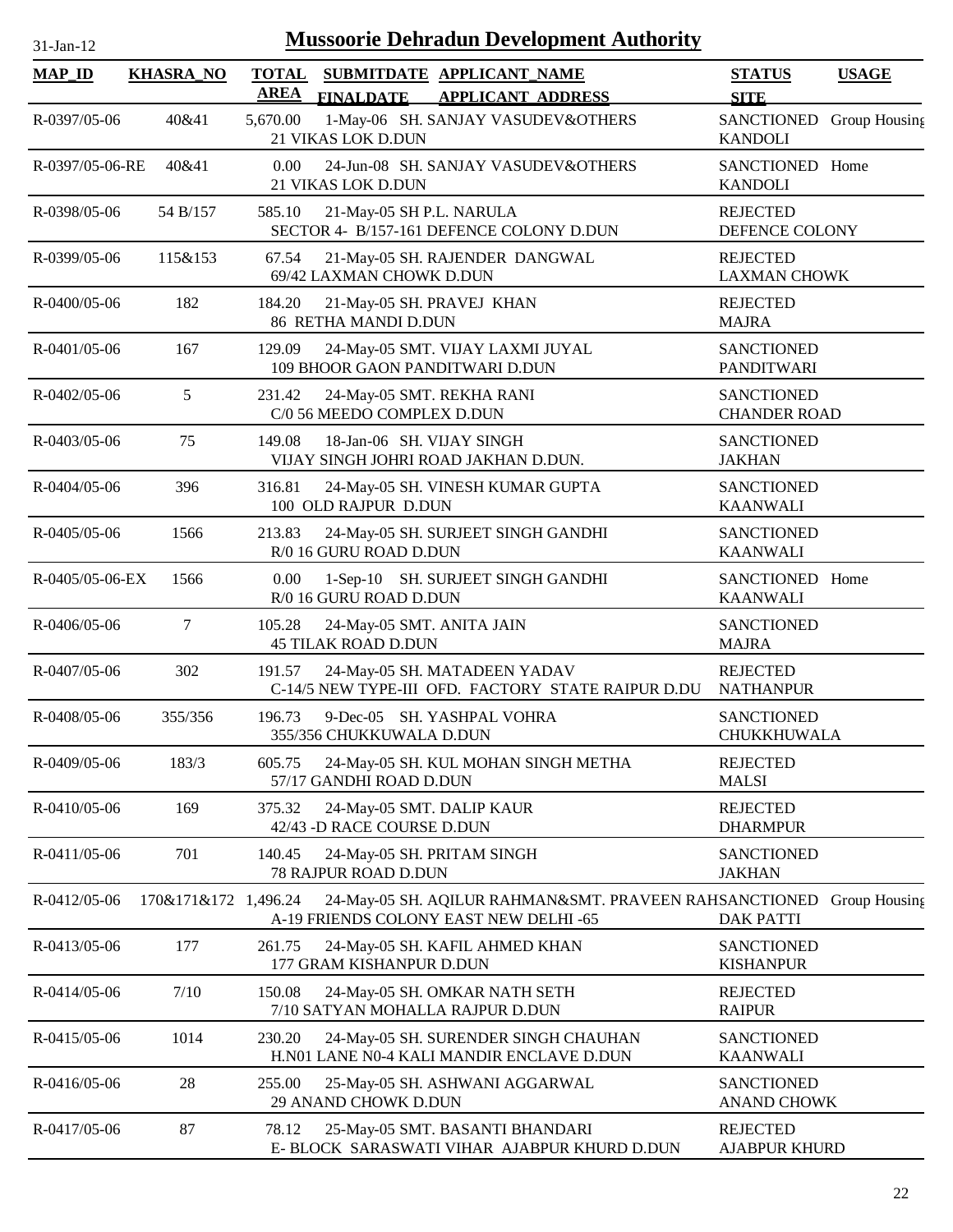| <b>MAP_ID</b>   | <b>KHASRA_NO</b>     | <b>AREA</b> | <b>TOTAL SUBMITDATE APPLICANT NAME</b><br><b>APPLICANT ADDRESS</b><br><b>FINALDATE</b>           | <b>STATUS</b><br><b>SITE</b>             | <b>USAGE</b>  |
|-----------------|----------------------|-------------|--------------------------------------------------------------------------------------------------|------------------------------------------|---------------|
| R-0397/05-06    | 40&41                | 5,670.00    | 1-May-06 SH. SANJAY VASUDEV&OTHERS<br>21 VIKAS LOK D.DUN                                         | <b>SANCTIONED</b><br><b>KANDOLI</b>      | Group Housing |
| R-0397/05-06-RE | 40&41                | 0.00        | 24-Jun-08 SH. SANJAY VASUDEV&OTHERS<br>21 VIKAS LOK D.DUN                                        | SANCTIONED Home<br><b>KANDOLI</b>        |               |
| R-0398/05-06    | 54 B/157             | 585.10      | 21-May-05 SH P.L. NARULA<br>SECTOR 4- B/157-161 DEFENCE COLONY D.DUN                             | <b>REJECTED</b><br>DEFENCE COLONY        |               |
| R-0399/05-06    | 115&153              | 67.54       | 21-May-05 SH. RAJENDER DANGWAL<br>69/42 LAXMAN CHOWK D.DUN                                       | <b>REJECTED</b><br><b>LAXMAN CHOWK</b>   |               |
| R-0400/05-06    | 182                  | 184.20      | 21-May-05 SH. PRAVEJ KHAN<br>86 RETHA MANDI D.DUN                                                | <b>REJECTED</b><br><b>MAJRA</b>          |               |
| R-0401/05-06    | 167                  | 129.09      | 24-May-05 SMT. VIJAY LAXMI JUYAL<br>109 BHOOR GAON PANDITWARI D.DUN                              | <b>SANCTIONED</b><br><b>PANDITWARI</b>   |               |
| R-0402/05-06    | 5                    | 231.42      | 24-May-05 SMT. REKHA RANI<br>C/0 56 MEEDO COMPLEX D.DUN                                          | <b>SANCTIONED</b><br><b>CHANDER ROAD</b> |               |
| R-0403/05-06    | 75                   | 149.08      | 18-Jan-06 SH. VIJAY SINGH<br>VIJAY SINGH JOHRI ROAD JAKHAN D.DUN.                                | <b>SANCTIONED</b><br><b>JAKHAN</b>       |               |
| R-0404/05-06    | 396                  | 316.81      | 24-May-05 SH. VINESH KUMAR GUPTA<br>100 OLD RAJPUR D.DUN                                         | <b>SANCTIONED</b><br><b>KAANWALI</b>     |               |
| R-0405/05-06    | 1566                 | 213.83      | 24-May-05 SH. SURJEET SINGH GANDHI<br>R/0 16 GURU ROAD D.DUN                                     | <b>SANCTIONED</b><br><b>KAANWALI</b>     |               |
| R-0405/05-06-EX | 1566                 | 0.00        | 1-Sep-10 SH. SURJEET SINGH GANDHI<br>R/0 16 GURU ROAD D.DUN                                      | SANCTIONED Home<br><b>KAANWALI</b>       |               |
| R-0406/05-06    | 7                    | 105.28      | 24-May-05 SMT. ANITA JAIN<br><b>45 TILAK ROAD D.DUN</b>                                          | <b>SANCTIONED</b><br><b>MAJRA</b>        |               |
| R-0407/05-06    | 302                  | 191.57      | 24-May-05 SH. MATADEEN YADAV<br>C-14/5 NEW TYPE-III OFD. FACTORY STATE RAIPUR D.DU               | <b>REJECTED</b><br><b>NATHANPUR</b>      |               |
| R-0408/05-06    | 355/356              | 196.73      | 9-Dec-05 SH. YASHPAL VOHRA<br>355/356 CHUKKUWALA D.DUN                                           | <b>SANCTIONED</b><br><b>CHUKKHUWALA</b>  |               |
| R-0409/05-06    | 183/3                | 605.75      | 24-May-05 SH. KUL MOHAN SINGH METHA<br>57/17 GANDHI ROAD D.DUN                                   | <b>REJECTED</b><br><b>MALSI</b>          |               |
| R-0410/05-06    | 169                  | 375.32      | 24-May-05 SMT. DALIP KAUR<br>42/43 -D RACE COURSE D.DUN                                          | <b>REJECTED</b><br><b>DHARMPUR</b>       |               |
| R-0411/05-06    | 701                  | 140.45      | 24-May-05 SH. PRITAM SINGH<br>78 RAJPUR ROAD D.DUN                                               | <b>SANCTIONED</b><br><b>JAKHAN</b>       |               |
| R-0412/05-06    | 170&171&172 1,496.24 |             | 24-May-05 SH. AQILUR RAHMAN&SMT. PRAVEEN RAHSANCTIONED<br>A-19 FRIENDS COLONY EAST NEW DELHI -65 | <b>DAK PATTI</b>                         | Group Housing |
| R-0413/05-06    | 177                  | 261.75      | 24-May-05 SH. KAFIL AHMED KHAN<br>177 GRAM KISHANPUR D.DUN                                       | <b>SANCTIONED</b><br><b>KISHANPUR</b>    |               |
| R-0414/05-06    | 7/10                 | 150.08      | 24-May-05 SH. OMKAR NATH SETH<br>7/10 SATYAN MOHALLA RAJPUR D.DUN                                | <b>REJECTED</b><br><b>RAIPUR</b>         |               |
| R-0415/05-06    | 1014                 | 230.20      | 24-May-05 SH. SURENDER SINGH CHAUHAN<br>H.N01 LANE N0-4 KALI MANDIR ENCLAVE D.DUN                | <b>SANCTIONED</b><br><b>KAANWALI</b>     |               |
| R-0416/05-06    | 28                   | 255.00      | 25-May-05 SH. ASHWANI AGGARWAL<br>29 ANAND CHOWK D.DUN                                           | <b>SANCTIONED</b><br><b>ANAND CHOWK</b>  |               |
| R-0417/05-06    | 87                   | 78.12       | 25-May-05 SMT. BASANTI BHANDARI<br>E- BLOCK SARASWATI VIHAR AJABPUR KHURD D.DUN                  | <b>REJECTED</b><br><b>AJABPUR KHURD</b>  |               |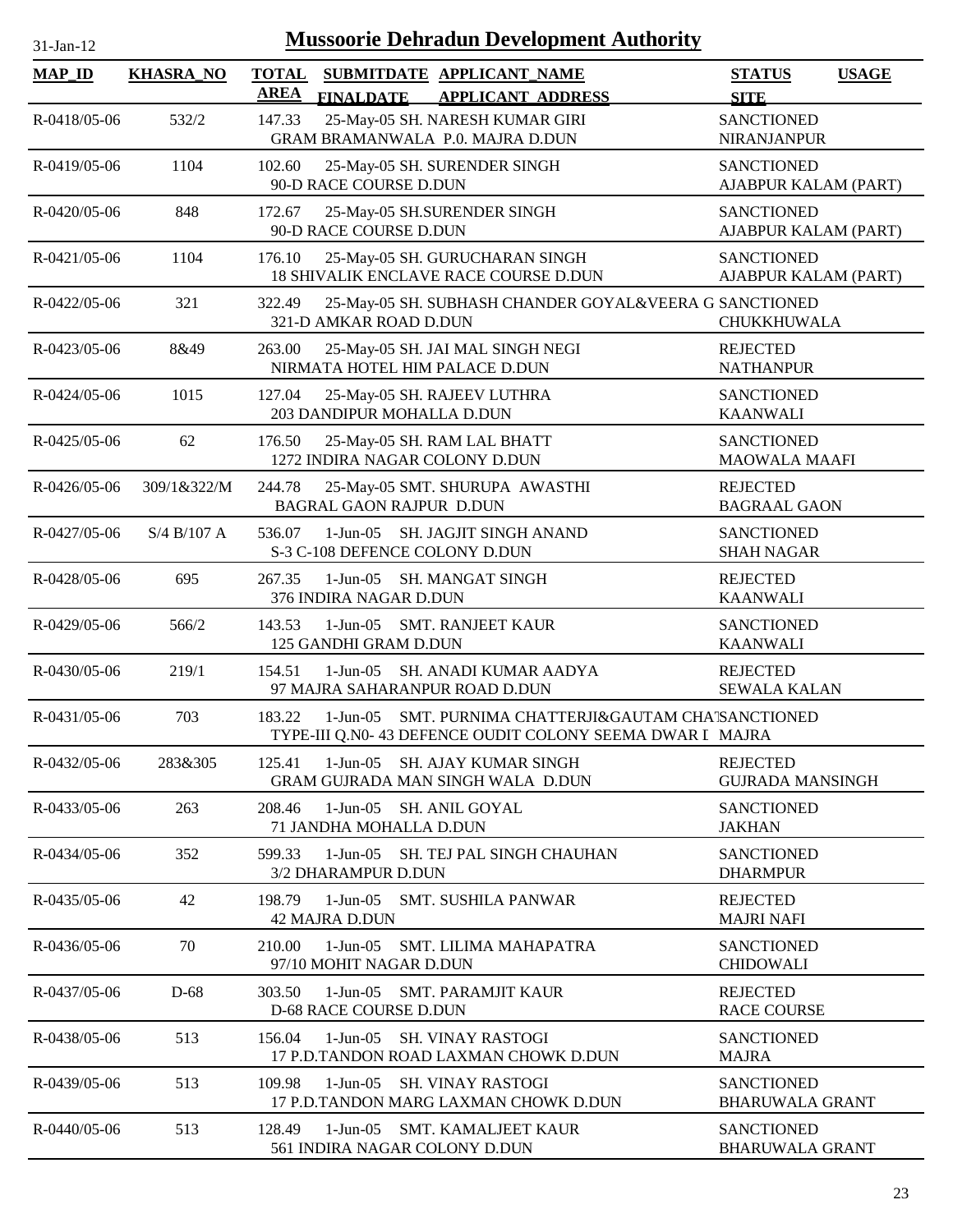| $31$ -Jan-1 |  |
|-------------|--|
|             |  |

| <b>MAP_ID</b>      | <b>KHASRA_NO</b> | <b>TOTAL</b><br>AREA | <b>FINALDATE</b>                             | SUBMITDATE APPLICANT_NAME<br><b>APPLICANT ADDRESS</b>                                                     | <b>STATUS</b><br><b>USAGE</b><br><b>SITE</b> |
|--------------------|------------------|----------------------|----------------------------------------------|-----------------------------------------------------------------------------------------------------------|----------------------------------------------|
| R-0418/05-06       | 532/2            | 147.33               |                                              | 25-May-05 SH. NARESH KUMAR GIRI<br>GRAM BRAMANWALA P.0. MAJRA D.DUN                                       | <b>SANCTIONED</b><br><b>NIRANJANPUR</b>      |
| $R - 0419/05 - 06$ | 1104             | 102.60               | 90-D RACE COURSE D.DUN                       | 25-May-05 SH. SURENDER SINGH                                                                              | <b>SANCTIONED</b><br>AJABPUR KALAM (PART)    |
| R-0420/05-06       | 848              | 172.67               | 90-D RACE COURSE D.DUN                       | 25-May-05 SH.SURENDER SINGH                                                                               | <b>SANCTIONED</b><br>AJABPUR KALAM (PART)    |
| R-0421/05-06       | 1104             | 176.10               |                                              | 25-May-05 SH. GURUCHARAN SINGH<br>18 SHIVALIK ENCLAVE RACE COURSE D.DUN                                   | <b>SANCTIONED</b><br>AJABPUR KALAM (PART)    |
| R-0422/05-06       | 321              | 322.49               | 321-D AMKAR ROAD D.DUN                       | 25-May-05 SH. SUBHASH CHANDER GOYAL&VEERA G SANCTIONED                                                    | <b>CHUKKHUWALA</b>                           |
| R-0423/05-06       | 8&49             | 263.00               |                                              | 25-May-05 SH. JAI MAL SINGH NEGI<br>NIRMATA HOTEL HIM PALACE D.DUN                                        | <b>REJECTED</b><br><b>NATHANPUR</b>          |
| R-0424/05-06       | 1015             | 127.04               | 203 DANDIPUR MOHALLA D.DUN                   | 25-May-05 SH. RAJEEV LUTHRA                                                                               | <b>SANCTIONED</b><br><b>KAANWALI</b>         |
| R-0425/05-06       | 62               | 176.50               |                                              | 25-May-05 SH. RAM LAL BHATT<br>1272 INDIRA NAGAR COLONY D.DUN                                             | <b>SANCTIONED</b><br><b>MAOWALA MAAFI</b>    |
| $R - 0426/05 - 06$ | 309/1&322/M      | 244.78               | <b>BAGRAL GAON RAJPUR D.DUN</b>              | 25-May-05 SMT. SHURUPA AWASTHI                                                                            | <b>REJECTED</b><br><b>BAGRAAL GAON</b>       |
| R-0427/05-06       | S/4 B/107 A      | 536.07               | $1-Jun-05$<br>S-3 C-108 DEFENCE COLONY D.DUN | SH. JAGJIT SINGH ANAND                                                                                    | <b>SANCTIONED</b><br><b>SHAH NAGAR</b>       |
| R-0428/05-06       | 695              | 267.35               | $1-Jun-05$<br>376 INDIRA NAGAR D.DUN         | <b>SH. MANGAT SINGH</b>                                                                                   | <b>REJECTED</b><br><b>KAANWALI</b>           |
| R-0429/05-06       | 566/2            | 143.53               | 125 GANDHI GRAM D.DUN                        | 1-Jun-05 SMT. RANJEET KAUR                                                                                | <b>SANCTIONED</b><br><b>KAANWALI</b>         |
| R-0430/05-06       | 219/1            | 154.51               | $1-Jun-05$                                   | SH. ANADI KUMAR AADYA<br>97 MAJRA SAHARANPUR ROAD D.DUN                                                   | <b>REJECTED</b><br><b>SEWALA KALAN</b>       |
| $R - 0431/05 - 06$ | 703              | 183.22               | $1-Jun-05$                                   | SMT. PURNIMA CHATTERJI&GAUTAM CHA'SANCTIONED<br>TYPE-III Q.N0- 43 DEFENCE OUDIT COLONY SEEMA DWAR I MAJRA |                                              |
| R-0432/05-06       | 283&305          | 125.41               |                                              | 1-Jun-05 SH. AJAY KUMAR SINGH<br>GRAM GUJRADA MAN SINGH WALA D.DUN                                        | <b>REJECTED</b><br><b>GUJRADA MANSINGH</b>   |
| R-0433/05-06       | 263              | 208.46               | $1-J$ un- $05$<br>71 JANDHA MOHALLA D.DUN    | <b>SH. ANIL GOYAL</b>                                                                                     | <b>SANCTIONED</b><br><b>JAKHAN</b>           |
| R-0434/05-06       | 352              | 599.33               | $1-Jun-05$<br>3/2 DHARAMPUR D.DUN            | <b>SH. TEJ PAL SINGH CHAUHAN</b>                                                                          | <b>SANCTIONED</b><br><b>DHARMPUR</b>         |
| R-0435/05-06       | 42               | 198.79               | 1-Jun-05<br><b>42 MAJRA D.DUN</b>            | <b>SMT. SUSHILA PANWAR</b>                                                                                | <b>REJECTED</b><br><b>MAJRI NAFI</b>         |
| $R - 0436/05 - 06$ | 70               | 210.00               | $1-Jun-05$<br>97/10 MOHIT NAGAR D.DUN        | <b>SMT. LILIMA MAHAPATRA</b>                                                                              | <b>SANCTIONED</b><br><b>CHIDOWALI</b>        |
| R-0437/05-06       | $D-68$           | 303.50               | $1-Jun-05$<br>D-68 RACE COURSE D.DUN         | <b>SMT. PARAMJIT KAUR</b>                                                                                 | <b>REJECTED</b><br><b>RACE COURSE</b>        |
| R-0438/05-06       | 513              | 156.04               | $1-Jun-05$                                   | <b>SH. VINAY RASTOGI</b><br>17 P.D.TANDON ROAD LAXMAN CHOWK D.DUN                                         | <b>SANCTIONED</b><br><b>MAJRA</b>            |
| R-0439/05-06       | 513              | 109.98               | $1-Jun-05$                                   | <b>SH. VINAY RASTOGI</b><br>17 P.D.TANDON MARG LAXMAN CHOWK D.DUN                                         | <b>SANCTIONED</b><br><b>BHARUWALA GRANT</b>  |
| R-0440/05-06       | 513              | 128.49               | 1-Jun-05<br>561 INDIRA NAGAR COLONY D.DUN    | SMT. KAMALJEET KAUR                                                                                       | <b>SANCTIONED</b><br><b>BHARUWALA GRANT</b>  |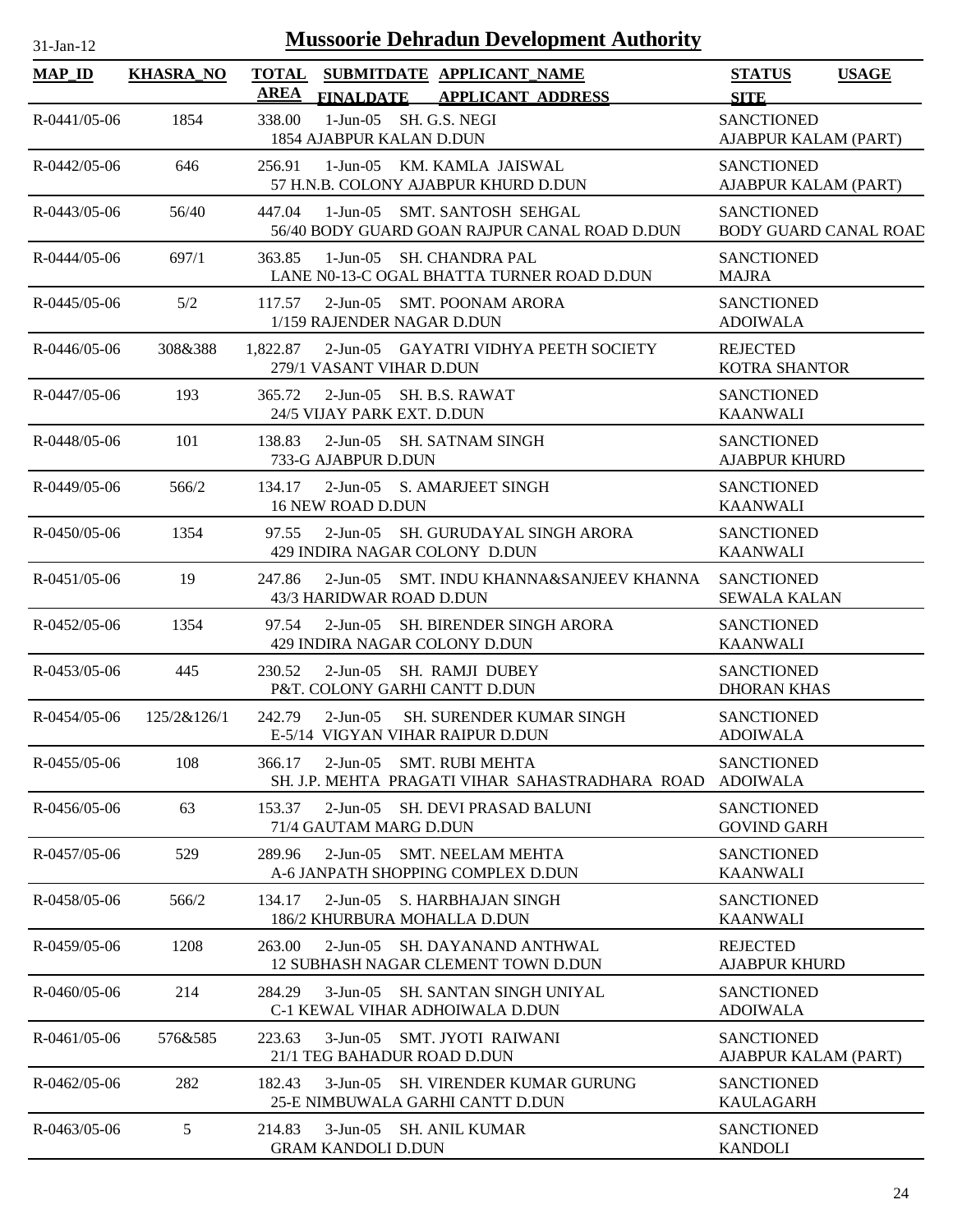| <b>MAP_ID</b>      | <b>KHASRA_NO</b> | <b>TOTAL</b><br>AREA |                                                                        | SUBMITDATE APPLICANT_NAME                                                   | <b>STATUS</b>                                            | <b>USAGE</b> |
|--------------------|------------------|----------------------|------------------------------------------------------------------------|-----------------------------------------------------------------------------|----------------------------------------------------------|--------------|
| $R - 0441/05 - 06$ | 1854             | 338.00               | <b>FINALDATE</b><br>1-Jun-05 SH. G.S. NEGI<br>1854 AJABPUR KALAN D.DUN | <b>APPLICANT ADDRESS</b>                                                    | <b>SITE</b><br><b>SANCTIONED</b><br>AJABPUR KALAM (PART) |              |
| $R - 0442/05 - 06$ | 646              | 256.91               |                                                                        | 1-Jun-05 KM, KAMLA JAISWAL<br>57 H.N.B. COLONY AJABPUR KHURD D.DUN          | <b>SANCTIONED</b><br>AJABPUR KALAM (PART)                |              |
| $R - 0443/05 - 06$ | 56/40            | 447.04               | 1-Jun-05                                                               | <b>SMT. SANTOSH SEHGAL</b><br>56/40 BODY GUARD GOAN RAJPUR CANAL ROAD D.DUN | <b>SANCTIONED</b><br><b>BODY GUARD CANAL ROAD</b>        |              |
| R-0444/05-06       | 697/1            | 363.85               | $1-J$ un- $05$                                                         | SH. CHANDRA PAL<br>LANE N0-13-C OGAL BHATTA TURNER ROAD D.DUN               | <b>SANCTIONED</b><br><b>MAJRA</b>                        |              |
| $R - 0445/05 - 06$ | 5/2              | 117.57               | 1/159 RAJENDER NAGAR D.DUN                                             | 2-Jun-05 SMT. POONAM ARORA                                                  | <b>SANCTIONED</b><br><b>ADOIWALA</b>                     |              |
| $R - 0446/05 - 06$ | 308&388          | 1,822.87             | 279/1 VASANT VIHAR D.DUN                                               | 2-Jun-05 GAYATRI VIDHYA PEETH SOCIETY                                       | <b>REJECTED</b><br><b>KOTRA SHANTOR</b>                  |              |
| R-0447/05-06       | 193              | 365.72               | 2-Jun-05 SH, B.S. RAWAT<br>24/5 VIJAY PARK EXT. D.DUN                  |                                                                             | <b>SANCTIONED</b><br><b>KAANWALI</b>                     |              |
| R-0448/05-06       | 101              | 138.83               | 733-G AJABPUR D.DUN                                                    | 2-Jun-05 SH. SATNAM SINGH                                                   | <b>SANCTIONED</b><br><b>AJABPUR KHURD</b>                |              |
| R-0449/05-06       | 566/2            | 134.17               | 16 NEW ROAD D.DUN                                                      | 2-Jun-05 S. AMARJEET SINGH                                                  | <b>SANCTIONED</b><br><b>KAANWALI</b>                     |              |
| $R - 0450/05 - 06$ | 1354             | 97.55                | $2$ -Jun-05                                                            | SH. GURUDAYAL SINGH ARORA<br>429 INDIRA NAGAR COLONY D.DUN                  | <b>SANCTIONED</b><br><b>KAANWALI</b>                     |              |
| $R - 0451/05 - 06$ | 19               | 247.86               | 43/3 HARIDWAR ROAD D.DUN                                               | 2-Jun-05 SMT. INDU KHANNA&SANJEEV KHANNA                                    | <b>SANCTIONED</b><br><b>SEWALA KALAN</b>                 |              |
| R-0452/05-06       | 1354             | 97.54                | $2$ -Jun-05                                                            | SH. BIRENDER SINGH ARORA<br>429 INDIRA NAGAR COLONY D.DUN                   | <b>SANCTIONED</b><br><b>KAANWALI</b>                     |              |
| R-0453/05-06       | 445              | 230.52               |                                                                        | 2-Jun-05 SH, RAMJI DUBEY<br>P&T. COLONY GARHI CANTT D.DUN                   | <b>SANCTIONED</b><br><b>DHORAN KHAS</b>                  |              |
| $R - 0454/05 - 06$ | 125/2&126/1      | 242.79               | $2-Jun-05$                                                             | <b>SH. SURENDER KUMAR SINGH</b><br>E-5/14 VIGYAN VIHAR RAIPUR D.DUN         | <b>SANCTIONED</b><br><b>ADOIWALA</b>                     |              |
| R-0455/05-06       | 108              | 366.17               | $2-Jun-05$                                                             | <b>SMT. RUBI MEHTA</b><br>SH. J.P. MEHTA PRAGATI VIHAR SAHASTRADHARA ROAD   | <b>SANCTIONED</b><br><b>ADOIWALA</b>                     |              |
| R-0456/05-06       | 63               | 153.37               | $2-Jun-05$<br>71/4 GAUTAM MARG D.DUN                                   | <b>SH. DEVI PRASAD BALUNI</b>                                               | <b>SANCTIONED</b><br><b>GOVIND GARH</b>                  |              |
| R-0457/05-06       | 529              | 289.96               | $2-Jun-05$                                                             | <b>SMT. NEELAM MEHTA</b><br>A-6 JANPATH SHOPPING COMPLEX D.DUN              | <b>SANCTIONED</b><br><b>KAANWALI</b>                     |              |
| R-0458/05-06       | 566/2            | 134.17               | $2$ -Jun- $05$                                                         | S. HARBHAJAN SINGH<br>186/2 KHURBURA MOHALLA D.DUN                          | <b>SANCTIONED</b><br><b>KAANWALI</b>                     |              |
| R-0459/05-06       | 1208             | 263.00               | $2-Jun-05$                                                             | <b>SH. DAYANAND ANTHWAL</b><br>12 SUBHASH NAGAR CLEMENT TOWN D.DUN          | <b>REJECTED</b><br><b>AJABPUR KHURD</b>                  |              |
| R-0460/05-06       | 214              | 284.29               | $3$ -Jun-05                                                            | <b>SH. SANTAN SINGH UNIYAL</b><br>C-1 KEWAL VIHAR ADHOIWALA D.DUN           | <b>SANCTIONED</b><br><b>ADOIWALA</b>                     |              |
| $R - 0461/05 - 06$ | 576&585          | 223.63               | $3-Jun-05$<br>21/1 TEG BAHADUR ROAD D.DUN                              | <b>SMT. JYOTI RAIWANI</b>                                                   | <b>SANCTIONED</b><br>AJABPUR KALAM (PART)                |              |
| R-0462/05-06       | 282              | 182.43               | $3$ -Jun-05                                                            | <b>SH. VIRENDER KUMAR GURUNG</b><br>25-E NIMBUWALA GARHI CANTT D.DUN        | <b>SANCTIONED</b><br><b>KAULAGARH</b>                    |              |
| R-0463/05-06       | 5                | 214.83               | $3-Jun-05$<br><b>GRAM KANDOLI D.DUN</b>                                | SH. ANIL KUMAR                                                              | <b>SANCTIONED</b><br><b>KANDOLI</b>                      |              |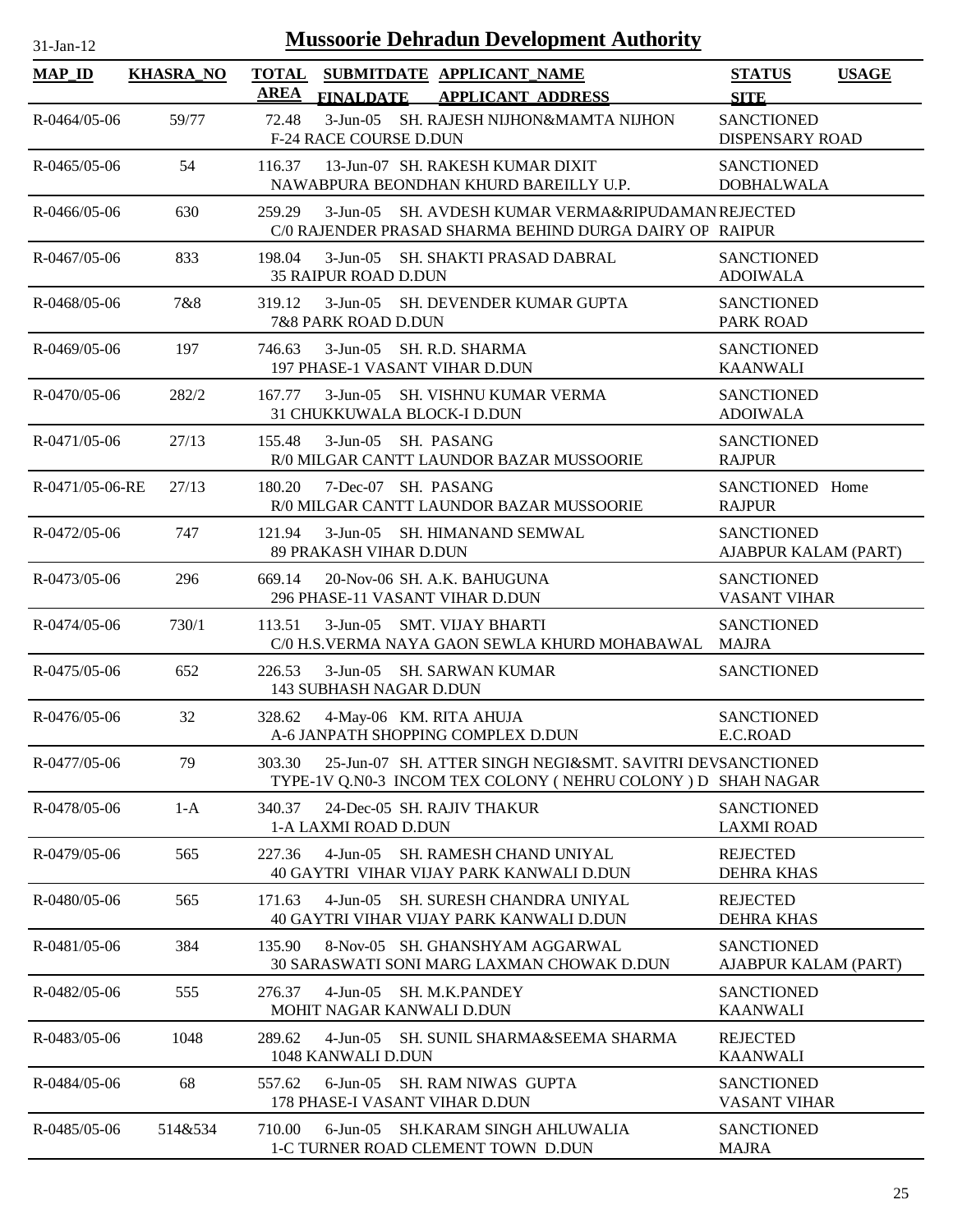| $31$ -Jan-12          |                  |                             | <b>Mussoorie Dehradun Development Authority</b>                                                                          |                                             |              |
|-----------------------|------------------|-----------------------------|--------------------------------------------------------------------------------------------------------------------------|---------------------------------------------|--------------|
| <b>MAP_ID</b>         | <b>KHASRA_NO</b> | <b>TOTAL</b><br><b>AREA</b> | SUBMITDATE APPLICANT_NAME<br><b>FINALDATE</b><br><b>APPLICANT ADDRESS</b>                                                | <b>STATUS</b><br><b>SITE</b>                | <b>USAGE</b> |
| $R - 0464/05 - 06$    | 59/77            | 72.48                       | 3-Jun-05 SH. RAJESH NIJHON&MAMTA NIJHON<br><b>F-24 RACE COURSE D.DUN</b>                                                 | <b>SANCTIONED</b><br><b>DISPENSARY ROAD</b> |              |
| $R - 0.465/05 - 0.6$  | 54               | 116.37                      | 13-Jun-07 SH. RAKESH KUMAR DIXIT<br>NAWABPURA BEONDHAN KHURD BAREILLY U.P.                                               | <b>SANCTIONED</b><br><b>DOBHALWALA</b>      |              |
| R-0466/05-06          | 630              | 259.29                      | 3-Jun-05 SH. AVDESH KUMAR VERMA&RIPUDAMAN REJECTED<br>C/0 RAJENDER PRASAD SHARMA BEHIND DURGA DAIRY OF RAIPUR            |                                             |              |
| $R - 0.467/0.5 - 0.6$ | 833              | 198.04                      | 3-Jun-05 SH. SHAKTI PRASAD DABRAL<br>35 RAIPUR ROAD D.DUN                                                                | <b>SANCTIONED</b><br><b>ADOIWALA</b>        |              |
| R-0468/05-06          | 7&8              | 319.12                      | 3-Jun-05 SH. DEVENDER KUMAR GUPTA<br>7&8 PARK ROAD D.DUN                                                                 | <b>SANCTIONED</b><br><b>PARK ROAD</b>       |              |
| R-0469/05-06          | 197              | 746.63                      | 3-Jun-05 SH, R.D. SHARMA<br>197 PHASE-1 VASANT VIHAR D.DUN                                                               | <b>SANCTIONED</b><br><b>KAANWALI</b>        |              |
| $R - 0470/05 - 06$    | 282/2            | 167.77                      | 3-Jun-05 SH. VISHNU KUMAR VERMA<br>31 CHUKKUWALA BLOCK-I D.DUN                                                           | <b>SANCTIONED</b><br><b>ADOIWALA</b>        |              |
| $R-0471/05-06$        | 27/13            | 155.48                      | 3-Jun-05 SH. PASANG<br>R/0 MILGAR CANTT LAUNDOR BAZAR MUSSOORIE                                                          | <b>SANCTIONED</b><br><b>RAJPUR</b>          |              |
| R-0471/05-06-RE       | 27/13            | 180.20                      | 7-Dec-07 SH, PASANG<br>R/0 MILGAR CANTT LAUNDOR BAZAR MUSSOORIE                                                          | SANCTIONED Home<br><b>RAJPUR</b>            |              |
| R-0472/05-06          | 747              | 121.94                      | 3-Jun-05 SH. HIMANAND SEMWAL<br>89 PRAKASH VIHAR D.DUN                                                                   | <b>SANCTIONED</b><br>AJABPUR KALAM (PART)   |              |
| $R - 0473/05 - 06$    | 296              | 669.14                      | 20-Nov-06 SH. A.K. BAHUGUNA<br>296 PHASE-11 VASANT VIHAR D.DUN                                                           | <b>SANCTIONED</b><br><b>VASANT VIHAR</b>    |              |
| R-0474/05-06          | 730/1            | 113.51                      | 3-Jun-05 SMT. VIJAY BHARTI<br>C/0 H.S.VERMA NAYA GAON SEWLA KHURD MOHABAWAL MAJRA                                        | <b>SANCTIONED</b>                           |              |
| $R - 0475/05 - 06$    | 652              | 226.53                      | 3-Jun-05 SH. SARWAN KUMAR<br>143 SUBHASH NAGAR D.DUN                                                                     | <b>SANCTIONED</b>                           |              |
| $R - 0476/05 - 06$    | 32               | 328.62                      | 4-May-06 KM. RITA AHUJA<br>A-6 JANPATH SHOPPING COMPLEX D.DUN                                                            | <b>SANCTIONED</b><br>E.C.ROAD               |              |
| R-0477/05-06          | 79               | 303.30                      | 25-Jun-07 SH. ATTER SINGH NEGI&SMT. SAVITRI DEVSANCTIONED<br>TYPE-1V Q.N0-3 INCOM TEX COLONY (NEHRU COLONY) D SHAH NAGAR |                                             |              |
| R-0478/05-06          | $1-A$            | 340.37                      | 24-Dec-05 SH. RAJIV THAKUR<br>1-A LAXMI ROAD D.DUN                                                                       | <b>SANCTIONED</b><br><b>LAXMI ROAD</b>      |              |
| R-0479/05-06          | 565              | 227.36                      | 4-Jun-05 SH. RAMESH CHAND UNIYAL<br>40 GAYTRI VIHAR VIJAY PARK KANWALI D.DUN                                             | <b>REJECTED</b><br><b>DEHRA KHAS</b>        |              |
| R-0480/05-06          | 565              | 171.63                      | 4-Jun-05 SH. SURESH CHANDRA UNIYAL<br>40 GAYTRI VIHAR VIJAY PARK KANWALI D.DUN                                           | <b>REJECTED</b><br><b>DEHRA KHAS</b>        |              |
| $R - 0481/05 - 06$    | 384              | 135.90                      | 8-Nov-05 SH. GHANSHYAM AGGARWAL<br>30 SARASWATI SONI MARG LAXMAN CHOWAK D.DUN                                            | <b>SANCTIONED</b><br>AJABPUR KALAM (PART)   |              |
| R-0482/05-06          | 555              | 276.37                      | 4-Jun-05 SH. M.K.PANDEY<br>MOHIT NAGAR KANWALI D.DUN                                                                     | <b>SANCTIONED</b><br><b>KAANWALI</b>        |              |
| R-0483/05-06          | 1048             | 289.62                      | 4-Jun-05 SH. SUNIL SHARMA&SEEMA SHARMA<br>1048 KANWALI D.DUN                                                             | <b>REJECTED</b><br><b>KAANWALI</b>          |              |
| R-0484/05-06          | 68               | 557.62                      | 6-Jun-05 SH. RAM NIWAS GUPTA<br>178 PHASE-I VASANT VIHAR D.DUN                                                           | <b>SANCTIONED</b><br><b>VASANT VIHAR</b>    |              |
| R-0485/05-06          | 514&534          | 710.00                      | 6-Jun-05 SH.KARAM SINGH AHLUWALIA<br>1-C TURNER ROAD CLEMENT TOWN D.DUN                                                  | <b>SANCTIONED</b><br><b>MAJRA</b>           |              |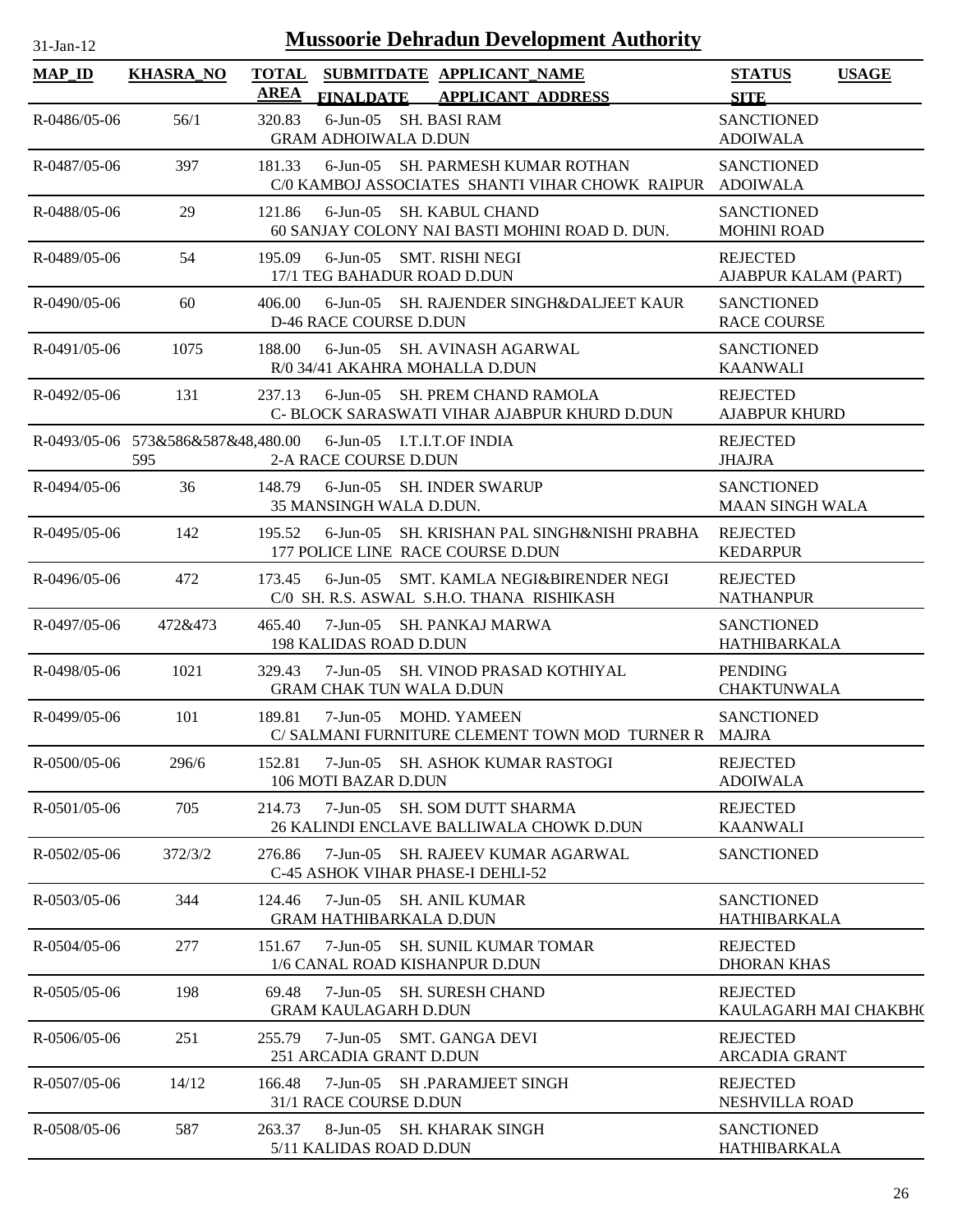| $31$ -Jan-12 |  |
|--------------|--|

| <b>MAP_ID</b>      | <b>KHASRA_NO</b> | <b>TOTAL</b><br><b>AREA</b> | SUBMITDATE APPLICANT NAME<br><b>FINALDATE</b><br><b>APPLICANT ADDRESS</b>                     | <b>USAGE</b><br><b>STATUS</b><br><b>SITE</b> |
|--------------------|------------------|-----------------------------|-----------------------------------------------------------------------------------------------|----------------------------------------------|
| $R - 0486/05 - 06$ | 56/1             | 320.83                      | 6-Jun-05 SH. BASI RAM<br><b>GRAM ADHOIWALA D.DUN</b>                                          | <b>SANCTIONED</b><br><b>ADOIWALA</b>         |
| R-0487/05-06       | 397              | 181.33                      | 6-Jun-05 SH. PARMESH KUMAR ROTHAN<br>C/0 KAMBOJ ASSOCIATES SHANTI VIHAR CHOWK RAIPUR ADOIWALA | <b>SANCTIONED</b>                            |
| R-0488/05-06       | 29               | 121.86                      | 6-Jun-05 SH. KABUL CHAND<br>60 SANJAY COLONY NAI BASTI MOHINI ROAD D. DUN.                    | <b>SANCTIONED</b><br><b>MOHINI ROAD</b>      |
| R-0489/05-06       | 54               | 195.09                      | 6-Jun-05 SMT. RISHI NEGI<br>17/1 TEG BAHADUR ROAD D.DUN                                       | <b>REJECTED</b><br>AJABPUR KALAM (PART)      |
| $R - 0490/05 - 06$ | 60               | 406.00                      | 6-Jun-05 SH. RAJENDER SINGH&DALJEET KAUR<br><b>D-46 RACE COURSE D.DUN</b>                     | <b>SANCTIONED</b><br><b>RACE COURSE</b>      |
| $R-0491/05-06$     | 1075             | 188.00                      | 6-Jun-05 SH. AVINASH AGARWAL<br>R/0 34/41 AKAHRA MOHALLA D.DUN                                | <b>SANCTIONED</b><br><b>KAANWALI</b>         |
| R-0492/05-06       | 131              | 237.13                      | 6-Jun-05 SH. PREM CHAND RAMOLA<br>C- BLOCK SARASWATI VIHAR AJABPUR KHURD D.DUN                | <b>REJECTED</b><br><b>AJABPUR KHURD</b>      |
|                    | 595              |                             | R-0493/05-06 573&586&587&48,480.00 6-Jun-05 I.T.I.T.OF INDIA<br>2-A RACE COURSE D.DUN         | <b>REJECTED</b><br><b>JHAJRA</b>             |
| $R - 0494/05 - 06$ | 36               | 148.79                      | 6-Jun-05 SH. INDER SWARUP<br>35 MANSINGH WALA D.DUN.                                          | <b>SANCTIONED</b><br><b>MAAN SINGH WALA</b>  |
| $R - 0495/05 - 06$ | 142              | 195.52                      | 6-Jun-05 SH. KRISHAN PAL SINGH&NISHI PRABHA<br>177 POLICE LINE RACE COURSE D.DUN              | <b>REJECTED</b><br><b>KEDARPUR</b>           |
| $R - 0496/05 - 06$ | 472              | 173.45                      | 6-Jun-05 SMT. KAMLA NEGI&BIRENDER NEGI<br>C/0 SH. R.S. ASWAL S.H.O. THANA RISHIKASH           | <b>REJECTED</b><br><b>NATHANPUR</b>          |
| R-0497/05-06       | 472&473          | 465.40                      | 7-Jun-05 SH. PANKAJ MARWA<br><b>198 KALIDAS ROAD D.DUN</b>                                    | <b>SANCTIONED</b><br>HATHIBARKALA            |
| R-0498/05-06       | 1021             | 329.43                      | 7-Jun-05 SH. VINOD PRASAD KOTHIYAL<br><b>GRAM CHAK TUN WALA D.DUN</b>                         | <b>PENDING</b><br><b>CHAKTUNWALA</b>         |
| R-0499/05-06       | 101              | 189.81                      | 7-Jun-05 MOHD. YAMEEN<br>C/ SALMANI FURNITURE CLEMENT TOWN MOD TURNER R MAJRA                 | <b>SANCTIONED</b>                            |
| $R - 0500/05 - 06$ | 296/6            | 152.81                      | 7-Jun-05 SH. ASHOK KUMAR RASTOGI<br>106 MOTI BAZAR D.DUN                                      | <b>REJECTED</b><br><b>ADOIWALA</b>           |
| $R - 0501/05 - 06$ | 705              | 214.73                      | 7-Jun-05<br><b>SH. SOM DUTT SHARMA</b><br>26 KALINDI ENCLAVE BALLIWALA CHOWK D.DUN            | <b>REJECTED</b><br><b>KAANWALI</b>           |
| $R - 0502/05 - 06$ | 372/3/2          | 276.86                      | $7-Jun-05$<br><b>SH. RAJEEV KUMAR AGARWAL</b><br>C-45 ASHOK VIHAR PHASE-I DEHLI-52            | <b>SANCTIONED</b>                            |
| $R - 0503/05 - 06$ | 344              | 124.46                      | 7-Jun-05 SH, ANIL KUMAR<br><b>GRAM HATHIBARKALA D.DUN</b>                                     | <b>SANCTIONED</b><br>HATHIBARKALA            |
| $R - 0504/05 - 06$ | 277              | 151.67                      | 7-Jun-05<br><b>SH. SUNIL KUMAR TOMAR</b><br>1/6 CANAL ROAD KISHANPUR D.DUN                    | <b>REJECTED</b><br><b>DHORAN KHAS</b>        |
| R-0505/05-06       | 198              | 69.48                       | SH. SURESH CHAND<br>7-Jun-05<br><b>GRAM KAULAGARH D.DUN</b>                                   | <b>REJECTED</b><br>KAULAGARH MAI CHAKBH(     |
| $R - 0506/05 - 06$ | 251              | 255.79                      | 7-Jun-05<br>SMT. GANGA DEVI<br>251 ARCADIA GRANT D.DUN                                        | <b>REJECTED</b><br><b>ARCADIA GRANT</b>      |
| $R - 0507/05 - 06$ | 14/12            | 166.48                      | 7-Jun-05 SH .PARAMJEET SINGH<br>31/1 RACE COURSE D.DUN                                        | <b>REJECTED</b><br>NESHVILLA ROAD            |
| R-0508/05-06       | 587              | 263.37                      | 8-Jun-05 SH, KHARAK SINGH<br>5/11 KALIDAS ROAD D.DUN                                          | <b>SANCTIONED</b><br>HATHIBARKALA            |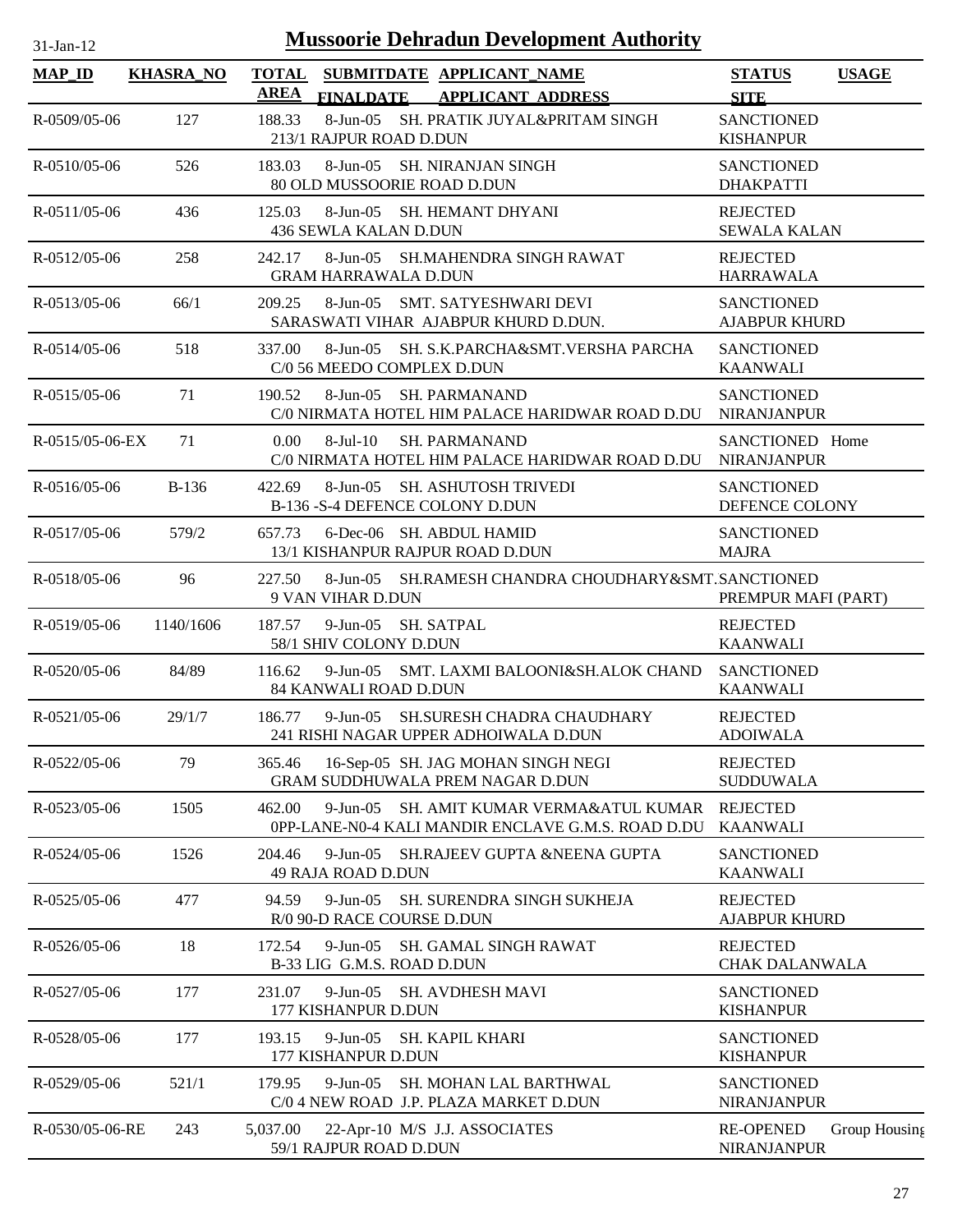| $31$ -Jan-12        | <b>Mussoorie Dehradun Development Authority</b> |                             |                                                                                                      |                                           |               |  |
|---------------------|-------------------------------------------------|-----------------------------|------------------------------------------------------------------------------------------------------|-------------------------------------------|---------------|--|
| $MAP$ <sub>ID</sub> | <b>KHASRA_NO</b>                                | <b>TOTAL</b><br><b>AREA</b> | SUBMITDATE APPLICANT NAME<br><b>FINALDATE</b><br><b>APPLICANT ADDRESS</b>                            | <b>STATUS</b><br><b>SITE</b>              | <b>USAGE</b>  |  |
| R-0509/05-06        | 127                                             | 188.33                      | 8-Jun-05 SH. PRATIK JUYAL&PRITAM SINGH<br>213/1 RAJPUR ROAD D.DUN                                    | <b>SANCTIONED</b><br><b>KISHANPUR</b>     |               |  |
| $R - 0510/05 - 06$  | 526                                             | 183.03                      | 8-Jun-05 SH. NIRANJAN SINGH<br>80 OLD MUSSOORIE ROAD D.DUN                                           | <b>SANCTIONED</b><br><b>DHAKPATTI</b>     |               |  |
| $R - 0511/05 - 06$  | 436                                             | 125.03                      | 8-Jun-05 SH. HEMANT DHYANI<br>436 SEWLA KALAN D.DUN                                                  | <b>REJECTED</b><br><b>SEWALA KALAN</b>    |               |  |
| $R - 0512/05 - 06$  | 258                                             | 242.17                      | 8-Jun-05 SH.MAHENDRA SINGH RAWAT<br><b>GRAM HARRAWALA D.DUN</b>                                      | <b>REJECTED</b><br><b>HARRAWALA</b>       |               |  |
| R-0513/05-06        | 66/1                                            | 209.25                      | 8-Jun-05 SMT. SATYESHWARI DEVI<br>SARASWATI VIHAR AJABPUR KHURD D.DUN.                               | <b>SANCTIONED</b><br><b>AJABPUR KHURD</b> |               |  |
| $R - 0514/05 - 06$  | 518                                             | 337.00                      | 8-Jun-05 SH. S.K.PARCHA&SMT.VERSHA PARCHA<br>C/0 56 MEEDO COMPLEX D.DUN                              | <b>SANCTIONED</b><br><b>KAANWALI</b>      |               |  |
| $R - 0515/05 - 06$  | 71                                              | 190.52                      | 8-Jun-05 SH. PARMANAND<br>C/0 NIRMATA HOTEL HIM PALACE HARIDWAR ROAD D.DU                            | <b>SANCTIONED</b><br><b>NIRANJANPUR</b>   |               |  |
| R-0515/05-06-EX     | 71                                              | 0.00                        | <b>SH. PARMANAND</b><br>$8-Jul-10$<br>C/0 NIRMATA HOTEL HIM PALACE HARIDWAR ROAD D.DU                | SANCTIONED Home<br><b>NIRANJANPUR</b>     |               |  |
| $R - 0516/05 - 06$  | $B-136$                                         | 422.69                      | 8-Jun-05 SH. ASHUTOSH TRIVEDI<br>B-136 -S-4 DEFENCE COLONY D.DUN                                     | <b>SANCTIONED</b><br>DEFENCE COLONY       |               |  |
| $R - 0517/05 - 06$  | 579/2                                           | 657.73                      | 6-Dec-06 SH. ABDUL HAMID<br>13/1 KISHANPUR RAJPUR ROAD D.DUN                                         | <b>SANCTIONED</b><br><b>MAJRA</b>         |               |  |
| $R - 0518/05 - 06$  | 96                                              | 227.50                      | 8-Jun-05 SH.RAMESH CHANDRA CHOUDHARY&SMT.SANCTIONED<br>9 VAN VIHAR D.DUN                             | PREMPUR MAFI (PART)                       |               |  |
| R-0519/05-06        | 1140/1606                                       | 187.57                      | 9-Jun-05 SH. SATPAL<br>58/1 SHIV COLONY D.DUN                                                        | <b>REJECTED</b><br><b>KAANWALI</b>        |               |  |
| $R - 0520/05 - 06$  | 84/89                                           | 116.62                      | 9-Jun-05 SMT. LAXMI BALOONI&SH.ALOK CHAND<br>84 KANWALI ROAD D.DUN                                   | <b>SANCTIONED</b><br><b>KAANWALI</b>      |               |  |
| $R - 0521/05 - 06$  | 29/1/7                                          | 186.77                      | 9-Jun-05 SH.SURESH CHADRA CHAUDHARY<br>241 RISHI NAGAR UPPER ADHOIWALA D.DUN                         | <b>REJECTED</b><br><b>ADOIWALA</b>        |               |  |
| R-0522/05-06        | 79                                              | 365.46                      | 16-Sep-05 SH. JAG MOHAN SINGH NEGI<br>GRAM SUDDHUWALA PREM NAGAR D.DUN                               | <b>REJECTED</b><br><b>SUDDUWALA</b>       |               |  |
| R-0523/05-06        | 1505                                            | 462.00                      | $9$ -Jun-05<br>SH. AMIT KUMAR VERMA&ATUL KUMAR<br>0PP-LANE-N0-4 KALI MANDIR ENCLAVE G.M.S. ROAD D.DU | <b>REJECTED</b><br><b>KAANWALI</b>        |               |  |
| R-0524/05-06        | 1526                                            | 204.46                      | 9-Jun-05 SH.RAJEEV GUPTA &NEENA GUPTA<br>49 RAJA ROAD D.DUN                                          | <b>SANCTIONED</b><br><b>KAANWALI</b>      |               |  |
| R-0525/05-06        | 477                                             | 94.59                       | 9-Jun-05 SH. SURENDRA SINGH SUKHEJA<br>R/0 90-D RACE COURSE D.DUN                                    | <b>REJECTED</b><br><b>AJABPUR KHURD</b>   |               |  |
| R-0526/05-06        | 18                                              | 172.54                      | 9-Jun-05 SH. GAMAL SINGH RAWAT<br>B-33 LIG G.M.S. ROAD D.DUN                                         | <b>REJECTED</b><br>CHAK DALANWALA         |               |  |
| R-0527/05-06        | 177                                             | 231.07                      | 9-Jun-05 SH. AVDHESH MAVI<br>177 KISHANPUR D.DUN                                                     | <b>SANCTIONED</b><br><b>KISHANPUR</b>     |               |  |
| R-0528/05-06        | 177                                             | 193.15                      | 9-Jun-05 SH. KAPIL KHARI<br>177 KISHANPUR D.DUN                                                      | <b>SANCTIONED</b><br><b>KISHANPUR</b>     |               |  |
| R-0529/05-06        | 521/1                                           | 179.95                      | 9-Jun-05 SH. MOHAN LAL BARTHWAL<br>C/0 4 NEW ROAD J.P. PLAZA MARKET D.DUN                            | <b>SANCTIONED</b><br><b>NIRANJANPUR</b>   |               |  |
| R-0530/05-06-RE     | 243                                             | 5,037.00                    | 22-Apr-10 M/S J.J. ASSOCIATES<br>59/1 RAJPUR ROAD D.DUN                                              | <b>RE-OPENED</b><br>NIRANJANPUR           | Group Housing |  |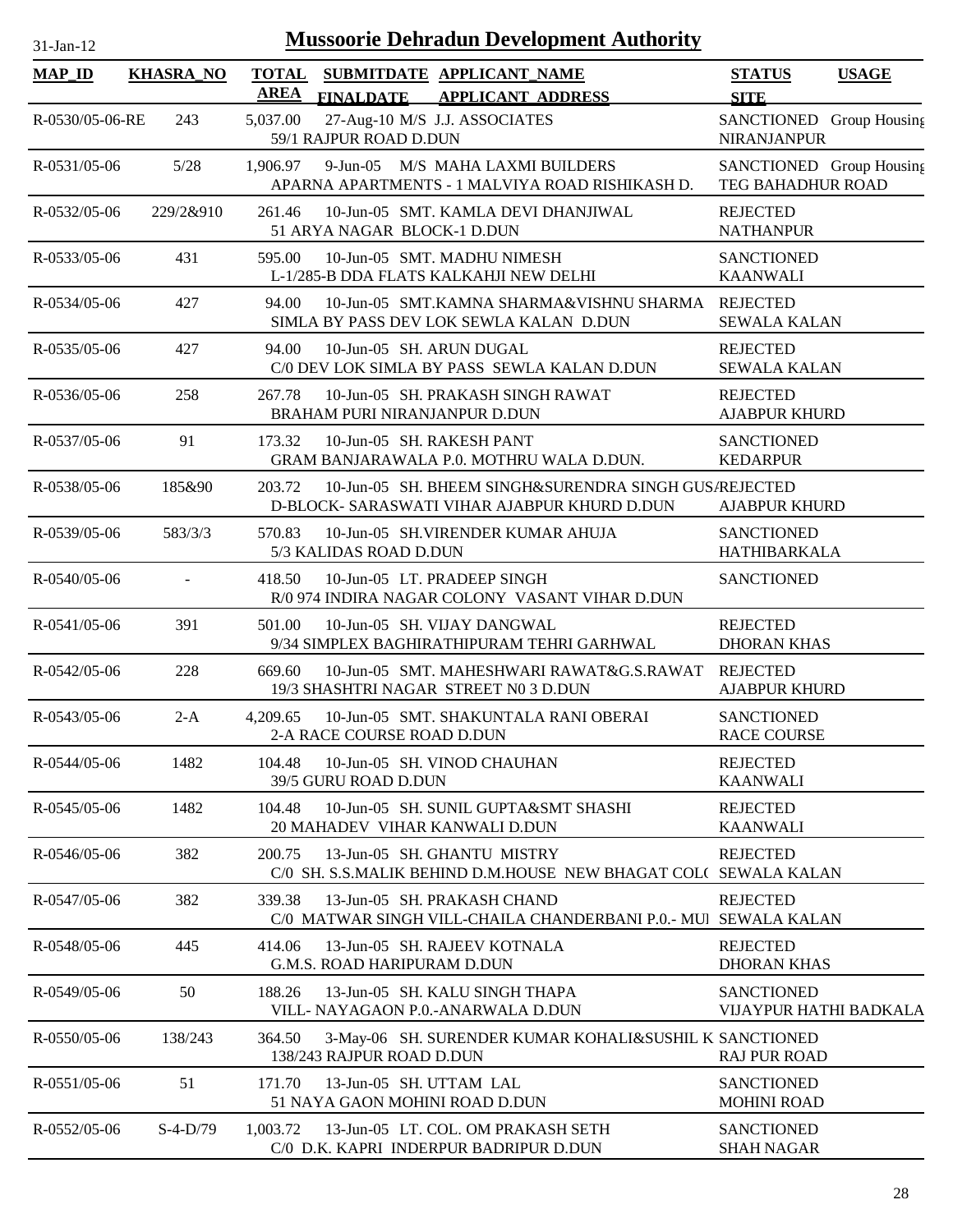| $31$ -Jan-12          |                  |                             |                             | <b>Mussoorie Dehradun Development Authority</b>                                                       |                                                |              |
|-----------------------|------------------|-----------------------------|-----------------------------|-------------------------------------------------------------------------------------------------------|------------------------------------------------|--------------|
| <b>MAP_ID</b>         | <b>KHASRA_NO</b> | <b>TOTAL</b><br><b>AREA</b> |                             | SUBMITDATE APPLICANT_NAME<br>FINALDATE APPLICANT ADDRESS                                              | <b>STATUS</b><br><b>SITE</b>                   | <b>USAGE</b> |
| R-0530/05-06-RE       | 243              | 5,037.00                    | 59/1 RAJPUR ROAD D.DUN      | 27-Aug-10 M/S J.J. ASSOCIATES                                                                         | SANCTIONED Group Housing<br><b>NIRANJANPUR</b> |              |
| $R - 0531/05 - 06$    | $5/28$           |                             |                             | 1,906.97 9-Jun-05 M/S MAHA LAXMI BUILDERS<br>APARNA APARTMENTS - 1 MALVIYA ROAD RISHIKASH D.          | SANCTIONED Group Housing<br>TEG BAHADHUR ROAD  |              |
| R-0532/05-06          | 229/2&910        | 261.46                      | 51 ARYA NAGAR BLOCK-1 D.DUN | 10-Jun-05 SMT. KAMLA DEVI DHANJIWAL                                                                   | <b>REJECTED</b><br><b>NATHANPUR</b>            |              |
| R-0533/05-06          | 431              | 595.00                      |                             | 10-Jun-05 SMT. MADHU NIMESH<br>L-1/285-B DDA FLATS KALKAHJI NEW DELHI                                 | <b>SANCTIONED</b><br><b>KAANWALI</b>           |              |
| R-0534/05-06          | 427              | 94.00                       |                             | 10-Jun-05 SMT.KAMNA SHARMA&VISHNU SHARMA REJECTED<br>SIMLA BY PASS DEV LOK SEWLA KALAN D.DUN          | <b>SEWALA KALAN</b>                            |              |
| R-0535/05-06          | 427              | 94.00                       |                             | 10-Jun-05 SH. ARUN DUGAL<br>C/0 DEV LOK SIMLA BY PASS SEWLA KALAN D.DUN                               | <b>REJECTED</b><br><b>SEWALA KALAN</b>         |              |
| $R - 0.536/0.5 - 0.6$ | 258              | 267.78                      |                             | 10-Jun-05 SH. PRAKASH SINGH RAWAT<br>BRAHAM PURI NIRANJANPUR D.DUN                                    | <b>REJECTED</b><br><b>AJABPUR KHURD</b>        |              |
| R-0537/05-06          | 91               | 173.32                      |                             | 10-Jun-05 SH. RAKESH PANT<br>GRAM BANJARAWALA P.0. MOTHRU WALA D.DUN.                                 | <b>SANCTIONED</b><br><b>KEDARPUR</b>           |              |
| R-0538/05-06          | 185&90           | 203.72                      |                             | 10-Jun-05 SH. BHEEM SINGH&SURENDRA SINGH GUS/REJECTED<br>D-BLOCK- SARASWATI VIHAR AJABPUR KHURD D.DUN | <b>AJABPUR KHURD</b>                           |              |
| $R - 0539/05 - 06$    | 583/3/3          | 570.83                      | 5/3 KALIDAS ROAD D.DUN      | 10-Jun-05 SH.VIRENDER KUMAR AHUJA                                                                     | <b>SANCTIONED</b><br><b>HATHIBARKALA</b>       |              |
| $R - 0540/05 - 06$    | $\blacksquare$   | 418.50                      |                             | 10-Jun-05 LT. PRADEEP SINGH<br>R/0 974 INDIRA NAGAR COLONY VASANT VIHAR D.DUN                         | <b>SANCTIONED</b>                              |              |
| $R - 0541/05 - 06$    | 391              | 501.00                      |                             | 10-Jun-05 SH. VIJAY DANGWAL<br>9/34 SIMPLEX BAGHIRATHIPURAM TEHRI GARHWAL                             | <b>REJECTED</b><br><b>DHORAN KHAS</b>          |              |
| R-0542/05-06          | 228              | 669.60                      |                             | 10-Jun-05 SMT. MAHESHWARI RAWAT&G.S.RAWAT<br>19/3 SHASHTRI NAGAR STREET N0 3 D.DUN                    | <b>REJECTED</b><br><b>AJABPUR KHURD</b>        |              |
| R-0543/05-06          | $2-A$            | 4,209.65                    | 2-A RACE COURSE ROAD D.DUN  | 10-Jun-05 SMT. SHAKUNTALA RANI OBERAI                                                                 | <b>SANCTIONED</b><br><b>RACE COURSE</b>        |              |
| R-0544/05-06          | 1482             | 104.48                      | 39/5 GURU ROAD D.DUN        | 10-Jun-05 SH. VINOD CHAUHAN                                                                           | <b>REJECTED</b><br><b>KAANWALI</b>             |              |
| $R - 0545/05 - 06$    | 1482             | 104.48                      |                             | 10-Jun-05 SH. SUNIL GUPTA&SMT SHASHI<br>20 MAHADEV VIHAR KANWALI D.DUN                                | <b>REJECTED</b><br><b>KAANWALI</b>             |              |
| R-0546/05-06          | 382              | 200.75                      |                             | 13-Jun-05 SH. GHANTU MISTRY<br>C/0 SH. S.S.MALIK BEHIND D.M.HOUSE NEW BHAGAT COL( SEWALA KALAN        | <b>REJECTED</b>                                |              |
| R-0547/05-06          | 382              | 339.38                      |                             | 13-Jun-05 SH. PRAKASH CHAND<br>C/0 MATWAR SINGH VILL-CHAILA CHANDERBANI P.0.- MUI SEWALA KALAN        | <b>REJECTED</b>                                |              |
| R-0548/05-06          | 445              | 414.06                      | G.M.S. ROAD HARIPURAM D.DUN | 13-Jun-05 SH. RAJEEV KOTNALA                                                                          | <b>REJECTED</b><br><b>DHORAN KHAS</b>          |              |
| R-0549/05-06          | 50               | 188.26                      |                             | 13-Jun-05 SH. KALU SINGH THAPA<br>VILL- NAYAGAON P.O.-ANARWALA D.DUN                                  | <b>SANCTIONED</b><br>VIJAYPUR HATHI BADKALA    |              |
| R-0550/05-06          | 138/243          | 364.50                      | 138/243 RAJPUR ROAD D.DUN   | 3-May-06 SH. SURENDER KUMAR KOHALI&SUSHIL K SANCTIONED                                                | <b>RAJ PUR ROAD</b>                            |              |
| $R - 0551/05 - 06$    | 51               | 171.70                      | 13-Jun-05 SH. UTTAM LAL     | 51 NAYA GAON MOHINI ROAD D.DUN                                                                        | <b>SANCTIONED</b><br><b>MOHINI ROAD</b>        |              |
| R-0552/05-06          | $S-4-D/79$       | 1,003.72                    |                             | 13-Jun-05 LT. COL. OM PRAKASH SETH<br>C/0 D.K. KAPRI INDERPUR BADRIPUR D.DUN                          | <b>SANCTIONED</b><br><b>SHAH NAGAR</b>         |              |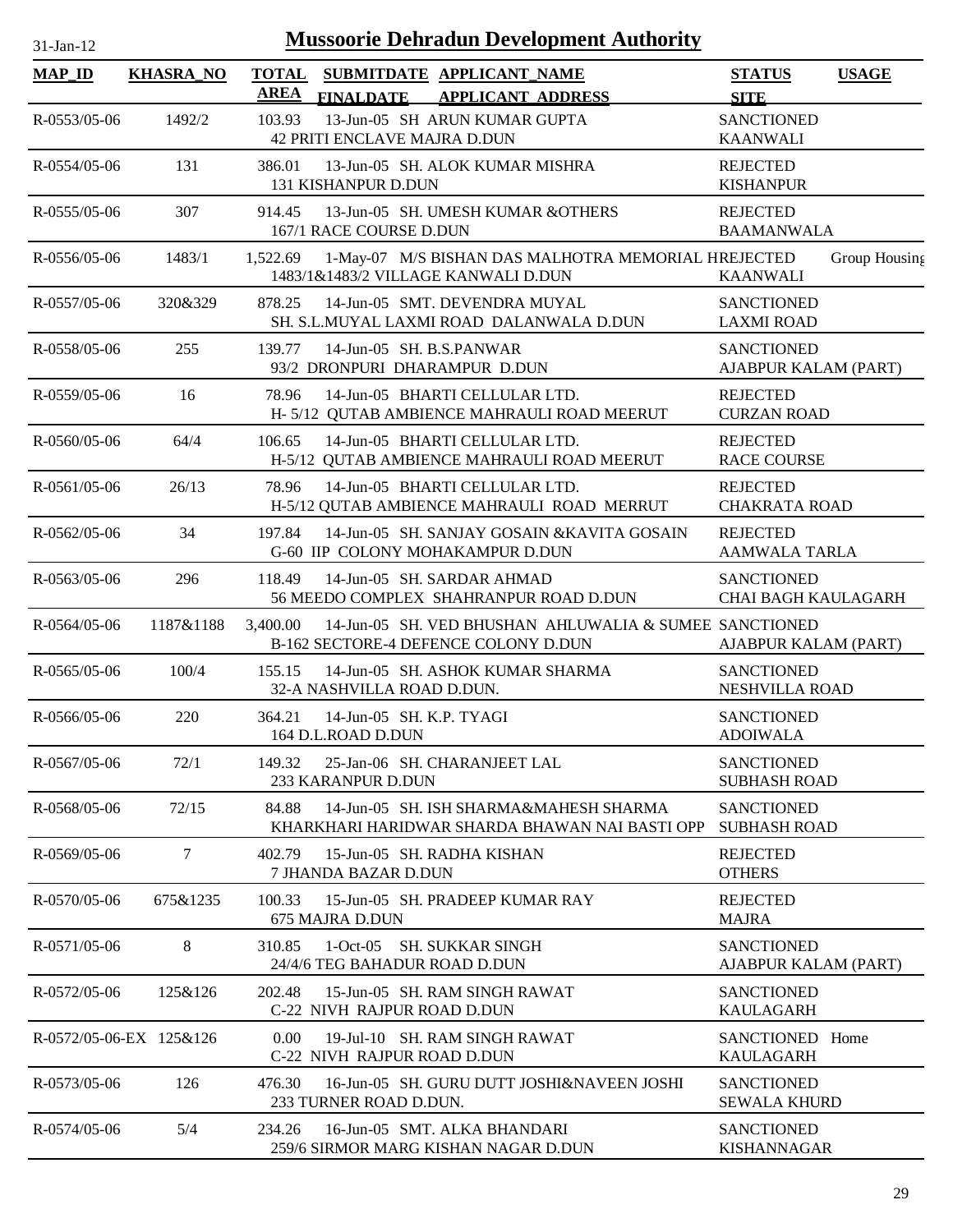| $31$ -Jan-12 |  |
|--------------|--|

| <b>MAP_ID</b>           | <b>KHASRA NO</b> | <b>TOTAL</b><br><b>AREA</b> | SUBMITDATE APPLICANT_NAME                                                                                     | <b>STATUS</b><br><b>USAGE</b>                       |
|-------------------------|------------------|-----------------------------|---------------------------------------------------------------------------------------------------------------|-----------------------------------------------------|
| R-0553/05-06            | 1492/2           | 103.93                      | <b>APPLICANT ADDRESS</b><br><b>FINALDATE</b><br>13-Jun-05 SH ARUN KUMAR GUPTA<br>42 PRITI ENCLAVE MAJRA D.DUN | <b>SITE</b><br><b>SANCTIONED</b><br><b>KAANWALI</b> |
| $R - 0.554/0.5 - 0.6$   | 131              | 386.01                      | 13-Jun-05 SH. ALOK KUMAR MISHRA<br><b>131 KISHANPUR D.DUN</b>                                                 | <b>REJECTED</b><br><b>KISHANPUR</b>                 |
| $R - 0555/05 - 06$      | 307              | 914.45                      | 13-Jun-05 SH. UMESH KUMAR & OTHERS<br>167/1 RACE COURSE D.DUN                                                 | <b>REJECTED</b><br><b>BAAMANWALA</b>                |
| $R - 0556/05 - 06$      | 1483/1           | 1,522.69                    | 1-May-07 M/S BISHAN DAS MALHOTRA MEMORIAL HREJECTED<br>1483/1&1483/2 VILLAGE KANWALI D.DUN                    | Group Housing<br><b>KAANWALI</b>                    |
| $R - 0557/05 - 06$      | 320&329          | 878.25                      | 14-Jun-05 SMT. DEVENDRA MUYAL<br>SH. S.L.MUYAL LAXMI ROAD DALANWALA D.DUN                                     | <b>SANCTIONED</b><br><b>LAXMI ROAD</b>              |
| R-0558/05-06            | 255              | 139.77                      | 14-Jun-05 SH. B.S.PANWAR<br>93/2 DRONPURI DHARAMPUR D.DUN                                                     | <b>SANCTIONED</b><br>AJABPUR KALAM (PART)           |
| R-0559/05-06            | 16               | 78.96                       | 14-Jun-05 BHARTI CELLULAR LTD.<br>H-5/12 QUTAB AMBIENCE MAHRAULI ROAD MEERUT                                  | <b>REJECTED</b><br><b>CURZAN ROAD</b>               |
| $R - 0560/05 - 06$      | 64/4             | 106.65                      | 14-Jun-05 BHARTI CELLULAR LTD.<br>H-5/12 QUTAB AMBIENCE MAHRAULI ROAD MEERUT                                  | <b>REJECTED</b><br><b>RACE COURSE</b>               |
| R-0561/05-06            | 26/13            | 78.96                       | 14-Jun-05 BHARTI CELLULAR LTD.<br>H-5/12 QUTAB AMBIENCE MAHRAULI ROAD MERRUT                                  | <b>REJECTED</b><br><b>CHAKRATA ROAD</b>             |
| R-0562/05-06            | 34               | 197.84                      | 14-Jun-05 SH. SANJAY GOSAIN & KAVITA GOSAIN<br>G-60 IIP COLONY MOHAKAMPUR D.DUN                               | <b>REJECTED</b><br><b>AAMWALA TARLA</b>             |
| $R - 0.563/05 - 06$     | 296              | 118.49                      | 14-Jun-05 SH. SARDAR AHMAD<br>56 MEEDO COMPLEX SHAHRANPUR ROAD D.DUN                                          | <b>SANCTIONED</b><br><b>CHAI BAGH KAULAGARH</b>     |
| $R - 0564/05 - 06$      | 1187&1188        | 3,400.00                    | 14-Jun-05 SH. VED BHUSHAN AHLUWALIA & SUMEE SANCTIONED<br>B-162 SECTORE-4 DEFENCE COLONY D.DUN                | AJABPUR KALAM (PART)                                |
| $R - 0.565/05 - 0.6$    | 100/4            | 155.15                      | 14-Jun-05 SH. ASHOK KUMAR SHARMA<br>32-A NASHVILLA ROAD D.DUN.                                                | <b>SANCTIONED</b><br>NESHVILLA ROAD                 |
| $R - 0566/05 - 06$      | 220              | 364.21                      | 14-Jun-05 SH. K.P. TYAGI<br>164 D.L.ROAD D.DUN                                                                | <b>SANCTIONED</b><br><b>ADOIWALA</b>                |
| R-0567/05-06            | 72/1             | 149.32                      | 25-Jan-06 SH. CHARANJEET LAL<br>233 KARANPUR D.DUN                                                            | <b>SANCTIONED</b><br><b>SUBHASH ROAD</b>            |
| $R - 0.568/0.5 - 0.6$   | 72/15            | 84.88                       | 14-Jun-05 SH. ISH SHARMA&MAHESH SHARMA<br>KHARKHARI HARIDWAR SHARDA BHAWAN NAI BASTI OPP                      | <b>SANCTIONED</b><br><b>SUBHASH ROAD</b>            |
| $R - 0.569/0.5 - 0.6$   | 7                | 402.79                      | 15-Jun-05 SH, RADHA KISHAN<br>7 JHANDA BAZAR D.DUN                                                            | <b>REJECTED</b><br><b>OTHERS</b>                    |
| R-0570/05-06            | 675&1235         | 100.33                      | 15-Jun-05 SH. PRADEEP KUMAR RAY<br>675 MAJRA D.DUN                                                            | <b>REJECTED</b><br><b>MAJRA</b>                     |
| R-0571/05-06            | 8                | 310.85                      | 1-Oct-05 SH, SUKKAR SINGH<br>24/4/6 TEG BAHADUR ROAD D.DUN                                                    | <b>SANCTIONED</b><br>AJABPUR KALAM (PART)           |
| R-0572/05-06            | 125&126          | 202.48                      | 15-Jun-05 SH. RAM SINGH RAWAT<br>C-22 NIVH RAJPUR ROAD D.DUN                                                  | <b>SANCTIONED</b><br><b>KAULAGARH</b>               |
| R-0572/05-06-EX 125&126 |                  | 0.00 <sub>1</sub>           | 19-Jul-10 SH. RAM SINGH RAWAT<br>C-22 NIVH RAJPUR ROAD D.DUN                                                  | SANCTIONED Home<br><b>KAULAGARH</b>                 |
| R-0573/05-06            | 126              | 476.30                      | 16-Jun-05 SH. GURU DUTT JOSHI&NAVEEN JOSHI<br>233 TURNER ROAD D.DUN.                                          | <b>SANCTIONED</b><br><b>SEWALA KHURD</b>            |
| R-0574/05-06            | 5/4              | 234.26                      | 16-Jun-05 SMT. ALKA BHANDARI<br>259/6 SIRMOR MARG KISHAN NAGAR D.DUN                                          | <b>SANCTIONED</b><br><b>KISHANNAGAR</b>             |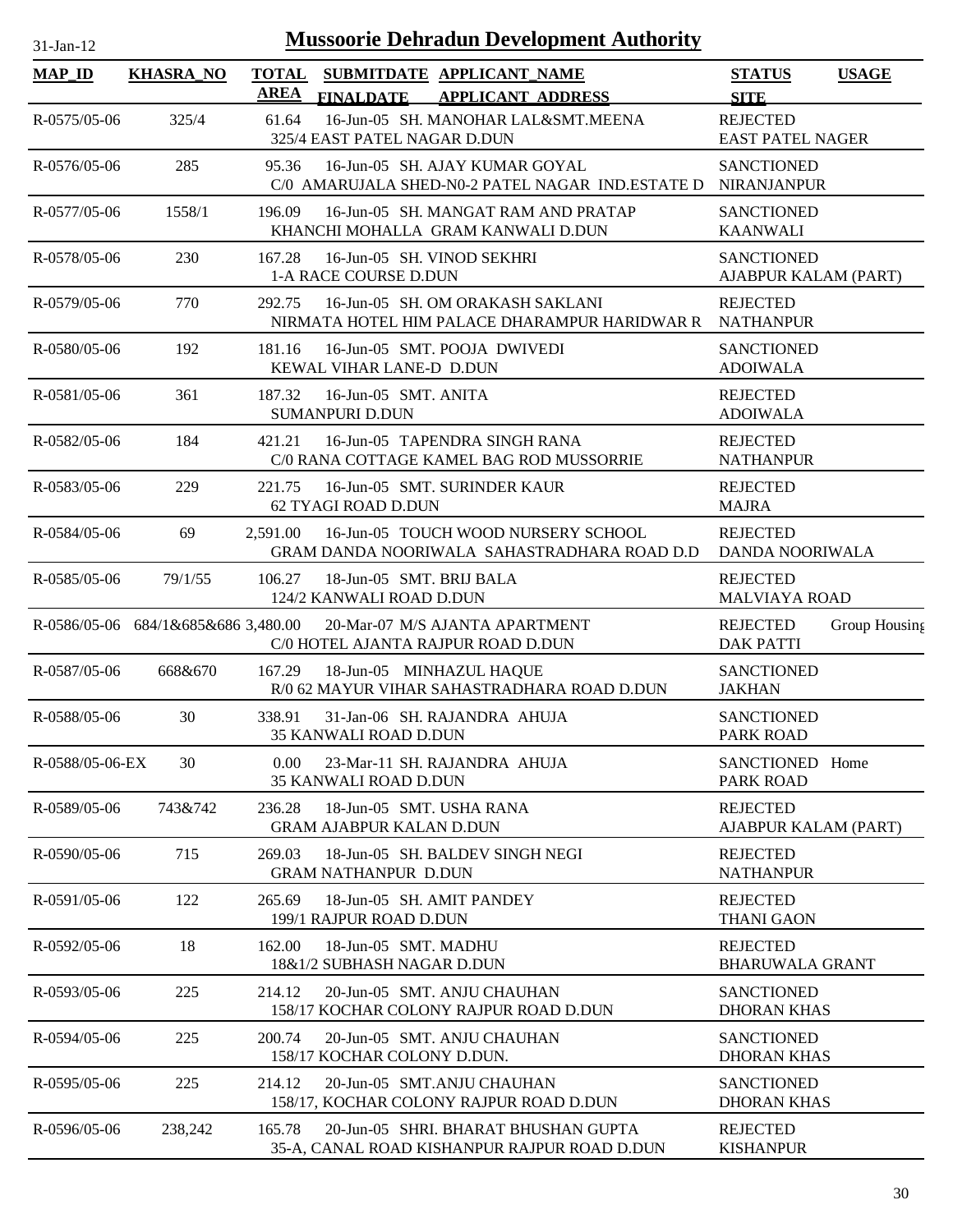| $31-Jan-12$             |                                     |                             | <b>Mussoorie Dehradun Development Authority</b>                                      |                                            |               |
|-------------------------|-------------------------------------|-----------------------------|--------------------------------------------------------------------------------------|--------------------------------------------|---------------|
| <b>MAP_ID</b>           | <b>KHASRA_NO</b>                    | <b>TOTAL</b><br><b>AREA</b> | SUBMITDATE APPLICANT_NAME<br><b>FINALDATE</b><br><b>APPLICANT ADDRESS</b>            | <b>STATUS</b><br><b>SITE</b>               | <b>USAGE</b>  |
| R-0575/05-06            | 325/4                               | 61.64                       | 16-Jun-05 SH. MANOHAR LAL&SMT.MEENA<br>325/4 EAST PATEL NAGAR D.DUN                  | <b>REJECTED</b><br><b>EAST PATEL NAGER</b> |               |
| R-0576/05-06            | 285                                 | 95.36                       | 16-Jun-05 SH. AJAY KUMAR GOYAL<br>C/0 AMARUJALA SHED-N0-2 PATEL NAGAR IND.ESTATE D   | <b>SANCTIONED</b><br><b>NIRANJANPUR</b>    |               |
| R-0577/05-06            | 1558/1                              | 196.09                      | 16-Jun-05 SH. MANGAT RAM AND PRATAP<br>KHANCHI MOHALLA GRAM KANWALI D.DUN            | <b>SANCTIONED</b><br><b>KAANWALI</b>       |               |
| R-0578/05-06            | 230                                 | 167.28                      | 16-Jun-05 SH. VINOD SEKHRI<br>1-A RACE COURSE D.DUN                                  | <b>SANCTIONED</b><br>AJABPUR KALAM (PART)  |               |
| R-0579/05-06            | 770                                 | 292.75                      | 16-Jun-05 SH. OM ORAKASH SAKLANI<br>NIRMATA HOTEL HIM PALACE DHARAMPUR HARIDWAR R    | <b>REJECTED</b><br><b>NATHANPUR</b>        |               |
| R-0580/05-06            | 192                                 | 181.16                      | 16-Jun-05 SMT. POOJA DWIVEDI<br>KEWAL VIHAR LANE-D D.DUN                             | <b>SANCTIONED</b><br><b>ADOIWALA</b>       |               |
| R-0581/05-06            | 361                                 | 187.32                      | 16-Jun-05 SMT. ANITA<br><b>SUMANPURI D.DUN</b>                                       | <b>REJECTED</b><br><b>ADOIWALA</b>         |               |
| R-0582/05-06            | 184                                 | 421.21                      | 16-Jun-05 TAPENDRA SINGH RANA<br>C/0 RANA COTTAGE KAMEL BAG ROD MUSSORRIE            | <b>REJECTED</b><br><b>NATHANPUR</b>        |               |
| R-0583/05-06            | 229                                 | 221.75                      | 16-Jun-05 SMT. SURINDER KAUR<br>62 TYAGI ROAD D.DUN                                  | <b>REJECTED</b><br><b>MAJRA</b>            |               |
| R-0584/05-06            | 69                                  | 2,591.00                    | 16-Jun-05 TOUCH WOOD NURSERY SCHOOL<br>GRAM DANDA NOORIWALA SAHASTRADHARA ROAD D.D   | <b>REJECTED</b><br>DANDA NOORIWALA         |               |
| $R - 0585/05 - 06$      | 79/1/55                             | 106.27                      | 18-Jun-05 SMT. BRIJ BALA<br>124/2 KANWALI ROAD D.DUN                                 | <b>REJECTED</b><br><b>MALVIAYA ROAD</b>    |               |
|                         | R-0586/05-06 684/1&685&686 3,480.00 |                             | 20-Mar-07 M/S AJANTA APARTMENT<br>C/0 HOTEL AJANTA RAJPUR ROAD D.DUN                 | <b>REJECTED</b><br><b>DAK PATTI</b>        | Group Housing |
| R-0587/05-06            | 668&670                             | 167.29                      | 18-Jun-05 MINHAZUL HAQUE<br>R/0 62 MAYUR VIHAR SAHASTRADHARA ROAD D.DUN              | <b>SANCTIONED</b><br><b>JAKHAN</b>         |               |
| R-0588/05-06            | 30                                  | 338.91                      | 31-Jan-06 SH, RAJANDRA AHUJA<br><b>35 KANWALI ROAD D.DUN</b>                         | <b>SANCTIONED</b><br><b>PARK ROAD</b>      |               |
| R-0588/05-06-EX         | 30                                  | $0.00^{\circ}$              | 23-Mar-11 SH. RAJANDRA AHUJA<br><b>35 KANWALI ROAD D.DUN</b>                         | SANCTIONED Home<br>PARK ROAD               |               |
| $R - 0.589 / 0.5 - 0.6$ | 743&742                             | 236.28                      | 18-Jun-05 SMT, USHA RANA<br><b>GRAM AJABPUR KALAN D.DUN</b>                          | <b>REJECTED</b><br>AJABPUR KALAM (PART)    |               |
| R-0590/05-06            | 715                                 | 269.03                      | 18-Jun-05 SH. BALDEV SINGH NEGI<br><b>GRAM NATHANPUR D.DUN</b>                       | <b>REJECTED</b><br><b>NATHANPUR</b>        |               |
| R-0591/05-06            | 122                                 | 265.69                      | 18-Jun-05 SH, AMIT PANDEY<br>199/1 RAJPUR ROAD D.DUN                                 | <b>REJECTED</b><br><b>THANI GAON</b>       |               |
| R-0592/05-06            | 18                                  | 162.00                      | 18-Jun-05 SMT. MADHU<br>18&1/2 SUBHASH NAGAR D.DUN                                   | <b>REJECTED</b><br><b>BHARUWALA GRANT</b>  |               |
| R-0593/05-06            | 225                                 | 214.12                      | 20-Jun-05 SMT. ANJU CHAUHAN<br>158/17 KOCHAR COLONY RAJPUR ROAD D.DUN                | <b>SANCTIONED</b><br><b>DHORAN KHAS</b>    |               |
| R-0594/05-06            | 225                                 | 200.74                      | 20-Jun-05 SMT. ANJU CHAUHAN<br>158/17 KOCHAR COLONY D.DUN.                           | <b>SANCTIONED</b><br><b>DHORAN KHAS</b>    |               |
| R-0595/05-06            | 225                                 | 214.12                      | 20-Jun-05 SMT.ANJU CHAUHAN<br>158/17, KOCHAR COLONY RAJPUR ROAD D.DUN                | <b>SANCTIONED</b><br><b>DHORAN KHAS</b>    |               |
| R-0596/05-06            | 238,242                             | 165.78                      | 20-Jun-05 SHRI. BHARAT BHUSHAN GUPTA<br>35-A, CANAL ROAD KISHANPUR RAJPUR ROAD D.DUN | <b>REJECTED</b><br><b>KISHANPUR</b>        |               |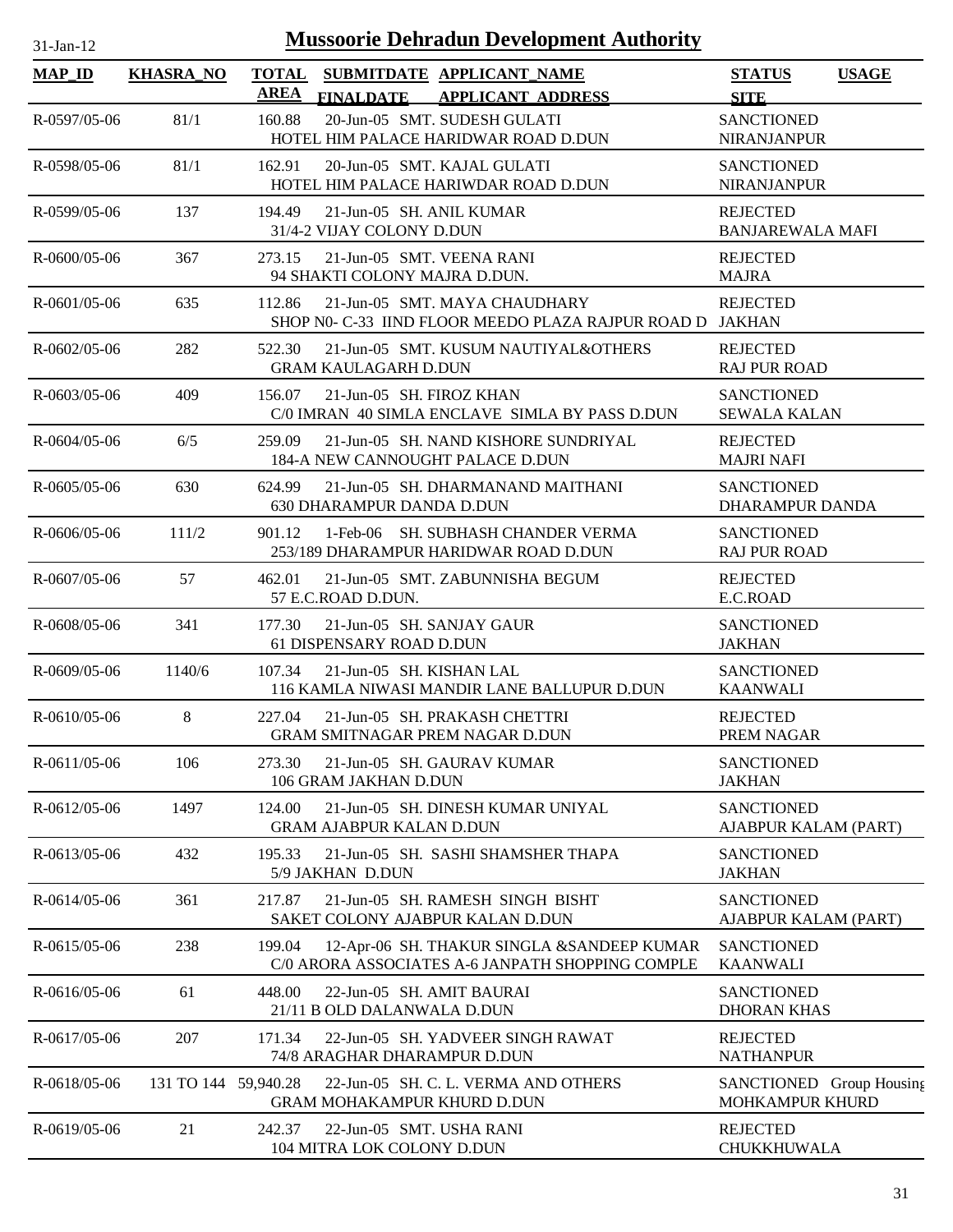| 1-Jan-1 |  |
|---------|--|
|         |  |

| <b>MAP_ID</b>      | <b>KHASRA_NO</b>     | <b>TOTAL</b><br>AREA       | <b>FINALDATE</b>                                       | SUBMITDATE APPLICANT NAME<br><b>APPLICANT ADDRESS</b>                                          | <b>STATUS</b><br><b>SITE</b>                       | <b>USAGE</b> |
|--------------------|----------------------|----------------------------|--------------------------------------------------------|------------------------------------------------------------------------------------------------|----------------------------------------------------|--------------|
| R-0597/05-06       | 81/1                 | 160.88                     |                                                        | 20-Jun-05 SMT. SUDESH GULATI<br>HOTEL HIM PALACE HARIDWAR ROAD D.DUN                           | <b>SANCTIONED</b><br><b>NIRANJANPUR</b>            |              |
| R-0598/05-06       | 81/1                 | 162.91                     |                                                        | 20-Jun-05 SMT. KAJAL GULATI<br>HOTEL HIM PALACE HARIWDAR ROAD D.DUN                            | <b>SANCTIONED</b><br><b>NIRANJANPUR</b>            |              |
| R-0599/05-06       | 137                  | 194.49                     | 31/4-2 VIJAY COLONY D.DUN                              | 21-Jun-05 SH. ANIL KUMAR                                                                       | <b>REJECTED</b><br><b>BANJAREWALA MAFI</b>         |              |
| $R - 0600/05 - 06$ | 367                  | 273.15                     |                                                        | 21-Jun-05 SMT. VEENA RANI<br>94 SHAKTI COLONY MAJRA D.DUN.                                     | <b>REJECTED</b><br><b>MAJRA</b>                    |              |
| $R-0601/05-06$     | 635                  | 112.86                     |                                                        | 21-Jun-05 SMT. MAYA CHAUDHARY<br>SHOP N0- C-33 IIND FLOOR MEEDO PLAZA RAJPUR ROAD D JAKHAN     | <b>REJECTED</b>                                    |              |
| $R - 0602/05 - 06$ | 282                  | 522.30                     | <b>GRAM KAULAGARH D.DUN</b>                            | 21-Jun-05 SMT. KUSUM NAUTIYAL&OTHERS                                                           | <b>REJECTED</b><br><b>RAJ PUR ROAD</b>             |              |
| $R - 0603/05 - 06$ | 409                  | 156.07                     | 21-Jun-05 SH. FIROZ KHAN                               | C/0 IMRAN 40 SIMLA ENCLAVE SIMLA BY PASS D.DUN                                                 | <b>SANCTIONED</b><br><b>SEWALA KALAN</b>           |              |
| $R - 0604/05 - 06$ | 6/5                  | 259.09                     |                                                        | 21-Jun-05 SH. NAND KISHORE SUNDRIYAL<br>184-A NEW CANNOUGHT PALACE D.DUN                       | <b>REJECTED</b><br><b>MAJRI NAFI</b>               |              |
| $R - 0605/05 - 06$ | 630                  | 624.99                     | <b>630 DHARAMPUR DANDA D.DUN</b>                       | 21-Jun-05 SH. DHARMANAND MAITHANI                                                              | <b>SANCTIONED</b><br>DHARAMPUR DANDA               |              |
| $R - 0606/05 - 06$ | 111/2                | 901.12                     |                                                        | 1-Feb-06 SH. SUBHASH CHANDER VERMA<br>253/189 DHARAMPUR HARIDWAR ROAD D.DUN                    | <b>SANCTIONED</b><br><b>RAJ PUR ROAD</b>           |              |
| $R - 0607/05 - 06$ | 57                   | 462.01                     | 57 E.C.ROAD D.DUN.                                     | 21-Jun-05 SMT. ZABUNNISHA BEGUM                                                                | <b>REJECTED</b><br>E.C.ROAD                        |              |
| R-0608/05-06       | 341                  | 177.30                     | 61 DISPENSARY ROAD D.DUN                               | 21-Jun-05 SH. SANJAY GAUR                                                                      | <b>SANCTIONED</b><br><b>JAKHAN</b>                 |              |
| $R - 0609/05 - 06$ | 1140/6               | 107.34                     | 21-Jun-05 SH. KISHAN LAL                               | 116 KAMLA NIWASI MANDIR LANE BALLUPUR D.DUN                                                    | <b>SANCTIONED</b><br><b>KAANWALI</b>               |              |
| $R - 0610/05 - 06$ | 8                    | 227.04                     |                                                        | 21-Jun-05 SH, PRAKASH CHETTRI<br><b>GRAM SMITNAGAR PREM NAGAR D.DUN</b>                        | <b>REJECTED</b><br>PREM NAGAR                      |              |
| R-0611/05-06       | 106                  | 273.30                     | 106 GRAM JAKHAN D.DUN                                  | 21-Jun-05 SH. GAURAV KUMAR                                                                     | <b>SANCTIONED</b><br><b>JAKHAN</b>                 |              |
| R-0612/05-06       | 1497                 | 124.00                     | <b>GRAM AJABPUR KALAN D.DUN</b>                        | 21-Jun-05 SH. DINESH KUMAR UNIYAL                                                              | <b>SANCTIONED</b><br>AJABPUR KALAM (PART)          |              |
| R-0613/05-06       | 432                  | 195.33<br>5/9 JAKHAN D.DUN |                                                        | 21-Jun-05 SH. SASHI SHAMSHER THAPA                                                             | <b>SANCTIONED</b><br><b>JAKHAN</b>                 |              |
| R-0614/05-06       | 361                  | 217.87                     |                                                        | 21-Jun-05 SH. RAMESH SINGH BISHT<br>SAKET COLONY AJABPUR KALAN D.DUN                           | <b>SANCTIONED</b><br>AJABPUR KALAM (PART)          |              |
| $R-0615/05-06$     | 238                  | 199.04                     |                                                        | 12-Apr-06 SH. THAKUR SINGLA &SANDEEP KUMAR<br>C/0 ARORA ASSOCIATES A-6 JANPATH SHOPPING COMPLE | <b>SANCTIONED</b><br><b>KAANWALI</b>               |              |
| R-0616/05-06       | 61                   | 448.00                     | 21/11 B OLD DALANWALA D.DUN                            | 22-Jun-05 SH. AMIT BAURAI                                                                      | <b>SANCTIONED</b><br><b>DHORAN KHAS</b>            |              |
| R-0617/05-06       | 207                  | 171.34                     |                                                        | 22-Jun-05 SH. YADVEER SINGH RAWAT<br>74/8 ARAGHAR DHARAMPUR D.DUN                              | <b>REJECTED</b><br><b>NATHANPUR</b>                |              |
| R-0618/05-06       | 131 TO 144 59,940.28 |                            |                                                        | 22-Jun-05 SH. C. L. VERMA AND OTHERS<br><b>GRAM MOHAKAMPUR KHURD D.DUN</b>                     | SANCTIONED Group Housing<br><b>MOHKAMPUR KHURD</b> |              |
| R-0619/05-06       | 21                   | 242.37                     | 22-Jun-05 SMT. USHA RANI<br>104 MITRA LOK COLONY D.DUN |                                                                                                | <b>REJECTED</b><br>CHUKKHUWALA                     |              |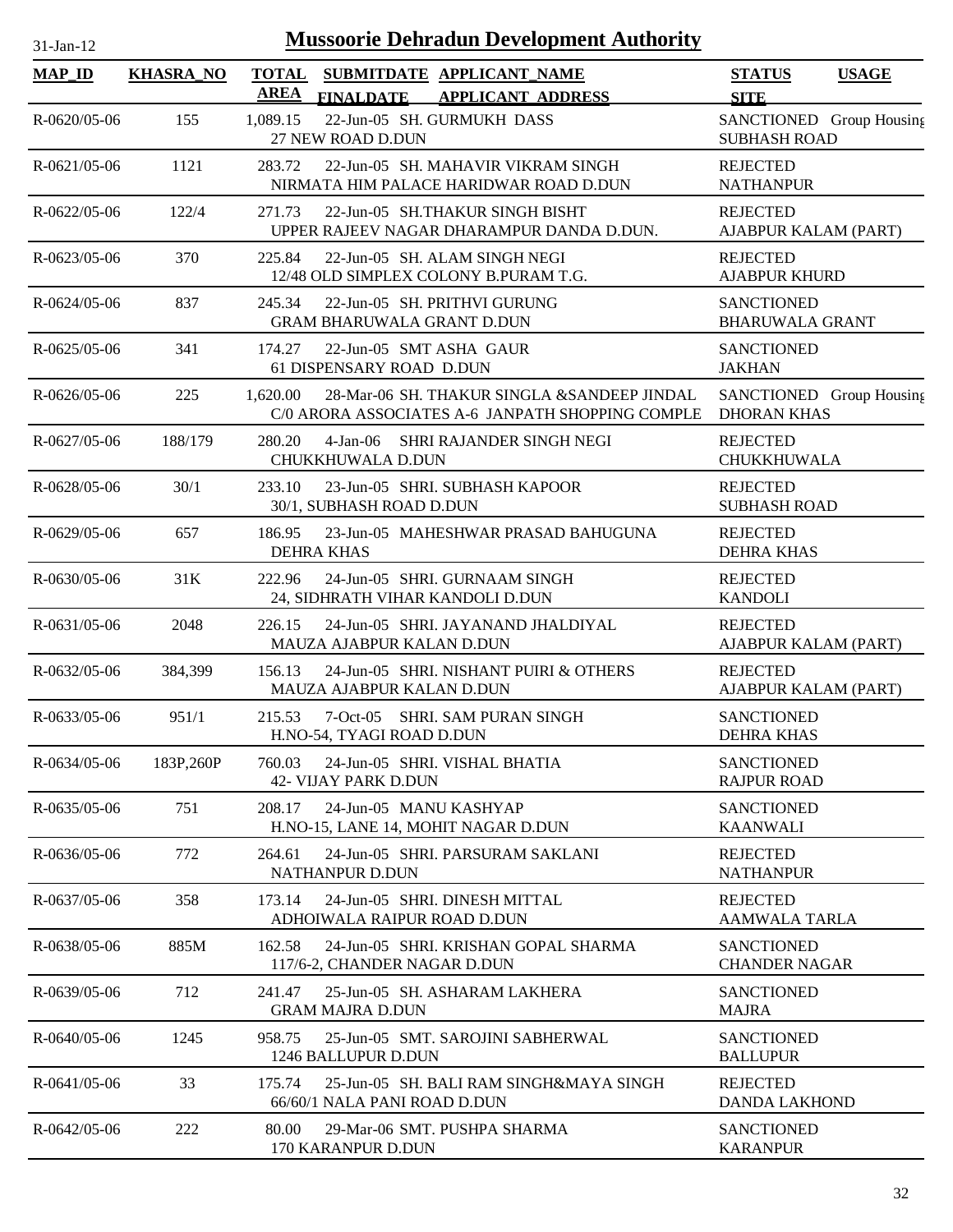| $31-Jan-12$        |                  |                             | <b>Mussoorie Dehradun Development Authority</b>                                                 |                                                 |              |
|--------------------|------------------|-----------------------------|-------------------------------------------------------------------------------------------------|-------------------------------------------------|--------------|
| <b>MAP_ID</b>      | <b>KHASRA_NO</b> | <b>TOTAL</b><br><b>AREA</b> | SUBMITDATE APPLICANT_NAME<br><b>APPLICANT ADDRESS</b><br><b>FINALDATE</b>                       | <b>STATUS</b><br><b>SITE</b>                    | <b>USAGE</b> |
| R-0620/05-06       | 155              | 1,089.15                    | 22-Jun-05 SH. GURMUKH DASS<br>27 NEW ROAD D.DUN                                                 | SANCTIONED Group Housing<br><b>SUBHASH ROAD</b> |              |
| $R-0621/05-06$     | 1121             | 283.72                      | 22-Jun-05 SH. MAHAVIR VIKRAM SINGH<br>NIRMATA HIM PALACE HARIDWAR ROAD D.DUN                    | <b>REJECTED</b><br><b>NATHANPUR</b>             |              |
| $R - 0622/05 - 06$ | 122/4            | 271.73                      | 22-Jun-05 SH.THAKUR SINGH BISHT<br>UPPER RAJEEV NAGAR DHARAMPUR DANDA D.DUN.                    | <b>REJECTED</b><br>AJABPUR KALAM (PART)         |              |
| R-0623/05-06       | 370              | 225.84                      | 22-Jun-05 SH. ALAM SINGH NEGI<br>12/48 OLD SIMPLEX COLONY B.PURAM T.G.                          | <b>REJECTED</b><br><b>AJABPUR KHURD</b>         |              |
| $R - 0624/05 - 06$ | 837              | 245.34                      | 22-Jun-05 SH. PRITHVI GURUNG<br><b>GRAM BHARUWALA GRANT D.DUN</b>                               | <b>SANCTIONED</b><br><b>BHARUWALA GRANT</b>     |              |
| $R - 0625/05 - 06$ | 341              | 174.27                      | 22-Jun-05 SMT ASHA GAUR<br>61 DISPENSARY ROAD D.DUN                                             | <b>SANCTIONED</b><br><b>JAKHAN</b>              |              |
| $R - 0626/05 - 06$ | 225              | 1,620.00                    | 28-Mar-06 SH. THAKUR SINGLA &SANDEEP JINDAL<br>C/0 ARORA ASSOCIATES A-6 JANPATH SHOPPING COMPLE | SANCTIONED Group Housing<br><b>DHORAN KHAS</b>  |              |
| $R - 0627/05 - 06$ | 188/179          | 280.20                      | $4-Jan-06$<br>SHRI RAJANDER SINGH NEGI<br>CHUKKHUWALA D.DUN                                     | <b>REJECTED</b><br>CHUKKHUWALA                  |              |
| R-0628/05-06       | 30/1             | 233.10                      | 23-Jun-05 SHRI. SUBHASH KAPOOR<br>30/1, SUBHASH ROAD D.DUN                                      | <b>REJECTED</b><br><b>SUBHASH ROAD</b>          |              |
| R-0629/05-06       | 657              | 186.95                      | 23-Jun-05 MAHESHWAR PRASAD BAHUGUNA<br><b>DEHRA KHAS</b>                                        | <b>REJECTED</b><br><b>DEHRA KHAS</b>            |              |
| $R - 0630/05 - 06$ | 31K              | 222.96                      | 24-Jun-05 SHRI. GURNAAM SINGH<br>24, SIDHRATH VIHAR KANDOLI D.DUN                               | <b>REJECTED</b><br><b>KANDOLI</b>               |              |
| R-0631/05-06       | 2048             | 226.15                      | 24-Jun-05 SHRI. JAYANAND JHALDIYAL<br>MAUZA AJABPUR KALAN D.DUN                                 | <b>REJECTED</b><br>AJABPUR KALAM (PART)         |              |
| R-0632/05-06       | 384,399          | 156.13                      | 24-Jun-05 SHRI. NISHANT PUIRI & OTHERS<br>MAUZA AJABPUR KALAN D.DUN                             | <b>REJECTED</b><br>AJABPUR KALAM (PART)         |              |
| $R - 0633/05 - 06$ | 951/1            | 215.53                      | 7-Oct-05 SHRI. SAM PURAN SINGH<br>H.NO-54, TYAGI ROAD D.DUN                                     | <b>SANCTIONED</b><br><b>DEHRA KHAS</b>          |              |
| $R - 0634/05 - 06$ | 183P,260P        | 760.03                      | 24-Jun-05 SHRI. VISHAL BHATIA<br>42- VIJAY PARK D.DUN                                           | <b>SANCTIONED</b><br><b>RAJPUR ROAD</b>         |              |
| $R - 0635/05 - 06$ | 751              | 208.17                      | 24-Jun-05 MANU KASHYAP<br>H.NO-15, LANE 14, MOHIT NAGAR D.DUN                                   | <b>SANCTIONED</b><br><b>KAANWALI</b>            |              |
| $R - 0636/05 - 06$ | 772              | 264.61                      | 24-Jun-05 SHRI. PARSURAM SAKLANI<br>NATHANPUR D.DUN                                             | <b>REJECTED</b><br><b>NATHANPUR</b>             |              |
| R-0637/05-06       | 358              | 173.14                      | 24-Jun-05 SHRI. DINESH MITTAL<br>ADHOIWALA RAIPUR ROAD D.DUN                                    | <b>REJECTED</b><br><b>AAMWALA TARLA</b>         |              |
| R-0638/05-06       | 885M             | 162.58                      | 24-Jun-05 SHRI. KRISHAN GOPAL SHARMA<br>117/6-2, CHANDER NAGAR D.DUN                            | <b>SANCTIONED</b><br><b>CHANDER NAGAR</b>       |              |
| R-0639/05-06       | 712              | 241.47                      | 25-Jun-05 SH. ASHARAM LAKHERA<br><b>GRAM MAJRA D.DUN</b>                                        | <b>SANCTIONED</b><br><b>MAJRA</b>               |              |
| $R - 0640/05 - 06$ | 1245             | 958.75                      | 25-Jun-05 SMT. SAROJINI SABHERWAL<br>1246 BALLUPUR D.DUN                                        | <b>SANCTIONED</b><br><b>BALLUPUR</b>            |              |
| $R-0641/05-06$     | 33               | 175.74                      | 25-Jun-05 SH, BALI RAM SINGH&MAYA SINGH<br>66/60/1 NALA PANI ROAD D.DUN                         | <b>REJECTED</b><br><b>DANDA LAKHOND</b>         |              |
| R-0642/05-06       | 222              | 80.00                       | 29-Mar-06 SMT. PUSHPA SHARMA                                                                    | <b>SANCTIONED</b>                               |              |

170 KARANPUR D.DUN

KARANPUR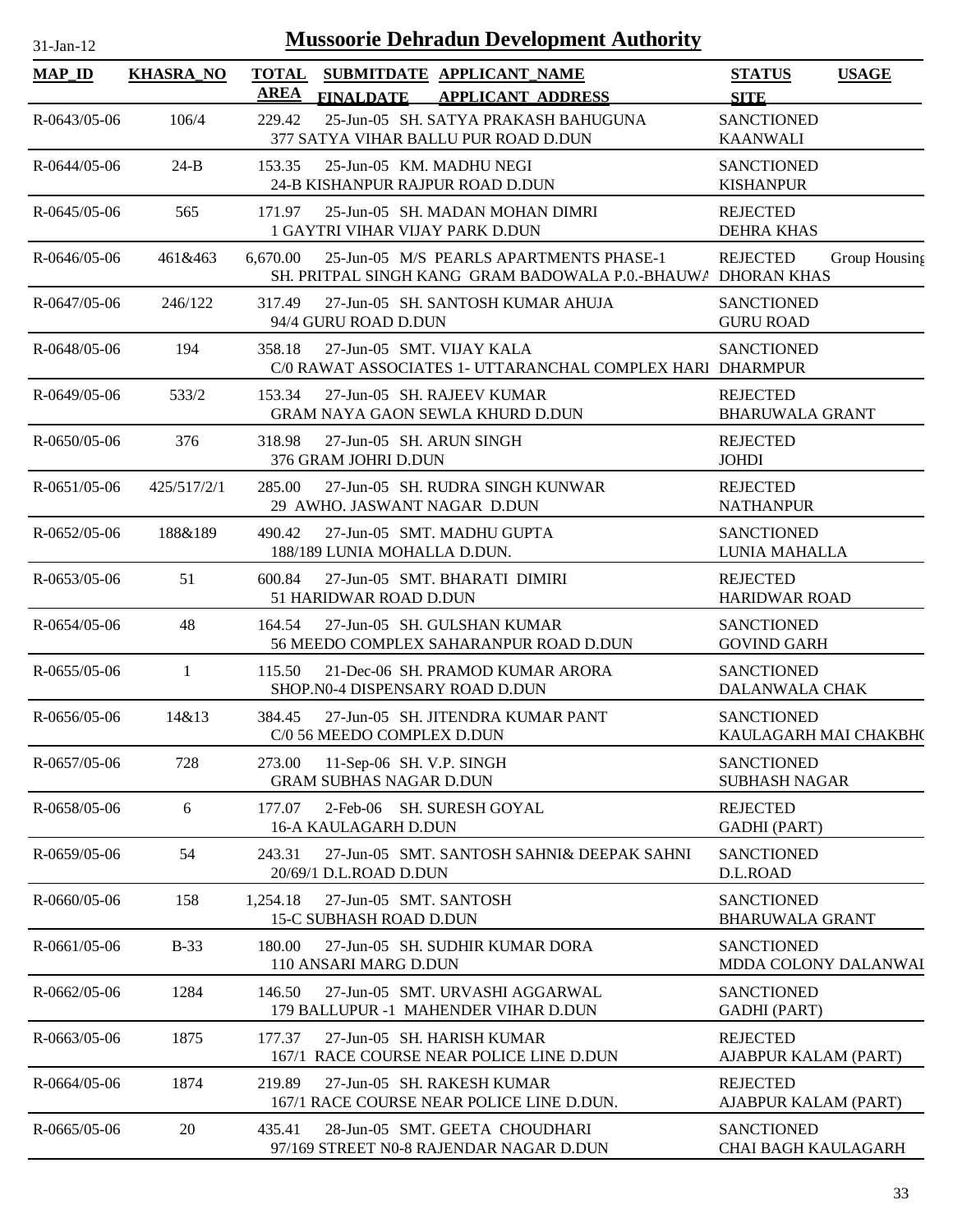| $31-Jan-12$        |                  |                             | <b>Mussoorie Dehradun Development Authority</b>                                                         |                                             |               |
|--------------------|------------------|-----------------------------|---------------------------------------------------------------------------------------------------------|---------------------------------------------|---------------|
| <b>MAP_ID</b>      | <b>KHASRA_NO</b> | <b>TOTAL</b><br><b>AREA</b> | SUBMITDATE APPLICANT_NAME<br>FINALDATE APPLICANT ADDRESS                                                | <b>STATUS</b><br><b>SITE</b>                | <b>USAGE</b>  |
| R-0643/05-06       | 106/4            | 229.42                      | 25-Jun-05 SH. SATYA PRAKASH BAHUGUNA<br>377 SATYA VIHAR BALLU PUR ROAD D.DUN                            | <b>SANCTIONED</b><br><b>KAANWALI</b>        |               |
| R-0644/05-06       | $24-B$           | 153.35                      | 25-Jun-05 KM. MADHU NEGI<br>24-B KISHANPUR RAJPUR ROAD D.DUN                                            | <b>SANCTIONED</b><br><b>KISHANPUR</b>       |               |
| R-0645/05-06       | 565              | 171.97                      | 25-Jun-05 SH. MADAN MOHAN DIMRI<br>1 GAYTRI VIHAR VIJAY PARK D.DUN                                      | <b>REJECTED</b><br><b>DEHRA KHAS</b>        |               |
| $R - 0646/05 - 06$ | 461&463          | 6,670.00                    | 25-Jun-05 M/S PEARLS APARTMENTS PHASE-1<br>SH. PRITPAL SINGH KANG GRAM BADOWALA P.O.-BHAUWA DHORAN KHAS | <b>REJECTED</b>                             | Group Housing |
| $R - 0647/05 - 06$ | 246/122          | 317.49                      | 27-Jun-05 SH. SANTOSH KUMAR AHUJA<br>94/4 GURU ROAD D.DUN                                               | <b>SANCTIONED</b><br><b>GURU ROAD</b>       |               |
| $R - 0648/05 - 06$ | 194              | 358.18                      | 27-Jun-05 SMT. VIJAY KALA<br>C/0 RAWAT ASSOCIATES 1- UTTARANCHAL COMPLEX HARI DHARMPUR                  | <b>SANCTIONED</b>                           |               |
| R-0649/05-06       | 533/2            | 153.34                      | 27-Jun-05 SH. RAJEEV KUMAR<br>GRAM NAYA GAON SEWLA KHURD D.DUN                                          | <b>REJECTED</b><br><b>BHARUWALA GRANT</b>   |               |
| $R - 0650/05 - 06$ | 376              | 318.98                      | 27-Jun-05 SH, ARUN SINGH<br>376 GRAM JOHRI D.DUN                                                        | <b>REJECTED</b><br><b>JOHDI</b>             |               |
| $R-0651/05-06$     | 425/517/2/1      | 285.00                      | 27-Jun-05 SH. RUDRA SINGH KUNWAR<br>29 AWHO. JASWANT NAGAR D.DUN                                        | <b>REJECTED</b><br><b>NATHANPUR</b>         |               |
| $R - 0652/05 - 06$ | 188&189          | 490.42                      | 27-Jun-05 SMT. MADHU GUPTA<br>188/189 LUNIA MOHALLA D.DUN.                                              | <b>SANCTIONED</b><br>LUNIA MAHALLA          |               |
| R-0653/05-06       | 51               | 600.84                      | 27-Jun-05 SMT. BHARATI DIMIRI<br>51 HARIDWAR ROAD D.DUN                                                 | <b>REJECTED</b><br><b>HARIDWAR ROAD</b>     |               |
| $R - 0654/05 - 06$ | 48               | 164.54                      | 27-Jun-05 SH, GULSHAN KUMAR<br>56 MEEDO COMPLEX SAHARANPUR ROAD D.DUN                                   | <b>SANCTIONED</b><br><b>GOVIND GARH</b>     |               |
| $R-0655/05-06$     | 1                | 115.50                      | 21-Dec-06 SH. PRAMOD KUMAR ARORA<br>SHOP.N0-4 DISPENSARY ROAD D.DUN                                     | <b>SANCTIONED</b><br>DALANWALA CHAK         |               |
| $R - 0656/05 - 06$ | 14&13            | 384.45                      | 27-Jun-05 SH. JITENDRA KUMAR PANT<br>C/0 56 MEEDO COMPLEX D.DUN                                         | <b>SANCTIONED</b><br>KAULAGARH MAI CHAKBH(  |               |
| R-0657/05-06       | 728              | 273.00                      | 11-Sep-06 SH. V.P. SINGH<br><b>GRAM SUBHAS NAGAR D.DUN</b>                                              | <b>SANCTIONED</b><br><b>SUBHASH NAGAR</b>   |               |
| R-0658/05-06       | 6                | 177.07                      | 2-Feb-06 SH. SURESH GOYAL<br><b>16-A KAULAGARH D.DUN</b>                                                | <b>REJECTED</b><br><b>GADHI</b> (PART)      |               |
| $R - 0659/05 - 06$ | 54               | 243.31                      | 27-Jun-05 SMT. SANTOSH SAHNI& DEEPAK SAHNI<br>20/69/1 D.L.ROAD D.DUN                                    | <b>SANCTIONED</b><br>D.L.ROAD               |               |
| $R - 0660/05 - 06$ | 158              | 1,254.18                    | 27-Jun-05 SMT. SANTOSH<br><b>15-C SUBHASH ROAD D.DUN</b>                                                | <b>SANCTIONED</b><br><b>BHARUWALA GRANT</b> |               |
| R-0661/05-06       | $B-33$           | 180.00                      | 27-Jun-05 SH. SUDHIR KUMAR DORA<br>110 ANSARI MARG D.DUN                                                | <b>SANCTIONED</b><br>MDDA COLONY DALANWAI   |               |
| R-0662/05-06       | 1284             | 146.50                      | 27-Jun-05 SMT. URVASHI AGGARWAL<br>179 BALLUPUR -1 MAHENDER VIHAR D.DUN                                 | <b>SANCTIONED</b><br><b>GADHI</b> (PART)    |               |
| R-0663/05-06       | 1875             | 177.37                      | 27-Jun-05 SH. HARISH KUMAR<br>167/1 RACE COURSE NEAR POLICE LINE D.DUN                                  | <b>REJECTED</b><br>AJABPUR KALAM (PART)     |               |
| R-0664/05-06       | 1874             | 219.89                      | 27-Jun-05 SH. RAKESH KUMAR<br>167/1 RACE COURSE NEAR POLICE LINE D.DUN.                                 | <b>REJECTED</b><br>AJABPUR KALAM (PART)     |               |
| R-0665/05-06       | 20               | 435.41                      | 28-Jun-05 SMT. GEETA CHOUDHARI<br>97/169 STREET N0-8 RAJENDAR NAGAR D.DUN                               | <b>SANCTIONED</b><br>CHAI BAGH KAULAGARH    |               |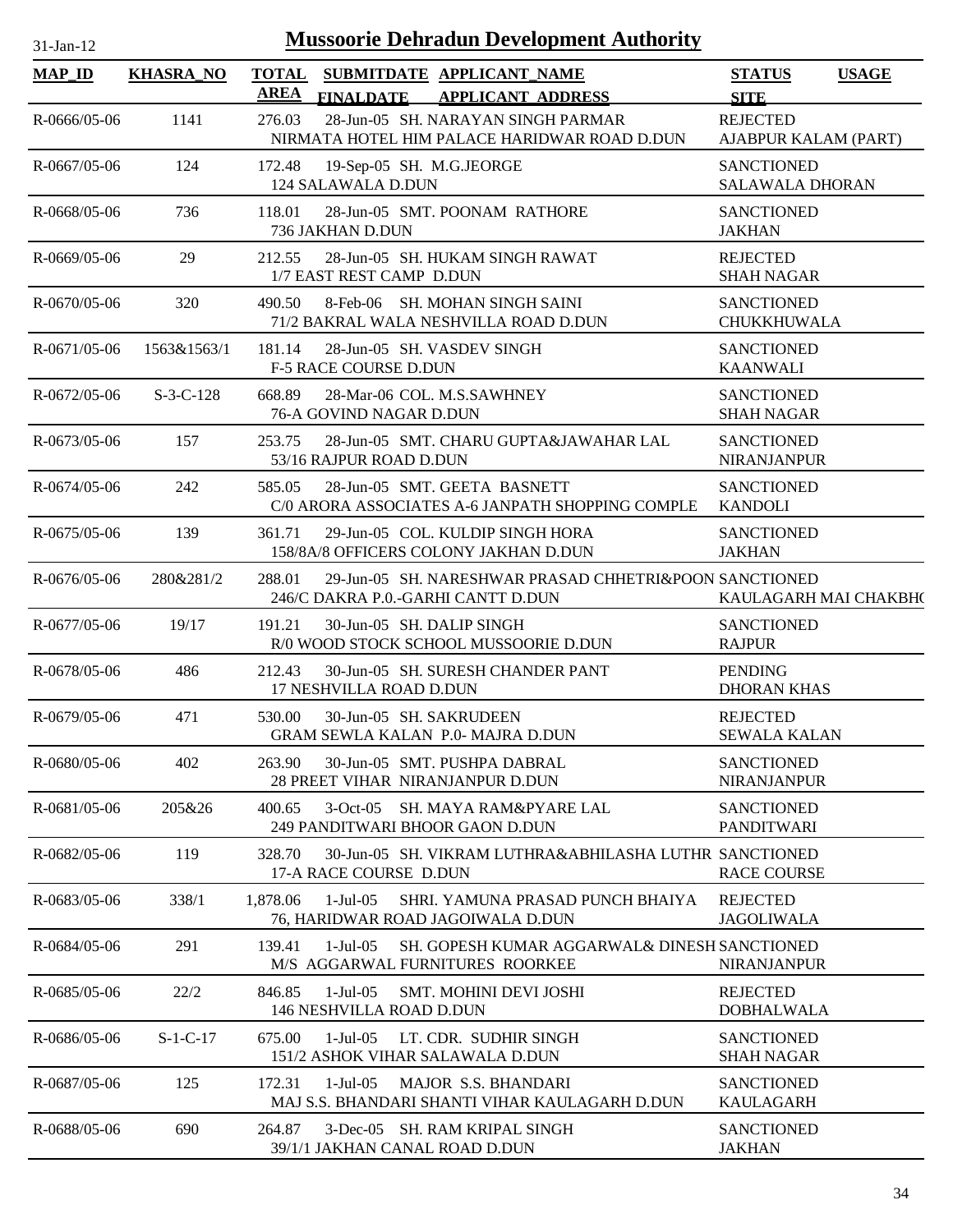| $31-Jan-12$         |                  | <b>Mussoorie Dehradun Development Authority</b>                                                         |                                              |
|---------------------|------------------|---------------------------------------------------------------------------------------------------------|----------------------------------------------|
| $MAP$ <sub>ID</sub> | <b>KHASRA_NO</b> | TOTAL SUBMITDATE APPLICANT NAME<br><b>AREA</b><br><b>FINALDATE</b><br><b>APPLICANT ADDRESS</b>          | <b>STATUS</b><br><b>USAGE</b><br><b>SITE</b> |
| $R-0666/05-06$      | 1141             | 276.03<br>28-Jun-05 SH. NARAYAN SINGH PARMAR<br>NIRMATA HOTEL HIM PALACE HARIDWAR ROAD D.DUN            | <b>REJECTED</b><br>AJABPUR KALAM (PART)      |
| $R - 0667/05 - 06$  | 124              | 172.48<br>19-Sep-05 SH. M.G.JEORGE<br>124 SALAWALA D.DUN                                                | <b>SANCTIONED</b><br><b>SALAWALA DHORAN</b>  |
| $R-0668/05-06$      | 736              | 118.01<br>28-Jun-05 SMT. POONAM RATHORE<br>736 JAKHAN D.DUN                                             | <b>SANCTIONED</b><br><b>JAKHAN</b>           |
| R-0669/05-06        | 29               | 28-Jun-05 SH. HUKAM SINGH RAWAT<br>212.55<br>1/7 EAST REST CAMP D.DUN                                   | <b>REJECTED</b><br><b>SHAH NAGAR</b>         |
| $R-0670/05-06$      | 320              | 8-Feb-06 SH. MOHAN SINGH SAINI<br>490.50<br>71/2 BAKRAL WALA NESHVILLA ROAD D.DUN                       | <b>SANCTIONED</b><br><b>CHUKKHUWALA</b>      |
| $R-0671/05-06$      | 1563&1563/1      | 181.14<br>28-Jun-05 SH. VASDEV SINGH<br><b>F-5 RACE COURSE D.DUN</b>                                    | <b>SANCTIONED</b><br><b>KAANWALI</b>         |
| $R-0672/05-06$      | $S-3-C-128$      | 668.89<br>28-Mar-06 COL. M.S.SAWHNEY<br>76-A GOVIND NAGAR D.DUN                                         | <b>SANCTIONED</b><br><b>SHAH NAGAR</b>       |
| $R - 0673/05 - 06$  | 157              | 28-Jun-05 SMT. CHARU GUPTA&JAWAHAR LAL<br>253.75<br>53/16 RAJPUR ROAD D.DUN                             | <b>SANCTIONED</b><br><b>NIRANJANPUR</b>      |
| R-0674/05-06        | 242              | 585.05<br>28-Jun-05 SMT. GEETA BASNETT<br>C/0 ARORA ASSOCIATES A-6 JANPATH SHOPPING COMPLE              | <b>SANCTIONED</b><br><b>KANDOLI</b>          |
| $R - 0675/05 - 06$  | 139              | 29-Jun-05 COL. KULDIP SINGH HORA<br>361.71<br>158/8A/8 OFFICERS COLONY JAKHAN D.DUN                     | <b>SANCTIONED</b><br><b>JAKHAN</b>           |
| $R-0676/05-06$      | 280&281/2        | 29-Jun-05 SH. NARESHWAR PRASAD CHHETRI&POON SANCTIONED<br>288.01<br>246/C DAKRA P.0.-GARHI CANTT D.DUN  | KAULAGARH MAI CHAKBH(                        |
| R-0677/05-06        | 19/17            | 191.21<br>30-Jun-05 SH. DALIP SINGH<br>R/0 WOOD STOCK SCHOOL MUSSOORIE D.DUN                            | <b>SANCTIONED</b><br><b>RAJPUR</b>           |
| R-0678/05-06        | 486              | 212.43<br>30-Jun-05 SH. SURESH CHANDER PANT<br>17 NESHVILLA ROAD D.DUN                                  | <b>PENDING</b><br><b>DHORAN KHAS</b>         |
| $R - 0679/05 - 06$  | 471              | 530.00<br>30-Jun-05 SH. SAKRUDEEN<br>GRAM SEWLA KALAN P.0- MAJRA D.DUN                                  | <b>REJECTED</b><br><b>SEWALA KALAN</b>       |
| R-0680/05-06        | 402              | 263.90<br>30-Jun-05 SMT. PUSHPA DABRAL<br>28 PREET VIHAR NIRANJANPUR D.DUN                              | <b>SANCTIONED</b><br><b>NIRANJANPUR</b>      |
| $R - 0681/05 - 06$  | 205&26           | 400.65<br>3-Oct-05 SH. MAYA RAM&PYARE LAL<br>249 PANDITWARI BHOOR GAON D.DUN                            | <b>SANCTIONED</b><br><b>PANDITWARI</b>       |
| R-0682/05-06        | 119              | 328.70<br>30-Jun-05 SH. VIKRAM LUTHRA&ABHILASHA LUTHR SANCTIONED<br>17-A RACE COURSE D.DUN              | <b>RACE COURSE</b>                           |
| R-0683/05-06        | 338/1            | 1,878.06<br>$1-Jul-05$<br>SHRI. YAMUNA PRASAD PUNCH BHAIYA<br>76, HARIDWAR ROAD JAGOIWALA D.DUN         | <b>REJECTED</b><br><b>JAGOLIWALA</b>         |
| R-0684/05-06        | 291              | 139.41<br>$1-Jul-05$<br>SH. GOPESH KUMAR AGGARWAL& DINESH SANCTIONED<br>M/S AGGARWAL FURNITURES ROORKEE | <b>NIRANJANPUR</b>                           |
| R-0685/05-06        | 22/2             | 846.85<br>$1-Jul-05$<br><b>SMT. MOHINI DEVI JOSHI</b><br>146 NESHVILLA ROAD D.DUN                       | <b>REJECTED</b><br><b>DOBHALWALA</b>         |
| R-0686/05-06        | $S-1-C-17$       | 675.00<br>$1-Jul-05$<br>LT. CDR. SUDHIR SINGH<br>151/2 ASHOK VIHAR SALAWALA D.DUN                       | <b>SANCTIONED</b><br><b>SHAH NAGAR</b>       |
| R-0687/05-06        | 125              | $1-Jul-05$<br><b>MAJOR S.S. BHANDARI</b><br>172.31<br>MAJ S.S. BHANDARI SHANTI VIHAR KAULAGARH D.DUN    | <b>SANCTIONED</b><br><b>KAULAGARH</b>        |
| R-0688/05-06        | 690              | 3-Dec-05 SH. RAM KRIPAL SINGH<br>264.87<br>39/1/1 JAKHAN CANAL ROAD D.DUN                               | <b>SANCTIONED</b><br><b>JAKHAN</b>           |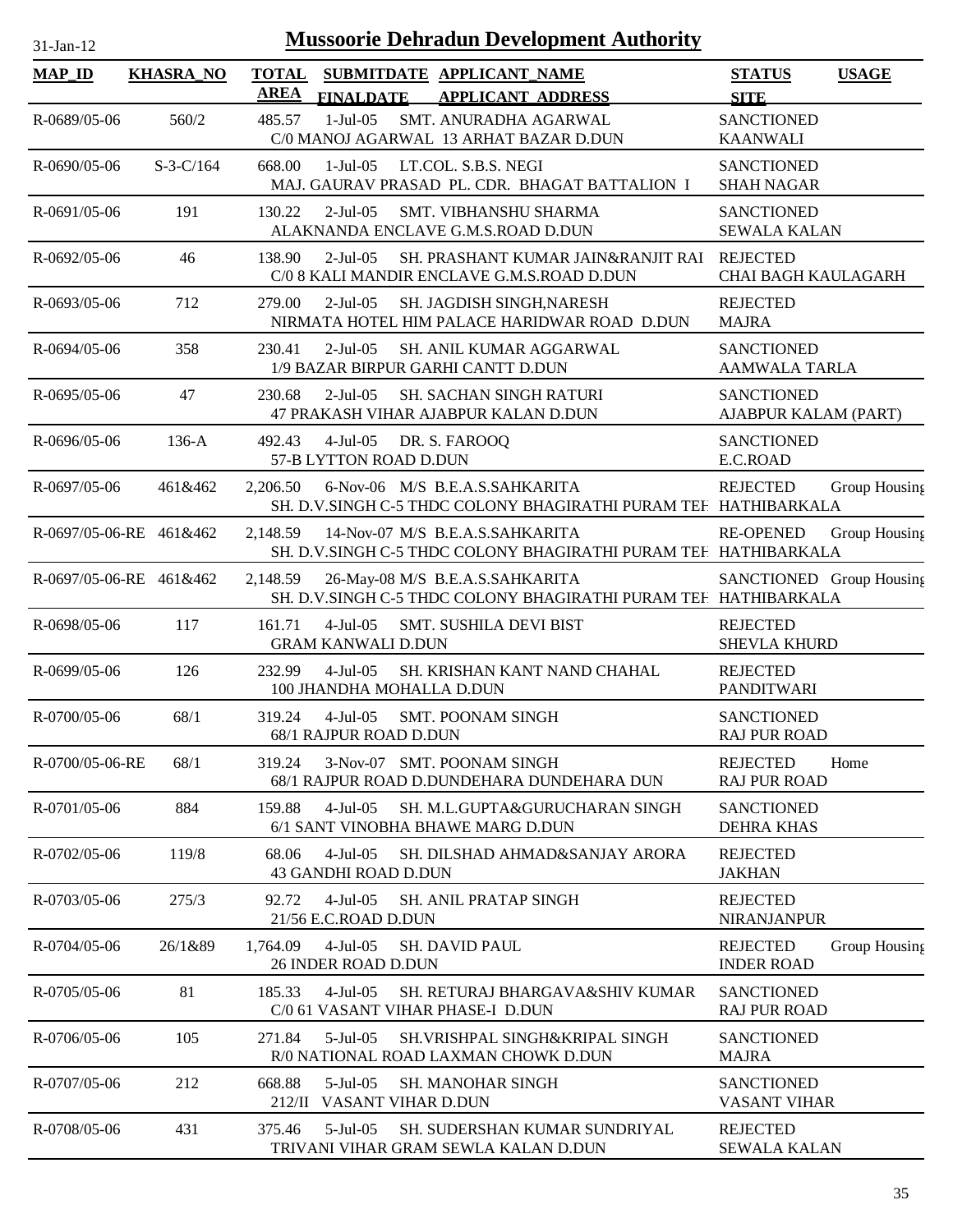| <b>MAP_ID</b>           | <b>KHASRA_NO</b> | <b>TOTAL</b><br><b>AREA</b> | <b>FINALDATE</b>                          | SUBMITDATE APPLICANT_NAME<br><b>APPLICANT ADDRESS</b>                                              | <b>STATUS</b><br><b>SITE</b>                  | <b>USAGE</b>  |
|-------------------------|------------------|-----------------------------|-------------------------------------------|----------------------------------------------------------------------------------------------------|-----------------------------------------------|---------------|
| R-0689/05-06            | 560/2            | 485.57                      | $1-Jul-05$                                | SMT. ANURADHA AGARWAL<br>C/0 MANOJ AGARWAL 13 ARHAT BAZAR D.DUN                                    | <b>SANCTIONED</b><br><b>KAANWALI</b>          |               |
| $R - 0690/05 - 06$      | $S-3-C/164$      | 668.00                      | $1-Jul-05$                                | LT.COL. S.B.S. NEGI<br>MAJ. GAURAV PRASAD PL. CDR. BHAGAT BATTALION I                              | <b>SANCTIONED</b><br><b>SHAH NAGAR</b>        |               |
| $R-0691/05-06$          | 191              | 130.22                      | $2-Jul-05$                                | SMT. VIBHANSHU SHARMA<br>ALAKNANDA ENCLAVE G.M.S.ROAD D.DUN                                        | <b>SANCTIONED</b><br><b>SEWALA KALAN</b>      |               |
| R-0692/05-06            | 46               | 138.90                      | $2$ -Jul-05                               | SH. PRASHANT KUMAR JAIN&RANJIT RAI<br>C/0 8 KALI MANDIR ENCLAVE G.M.S.ROAD D.DUN                   | <b>REJECTED</b><br><b>CHAI BAGH KAULAGARH</b> |               |
| $R - 0693/05 - 06$      | 712              | 279.00                      | $2-Jul-05$                                | SH. JAGDISH SINGH, NARESH<br>NIRMATA HOTEL HIM PALACE HARIDWAR ROAD D.DUN                          | <b>REJECTED</b><br><b>MAJRA</b>               |               |
| R-0694/05-06            | 358              | 230.41                      | $2$ -Jul-05                               | SH. ANIL KUMAR AGGARWAL<br>1/9 BAZAR BIRPUR GARHI CANTT D.DUN                                      | <b>SANCTIONED</b><br><b>AAMWALA TARLA</b>     |               |
| $R - 0695/05 - 06$      | 47               | 230.68                      | $2$ -Jul-05                               | SH. SACHAN SINGH RATURI<br>47 PRAKASH VIHAR AJABPUR KALAN D.DUN                                    | <b>SANCTIONED</b><br>AJABPUR KALAM (PART)     |               |
| $R - 0696/05 - 06$      | $136-A$          | 492.43                      | $4-Jul-05$<br>57-B LYTTON ROAD D.DUN      | DR. S. FAROOQ                                                                                      | <b>SANCTIONED</b><br>E.C.ROAD                 |               |
| R-0697/05-06            | 461&462          | 2,206.50                    |                                           | 6-Nov-06 M/S B.E.A.S.SAHKARITA<br>SH. D.V.SINGH C-5 THDC COLONY BHAGIRATHI PURAM TEF HATHIBARKALA  | <b>REJECTED</b>                               | Group Housing |
| R-0697/05-06-RE 461&462 |                  | 2.148.59                    |                                           | 14-Nov-07 M/S B.E.A.S.SAHKARITA<br>SH. D.V.SINGH C-5 THDC COLONY BHAGIRATHI PURAM TEF HATHIBARKALA | <b>RE-OPENED</b>                              | Group Housing |
| R-0697/05-06-RE 461&462 |                  | 2,148.59                    |                                           | 26-May-08 M/S B.E.A.S.SAHKARITA<br>SH. D.V.SINGH C-5 THDC COLONY BHAGIRATHI PURAM TEF HATHIBARKALA | SANCTIONED Group Housing                      |               |
| R-0698/05-06            | 117              | 161.71                      | $4-Jul-05$<br><b>GRAM KANWALI D.DUN</b>   | <b>SMT. SUSHILA DEVI BIST</b>                                                                      | <b>REJECTED</b><br><b>SHEVLA KHURD</b>        |               |
| $R-0699/05-06$          | 126              | 232.99                      | $4-Jul-05$<br>100 JHANDHA MOHALLA D.DUN   | SH. KRISHAN KANT NAND CHAHAL                                                                       | <b>REJECTED</b><br><b>PANDITWARI</b>          |               |
| $R - 0700/05 - 06$      | 68/1             | 319.24                      | $4-Jul-05$<br>68/1 RAJPUR ROAD D.DUN      | <b>SMT. POONAM SINGH</b>                                                                           | <b>SANCTIONED</b><br><b>RAJ PUR ROAD</b>      |               |
| R-0700/05-06-RE         | 68/1             | 319.24                      |                                           | 3-Nov-07 SMT. POONAM SINGH<br>68/1 RAJPUR ROAD D.DUNDEHARA DUNDEHARA DUN                           | <b>REJECTED</b><br><b>RAJ PUR ROAD</b>        | Home          |
| R-0701/05-06            | 884              | 159.88                      | $4-Jul-05$                                | SH. M.L.GUPTA&GURUCHARAN SINGH<br>6/1 SANT VINOBHA BHAWE MARG D.DUN                                | <b>SANCTIONED</b><br><b>DEHRA KHAS</b>        |               |
| R-0702/05-06            | 119/8            | 68.06                       | $4-Jul-05$<br><b>43 GANDHI ROAD D.DUN</b> | SH. DILSHAD AHMAD&SANJAY ARORA                                                                     | <b>REJECTED</b><br><b>JAKHAN</b>              |               |
| R-0703/05-06            | 275/3            | 92.72                       | $4-Jul-05$<br>21/56 E.C.ROAD D.DUN        | <b>SH. ANIL PRATAP SINGH</b>                                                                       | <b>REJECTED</b><br>NIRANJANPUR                |               |
| R-0704/05-06            | 26/1&89          | 1,764.09                    | $4-Jul-05$<br>26 INDER ROAD D.DUN         | <b>SH. DAVID PAUL</b>                                                                              | <b>REJECTED</b><br><b>INDER ROAD</b>          | Group Housing |
| R-0705/05-06            | 81               | 185.33                      | $4-Jul-05$                                | SH. RETURAJ BHARGAVA&SHIV KUMAR<br>C/0 61 VASANT VIHAR PHASE-I D.DUN                               | <b>SANCTIONED</b><br><b>RAJ PUR ROAD</b>      |               |
| R-0706/05-06            | 105              | 271.84                      | $5$ -Jul $-05$                            | SH. VRISHPAL SINGH&KRIPAL SINGH<br>R/0 NATIONAL ROAD LAXMAN CHOWK D.DUN                            | <b>SANCTIONED</b><br><b>MAJRA</b>             |               |
| R-0707/05-06            | 212              | 668.88<br>212/I             | $5$ -Jul $-05$<br>VASANT VIHAR D.DUN      | <b>SH. MANOHAR SINGH</b>                                                                           | <b>SANCTIONED</b><br><b>VASANT VIHAR</b>      |               |
| R-0708/05-06            | 431              | 375.46                      | $5$ -Jul $-05$                            | SH. SUDERSHAN KUMAR SUNDRIYAL<br>TRIVANI VIHAR GRAM SEWLA KALAN D.DUN                              | <b>REJECTED</b><br><b>SEWALA KALAN</b>        |               |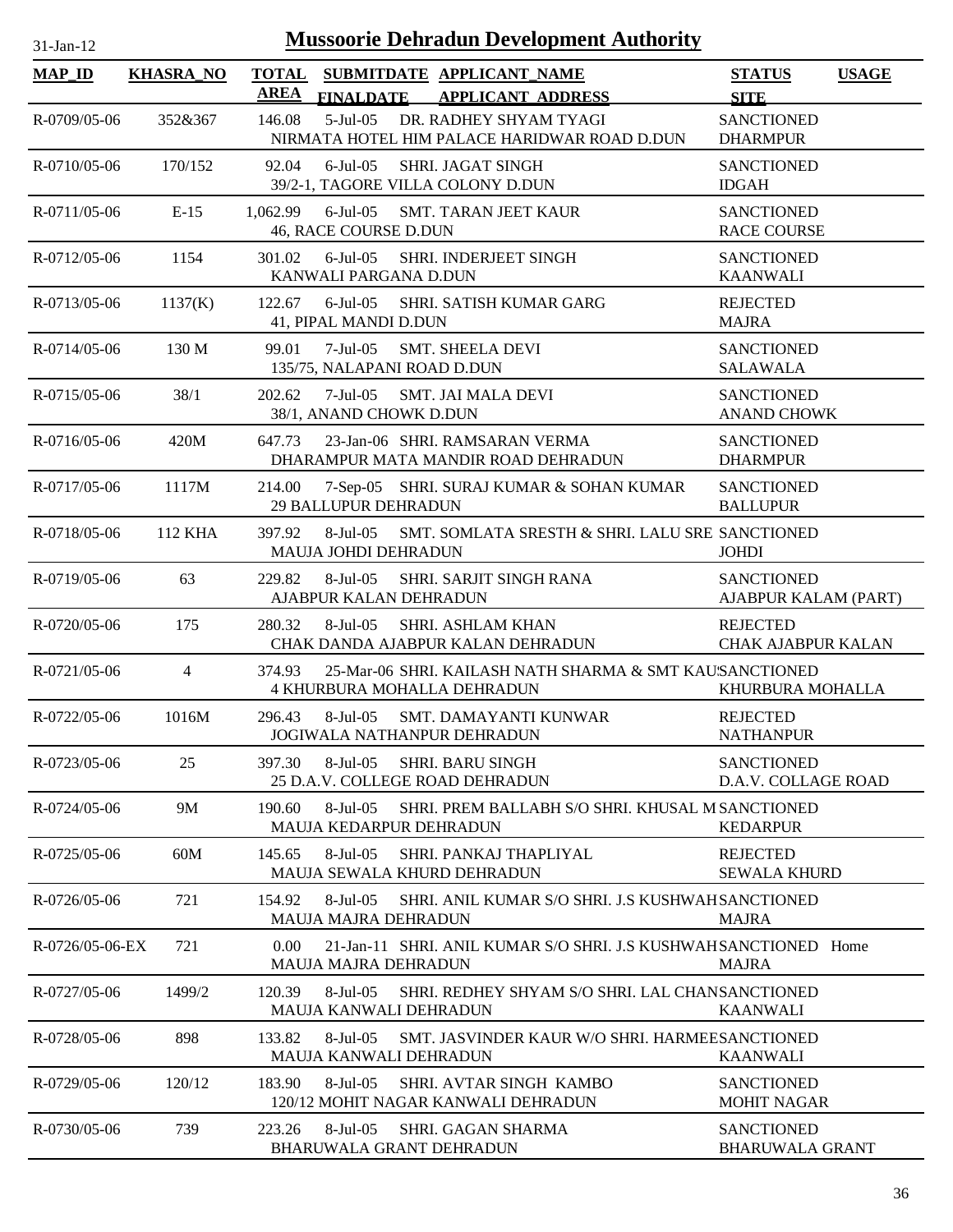| <b>MAP_ID</b>      | <b>KHASRA_NO</b> | <b>TOTAL</b><br><b>AREA</b> |                                              | SUBMITDATE APPLICANT NAME<br>FINALDATE APPLICANT ADDRESS                                      | <b>STATUS</b><br><b>SITE</b>                 | <b>USAGE</b> |
|--------------------|------------------|-----------------------------|----------------------------------------------|-----------------------------------------------------------------------------------------------|----------------------------------------------|--------------|
| R-0709/05-06       | 352&367          | 146.08                      | $5$ -Jul $-05$                               | DR. RADHEY SHYAM TYAGI<br>NIRMATA HOTEL HIM PALACE HARIDWAR ROAD D.DUN                        | <b>SANCTIONED</b><br><b>DHARMPUR</b>         |              |
| R-0710/05-06       | 170/152          | 92.04                       | $6$ -Jul-05                                  | <b>SHRI. JAGAT SINGH</b><br>39/2-1, TAGORE VILLA COLONY D.DUN                                 | <b>SANCTIONED</b><br><b>IDGAH</b>            |              |
| $R-0711/05-06$     | $E-15$           | 1,062.99                    | 46, RACE COURSE D.DUN                        | 6-Jul-05 SMT. TARAN JEET KAUR                                                                 | <b>SANCTIONED</b><br><b>RACE COURSE</b>      |              |
| R-0712/05-06       | 1154             | 301.02                      | $6$ -Jul-05<br>KANWALI PARGANA D.DUN         | <b>SHRI. INDERJEET SINGH</b>                                                                  | <b>SANCTIONED</b><br><b>KAANWALI</b>         |              |
| $R - 0713/05 - 06$ | 1137(K)          | 122.67                      | 41, PIPAL MANDI D.DUN                        | 6-Jul-05 SHRI. SATISH KUMAR GARG                                                              | <b>REJECTED</b><br><b>MAJRA</b>              |              |
| $R - 0714/05 - 06$ | 130 M            | 99.01                       | 135/75, NALAPANI ROAD D.DUN                  | 7-Jul-05 SMT. SHEELA DEVI                                                                     | <b>SANCTIONED</b><br><b>SALAWALA</b>         |              |
| R-0715/05-06       | 38/1             | 202.62                      | 38/1, ANAND CHOWK D.DUN                      | 7-Jul-05 SMT. JAI MALA DEVI                                                                   | <b>SANCTIONED</b><br><b>ANAND CHOWK</b>      |              |
| $R - 0716/05 - 06$ | 420M             | 647.73                      |                                              | 23-Jan-06 SHRI. RAMSARAN VERMA<br>DHARAMPUR MATA MANDIR ROAD DEHRADUN                         | <b>SANCTIONED</b><br><b>DHARMPUR</b>         |              |
| $R - 0717/05 - 06$ | 1117M            | 214.00                      | <b>29 BALLUPUR DEHRADUN</b>                  | 7-Sep-05 SHRI. SURAJ KUMAR & SOHAN KUMAR                                                      | <b>SANCTIONED</b><br><b>BALLUPUR</b>         |              |
| R-0718/05-06       | 112 KHA          | 397.92                      | <b>MAUJA JOHDI DEHRADUN</b>                  | 8-Jul-05 SMT. SOMLATA SRESTH & SHRI. LALU SRE SANCTIONED                                      | <b>JOHDI</b>                                 |              |
| R-0719/05-06       | 63               | 229.82                      | 8-Jul-05<br>AJABPUR KALAN DEHRADUN           | <b>SHRI. SARJIT SINGH RANA</b>                                                                | <b>SANCTIONED</b><br>AJABPUR KALAM (PART)    |              |
| R-0720/05-06       | 175              | 280.32                      | 8-Jul-05                                     | <b>SHRI. ASHLAM KHAN</b><br>CHAK DANDA AJABPUR KALAN DEHRADUN                                 | <b>REJECTED</b><br><b>CHAK AJABPUR KALAN</b> |              |
| $R - 0721/05 - 06$ | $\overline{4}$   | 374.93                      |                                              | 25-Mar-06 SHRI. KAILASH NATH SHARMA & SMT KAUSANCTIONED<br><b>4 KHURBURA MOHALLA DEHRADUN</b> | KHURBURA MOHALLA                             |              |
| R-0722/05-06       | 1016M            | 296.43                      |                                              | 8-Jul-05 SMT. DAMAYANTI KUNWAR<br>JOGIWALA NATHANPUR DEHRADUN                                 | <b>REJECTED</b><br><b>NATHANPUR</b>          |              |
| R-0723/05-06       | 25               | 397.30                      | 8-Jul-05                                     | <b>SHRI. BARU SINGH</b><br>25 D.A.V. COLLEGE ROAD DEHRADUN                                    | <b>SANCTIONED</b><br>D.A.V. COLLAGE ROAD     |              |
| R-0724/05-06       | 9M               | 190.60                      | $8-Jul-05$<br><b>MAUJA KEDARPUR DEHRADUN</b> | SHRI. PREM BALLABH S/O SHRI. KHUSAL M SANCTIONED                                              | <b>KEDARPUR</b>                              |              |
| $R - 0725/05 - 06$ | 60M              | 145.65                      | $8-Jul-05$                                   | SHRI. PANKAJ THAPLIYAL<br>MAUJA SEWALA KHURD DEHRADUN                                         | <b>REJECTED</b><br><b>SEWALA KHURD</b>       |              |
| R-0726/05-06       | 721              | 154.92                      | 8-Jul-05<br><b>MAUJA MAJRA DEHRADUN</b>      | SHRI. ANIL KUMAR S/O SHRI. J.S KUSHWAH SANCTIONED                                             | <b>MAJRA</b>                                 |              |
| R-0726/05-06-EX    | 721              | 0.00                        | <b>MAUJA MAJRA DEHRADUN</b>                  | 21-Jan-11 SHRI. ANIL KUMAR S/O SHRI. J.S KUSHWAH SANCTIONED Home                              | <b>MAJRA</b>                                 |              |
| R-0727/05-06       | 1499/2           | 120.39                      | 8-Jul-05<br>MAUJA KANWALI DEHRADUN           | SHRI. REDHEY SHYAM S/O SHRI. LAL CHANSANCTIONED                                               | <b>KAANWALI</b>                              |              |
| R-0728/05-06       | 898              | 133.82                      | 8-Jul-05<br><b>MAUJA KANWALI DEHRADUN</b>    | SMT. JASVINDER KAUR W/O SHRI. HARMEESANCTIONED                                                | <b>KAANWALI</b>                              |              |
| R-0729/05-06       | 120/12           | 183.90                      | 8-Jul-05                                     | SHRI. AVTAR SINGH KAMBO<br>120/12 MOHIT NAGAR KANWALI DEHRADUN                                | <b>SANCTIONED</b><br><b>MOHIT NAGAR</b>      |              |
| R-0730/05-06       | 739              | 223.26                      | 8-Jul-05                                     | <b>SHRI. GAGAN SHARMA</b><br><b>BHARUWALA GRANT DEHRADUN</b>                                  | <b>SANCTIONED</b><br><b>BHARUWALA GRANT</b>  |              |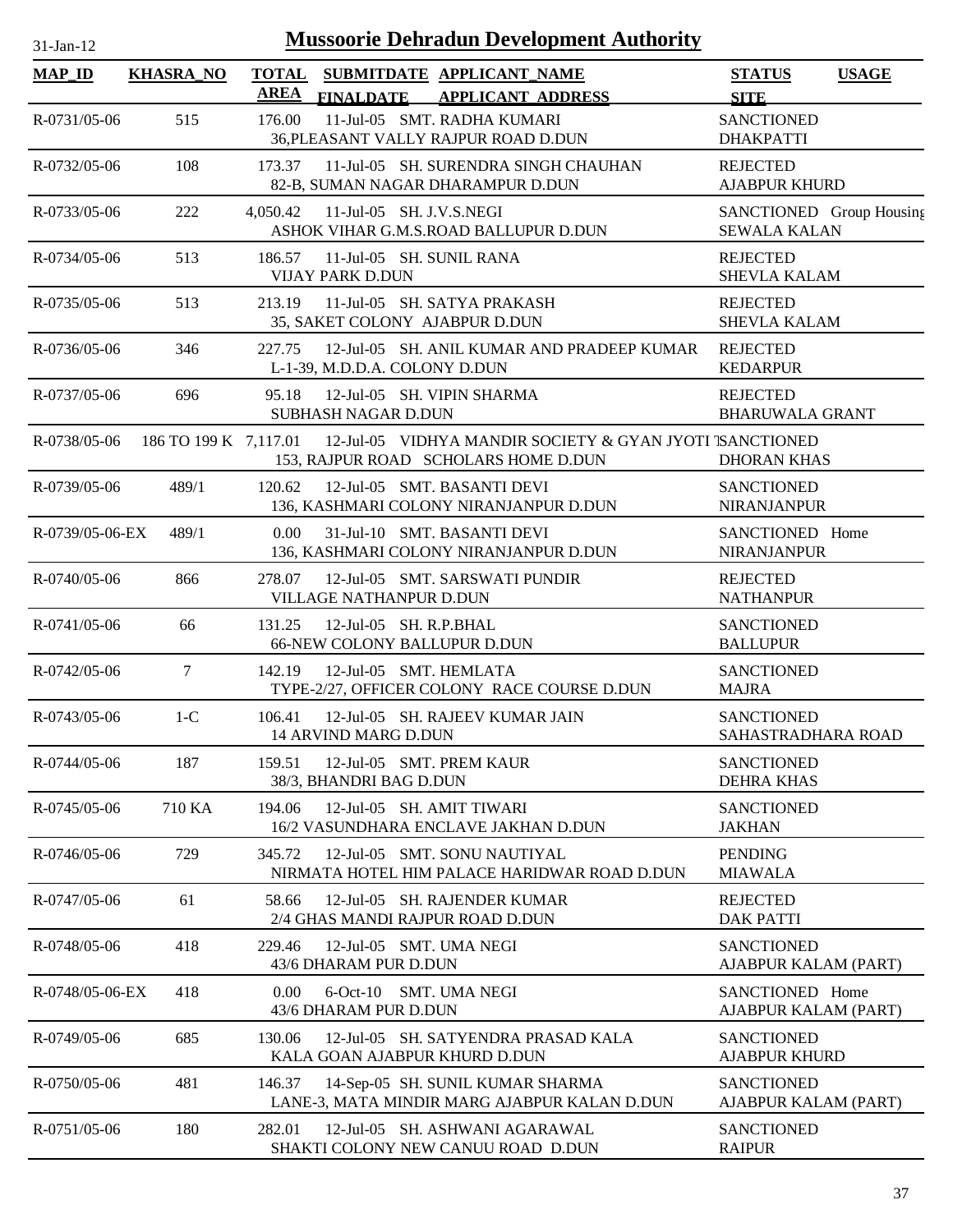| 31-Jan-12           |                       |                             | <b>Mussoorie Dehradun Development Authority</b>                                                  |                                                 |              |
|---------------------|-----------------------|-----------------------------|--------------------------------------------------------------------------------------------------|-------------------------------------------------|--------------|
| $MAP$ <sub>ID</sub> | <b>KHASRA_NO</b>      | <b>TOTAL</b><br><b>AREA</b> | SUBMITDATE APPLICANT_NAME<br><b>APPLICANT ADDRESS</b><br><b>FINALDATE</b>                        | <b>STATUS</b><br><b>SITE</b>                    | <b>USAGE</b> |
| R-0731/05-06        | 515                   | 176.00                      | 11-Jul-05 SMT. RADHA KUMARI<br>36, PLEASANT VALLY RAJPUR ROAD D.DUN                              | <b>SANCTIONED</b><br><b>DHAKPATTI</b>           |              |
| R-0732/05-06        | 108                   | 173.37                      | 11-Jul-05 SH. SURENDRA SINGH CHAUHAN<br>82-B, SUMAN NAGAR DHARAMPUR D.DUN                        | <b>REJECTED</b><br><b>AJABPUR KHURD</b>         |              |
| $R - 0733/05 - 06$  | 222                   | 4,050.42                    | 11-Jul-05 SH. J.V.S.NEGI<br>ASHOK VIHAR G.M.S.ROAD BALLUPUR D.DUN                                | SANCTIONED Group Housing<br><b>SEWALA KALAN</b> |              |
| R-0734/05-06        | 513                   | 186.57                      | 11-Jul-05 SH, SUNIL RANA<br><b>VIJAY PARK D.DUN</b>                                              | <b>REJECTED</b><br><b>SHEVLA KALAM</b>          |              |
| R-0735/05-06        | 513                   | 213.19                      | 11-Jul-05 SH. SATYA PRAKASH<br>35, SAKET COLONY AJABPUR D.DUN                                    | <b>REJECTED</b><br><b>SHEVLA KALAM</b>          |              |
| R-0736/05-06        | 346                   | 227.75                      | 12-Jul-05 SH, ANIL KUMAR AND PRADEEP KUMAR<br>L-1-39, M.D.D.A. COLONY D.DUN                      | <b>REJECTED</b><br><b>KEDARPUR</b>              |              |
| R-0737/05-06        | 696                   | 95.18                       | 12-Jul-05 SH. VIPIN SHARMA<br>SUBHASH NAGAR D.DUN                                                | <b>REJECTED</b><br><b>BHARUWALA GRANT</b>       |              |
| R-0738/05-06        | 186 TO 199 K 7,117.01 |                             | 12-Jul-05 VIDHYA MANDIR SOCIETY & GYAN JYOTI TSANCTIONED<br>153, RAJPUR ROAD SCHOLARS HOME D.DUN | <b>DHORAN KHAS</b>                              |              |
| R-0739/05-06        | 489/1                 | 120.62                      | 12-Jul-05 SMT. BASANTI DEVI<br>136, KASHMARI COLONY NIRANJANPUR D.DUN                            | <b>SANCTIONED</b><br><b>NIRANJANPUR</b>         |              |
| R-0739/05-06-EX     | 489/1                 | $0.00^{\circ}$              | 31-Jul-10 SMT. BASANTI DEVI<br>136, KASHMARI COLONY NIRANJANPUR D.DUN                            | SANCTIONED Home<br>NIRANJANPUR                  |              |
| R-0740/05-06        | 866                   | 278.07                      | 12-Jul-05 SMT. SARSWATI PUNDIR<br>VILLAGE NATHANPUR D.DUN                                        | <b>REJECTED</b><br><b>NATHANPUR</b>             |              |
| R-0741/05-06        | 66                    | 131.25                      | 12-Jul-05 SH. R.P.BHAL<br>66-NEW COLONY BALLUPUR D.DUN                                           | <b>SANCTIONED</b><br><b>BALLUPUR</b>            |              |
| R-0742/05-06        | 7                     | 142.19                      | 12-Jul-05 SMT. HEMLATA<br>TYPE-2/27, OFFICER COLONY RACE COURSE D.DUN                            | <b>SANCTIONED</b><br><b>MAJRA</b>               |              |
| R-0743/05-06        | $1-C$                 | 106.41                      | 12-Jul-05 SH. RAJEEV KUMAR JAIN<br>14 ARVIND MARG D.DUN                                          | <b>SANCTIONED</b><br>SAHASTRADHARA ROAD         |              |
| R-0744/05-06        | 187                   | 159.51                      | 12-Jul-05 SMT. PREM KAUR<br>38/3, BHANDRI BAG D.DUN                                              | <b>SANCTIONED</b><br><b>DEHRA KHAS</b>          |              |
| R-0745/05-06        | 710 KA                | 194.06                      | 12-Jul-05 SH. AMIT TIWARI<br>16/2 VASUNDHARA ENCLAVE JAKHAN D.DUN                                | <b>SANCTIONED</b><br><b>JAKHAN</b>              |              |
| R-0746/05-06        | 729                   | 345.72                      | 12-Jul-05 SMT, SONU NAUTIYAL<br>NIRMATA HOTEL HIM PALACE HARIDWAR ROAD D.DUN                     | <b>PENDING</b><br><b>MIAWALA</b>                |              |
| R-0747/05-06        | 61                    | 58.66                       | 12-Jul-05 SH. RAJENDER KUMAR<br>2/4 GHAS MANDI RAJPUR ROAD D.DUN                                 | <b>REJECTED</b><br><b>DAK PATTI</b>             |              |
| R-0748/05-06        | 418                   | 229.46                      | 12-Jul-05 SMT. UMA NEGI<br>43/6 DHARAM PUR D.DUN                                                 | <b>SANCTIONED</b><br>AJABPUR KALAM (PART)       |              |
| R-0748/05-06-EX     | 418                   | 0.00                        | $6$ -Oct-10<br><b>SMT. UMA NEGI</b><br>43/6 DHARAM PUR D.DUN                                     | SANCTIONED Home<br>AJABPUR KALAM (PART)         |              |
| R-0749/05-06        | 685                   | 130.06                      | 12-Jul-05 SH. SATYENDRA PRASAD KALA<br>KALA GOAN AJABPUR KHURD D.DUN                             | <b>SANCTIONED</b><br><b>AJABPUR KHURD</b>       |              |
| R-0750/05-06        | 481                   | 146.37                      | 14-Sep-05 SH. SUNIL KUMAR SHARMA<br>LANE-3, MATA MINDIR MARG AJABPUR KALAN D.DUN                 | <b>SANCTIONED</b><br>AJABPUR KALAM (PART)       |              |
| R-0751/05-06        | 180                   | 282.01                      | 12-Jul-05 SH. ASHWANI AGARAWAL                                                                   | <b>SANCTIONED</b>                               |              |

SHAKTI COLONY NEW CANUU ROAD D.DUN

RAIPUR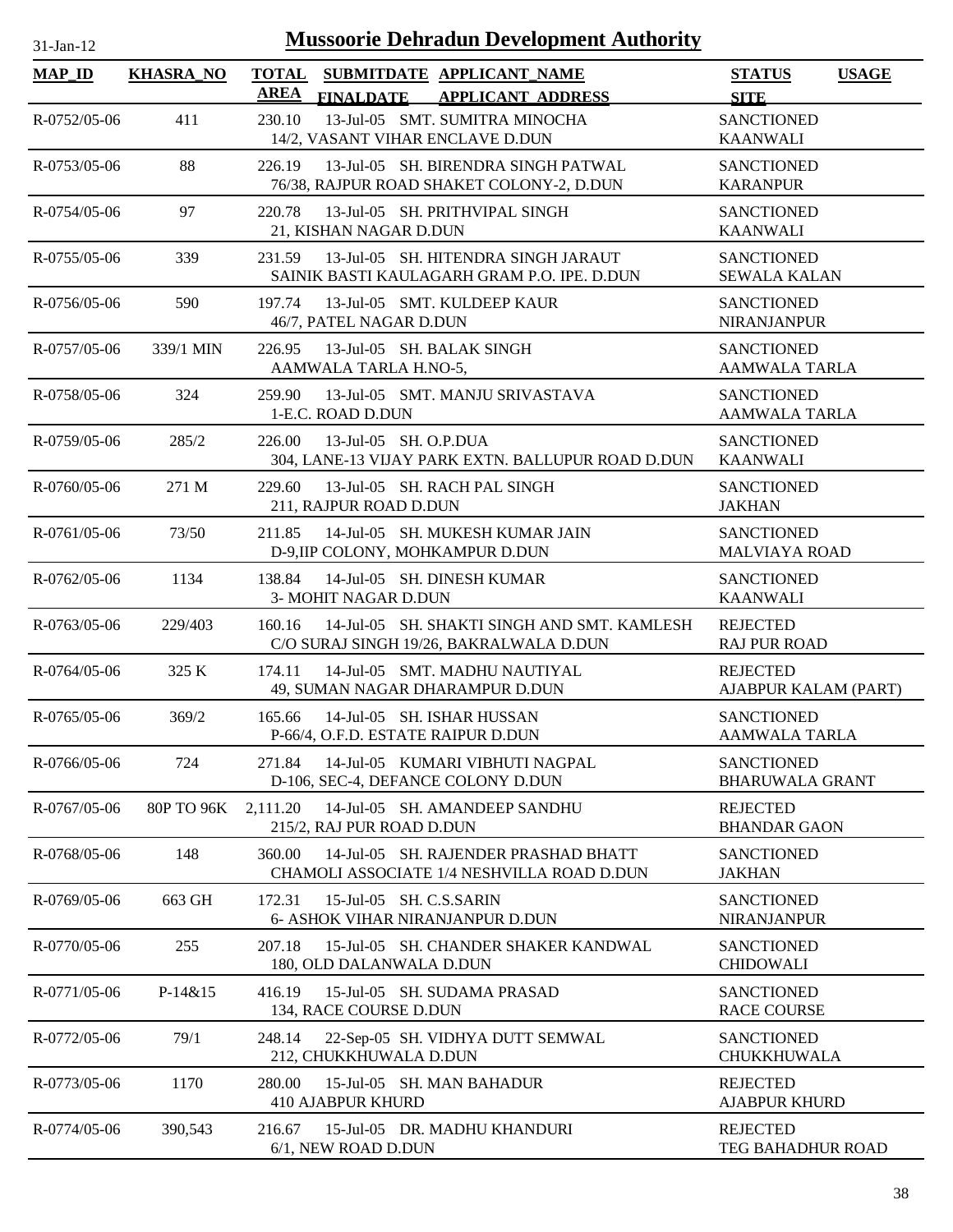| 31-Jan-1 |  |
|----------|--|
|          |  |

| <b>MAP_ID</b>      | <b>KHASRA_NO</b> | <b>TOTAL</b><br>SUBMITDATE APPLICANT_NAME<br><b>AREA</b><br><b>FINALDATE</b><br><b>APPLICANT ADDRESS</b> | <b>USAGE</b><br><b>STATUS</b><br><b>SITE</b> |
|--------------------|------------------|----------------------------------------------------------------------------------------------------------|----------------------------------------------|
| R-0752/05-06       | 411              | 13-Jul-05 SMT. SUMITRA MINOCHA<br>230.10                                                                 | <b>SANCTIONED</b>                            |
| R-0753/05-06       | 88               | 14/2, VASANT VIHAR ENCLAVE D.DUN<br>13-Jul-05 SH. BIRENDRA SINGH PATWAL                                  | <b>KAANWALI</b><br><b>SANCTIONED</b>         |
|                    |                  | 226.19<br>76/38, RAJPUR ROAD SHAKET COLONY-2, D.DUN                                                      | <b>KARANPUR</b>                              |
| R-0754/05-06       | 97               | 220.78<br>13-Jul-05 SH. PRITHVIPAL SINGH<br>21, KISHAN NAGAR D.DUN                                       | <b>SANCTIONED</b><br><b>KAANWALI</b>         |
| $R - 0755/05 - 06$ | 339              | 13-Jul-05 SH. HITENDRA SINGH JARAUT<br>231.59<br>SAINIK BASTI KAULAGARH GRAM P.O. IPE. D.DUN             | <b>SANCTIONED</b><br><b>SEWALA KALAN</b>     |
| $R - 0756/05 - 06$ | 590              | 13-Jul-05 SMT. KULDEEP KAUR<br>197.74<br>46/7, PATEL NAGAR D.DUN                                         | <b>SANCTIONED</b><br><b>NIRANJANPUR</b>      |
| $R - 0757/05 - 06$ | 339/1 MIN        | 13-Jul-05 SH. BALAK SINGH<br>226.95<br>AAMWALA TARLA H.NO-5,                                             | <b>SANCTIONED</b><br><b>AAMWALA TARLA</b>    |
| R-0758/05-06       | 324              | 259.90<br>13-Jul-05 SMT. MANJU SRIVASTAVA<br>1-E.C. ROAD D.DUN                                           | <b>SANCTIONED</b><br><b>AAMWALA TARLA</b>    |
| R-0759/05-06       | 285/2            | 13-Jul-05 SH. O.P.DUA<br>226.00<br>304, LANE-13 VIJAY PARK EXTN. BALLUPUR ROAD D.DUN                     | <b>SANCTIONED</b><br><b>KAANWALI</b>         |
| $R - 0760/05 - 06$ | 271 M            | 229.60<br>13-Jul-05 SH. RACH PAL SINGH<br>211, RAJPUR ROAD D.DUN                                         | <b>SANCTIONED</b><br><b>JAKHAN</b>           |
| $R-0761/05-06$     | 73/50            | 14-Jul-05 SH. MUKESH KUMAR JAIN<br>211.85<br>D-9, IIP COLONY, MOHKAMPUR D.DUN                            | <b>SANCTIONED</b><br><b>MALVIAYA ROAD</b>    |
| $R - 0762/05 - 06$ | 1134             | 14-Jul-05 SH. DINESH KUMAR<br>138.84<br>3- MOHIT NAGAR D.DUN                                             | <b>SANCTIONED</b><br><b>KAANWALI</b>         |
| $R - 0763/05 - 06$ | 229/403          | 14-Jul-05 SH. SHAKTI SINGH AND SMT. KAMLESH<br>160.16<br>C/O SURAJ SINGH 19/26, BAKRALWALA D.DUN         | <b>REJECTED</b><br><b>RAJ PUR ROAD</b>       |
| $R - 0764/05 - 06$ | 325 K            | 174.11<br>14-Jul-05 SMT. MADHU NAUTIYAL<br>49, SUMAN NAGAR DHARAMPUR D.DUN                               | <b>REJECTED</b><br>AJABPUR KALAM (PART)      |
| R-0765/05-06       | 369/2            | 165.66<br>14-Jul-05 SH. ISHAR HUSSAN<br>P-66/4, O.F.D. ESTATE RAIPUR D.DUN                               | <b>SANCTIONED</b><br><b>AAMWALA TARLA</b>    |
| R-0766/05-06       | 724              | 14-Jul-05 KUMARI VIBHUTI NAGPAL<br>271.84<br>D-106, SEC-4, DEFANCE COLONY D.DUN                          | <b>SANCTIONED</b><br><b>BHARUWALA GRANT</b>  |
| R-0767/05-06       | 80P TO 96K       | 2,111.20<br>14-Jul-05 SH. AMANDEEP SANDHU<br>215/2, RAJ PUR ROAD D.DUN                                   | <b>REJECTED</b><br><b>BHANDAR GAON</b>       |
| R-0768/05-06       | 148              | 360.00<br>14-Jul-05 SH. RAJENDER PRASHAD BHATT<br>CHAMOLI ASSOCIATE 1/4 NESHVILLA ROAD D.DUN             | <b>SANCTIONED</b><br><b>JAKHAN</b>           |
| $R-0769/05-06$     | 663 GH           | 15-Jul-05 SH. C.S.SARIN<br>172.31<br>6- ASHOK VIHAR NIRANJANPUR D.DUN                                    | <b>SANCTIONED</b><br><b>NIRANJANPUR</b>      |
| R-0770/05-06       | 255              | 207.18<br>15-Jul-05 SH. CHANDER SHAKER KANDWAL<br>180, OLD DALANWALA D.DUN                               | <b>SANCTIONED</b><br><b>CHIDOWALI</b>        |
| R-0771/05-06       | $P-14&15$        | 15-Jul-05 SH. SUDAMA PRASAD<br>416.19<br>134, RACE COURSE D.DUN                                          | <b>SANCTIONED</b><br><b>RACE COURSE</b>      |
| R-0772/05-06       | 79/1             | 248.14<br>22-Sep-05 SH. VIDHYA DUTT SEMWAL<br>212, CHUKKHUWALA D.DUN                                     | <b>SANCTIONED</b><br><b>CHUKKHUWALA</b>      |
| R-0773/05-06       | 1170             | 280.00<br>15-Jul-05 SH. MAN BAHADUR<br><b>410 AJABPUR KHURD</b>                                          | <b>REJECTED</b><br><b>AJABPUR KHURD</b>      |
| R-0774/05-06       | 390,543          | 216.67<br>15-Jul-05 DR. MADHU KHANDURI<br>6/1, NEW ROAD D.DUN                                            | <b>REJECTED</b><br>TEG BAHADHUR ROAD         |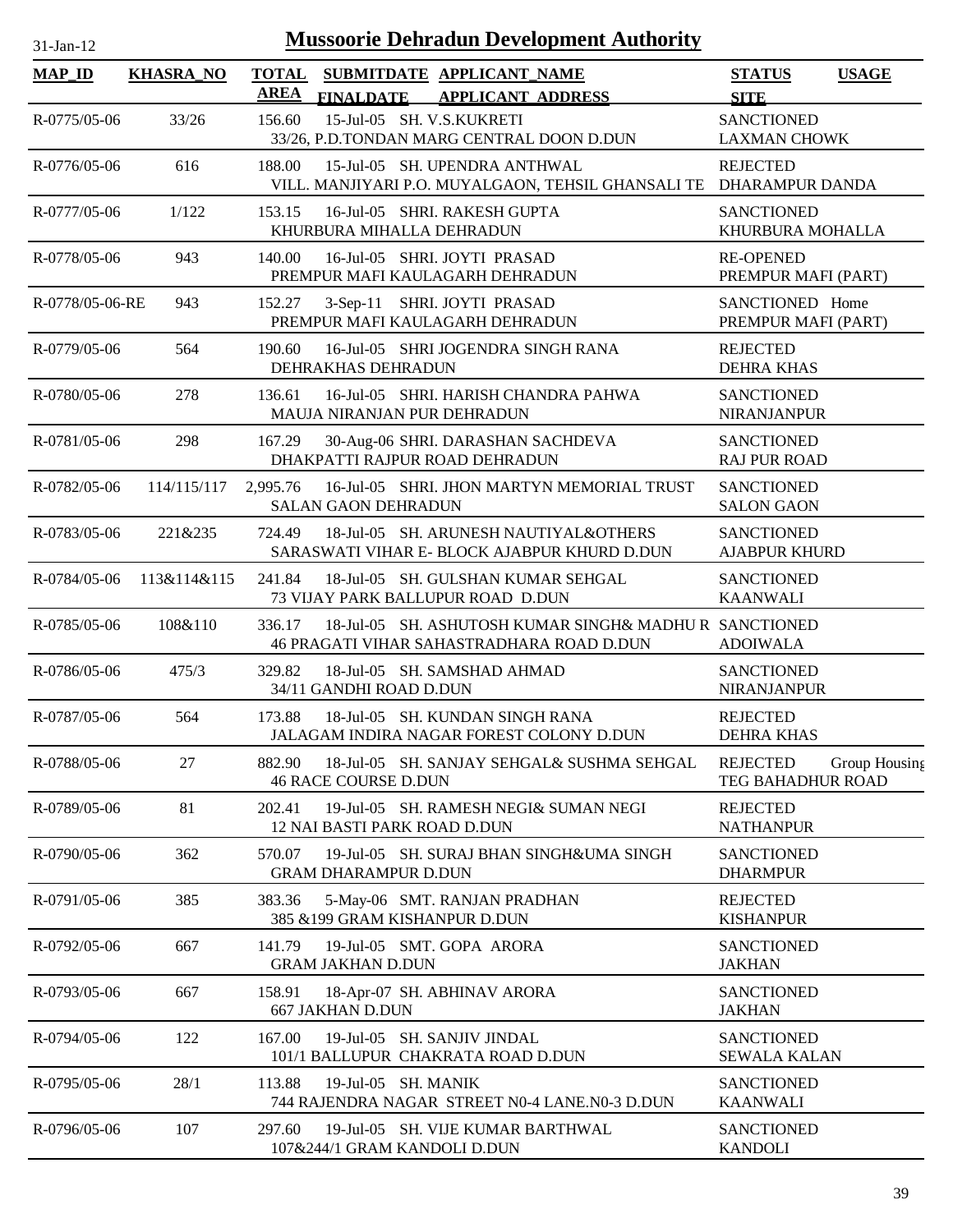| $31$ -Jan- $12$    |                                 |             |                            | <b>Mussoorie Dehradun Development Authority</b>                                                              |                                           |            |
|--------------------|---------------------------------|-------------|----------------------------|--------------------------------------------------------------------------------------------------------------|-------------------------------------------|------------|
| <b>MAP_ID</b>      | <b>KHASRA NO</b>                | <b>AREA</b> | <b>FINALDATE</b>           | TOTAL SUBMITDATE APPLICANT_NAME<br><b>APPLICANT ADDRESS</b>                                                  | <b>STATUS</b><br><b>SITE</b>              | <b>USA</b> |
| $R - 0775/05 - 06$ | 33/26                           | 156.60      |                            | 15-Jul-05 SH. V.S.KUKRETI<br>33/26, P.D.TONDAN MARG CENTRAL DOON D.DUN                                       | <b>SANCTIONED</b><br><b>LAXMAN CHOWK</b>  |            |
| $R - 0776/05 - 06$ | 616                             | 188.00      |                            | 15-Jul-05 SH. UPENDRA ANTHWAL<br>VILL. MANJIYARI P.O. MUYALGAON, TEHSIL GHANSALI TE DHARAMPUR DAND.          | <b>REJECTED</b>                           |            |
| R-0777/05-06       | 1/122                           | 153.15      |                            | 16-Jul-05 SHRI. RAKESH GUPTA<br>KHURBURA MIHALLA DEHRADUN                                                    | <b>SANCTIONED</b><br>KHURBURA MOHALI      |            |
| R-0778/05-06       | 943                             | 140.00      |                            | 16-Jul-05 SHRI JOYTI PRASAD<br>PREMPUR MAFI KAULAGARH DEHRADUN                                               | <b>RE-OPENED</b><br>PREMPUR MAFI (PAI     |            |
| R-0778/05-06-RE    | 943                             | 152.27      |                            | 3-Sep-11 SHRI. JOYTI PRASAD<br>PREMPUR MAFI KAULAGARH DEHRADUN                                               | SANCTIONED Home<br>PREMPUR MAFI (PAI      |            |
| R-0779/05-06       | 564                             | 190.60      | DEHRAKHAS DEHRADUN         | 16-Jul-05 SHRI JOGENDRA SINGH RANA                                                                           | <b>REJECTED</b><br><b>DEHRA KHAS</b>      |            |
| R-0780/05-06       | 278                             | 136.61      |                            | 16-Jul-05 SHRI. HARISH CHANDRA PAHWA<br>MAUJA NIRANJAN PUR DEHRADUN                                          | <b>SANCTIONED</b><br><b>NIRANJANPUR</b>   |            |
| R-0781/05-06       | 298                             | 167.29      |                            | 30-Aug-06 SHRI. DARASHAN SACHDEVA<br>DHAKPATTI RAJPUR ROAD DEHRADUN                                          | <b>SANCTIONED</b><br><b>RAJ PUR ROAD</b>  |            |
| R-0782/05-06       | 114/115/117                     | 2,995.76    | <b>SALAN GAON DEHRADUN</b> | 16-Jul-05 SHRI. JHON MARTYN MEMORIAL TRUST                                                                   | <b>SANCTIONED</b><br><b>SALON GAON</b>    |            |
| R-0783/05-06       | 221&235                         | 724.49      |                            | 18-Jul-05 SH. ARUNESH NAUTIYAL&OTHERS<br>SARASWATI VIHAR E- BLOCK AJABPUR KHURD D.DUN                        | <b>SANCTIONED</b><br><b>AJABPUR KHURD</b> |            |
| R-0784/05-06       | 113&114&115                     | 241.84      |                            | 18-Jul-05 SH. GULSHAN KUMAR SEHGAL<br>73 VIJAY PARK BALLUPUR ROAD D.DUN                                      | <b>SANCTIONED</b><br><b>KAANWALI</b>      |            |
|                    | <b>D. 0705/05.06.</b> 100.0.110 |             |                            | $226.17 - 10.1.10$ $\sigma$ all $\mu$ all monetaring and all $\sigma$ and $\sigma$ and $\sigma$ and $\sigma$ |                                           |            |

|                    | R-0784/05-06 113&114&115 | 18-Jul-05 SH. GULSHAN KUMAR SEHGAL<br>241.84<br>73 VIJAY PARK BALLUPUR ROAD D.DUN                             | <b>SANCTIONED</b><br><b>KAANWALI</b>                  |
|--------------------|--------------------------|---------------------------------------------------------------------------------------------------------------|-------------------------------------------------------|
| R-0785/05-06       | 108&110                  | 18-Jul-05 SH. ASHUTOSH KUMAR SINGH& MADHU R SANCTIONED<br>336.17<br>46 PRAGATI VIHAR SAHASTRADHARA ROAD D.DUN | <b>ADOIWALA</b>                                       |
| R-0786/05-06       | 475/3                    | 18-Jul-05 SH. SAMSHAD AHMAD<br>329.82<br>34/11 GANDHI ROAD D.DUN                                              | <b>SANCTIONED</b><br><b>NIRANJANPUR</b>               |
| R-0787/05-06       | 564                      | 18-Jul-05 SH. KUNDAN SINGH RANA<br>173.88<br>JALAGAM INDIRA NAGAR FOREST COLONY D.DUN                         | <b>REJECTED</b><br>DEHRA KHAS                         |
| R-0788/05-06       | 27                       | 882.90<br>18-Jul-05 SH. SANJAY SEHGAL& SUSHMA SEHGAL<br><b>46 RACE COURSE D.DUN</b>                           | <b>REJECTED</b><br>Group Housing<br>TEG BAHADHUR ROAD |
| R-0789/05-06       | 81                       | 19-Jul-05 SH, RAMESH NEGI& SUMAN NEGI<br>202.41<br>12 NAI BASTI PARK ROAD D.DUN                               | <b>REJECTED</b><br><b>NATHANPUR</b>                   |
| $R - 0790/05 - 06$ | 362                      | 19-Jul-05 SH. SURAJ BHAN SINGH&UMA SINGH<br>570.07<br><b>GRAM DHARAMPUR D.DUN</b>                             | <b>SANCTIONED</b><br><b>DHARMPUR</b>                  |
| R-0791/05-06       | 385                      | 5-May-06 SMT. RANJAN PRADHAN<br>383.36<br>385 & 199 GRAM KISHANPUR D.DUN                                      | <b>REJECTED</b><br><b>KISHANPUR</b>                   |
| R-0792/05-06       | 667                      | 19-Jul-05 SMT. GOPA ARORA<br>141.79<br><b>GRAM JAKHAN D.DUN</b>                                               | <b>SANCTIONED</b><br><b>JAKHAN</b>                    |
| R-0793/05-06       | 667                      | 18-Apr-07 SH. ABHINAV ARORA<br>158.91<br><b>667 JAKHAN D.DUN</b>                                              | <b>SANCTIONED</b><br><b>JAKHAN</b>                    |
| R-0794/05-06       | 122                      | 19-Jul-05 SH. SANJIV JINDAL<br>167.00<br>101/1 BALLUPUR CHAKRATA ROAD D.DUN                                   | <b>SANCTIONED</b><br><b>SEWALA KALAN</b>              |
| R-0795/05-06       | 28/1                     | 19-Jul-05 SH, MANIK<br>113.88<br>744 RAJENDRA NAGAR STREET N0-4 LANE.N0-3 D.DUN                               | <b>SANCTIONED</b><br><b>KAANWALI</b>                  |
| R-0796/05-06       | 107                      | 19-Jul-05 SH. VIJE KUMAR BARTHWAL<br>297.60<br>107&244/1 GRAM KANDOLI D.DUN                                   | <b>SANCTIONED</b><br><b>KANDOLI</b>                   |

**STATUS USAGE**

DHARAMPUR DANDA

KHURBURA MOHALLA

PREMPUR MAFI (PART)

PREMPUR MAFI (PART)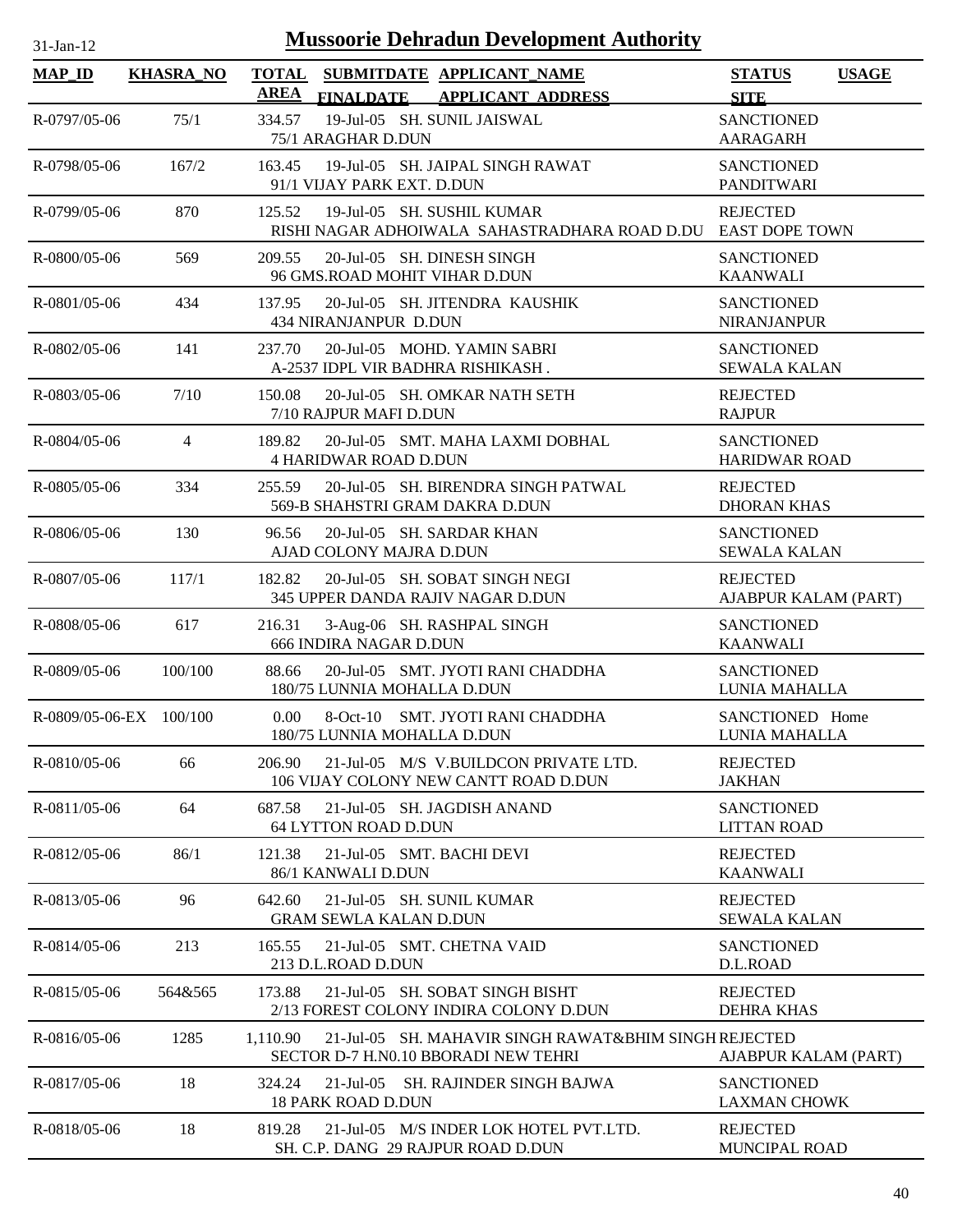| $31-Ian-1$ |  |
|------------|--|

| <b>MAP_ID</b>           | <b>KHASRA_NO</b> | <b>AREA</b> | <b>FINALDATE</b>                                            | TOTAL SUBMITDATE APPLICANT NAME<br><b>APPLICANT ADDRESS</b>                                   | <b>STATUS</b><br><b>USAGE</b><br><b>SITE</b> |
|-------------------------|------------------|-------------|-------------------------------------------------------------|-----------------------------------------------------------------------------------------------|----------------------------------------------|
| R-0797/05-06            | 75/1             | 334.57      | 75/1 ARAGHAR D.DUN                                          | 19-Jul-05 SH. SUNIL JAISWAL                                                                   | <b>SANCTIONED</b><br><b>AARAGARH</b>         |
| R-0798/05-06            | 167/2            | 163.45      | 91/1 VIJAY PARK EXT. D.DUN                                  | 19-Jul-05 SH. JAIPAL SINGH RAWAT                                                              | <b>SANCTIONED</b><br><b>PANDITWARI</b>       |
| R-0799/05-06            | 870              | 125.52      | 19-Jul-05 SH. SUSHIL KUMAR                                  | RISHI NAGAR ADHOIWALA SAHASTRADHARA ROAD D.DU                                                 | <b>REJECTED</b><br><b>EAST DOPE TOWN</b>     |
| R-0800/05-06            | 569              | 209.55      | 20-Jul-05 SH. DINESH SINGH<br>96 GMS.ROAD MOHIT VIHAR D.DUN |                                                                                               | <b>SANCTIONED</b><br><b>KAANWALI</b>         |
| $R - 0801/05 - 06$      | 434              | 137.95      | 434 NIRANJANPUR D.DUN                                       | 20-Jul-05 SH. JITENDRA KAUSHIK                                                                | <b>SANCTIONED</b><br><b>NIRANJANPUR</b>      |
| R-0802/05-06            | 141              | 237.70      | A-2537 IDPL VIR BADHRA RISHIKASH.                           | 20-Jul-05 MOHD. YAMIN SABRI                                                                   | <b>SANCTIONED</b><br><b>SEWALA KALAN</b>     |
| $R - 0803/05 - 06$      | 7/10             | 150.08      | 7/10 RAJPUR MAFI D.DUN                                      | 20-Jul-05 SH. OMKAR NATH SETH                                                                 | <b>REJECTED</b><br><b>RAJPUR</b>             |
| R-0804/05-06            | $\overline{4}$   | 189.82      | <b>4 HARIDWAR ROAD D.DUN</b>                                | 20-Jul-05 SMT. MAHA LAXMI DOBHAL                                                              | <b>SANCTIONED</b><br><b>HARIDWAR ROAD</b>    |
| $R - 0805/05 - 06$      | 334              | 255.59      | 569-B SHAHSTRI GRAM DAKRA D.DUN                             | 20-Jul-05 SH, BIRENDRA SINGH PATWAL                                                           | <b>REJECTED</b><br><b>DHORAN KHAS</b>        |
| R-0806/05-06            | 130              | 96.56       | 20-Jul-05 SH. SARDAR KHAN<br>AJAD COLONY MAJRA D.DUN        |                                                                                               | <b>SANCTIONED</b><br><b>SEWALA KALAN</b>     |
| R-0807/05-06            | 117/1            | 182.82      |                                                             | 20-Jul-05 SH. SOBAT SINGH NEGI<br>345 UPPER DANDA RAJIV NAGAR D.DUN                           | <b>REJECTED</b><br>AJABPUR KALAM (PART)      |
| R-0808/05-06            | 617              | 216.31      | 666 INDIRA NAGAR D.DUN                                      | 3-Aug-06 SH. RASHPAL SINGH                                                                    | <b>SANCTIONED</b><br><b>KAANWALI</b>         |
| R-0809/05-06            | 100/100          | 88.66       | 180/75 LUNNIA MOHALLA D.DUN                                 | 20-Jul-05 SMT. JYOTI RANI CHADDHA                                                             | <b>SANCTIONED</b><br>LUNIA MAHALLA           |
| R-0809/05-06-EX 100/100 |                  | 0.00        | 180/75 LUNNIA MOHALLA D.DUN                                 | 8-Oct-10 SMT. JYOTI RANI CHADDHA                                                              | SANCTIONED Home<br>LUNIA MAHALLA             |
| R-0810/05-06            | 66               | 206.90      |                                                             | 21-Jul-05 M/S V.BUILDCON PRIVATE LTD.<br>106 VIJAY COLONY NEW CANTT ROAD D.DUN                | <b>REJECTED</b><br><b>JAKHAN</b>             |
| R-0811/05-06            | 64               | 687.58      | <b>64 LYTTON ROAD D.DUN</b>                                 | 21-Jul-05 SH. JAGDISH ANAND                                                                   | <b>SANCTIONED</b><br><b>LITTAN ROAD</b>      |
| R-0812/05-06            | 86/1             | 121.38      | 21-Jul-05 SMT. BACHI DEVI<br>86/1 KANWALI D.DUN             |                                                                                               | <b>REJECTED</b><br><b>KAANWALI</b>           |
| R-0813/05-06            | 96               | 642.60      | 21-Jul-05 SH, SUNIL KUMAR<br><b>GRAM SEWLA KALAN D.DUN</b>  |                                                                                               | <b>REJECTED</b><br><b>SEWALA KALAN</b>       |
| $R - 0814/05 - 06$      | 213              | 165.55      | 213 D.L.ROAD D.DUN                                          | 21-Jul-05 SMT. CHETNA VAID                                                                    | <b>SANCTIONED</b><br>D.L.ROAD                |
| R-0815/05-06            | 564&565          | 173.88      |                                                             | 21-Jul-05 SH. SOBAT SINGH BISHT<br>2/13 FOREST COLONY INDIRA COLONY D.DUN                     | <b>REJECTED</b><br><b>DEHRA KHAS</b>         |
| R-0816/05-06            | 1285             | 1,110.90    |                                                             | 21-Jul-05 SH. MAHAVIR SINGH RAWAT&BHIM SINGH REJECTED<br>SECTOR D-7 H.N0.10 BBORADI NEW TEHRI | AJABPUR KALAM (PART)                         |
| R-0817/05-06            | 18               | 324.24      | $21$ -Jul-05<br><b>18 PARK ROAD D.DUN</b>                   | SH. RAJINDER SINGH BAJWA                                                                      | <b>SANCTIONED</b><br><b>LAXMAN CHOWK</b>     |
| R-0818/05-06            | 18               | 819.28      |                                                             | 21-Jul-05 M/S INDER LOK HOTEL PVT.LTD.<br>SH. C.P. DANG 29 RAJPUR ROAD D.DUN                  | <b>REJECTED</b><br><b>MUNCIPAL ROAD</b>      |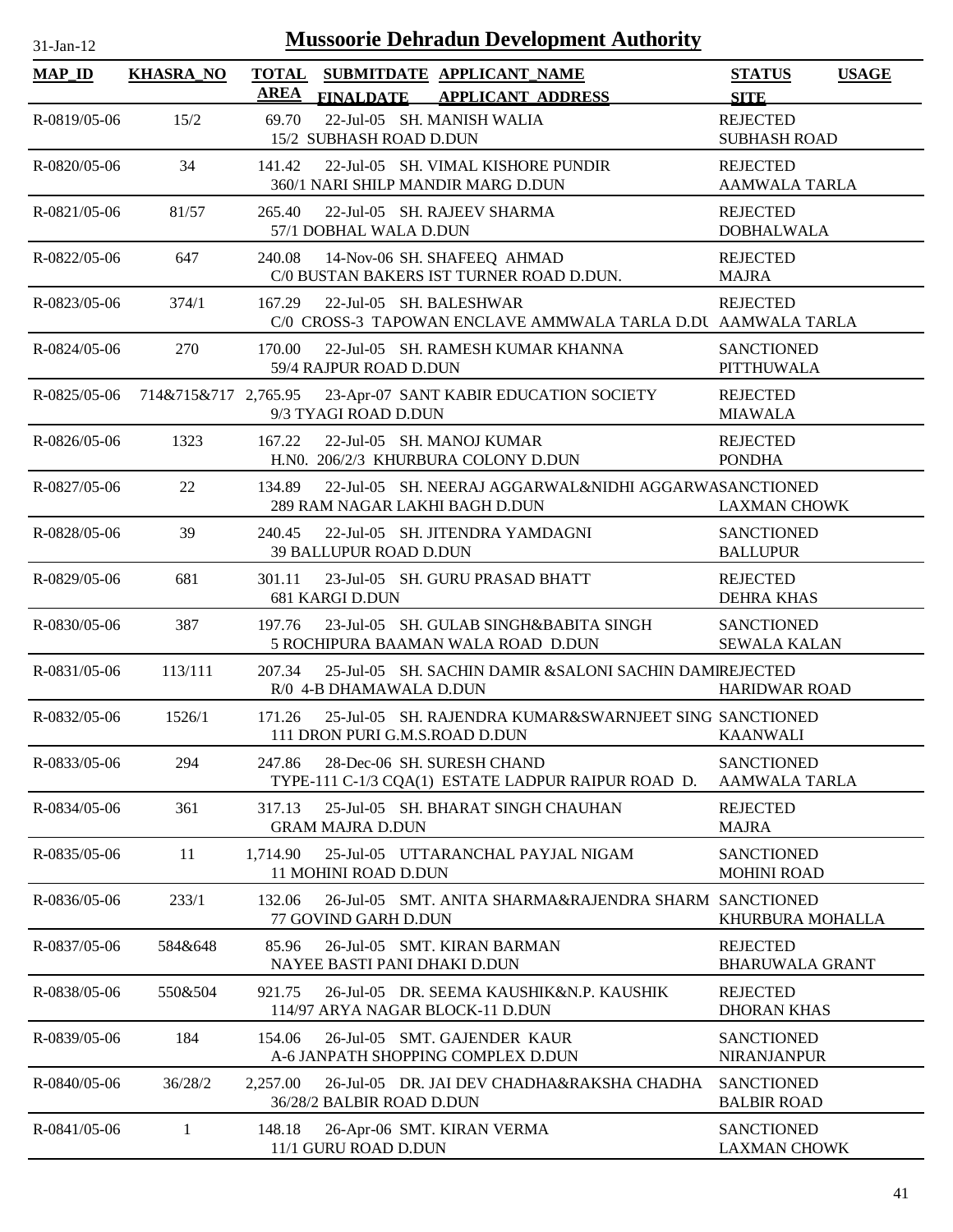| 1-Jan-1 |  |
|---------|--|

| <b>MAP_ID</b>      | <b>KHASRA_NO</b>     | <b>AREA</b> | <b>FINALDATE</b>                 | TOTAL SUBMITDATE APPLICANT NAME<br><b>APPLICANT ADDRESS</b>                      | <b>STATUS</b><br><b>SITE</b>              | <b>USAGE</b> |
|--------------------|----------------------|-------------|----------------------------------|----------------------------------------------------------------------------------|-------------------------------------------|--------------|
| R-0819/05-06       | 15/2                 | 69.70       | 15/2 SUBHASH ROAD D.DUN          | 22-Jul-05 SH. MANISH WALIA                                                       | <b>REJECTED</b><br><b>SUBHASH ROAD</b>    |              |
| R-0820/05-06       | 34                   | 141.42      |                                  | 22-Jul-05 SH. VIMAL KISHORE PUNDIR<br>360/1 NARI SHILP MANDIR MARG D.DUN         | <b>REJECTED</b><br><b>AAMWALA TARLA</b>   |              |
| $R - 0821/05 - 06$ | 81/57                | 265.40      | 57/1 DOBHAL WALA D.DUN           | 22-Jul-05 SH. RAJEEV SHARMA                                                      | <b>REJECTED</b><br><b>DOBHALWALA</b>      |              |
| R-0822/05-06       | 647                  | 240.08      |                                  | 14-Nov-06 SH. SHAFEEQ AHMAD<br>C/0 BUSTAN BAKERS IST TURNER ROAD D.DUN.          | <b>REJECTED</b><br><b>MAJRA</b>           |              |
| R-0823/05-06       | 374/1                | 167.29      | 22-Jul-05 SH. BALESHWAR          | C/0 CROSS-3 TAPOWAN ENCLAVE AMMWALA TARLA D.DU AAMWALA TARLA                     | <b>REJECTED</b>                           |              |
| R-0824/05-06       | 270                  | 170.00      | 59/4 RAJPUR ROAD D.DUN           | 22-Jul-05 SH. RAMESH KUMAR KHANNA                                                | <b>SANCTIONED</b><br><b>PITTHUWALA</b>    |              |
| $R - 0825/05 - 06$ | 714&715&717 2,765.95 |             | 9/3 TYAGI ROAD D.DUN             | 23-Apr-07 SANT KABIR EDUCATION SOCIETY                                           | <b>REJECTED</b><br><b>MIAWALA</b>         |              |
| R-0826/05-06       | 1323                 | 167.22      | 22-Jul-05 SH, MANOJ KUMAR        | H.NO. 206/2/3 KHURBURA COLONY D.DUN                                              | <b>REJECTED</b><br><b>PONDHA</b>          |              |
| R-0827/05-06       | 22                   | 134.89      | 289 RAM NAGAR LAKHI BAGH D.DUN   | 22-Jul-05 SH. NEERAJ AGGARWAL&NIDHI AGGARWASANCTIONED                            | <b>LAXMAN CHOWK</b>                       |              |
| R-0828/05-06       | 39                   | 240.45      | 39 BALLUPUR ROAD D.DUN           | 22-Jul-05 SH. JITENDRA YAMDAGNI                                                  | <b>SANCTIONED</b><br><b>BALLUPUR</b>      |              |
| R-0829/05-06       | 681                  | 301.11      | 681 KARGI D.DUN                  | 23-Jul-05 SH. GURU PRASAD BHATT                                                  | <b>REJECTED</b><br><b>DEHRA KHAS</b>      |              |
| $R - 0830/05 - 06$ | 387                  | 197.76      |                                  | 23-Jul-05 SH. GULAB SINGH&BABITA SINGH<br>5 ROCHIPURA BAAMAN WALA ROAD D.DUN     | <b>SANCTIONED</b><br><b>SEWALA KALAN</b>  |              |
| R-0831/05-06       | 113/111              | 207.34      | R/0 4-B DHAMAWALA D.DUN          | 25-Jul-05 SH. SACHIN DAMIR & SALONI SACHIN DAMIREJECTED                          | <b>HARIDWAR ROAD</b>                      |              |
| R-0832/05-06       | 1526/1               | 171.26      | 111 DRON PURI G.M.S.ROAD D.DUN   | 25-Jul-05 SH. RAJENDRA KUMAR&SWARNJEET SING SANCTIONED                           | <b>KAANWALI</b>                           |              |
| R-0833/05-06       | 294                  | 247.86      |                                  | 28-Dec-06 SH. SURESH CHAND<br>TYPE-111 C-1/3 CQA(1) ESTATE LADPUR RAIPUR ROAD D. | <b>SANCTIONED</b><br><b>AAMWALA TARLA</b> |              |
| R-0834/05-06       | 361                  | 317.13      | <b>GRAM MAJRA D.DUN</b>          | 25-Jul-05 SH. BHARAT SINGH CHAUHAN                                               | <b>REJECTED</b><br><b>MAJRA</b>           |              |
| R-0835/05-06       | 11                   | 1,714.90    | <b>11 MOHINI ROAD D.DUN</b>      | 25-Jul-05 UTTARANCHAL PAYJAL NIGAM                                               | <b>SANCTIONED</b><br><b>MOHINI ROAD</b>   |              |
| R-0836/05-06       | 233/1                | 132.06      | 77 GOVIND GARH D.DUN             | 26-Jul-05 SMT. ANITA SHARMA&RAJENDRA SHARM SANCTIONED                            | KHURBURA MOHALLA                          |              |
| R-0837/05-06       | 584&648              | 85.96       | NAYEE BASTI PANI DHAKI D.DUN     | 26-Jul-05 SMT. KIRAN BARMAN                                                      | <b>REJECTED</b><br><b>BHARUWALA GRANT</b> |              |
| R-0838/05-06       | 550&504              | 921.75      | 114/97 ARYA NAGAR BLOCK-11 D.DUN | 26-Jul-05 DR. SEEMA KAUSHIK&N.P. KAUSHIK                                         | <b>REJECTED</b><br><b>DHORAN KHAS</b>     |              |
| R-0839/05-06       | 184                  | 154.06      |                                  | 26-Jul-05 SMT. GAJENDER KAUR<br>A-6 JANPATH SHOPPING COMPLEX D.DUN               | <b>SANCTIONED</b><br><b>NIRANJANPUR</b>   |              |
| R-0840/05-06       | 36/28/2              | 2,257.00    | 36/28/2 BALBIR ROAD D.DUN        | 26-Jul-05 DR. JAI DEV CHADHA&RAKSHA CHADHA                                       | <b>SANCTIONED</b><br><b>BALBIR ROAD</b>   |              |
| R-0841/05-06       | 1                    | 148.18      | 11/1 GURU ROAD D.DUN             | 26-Apr-06 SMT. KIRAN VERMA                                                       | <b>SANCTIONED</b><br><b>LAXMAN CHOWK</b>  |              |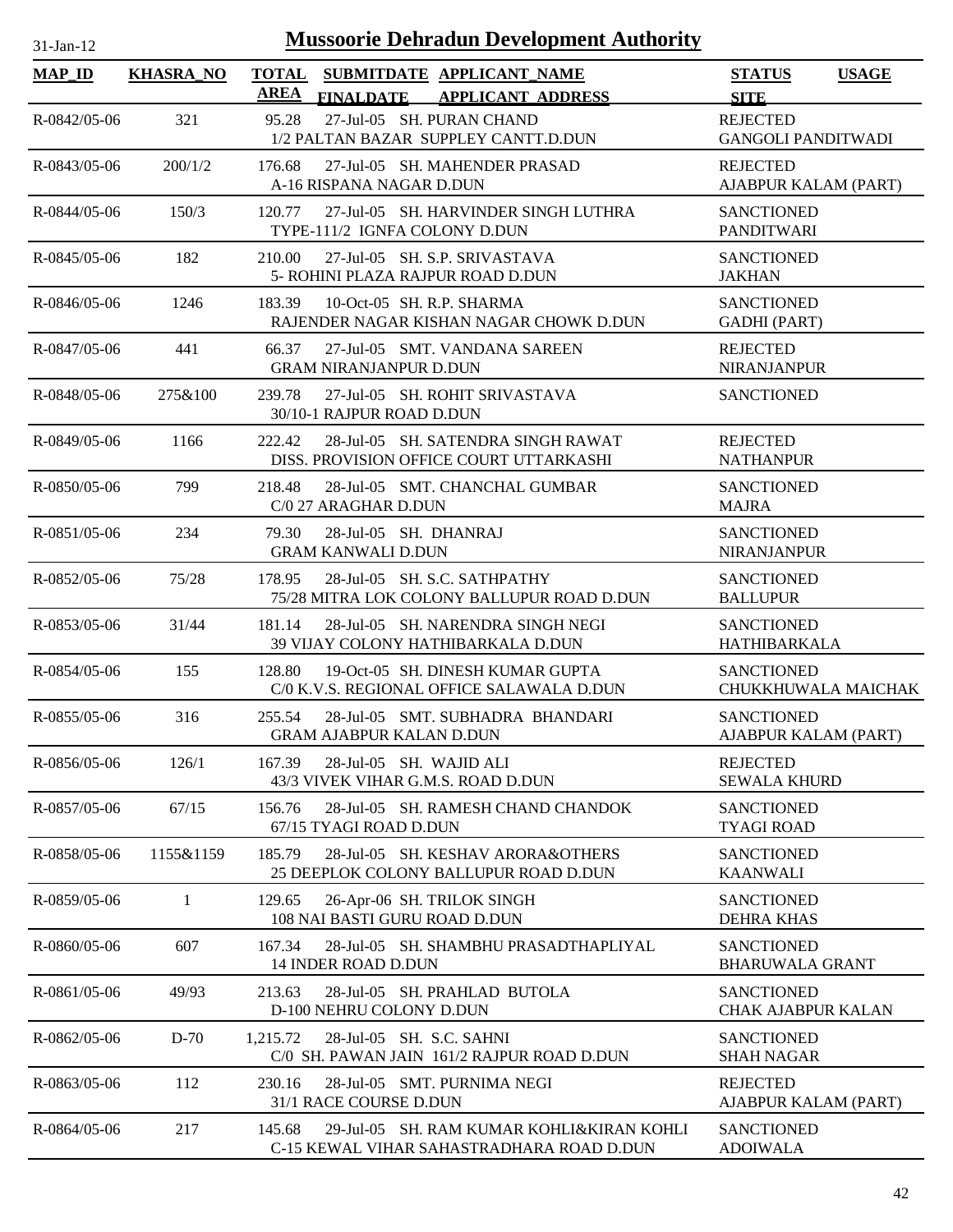| 1-Jan-1 |  |
|---------|--|

| <b>MAP_ID</b>      | <b>KHASRA_NO</b> | <b>TOTAL</b><br>SUBMITDATE APPLICANT NAME<br>AREA                                                                          | <b>STATUS</b><br><b>USAGE</b>                               |
|--------------------|------------------|----------------------------------------------------------------------------------------------------------------------------|-------------------------------------------------------------|
| R-0842/05-06       | 321              | <b>FINALDATE</b><br><b>APPLICANT ADDRESS</b><br>27-Jul-05 SH. PURAN CHAND<br>95.28<br>1/2 PALTAN BAZAR SUPPLEY CANTT.D.DUN | <b>SITE</b><br><b>REJECTED</b><br><b>GANGOLI PANDITWADI</b> |
| R-0843/05-06       | 200/1/2          | 27-Jul-05 SH. MAHENDER PRASAD<br>176.68<br>A-16 RISPANA NAGAR D.DUN                                                        | <b>REJECTED</b><br>AJABPUR KALAM (PART)                     |
| R-0844/05-06       | 150/3            | 120.77<br>27-Jul-05 SH. HARVINDER SINGH LUTHRA<br>TYPE-111/2 IGNFA COLONY D.DUN                                            | <b>SANCTIONED</b><br><b>PANDITWARI</b>                      |
| R-0845/05-06       | 182              | 27-Jul-05 SH. S.P. SRIVASTAVA<br>210.00<br>5- ROHINI PLAZA RAJPUR ROAD D.DUN                                               | <b>SANCTIONED</b><br><b>JAKHAN</b>                          |
| R-0846/05-06       | 1246             | 10-Oct-05 SH. R.P. SHARMA<br>183.39<br>RAJENDER NAGAR KISHAN NAGAR CHOWK D.DUN                                             | <b>SANCTIONED</b><br><b>GADHI</b> (PART)                    |
| R-0847/05-06       | 441              | 27-Jul-05 SMT. VANDANA SAREEN<br>66.37<br><b>GRAM NIRANJANPUR D.DUN</b>                                                    | <b>REJECTED</b><br>NIRANJANPUR                              |
| R-0848/05-06       | 275&100          | 239.78<br>27-Jul-05 SH, ROHIT SRIVASTAVA<br>30/10-1 RAJPUR ROAD D.DUN                                                      | <b>SANCTIONED</b>                                           |
| R-0849/05-06       | 1166             | 28-Jul-05 SH. SATENDRA SINGH RAWAT<br>222.42<br>DISS. PROVISION OFFICE COURT UTTARKASHI                                    | <b>REJECTED</b><br><b>NATHANPUR</b>                         |
| $R - 0850/05 - 06$ | 799              | 218.48<br>28-Jul-05 SMT. CHANCHAL GUMBAR<br>C/0 27 ARAGHAR D.DUN                                                           | <b>SANCTIONED</b><br><b>MAJRA</b>                           |
| $R - 0851/05 - 06$ | 234              | 79.30<br>28-Jul-05 SH. DHANRAJ<br><b>GRAM KANWALI D.DUN</b>                                                                | <b>SANCTIONED</b><br><b>NIRANJANPUR</b>                     |
| R-0852/05-06       | 75/28            | 28-Jul-05 SH. S.C. SATHPATHY<br>178.95<br>75/28 MITRA LOK COLONY BALLUPUR ROAD D.DUN                                       | <b>SANCTIONED</b><br><b>BALLUPUR</b>                        |
| R-0853/05-06       | 31/44            | 181.14<br>28-Jul-05 SH. NARENDRA SINGH NEGI<br>39 VIJAY COLONY HATHIBARKALA D.DUN                                          | <b>SANCTIONED</b><br>HATHIBARKALA                           |
| R-0854/05-06       | 155              | 19-Oct-05 SH. DINESH KUMAR GUPTA<br>128.80<br>C/0 K.V.S. REGIONAL OFFICE SALAWALA D.DUN                                    | <b>SANCTIONED</b><br>CHUKKHUWALA MAICHAK                    |
| R-0855/05-06       | 316              | 255.54<br>28-Jul-05 SMT. SUBHADRA BHANDARI<br><b>GRAM AJABPUR KALAN D.DUN</b>                                              | <b>SANCTIONED</b><br>AJABPUR KALAM (PART)                   |
| R-0856/05-06       | 126/1            | 167.39<br>28-Jul-05 SH. WAJID ALI<br>43/3 VIVEK VIHAR G.M.S. ROAD D.DUN                                                    | <b>REJECTED</b><br><b>SEWALA KHURD</b>                      |
| R-0857/05-06       | 67/15            | 28-Jul-05 SH. RAMESH CHAND CHANDOK<br>156.76<br>67/15 TYAGI ROAD D.DUN                                                     | <b>SANCTIONED</b><br><b>TYAGI ROAD</b>                      |
| R-0858/05-06       | 1155&1159        | 185.79<br>28-Jul-05 SH. KESHAV ARORA&OTHERS<br>25 DEEPLOK COLONY BALLUPUR ROAD D.DUN                                       | <b>SANCTIONED</b><br><b>KAANWALI</b>                        |
| R-0859/05-06       | 1                | 129.65<br>26-Apr-06 SH. TRILOK SINGH<br>108 NAI BASTI GURU ROAD D.DUN                                                      | <b>SANCTIONED</b><br><b>DEHRA KHAS</b>                      |
| R-0860/05-06       | 607              | 167.34<br>28-Jul-05 SH. SHAMBHU PRASADTHAPLIYAL<br><b>14 INDER ROAD D.DUN</b>                                              | <b>SANCTIONED</b><br><b>BHARUWALA GRANT</b>                 |
| R-0861/05-06       | 49/93            | 213.63<br>28-Jul-05 SH. PRAHLAD BUTOLA<br>D-100 NEHRU COLONY D.DUN                                                         | <b>SANCTIONED</b><br><b>CHAK AJABPUR KALAN</b>              |
| R-0862/05-06       | $D-70$           | 28-Jul-05 SH. S.C. SAHNI<br>1,215.72<br>C/0 SH. PAWAN JAIN 161/2 RAJPUR ROAD D.DUN                                         | <b>SANCTIONED</b><br><b>SHAH NAGAR</b>                      |
| R-0863/05-06       | 112              | 28-Jul-05 SMT. PURNIMA NEGI<br>230.16<br>31/1 RACE COURSE D.DUN                                                            | <b>REJECTED</b><br>AJABPUR KALAM (PART)                     |
| R-0864/05-06       | 217              | 145.68<br>29-Jul-05 SH. RAM KUMAR KOHLI&KIRAN KOHLI<br>C-15 KEWAL VIHAR SAHASTRADHARA ROAD D.DUN                           | <b>SANCTIONED</b><br><b>ADOIWALA</b>                        |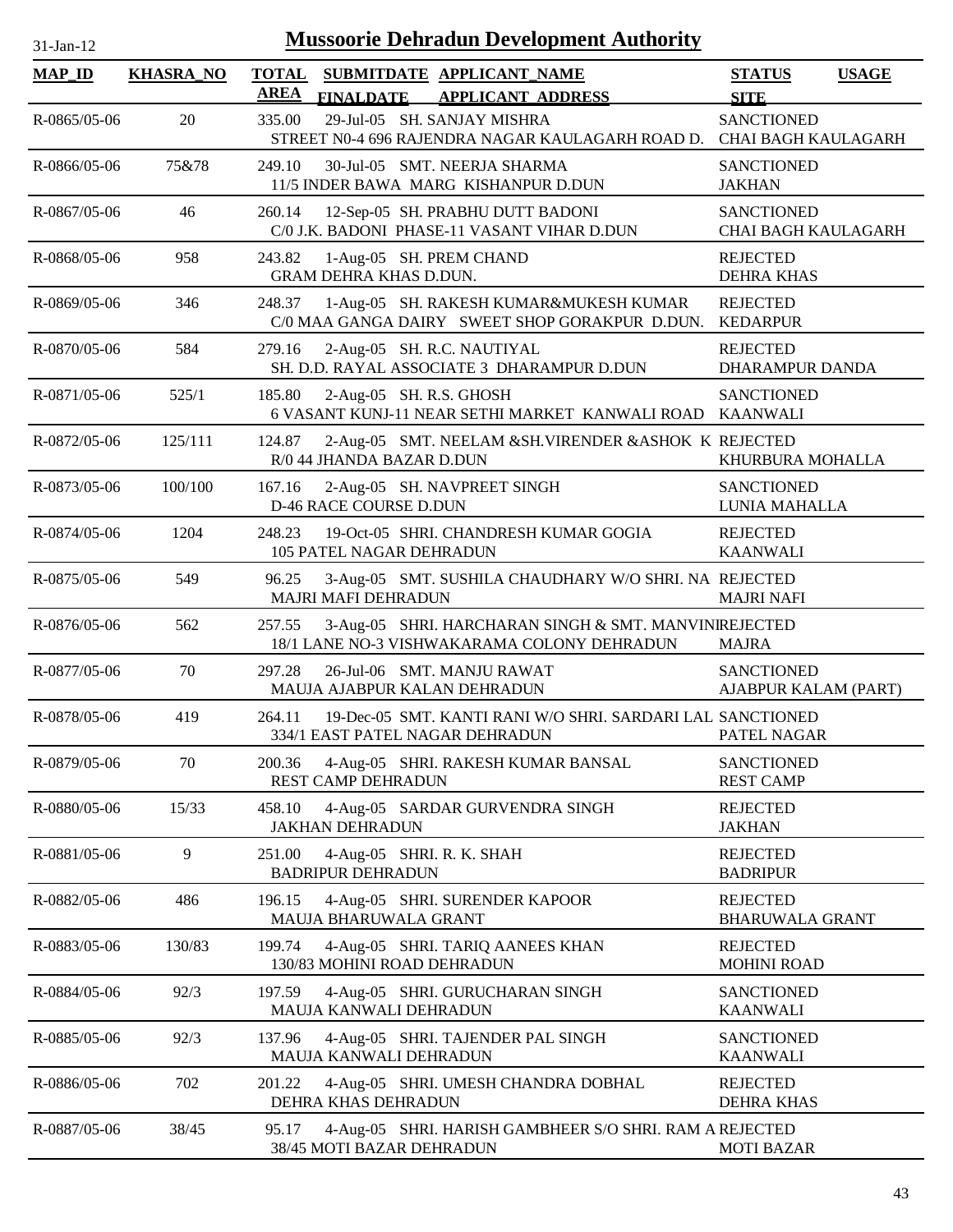| 31-Jan-12          |                  | <b>Mussoorie Dehradun Development Authority</b>                                                                |                                                 |              |
|--------------------|------------------|----------------------------------------------------------------------------------------------------------------|-------------------------------------------------|--------------|
| <b>MAP_ID</b>      | <b>KHASRA_NO</b> | <b>TOTAL</b><br>SUBMITDATE APPLICANT_NAME<br><b>AREA</b><br>FINALDATE APPLICANT ADDRESS                        | <b>STATUS</b><br><b>SITE</b>                    | <b>USAGE</b> |
| R-0865/05-06       | 20               | 29-Jul-05 SH. SANJAY MISHRA<br>335.00<br>STREET N0-4 696 RAJENDRA NAGAR KAULAGARH ROAD D.                      | <b>SANCTIONED</b><br>CHAI BAGH KAULAGARH        |              |
| R-0866/05-06       | 75&78            | 249.10<br>30-Jul-05 SMT. NEERJA SHARMA<br>11/5 INDER BAWA MARG KISHANPUR D.DUN                                 | <b>SANCTIONED</b><br><b>JAKHAN</b>              |              |
| R-0867/05-06       | 46               | 12-Sep-05 SH. PRABHU DUTT BADONI<br>260.14<br>C/0 J.K. BADONI PHASE-11 VASANT VIHAR D.DUN                      | <b>SANCTIONED</b><br><b>CHAI BAGH KAULAGARH</b> |              |
| R-0868/05-06       | 958              | 243.82<br>1-Aug-05 SH. PREM CHAND<br><b>GRAM DEHRA KHAS D.DUN.</b>                                             | <b>REJECTED</b><br><b>DEHRA KHAS</b>            |              |
| R-0869/05-06       | 346              | 1-Aug-05 SH. RAKESH KUMAR&MUKESH KUMAR<br>248.37<br>C/0 MAA GANGA DAIRY SWEET SHOP GORAKPUR D.DUN.             | <b>REJECTED</b><br><b>KEDARPUR</b>              |              |
| $R - 0870/05 - 06$ | 584              | 279.16<br>2-Aug-05 SH. R.C. NAUTIYAL<br>SH. D.D. RAYAL ASSOCIATE 3 DHARAMPUR D.DUN                             | <b>REJECTED</b><br><b>DHARAMPUR DANDA</b>       |              |
| R-0871/05-06       | 525/1            | 2-Aug-05 SH. R.S. GHOSH<br>185.80<br>6 VASANT KUNJ-11 NEAR SETHI MARKET KANWALI ROAD KAANWALI                  | <b>SANCTIONED</b>                               |              |
| R-0872/05-06       | 125/111          | 124.87<br>2-Aug-05 SMT. NEELAM & SH. VIRENDER & ASHOK K REJECTED<br>R/0 44 JHANDA BAZAR D.DUN                  | KHURBURA MOHALLA                                |              |
| R-0873/05-06       | 100/100          | 2-Aug-05 SH. NAVPREET SINGH<br>167.16<br>D-46 RACE COURSE D.DUN                                                | <b>SANCTIONED</b><br>LUNIA MAHALLA              |              |
| R-0874/05-06       | 1204             | 248.23<br>19-Oct-05 SHRI. CHANDRESH KUMAR GOGIA<br><b>105 PATEL NAGAR DEHRADUN</b>                             | <b>REJECTED</b><br><b>KAANWALI</b>              |              |
| R-0875/05-06       | 549              | 3-Aug-05 SMT. SUSHILA CHAUDHARY W/O SHRI. NA REJECTED<br>96.25<br><b>MAJRI MAFI DEHRADUN</b>                   | <b>MAJRI NAFI</b>                               |              |
| R-0876/05-06       | 562              | 3-Aug-05 SHRI. HARCHARAN SINGH & SMT. MANVINIREJECTED<br>257.55<br>18/1 LANE NO-3 VISHWAKARAMA COLONY DEHRADUN | <b>MAJRA</b>                                    |              |
| R-0877/05-06       | 70               | 26-Jul-06 SMT. MANJU RAWAT<br>297.28<br>MAUJA AJABPUR KALAN DEHRADUN                                           | <b>SANCTIONED</b><br>AJABPUR KALAM (PART)       |              |
| R-0878/05-06       | 419              | 264.11<br>19-Dec-05 SMT. KANTI RANI W/O SHRI. SARDARI LAL SANCTIONED<br>334/1 EAST PATEL NAGAR DEHRADUN        | PATEL NAGAR                                     |              |
| R-0879/05-06       | 70               | 4-Aug-05 SHRI. RAKESH KUMAR BANSAL<br>200.36<br>REST CAMP DEHRADUN                                             | <b>SANCTIONED</b><br><b>REST CAMP</b>           |              |
| R-0880/05-06       | 15/33            | 458.10<br>4-Aug-05 SARDAR GURVENDRA SINGH<br><b>JAKHAN DEHRADUN</b>                                            | <b>REJECTED</b><br><b>JAKHAN</b>                |              |
| R-0881/05-06       | 9                | 4-Aug-05 SHRI. R. K. SHAH<br>251.00<br><b>BADRIPUR DEHRADUN</b>                                                | <b>REJECTED</b><br><b>BADRIPUR</b>              |              |
| R-0882/05-06       | 486              | 196.15<br>4-Aug-05 SHRI. SURENDER KAPOOR<br>MAUJA BHARUWALA GRANT                                              | <b>REJECTED</b><br><b>BHARUWALA GRANT</b>       |              |
| R-0883/05-06       | 130/83           | 4-Aug-05 SHRI. TARIQ AANEES KHAN<br>199.74<br>130/83 MOHINI ROAD DEHRADUN                                      | <b>REJECTED</b><br><b>MOHINI ROAD</b>           |              |
| R-0884/05-06       | 92/3             | 197.59<br>4-Aug-05 SHRI. GURUCHARAN SINGH<br>MAUJA KANWALI DEHRADUN                                            | <b>SANCTIONED</b><br><b>KAANWALI</b>            |              |
| R-0885/05-06       | 92/3             | 137.96<br>4-Aug-05 SHRI. TAJENDER PAL SINGH<br>MAUJA KANWALI DEHRADUN                                          | <b>SANCTIONED</b><br><b>KAANWALI</b>            |              |
| R-0886/05-06       | 702              | 201.22<br>4-Aug-05 SHRI. UMESH CHANDRA DOBHAL<br>DEHRA KHAS DEHRADUN                                           | <b>REJECTED</b><br><b>DEHRA KHAS</b>            |              |
| R-0887/05-06       | 38/45            | 4-Aug-05 SHRI. HARISH GAMBHEER S/O SHRI. RAM A REJECTED<br>95.17<br>38/45 MOTI BAZAR DEHRADUN                  | <b>MOTI BAZAR</b>                               |              |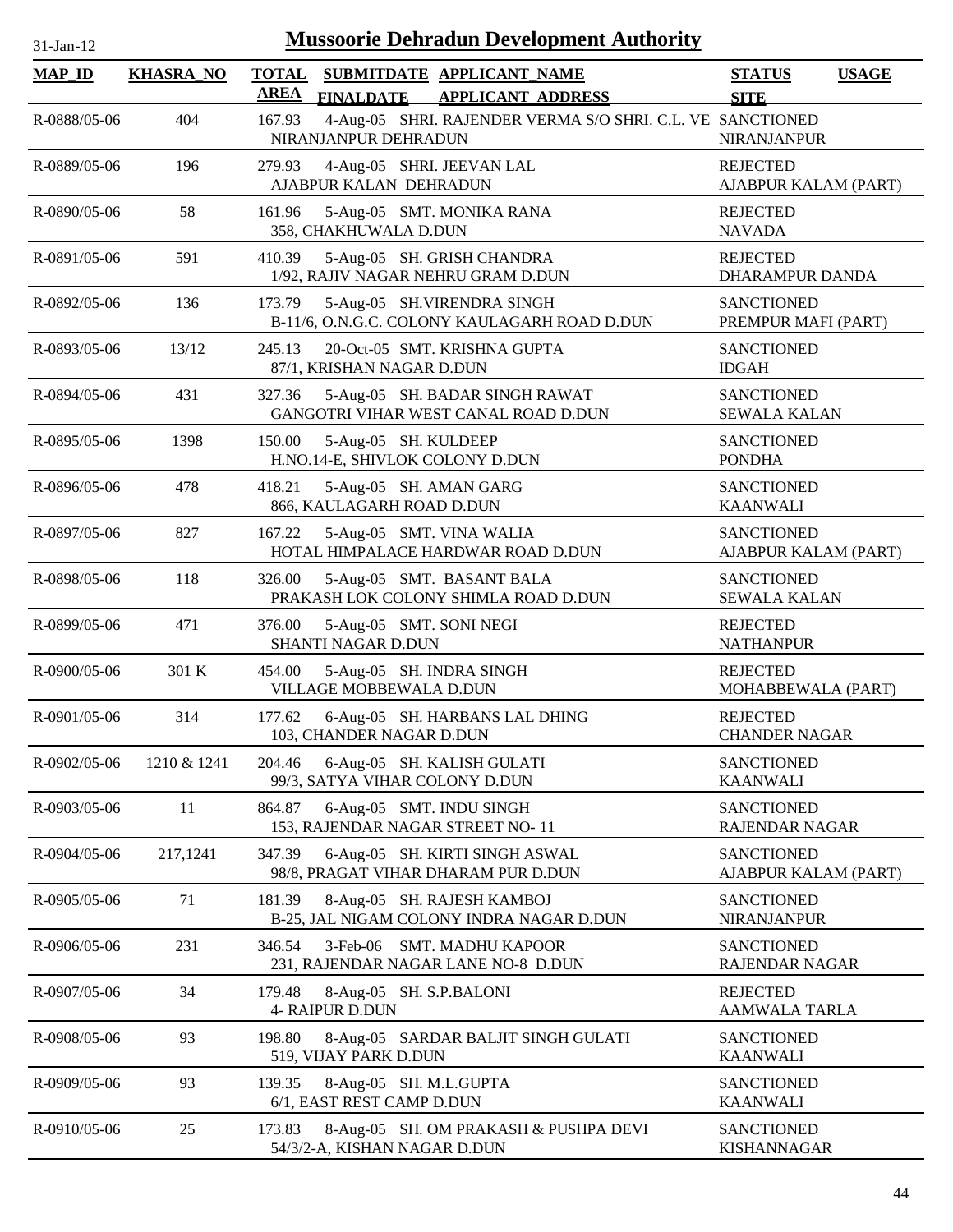| $31-Jan-12$    |                  |                             |                              | <b>Mussoorie Dehradun Development Authority</b>                            |                                           |              |
|----------------|------------------|-----------------------------|------------------------------|----------------------------------------------------------------------------|-------------------------------------------|--------------|
| <b>MAP_ID</b>  | <b>KHASRA_NO</b> | <b>TOTAL</b><br><b>AREA</b> | <b>FINALDATE</b>             | SUBMITDATE APPLICANT_NAME<br><b>APPLICANT ADDRESS</b>                      | <b>STATUS</b><br><b>SITE</b>              | <b>USAGE</b> |
| R-0888/05-06   | 404              | 167.93                      | NIRANJANPUR DEHRADUN         | 4-Aug-05 SHRI. RAJENDER VERMA S/O SHRI. C.L. VE SANCTIONED                 | NIRANJANPUR                               |              |
| R-0889/05-06   | 196              | 279.93                      | AJABPUR KALAN DEHRADUN       | 4-Aug-05 SHRI. JEEVAN LAL                                                  | <b>REJECTED</b><br>AJABPUR KALAM (PART)   |              |
| R-0890/05-06   | 58               | 161.96                      | 358, CHAKHUWALA D.DUN        | 5-Aug-05 SMT. MONIKA RANA                                                  | <b>REJECTED</b><br><b>NAVADA</b>          |              |
| R-0891/05-06   | 591              | 410.39                      |                              | 5-Aug-05 SH. GRISH CHANDRA<br>1/92, RAJIV NAGAR NEHRU GRAM D.DUN           | <b>REJECTED</b><br>DHARAMPUR DANDA        |              |
| R-0892/05-06   | 136              | 173.79                      |                              | 5-Aug-05 SH.VIRENDRA SINGH<br>B-11/6, O.N.G.C. COLONY KAULAGARH ROAD D.DUN | <b>SANCTIONED</b><br>PREMPUR MAFI (PART)  |              |
| R-0893/05-06   | 13/12            | 245.13                      | 87/1, KRISHAN NAGAR D.DUN    | 20-Oct-05 SMT. KRISHNA GUPTA                                               | <b>SANCTIONED</b><br><b>IDGAH</b>         |              |
| R-0894/05-06   | 431              | 327.36                      |                              | 5-Aug-05 SH. BADAR SINGH RAWAT<br>GANGOTRI VIHAR WEST CANAL ROAD D.DUN     | <b>SANCTIONED</b><br><b>SEWALA KALAN</b>  |              |
| R-0895/05-06   | 1398             | 150.00                      | 5-Aug-05 SH. KULDEEP         | H.NO.14-E, SHIVLOK COLONY D.DUN                                            | <b>SANCTIONED</b><br><b>PONDHA</b>        |              |
| R-0896/05-06   | 478              | 418.21                      | 866, KAULAGARH ROAD D.DUN    | 5-Aug-05 SH. AMAN GARG                                                     | <b>SANCTIONED</b><br><b>KAANWALI</b>      |              |
| R-0897/05-06   | 827              | 167.22                      |                              | 5-Aug-05 SMT. VINA WALIA<br>HOTAL HIMPALACE HARDWAR ROAD D.DUN             | <b>SANCTIONED</b><br>AJABPUR KALAM (PART) |              |
| R-0898/05-06   | 118              | 326.00                      |                              | 5-Aug-05 SMT. BASANT BALA<br>PRAKASH LOK COLONY SHIMLA ROAD D.DUN          | <b>SANCTIONED</b><br><b>SEWALA KALAN</b>  |              |
| R-0899/05-06   | 471              | 376.00                      | <b>SHANTI NAGAR D.DUN</b>    | 5-Aug-05 SMT. SONI NEGI                                                    | <b>REJECTED</b><br><b>NATHANPUR</b>       |              |
| R-0900/05-06   | 301 K            | 454.00                      | VILLAGE MOBBEWALA D.DUN      | 5-Aug-05 SH. INDRA SINGH                                                   | <b>REJECTED</b><br>MOHABBEWALA (PART)     |              |
| $R-0901/05-06$ | 314              | 177.62                      | 103, CHANDER NAGAR D.DUN     | 6-Aug-05 SH. HARBANS LAL DHING                                             | <b>REJECTED</b><br><b>CHANDER NAGAR</b>   |              |
| R-0902/05-06   | 1210 & 1241      | 204.46                      |                              | 6-Aug-05 SH. KALISH GULATI<br>99/3, SATYA VIHAR COLONY D.DUN               | <b>SANCTIONED</b><br><b>KAANWALI</b>      |              |
| R-0903/05-06   | 11               | 864.87                      |                              | 6-Aug-05 SMT. INDU SINGH<br>153, RAJENDAR NAGAR STREET NO-11               | <b>SANCTIONED</b><br>RAJENDAR NAGAR       |              |
| R-0904/05-06   | 217,1241         | 347.39                      |                              | 6-Aug-05 SH. KIRTI SINGH ASWAL<br>98/8, PRAGAT VIHAR DHARAM PUR D.DUN      | <b>SANCTIONED</b><br>AJABPUR KALAM (PART) |              |
| R-0905/05-06   | 71               | 181.39                      |                              | 8-Aug-05 SH. RAJESH KAMBOJ<br>B-25, JAL NIGAM COLONY INDRA NAGAR D.DUN     | <b>SANCTIONED</b><br>NIRANJANPUR          |              |
| R-0906/05-06   | 231              | 346.54                      |                              | 3-Feb-06 SMT. MADHU KAPOOR<br>231, RAJENDAR NAGAR LANE NO-8 D.DUN          | <b>SANCTIONED</b><br>RAJENDAR NAGAR       |              |
| R-0907/05-06   | 34               | 179.48                      | <b>4- RAIPUR D.DUN</b>       | 8-Aug-05 SH. S.P.BALONI                                                    | <b>REJECTED</b><br><b>AAMWALA TARLA</b>   |              |
| R-0908/05-06   | 93               | 198.80                      | 519, VIJAY PARK D.DUN        | 8-Aug-05 SARDAR BALJIT SINGH GULATI                                        | <b>SANCTIONED</b><br><b>KAANWALI</b>      |              |
| R-0909/05-06   | 93               | 139.35                      | 6/1, EAST REST CAMP D.DUN    | 8-Aug-05 SH. M.L.GUPTA                                                     | <b>SANCTIONED</b><br><b>KAANWALI</b>      |              |
| R-0910/05-06   | 25               | 173.83                      | 54/3/2-A, KISHAN NAGAR D.DUN | 8-Aug-05 SH. OM PRAKASH & PUSHPA DEVI                                      | <b>SANCTIONED</b><br><b>KISHANNAGAR</b>   |              |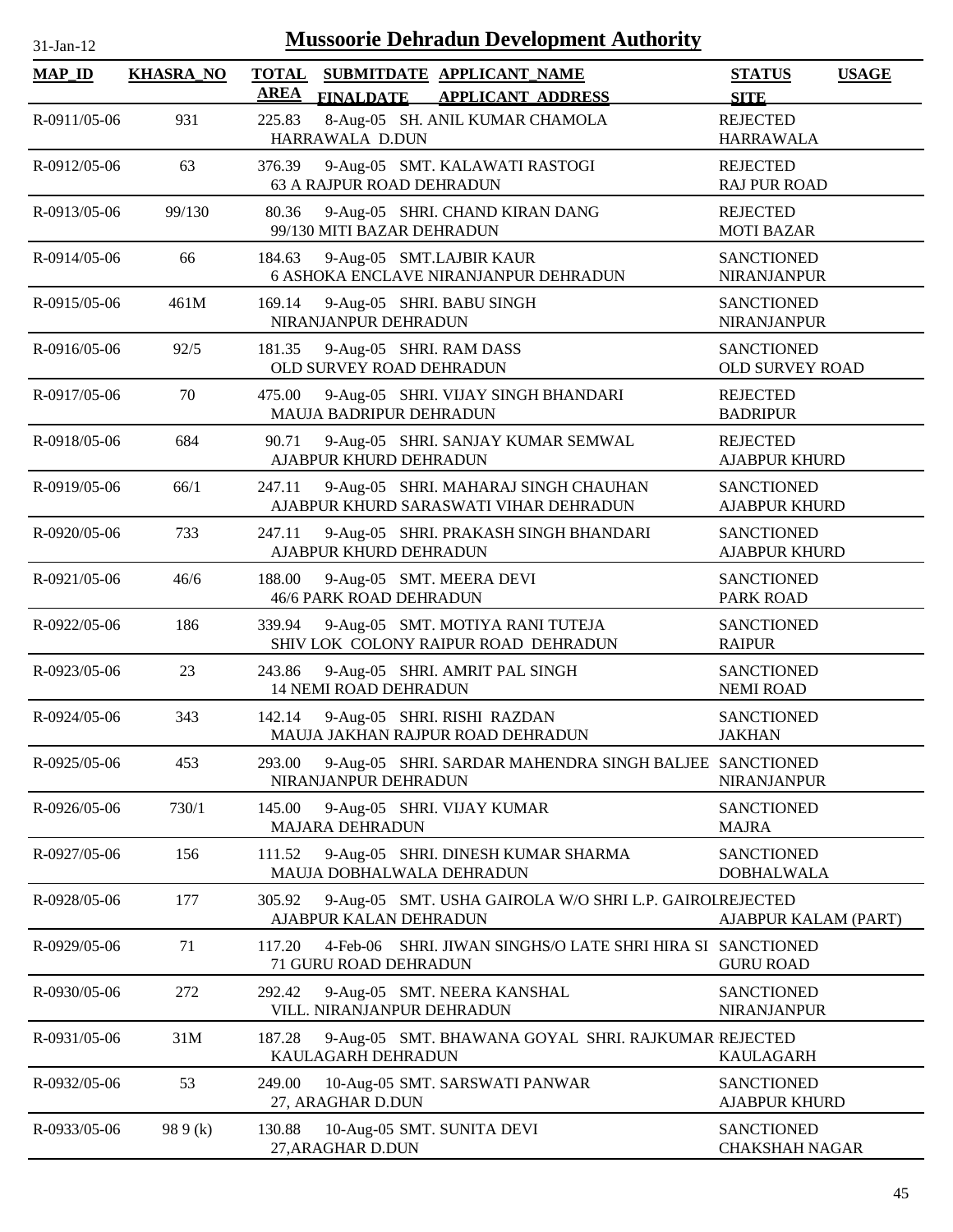| 1-Jan-1 |  |
|---------|--|

| <b>MAP ID</b> | <b>KHASRA_NO</b> | <b>TOTAL</b><br><b>AREA</b> |                                                     | SUBMITDATE APPLICANT NAME<br>FINALDATE APPLICANT ADDRESS                       | <b>STATUS</b><br><b>SITE</b>                | <b>USAGE</b> |
|---------------|------------------|-----------------------------|-----------------------------------------------------|--------------------------------------------------------------------------------|---------------------------------------------|--------------|
| R-0911/05-06  | 931              | 225.83                      | HARRAWALA D.DUN                                     | 8-Aug-05 SH. ANIL KUMAR CHAMOLA                                                | <b>REJECTED</b><br><b>HARRAWALA</b>         |              |
| R-0912/05-06  | 63               | 376.39                      | 63 A RAJPUR ROAD DEHRADUN                           | 9-Aug-05 SMT. KALAWATI RASTOGI                                                 | <b>REJECTED</b><br><b>RAJ PUR ROAD</b>      |              |
| R-0913/05-06  | 99/130           | 80.36                       | 99/130 MITI BAZAR DEHRADUN                          | 9-Aug-05 SHRI. CHAND KIRAN DANG                                                | <b>REJECTED</b><br><b>MOTI BAZAR</b>        |              |
| R-0914/05-06  | 66               | 184.63                      | 9-Aug-05 SMT.LAJBIR KAUR                            | 6 ASHOKA ENCLAVE NIRANJANPUR DEHRADUN                                          | <b>SANCTIONED</b><br><b>NIRANJANPUR</b>     |              |
| R-0915/05-06  | 461M             | 169.14                      | 9-Aug-05 SHRI. BABU SINGH<br>NIRANJANPUR DEHRADUN   |                                                                                | <b>SANCTIONED</b><br><b>NIRANJANPUR</b>     |              |
| R-0916/05-06  | 92/5             | 181.35                      | 9-Aug-05 SHRI. RAM DASS<br>OLD SURVEY ROAD DEHRADUN |                                                                                | <b>SANCTIONED</b><br><b>OLD SURVEY ROAD</b> |              |
| R-0917/05-06  | 70               | 475.00                      | MAUJA BADRIPUR DEHRADUN                             | 9-Aug-05 SHRI. VIJAY SINGH BHANDARI                                            | <b>REJECTED</b><br><b>BADRIPUR</b>          |              |
| R-0918/05-06  | 684              | 90.71                       | AJABPUR KHURD DEHRADUN                              | 9-Aug-05 SHRI. SANJAY KUMAR SEMWAL                                             | <b>REJECTED</b><br><b>AJABPUR KHURD</b>     |              |
| R-0919/05-06  | 66/1             | 247.11                      |                                                     | 9-Aug-05 SHRI. MAHARAJ SINGH CHAUHAN<br>AJABPUR KHURD SARASWATI VIHAR DEHRADUN | <b>SANCTIONED</b><br><b>AJABPUR KHURD</b>   |              |
| R-0920/05-06  | 733              | 247.11                      | AJABPUR KHURD DEHRADUN                              | 9-Aug-05 SHRI. PRAKASH SINGH BHANDARI                                          | <b>SANCTIONED</b><br><b>AJABPUR KHURD</b>   |              |
| R-0921/05-06  | 46/6             | 188.00                      | 9-Aug-05 SMT. MEERA DEVI<br>46/6 PARK ROAD DEHRADUN |                                                                                | <b>SANCTIONED</b><br>PARK ROAD              |              |
| R-0922/05-06  | 186              | 339.94                      |                                                     | 9-Aug-05 SMT. MOTIYA RANI TUTEJA<br>SHIV LOK COLONY RAIPUR ROAD DEHRADUN       | <b>SANCTIONED</b><br><b>RAIPUR</b>          |              |
| R-0923/05-06  | 23               | 243.86                      | <b>14 NEMI ROAD DEHRADUN</b>                        | 9-Aug-05 SHRI. AMRIT PAL SINGH                                                 | <b>SANCTIONED</b><br><b>NEMI ROAD</b>       |              |
| R-0924/05-06  | 343              | 142.14                      |                                                     | 9-Aug-05 SHRI. RISHI RAZDAN<br>MAUJA JAKHAN RAJPUR ROAD DEHRADUN               | <b>SANCTIONED</b><br><b>JAKHAN</b>          |              |
| R-0925/05-06  | 453              | 293.00                      | NIRANJANPUR DEHRADUN                                | 9-Aug-05 SHRI. SARDAR MAHENDRA SINGH BALJEE SANCTIONED                         | <b>NIRANJANPUR</b>                          |              |
| R-0926/05-06  | 730/1            | 145.00                      | MAJARA DEHRADUN                                     | 9-Aug-05 SHRI. VIJAY KUMAR                                                     | <b>SANCTIONED</b><br><b>MAJRA</b>           |              |
| R-0927/05-06  | 156              | 111.52                      | MAUJA DOBHALWALA DEHRADUN                           | 9-Aug-05 SHRI. DINESH KUMAR SHARMA                                             | <b>SANCTIONED</b><br><b>DOBHALWALA</b>      |              |
| R-0928/05-06  | 177              | 305.92                      | AJABPUR KALAN DEHRADUN                              | 9-Aug-05 SMT. USHA GAIROLA W/O SHRI L.P. GAIROLREJECTED                        | AJABPUR KALAM (PART)                        |              |
| R-0929/05-06  | 71               | 117.20                      | 71 GURU ROAD DEHRADUN                               | 4-Feb-06 SHRI. JIWAN SINGHS/O LATE SHRI HIRA SI SANCTIONED                     | <b>GURU ROAD</b>                            |              |
| R-0930/05-06  | 272              | 292.42                      | VILL. NIRANJANPUR DEHRADUN                          | 9-Aug-05 SMT. NEERA KANSHAL                                                    | <b>SANCTIONED</b><br><b>NIRANJANPUR</b>     |              |
| R-0931/05-06  | 31M              | 187.28                      | KAULAGARH DEHRADUN                                  | 9-Aug-05 SMT. BHAWANA GOYAL SHRI. RAJKUMAR REJECTED                            | <b>KAULAGARH</b>                            |              |
| R-0932/05-06  | 53               | 249.00                      | 27, ARAGHAR D.DUN                                   | 10-Aug-05 SMT. SARSWATI PANWAR                                                 | <b>SANCTIONED</b><br><b>AJABPUR KHURD</b>   |              |
| R-0933/05-06  | 98 9 (k)         | 130.88                      | 10-Aug-05 SMT. SUNITA DEVI<br>27, ARAGHAR D.DUN     |                                                                                | <b>SANCTIONED</b><br><b>CHAKSHAH NAGAR</b>  |              |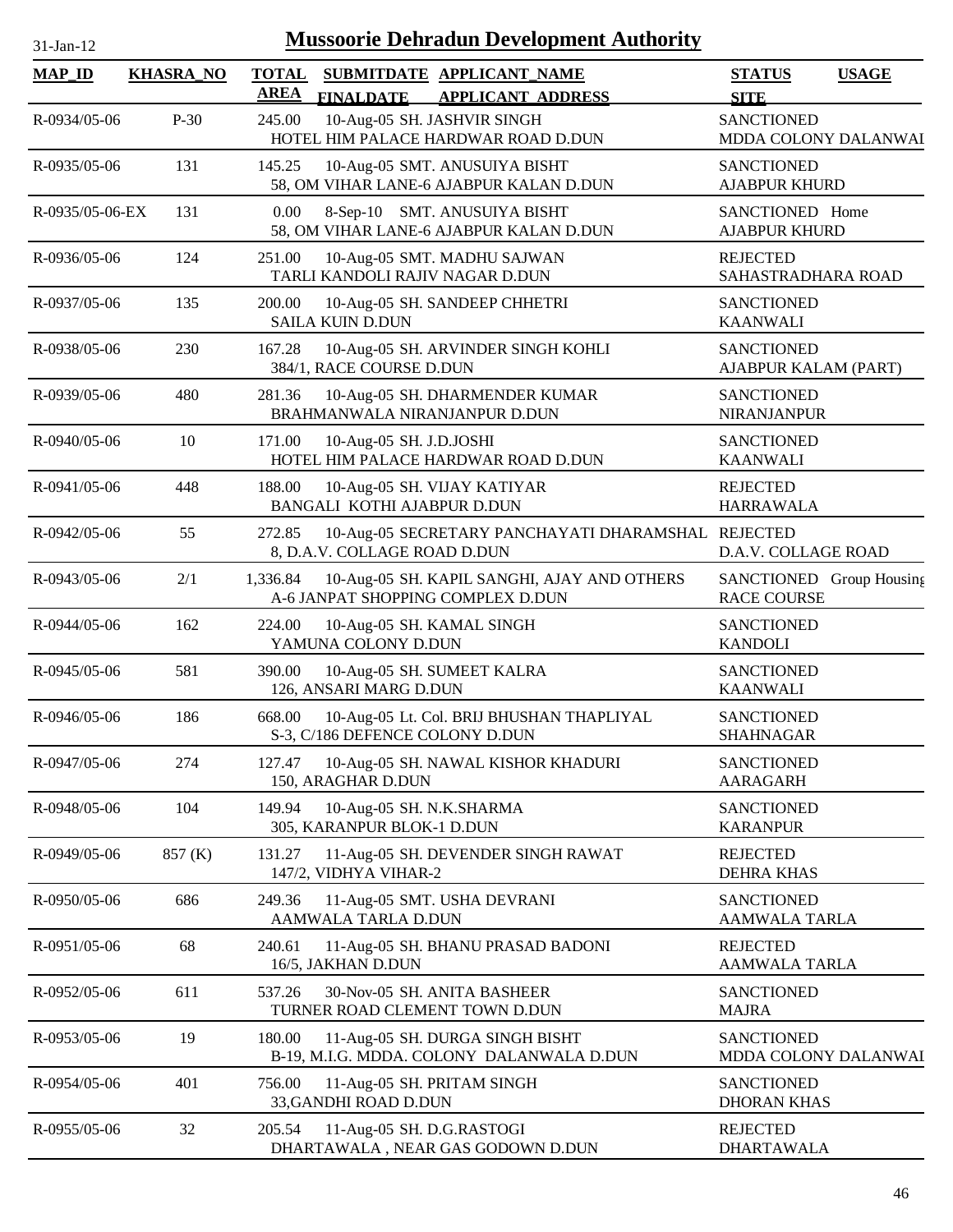| 1-Jan-1 |  |
|---------|--|

| <b>MAP_ID</b>   | <b>KHASRA_NO</b> | <b>TOTAL</b><br><b>AREA</b> |                                                        | SUBMITDATE APPLICANT NAME                                                                      | <b>STATUS</b>                                            | <b>USAGE</b> |
|-----------------|------------------|-----------------------------|--------------------------------------------------------|------------------------------------------------------------------------------------------------|----------------------------------------------------------|--------------|
| R-0934/05-06    | $P-30$           | 245.00                      | <b>FINALDATE</b>                                       | <b>APPLICANT ADDRESS</b><br>10-Aug-05 SH. JASHVIR SINGH<br>HOTEL HIM PALACE HARDWAR ROAD D.DUN | <b>SITE</b><br><b>SANCTIONED</b><br>MDDA COLONY DALANWAI |              |
| R-0935/05-06    | 131              | 145.25                      |                                                        | 10-Aug-05 SMT. ANUSUIYA BISHT<br>58, OM VIHAR LANE-6 AJABPUR KALAN D.DUN                       | <b>SANCTIONED</b><br><b>AJABPUR KHURD</b>                |              |
| R-0935/05-06-EX | 131              | 0.00                        |                                                        | 8-Sep-10 SMT. ANUSUIYA BISHT<br>58, OM VIHAR LANE-6 AJABPUR KALAN D.DUN                        | SANCTIONED Home<br><b>AJABPUR KHURD</b>                  |              |
| R-0936/05-06    | 124              | 251.00                      | TARLI KANDOLI RAJIV NAGAR D.DUN                        | 10-Aug-05 SMT. MADHU SAJWAN                                                                    | <b>REJECTED</b><br>SAHASTRADHARA ROAD                    |              |
| R-0937/05-06    | 135              | 200.00                      | <b>SAILA KUIN D.DUN</b>                                | 10-Aug-05 SH. SANDEEP CHHETRI                                                                  | <b>SANCTIONED</b><br><b>KAANWALI</b>                     |              |
| R-0938/05-06    | 230              | 167.28                      | 384/1, RACE COURSE D.DUN                               | 10-Aug-05 SH. ARVINDER SINGH KOHLI                                                             | <b>SANCTIONED</b><br>AJABPUR KALAM (PART)                |              |
| R-0939/05-06    | 480              | 281.36                      |                                                        | 10-Aug-05 SH. DHARMENDER KUMAR<br>BRAHMANWALA NIRANJANPUR D.DUN                                | <b>SANCTIONED</b><br><b>NIRANJANPUR</b>                  |              |
| R-0940/05-06    | 10               | 171.00                      | 10-Aug-05 SH. J.D.JOSHI                                | HOTEL HIM PALACE HARDWAR ROAD D.DUN                                                            | <b>SANCTIONED</b><br><b>KAANWALI</b>                     |              |
| R-0941/05-06    | 448              | 188.00                      | BANGALI KOTHI AJABPUR D.DUN                            | 10-Aug-05 SH. VIJAY KATIYAR                                                                    | <b>REJECTED</b><br><b>HARRAWALA</b>                      |              |
| R-0942/05-06    | 55               | 272.85                      | 8, D.A.V. COLLAGE ROAD D.DUN                           | 10-Aug-05 SECRETARY PANCHAYATI DHARAMSHAL REJECTED                                             | D.A.V. COLLAGE ROAD                                      |              |
| R-0943/05-06    | 2/1              | 1,336.84                    |                                                        | 10-Aug-05 SH. KAPIL SANGHI, AJAY AND OTHERS<br>A-6 JANPAT SHOPPING COMPLEX D.DUN               | SANCTIONED Group Housing<br><b>RACE COURSE</b>           |              |
| R-0944/05-06    | 162              | 224.00                      | 10-Aug-05 SH. KAMAL SINGH<br>YAMUNA COLONY D.DUN       |                                                                                                | <b>SANCTIONED</b><br><b>KANDOLI</b>                      |              |
| R-0945/05-06    | 581              | 390.00                      | 126, ANSARI MARG D.DUN                                 | 10-Aug-05 SH. SUMEET KALRA                                                                     | <b>SANCTIONED</b><br><b>KAANWALI</b>                     |              |
| R-0946/05-06    | 186              | 668.00                      | S-3, C/186 DEFENCE COLONY D.DUN                        | 10-Aug-05 Lt. Col. BRIJ BHUSHAN THAPLIYAL                                                      | <b>SANCTIONED</b><br><b>SHAHNAGAR</b>                    |              |
| R-0947/05-06    | 274              | 127.47                      | 150, ARAGHAR D.DUN                                     | 10-Aug-05 SH. NAWAL KISHOR KHADURI                                                             | <b>SANCTIONED</b><br><b>AARAGARH</b>                     |              |
| R-0948/05-06    | 104              | 149.94                      | 10-Aug-05 SH. N.K.SHARMA<br>305, KARANPUR BLOK-1 D.DUN |                                                                                                | <b>SANCTIONED</b><br><b>KARANPUR</b>                     |              |
| R-0949/05-06    | 857 (K)          | 131.27                      | 147/2, VIDHYA VIHAR-2                                  | 11-Aug-05 SH. DEVENDER SINGH RAWAT                                                             | <b>REJECTED</b><br><b>DEHRA KHAS</b>                     |              |
| R-0950/05-06    | 686              | 249.36                      | AAMWALA TARLA D.DUN                                    | 11-Aug-05 SMT. USHA DEVRANI                                                                    | <b>SANCTIONED</b><br><b>AAMWALA TARLA</b>                |              |
| R-0951/05-06    | 68               | 240.61                      | 16/5, JAKHAN D.DUN                                     | 11-Aug-05 SH. BHANU PRASAD BADONI                                                              | <b>REJECTED</b><br><b>AAMWALA TARLA</b>                  |              |
| R-0952/05-06    | 611              | 537.26                      |                                                        | 30-Nov-05 SH. ANITA BASHEER<br>TURNER ROAD CLEMENT TOWN D.DUN                                  | <b>SANCTIONED</b><br><b>MAJRA</b>                        |              |
| R-0953/05-06    | 19               | 180.00                      |                                                        | 11-Aug-05 SH. DURGA SINGH BISHT<br>B-19, M.I.G. MDDA. COLONY DALANWALA D.DUN                   | <b>SANCTIONED</b><br>MDDA COLONY DALANWAI                |              |
| R-0954/05-06    | 401              | 756.00                      | 11-Aug-05 SH. PRITAM SINGH<br>33, GANDHI ROAD D.DUN    |                                                                                                | <b>SANCTIONED</b><br><b>DHORAN KHAS</b>                  |              |
| R-0955/05-06    | 32               | 205.54                      | 11-Aug-05 SH. D.G.RASTOGI                              | DHARTAWALA, NEAR GAS GODOWN D.DUN                                                              | <b>REJECTED</b><br><b>DHARTAWALA</b>                     |              |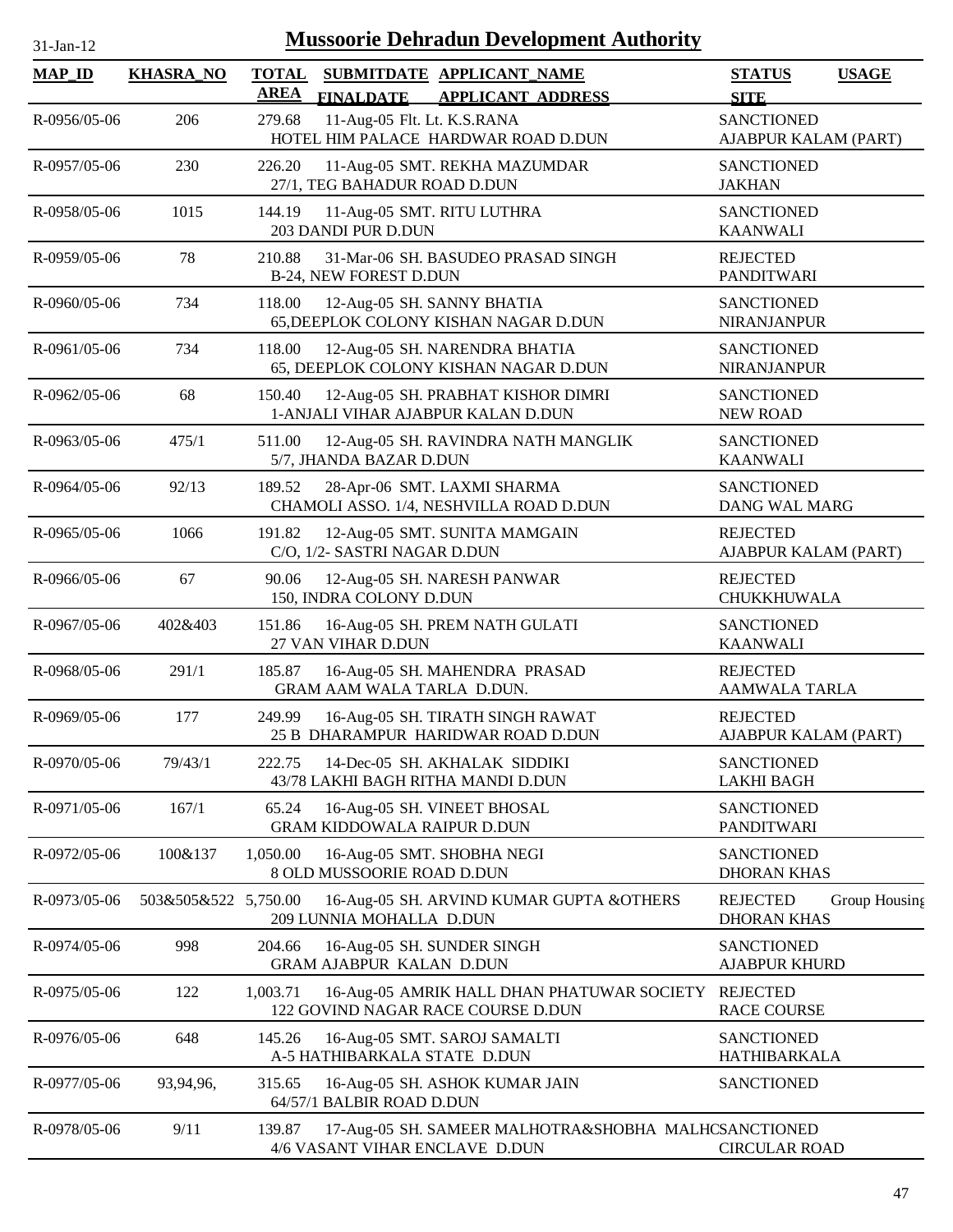| 31-Jan-12 |  |
|-----------|--|
|           |  |

| <b>MAP_ID</b>      | <b>KHASRA_NO</b>     | <b>TOTAL</b><br><b>AREA</b> | SUBMITDATE APPLICANT_NAME<br><b>FINALDATE</b><br><b>APPLICANT ADDRESS</b>              | <b>STATUS</b><br><b>USAGE</b><br><b>SITE</b>           |
|--------------------|----------------------|-----------------------------|----------------------------------------------------------------------------------------|--------------------------------------------------------|
| R-0956/05-06       | 206                  | 279.68                      | 11-Aug-05 Flt. Lt. K.S.RANA<br>HOTEL HIM PALACE HARDWAR ROAD D.DUN                     | <b>SANCTIONED</b><br>AJABPUR KALAM (PART)              |
| R-0957/05-06       | 230                  | 226.20                      | 11-Aug-05 SMT. REKHA MAZUMDAR<br>27/1, TEG BAHADUR ROAD D.DUN                          | <b>SANCTIONED</b><br><b>JAKHAN</b>                     |
| R-0958/05-06       | 1015                 | 144.19                      | 11-Aug-05 SMT. RITU LUTHRA<br>203 DANDI PUR D.DUN                                      | <b>SANCTIONED</b><br><b>KAANWALI</b>                   |
| R-0959/05-06       | 78                   | 210.88                      | 31-Mar-06 SH. BASUDEO PRASAD SINGH<br>B-24, NEW FOREST D.DUN                           | <b>REJECTED</b><br><b>PANDITWARI</b>                   |
| R-0960/05-06       | 734                  | 118.00                      | 12-Aug-05 SH. SANNY BHATIA<br>65, DEEPLOK COLONY KISHAN NAGAR D.DUN                    | <b>SANCTIONED</b><br><b>NIRANJANPUR</b>                |
| R-0961/05-06       | 734                  | 118.00                      | 12-Aug-05 SH. NARENDRA BHATIA<br>65, DEEPLOK COLONY KISHAN NAGAR D.DUN                 | <b>SANCTIONED</b><br><b>NIRANJANPUR</b>                |
| R-0962/05-06       | 68                   | 150.40                      | 12-Aug-05 SH. PRABHAT KISHOR DIMRI<br>1-ANJALI VIHAR AJABPUR KALAN D.DUN               | <b>SANCTIONED</b><br><b>NEW ROAD</b>                   |
| R-0963/05-06       | 475/1                | 511.00                      | 12-Aug-05 SH. RAVINDRA NATH MANGLIK<br>5/7, JHANDA BAZAR D.DUN                         | <b>SANCTIONED</b><br><b>KAANWALI</b>                   |
| R-0964/05-06       | 92/13                | 189.52                      | 28-Apr-06 SMT. LAXMI SHARMA<br>CHAMOLI ASSO. 1/4, NESHVILLA ROAD D.DUN                 | <b>SANCTIONED</b><br><b>DANG WAL MARG</b>              |
| R-0965/05-06       | 1066                 | 191.82                      | 12-Aug-05 SMT. SUNITA MAMGAIN<br>C/O, 1/2- SASTRI NAGAR D.DUN                          | <b>REJECTED</b><br>AJABPUR KALAM (PART)                |
| $R - 0966/05 - 06$ | 67                   | 90.06                       | 12-Aug-05 SH. NARESH PANWAR<br>150, INDRA COLONY D.DUN                                 | <b>REJECTED</b><br>CHUKKHUWALA                         |
| R-0967/05-06       | 402&403              | 151.86                      | 16-Aug-05 SH. PREM NATH GULATI<br>27 VAN VIHAR D.DUN                                   | <b>SANCTIONED</b><br><b>KAANWALI</b>                   |
| R-0968/05-06       | 291/1                | 185.87                      | 16-Aug-05 SH. MAHENDRA PRASAD<br>GRAM AAM WALA TARLA D.DUN.                            | <b>REJECTED</b><br>AAMWALA TARLA                       |
| R-0969/05-06       | 177                  | 249.99                      | 16-Aug-05 SH. TIRATH SINGH RAWAT<br>25 B DHARAMPUR HARIDWAR ROAD D.DUN                 | <b>REJECTED</b><br>AJABPUR KALAM (PART)                |
| R-0970/05-06       | 79/43/1              | 222.75                      | 14-Dec-05 SH. AKHALAK SIDDIKI<br>43/78 LAKHI BAGH RITHA MANDI D.DUN                    | <b>SANCTIONED</b><br><b>LAKHI BAGH</b>                 |
| R-0971/05-06       | 167/1                | 65.24                       | 16-Aug-05 SH. VINEET BHOSAL<br><b>GRAM KIDDOWALA RAIPUR D.DUN</b>                      | <b>SANCTIONED</b><br><b>PANDITWARI</b>                 |
| R-0972/05-06       | 100&137              | 1,050.00                    | 16-Aug-05 SMT. SHOBHA NEGI<br>8 OLD MUSSOORIE ROAD D.DUN                               | <b>SANCTIONED</b><br><b>DHORAN KHAS</b>                |
| R-0973/05-06       | 503&505&522 5,750.00 |                             | 16-Aug-05 SH. ARVIND KUMAR GUPTA &OTHERS<br>209 LUNNIA MOHALLA D.DUN                   | <b>REJECTED</b><br>Group Housing<br><b>DHORAN KHAS</b> |
| R-0974/05-06       | 998                  | 204.66                      | 16-Aug-05 SH. SUNDER SINGH<br><b>GRAM AJABPUR KALAN D.DUN</b>                          | <b>SANCTIONED</b><br><b>AJABPUR KHURD</b>              |
| R-0975/05-06       | 122                  | 1,003.71                    | 16-Aug-05 AMRIK HALL DHAN PHATUWAR SOCIETY<br>122 GOVIND NAGAR RACE COURSE D.DUN       | <b>REJECTED</b><br><b>RACE COURSE</b>                  |
| R-0976/05-06       | 648                  | 145.26                      | 16-Aug-05 SMT. SAROJ SAMALTI<br>A-5 HATHIBARKALA STATE D.DUN                           | <b>SANCTIONED</b><br>HATHIBARKALA                      |
| R-0977/05-06       | 93,94,96,            | 315.65                      | 16-Aug-05 SH. ASHOK KUMAR JAIN<br>64/57/1 BALBIR ROAD D.DUN                            | <b>SANCTIONED</b>                                      |
| R-0978/05-06       | 9/11                 | 139.87                      | 17-Aug-05 SH. SAMEER MALHOTRA&SHOBHA MALHCSANCTIONED<br>4/6 VASANT VIHAR ENCLAVE D.DUN | <b>CIRCULAR ROAD</b>                                   |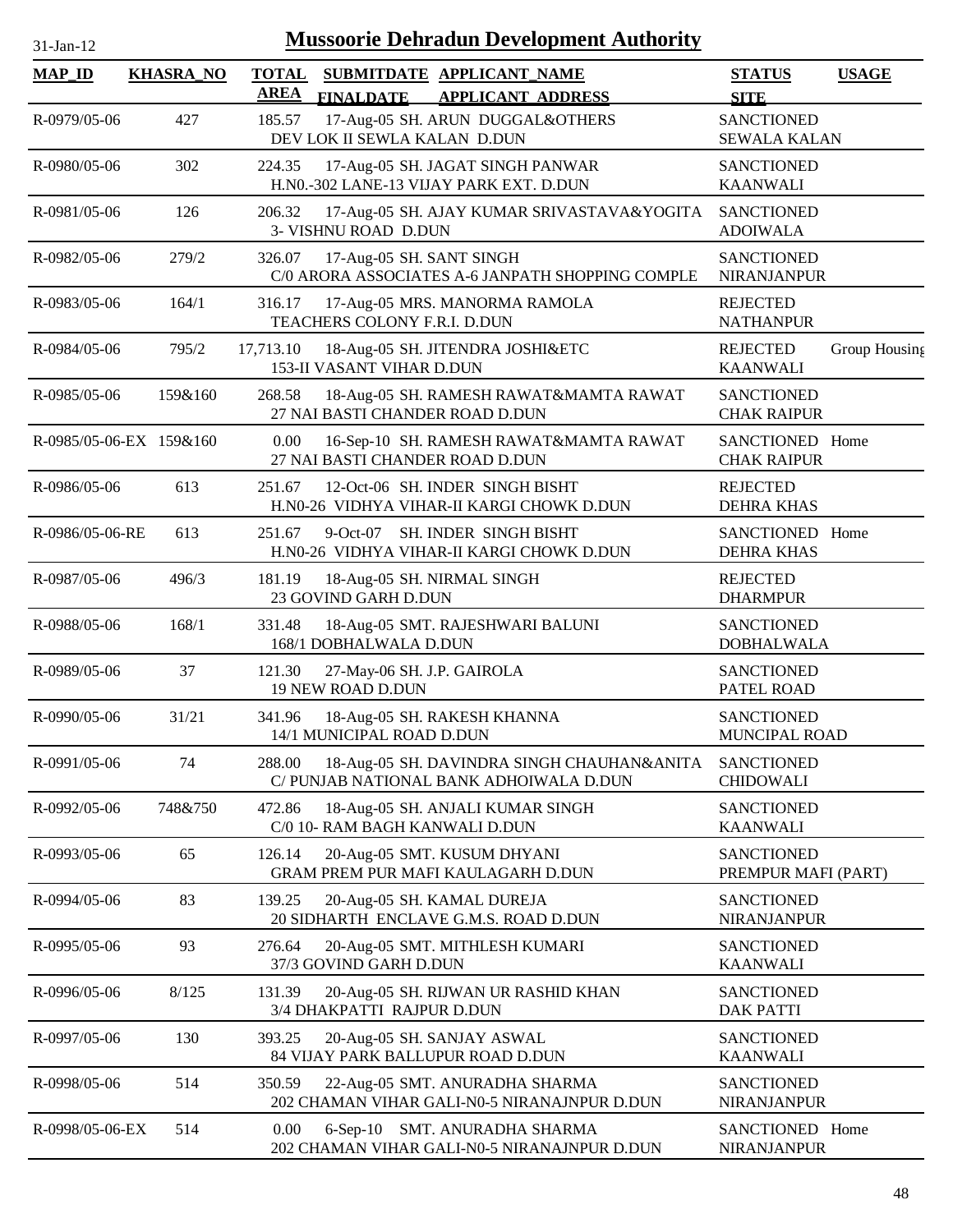| $31$ -Jan-12 |  |
|--------------|--|
|              |  |

| <b>MAP_ID</b>           | <b>KHASRA_NO</b> | <b>TOTAL</b><br>AREA                   | <b>FINALDATE</b> | SUBMITDATE APPLICANT_NAME<br><b>APPLICANT ADDRESS</b>                                 | <b>STATUS</b><br><b>SITE</b>             | <b>USAGE</b>  |
|-------------------------|------------------|----------------------------------------|------------------|---------------------------------------------------------------------------------------|------------------------------------------|---------------|
| R-0979/05-06            | 427              | 185.57                                 |                  | 17-Aug-05 SH. ARUN DUGGAL&OTHERS<br>DEV LOK II SEWLA KALAN D.DUN                      | <b>SANCTIONED</b><br><b>SEWALA KALAN</b> |               |
| R-0980/05-06            | 302              | 224.35                                 |                  | 17-Aug-05 SH. JAGAT SINGH PANWAR<br>H.N0.-302 LANE-13 VIJAY PARK EXT. D.DUN           | <b>SANCTIONED</b><br><b>KAANWALI</b>     |               |
| R-0981/05-06            | 126              | 206.32<br>3- VISHNU ROAD D.DUN         |                  | 17-Aug-05 SH. AJAY KUMAR SRIVASTAVA&YOGITA                                            | <b>SANCTIONED</b><br><b>ADOIWALA</b>     |               |
| R-0982/05-06            | 279/2            | 326.07                                 |                  | 17-Aug-05 SH. SANT SINGH<br>C/0 ARORA ASSOCIATES A-6 JANPATH SHOPPING COMPLE          | <b>SANCTIONED</b><br>NIRANJANPUR         |               |
| R-0983/05-06            | 164/1            | 316.17<br>TEACHERS COLONY F.R.I. D.DUN |                  | 17-Aug-05 MRS. MANORMA RAMOLA                                                         | <b>REJECTED</b><br><b>NATHANPUR</b>      |               |
| R-0984/05-06            | 795/2            | 17,713.10<br>153-II VASANT VIHAR D.DUN |                  | 18-Aug-05 SH. JITENDRA JOSHI&ETC                                                      | <b>REJECTED</b><br><b>KAANWALI</b>       | Group Housing |
| R-0985/05-06            | 159&160          | 268.58                                 |                  | 18-Aug-05 SH. RAMESH RAWAT&MAMTA RAWAT<br>27 NAI BASTI CHANDER ROAD D.DUN             | <b>SANCTIONED</b><br><b>CHAK RAIPUR</b>  |               |
| R-0985/05-06-EX 159&160 |                  | 0.00                                   |                  | 16-Sep-10 SH. RAMESH RAWAT&MAMTA RAWAT<br>27 NAI BASTI CHANDER ROAD D.DUN             | SANCTIONED Home<br><b>CHAK RAIPUR</b>    |               |
| R-0986/05-06            | 613              | 251.67                                 |                  | 12-Oct-06 SH. INDER SINGH BISHT<br>H.N0-26 VIDHYA VIHAR-II KARGI CHOWK D.DUN          | <b>REJECTED</b><br><b>DEHRA KHAS</b>     |               |
| R-0986/05-06-RE         | 613              | 251.67<br>$9$ -Oct-07                  |                  | SH. INDER SINGH BISHT<br>H.N0-26 VIDHYA VIHAR-II KARGI CHOWK D.DUN                    | SANCTIONED Home<br><b>DEHRA KHAS</b>     |               |
| R-0987/05-06            | 496/3            | 181.19<br>23 GOVIND GARH D.DUN         |                  | 18-Aug-05 SH. NIRMAL SINGH                                                            | <b>REJECTED</b><br><b>DHARMPUR</b>       |               |
| R-0988/05-06            | 168/1            | 331.48<br>168/1 DOBHALWALA D.DUN       |                  | 18-Aug-05 SMT. RAJESHWARI BALUNI                                                      | <b>SANCTIONED</b><br><b>DOBHALWALA</b>   |               |
| R-0989/05-06            | 37               | 121.30<br>19 NEW ROAD D.DUN            |                  | 27-May-06 SH. J.P. GAIROLA                                                            | <b>SANCTIONED</b><br>PATEL ROAD          |               |
| R-0990/05-06            | 31/21            | 341.96<br>14/1 MUNICIPAL ROAD D.DUN    |                  | 18-Aug-05 SH. RAKESH KHANNA                                                           | <b>SANCTIONED</b><br>MUNCIPAL ROAD       |               |
| R-0991/05-06            | 74               | 288.00                                 |                  | 18-Aug-05 SH. DAVINDRA SINGH CHAUHAN&ANITA<br>C/ PUNJAB NATIONAL BANK ADHOIWALA D.DUN | <b>SANCTIONED</b><br><b>CHIDOWALI</b>    |               |
| R-0992/05-06            | 748&750          | 472.86                                 |                  | 18-Aug-05 SH. ANJALI KUMAR SINGH<br>C/0 10- RAM BAGH KANWALI D.DUN                    | <b>SANCTIONED</b><br><b>KAANWALI</b>     |               |
| R-0993/05-06            | 65               | 126.14                                 |                  | 20-Aug-05 SMT. KUSUM DHYANI<br>GRAM PREM PUR MAFI KAULAGARH D.DUN                     | <b>SANCTIONED</b><br>PREMPUR MAFI (PART) |               |
| R-0994/05-06            | 83               | 139.25                                 |                  | 20-Aug-05 SH. KAMAL DUREJA<br>20 SIDHARTH ENCLAVE G.M.S. ROAD D.DUN                   | <b>SANCTIONED</b><br>NIRANJANPUR         |               |
| R-0995/05-06            | 93               | 276.64<br>37/3 GOVIND GARH D.DUN       |                  | 20-Aug-05 SMT. MITHLESH KUMARI                                                        | <b>SANCTIONED</b><br><b>KAANWALI</b>     |               |
| R-0996/05-06            | 8/125            | 131.39<br>3/4 DHAKPATTI RAJPUR D.DUN   |                  | 20-Aug-05 SH. RIJWAN UR RASHID KHAN                                                   | <b>SANCTIONED</b><br><b>DAK PATTI</b>    |               |
| R-0997/05-06            | 130              | 393.25                                 |                  | 20-Aug-05 SH. SANJAY ASWAL<br>84 VIJAY PARK BALLUPUR ROAD D.DUN                       | <b>SANCTIONED</b><br><b>KAANWALI</b>     |               |
| R-0998/05-06            | 514              | 350.59                                 |                  | 22-Aug-05 SMT. ANURADHA SHARMA<br>202 CHAMAN VIHAR GALI-N0-5 NIRANAJNPUR D.DUN        | <b>SANCTIONED</b><br><b>NIRANJANPUR</b>  |               |
| R-0998/05-06-EX         | 514              | 0.00                                   |                  | 6-Sep-10 SMT. ANURADHA SHARMA<br>202 CHAMAN VIHAR GALI-N0-5 NIRANAJNPUR D.DUN         | SANCTIONED Home<br>NIRANJANPUR           |               |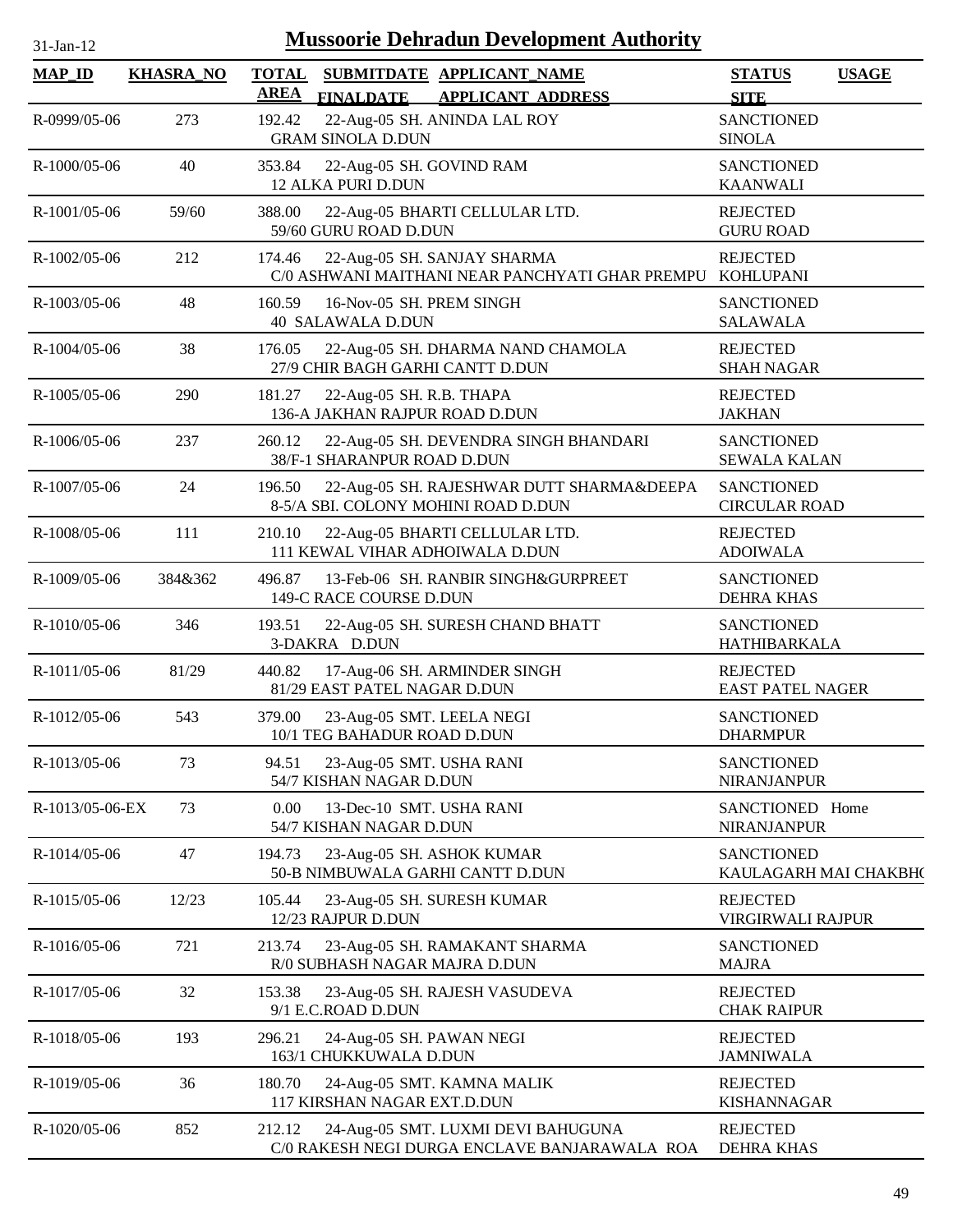| <b>Mussoorie Dehradun Development Authority</b><br>$31-Ian-12$ |                  |                                                 |                                                                                     |                                             |              |  |  |
|----------------------------------------------------------------|------------------|-------------------------------------------------|-------------------------------------------------------------------------------------|---------------------------------------------|--------------|--|--|
| <b>MAP ID</b>                                                  | <b>KHASRA_NO</b> | <b>TOTAL</b><br><b>AREA</b><br><b>FINALDATE</b> | SUBMITDATE APPLICANT_NAME<br><b>APPLICANT ADDRESS</b>                               | <b>STATUS</b><br><b>SITE</b>                | <b>USAGE</b> |  |  |
| R-0999/05-06                                                   | 273              | 192.42<br><b>GRAM SINOLA D.DUN</b>              | 22-Aug-05 SH. ANINDA LAL ROY                                                        | <b>SANCTIONED</b><br><b>SINOLA</b>          |              |  |  |
| $R-1000/05-06$                                                 | 40               | 353.84<br>12 ALKA PURI D.DUN                    | 22-Aug-05 SH. GOVIND RAM                                                            | <b>SANCTIONED</b><br><b>KAANWALI</b>        |              |  |  |
| R-1001/05-06                                                   | 59/60            | 388.00<br>59/60 GURU ROAD D.DUN                 | 22-Aug-05 BHARTI CELLULAR LTD.                                                      | <b>REJECTED</b><br><b>GURU ROAD</b>         |              |  |  |
| $R-1002/05-06$                                                 | 212              | 174.46                                          | 22-Aug-05 SH. SANJAY SHARMA<br>C/0 ASHWANI MAITHANI NEAR PANCHYATI GHAR PREMPU      | <b>REJECTED</b><br><b>KOHLUPANI</b>         |              |  |  |
| R-1003/05-06                                                   | 48               | 160.59<br><b>40 SALAWALA D.DUN</b>              | 16-Nov-05 SH. PREM SINGH                                                            | <b>SANCTIONED</b><br><b>SALAWALA</b>        |              |  |  |
| R-1004/05-06                                                   | 38               | 176.05                                          | 22-Aug-05 SH. DHARMA NAND CHAMOLA<br>27/9 CHIR BAGH GARHI CANTT D.DUN               | <b>REJECTED</b><br><b>SHAH NAGAR</b>        |              |  |  |
| $R-1005/05-06$                                                 | 290              | 181.27                                          | 22-Aug-05 SH. R.B. THAPA<br>136-A JAKHAN RAJPUR ROAD D.DUN                          | <b>REJECTED</b><br><b>JAKHAN</b>            |              |  |  |
| R-1006/05-06                                                   | 237              | 260.12<br>38/F-1 SHARANPUR ROAD D.DUN           | 22-Aug-05 SH. DEVENDRA SINGH BHANDARI                                               | <b>SANCTIONED</b><br><b>SEWALA KALAN</b>    |              |  |  |
| R-1007/05-06                                                   | 24               | 196.50                                          | 22-Aug-05 SH. RAJESHWAR DUTT SHARMA&DEEPA<br>8-5/A SBI. COLONY MOHINI ROAD D.DUN    | <b>SANCTIONED</b><br><b>CIRCULAR ROAD</b>   |              |  |  |
| R-1008/05-06                                                   | 111              | 210.10                                          | 22-Aug-05 BHARTI CELLULAR LTD.<br>111 KEWAL VIHAR ADHOIWALA D.DUN                   | <b>REJECTED</b><br><b>ADOIWALA</b>          |              |  |  |
| R-1009/05-06                                                   | 384&362          | 496.87<br>149-C RACE COURSE D.DUN               | 13-Feb-06 SH. RANBIR SINGH&GURPREET                                                 | <b>SANCTIONED</b><br><b>DEHRA KHAS</b>      |              |  |  |
| R-1010/05-06                                                   | 346              | 193.51<br>3-DAKRA D.DUN                         | 22-Aug-05 SH. SURESH CHAND BHATT                                                    | <b>SANCTIONED</b><br>HATHIBARKALA           |              |  |  |
| R-1011/05-06                                                   | 81/29            | 440.82                                          | 17-Aug-06 SH. ARMINDER SINGH<br>81/29 EAST PATEL NAGAR D.DUN                        | <b>REJECTED</b><br><b>EAST PATEL NAGER</b>  |              |  |  |
| R-1012/05-06                                                   | 543              | 379.00                                          | 23-Aug-05 SMT. LEELA NEGI<br>10/1 TEG BAHADUR ROAD D.DUN                            | <b>SANCTIONED</b><br><b>DHARMPUR</b>        |              |  |  |
| R-1013/05-06                                                   | 73               | 94.51<br>54/7 KISHAN NAGAR D.DUN                | 23-Aug-05 SMT. USHA RANI                                                            | <b>SANCTIONED</b><br><b>NIRANJANPUR</b>     |              |  |  |
| R-1013/05-06-EX                                                | 73               | 0.00<br>54/7 KISHAN NAGAR D.DUN                 | 13-Dec-10 SMT. USHA RANI                                                            | SANCTIONED Home<br><b>NIRANJANPUR</b>       |              |  |  |
| R-1014/05-06                                                   | 47               | 194.73                                          | 23-Aug-05 SH. ASHOK KUMAR<br>50-B NIMBUWALA GARHI CANTT D.DUN                       | <b>SANCTIONED</b><br>KAULAGARH MAI CHAKBH(  |              |  |  |
| R-1015/05-06                                                   | 12/23            | 105.44<br>12/23 RAJPUR D.DUN                    | 23-Aug-05 SH. SURESH KUMAR                                                          | <b>REJECTED</b><br><b>VIRGIRWALI RAJPUR</b> |              |  |  |
| R-1016/05-06                                                   | 721              | 213.74                                          | 23-Aug-05 SH. RAMAKANT SHARMA<br>R/0 SUBHASH NAGAR MAJRA D.DUN                      | <b>SANCTIONED</b><br><b>MAJRA</b>           |              |  |  |
| R-1017/05-06                                                   | 32               | 153.38<br>9/1 E.C.ROAD D.DUN                    | 23-Aug-05 SH. RAJESH VASUDEVA                                                       | <b>REJECTED</b><br><b>CHAK RAIPUR</b>       |              |  |  |
| R-1018/05-06                                                   | 193              | 296.21<br>163/1 CHUKKUWALA D.DUN                | 24-Aug-05 SH. PAWAN NEGI                                                            | <b>REJECTED</b><br><b>JAMNIWALA</b>         |              |  |  |
| R-1019/05-06                                                   | 36               | 180.70                                          | 24-Aug-05 SMT. KAMNA MALIK<br>117 KIRSHAN NAGAR EXT.D.DUN                           | <b>REJECTED</b><br><b>KISHANNAGAR</b>       |              |  |  |
| R-1020/05-06                                                   | 852              | 212.12                                          | 24-Aug-05 SMT. LUXMI DEVI BAHUGUNA<br>C/0 RAKESH NEGI DURGA ENCLAVE BANJARAWALA ROA | <b>REJECTED</b><br><b>DEHRA KHAS</b>        |              |  |  |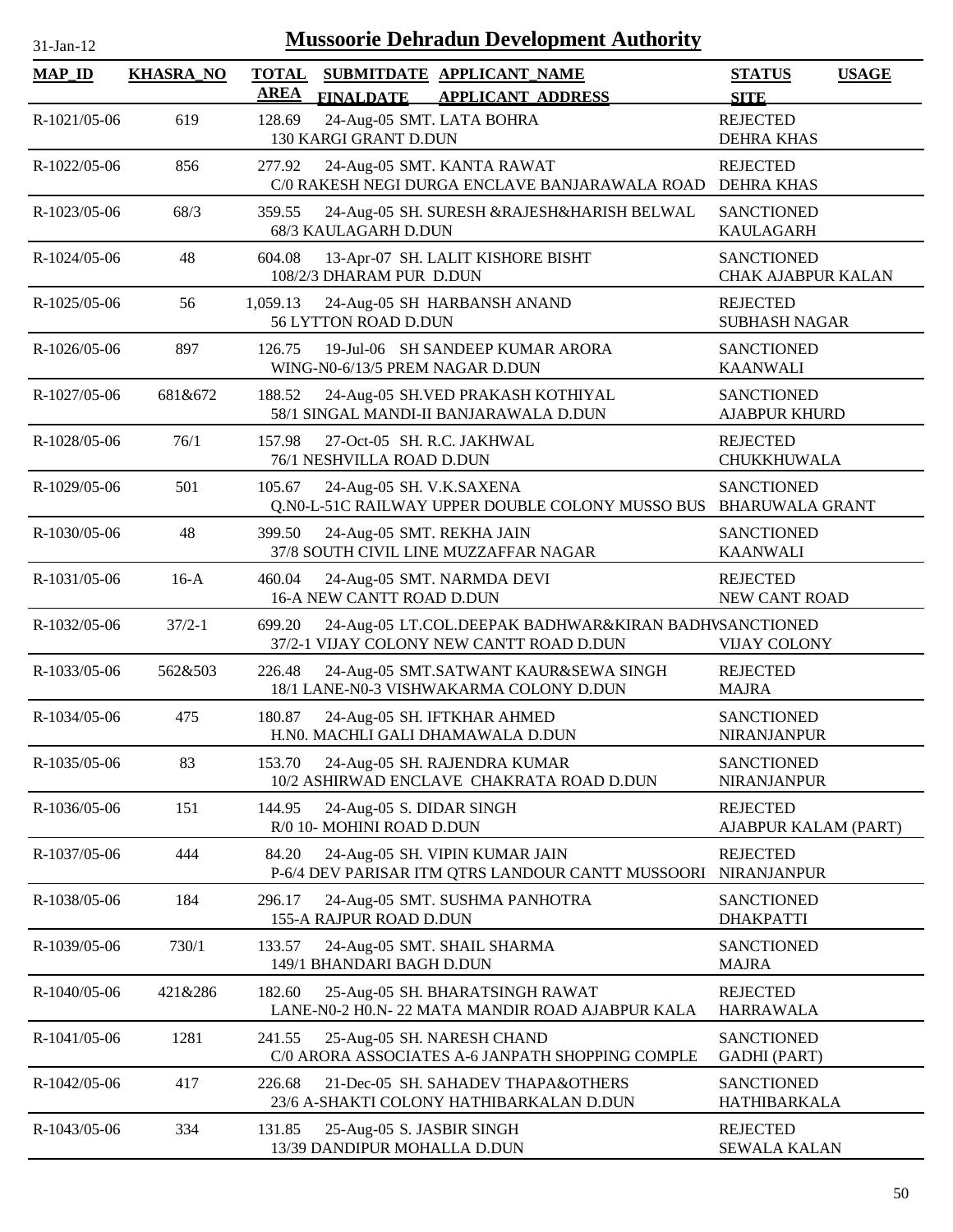| 31-Jan-12     |                  | <b>Mussoorie Dehradun Development Authority</b>                                                             |                                              |
|---------------|------------------|-------------------------------------------------------------------------------------------------------------|----------------------------------------------|
| <b>MAP_ID</b> | <b>KHASRA_NO</b> | <b>TOTAL</b><br>SUBMITDATE APPLICANT_NAME<br><b>AREA</b><br><b>FINALDATE</b><br><b>APPLICANT ADDRESS</b>    | <b>USAGE</b><br><b>STATUS</b><br><b>SITE</b> |
| R-1021/05-06  | 619              | 24-Aug-05 SMT. LATA BOHRA<br>128.69<br>130 KARGI GRANT D.DUN                                                | <b>REJECTED</b><br><b>DEHRA KHAS</b>         |
| R-1022/05-06  | 856              | 277.92<br>24-Aug-05 SMT. KANTA RAWAT<br>C/0 RAKESH NEGI DURGA ENCLAVE BANJARAWALA ROAD                      | <b>REJECTED</b><br><b>DEHRA KHAS</b>         |
| R-1023/05-06  | 68/3             | 359.55<br>24-Aug-05 SH. SURESH &RAJESH&HARISH BELWAL<br>68/3 KAULAGARH D.DUN                                | <b>SANCTIONED</b><br><b>KAULAGARH</b>        |
| R-1024/05-06  | 48               | 604.08<br>13-Apr-07 SH. LALIT KISHORE BISHT<br>108/2/3 DHARAM PUR D.DUN                                     | <b>SANCTIONED</b><br>CHAK AJABPUR KALAN      |
| R-1025/05-06  | 56               | 1,059.13<br>24-Aug-05 SH HARBANSH ANAND<br>56 LYTTON ROAD D.DUN                                             | <b>REJECTED</b><br><b>SUBHASH NAGAR</b>      |
| R-1026/05-06  | 897              | 19-Jul-06 SH SANDEEP KUMAR ARORA<br>126.75<br>WING-N0-6/13/5 PREM NAGAR D.DUN                               | <b>SANCTIONED</b><br><b>KAANWALI</b>         |
| R-1027/05-06  | 681&672          | 24-Aug-05 SH.VED PRAKASH KOTHIYAL<br>188.52<br>58/1 SINGAL MANDI-II BANJARAWALA D.DUN                       | <b>SANCTIONED</b><br><b>AJABPUR KHURD</b>    |
| R-1028/05-06  | 76/1             | 27-Oct-05 SH. R.C. JAKHWAL<br>157.98<br>76/1 NESHVILLA ROAD D.DUN                                           | <b>REJECTED</b><br><b>CHUKKHUWALA</b>        |
| R-1029/05-06  | 501              | 105.67<br>24-Aug-05 SH. V.K.SAXENA<br>Q.N0-L-51C RAILWAY UPPER DOUBLE COLONY MUSSO BUS                      | <b>SANCTIONED</b><br><b>BHARUWALA GRANT</b>  |
| R-1030/05-06  | 48               | 399.50<br>24-Aug-05 SMT. REKHA JAIN<br>37/8 SOUTH CIVIL LINE MUZZAFFAR NAGAR                                | <b>SANCTIONED</b><br><b>KAANWALI</b>         |
| R-1031/05-06  | $16-A$           | 460.04<br>24-Aug-05 SMT. NARMDA DEVI<br>16-A NEW CANTT ROAD D.DUN                                           | <b>REJECTED</b><br>NEW CANT ROAD             |
| R-1032/05-06  | $37/2 - 1$       | 24-Aug-05 LT.COL.DEEPAK BADHWAR&KIRAN BADHVSANCTIONED<br>699.20<br>37/2-1 VIJAY COLONY NEW CANTT ROAD D.DUN | <b>VIJAY COLONY</b>                          |
| R-1033/05-06  | 562&503          | 226.48<br>24-Aug-05 SMT.SATWANT KAUR&SEWA SINGH<br>18/1 LANE-N0-3 VISHWAKARMA COLONY D.DUN                  | <b>REJECTED</b><br><b>MAJRA</b>              |
| R-1034/05-06  | 475              | 180.87<br>24-Aug-05 SH. IFTKHAR AHMED<br>H.N0. MACHLI GALI DHAMAWALA D.DUN                                  | <b>SANCTIONED</b><br><b>NIRANJANPUR</b>      |
| R-1035/05-06  | 83               | 24-Aug-05 SH. RAJENDRA KUMAR<br>153.70<br>10/2 ASHIRWAD ENCLAVE CHAKRATA ROAD D.DUN                         | <b>SANCTIONED</b><br><b>NIRANJANPUR</b>      |
| R-1036/05-06  | 151              | 144.95<br>24-Aug-05 S. DIDAR SINGH<br>R/0 10- MOHINI ROAD D.DUN                                             | <b>REJECTED</b><br>AJABPUR KALAM (PART)      |
| R-1037/05-06  | 444              | 84.20<br>24-Aug-05 SH. VIPIN KUMAR JAIN<br>P-6/4 DEV PARISAR ITM QTRS LANDOUR CANTT MUSSOORI                | <b>REJECTED</b><br>NIRANJANPUR               |
| R-1038/05-06  | 184              | 296.17<br>24-Aug-05 SMT. SUSHMA PANHOTRA<br>155-A RAJPUR ROAD D.DUN                                         | <b>SANCTIONED</b><br><b>DHAKPATTI</b>        |
| R-1039/05-06  | 730/1            | 133.57<br>24-Aug-05 SMT. SHAIL SHARMA<br>149/1 BHANDARI BAGH D.DUN                                          | <b>SANCTIONED</b><br><b>MAJRA</b>            |
| R-1040/05-06  | 421&286          | 182.60<br>25-Aug-05 SH. BHARATSINGH RAWAT<br>LANE-N0-2 H0.N-22 MATA MANDIR ROAD AJABPUR KALA                | <b>REJECTED</b><br><b>HARRAWALA</b>          |
| R-1041/05-06  | 1281             | 241.55<br>25-Aug-05 SH. NARESH CHAND<br>C/0 ARORA ASSOCIATES A-6 JANPATH SHOPPING COMPLE                    | <b>SANCTIONED</b><br><b>GADHI</b> (PART)     |
| R-1042/05-06  | 417              | 226.68<br>21-Dec-05 SH. SAHADEV THAPA&OTHERS<br>23/6 A-SHAKTI COLONY HATHIBARKALAN D.DUN                    | <b>SANCTIONED</b><br>HATHIBARKALA            |
| R-1043/05-06  | 334              | 131.85<br>25-Aug-05 S. JASBIR SINGH<br>13/39 DANDIPUR MOHALLA D.DUN                                         | <b>REJECTED</b><br><b>SEWALA KALAN</b>       |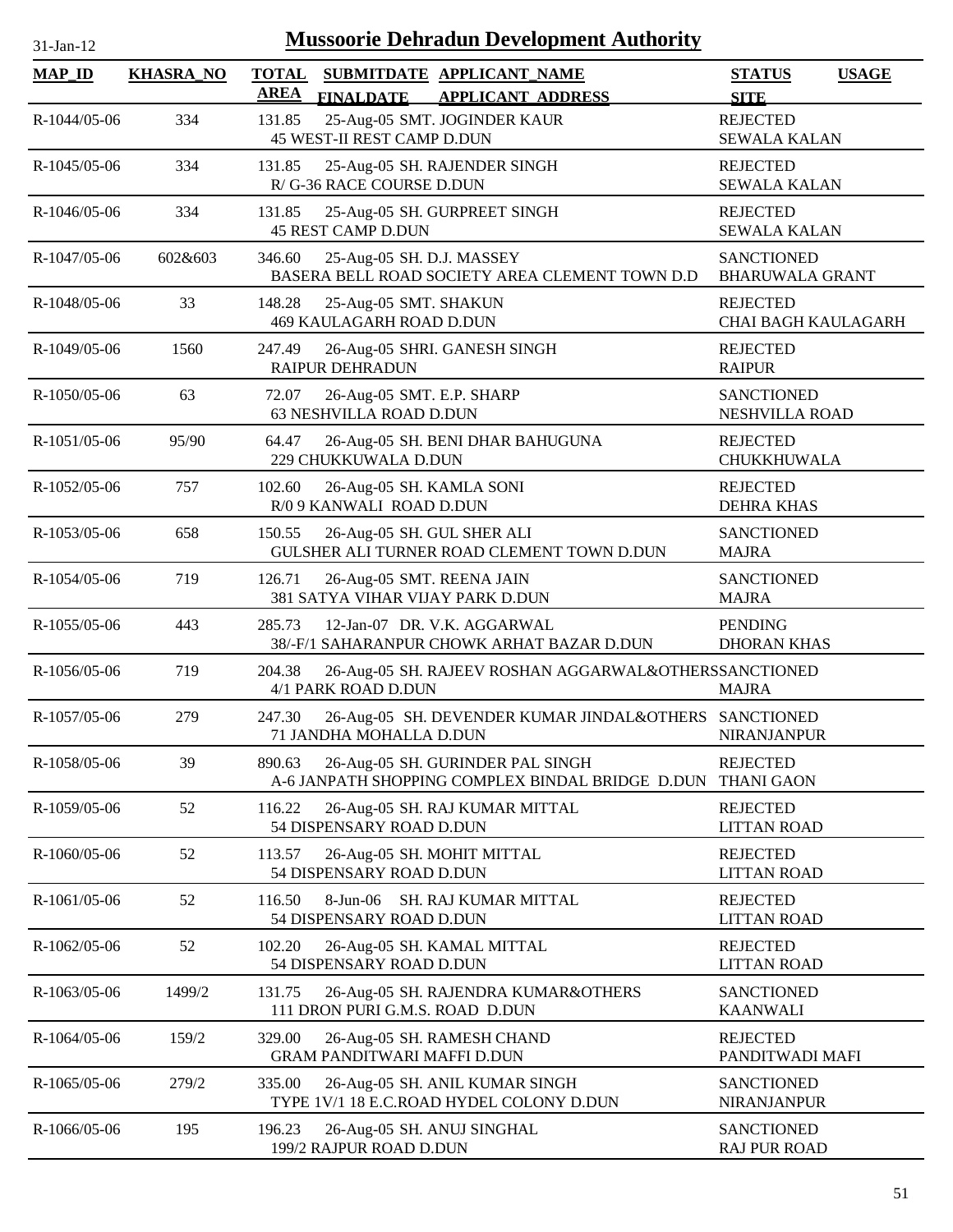| 31-Jan-12      |                  | <b>Mussoorie Dehradun Development Authority</b>                                                          |                                               |
|----------------|------------------|----------------------------------------------------------------------------------------------------------|-----------------------------------------------|
| <b>MAP_ID</b>  | <b>KHASRA_NO</b> | <b>TOTAL</b><br>SUBMITDATE APPLICANT NAME<br><b>AREA</b><br><b>APPLICANT ADDRESS</b><br><b>FINALDATE</b> | <b>STATUS</b><br><b>USAGE</b><br><b>SITE</b>  |
| R-1044/05-06   | 334              | 25-Aug-05 SMT. JOGINDER KAUR<br>131.85<br>45 WEST-II REST CAMP D.DUN                                     | <b>REJECTED</b><br><b>SEWALA KALAN</b>        |
| R-1045/05-06   | 334              | 131.85<br>25-Aug-05 SH. RAJENDER SINGH<br>R/G-36 RACE COURSE D.DUN                                       | <b>REJECTED</b><br><b>SEWALA KALAN</b>        |
| R-1046/05-06   | 334              | 25-Aug-05 SH. GURPREET SINGH<br>131.85<br><b>45 REST CAMP D.DUN</b>                                      | <b>REJECTED</b><br><b>SEWALA KALAN</b>        |
| R-1047/05-06   | 602&603          | 346.60<br>25-Aug-05 SH. D.J. MASSEY<br>BASERA BELL ROAD SOCIETY AREA CLEMENT TOWN D.D                    | <b>SANCTIONED</b><br><b>BHARUWALA GRANT</b>   |
| R-1048/05-06   | 33               | 25-Aug-05 SMT. SHAKUN<br>148.28<br><b>469 KAULAGARH ROAD D.DUN</b>                                       | <b>REJECTED</b><br><b>CHAI BAGH KAULAGARH</b> |
| R-1049/05-06   | 1560             | 247.49<br>26-Aug-05 SHRI. GANESH SINGH<br><b>RAIPUR DEHRADUN</b>                                         | <b>REJECTED</b><br><b>RAIPUR</b>              |
| R-1050/05-06   | 63               | 26-Aug-05 SMT. E.P. SHARP<br>72.07<br>63 NESHVILLA ROAD D.DUN                                            | <b>SANCTIONED</b><br><b>NESHVILLA ROAD</b>    |
| R-1051/05-06   | 95/90            | 64.47<br>26-Aug-05 SH. BENI DHAR BAHUGUNA<br>229 CHUKKUWALA D.DUN                                        | <b>REJECTED</b><br>CHUKKHUWALA                |
| R-1052/05-06   | 757              | 102.60<br>26-Aug-05 SH. KAMLA SONI<br>R/0 9 KANWALI ROAD D.DUN                                           | <b>REJECTED</b><br><b>DEHRA KHAS</b>          |
| R-1053/05-06   | 658              | 26-Aug-05 SH. GUL SHER ALI<br>150.55<br>GULSHER ALI TURNER ROAD CLEMENT TOWN D.DUN                       | <b>SANCTIONED</b><br><b>MAJRA</b>             |
| R-1054/05-06   | 719              | 126.71<br>26-Aug-05 SMT. REENA JAIN<br>381 SATYA VIHAR VIJAY PARK D.DUN                                  | <b>SANCTIONED</b><br><b>MAJRA</b>             |
| R-1055/05-06   | 443              | 12-Jan-07 DR. V.K. AGGARWAL<br>285.73<br>38/-F/1 SAHARANPUR CHOWK ARHAT BAZAR D.DUN                      | <b>PENDING</b><br><b>DHORAN KHAS</b>          |
| R-1056/05-06   | 719              | 204.38<br>26-Aug-05 SH. RAJEEV ROSHAN AGGARWAL&OTHERSSANCTIONED<br>4/1 PARK ROAD D.DUN                   | <b>MAJRA</b>                                  |
| $R-1057/05-06$ | 279              | 247.30<br>26-Aug-05 SH. DEVENDER KUMAR JINDAL&OTHERS SANCTIONED<br>71 JANDHA MOHALLA D.DUN               | <b>NIRANJANPUR</b>                            |
| R-1058/05-06   | 39               | 26-Aug-05 SH. GURINDER PAL SINGH<br>890.63<br>A-6 JANPATH SHOPPING COMPLEX BINDAL BRIDGE D.DUN           | <b>REJECTED</b><br><b>THANI GAON</b>          |
| R-1059/05-06   | 52               | 116.22<br>26-Aug-05 SH. RAJ KUMAR MITTAL<br>54 DISPENSARY ROAD D.DUN                                     | <b>REJECTED</b><br><b>LITTAN ROAD</b>         |
| R-1060/05-06   | 52               | 113.57<br>26-Aug-05 SH. MOHIT MITTAL<br>54 DISPENSARY ROAD D.DUN                                         | <b>REJECTED</b><br><b>LITTAN ROAD</b>         |
| R-1061/05-06   | 52               | 116.50<br>$8-Jun-06$<br>SH. RAJ KUMAR MITTAL<br>54 DISPENSARY ROAD D.DUN                                 | <b>REJECTED</b><br><b>LITTAN ROAD</b>         |
| R-1062/05-06   | 52               | 102.20<br>26-Aug-05 SH. KAMAL MITTAL<br>54 DISPENSARY ROAD D.DUN                                         | <b>REJECTED</b><br><b>LITTAN ROAD</b>         |
| R-1063/05-06   | 1499/2           | 131.75<br>26-Aug-05 SH. RAJENDRA KUMAR&OTHERS<br>111 DRON PURI G.M.S. ROAD D.DUN                         | <b>SANCTIONED</b><br><b>KAANWALI</b>          |
| R-1064/05-06   | 159/2            | 329.00<br>26-Aug-05 SH. RAMESH CHAND<br><b>GRAM PANDITWARI MAFFI D.DUN</b>                               | <b>REJECTED</b><br>PANDITWADI MAFI            |
| R-1065/05-06   | 279/2            | 335.00<br>26-Aug-05 SH. ANIL KUMAR SINGH<br>TYPE 1V/1 18 E.C.ROAD HYDEL COLONY D.DUN                     | <b>SANCTIONED</b><br><b>NIRANJANPUR</b>       |
| R-1066/05-06   | 195              | 196.23<br>26-Aug-05 SH. ANUJ SINGHAL<br>199/2 RAJPUR ROAD D.DUN                                          | <b>SANCTIONED</b><br><b>RAJ PUR ROAD</b>      |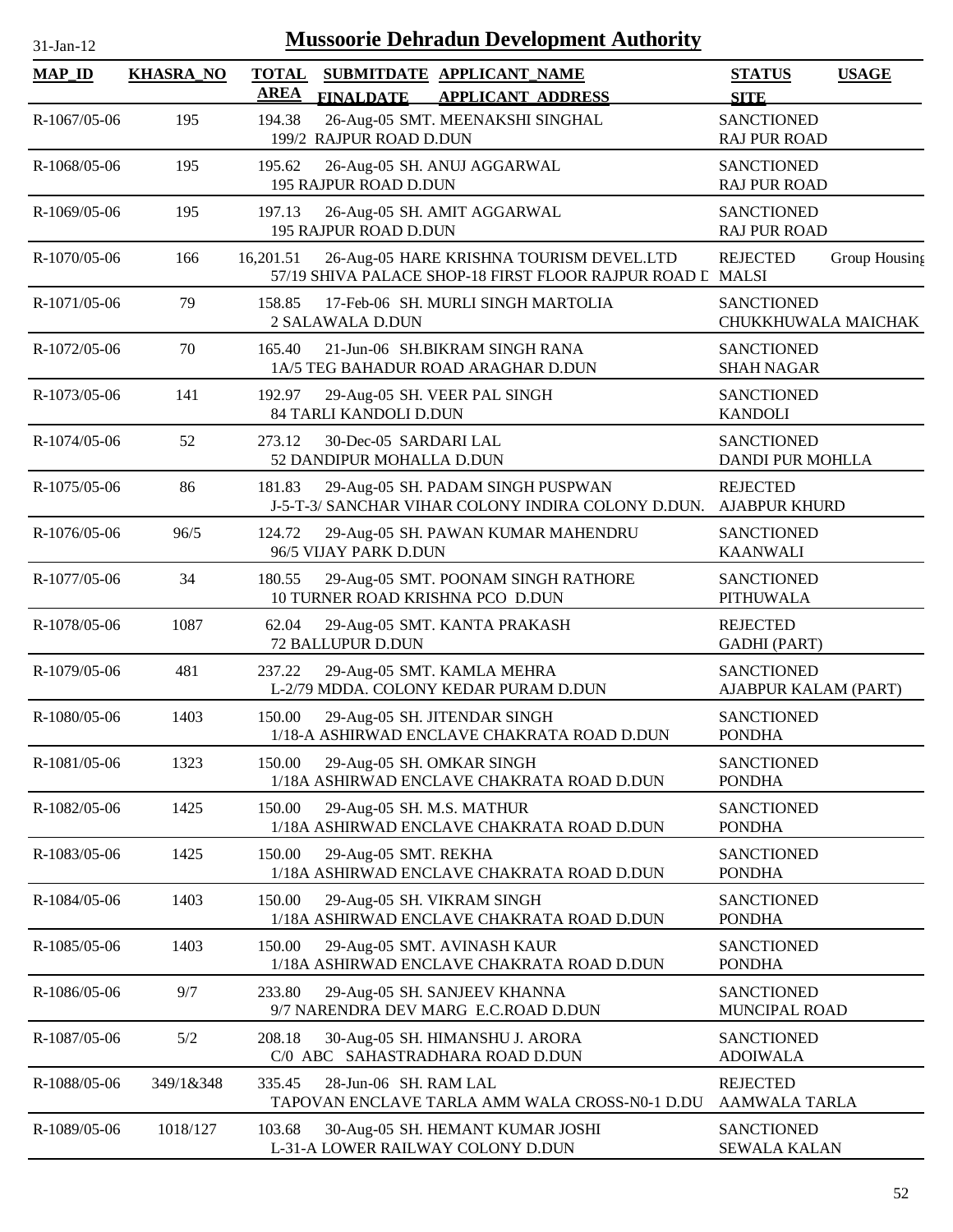| 31-Jan-12      |                  |                             |                                                    | <b>Mussoorie Dehradun Development Authority</b>                                                        |                                           |               |
|----------------|------------------|-----------------------------|----------------------------------------------------|--------------------------------------------------------------------------------------------------------|-------------------------------------------|---------------|
| <b>MAP_ID</b>  | <b>KHASRA_NO</b> | <b>TOTAL</b><br><b>AREA</b> | <b>FINALDATE</b>                                   | SUBMITDATE APPLICANT NAME<br><b>APPLICANT ADDRESS</b>                                                  | <b>STATUS</b><br><b>SITE</b>              | <b>USAGE</b>  |
| R-1067/05-06   | 195              | 194.38                      | 199/2 RAJPUR ROAD D.DUN                            | 26-Aug-05 SMT. MEENAKSHI SINGHAL                                                                       | <b>SANCTIONED</b><br><b>RAJ PUR ROAD</b>  |               |
| $R-1068/05-06$ | 195              | 195.62                      | 195 RAJPUR ROAD D.DUN                              | 26-Aug-05 SH. ANUJ AGGARWAL                                                                            | <b>SANCTIONED</b><br><b>RAJ PUR ROAD</b>  |               |
| R-1069/05-06   | 195              | 197.13                      | 195 RAJPUR ROAD D.DUN                              | 26-Aug-05 SH. AMIT AGGARWAL                                                                            | <b>SANCTIONED</b><br><b>RAJ PUR ROAD</b>  |               |
| R-1070/05-06   | 166              | 16,201.51                   |                                                    | 26-Aug-05 HARE KRISHNA TOURISM DEVEL.LTD<br>57/19 SHIVA PALACE SHOP-18 FIRST FLOOR RAJPUR ROAD L MALSI | <b>REJECTED</b>                           | Group Housing |
| R-1071/05-06   | 79               | 158.85                      | 2 SALAWALA D.DUN                                   | 17-Feb-06 SH. MURLI SINGH MARTOLIA                                                                     | <b>SANCTIONED</b><br>CHUKKHUWALA MAICHAK  |               |
| R-1072/05-06   | 70               | 165.40                      |                                                    | 21-Jun-06 SH.BIKRAM SINGH RANA<br>1A/5 TEG BAHADUR ROAD ARAGHAR D.DUN                                  | <b>SANCTIONED</b><br><b>SHAH NAGAR</b>    |               |
| R-1073/05-06   | 141              | 192.97                      | 84 TARLI KANDOLI D.DUN                             | 29-Aug-05 SH. VEER PAL SINGH                                                                           | <b>SANCTIONED</b><br><b>KANDOLI</b>       |               |
| R-1074/05-06   | 52               | 273.12                      | 30-Dec-05 SARDARI LAL<br>52 DANDIPUR MOHALLA D.DUN |                                                                                                        | <b>SANCTIONED</b><br>DANDI PUR MOHLLA     |               |
| R-1075/05-06   | 86               | 181.83                      |                                                    | 29-Aug-05 SH. PADAM SINGH PUSPWAN<br>J-5-T-3/ SANCHAR VIHAR COLONY INDIRA COLONY D.DUN. AJABPUR KHURD  | <b>REJECTED</b>                           |               |
| R-1076/05-06   | 96/5             | 124.72                      | 96/5 VIJAY PARK D.DUN                              | 29-Aug-05 SH. PAWAN KUMAR MAHENDRU                                                                     | <b>SANCTIONED</b><br><b>KAANWALI</b>      |               |
| R-1077/05-06   | 34               | 180.55                      | 10 TURNER ROAD KRISHNA PCO D.DUN                   | 29-Aug-05 SMT. POONAM SINGH RATHORE                                                                    | <b>SANCTIONED</b><br><b>PITHUWALA</b>     |               |
| R-1078/05-06   | 1087             | 62.04                       | 72 BALLUPUR D.DUN                                  | 29-Aug-05 SMT. KANTA PRAKASH                                                                           | <b>REJECTED</b><br><b>GADHI</b> (PART)    |               |
| R-1079/05-06   | 481              | 237.22                      |                                                    | 29-Aug-05 SMT. KAMLA MEHRA<br>L-2/79 MDDA. COLONY KEDAR PURAM D.DUN                                    | <b>SANCTIONED</b><br>AJABPUR KALAM (PART) |               |
| R-1080/05-06   | 1403             | 150.00                      |                                                    | 29-Aug-05 SH. JITENDAR SINGH<br>1/18-A ASHIRWAD ENCLAVE CHAKRATA ROAD D.DUN                            | <b>SANCTIONED</b><br><b>PONDHA</b>        |               |
| R-1081/05-06   | 1323             | 150.00                      | 29-Aug-05 SH. OMKAR SINGH                          | 1/18A ASHIRWAD ENCLAVE CHAKRATA ROAD D.DUN                                                             | <b>SANCTIONED</b><br><b>PONDHA</b>        |               |
| R-1082/05-06   | 1425             | 150.00                      | 29-Aug-05 SH. M.S. MATHUR                          | 1/18A ASHIRWAD ENCLAVE CHAKRATA ROAD D.DUN                                                             | <b>SANCTIONED</b><br><b>PONDHA</b>        |               |
| R-1083/05-06   | 1425             | 150.00                      | 29-Aug-05 SMT. REKHA                               | 1/18A ASHIRWAD ENCLAVE CHAKRATA ROAD D.DUN                                                             | <b>SANCTIONED</b><br><b>PONDHA</b>        |               |
| R-1084/05-06   | 1403             | 150.00                      | 29-Aug-05 SH. VIKRAM SINGH                         | 1/18A ASHIRWAD ENCLAVE CHAKRATA ROAD D.DUN                                                             | <b>SANCTIONED</b><br><b>PONDHA</b>        |               |
| R-1085/05-06   | 1403             | 150.00                      |                                                    | 29-Aug-05 SMT. AVINASH KAUR<br>1/18A ASHIRWAD ENCLAVE CHAKRATA ROAD D.DUN                              | <b>SANCTIONED</b><br><b>PONDHA</b>        |               |
| R-1086/05-06   | 9/7              | 233.80                      |                                                    | 29-Aug-05 SH. SANJEEV KHANNA<br>9/7 NARENDRA DEV MARG E.C.ROAD D.DUN                                   | <b>SANCTIONED</b><br>MUNCIPAL ROAD        |               |
| R-1087/05-06   | $5/2$            | 208.18                      |                                                    | 30-Aug-05 SH. HIMANSHU J. ARORA<br>C/0 ABC SAHASTRADHARA ROAD D.DUN                                    | <b>SANCTIONED</b><br><b>ADOIWALA</b>      |               |
| R-1088/05-06   | 349/1&348        | 335.45                      | 28-Jun-06 SH. RAM LAL                              | TAPOVAN ENCLAVE TARLA AMM WALA CROSS-N0-1 D.DU                                                         | <b>REJECTED</b><br>AAMWALA TARLA          |               |
| R-1089/05-06   | 1018/127         | 103.68                      |                                                    | 30-Aug-05 SH. HEMANT KUMAR JOSHI<br>L-31-A LOWER RAILWAY COLONY D.DUN                                  | <b>SANCTIONED</b><br><b>SEWALA KALAN</b>  |               |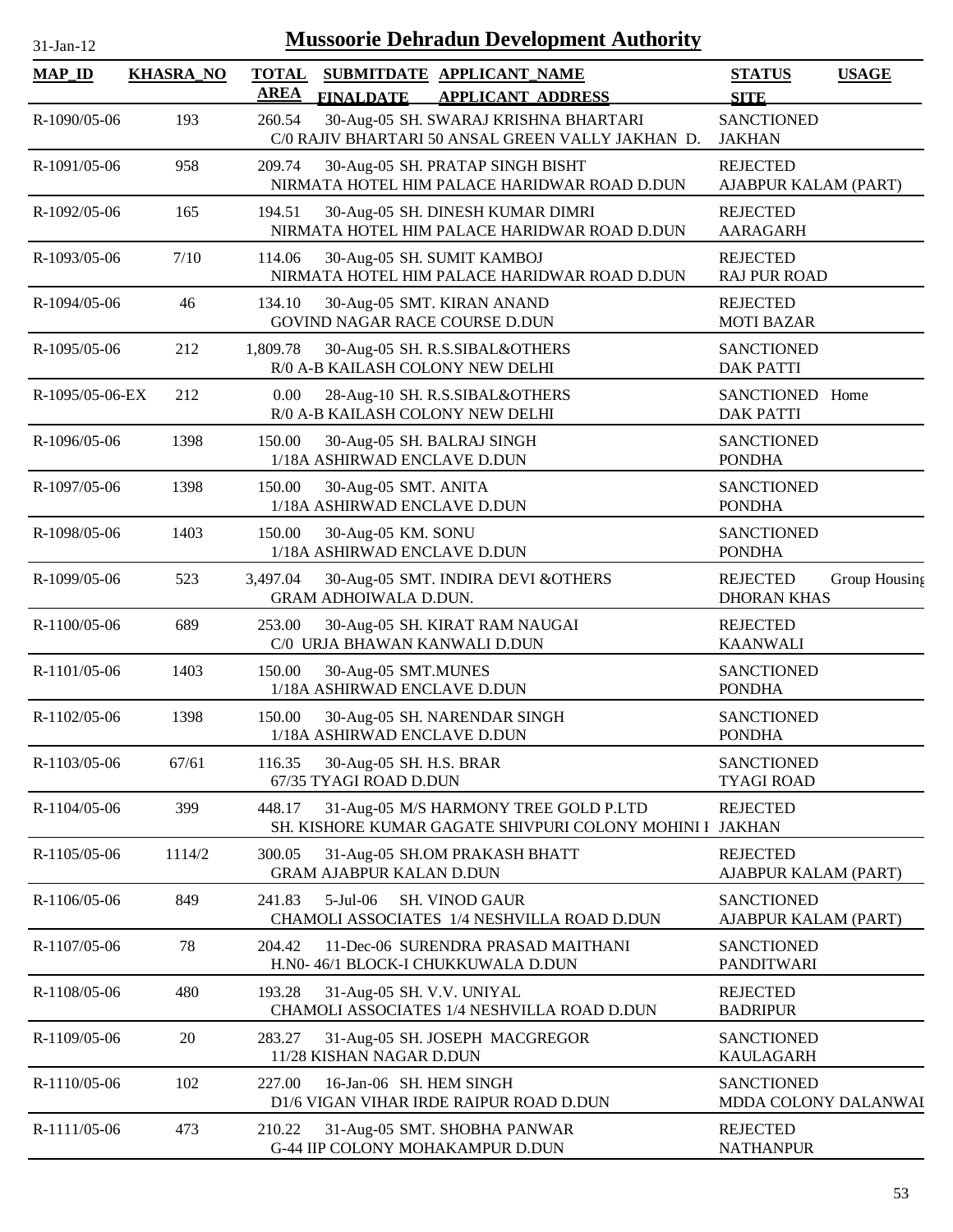| $31-Jan-12$         |                  | <b>Mussoorie Dehradun Development Authority</b>                                                          |                                                        |
|---------------------|------------------|----------------------------------------------------------------------------------------------------------|--------------------------------------------------------|
| $MAP$ <sub>ID</sub> | <b>KHASRA_NO</b> | <b>TOTAL</b><br>SUBMITDATE APPLICANT NAME<br><b>AREA</b><br><b>FINALDATE</b><br><b>APPLICANT ADDRESS</b> | <b>STATUS</b><br><b>USAGE</b><br><b>SITE</b>           |
| R-1090/05-06        | 193              | 30-Aug-05 SH. SWARAJ KRISHNA BHARTARI<br>260.54<br>C/0 RAJIV BHARTARI 50 ANSAL GREEN VALLY JAKHAN D.     | <b>SANCTIONED</b><br><b>JAKHAN</b>                     |
| R-1091/05-06        | 958              | 209.74<br>30-Aug-05 SH. PRATAP SINGH BISHT<br>NIRMATA HOTEL HIM PALACE HARIDWAR ROAD D.DUN               | <b>REJECTED</b><br>AJABPUR KALAM (PART)                |
| R-1092/05-06        | 165              | 30-Aug-05 SH. DINESH KUMAR DIMRI<br>194.51<br>NIRMATA HOTEL HIM PALACE HARIDWAR ROAD D.DUN               | <b>REJECTED</b><br><b>AARAGARH</b>                     |
| R-1093/05-06        | 7/10             | 114.06<br>30-Aug-05 SH. SUMIT KAMBOJ<br>NIRMATA HOTEL HIM PALACE HARIDWAR ROAD D.DUN                     | <b>REJECTED</b><br><b>RAJ PUR ROAD</b>                 |
| R-1094/05-06        | 46               | 30-Aug-05 SMT. KIRAN ANAND<br>134.10<br>GOVIND NAGAR RACE COURSE D.DUN                                   | <b>REJECTED</b><br><b>MOTI BAZAR</b>                   |
| R-1095/05-06        | 212              | 1,809.78<br>30-Aug-05 SH. R.S.SIBAL&OTHERS<br>R/0 A-B KAILASH COLONY NEW DELHI                           | <b>SANCTIONED</b><br><b>DAK PATTI</b>                  |
| R-1095/05-06-EX     | 212              | 0.00<br>28-Aug-10 SH. R.S.SIBAL&OTHERS<br>R/0 A-B KAILASH COLONY NEW DELHI                               | SANCTIONED Home<br><b>DAK PATTI</b>                    |
| R-1096/05-06        | 1398             | 30-Aug-05 SH. BALRAJ SINGH<br>150.00<br>1/18A ASHIRWAD ENCLAVE D.DUN                                     | <b>SANCTIONED</b><br><b>PONDHA</b>                     |
| R-1097/05-06        | 1398             | 150.00<br>30-Aug-05 SMT. ANITA<br>1/18A ASHIRWAD ENCLAVE D.DUN                                           | <b>SANCTIONED</b><br><b>PONDHA</b>                     |
| R-1098/05-06        | 1403             | 150.00<br>30-Aug-05 KM. SONU<br>1/18A ASHIRWAD ENCLAVE D.DUN                                             | <b>SANCTIONED</b><br><b>PONDHA</b>                     |
| R-1099/05-06        | 523              | 3,497.04<br>30-Aug-05 SMT. INDIRA DEVI & OTHERS<br>GRAM ADHOIWALA D.DUN.                                 | <b>REJECTED</b><br>Group Housing<br><b>DHORAN KHAS</b> |
| R-1100/05-06        | 689              | 30-Aug-05 SH. KIRAT RAM NAUGAI<br>253.00<br>C/0 URJA BHAWAN KANWALI D.DUN                                | <b>REJECTED</b><br><b>KAANWALI</b>                     |
| R-1101/05-06        | 1403             | 150.00<br>30-Aug-05 SMT.MUNES<br>1/18A ASHIRWAD ENCLAVE D.DUN                                            | <b>SANCTIONED</b><br><b>PONDHA</b>                     |
| $R-1102/05-06$      | 1398             | 150.00<br>30-Aug-05 SH. NARENDAR SINGH<br>1/18A ASHIRWAD ENCLAVE D.DUN                                   | <b>SANCTIONED</b><br><b>PONDHA</b>                     |
| R-1103/05-06        | 67/61            | 116.35<br>30-Aug-05 SH. H.S. BRAR<br>67/35 TYAGI ROAD D.DUN                                              | <b>SANCTIONED</b><br><b>TYAGI ROAD</b>                 |
| R-1104/05-06        | 399              | 448.17<br>31-Aug-05 M/S HARMONY TREE GOLD P.LTD<br>SH. KISHORE KUMAR GAGATE SHIVPURI COLONY MOHINI I     | <b>REJECTED</b><br><b>JAKHAN</b>                       |
| R-1105/05-06        | 1114/2           | 300.05<br>31-Aug-05 SH.OM PRAKASH BHATT<br><b>GRAM AJABPUR KALAN D.DUN</b>                               | <b>REJECTED</b><br>AJABPUR KALAM (PART)                |
| R-1106/05-06        | 849              | 5-Jul-06<br>241.83<br><b>SH. VINOD GAUR</b><br>CHAMOLI ASSOCIATES 1/4 NESHVILLA ROAD D.DUN               | <b>SANCTIONED</b><br>AJABPUR KALAM (PART)              |
| R-1107/05-06        | 78               | 11-Dec-06 SURENDRA PRASAD MAITHANI<br>204.42<br>H.N0- 46/1 BLOCK-I CHUKKUWALA D.DUN                      | <b>SANCTIONED</b><br><b>PANDITWARI</b>                 |
| R-1108/05-06        | 480              | 193.28<br>31-Aug-05 SH. V.V. UNIYAL<br>CHAMOLI ASSOCIATES 1/4 NESHVILLA ROAD D.DUN                       | <b>REJECTED</b><br><b>BADRIPUR</b>                     |
| R-1109/05-06        | $20\,$           | 283.27<br>31-Aug-05 SH. JOSEPH MACGREGOR<br>11/28 KISHAN NAGAR D.DUN                                     | <b>SANCTIONED</b><br><b>KAULAGARH</b>                  |
| R-1110/05-06        | 102              | 16-Jan-06 SH. HEM SINGH<br>227.00<br>D1/6 VIGAN VIHAR IRDE RAIPUR ROAD D.DUN                             | <b>SANCTIONED</b><br>MDDA COLONY DALANWAI              |
| R-1111/05-06        | 473              | 210.22<br>31-Aug-05 SMT. SHOBHA PANWAR<br>G-44 IIP COLONY MOHAKAMPUR D.DUN                               | <b>REJECTED</b><br><b>NATHANPUR</b>                    |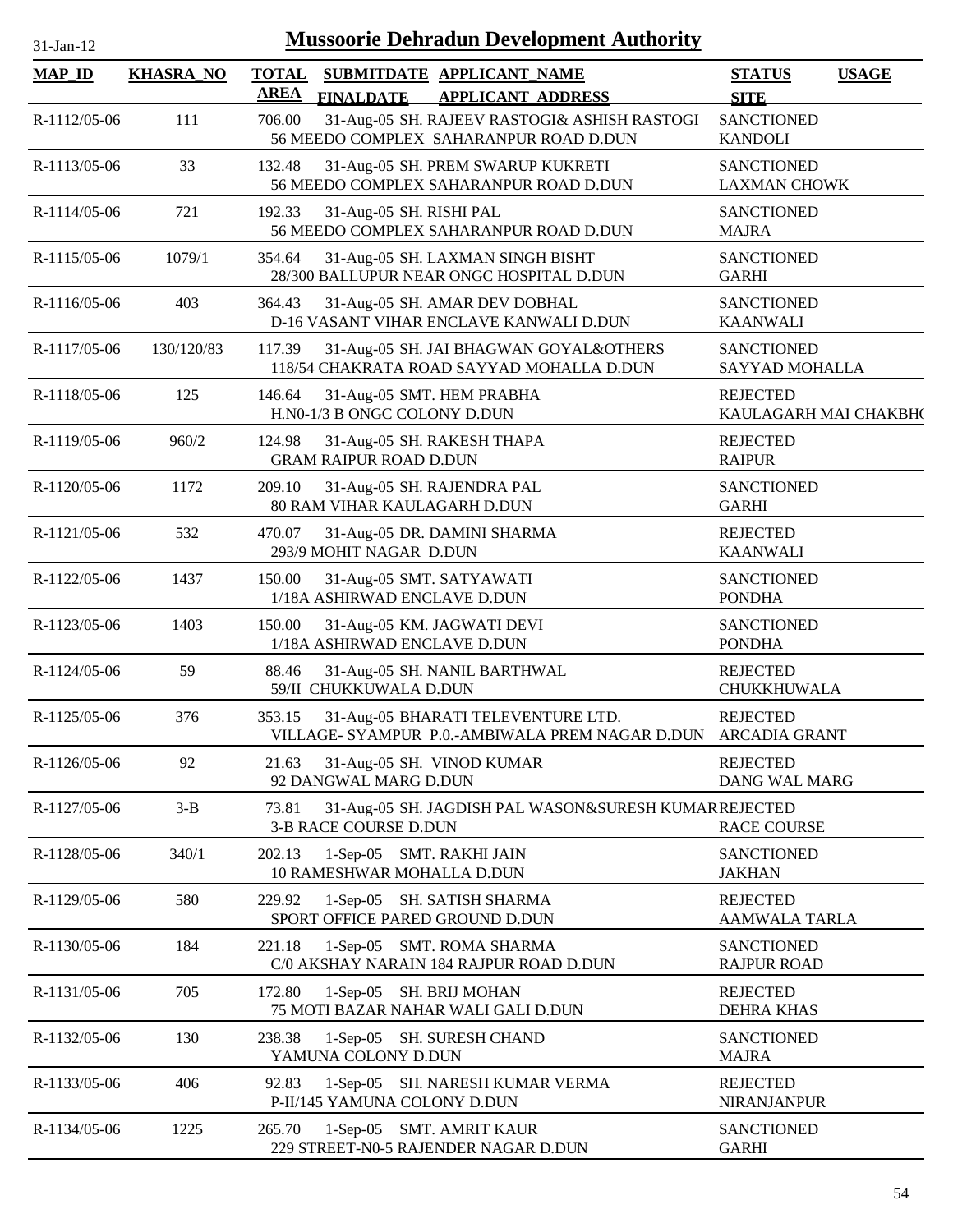| 31-Jan-12     | <b>Mussoorie Dehradun Development Authority</b> |                             |                                                                                                     |                                              |  |  |  |  |
|---------------|-------------------------------------------------|-----------------------------|-----------------------------------------------------------------------------------------------------|----------------------------------------------|--|--|--|--|
| <b>MAP_ID</b> | <b>KHASRA_NO</b>                                | <b>TOTAL</b><br><b>AREA</b> | SUBMITDATE APPLICANT_NAME<br><b>FINALDATE</b><br><b>APPLICANT ADDRESS</b>                           | <b>STATUS</b><br><b>USAGE</b><br><b>SITE</b> |  |  |  |  |
| R-1112/05-06  | 111                                             | 706.00                      | 31-Aug-05 SH. RAJEEV RASTOGI& ASHISH RASTOGI<br>56 MEEDO COMPLEX SAHARANPUR ROAD D.DUN              | <b>SANCTIONED</b><br><b>KANDOLI</b>          |  |  |  |  |
| R-1113/05-06  | 33                                              | 132.48                      | 31-Aug-05 SH. PREM SWARUP KUKRETI<br>56 MEEDO COMPLEX SAHARANPUR ROAD D.DUN                         | <b>SANCTIONED</b><br><b>LAXMAN CHOWK</b>     |  |  |  |  |
| R-1114/05-06  | 721                                             | 192.33                      | 31-Aug-05 SH. RISHI PAL<br>56 MEEDO COMPLEX SAHARANPUR ROAD D.DUN                                   | <b>SANCTIONED</b><br><b>MAJRA</b>            |  |  |  |  |
| R-1115/05-06  | 1079/1                                          | 354.64                      | 31-Aug-05 SH. LAXMAN SINGH BISHT<br>28/300 BALLUPUR NEAR ONGC HOSPITAL D.DUN                        | <b>SANCTIONED</b><br><b>GARHI</b>            |  |  |  |  |
| R-1116/05-06  | 403                                             | 364.43                      | 31-Aug-05 SH. AMAR DEV DOBHAL<br>D-16 VASANT VIHAR ENCLAVE KANWALI D.DUN                            | <b>SANCTIONED</b><br><b>KAANWALI</b>         |  |  |  |  |
| R-1117/05-06  | 130/120/83                                      | 117.39                      | 31-Aug-05 SH. JAI BHAGWAN GOYAL&OTHERS<br>118/54 CHAKRATA ROAD SAYYAD MOHALLA D.DUN                 | <b>SANCTIONED</b><br>SAYYAD MOHALLA          |  |  |  |  |
| R-1118/05-06  | 125                                             | 146.64                      | 31-Aug-05 SMT. HEM PRABHA<br>H.N0-1/3 B ONGC COLONY D.DUN                                           | <b>REJECTED</b><br>KAULAGARH MAI CHAKBH(     |  |  |  |  |
| R-1119/05-06  | 960/2                                           | 124.98                      | 31-Aug-05 SH. RAKESH THAPA<br><b>GRAM RAIPUR ROAD D.DUN</b>                                         | <b>REJECTED</b><br><b>RAIPUR</b>             |  |  |  |  |
| R-1120/05-06  | 1172                                            | 209.10                      | 31-Aug-05 SH. RAJENDRA PAL<br>80 RAM VIHAR KAULAGARH D.DUN                                          | <b>SANCTIONED</b><br><b>GARHI</b>            |  |  |  |  |
| R-1121/05-06  | 532                                             | 470.07                      | 31-Aug-05 DR. DAMINI SHARMA<br>293/9 MOHIT NAGAR D.DUN                                              | <b>REJECTED</b><br><b>KAANWALI</b>           |  |  |  |  |
| R-1122/05-06  | 1437                                            | 150.00                      | 31-Aug-05 SMT. SATYAWATI<br>1/18A ASHIRWAD ENCLAVE D.DUN                                            | <b>SANCTIONED</b><br><b>PONDHA</b>           |  |  |  |  |
| R-1123/05-06  | 1403                                            | 150.00                      | 31-Aug-05 KM. JAGWATI DEVI<br>1/18A ASHIRWAD ENCLAVE D.DUN                                          | <b>SANCTIONED</b><br><b>PONDHA</b>           |  |  |  |  |
| R-1124/05-06  | 59                                              | 88.46                       | 31-Aug-05 SH. NANIL BARTHWAL<br>59/II CHUKKUWALA D.DUN                                              | <b>REJECTED</b><br>CHUKKHUWALA               |  |  |  |  |
| R-1125/05-06  | 376                                             | 353.15                      | 31-Aug-05 BHARATI TELEVENTURE LTD.<br>VILLAGE- SYAMPUR P.O.-AMBIWALA PREM NAGAR D.DUN ARCADIA GRANT | <b>REJECTED</b>                              |  |  |  |  |
| R-1126/05-06  | 92                                              | 21.63                       | 31-Aug-05 SH. VINOD KUMAR<br>92 DANGWAL MARG D.DUN                                                  | <b>REJECTED</b><br>DANG WAL MARG             |  |  |  |  |
| R-1127/05-06  | $3-B$                                           | 73.81                       | 31-Aug-05 SH. JAGDISH PAL WASON&SURESH KUMARREJECTED<br>3-B RACE COURSE D.DUN                       | <b>RACE COURSE</b>                           |  |  |  |  |
| R-1128/05-06  | 340/1                                           | 202.13                      | 1-Sep-05 SMT. RAKHI JAIN<br>10 RAMESHWAR MOHALLA D.DUN                                              | <b>SANCTIONED</b><br><b>JAKHAN</b>           |  |  |  |  |
| R-1129/05-06  | 580                                             | 229.92                      | 1-Sep-05 SH. SATISH SHARMA<br>SPORT OFFICE PARED GROUND D.DUN                                       | <b>REJECTED</b><br><b>AAMWALA TARLA</b>      |  |  |  |  |
| R-1130/05-06  | 184                                             | 221.18                      | 1-Sep-05 SMT. ROMA SHARMA<br>C/0 AKSHAY NARAIN 184 RAJPUR ROAD D.DUN                                | <b>SANCTIONED</b><br><b>RAJPUR ROAD</b>      |  |  |  |  |
| R-1131/05-06  | 705                                             | 172.80                      | 1-Sep-05 SH. BRIJ MOHAN<br>75 MOTI BAZAR NAHAR WALI GALI D.DUN                                      | <b>REJECTED</b><br><b>DEHRA KHAS</b>         |  |  |  |  |
| R-1132/05-06  | 130                                             | 238.38                      | 1-Sep-05 SH. SURESH CHAND<br>YAMUNA COLONY D.DUN                                                    | <b>SANCTIONED</b><br><b>MAJRA</b>            |  |  |  |  |
| R-1133/05-06  | 406                                             | 92.83                       | 1-Sep-05 SH. NARESH KUMAR VERMA<br>P-II/145 YAMUNA COLONY D.DUN                                     | <b>REJECTED</b><br><b>NIRANJANPUR</b>        |  |  |  |  |
| R-1134/05-06  | 1225                                            | 265.70                      | 1-Sep-05 SMT. AMRIT KAUR<br>229 STREET-N0-5 RAJENDER NAGAR D.DUN                                    | <b>SANCTIONED</b><br><b>GARHI</b>            |  |  |  |  |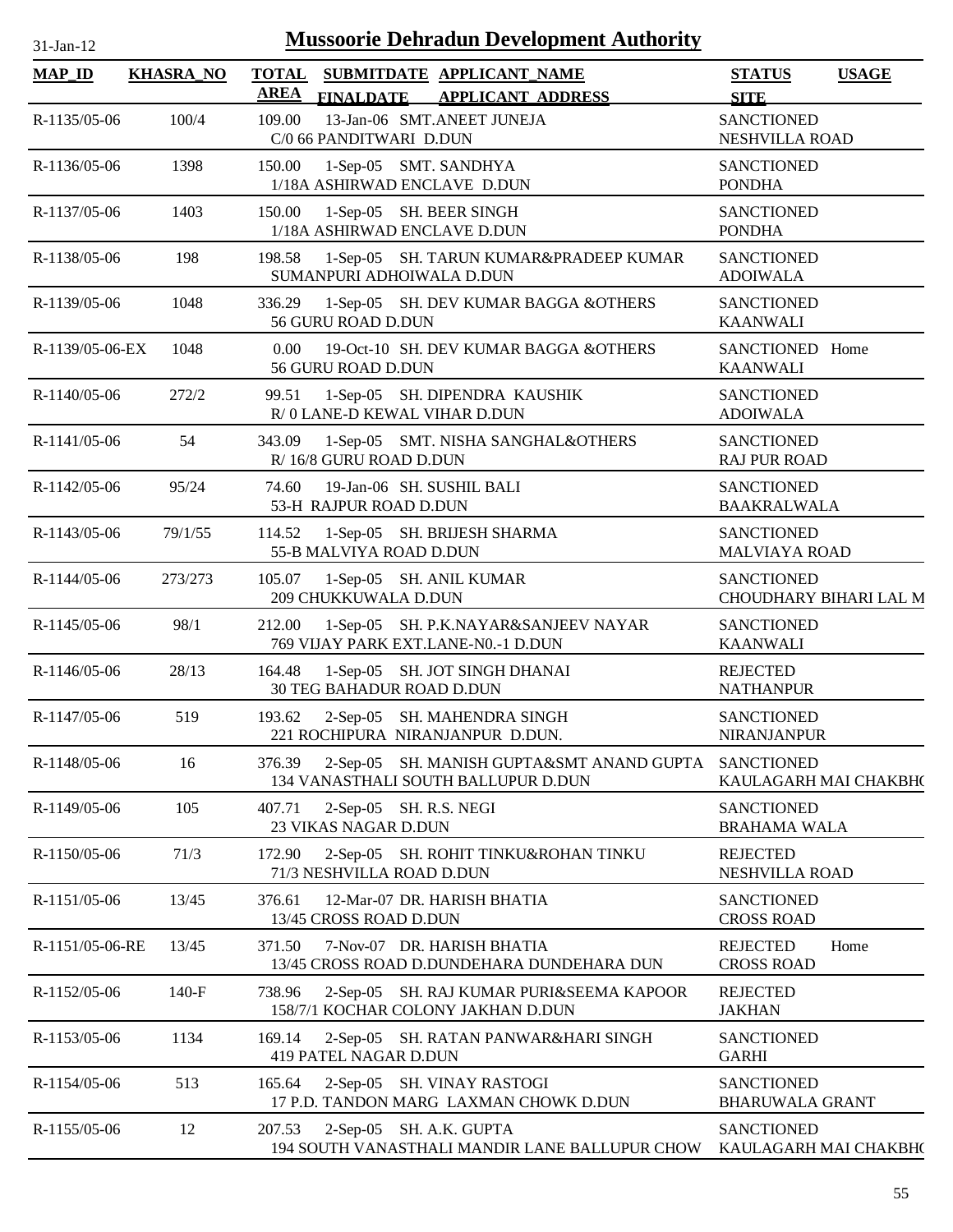| $31$ -Jan-12 |  |
|--------------|--|
|              |  |

| <b>MAP_ID</b>   | <b>KHASRA_NO</b> | <b>TOTAL</b>          |                                                         | SUBMITDATE APPLICANT NAME                                                                   | <b>STATUS</b>                                      | <b>USAGE</b> |
|-----------------|------------------|-----------------------|---------------------------------------------------------|---------------------------------------------------------------------------------------------|----------------------------------------------------|--------------|
| R-1135/05-06    | 100/4            | <b>AREA</b><br>109.00 | <b>FINALDATE</b><br>C/0 66 PANDITWARI D.DUN             | <b>APPLICANT ADDRESS</b><br>13-Jan-06 SMT.ANEET JUNEJA                                      | <b>SITE</b><br><b>SANCTIONED</b><br>NESHVILLA ROAD |              |
| R-1136/05-06    | 1398             | 150.00                | 1-Sep-05 SMT. SANDHYA<br>1/18A ASHIRWAD ENCLAVE D.DUN   |                                                                                             | <b>SANCTIONED</b><br><b>PONDHA</b>                 |              |
| R-1137/05-06    | 1403             | 150.00                | 1-Sep-05 SH. BEER SINGH<br>1/18A ASHIRWAD ENCLAVE D.DUN |                                                                                             | <b>SANCTIONED</b><br><b>PONDHA</b>                 |              |
| R-1138/05-06    | 198              | 198.58                | SUMANPURI ADHOIWALA D.DUN                               | 1-Sep-05 SH. TARUN KUMAR&PRADEEP KUMAR                                                      | <b>SANCTIONED</b><br><b>ADOIWALA</b>               |              |
| R-1139/05-06    | 1048             | 336.29                | 56 GURU ROAD D.DUN                                      | 1-Sep-05 SH. DEV KUMAR BAGGA &OTHERS                                                        | <b>SANCTIONED</b><br><b>KAANWALI</b>               |              |
| R-1139/05-06-EX | 1048             | 0.00                  | 56 GURU ROAD D.DUN                                      | 19-Oct-10 SH. DEV KUMAR BAGGA &OTHERS                                                       | SANCTIONED Home<br><b>KAANWALI</b>                 |              |
| R-1140/05-06    | 272/2            | 99.51                 | R/0 LANE-D KEWAL VIHAR D.DUN                            | 1-Sep-05 SH. DIPENDRA KAUSHIK                                                               | <b>SANCTIONED</b><br><b>ADOIWALA</b>               |              |
| R-1141/05-06    | 54               | 343.09                | R/ 16/8 GURU ROAD D.DUN                                 | 1-Sep-05 SMT. NISHA SANGHAL&OTHERS                                                          | <b>SANCTIONED</b><br><b>RAJ PUR ROAD</b>           |              |
| R-1142/05-06    | 95/24            | 74.60                 | 19-Jan-06 SH. SUSHIL BALI<br>53-H RAJPUR ROAD D.DUN     |                                                                                             | <b>SANCTIONED</b><br><b>BAAKRALWALA</b>            |              |
| R-1143/05-06    | 79/1/55          | 114.52                | 55-B MALVIYA ROAD D.DUN                                 | 1-Sep-05 SH. BRIJESH SHARMA                                                                 | <b>SANCTIONED</b><br><b>MALVIAYA ROAD</b>          |              |
| R-1144/05-06    | 273/273          | 105.07                | 1-Sep-05 SH. ANIL KUMAR<br>209 CHUKKUWALA D.DUN         |                                                                                             | <b>SANCTIONED</b><br>CHOUDHARY BIHARI LAL M        |              |
| R-1145/05-06    | 98/1             | 212.00                |                                                         | 1-Sep-05 SH. P.K.NAYAR&SANJEEV NAYAR<br>769 VIJAY PARK EXT.LANE-N0.-1 D.DUN                 | <b>SANCTIONED</b><br><b>KAANWALI</b>               |              |
| R-1146/05-06    | 28/13            | 164.48                | <b>30 TEG BAHADUR ROAD D.DUN</b>                        | 1-Sep-05 SH. JOT SINGH DHANAI                                                               | <b>REJECTED</b><br><b>NATHANPUR</b>                |              |
| R-1147/05-06    | 519              | 193.62                |                                                         | 2-Sep-05 SH. MAHENDRA SINGH<br>221 ROCHIPURA NIRANJANPUR D.DUN.                             | <b>SANCTIONED</b><br><b>NIRANJANPUR</b>            |              |
| R-1148/05-06    | 16               | 376.39                |                                                         | 2-Sep-05 SH. MANISH GUPTA&SMT ANAND GUPTA SANCTIONED<br>134 VANASTHALI SOUTH BALLUPUR D.DUN | KAULAGARH MAI CHAKBH(                              |              |
| R-1149/05-06    | 105              | 407.71                | 2-Sep-05 SH. R.S. NEGI<br>23 VIKAS NAGAR D.DUN          |                                                                                             | <b>SANCTIONED</b><br><b>BRAHAMA WALA</b>           |              |
| R-1150/05-06    | 71/3             | 172.90                | 71/3 NESHVILLA ROAD D.DUN                               | 2-Sep-05 SH. ROHIT TINKU&ROHAN TINKU                                                        | <b>REJECTED</b><br>NESHVILLA ROAD                  |              |
| R-1151/05-06    | 13/45            | 376.61                | 13/45 CROSS ROAD D.DUN                                  | 12-Mar-07 DR. HARISH BHATIA                                                                 | <b>SANCTIONED</b><br><b>CROSS ROAD</b>             |              |
| R-1151/05-06-RE | 13/45            | 371.50                |                                                         | 7-Nov-07 DR. HARISH BHATIA<br>13/45 CROSS ROAD D.DUNDEHARA DUNDEHARA DUN                    | <b>REJECTED</b><br><b>CROSS ROAD</b>               | Home         |
| R-1152/05-06    | $140-F$          | 738.96                |                                                         | 2-Sep-05 SH. RAJ KUMAR PURI&SEEMA KAPOOR<br>158/7/1 KOCHAR COLONY JAKHAN D.DUN              | <b>REJECTED</b><br><b>JAKHAN</b>                   |              |
| R-1153/05-06    | 1134             | 169.14                | 419 PATEL NAGAR D.DUN                                   | 2-Sep-05 SH. RATAN PANWAR&HARI SINGH                                                        | <b>SANCTIONED</b><br><b>GARHI</b>                  |              |
| R-1154/05-06    | 513              | 165.64                |                                                         | 2-Sep-05 SH. VINAY RASTOGI<br>17 P.D. TANDON MARG LAXMAN CHOWK D.DUN                        | <b>SANCTIONED</b><br><b>BHARUWALA GRANT</b>        |              |
| R-1155/05-06    | 12               | 207.53                | 2-Sep-05 SH. A.K. GUPTA                                 | 194 SOUTH VANASTHALI MANDIR LANE BALLUPUR CHOW                                              | <b>SANCTIONED</b><br>KAULAGARH MAI CHAKBH(         |              |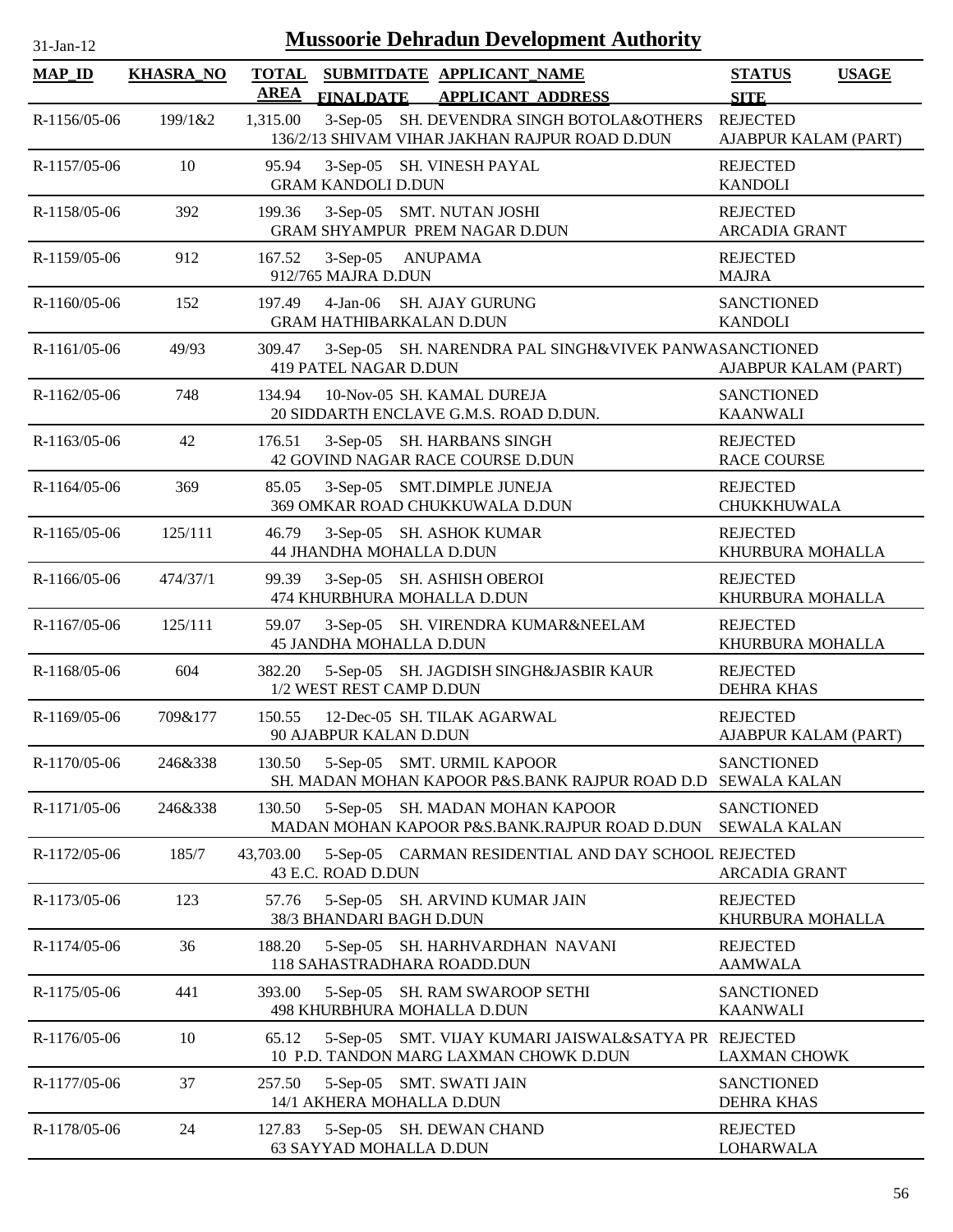| 31-Jan-12      | <b>Mussoorie Dehradun Development Authority</b> |                             |                           |                                                                                                |                                              |  |  |  |
|----------------|-------------------------------------------------|-----------------------------|---------------------------|------------------------------------------------------------------------------------------------|----------------------------------------------|--|--|--|
| <b>MAP_ID</b>  | <b>KHASRA_NO</b>                                | <b>TOTAL</b><br><b>AREA</b> | <b>FINALDATE</b>          | SUBMITDATE APPLICANT NAME<br><b>APPLICANT ADDRESS</b>                                          | <b>USAGE</b><br><b>STATUS</b><br><b>SITE</b> |  |  |  |
| R-1156/05-06   | 199/1&2                                         | 1,315.00                    |                           | 3-Sep-05 SH. DEVENDRA SINGH BOTOLA&OTHERS<br>136/2/13 SHIVAM VIHAR JAKHAN RAJPUR ROAD D.DUN    | <b>REJECTED</b><br>AJABPUR KALAM (PART)      |  |  |  |
| R-1157/05-06   | 10                                              | 95.94                       | <b>GRAM KANDOLI D.DUN</b> | 3-Sep-05 SH. VINESH PAYAL                                                                      | <b>REJECTED</b><br><b>KANDOLI</b>            |  |  |  |
| R-1158/05-06   | 392                                             | 199.36                      |                           | 3-Sep-05 SMT. NUTAN JOSHI<br>GRAM SHYAMPUR PREM NAGAR D.DUN                                    | <b>REJECTED</b><br><b>ARCADIA GRANT</b>      |  |  |  |
| R-1159/05-06   | 912                                             | 167.52                      | 912/765 MAJRA D.DUN       | 3-Sep-05 ANUPAMA                                                                               | <b>REJECTED</b><br><b>MAJRA</b>              |  |  |  |
| R-1160/05-06   | 152                                             | 197.49                      |                           | 4-Jan-06 SH. AJAY GURUNG<br><b>GRAM HATHIBARKALAN D.DUN</b>                                    | <b>SANCTIONED</b><br><b>KANDOLI</b>          |  |  |  |
| R-1161/05-06   | 49/93                                           | 309.47                      | 419 PATEL NAGAR D.DUN     | 3-Sep-05 SH. NARENDRA PAL SINGH&VIVEK PANWASANCTIONED                                          | AJABPUR KALAM (PART)                         |  |  |  |
| R-1162/05-06   | 748                                             | 134.94                      |                           | 10-Nov-05 SH. KAMAL DUREJA<br>20 SIDDARTH ENCLAVE G.M.S. ROAD D.DUN.                           | <b>SANCTIONED</b><br><b>KAANWALI</b>         |  |  |  |
| R-1163/05-06   | 42                                              | 176.51                      |                           | 3-Sep-05 SH. HARBANS SINGH<br>42 GOVIND NAGAR RACE COURSE D.DUN                                | <b>REJECTED</b><br><b>RACE COURSE</b>        |  |  |  |
| $R-1164/05-06$ | 369                                             | 85.05                       |                           | 3-Sep-05 SMT.DIMPLE JUNEJA<br>369 OMKAR ROAD CHUKKUWALA D.DUN                                  | <b>REJECTED</b><br>CHUKKHUWALA               |  |  |  |
| R-1165/05-06   | 125/111                                         | 46.79                       |                           | 3-Sep-05 SH. ASHOK KUMAR<br>44 JHANDHA MOHALLA D.DUN                                           | <b>REJECTED</b><br>KHURBURA MOHALLA          |  |  |  |
| R-1166/05-06   | 474/37/1                                        | 99.39                       |                           | 3-Sep-05 SH. ASHISH OBEROI<br>474 KHURBHURA MOHALLA D.DUN                                      | <b>REJECTED</b><br>KHURBURA MOHALLA          |  |  |  |
| R-1167/05-06   | 125/111                                         | 59.07                       |                           | 3-Sep-05 SH. VIRENDRA KUMAR&NEELAM<br>45 JANDHA MOHALLA D.DUN                                  | <b>REJECTED</b><br>KHURBURA MOHALLA          |  |  |  |
| R-1168/05-06   | 604                                             | 382.20                      |                           | 5-Sep-05 SH. JAGDISH SINGH&JASBIR KAUR<br>1/2 WEST REST CAMP D.DUN                             | <b>REJECTED</b><br><b>DEHRA KHAS</b>         |  |  |  |
| $R-1169/05-06$ | 709&177                                         | 150.55                      | 90 AJABPUR KALAN D.DUN    | 12-Dec-05 SH. TILAK AGARWAL                                                                    | <b>REJECTED</b><br>AJABPUR KALAM (PART)      |  |  |  |
| R-1170/05-06   | 246&338                                         | 130.50                      |                           | 5-Sep-05 SMT. URMIL KAPOOR<br>SH. MADAN MOHAN KAPOOR P&S.BANK RAJPUR ROAD D.D SEWALA KALAN     | <b>SANCTIONED</b>                            |  |  |  |
| R-1171/05-06   | 246&338                                         | 130.50                      |                           | 5-Sep-05 SH. MADAN MOHAN KAPOOR<br>MADAN MOHAN KAPOOR P&S.BANK.RAJPUR ROAD D.DUN               | <b>SANCTIONED</b><br><b>SEWALA KALAN</b>     |  |  |  |
| R-1172/05-06   | 185/7                                           | 43,703.00                   | 43 E.C. ROAD D.DUN        | 5-Sep-05 CARMAN RESIDENTIAL AND DAY SCHOOL REJECTED                                            | <b>ARCADIA GRANT</b>                         |  |  |  |
| R-1173/05-06   | 123                                             | 57.76                       |                           | 5-Sep-05 SH. ARVIND KUMAR JAIN<br>38/3 BHANDARI BAGH D.DUN                                     | <b>REJECTED</b><br>KHURBURA MOHALLA          |  |  |  |
| R-1174/05-06   | 36                                              | 188.20                      |                           | 5-Sep-05 SH. HARHVARDHAN NAVANI<br>118 SAHASTRADHARA ROADD.DUN                                 | <b>REJECTED</b><br><b>AAMWALA</b>            |  |  |  |
| R-1175/05-06   | 441                                             | 393.00                      |                           | 5-Sep-05 SH. RAM SWAROOP SETHI<br>498 KHURBHURA MOHALLA D.DUN                                  | <b>SANCTIONED</b><br><b>KAANWALI</b>         |  |  |  |
| R-1176/05-06   | 10                                              | 65.12                       |                           | 5-Sep-05 SMT. VIJAY KUMARI JAISWAL&SATYA PR REJECTED<br>10 P.D. TANDON MARG LAXMAN CHOWK D.DUN | <b>LAXMAN CHOWK</b>                          |  |  |  |
| R-1177/05-06   | 37                                              | 257.50                      |                           | 5-Sep-05 SMT. SWATI JAIN<br>14/1 AKHERA MOHALLA D.DUN                                          | <b>SANCTIONED</b><br><b>DEHRA KHAS</b>       |  |  |  |
| R-1178/05-06   | 24                                              | 127.83                      |                           | 5-Sep-05 SH. DEWAN CHAND<br>63 SAYYAD MOHALLA D.DUN                                            | <b>REJECTED</b><br><b>LOHARWALA</b>          |  |  |  |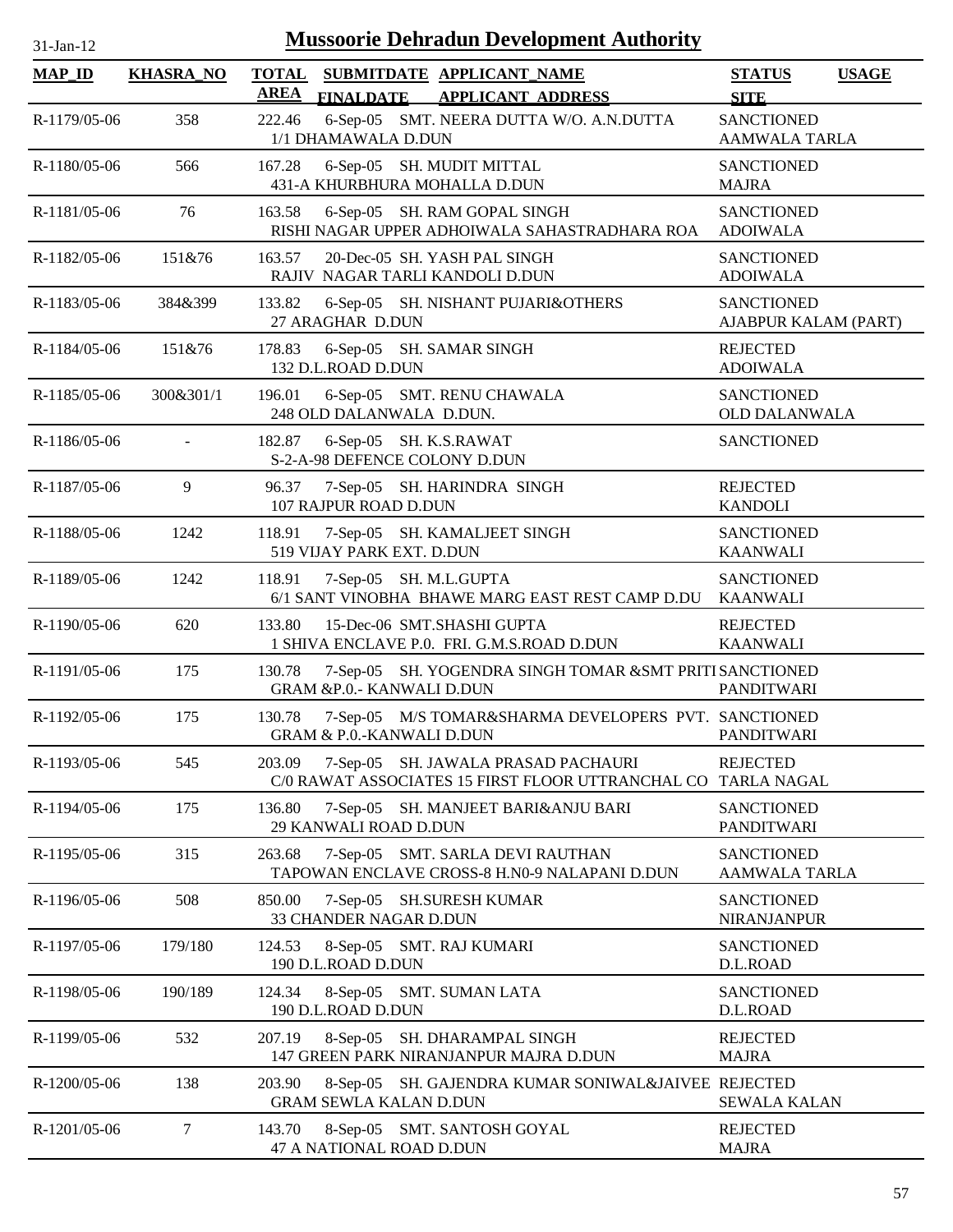| $31-Jan-12$   |                  | <b>Mussoorie Dehradun Development Authority</b>                                                    |                                           |              |
|---------------|------------------|----------------------------------------------------------------------------------------------------|-------------------------------------------|--------------|
| <b>MAP_ID</b> | <b>KHASRA_NO</b> | <b>TOTAL</b><br>SUBMITDATE APPLICANT_NAME<br><b>AREA</b><br>FINALDATE APPLICANT ADDRESS            | <b>STATUS</b><br><b>SITE</b>              | <b>USAGE</b> |
| R-1179/05-06  | 358              | 6-Sep-05 SMT. NEERA DUTTA W/O. A.N.DUTTA<br>222.46<br>1/1 DHAMAWALA D.DUN                          | <b>SANCTIONED</b><br>AAMWALA TARLA        |              |
| R-1180/05-06  | 566              | 167.28<br>6-Sep-05 SH. MUDIT MITTAL<br>431-A KHURBHURA MOHALLA D.DUN                               | <b>SANCTIONED</b><br><b>MAJRA</b>         |              |
| R-1181/05-06  | 76               | 163.58<br>6-Sep-05 SH. RAM GOPAL SINGH<br>RISHI NAGAR UPPER ADHOIWALA SAHASTRADHARA ROA            | <b>SANCTIONED</b><br><b>ADOIWALA</b>      |              |
| R-1182/05-06  | 151&76           | 163.57<br>20-Dec-05 SH. YASH PAL SINGH<br>RAJIV NAGAR TARLI KANDOLI D.DUN                          | <b>SANCTIONED</b><br><b>ADOIWALA</b>      |              |
| R-1183/05-06  | 384&399          | 133.82<br>6-Sep-05 SH. NISHANT PUJARI&OTHERS<br>27 ARAGHAR D.DUN                                   | <b>SANCTIONED</b><br>AJABPUR KALAM (PART) |              |
| R-1184/05-06  | 151&76           | 178.83<br>6-Sep-05 SH. SAMAR SINGH<br>132 D.L.ROAD D.DUN                                           | <b>REJECTED</b><br><b>ADOIWALA</b>        |              |
| R-1185/05-06  | 300&301/1        | 196.01<br>6-Sep-05 SMT. RENU CHAWALA<br>248 OLD DALANWALA D.DUN.                                   | <b>SANCTIONED</b><br><b>OLD DALANWALA</b> |              |
| R-1186/05-06  | $\blacksquare$   | 6-Sep-05 SH. K.S.RAWAT<br>182.87<br>S-2-A-98 DEFENCE COLONY D.DUN                                  | <b>SANCTIONED</b>                         |              |
| R-1187/05-06  | 9                | 96.37<br>7-Sep-05 SH. HARINDRA SINGH<br>107 RAJPUR ROAD D.DUN                                      | <b>REJECTED</b><br><b>KANDOLI</b>         |              |
| R-1188/05-06  | 1242             | 7-Sep-05 SH. KAMALJEET SINGH<br>118.91<br>519 VIJAY PARK EXT. D.DUN                                | <b>SANCTIONED</b><br><b>KAANWALI</b>      |              |
| R-1189/05-06  | 1242             | 118.91<br>7-Sep-05 SH. M.L.GUPTA<br>6/1 SANT VINOBHA BHAWE MARG EAST REST CAMP D.DU                | <b>SANCTIONED</b><br><b>KAANWALI</b>      |              |
| R-1190/05-06  | 620              | 15-Dec-06 SMT.SHASHI GUPTA<br>133.80<br>1 SHIVA ENCLAVE P.0. FRI. G.M.S.ROAD D.DUN                 | <b>REJECTED</b><br><b>KAANWALI</b>        |              |
| R-1191/05-06  | 175              | 7-Sep-05 SH. YOGENDRA SINGH TOMAR &SMT PRITISANCTIONED<br>130.78<br>GRAM &P.0.- KANWALI D.DUN      | <b>PANDITWARI</b>                         |              |
| R-1192/05-06  | 175              | 130.78<br>7-Sep-05 M/S TOMAR&SHARMA DEVELOPERS PVT. SANCTIONED<br>GRAM & P.O.-KANWALI D.DUN        | <b>PANDITWARI</b>                         |              |
| R-1193/05-06  | 545              | 7-Sep-05 SH. JAWALA PRASAD PACHAURI<br>203.09<br>C/0 RAWAT ASSOCIATES 15 FIRST FLOOR UTTRANCHAL CO | <b>REJECTED</b><br><b>TARLA NAGAL</b>     |              |
| R-1194/05-06  | 175              | 136.80<br>7-Sep-05 SH. MANJEET BARI&ANJU BARI<br>29 KANWALI ROAD D.DUN                             | <b>SANCTIONED</b><br><b>PANDITWARI</b>    |              |
| R-1195/05-06  | 315              | 7-Sep-05 SMT. SARLA DEVI RAUTHAN<br>263.68<br>TAPOWAN ENCLAVE CROSS-8 H.N0-9 NALAPANI D.DUN        | <b>SANCTIONED</b><br><b>AAMWALA TARLA</b> |              |
| R-1196/05-06  | 508              | 850.00<br>$7-Sep-05$<br><b>SH.SURESH KUMAR</b><br>33 CHANDER NAGAR D.DUN                           | <b>SANCTIONED</b><br>NIRANJANPUR          |              |
| R-1197/05-06  | 179/180          | 124.53<br>8-Sep-05 SMT. RAJ KUMARI<br>190 D.L.ROAD D.DUN                                           | <b>SANCTIONED</b><br>D.L.ROAD             |              |
| R-1198/05-06  | 190/189          | 124.34<br>8-Sep-05 SMT. SUMAN LATA<br>190 D.L.ROAD D.DUN                                           | <b>SANCTIONED</b><br>D.L.ROAD             |              |
| R-1199/05-06  | 532              | 207.19<br>8-Sep-05 SH. DHARAMPAL SINGH<br>147 GREEN PARK NIRANJANPUR MAJRA D.DUN                   | <b>REJECTED</b><br><b>MAJRA</b>           |              |
| R-1200/05-06  | 138              | 203.90<br>8-Sep-05 SH. GAJENDRA KUMAR SONIWAL&JAIVEE REJECTED<br><b>GRAM SEWLA KALAN D.DUN</b>     | <b>SEWALA KALAN</b>                       |              |
| R-1201/05-06  | $\tau$           | 143.70<br>8-Sep-05 SMT. SANTOSH GOYAL<br>47 A NATIONAL ROAD D.DUN                                  | <b>REJECTED</b><br><b>MAJRA</b>           |              |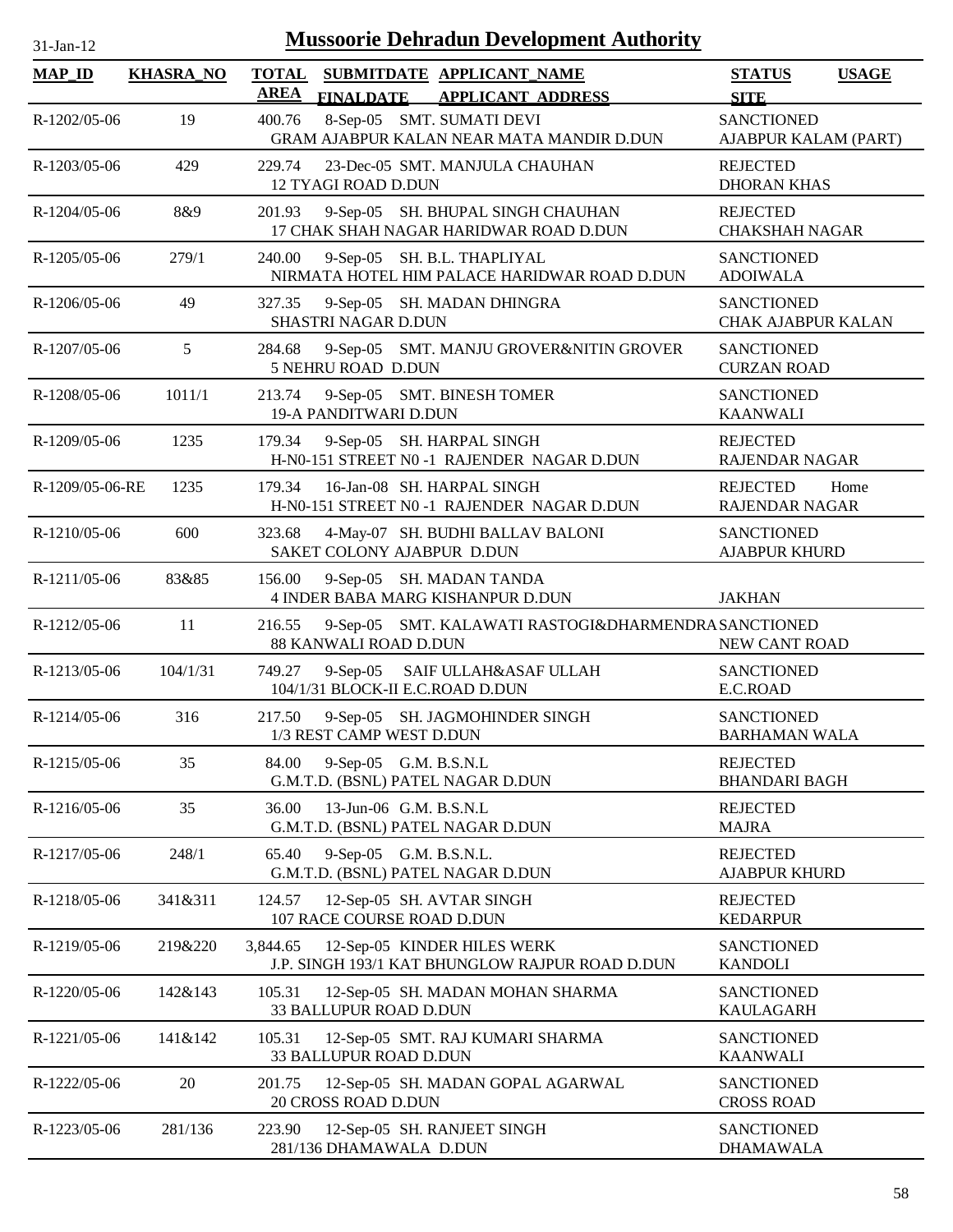| <b>Mussoorie Dehradun Development Authority</b><br>$31$ -Jan-12 |                  |                                                                                                          |                                                |  |  |  |  |
|-----------------------------------------------------------------|------------------|----------------------------------------------------------------------------------------------------------|------------------------------------------------|--|--|--|--|
| <b>MAP_ID</b>                                                   | <b>KHASRA_NO</b> | <b>TOTAL</b><br>SUBMITDATE APPLICANT_NAME<br><b>AREA</b><br><b>FINALDATE</b><br><b>APPLICANT ADDRESS</b> | <b>STATUS</b><br><b>USAGE</b><br><b>SITE</b>   |  |  |  |  |
| R-1202/05-06                                                    | 19               | 8-Sep-05 SMT. SUMATI DEVI<br>400.76<br>GRAM AJABPUR KALAN NEAR MATA MANDIR D.DUN                         | <b>SANCTIONED</b><br>AJABPUR KALAM (PART)      |  |  |  |  |
| R-1203/05-06                                                    | 429              | 229.74<br>23-Dec-05 SMT. MANJULA CHAUHAN<br>12 TYAGI ROAD D.DUN                                          | <b>REJECTED</b><br><b>DHORAN KHAS</b>          |  |  |  |  |
| R-1204/05-06                                                    | 8&9              | 9-Sep-05 SH. BHUPAL SINGH CHAUHAN<br>201.93<br>17 CHAK SHAH NAGAR HARIDWAR ROAD D.DUN                    | <b>REJECTED</b><br><b>CHAKSHAH NAGAR</b>       |  |  |  |  |
| R-1205/05-06                                                    | 279/1            | 9-Sep-05 SH. B.L. THAPLIYAL<br>240.00<br>NIRMATA HOTEL HIM PALACE HARIDWAR ROAD D.DUN                    | <b>SANCTIONED</b><br><b>ADOIWALA</b>           |  |  |  |  |
| R-1206/05-06                                                    | 49               | 9-Sep-05 SH. MADAN DHINGRA<br>327.35<br>SHASTRI NAGAR D.DUN                                              | <b>SANCTIONED</b><br><b>CHAK AJABPUR KALAN</b> |  |  |  |  |
| R-1207/05-06                                                    | 5                | 9-Sep-05 SMT. MANJU GROVER&NITIN GROVER<br>284.68<br>5 NEHRU ROAD D.DUN                                  | <b>SANCTIONED</b><br><b>CURZAN ROAD</b>        |  |  |  |  |
| R-1208/05-06                                                    | 1011/1           | 9-Sep-05 SMT. BINESH TOMER<br>213.74<br>19-A PANDITWARI D.DUN                                            | <b>SANCTIONED</b><br><b>KAANWALI</b>           |  |  |  |  |
| R-1209/05-06                                                    | 1235             | 9-Sep-05 SH. HARPAL SINGH<br>179.34<br>H-N0-151 STREET N0-1 RAJENDER NAGAR D.DUN                         | <b>REJECTED</b><br><b>RAJENDAR NAGAR</b>       |  |  |  |  |
| R-1209/05-06-RE                                                 | 1235             | 179.34<br>16-Jan-08 SH. HARPAL SINGH<br>H-N0-151 STREET N0-1 RAJENDER NAGAR D.DUN                        | <b>REJECTED</b><br>Home<br>RAJENDAR NAGAR      |  |  |  |  |
| R-1210/05-06                                                    | 600              | 323.68<br>4-May-07 SH. BUDHI BALLAV BALONI<br>SAKET COLONY AJABPUR D.DUN                                 | <b>SANCTIONED</b><br><b>AJABPUR KHURD</b>      |  |  |  |  |
| R-1211/05-06                                                    | 83&85            | 156.00<br>9-Sep-05 SH. MADAN TANDA<br>4 INDER BABA MARG KISHANPUR D.DUN                                  | <b>JAKHAN</b>                                  |  |  |  |  |
| R-1212/05-06                                                    | 11               | 9-Sep-05 SMT. KALAWATI RASTOGI&DHARMENDRASANCTIONED<br>216.55<br>88 KANWALI ROAD D.DUN                   | NEW CANT ROAD                                  |  |  |  |  |
| R-1213/05-06                                                    | 104/1/31         | SAIF ULLAH&ASAF ULLAH<br>749.27<br>$9-Sep-05$<br>104/1/31 BLOCK-II E.C.ROAD D.DUN                        | <b>SANCTIONED</b><br>E.C.ROAD                  |  |  |  |  |
| R-1214/05-06                                                    | 316              | 217.50<br>9-Sep-05 SH. JAGMOHINDER SINGH<br>1/3 REST CAMP WEST D.DUN                                     | <b>SANCTIONED</b><br><b>BARHAMAN WALA</b>      |  |  |  |  |
| R-1215/05-06                                                    | 35               | 9-Sep-05 G.M. B.S.N.L<br>84.00<br>G.M.T.D. (BSNL) PATEL NAGAR D.DUN                                      | <b>REJECTED</b><br><b>BHANDARI BAGH</b>        |  |  |  |  |
| R-1216/05-06                                                    | 35               | 13-Jun-06 G.M. B.S.N.L<br>36.00<br>G.M.T.D. (BSNL) PATEL NAGAR D.DUN                                     | <b>REJECTED</b><br><b>MAJRA</b>                |  |  |  |  |
| R-1217/05-06                                                    | 248/1            | 65.40<br>9-Sep-05 G.M. B.S.N.L.<br>G.M.T.D. (BSNL) PATEL NAGAR D.DUN                                     | <b>REJECTED</b><br><b>AJABPUR KHURD</b>        |  |  |  |  |
| R-1218/05-06                                                    | 341&311          | 12-Sep-05 SH. AVTAR SINGH<br>124.57<br>107 RACE COURSE ROAD D.DUN                                        | <b>REJECTED</b><br><b>KEDARPUR</b>             |  |  |  |  |
| R-1219/05-06                                                    | 219&220          | 3,844.65<br>12-Sep-05 KINDER HILES WERK<br>J.P. SINGH 193/1 KAT BHUNGLOW RAJPUR ROAD D.DUN               | <b>SANCTIONED</b><br><b>KANDOLI</b>            |  |  |  |  |
| R-1220/05-06                                                    | 142&143          | 105.31<br>12-Sep-05 SH. MADAN MOHAN SHARMA<br>33 BALLUPUR ROAD D.DUN                                     | <b>SANCTIONED</b><br><b>KAULAGARH</b>          |  |  |  |  |
| R-1221/05-06                                                    | 141&142          | 105.31<br>12-Sep-05 SMT. RAJ KUMARI SHARMA<br>33 BALLUPUR ROAD D.DUN                                     | <b>SANCTIONED</b><br><b>KAANWALI</b>           |  |  |  |  |
| R-1222/05-06                                                    | 20               | 201.75<br>12-Sep-05 SH. MADAN GOPAL AGARWAL<br>20 CROSS ROAD D.DUN                                       | <b>SANCTIONED</b><br><b>CROSS ROAD</b>         |  |  |  |  |
| R-1223/05-06                                                    | 281/136          | 223.90<br>12-Sep-05 SH. RANJEET SINGH<br>281/136 DHAMAWALA D.DUN                                         | <b>SANCTIONED</b><br><b>DHAMAWALA</b>          |  |  |  |  |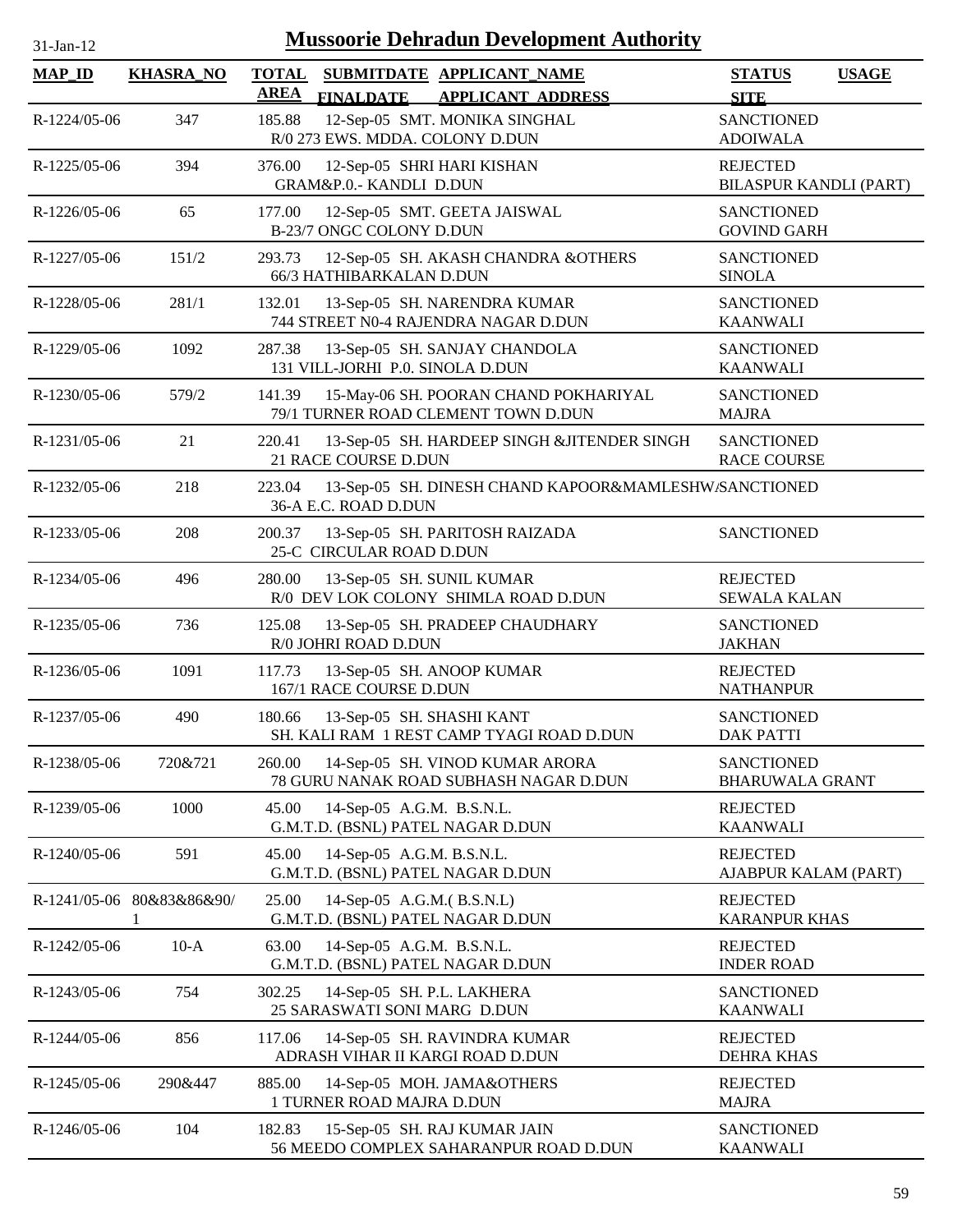| <b>Mussoorie Dehradun Development Authority</b><br>31-Jan-12 |                                |                                                                                                |                                             |              |  |  |  |
|--------------------------------------------------------------|--------------------------------|------------------------------------------------------------------------------------------------|---------------------------------------------|--------------|--|--|--|
| $MAP$ ID                                                     | <b>KHASRA_NO</b>               | <b>TOTAL</b><br>SUBMITDATE APPLICANT_NAME<br><b>AREA</b><br><b>FINALDATE APPLICANT ADDRESS</b> | <b>STATUS</b><br><b>SITE</b>                | <b>USAGE</b> |  |  |  |
| R-1224/05-06                                                 | 347                            | 12-Sep-05 SMT. MONIKA SINGHAL<br>185.88<br>R/0 273 EWS. MDDA. COLONY D.DUN                     | <b>SANCTIONED</b><br><b>ADOIWALA</b>        |              |  |  |  |
| R-1225/05-06                                                 | 394                            | 376.00<br>12-Sep-05 SHRI HARI KISHAN<br>GRAM&P.0.- KANDLI D.DUN                                | <b>REJECTED</b><br>BILASPUR KANDLI (PART)   |              |  |  |  |
| R-1226/05-06                                                 | 65                             | 12-Sep-05 SMT. GEETA JAISWAL<br>177.00<br>B-23/7 ONGC COLONY D.DUN                             | <b>SANCTIONED</b><br><b>GOVIND GARH</b>     |              |  |  |  |
| R-1227/05-06                                                 | 151/2                          | 293.73<br>12-Sep-05 SH. AKASH CHANDRA &OTHERS<br>66/3 HATHIBARKALAN D.DUN                      | <b>SANCTIONED</b><br><b>SINOLA</b>          |              |  |  |  |
| R-1228/05-06                                                 | 281/1                          | 13-Sep-05 SH. NARENDRA KUMAR<br>132.01<br>744 STREET N0-4 RAJENDRA NAGAR D.DUN                 | <b>SANCTIONED</b><br><b>KAANWALI</b>        |              |  |  |  |
| R-1229/05-06                                                 | 1092                           | 287.38<br>13-Sep-05 SH. SANJAY CHANDOLA<br>131 VILL-JORHI P.0. SINOLA D.DUN                    | <b>SANCTIONED</b><br><b>KAANWALI</b>        |              |  |  |  |
| R-1230/05-06                                                 | 579/2                          | 15-May-06 SH. POORAN CHAND POKHARIYAL<br>141.39<br>79/1 TURNER ROAD CLEMENT TOWN D.DUN         | <b>SANCTIONED</b><br><b>MAJRA</b>           |              |  |  |  |
| R-1231/05-06                                                 | 21                             | 220.41<br>13-Sep-05 SH. HARDEEP SINGH &JITENDER SINGH<br>21 RACE COURSE D.DUN                  | <b>SANCTIONED</b><br><b>RACE COURSE</b>     |              |  |  |  |
| R-1232/05-06                                                 | 218                            | 223.04<br>13-Sep-05 SH. DINESH CHAND KAPOOR&MAMLESHW/SANCTIONED<br>36-A E.C. ROAD D.DUN        |                                             |              |  |  |  |
| R-1233/05-06                                                 | 208                            | 200.37<br>13-Sep-05 SH. PARITOSH RAIZADA<br>25-C CIRCULAR ROAD D.DUN                           | <b>SANCTIONED</b>                           |              |  |  |  |
| R-1234/05-06                                                 | 496                            | 13-Sep-05 SH. SUNIL KUMAR<br>280.00<br>R/0 DEV LOK COLONY SHIMLA ROAD D.DUN                    | <b>REJECTED</b><br><b>SEWALA KALAN</b>      |              |  |  |  |
| R-1235/05-06                                                 | 736                            | 125.08<br>13-Sep-05 SH. PRADEEP CHAUDHARY<br>R/0 JOHRI ROAD D.DUN                              | <b>SANCTIONED</b><br><b>JAKHAN</b>          |              |  |  |  |
| R-1236/05-06                                                 | 1091                           | 117.73<br>13-Sep-05 SH. ANOOP KUMAR<br>167/1 RACE COURSE D.DUN                                 | <b>REJECTED</b><br><b>NATHANPUR</b>         |              |  |  |  |
| R-1237/05-06                                                 | 490                            | 180.66<br>13-Sep-05 SH. SHASHI KANT<br>SH. KALI RAM 1 REST CAMP TYAGI ROAD D.DUN               | <b>SANCTIONED</b><br><b>DAK PATTI</b>       |              |  |  |  |
| R-1238/05-06                                                 | 720&721                        | 260.00<br>14-Sep-05 SH. VINOD KUMAR ARORA<br>78 GURU NANAK ROAD SUBHASH NAGAR D.DUN            | <b>SANCTIONED</b><br><b>BHARUWALA GRANT</b> |              |  |  |  |
| R-1239/05-06                                                 | 1000                           | 45.00<br>14-Sep-05 A.G.M. B.S.N.L.<br>G.M.T.D. (BSNL) PATEL NAGAR D.DUN                        | <b>REJECTED</b><br><b>KAANWALI</b>          |              |  |  |  |
| R-1240/05-06                                                 | 591                            | 14-Sep-05 A.G.M. B.S.N.L.<br>45.00<br>G.M.T.D. (BSNL) PATEL NAGAR D.DUN                        | <b>REJECTED</b><br>AJABPUR KALAM (PART)     |              |  |  |  |
|                                                              | R-1241/05-06 80&83&86&90/<br>1 | 25.00<br>14-Sep-05 A.G.M. (B.S.N.L)<br>G.M.T.D. (BSNL) PATEL NAGAR D.DUN                       | <b>REJECTED</b><br><b>KARANPUR KHAS</b>     |              |  |  |  |
| R-1242/05-06                                                 | $10-A$                         | 14-Sep-05 A.G.M. B.S.N.L.<br>63.00<br>G.M.T.D. (BSNL) PATEL NAGAR D.DUN                        | <b>REJECTED</b><br><b>INDER ROAD</b>        |              |  |  |  |
| R-1243/05-06                                                 | 754                            | 14-Sep-05 SH. P.L. LAKHERA<br>302.25<br>25 SARASWATI SONI MARG D.DUN                           | <b>SANCTIONED</b><br><b>KAANWALI</b>        |              |  |  |  |
| R-1244/05-06                                                 | 856                            | 117.06<br>14-Sep-05 SH. RAVINDRA KUMAR<br>ADRASH VIHAR II KARGI ROAD D.DUN                     | <b>REJECTED</b><br><b>DEHRA KHAS</b>        |              |  |  |  |
| R-1245/05-06                                                 | 290&447                        | 885.00<br>14-Sep-05 MOH. JAMA&OTHERS<br>1 TURNER ROAD MAJRA D.DUN                              | <b>REJECTED</b><br><b>MAJRA</b>             |              |  |  |  |
| R-1246/05-06                                                 | 104                            | 182.83<br>15-Sep-05 SH. RAJ KUMAR JAIN<br>56 MEEDO COMPLEX SAHARANPUR ROAD D.DUN               | <b>SANCTIONED</b><br><b>KAANWALI</b>        |              |  |  |  |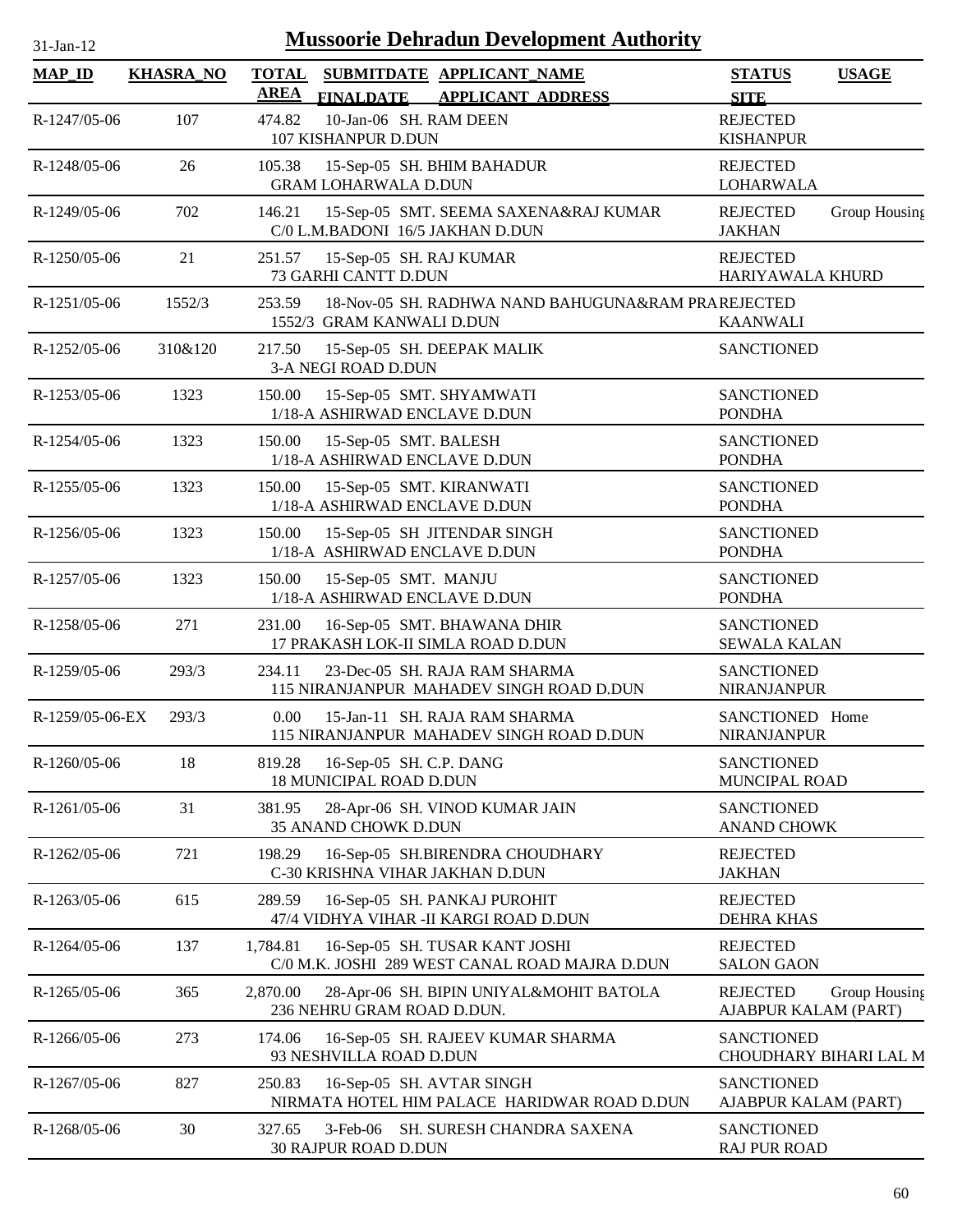| <b>Mussoorie Dehradun Development Authority</b><br>$31$ -Jan-12 |                  |                                                                                                          |                                                          |  |  |  |  |
|-----------------------------------------------------------------|------------------|----------------------------------------------------------------------------------------------------------|----------------------------------------------------------|--|--|--|--|
| <b>MAP_ID</b>                                                   | <b>KHASRA_NO</b> | <b>TOTAL</b><br>SUBMITDATE APPLICANT_NAME<br><b>AREA</b><br><b>FINALDATE</b><br><b>APPLICANT ADDRESS</b> | <b>STATUS</b><br><b>USAGE</b><br><b>SITE</b>             |  |  |  |  |
| R-1247/05-06                                                    | 107              | 10-Jan-06 SH. RAM DEEN<br>474.82<br>107 KISHANPUR D.DUN                                                  | <b>REJECTED</b><br><b>KISHANPUR</b>                      |  |  |  |  |
| R-1248/05-06                                                    | 26               | 105.38<br>15-Sep-05 SH. BHIM BAHADUR<br><b>GRAM LOHARWALA D.DUN</b>                                      | <b>REJECTED</b><br><b>LOHARWALA</b>                      |  |  |  |  |
| R-1249/05-06                                                    | 702              | 15-Sep-05 SMT. SEEMA SAXENA&RAJ KUMAR<br>146.21<br>C/0 L.M.BADONI 16/5 JAKHAN D.DUN                      | <b>REJECTED</b><br>Group Housing<br><b>JAKHAN</b>        |  |  |  |  |
| R-1250/05-06                                                    | 21               | 251.57<br>15-Sep-05 SH. RAJ KUMAR<br>73 GARHI CANTT D.DUN                                                | <b>REJECTED</b><br>HARIYAWALA KHURD                      |  |  |  |  |
| R-1251/05-06                                                    | 1552/3           | 18-Nov-05 SH. RADHWA NAND BAHUGUNA&RAM PRAREJECTED<br>253.59<br>1552/3 GRAM KANWALI D.DUN                | <b>KAANWALI</b>                                          |  |  |  |  |
| R-1252/05-06                                                    | 310&120          | 217.50<br>15-Sep-05 SH. DEEPAK MALIK<br>3-A NEGI ROAD D.DUN                                              | <b>SANCTIONED</b>                                        |  |  |  |  |
| R-1253/05-06                                                    | 1323             | 15-Sep-05 SMT. SHYAMWATI<br>150.00<br>1/18-A ASHIRWAD ENCLAVE D.DUN                                      | <b>SANCTIONED</b><br><b>PONDHA</b>                       |  |  |  |  |
| R-1254/05-06                                                    | 1323             | 15-Sep-05 SMT. BALESH<br>150.00<br>1/18-A ASHIRWAD ENCLAVE D.DUN                                         | <b>SANCTIONED</b><br><b>PONDHA</b>                       |  |  |  |  |
| R-1255/05-06                                                    | 1323             | 150.00<br>15-Sep-05 SMT. KIRANWATI<br>1/18-A ASHIRWAD ENCLAVE D.DUN                                      | <b>SANCTIONED</b><br><b>PONDHA</b>                       |  |  |  |  |
| R-1256/05-06                                                    | 1323             | 150.00<br>15-Sep-05 SH JITENDAR SINGH<br>1/18-A ASHIRWAD ENCLAVE D.DUN                                   | <b>SANCTIONED</b><br><b>PONDHA</b>                       |  |  |  |  |
| R-1257/05-06                                                    | 1323             | 150.00<br>15-Sep-05 SMT. MANJU<br>1/18-A ASHIRWAD ENCLAVE D.DUN                                          | <b>SANCTIONED</b><br><b>PONDHA</b>                       |  |  |  |  |
| R-1258/05-06                                                    | 271              | 231.00<br>16-Sep-05 SMT. BHAWANA DHIR<br>17 PRAKASH LOK-II SIMLA ROAD D.DUN                              | <b>SANCTIONED</b><br><b>SEWALA KALAN</b>                 |  |  |  |  |
| R-1259/05-06                                                    | 293/3            | 234.11<br>23-Dec-05 SH. RAJA RAM SHARMA<br>115 NIRANJANPUR MAHADEV SINGH ROAD D.DUN                      | <b>SANCTIONED</b><br><b>NIRANJANPUR</b>                  |  |  |  |  |
| $R-1259/05-06-EX$                                               | 293/3            | 0.00<br>15-Jan-11 SH. RAJA RAM SHARMA<br>115 NIRANJANPUR MAHADEV SINGH ROAD D.DUN                        | SANCTIONED Home<br><b>NIRANJANPUR</b>                    |  |  |  |  |
| R-1260/05-06                                                    | 18               | 16-Sep-05 SH. C.P. DANG<br>819.28<br><b>18 MUNICIPAL ROAD D.DUN</b>                                      | <b>SANCTIONED</b><br>MUNCIPAL ROAD                       |  |  |  |  |
| R-1261/05-06                                                    | 31               | 381.95<br>28-Apr-06 SH. VINOD KUMAR JAIN<br>35 ANAND CHOWK D.DUN                                         | <b>SANCTIONED</b><br><b>ANAND CHOWK</b>                  |  |  |  |  |
| R-1262/05-06                                                    | 721              | 16-Sep-05 SH.BIRENDRA CHOUDHARY<br>198.29<br>C-30 KRISHNA VIHAR JAKHAN D.DUN                             | <b>REJECTED</b><br><b>JAKHAN</b>                         |  |  |  |  |
| R-1263/05-06                                                    | 615              | 16-Sep-05 SH. PANKAJ PUROHIT<br>289.59<br>47/4 VIDHYA VIHAR - II KARGI ROAD D.DUN                        | <b>REJECTED</b><br><b>DEHRA KHAS</b>                     |  |  |  |  |
| R-1264/05-06                                                    | 137              | 1,784.81<br>16-Sep-05 SH. TUSAR KANT JOSHI<br>C/0 M.K. JOSHI 289 WEST CANAL ROAD MAJRA D.DUN             | <b>REJECTED</b><br><b>SALON GAON</b>                     |  |  |  |  |
| R-1265/05-06                                                    | 365              | 2,870.00<br>28-Apr-06 SH. BIPIN UNIYAL&MOHIT BATOLA<br>236 NEHRU GRAM ROAD D.DUN.                        | <b>REJECTED</b><br>Group Housing<br>AJABPUR KALAM (PART) |  |  |  |  |
| R-1266/05-06                                                    | 273              | 174.06<br>16-Sep-05 SH. RAJEEV KUMAR SHARMA<br>93 NESHVILLA ROAD D.DUN                                   | <b>SANCTIONED</b><br>CHOUDHARY BIHARI LAL M              |  |  |  |  |
| R-1267/05-06                                                    | 827              | 250.83<br>16-Sep-05 SH. AVTAR SINGH<br>NIRMATA HOTEL HIM PALACE HARIDWAR ROAD D.DUN                      | <b>SANCTIONED</b><br>AJABPUR KALAM (PART)                |  |  |  |  |
| R-1268/05-06                                                    | 30               | 327.65<br>3-Feb-06 SH. SURESH CHANDRA SAXENA<br>30 RAJPUR ROAD D.DUN                                     | <b>SANCTIONED</b><br><b>RAJ PUR ROAD</b>                 |  |  |  |  |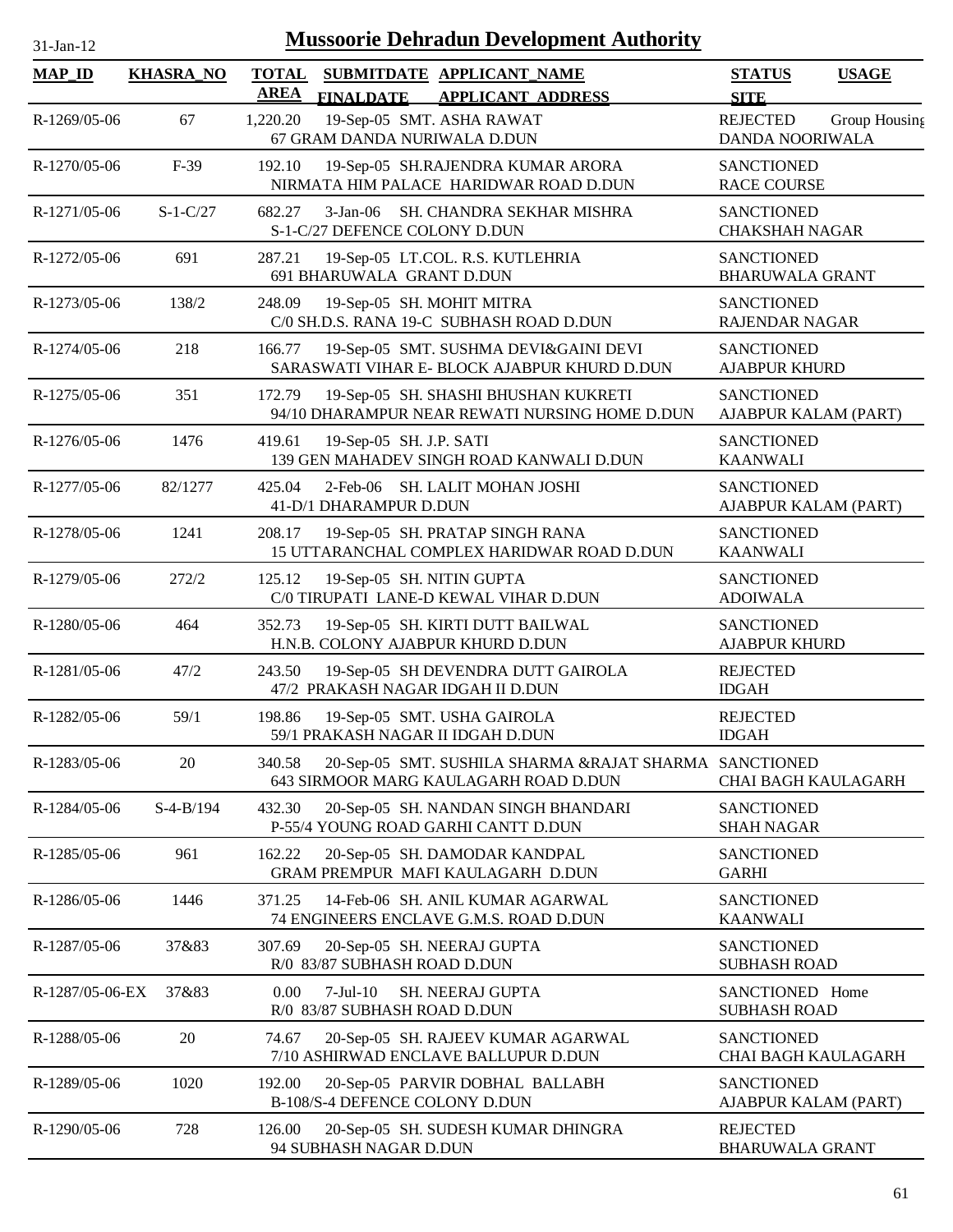| 1-Jan-1 |  |
|---------|--|

| <b>MAP_ID</b>   | <b>KHASRA_NO</b> | <b>TOTAL</b><br><b>AREA</b> | <b>FINALDATE</b>                            | SUBMITDATE APPLICANT NAME<br><b>APPLICANT ADDRESS</b>                                           | <b>STATUS</b><br><b>SITE</b>                | <b>USAGE</b>  |
|-----------------|------------------|-----------------------------|---------------------------------------------|-------------------------------------------------------------------------------------------------|---------------------------------------------|---------------|
| R-1269/05-06    | 67               | 1,220.20                    | 67 GRAM DANDA NURIWALA D.DUN                | 19-Sep-05 SMT. ASHA RAWAT                                                                       | <b>REJECTED</b><br>DANDA NOORIWALA          | Group Housing |
| R-1270/05-06    | $F-39$           | 192.10                      |                                             | 19-Sep-05 SH.RAJENDRA KUMAR ARORA<br>NIRMATA HIM PALACE HARIDWAR ROAD D.DUN                     | <b>SANCTIONED</b><br><b>RACE COURSE</b>     |               |
| R-1271/05-06    | $S-1-C/27$       | 682.27                      | $3-Jan-06$<br>S-1-C/27 DEFENCE COLONY D.DUN | SH. CHANDRA SEKHAR MISHRA                                                                       | <b>SANCTIONED</b><br><b>CHAKSHAH NAGAR</b>  |               |
| R-1272/05-06    | 691              | 287.21                      | 691 BHARUWALA GRANT D.DUN                   | 19-Sep-05 LT.COL. R.S. KUTLEHRIA                                                                | <b>SANCTIONED</b><br><b>BHARUWALA GRANT</b> |               |
| R-1273/05-06    | 138/2            | 248.09                      | 19-Sep-05 SH. MOHIT MITRA                   | C/0 SH.D.S. RANA 19-C SUBHASH ROAD D.DUN                                                        | <b>SANCTIONED</b><br><b>RAJENDAR NAGAR</b>  |               |
| R-1274/05-06    | 218              | 166.77                      |                                             | 19-Sep-05 SMT. SUSHMA DEVI&GAINI DEVI<br>SARASWATI VIHAR E- BLOCK AJABPUR KHURD D.DUN           | <b>SANCTIONED</b><br><b>AJABPUR KHURD</b>   |               |
| R-1275/05-06    | 351              | 172.79                      |                                             | 19-Sep-05 SH. SHASHI BHUSHAN KUKRETI<br>94/10 DHARAMPUR NEAR REWATI NURSING HOME D.DUN          | <b>SANCTIONED</b><br>AJABPUR KALAM (PART)   |               |
| R-1276/05-06    | 1476             | 419.61                      | 19-Sep-05 SH. J.P. SATI                     | 139 GEN MAHADEV SINGH ROAD KANWALI D.DUN                                                        | <b>SANCTIONED</b><br><b>KAANWALI</b>        |               |
| R-1277/05-06    | 82/1277          | 425.04                      | 41-D/1 DHARAMPUR D.DUN                      | 2-Feb-06 SH. LALIT MOHAN JOSHI                                                                  | <b>SANCTIONED</b><br>AJABPUR KALAM (PART)   |               |
| R-1278/05-06    | 1241             | 208.17                      |                                             | 19-Sep-05 SH. PRATAP SINGH RANA<br>15 UTTARANCHAL COMPLEX HARIDWAR ROAD D.DUN                   | <b>SANCTIONED</b><br><b>KAANWALI</b>        |               |
| R-1279/05-06    | 272/2            | 125.12                      | 19-Sep-05 SH. NITIN GUPTA                   | C/0 TIRUPATI LANE-D KEWAL VIHAR D.DUN                                                           | <b>SANCTIONED</b><br><b>ADOIWALA</b>        |               |
| R-1280/05-06    | 464              | 352.73                      |                                             | 19-Sep-05 SH. KIRTI DUTT BAILWAL<br>H.N.B. COLONY AJABPUR KHURD D.DUN                           | <b>SANCTIONED</b><br><b>AJABPUR KHURD</b>   |               |
| R-1281/05-06    | 47/2             | 243.50                      |                                             | 19-Sep-05 SH DEVENDRA DUTT GAIROLA<br>47/2 PRAKASH NAGAR IDGAH II D.DUN                         | <b>REJECTED</b><br><b>IDGAH</b>             |               |
| R-1282/05-06    | 59/1             | 198.86                      |                                             | 19-Sep-05 SMT. USHA GAIROLA<br>59/1 PRAKASH NAGAR II IDGAH D.DUN                                | <b>REJECTED</b><br><b>IDGAH</b>             |               |
| R-1283/05-06    | 20               | 340.58                      |                                             | 20-Sep-05 SMT. SUSHILA SHARMA &RAJAT SHARMA SANCTIONED<br>643 SIRMOOR MARG KAULAGARH ROAD D.DUN | CHAI BAGH KAULAGARH                         |               |
| R-1284/05-06    | $S-4-B/194$      | 432.30                      |                                             | 20-Sep-05 SH. NANDAN SINGH BHANDARI<br>P-55/4 YOUNG ROAD GARHI CANTT D.DUN                      | <b>SANCTIONED</b><br><b>SHAH NAGAR</b>      |               |
| R-1285/05-06    | 961              | 162.22                      |                                             | 20-Sep-05 SH. DAMODAR KANDPAL<br>GRAM PREMPUR MAFI KAULAGARH D.DUN                              | <b>SANCTIONED</b><br><b>GARHI</b>           |               |
| R-1286/05-06    | 1446             | 371.25                      |                                             | 14-Feb-06 SH. ANIL KUMAR AGARWAL<br>74 ENGINEERS ENCLAVE G.M.S. ROAD D.DUN                      | <b>SANCTIONED</b><br><b>KAANWALI</b>        |               |
| R-1287/05-06    | 37&83            | 307.69                      | R/0 83/87 SUBHASH ROAD D.DUN                | 20-Sep-05 SH. NEERAJ GUPTA                                                                      | <b>SANCTIONED</b><br><b>SUBHASH ROAD</b>    |               |
| R-1287/05-06-EX | 37&83            | 0.00                        | $7-Jul-10$<br>R/0 83/87 SUBHASH ROAD D.DUN  | <b>SH. NEERAJ GUPTA</b>                                                                         | SANCTIONED Home<br><b>SUBHASH ROAD</b>      |               |
| R-1288/05-06    | 20               | 74.67                       |                                             | 20-Sep-05 SH. RAJEEV KUMAR AGARWAL<br>7/10 ASHIRWAD ENCLAVE BALLUPUR D.DUN                      | <b>SANCTIONED</b><br>CHAI BAGH KAULAGARH    |               |
| R-1289/05-06    | 1020             | 192.00                      | B-108/S-4 DEFENCE COLONY D.DUN              | 20-Sep-05 PARVIR DOBHAL BALLABH                                                                 | <b>SANCTIONED</b><br>AJABPUR KALAM (PART)   |               |
| R-1290/05-06    | 728              | 126.00                      | 94 SUBHASH NAGAR D.DUN                      | 20-Sep-05 SH. SUDESH KUMAR DHINGRA                                                              | <b>REJECTED</b><br><b>BHARUWALA GRANT</b>   |               |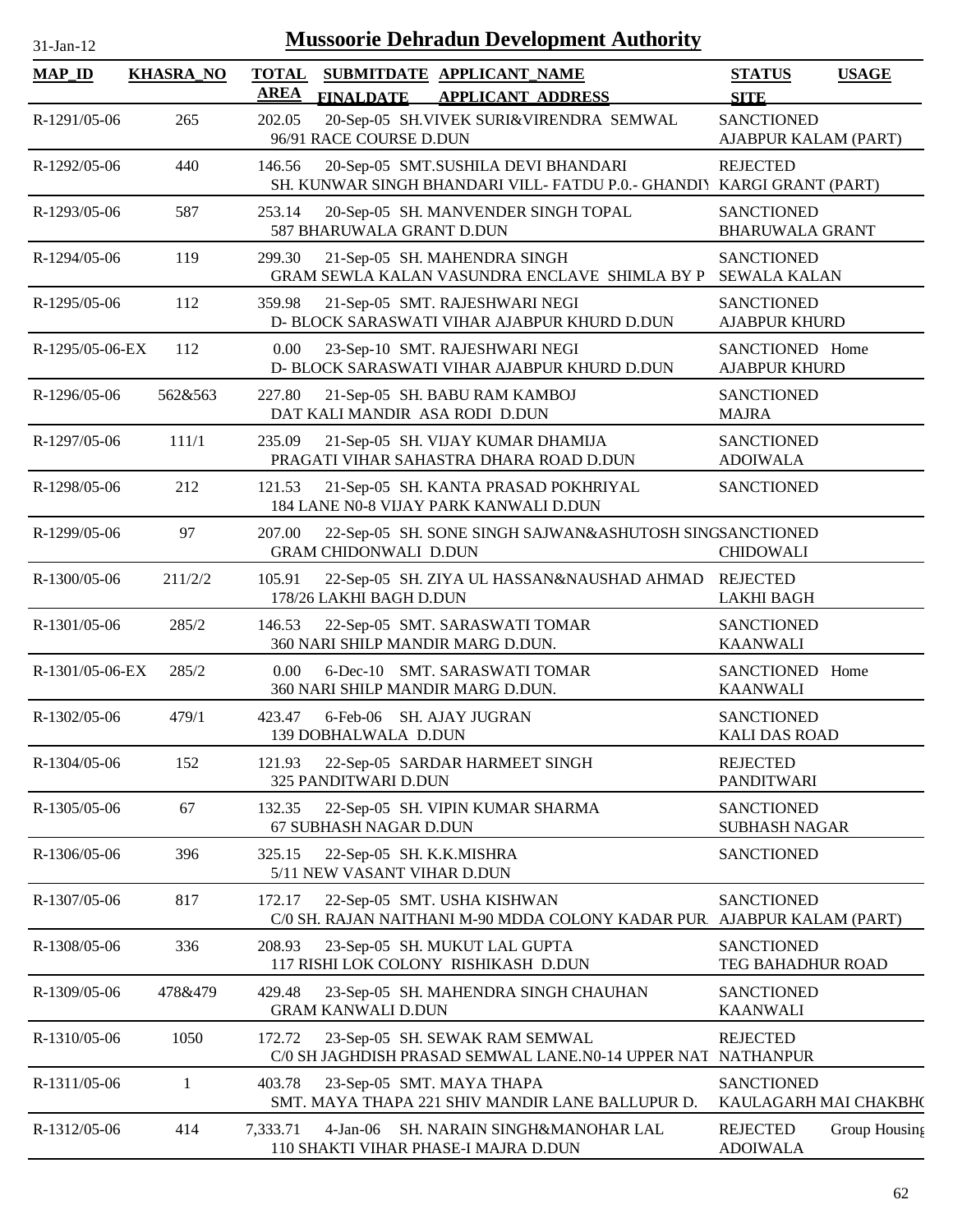| 31-Jan-12       |                  |                             | <b>Mussoorie Dehradun Development Authority</b>                                                               |                                             |               |
|-----------------|------------------|-----------------------------|---------------------------------------------------------------------------------------------------------------|---------------------------------------------|---------------|
| <b>MAP_ID</b>   | <b>KHASRA_NO</b> | <b>TOTAL</b><br><b>AREA</b> | SUBMITDATE APPLICANT NAME<br><b>APPLICANT ADDRESS</b><br><b>FINALDATE</b>                                     | <b>STATUS</b><br><b>SITE</b>                | <b>USAGE</b>  |
| R-1291/05-06    | 265              | 202.05                      | 20-Sep-05 SH.VIVEK SURI&VIRENDRA SEMWAL<br>96/91 RACE COURSE D.DUN                                            | <b>SANCTIONED</b><br>AJABPUR KALAM (PART)   |               |
| R-1292/05-06    | 440              | 146.56                      | 20-Sep-05 SMT.SUSHILA DEVI BHANDARI<br>SH. KUNWAR SINGH BHANDARI VILL- FATDU P.0.- GHANDIY KARGI GRANT (PART) | <b>REJECTED</b>                             |               |
| R-1293/05-06    | 587              | 253.14                      | 20-Sep-05 SH. MANVENDER SINGH TOPAL<br>587 BHARUWALA GRANT D.DUN                                              | <b>SANCTIONED</b><br><b>BHARUWALA GRANT</b> |               |
| $R-1294/05-06$  | 119              | 299.30                      | 21-Sep-05 SH. MAHENDRA SINGH<br>GRAM SEWLA KALAN VASUNDRA ENCLAVE SHIMLA BY P                                 | <b>SANCTIONED</b><br><b>SEWALA KALAN</b>    |               |
| R-1295/05-06    | 112              | 359.98                      | 21-Sep-05 SMT. RAJESHWARI NEGI<br>D- BLOCK SARASWATI VIHAR AJABPUR KHURD D.DUN                                | <b>SANCTIONED</b><br><b>AJABPUR KHURD</b>   |               |
| R-1295/05-06-EX | 112              | 0.00                        | 23-Sep-10 SMT. RAJESHWARI NEGI<br>D- BLOCK SARASWATI VIHAR AJABPUR KHURD D.DUN                                | SANCTIONED Home<br><b>AJABPUR KHURD</b>     |               |
| R-1296/05-06    | 562&563          | 227.80                      | 21-Sep-05 SH. BABU RAM KAMBOJ<br>DAT KALI MANDIR ASA RODI D.DUN                                               | <b>SANCTIONED</b><br><b>MAJRA</b>           |               |
| R-1297/05-06    | 111/1            | 235.09                      | 21-Sep-05 SH. VIJAY KUMAR DHAMIJA<br>PRAGATI VIHAR SAHASTRA DHARA ROAD D.DUN                                  | <b>SANCTIONED</b><br><b>ADOIWALA</b>        |               |
| R-1298/05-06    | 212              | 121.53                      | 21-Sep-05 SH. KANTA PRASAD POKHRIYAL<br>184 LANE N0-8 VIJAY PARK KANWALI D.DUN                                | <b>SANCTIONED</b>                           |               |
| R-1299/05-06    | 97               | 207.00                      | 22-Sep-05 SH. SONE SINGH SAJWAN&ASHUTOSH SINGSANCTIONED<br><b>GRAM CHIDONWALI D.DUN</b>                       | <b>CHIDOWALI</b>                            |               |
| R-1300/05-06    | 211/2/2          | 105.91                      | 22-Sep-05 SH. ZIYA UL HASSAN&NAUSHAD AHMAD<br>178/26 LAKHI BAGH D.DUN                                         | <b>REJECTED</b><br><b>LAKHI BAGH</b>        |               |
| R-1301/05-06    | 285/2            | 146.53                      | 22-Sep-05 SMT. SARASWATI TOMAR<br>360 NARI SHILP MANDIR MARG D.DUN.                                           | <b>SANCTIONED</b><br><b>KAANWALI</b>        |               |
| R-1301/05-06-EX | 285/2            | 0.00                        | 6-Dec-10 SMT. SARASWATI TOMAR<br>360 NARI SHILP MANDIR MARG D.DUN.                                            | SANCTIONED Home<br><b>KAANWALI</b>          |               |
| R-1302/05-06    | 479/1            | 423.47                      | 6-Feb-06 SH. AJAY JUGRAN<br>139 DOBHALWALA D.DUN                                                              | <b>SANCTIONED</b><br><b>KALI DAS ROAD</b>   |               |
| R-1304/05-06    | 152              | 121.93                      | 22-Sep-05 SARDAR HARMEET SINGH<br>325 PANDITWARI D.DUN                                                        | <b>REJECTED</b><br><b>PANDITWARI</b>        |               |
| R-1305/05-06    | 67               | 132.35                      | 22-Sep-05 SH. VIPIN KUMAR SHARMA<br>67 SUBHASH NAGAR D.DUN                                                    | <b>SANCTIONED</b><br><b>SUBHASH NAGAR</b>   |               |
| R-1306/05-06    | 396              | 325.15                      | 22-Sep-05 SH. K.K.MISHRA<br>5/11 NEW VASANT VIHAR D.DUN                                                       | <b>SANCTIONED</b>                           |               |
| R-1307/05-06    | 817              | 172.17                      | 22-Sep-05 SMT. USHA KISHWAN<br>C/0 SH. RAJAN NAITHANI M-90 MDDA COLONY KADAR PUR.                             | <b>SANCTIONED</b><br>AJABPUR KALAM (PART)   |               |
| R-1308/05-06    | 336              | 208.93                      | 23-Sep-05 SH. MUKUT LAL GUPTA<br>117 RISHI LOK COLONY RISHIKASH D.DUN                                         | <b>SANCTIONED</b><br>TEG BAHADHUR ROAD      |               |
| R-1309/05-06    | 478&479          | 429.48                      | 23-Sep-05 SH. MAHENDRA SINGH CHAUHAN<br><b>GRAM KANWALI D.DUN</b>                                             | <b>SANCTIONED</b><br><b>KAANWALI</b>        |               |
| R-1310/05-06    | 1050             | 172.72                      | 23-Sep-05 SH. SEWAK RAM SEMWAL<br>C/0 SH JAGHDISH PRASAD SEMWAL LANE.N0-14 UPPER NAT NATHANPUR                | <b>REJECTED</b>                             |               |
| R-1311/05-06    | 1                | 403.78                      | 23-Sep-05 SMT. MAYA THAPA<br>SMT. MAYA THAPA 221 SHIV MANDIR LANE BALLUPUR D.                                 | <b>SANCTIONED</b><br>KAULAGARH MAI CHAKBH(  |               |
| R-1312/05-06    | 414              | 7,333.71                    | 4-Jan-06 SH. NARAIN SINGH&MANOHAR LAL<br>110 SHAKTI VIHAR PHASE-I MAJRA D.DUN                                 | <b>REJECTED</b><br><b>ADOIWALA</b>          | Group Housing |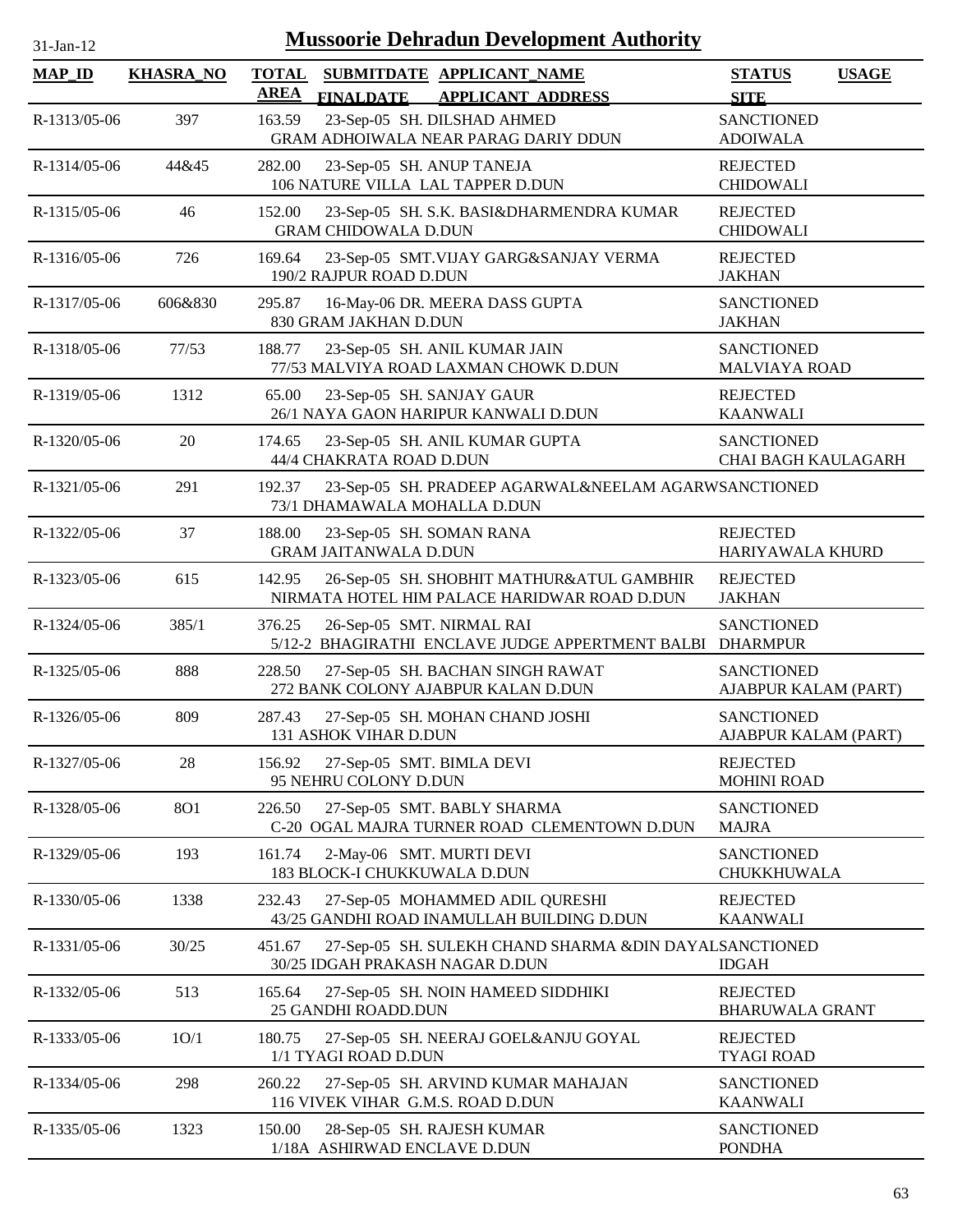| $31-Ian-12$   |                  | <b>Mussoorie Dehradun Development Authority</b>                                                          |                                                 |              |
|---------------|------------------|----------------------------------------------------------------------------------------------------------|-------------------------------------------------|--------------|
| <b>MAP_ID</b> | <b>KHASRA_NO</b> | <b>TOTAL</b><br>SUBMITDATE APPLICANT_NAME<br><b>AREA</b><br><b>FINALDATE</b><br><b>APPLICANT ADDRESS</b> | <b>STATUS</b><br><b>SITE</b>                    | <b>USAGE</b> |
| R-1313/05-06  | 397              | 23-Sep-05 SH. DILSHAD AHMED<br>163.59<br>GRAM ADHOIWALA NEAR PARAG DARIY DDUN                            | <b>SANCTIONED</b><br><b>ADOIWALA</b>            |              |
| R-1314/05-06  | 44&45            | 282.00<br>23-Sep-05 SH. ANUP TANEJA<br>106 NATURE VILLA LAL TAPPER D.DUN                                 | <b>REJECTED</b><br><b>CHIDOWALI</b>             |              |
| R-1315/05-06  | 46               | 23-Sep-05 SH. S.K. BASI&DHARMENDRA KUMAR<br>152.00<br><b>GRAM CHIDOWALA D.DUN</b>                        | <b>REJECTED</b><br><b>CHIDOWALI</b>             |              |
| R-1316/05-06  | 726              | 169.64<br>23-Sep-05 SMT.VIJAY GARG&SANJAY VERMA<br>190/2 RAJPUR ROAD D.DUN                               | <b>REJECTED</b><br><b>JAKHAN</b>                |              |
| R-1317/05-06  | 606&830          | 295.87<br>16-May-06 DR. MEERA DASS GUPTA<br>830 GRAM JAKHAN D.DUN                                        | <b>SANCTIONED</b><br><b>JAKHAN</b>              |              |
| R-1318/05-06  | 77/53            | 188.77<br>23-Sep-05 SH. ANIL KUMAR JAIN<br>77/53 MALVIYA ROAD LAXMAN CHOWK D.DUN                         | <b>SANCTIONED</b><br><b>MALVIAYA ROAD</b>       |              |
| R-1319/05-06  | 1312             | 23-Sep-05 SH. SANJAY GAUR<br>65.00<br>26/1 NAYA GAON HARIPUR KANWALI D.DUN                               | <b>REJECTED</b><br><b>KAANWALI</b>              |              |
| R-1320/05-06  | 20               | 23-Sep-05 SH. ANIL KUMAR GUPTA<br>174.65<br>44/4 CHAKRATA ROAD D.DUN                                     | <b>SANCTIONED</b><br><b>CHAI BAGH KAULAGARH</b> |              |
| R-1321/05-06  | 291              | 23-Sep-05 SH. PRADEEP AGARWAL&NEELAM AGARWSANCTIONED<br>192.37<br>73/1 DHAMAWALA MOHALLA D.DUN           |                                                 |              |
| R-1322/05-06  | 37               | 188.00<br>23-Sep-05 SH. SOMAN RANA<br><b>GRAM JAITANWALA D.DUN</b>                                       | <b>REJECTED</b><br>HARIYAWALA KHURD             |              |
| R-1323/05-06  | 615              | 26-Sep-05 SH. SHOBHIT MATHUR&ATUL GAMBHIR<br>142.95<br>NIRMATA HOTEL HIM PALACE HARIDWAR ROAD D.DUN      | <b>REJECTED</b><br><b>JAKHAN</b>                |              |
| R-1324/05-06  | 385/1            | 26-Sep-05 SMT. NIRMAL RAI<br>376.25<br>5/12-2 BHAGIRATHI ENCLAVE JUDGE APPERTMENT BALBI                  | <b>SANCTIONED</b><br><b>DHARMPUR</b>            |              |
| R-1325/05-06  | 888              | 228.50<br>27-Sep-05 SH. BACHAN SINGH RAWAT<br>272 BANK COLONY AJABPUR KALAN D.DUN                        | <b>SANCTIONED</b><br>AJABPUR KALAM (PART)       |              |
| R-1326/05-06  | 809              | 287.43<br>27-Sep-05 SH. MOHAN CHAND JOSHI<br>131 ASHOK VIHAR D.DUN                                       | <b>SANCTIONED</b><br>AJABPUR KALAM (PART)       |              |
| R-1327/05-06  | 28               | 27-Sep-05 SMT. BIMLA DEVI<br>156.92<br>95 NEHRU COLONY D.DUN                                             | <b>REJECTED</b><br><b>MOHINI ROAD</b>           |              |
| R-1328/05-06  | 801              | 226.50<br>27-Sep-05 SMT. BABLY SHARMA<br>C-20 OGAL MAJRA TURNER ROAD CLEMENTOWN D.DUN                    | <b>SANCTIONED</b><br><b>MAJRA</b>               |              |
| R-1329/05-06  | 193              | 2-May-06 SMT. MURTI DEVI<br>161.74<br>183 BLOCK-I CHUKKUWALA D.DUN                                       | <b>SANCTIONED</b><br>CHUKKHUWALA                |              |
| R-1330/05-06  | 1338             | 232.43<br>27-Sep-05 MOHAMMED ADIL QURESHI<br>43/25 GANDHI ROAD INAMULLAH BUILDING D.DUN                  | <b>REJECTED</b><br><b>KAANWALI</b>              |              |
| R-1331/05-06  | 30/25            | 451.67<br>27-Sep-05 SH. SULEKH CHAND SHARMA &DIN DAYALSANCTIONED<br>30/25 IDGAH PRAKASH NAGAR D.DUN      | <b>IDGAH</b>                                    |              |
| R-1332/05-06  | 513              | 165.64<br>27-Sep-05 SH. NOIN HAMEED SIDDHIKI<br>25 GANDHI ROADD.DUN                                      | <b>REJECTED</b><br><b>BHARUWALA GRANT</b>       |              |
| R-1333/05-06  | 1O/1             | 180.75<br>27-Sep-05 SH. NEERAJ GOEL&ANJU GOYAL<br>1/1 TYAGI ROAD D.DUN                                   | <b>REJECTED</b><br><b>TYAGI ROAD</b>            |              |
| R-1334/05-06  | 298              | 260.22<br>27-Sep-05 SH. ARVIND KUMAR MAHAJAN<br>116 VIVEK VIHAR G.M.S. ROAD D.DUN                        | <b>SANCTIONED</b><br><b>KAANWALI</b>            |              |
| R-1335/05-06  | 1323             | 150.00<br>28-Sep-05 SH. RAJESH KUMAR                                                                     | <b>SANCTIONED</b>                               |              |

1/18A ASHIRWAD ENCLAVE D.DUN

PONDHA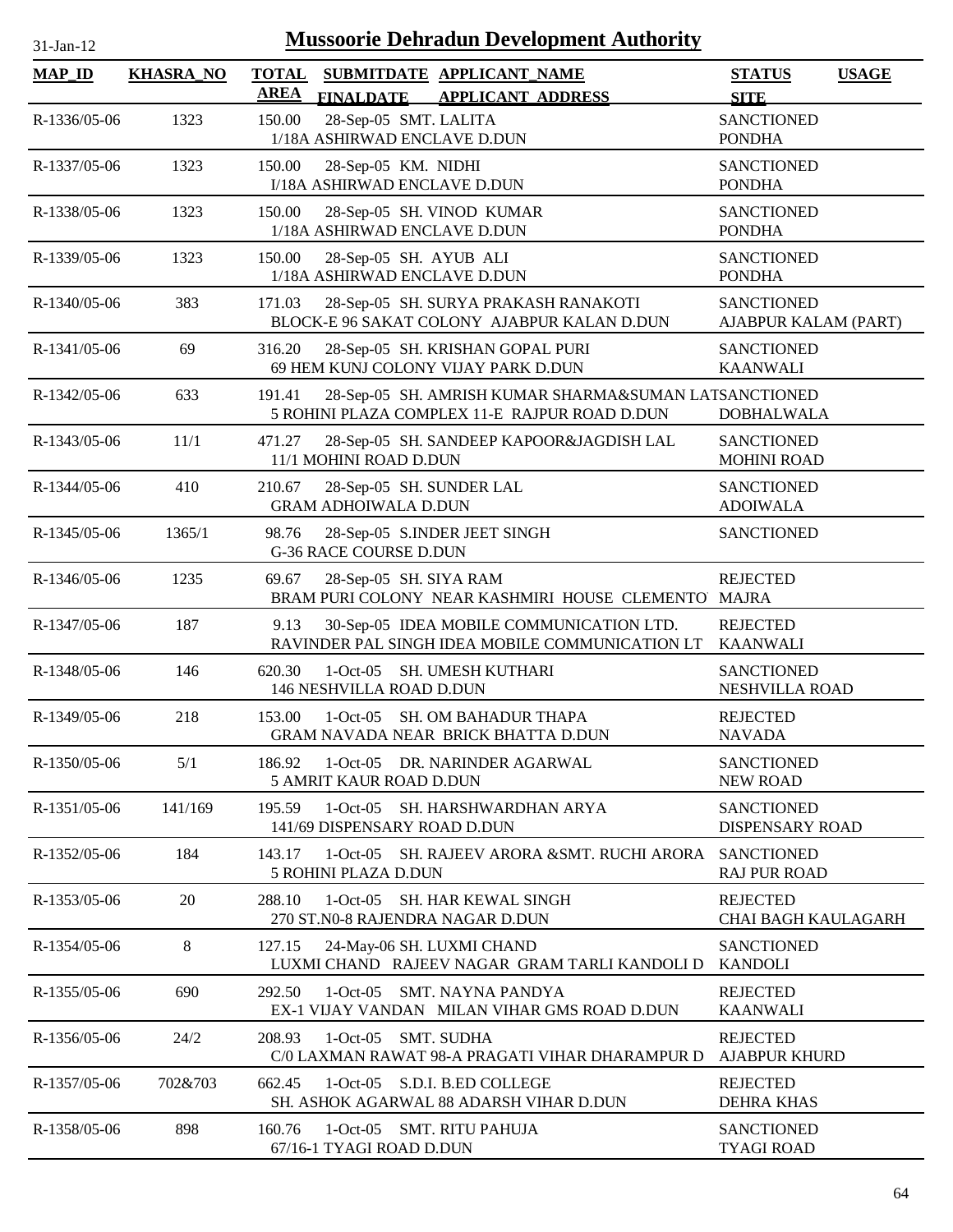| $31$ -Jan-12   |                  | <b>Mussoorie Dehradun Development Authority</b>                                                                  |                                               |              |
|----------------|------------------|------------------------------------------------------------------------------------------------------------------|-----------------------------------------------|--------------|
| <b>MAP_ID</b>  | <b>KHASRA_NO</b> | <b>TOTAL</b><br>SUBMITDATE APPLICANT_NAME<br><b>AREA</b><br><b>FINALDATE</b><br><b>APPLICANT ADDRESS</b>         | <b>STATUS</b><br><b>SITE</b>                  | <b>USAGE</b> |
| R-1336/05-06   | 1323             | 28-Sep-05 SMT. LALITA<br>150.00<br>1/18A ASHIRWAD ENCLAVE D.DUN                                                  | <b>SANCTIONED</b><br><b>PONDHA</b>            |              |
| R-1337/05-06   | 1323             | 150.00<br>28-Sep-05 KM. NIDHI<br>I/18A ASHIRWAD ENCLAVE D.DUN                                                    | <b>SANCTIONED</b><br><b>PONDHA</b>            |              |
| R-1338/05-06   | 1323             | 150.00<br>28-Sep-05 SH. VINOD KUMAR<br>1/18A ASHIRWAD ENCLAVE D.DUN                                              | <b>SANCTIONED</b><br><b>PONDHA</b>            |              |
| R-1339/05-06   | 1323             | 150.00<br>28-Sep-05 SH. AYUB ALI<br>1/18A ASHIRWAD ENCLAVE D.DUN                                                 | <b>SANCTIONED</b><br><b>PONDHA</b>            |              |
| R-1340/05-06   | 383              | 28-Sep-05 SH. SURYA PRAKASH RANAKOTI<br>171.03<br>BLOCK-E 96 SAKAT COLONY AJABPUR KALAN D.DUN                    | <b>SANCTIONED</b><br>AJABPUR KALAM (PART)     |              |
| R-1341/05-06   | 69               | 316.20<br>28-Sep-05 SH. KRISHAN GOPAL PURI<br>69 HEM KUNJ COLONY VIJAY PARK D.DUN                                | <b>SANCTIONED</b><br><b>KAANWALI</b>          |              |
| R-1342/05-06   | 633              | 28-Sep-05 SH. AMRISH KUMAR SHARMA&SUMAN LATSANCTIONED<br>191.41<br>5 ROHINI PLAZA COMPLEX 11-E RAJPUR ROAD D.DUN | <b>DOBHALWALA</b>                             |              |
| R-1343/05-06   | 11/1             | 471.27<br>28-Sep-05 SH. SANDEEP KAPOOR&JAGDISH LAL<br>11/1 MOHINI ROAD D.DUN                                     | <b>SANCTIONED</b><br><b>MOHINI ROAD</b>       |              |
| R-1344/05-06   | 410              | 210.67<br>28-Sep-05 SH. SUNDER LAL<br><b>GRAM ADHOIWALA D.DUN</b>                                                | <b>SANCTIONED</b><br><b>ADOIWALA</b>          |              |
| R-1345/05-06   | 1365/1           | 28-Sep-05 S.INDER JEET SINGH<br>98.76<br><b>G-36 RACE COURSE D.DUN</b>                                           | <b>SANCTIONED</b>                             |              |
| R-1346/05-06   | 1235             | 69.67<br>28-Sep-05 SH. SIYA RAM<br>BRAM PURI COLONY NEAR KASHMIRI HOUSE CLEMENTO MAJRA                           | <b>REJECTED</b>                               |              |
| R-1347/05-06   | 187              | 30-Sep-05 IDEA MOBILE COMMUNICATION LTD.<br>9.13<br>RAVINDER PAL SINGH IDEA MOBILE COMMUNICATION LT              | <b>REJECTED</b><br><b>KAANWALI</b>            |              |
| R-1348/05-06   | 146              | 620.30<br>1-Oct-05 SH. UMESH KUTHARI<br>146 NESHVILLA ROAD D.DUN                                                 | <b>SANCTIONED</b><br><b>NESHVILLA ROAD</b>    |              |
| $R-1349/05-06$ | 218              | 153.00<br>1-Oct-05 SH. OM BAHADUR THAPA<br><b>GRAM NAVADA NEAR BRICK BHATTA D.DUN</b>                            | <b>REJECTED</b><br><b>NAVADA</b>              |              |
| R-1350/05-06   | 5/1              | 186.92<br>1-Oct-05 DR. NARINDER AGARWAL<br>5 AMRIT KAUR ROAD D.DUN                                               | <b>SANCTIONED</b><br><b>NEW ROAD</b>          |              |
| $R-1351/05-06$ | 141/169          | 195.59<br>1-Oct-05 SH. HARSHWARDHAN ARYA<br>141/69 DISPENSARY ROAD D.DUN                                         | <b>SANCTIONED</b><br>DISPENSARY ROAD          |              |
| R-1352/05-06   | 184              | 1-Oct-05 SH. RAJEEV ARORA &SMT. RUCHI ARORA<br>143.17<br>5 ROHINI PLAZA D.DUN                                    | <b>SANCTIONED</b><br><b>RAJ PUR ROAD</b>      |              |
| R-1353/05-06   | 20               | 288.10<br>1-Oct-05 SH. HAR KEWAL SINGH<br>270 ST.N0-8 RAJENDRA NAGAR D.DUN                                       | <b>REJECTED</b><br><b>CHAI BAGH KAULAGARH</b> |              |
| R-1354/05-06   | 8                | 24-May-06 SH. LUXMI CHAND<br>127.15<br>LUXMI CHAND RAJEEV NAGAR GRAM TARLI KANDOLI D                             | <b>SANCTIONED</b><br><b>KANDOLI</b>           |              |
| R-1355/05-06   | 690              | 292.50<br>1-Oct-05 SMT. NAYNA PANDYA<br>EX-1 VIJAY VANDAN MILAN VIHAR GMS ROAD D.DUN                             | <b>REJECTED</b><br><b>KAANWALI</b>            |              |
| R-1356/05-06   | 24/2             | 208.93<br>1-Oct-05 SMT. SUDHA<br>C/0 LAXMAN RAWAT 98-A PRAGATI VIHAR DHARAMPUR D                                 | <b>REJECTED</b><br><b>AJABPUR KHURD</b>       |              |
| R-1357/05-06   | 702&703          | 662.45<br>1-Oct-05 S.D.I. B.ED COLLEGE<br>SH. ASHOK AGARWAL 88 ADARSH VIHAR D.DUN                                | <b>REJECTED</b><br><b>DEHRA KHAS</b>          |              |
| R-1358/05-06   | 898              | 160.76<br>1-Oct-05 SMT. RITU PAHUJA<br>67/16-1 TYAGI ROAD D.DUN                                                  | <b>SANCTIONED</b><br><b>TYAGI ROAD</b>        |              |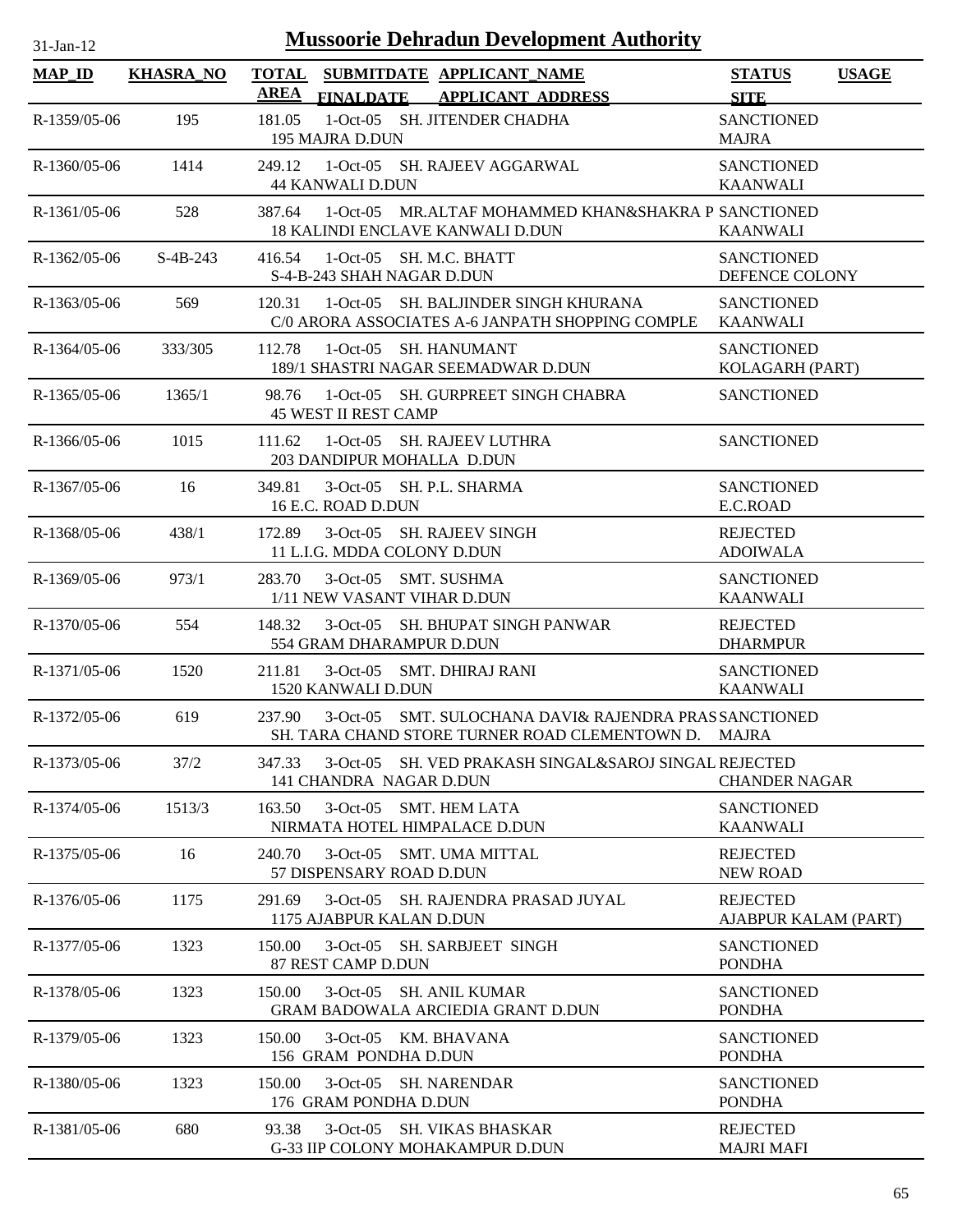| $31-Jan-12$    |                  | <b>Mussoorie Dehradun Development Authority</b>                                                                         |                                              |
|----------------|------------------|-------------------------------------------------------------------------------------------------------------------------|----------------------------------------------|
| $MAP$ ID       | <b>KHASRA_NO</b> | <b>TOTAL</b><br>SUBMITDATE APPLICANT NAME<br><b>AREA</b><br><b>FINALDATE</b><br><b>APPLICANT ADDRESS</b>                | <b>STATUS</b><br><b>USAGE</b><br><b>SITE</b> |
| $R-1359/05-06$ | 195              | 181.05<br>1-Oct-05 SH. JITENDER CHADHA<br>195 MAJRA D.DUN                                                               | <b>SANCTIONED</b><br><b>MAJRA</b>            |
| $R-1360/05-06$ | 1414             | 1-Oct-05 SH. RAJEEV AGGARWAL<br>249.12<br><b>44 KANWALI D.DUN</b>                                                       | <b>SANCTIONED</b><br><b>KAANWALI</b>         |
| $R-1361/05-06$ | 528              | 1-Oct-05 MR.ALTAF MOHAMMED KHAN&SHAKRA P SANCTIONED<br>387.64<br><b>18 KALINDI ENCLAVE KANWALI D.DUN</b>                | <b>KAANWALI</b>                              |
| $R-1362/05-06$ | $S-4B-243$       | 416.54<br>1-Oct-05 SH. M.C. BHATT<br>S-4-B-243 SHAH NAGAR D.DUN                                                         | <b>SANCTIONED</b><br>DEFENCE COLONY          |
| R-1363/05-06   | 569              | 1-Oct-05 SH. BALJINDER SINGH KHURANA<br>120.31<br>C/0 ARORA ASSOCIATES A-6 JANPATH SHOPPING COMPLE                      | <b>SANCTIONED</b><br><b>KAANWALI</b>         |
| $R-1364/05-06$ | 333/305          | 112.78<br>1-Oct-05 SH. HANUMANT<br>189/1 SHASTRI NAGAR SEEMADWAR D.DUN                                                  | <b>SANCTIONED</b><br>KOLAGARH (PART)         |
| $R-1365/05-06$ | 1365/1           | 98.76<br>1-Oct-05 SH. GURPREET SINGH CHABRA<br><b>45 WEST II REST CAMP</b>                                              | <b>SANCTIONED</b>                            |
| $R-1366/05-06$ | 1015             | 1-Oct-05 SH. RAJEEV LUTHRA<br>111.62<br>203 DANDIPUR MOHALLA D.DUN                                                      | <b>SANCTIONED</b>                            |
| R-1367/05-06   | 16               | 349.81<br>3-Oct-05 SH. P.L. SHARMA<br>16 E.C. ROAD D.DUN                                                                | <b>SANCTIONED</b><br>E.C.ROAD                |
| R-1368/05-06   | 438/1            | 172.89<br>3-Oct-05 SH. RAJEEV SINGH<br>11 L.I.G. MDDA COLONY D.DUN                                                      | <b>REJECTED</b><br><b>ADOIWALA</b>           |
| R-1369/05-06   | 973/1            | 283.70<br>3-Oct-05 SMT. SUSHMA<br>1/11 NEW VASANT VIHAR D.DUN                                                           | <b>SANCTIONED</b><br><b>KAANWALI</b>         |
| R-1370/05-06   | 554              | 148.32<br>3-Oct-05 SH. BHUPAT SINGH PANWAR<br>554 GRAM DHARAMPUR D.DUN                                                  | <b>REJECTED</b><br><b>DHARMPUR</b>           |
| R-1371/05-06   | 1520             | 211.81<br>3-Oct-05 SMT. DHIRAJ RANI<br>1520 KANWALI D.DUN                                                               | <b>SANCTIONED</b><br><b>KAANWALI</b>         |
| R-1372/05-06   | 619              | 237.90<br>3-Oct-05 SMT. SULOCHANA DAVI& RAJENDRA PRASSANCTIONED<br>SH. TARA CHAND STORE TURNER ROAD CLEMENTOWN D. MAJRA |                                              |
| R-1373/05-06   | 37/2             | 3-Oct-05 SH. VED PRAKASH SINGAL&SAROJ SINGAL REJECTED<br>347.33<br>141 CHANDRA NAGAR D.DUN                              | <b>CHANDER NAGAR</b>                         |
| R-1374/05-06   | 1513/3           | 163.50<br>3-Oct-05 SMT. HEM LATA<br>NIRMATA HOTEL HIMPALACE D.DUN                                                       | <b>SANCTIONED</b><br><b>KAANWALI</b>         |
| R-1375/05-06   | 16               | 240.70<br>3-Oct-05 SMT, UMA MITTAL<br>57 DISPENSARY ROAD D.DUN                                                          | <b>REJECTED</b><br><b>NEW ROAD</b>           |
| $R-1376/05-06$ | 1175             | 291.69<br>3-Oct-05 SH. RAJENDRA PRASAD JUYAL<br>1175 AJABPUR KALAN D.DUN                                                | <b>REJECTED</b><br>AJABPUR KALAM (PART)      |
| R-1377/05-06   | 1323             | 3-Oct-05 SH. SARBJEET SINGH<br>150.00<br>87 REST CAMP D.DUN                                                             | <b>SANCTIONED</b><br><b>PONDHA</b>           |
| R-1378/05-06   | 1323             | 150.00<br>3-Oct-05 SH. ANIL KUMAR<br><b>GRAM BADOWALA ARCIEDIA GRANT D.DUN</b>                                          | <b>SANCTIONED</b><br><b>PONDHA</b>           |
| R-1379/05-06   | 1323             | 150.00<br>3-Oct-05 KM, BHAVANA<br>156 GRAM PONDHA D.DUN                                                                 | <b>SANCTIONED</b><br><b>PONDHA</b>           |
| R-1380/05-06   | 1323             | 3-Oct-05 SH. NARENDAR<br>150.00<br>176 GRAM PONDHA D.DUN                                                                | <b>SANCTIONED</b><br><b>PONDHA</b>           |
| R-1381/05-06   | 680              | 93.38<br>3-Oct-05 SH. VIKAS BHASKAR<br>G-33 IIP COLONY MOHAKAMPUR D.DUN                                                 | <b>REJECTED</b><br><b>MAJRI MAFI</b>         |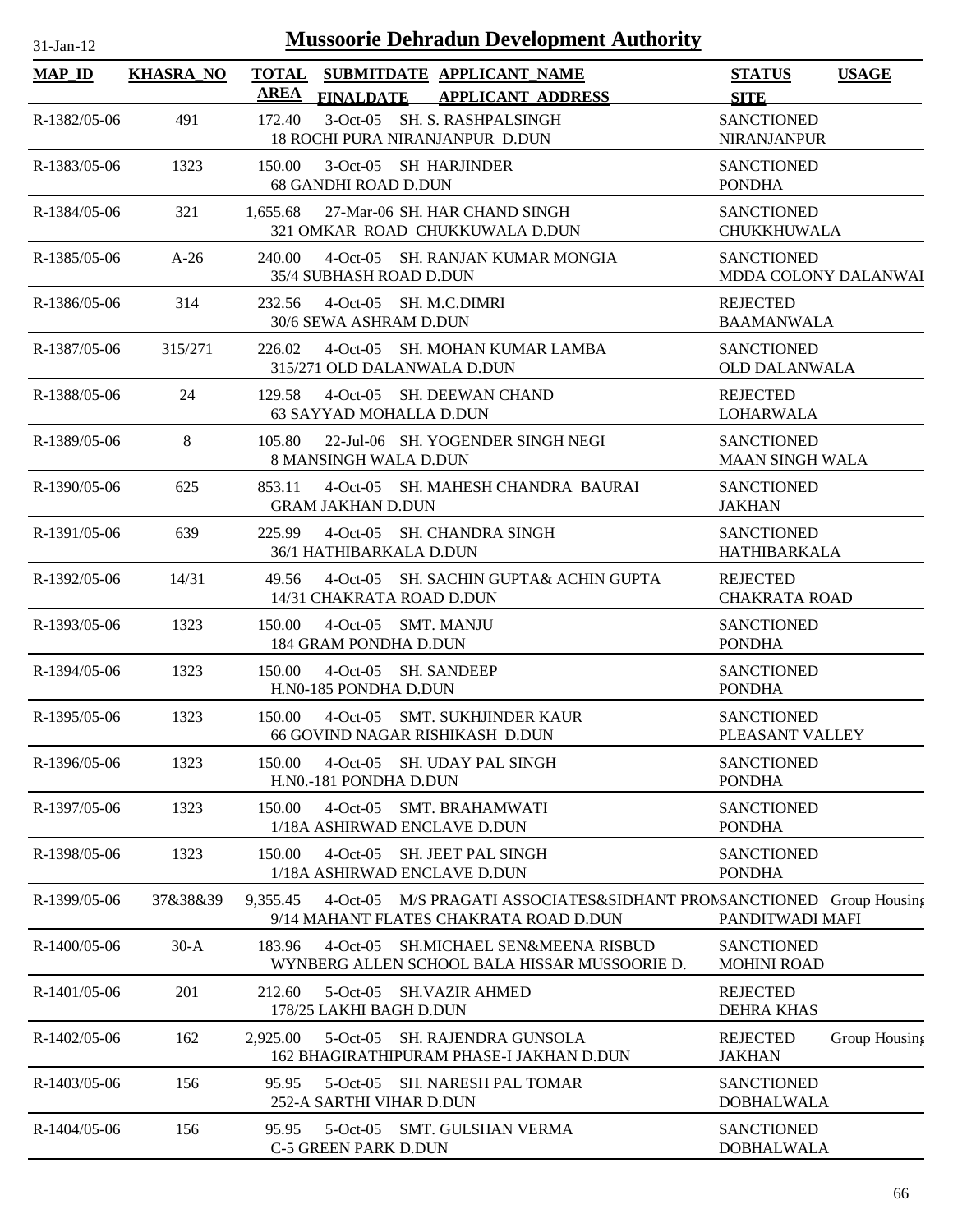| 31-Jan-12 |  |
|-----------|--|

| <b>MAP_ID</b>  | <b>KHASRA_NO</b> | <b>TOTAL</b><br>SUBMITDATE APPLICANT NAME<br>AREA                                                                          | <b>STATUS</b><br><b>USAGE</b>                          |
|----------------|------------------|----------------------------------------------------------------------------------------------------------------------------|--------------------------------------------------------|
| R-1382/05-06   | 491              | <b>FINALDATE</b><br><b>APPLICANT ADDRESS</b><br>172.40<br>3-Oct-05 SH. S. RASHPALSINGH<br>18 ROCHI PURA NIRANJANPUR D.DUN  | <b>SITE</b><br><b>SANCTIONED</b><br><b>NIRANJANPUR</b> |
| R-1383/05-06   | 1323             | 150.00<br>3-Oct-05 SH HARJINDER<br><b>68 GANDHI ROAD D.DUN</b>                                                             | <b>SANCTIONED</b><br><b>PONDHA</b>                     |
| R-1384/05-06   | 321              | 27-Mar-06 SH. HAR CHAND SINGH<br>1,655.68<br>321 OMKAR ROAD CHUKKUWALA D.DUN                                               | <b>SANCTIONED</b><br><b>CHUKKHUWALA</b>                |
| $R-1385/05-06$ | $A-26$           | 240.00<br>4-Oct-05 SH. RANJAN KUMAR MONGIA<br>35/4 SUBHASH ROAD D.DUN                                                      | <b>SANCTIONED</b><br>MDDA COLONY DALANWAI              |
| R-1386/05-06   | 314              | 4-Oct-05 SH. M.C.DIMRI<br>232.56<br>30/6 SEWA ASHRAM D.DUN                                                                 | <b>REJECTED</b><br><b>BAAMANWALA</b>                   |
| R-1387/05-06   | 315/271          | 4-Oct-05 SH. MOHAN KUMAR LAMBA<br>226.02<br>315/271 OLD DALANWALA D.DUN                                                    | <b>SANCTIONED</b><br><b>OLD DALANWALA</b>              |
| R-1388/05-06   | 24               | 129.58<br>4-Oct-05 SH. DEEWAN CHAND<br>63 SAYYAD MOHALLA D.DUN                                                             | <b>REJECTED</b><br><b>LOHARWALA</b>                    |
| R-1389/05-06   | 8                | 105.80<br>22-Jul-06 SH. YOGENDER SINGH NEGI<br>8 MANSINGH WALA D.DUN                                                       | <b>SANCTIONED</b><br><b>MAAN SINGH WALA</b>            |
| $R-1390/05-06$ | 625              | 4-Oct-05 SH. MAHESH CHANDRA BAURAI<br>853.11<br><b>GRAM JAKHAN D.DUN</b>                                                   | <b>SANCTIONED</b><br><b>JAKHAN</b>                     |
| R-1391/05-06   | 639              | 225.99<br>4-Oct-05 SH. CHANDRA SINGH<br>36/1 HATHIBARKALA D.DUN                                                            | <b>SANCTIONED</b><br><b>HATHIBARKALA</b>               |
| R-1392/05-06   | 14/31            | 4-Oct-05 SH. SACHIN GUPTA& ACHIN GUPTA<br>49.56<br>14/31 CHAKRATA ROAD D.DUN                                               | <b>REJECTED</b><br><b>CHAKRATA ROAD</b>                |
| R-1393/05-06   | 1323             | 150.00<br>4-Oct-05 SMT. MANJU<br>184 GRAM PONDHA D.DUN                                                                     | <b>SANCTIONED</b><br><b>PONDHA</b>                     |
| R-1394/05-06   | 1323             | 150.00<br>4-Oct-05 SH, SANDEEP<br>H.N0-185 PONDHA D.DUN                                                                    | <b>SANCTIONED</b><br><b>PONDHA</b>                     |
| R-1395/05-06   | 1323             | 150.00<br>4-Oct-05 SMT. SUKHJINDER KAUR<br>66 GOVIND NAGAR RISHIKASH D.DUN                                                 | <b>SANCTIONED</b><br>PLEASANT VALLEY                   |
| R-1396/05-06   | 1323             | 150.00<br>4-Oct-05 SH. UDAY PAL SINGH<br>H.N0.-181 PONDHA D.DUN                                                            | <b>SANCTIONED</b><br><b>PONDHA</b>                     |
| R-1397/05-06   | 1323             | <b>SMT. BRAHAMWATI</b><br>150.00<br>$4-Oct-05$<br>1/18A ASHIRWAD ENCLAVE D.DUN                                             | <b>SANCTIONED</b><br><b>PONDHA</b>                     |
| R-1398/05-06   | 1323             | SH. JEET PAL SINGH<br>150.00<br>$4-Oct-05$<br>1/18A ASHIRWAD ENCLAVE D.DUN                                                 | <b>SANCTIONED</b><br><b>PONDHA</b>                     |
| R-1399/05-06   | 37&38&39         | 9,355.45<br>4-Oct-05 M/S PRAGATI ASSOCIATES&SIDHANT PRONSANCTIONED Group Housing<br>9/14 MAHANT FLATES CHAKRATA ROAD D.DUN | PANDITWADI MAFI                                        |
| R-1400/05-06   | $30-A$           | 183.96<br>$4-Oct-05$<br><b>SH.MICHAEL SEN&amp;MEENA RISBUD</b><br>WYNBERG ALLEN SCHOOL BALA HISSAR MUSSOORIE D.            | <b>SANCTIONED</b><br><b>MOHINI ROAD</b>                |
| R-1401/05-06   | 201              | 212.60<br>$5$ -Oct-05<br><b>SH.VAZIR AHMED</b><br>178/25 LAKHI BAGH D.DUN                                                  | <b>REJECTED</b><br><b>DEHRA KHAS</b>                   |
| R-1402/05-06   | 162              | $5-Oct-05$<br>SH. RAJENDRA GUNSOLA<br>2,925.00<br>162 BHAGIRATHIPURAM PHASE-I JAKHAN D.DUN                                 | <b>REJECTED</b><br>Group Housing<br><b>JAKHAN</b>      |
| R-1403/05-06   | 156              | 95.95<br>$5-Oct-05$<br>SH. NARESH PAL TOMAR<br>252-A SARTHI VIHAR D.DUN                                                    | <b>SANCTIONED</b><br><b>DOBHALWALA</b>                 |
| R-1404/05-06   | 156              | 5-Oct-05 SMT. GULSHAN VERMA<br>95.95<br>C-5 GREEN PARK D.DUN                                                               | <b>SANCTIONED</b><br><b>DOBHALWALA</b>                 |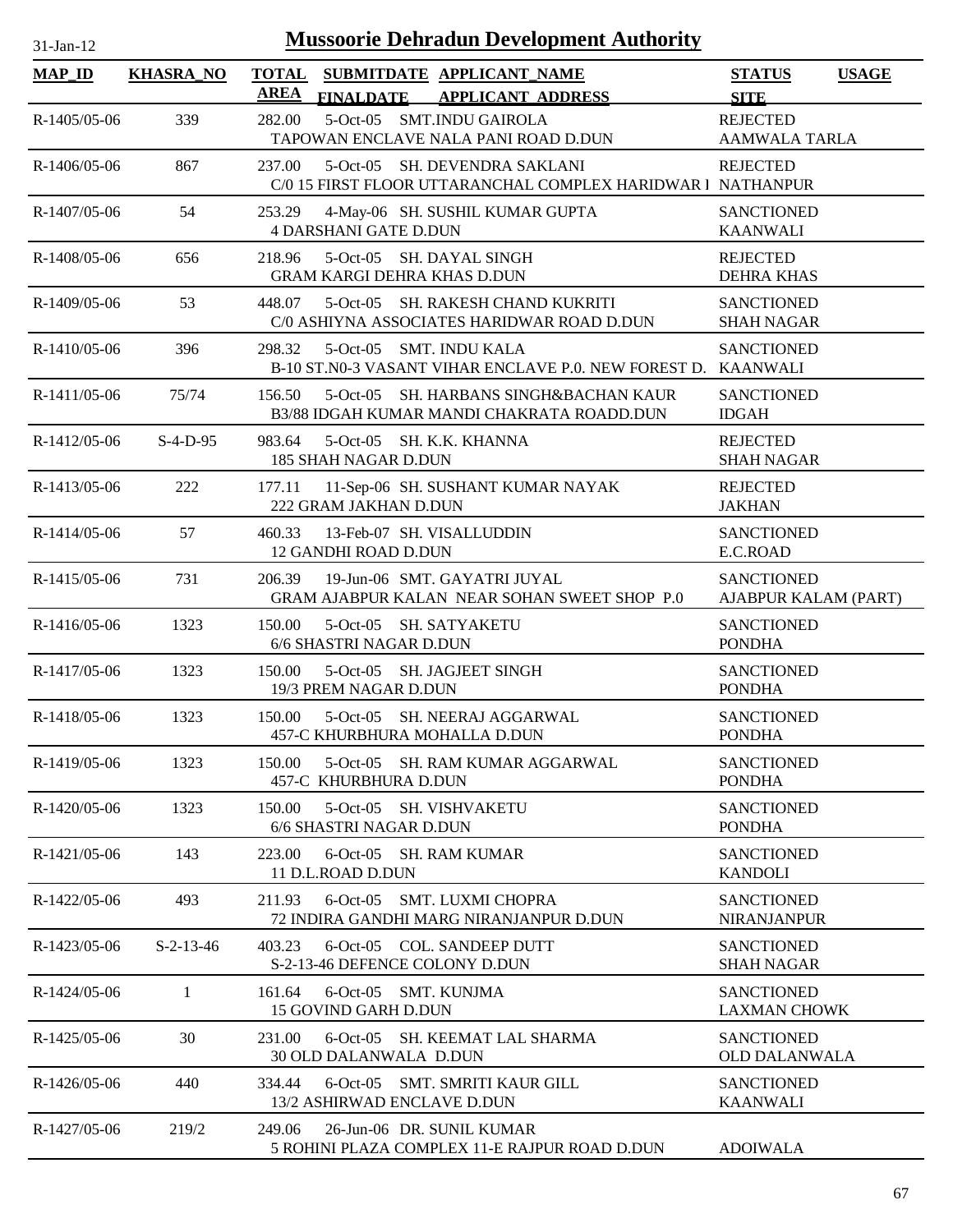| $31-Jan-12$    |                  | <b>Mussoorie Dehradun Development Authority</b>                                                        |                                           |              |
|----------------|------------------|--------------------------------------------------------------------------------------------------------|-------------------------------------------|--------------|
| $MAP$ ID       | <b>KHASRA_NO</b> | TOTAL SUBMITDATE APPLICANT NAME<br><b>AREA</b><br>FINALDATE APPLICANT ADDRESS                          | <b>STATUS</b><br><b>SITE</b>              | <b>USAGE</b> |
| $R-1405/05-06$ | 339              | 5-Oct-05 SMT.INDU GAIROLA<br>282.00<br>TAPOWAN ENCLAVE NALA PANI ROAD D.DUN                            | <b>REJECTED</b><br><b>AAMWALA TARLA</b>   |              |
| R-1406/05-06   | 867              | 237.00<br>5-Oct-05 SH. DEVENDRA SAKLANI<br>C/0 15 FIRST FLOOR UTTARANCHAL COMPLEX HARIDWAR 1 NATHANPUR | <b>REJECTED</b>                           |              |
| R-1407/05-06   | 54               | 253.29<br>4-May-06 SH. SUSHIL KUMAR GUPTA<br><b>4 DARSHANI GATE D.DUN</b>                              | <b>SANCTIONED</b><br><b>KAANWALI</b>      |              |
| R-1408/05-06   | 656              | 5-Oct-05 SH. DAYAL SINGH<br>218.96<br><b>GRAM KARGI DEHRA KHAS D.DUN</b>                               | <b>REJECTED</b><br><b>DEHRA KHAS</b>      |              |
| R-1409/05-06   | 53               | 5-Oct-05 SH. RAKESH CHAND KUKRITI<br>448.07<br>C/0 ASHIYNA ASSOCIATES HARIDWAR ROAD D.DUN              | <b>SANCTIONED</b><br><b>SHAH NAGAR</b>    |              |
| R-1410/05-06   | 396              | 298.32<br>5-Oct-05 SMT. INDU KALA<br>B-10 ST.N0-3 VASANT VIHAR ENCLAVE P.0. NEW FOREST D. KAANWALI     | <b>SANCTIONED</b>                         |              |
| R-1411/05-06   | 75/74            | 5-Oct-05 SH. HARBANS SINGH&BACHAN KAUR<br>156.50<br>B3/88 IDGAH KUMAR MANDI CHAKRATA ROADD.DUN         | <b>SANCTIONED</b><br><b>IDGAH</b>         |              |
| R-1412/05-06   | $S-4-D-95$       | 983.64<br>5-Oct-05 SH. K.K. KHANNA<br>185 SHAH NAGAR D.DUN                                             | <b>REJECTED</b><br><b>SHAH NAGAR</b>      |              |
| R-1413/05-06   | 222              | 11-Sep-06 SH. SUSHANT KUMAR NAYAK<br>177.11<br>222 GRAM JAKHAN D.DUN                                   | <b>REJECTED</b><br><b>JAKHAN</b>          |              |
| R-1414/05-06   | 57               | 460.33<br>13-Feb-07 SH. VISALLUDDIN<br>12 GANDHI ROAD D.DUN                                            | <b>SANCTIONED</b><br>E.C.ROAD             |              |
| R-1415/05-06   | 731              | 19-Jun-06 SMT. GAYATRI JUYAL<br>206.39<br>GRAM AJABPUR KALAN NEAR SOHAN SWEET SHOP P.0                 | <b>SANCTIONED</b><br>AJABPUR KALAM (PART) |              |
| $R-1416/05-06$ | 1323             | 150.00<br>5-Oct-05 SH. SATYAKETU<br>6/6 SHASTRI NAGAR D.DUN                                            | <b>SANCTIONED</b><br><b>PONDHA</b>        |              |
| R-1417/05-06   | 1323             | 150.00<br>5-Oct-05 SH. JAGJEET SINGH<br>19/3 PREM NAGAR D.DUN                                          | <b>SANCTIONED</b><br><b>PONDHA</b>        |              |
| R-1418/05-06   | 1323             | 150.00<br>5-Oct-05 SH. NEERAJ AGGARWAL<br><b>457-C KHURBHURA MOHALLA D.DUN</b>                         | <b>SANCTIONED</b><br><b>PONDHA</b>        |              |
| R-1419/05-06   | 1323             | 5-Oct-05 SH. RAM KUMAR AGGARWAL<br>150.00<br>457-C KHURBHURA D.DUN                                     | <b>SANCTIONED</b><br><b>PONDHA</b>        |              |
| R-1420/05-06   | 1323             | 5-Oct-05 SH. VISHVAKETU<br>150.00<br>6/6 SHASTRI NAGAR D.DUN                                           | <b>SANCTIONED</b><br><b>PONDHA</b>        |              |
| R-1421/05-06   | 143              | 223.00<br>6-Oct-05 SH, RAM KUMAR<br>11 D.L.ROAD D.DUN                                                  | <b>SANCTIONED</b><br><b>KANDOLI</b>       |              |
| R-1422/05-06   | 493              | 6-Oct-05 SMT. LUXMI CHOPRA<br>211.93<br>72 INDIRA GANDHI MARG NIRANJANPUR D.DUN                        | <b>SANCTIONED</b><br><b>NIRANJANPUR</b>   |              |
| R-1423/05-06   | $S-2-13-46$      | 6-Oct-05 COL. SANDEEP DUTT<br>403.23<br>S-2-13-46 DEFENCE COLONY D.DUN                                 | <b>SANCTIONED</b><br><b>SHAH NAGAR</b>    |              |
| R-1424/05-06   | 1                | 161.64<br>6-Oct-05 SMT. KUNJMA<br>15 GOVIND GARH D.DUN                                                 | <b>SANCTIONED</b><br><b>LAXMAN CHOWK</b>  |              |
| R-1425/05-06   | 30               | 231.00<br>6-Oct-05 SH. KEEMAT LAL SHARMA<br>30 OLD DALANWALA D.DUN                                     | <b>SANCTIONED</b><br><b>OLD DALANWALA</b> |              |
| $R-1426/05-06$ | 440              | 6-Oct-05 SMT. SMRITI KAUR GILL<br>334.44<br>13/2 ASHIRWAD ENCLAVE D.DUN                                | <b>SANCTIONED</b><br><b>KAANWALI</b>      |              |
| R-1427/05-06   | 219/2            | 26-Jun-06 DR. SUNIL KUMAR<br>249.06<br>5 ROHINI PLAZA COMPLEX 11-E RAJPUR ROAD D.DUN                   | <b>ADOIWALA</b>                           |              |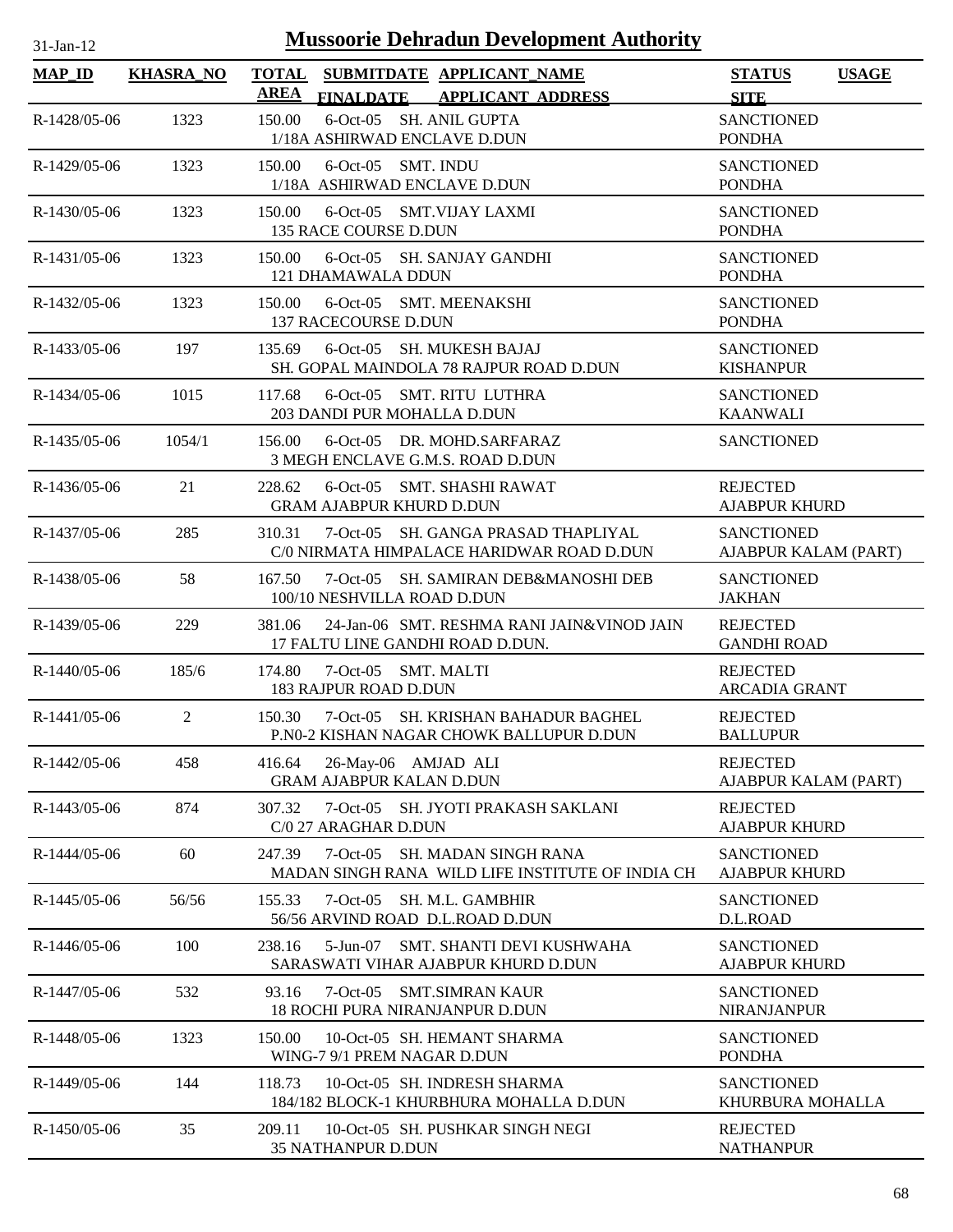| $31-Jan-12$    |                  | <b>Mussoorie Dehradun Development Authority</b>                                             |                                              |
|----------------|------------------|---------------------------------------------------------------------------------------------|----------------------------------------------|
| <b>MAP_ID</b>  | <b>KHASRA_NO</b> | <b>TOTAL</b><br>SUBMITDATE APPLICANT_NAME<br><b>AREA</b><br>FINALDATE APPLICANT ADDRESS     | <b>USAGE</b><br><b>STATUS</b><br><b>SITE</b> |
| R-1428/05-06   | 1323             | 6-Oct-05 SH. ANIL GUPTA<br>150.00<br>1/18A ASHIRWAD ENCLAVE D.DUN                           | <b>SANCTIONED</b><br><b>PONDHA</b>           |
| R-1429/05-06   | 1323             | 150.00<br>6-Oct-05 SMT. INDU<br>1/18A ASHIRWAD ENCLAVE D.DUN                                | <b>SANCTIONED</b><br><b>PONDHA</b>           |
| $R-1430/05-06$ | 1323             | 150.00<br>6-Oct-05 SMT.VIJAY LAXMI<br>135 RACE COURSE D.DUN                                 | <b>SANCTIONED</b><br><b>PONDHA</b>           |
| $R-1431/05-06$ | 1323             | 150.00<br>6-Oct-05 SH. SANJAY GANDHI<br>121 DHAMAWALA DDUN                                  | <b>SANCTIONED</b><br><b>PONDHA</b>           |
| R-1432/05-06   | 1323             | 6-Oct-05 SMT. MEENAKSHI<br>150.00<br>137 RACECOURSE D.DUN                                   | <b>SANCTIONED</b><br><b>PONDHA</b>           |
| R-1433/05-06   | 197              | 135.69<br>6-Oct-05 SH, MUKESH BAJAJ<br>SH. GOPAL MAINDOLA 78 RAJPUR ROAD D.DUN              | <b>SANCTIONED</b><br><b>KISHANPUR</b>        |
| $R-1434/05-06$ | 1015             | 6-Oct-05 SMT. RITU LUTHRA<br>117.68<br>203 DANDI PUR MOHALLA D.DUN                          | <b>SANCTIONED</b><br><b>KAANWALI</b>         |
| R-1435/05-06   | 1054/1           | 156.00<br>6-Oct-05 DR. MOHD.SARFARAZ<br>3 MEGH ENCLAVE G.M.S. ROAD D.DUN                    | <b>SANCTIONED</b>                            |
| $R-1436/05-06$ | 21               | 228.62<br>6-Oct-05 SMT. SHASHI RAWAT<br><b>GRAM AJABPUR KHURD D.DUN</b>                     | <b>REJECTED</b><br><b>AJABPUR KHURD</b>      |
| R-1437/05-06   | 285              | 310.31<br>7-Oct-05 SH, GANGA PRASAD THAPLIYAL<br>C/0 NIRMATA HIMPALACE HARIDWAR ROAD D.DUN  | <b>SANCTIONED</b><br>AJABPUR KALAM (PART)    |
| R-1438/05-06   | 58               | 167.50<br>7-Oct-05 SH. SAMIRAN DEB&MANOSHI DEB<br>100/10 NESHVILLA ROAD D.DUN               | <b>SANCTIONED</b><br><b>JAKHAN</b>           |
| R-1439/05-06   | 229              | 381.06<br>24-Jan-06 SMT. RESHMA RANI JAIN&VINOD JAIN<br>17 FALTU LINE GANDHI ROAD D.DUN.    | <b>REJECTED</b><br><b>GANDHI ROAD</b>        |
| R-1440/05-06   | 185/6            | 174.80<br>7-Oct-05 SMT. MALTI<br><b>183 RAJPUR ROAD D.DUN</b>                               | <b>REJECTED</b><br><b>ARCADIA GRANT</b>      |
| R-1441/05-06   | 2                | 150.30<br>7-Oct-05 SH. KRISHAN BAHADUR BAGHEL<br>P.NO-2 KISHAN NAGAR CHOWK BALLUPUR D.DUN   | <b>REJECTED</b><br><b>BALLUPUR</b>           |
| R-1442/05-06   | 458              | 26-May-06 AMJAD ALI<br>416.64<br><b>GRAM AJABPUR KALAN D.DUN</b>                            | <b>REJECTED</b><br>AJABPUR KALAM (PART)      |
| R-1443/05-06   | 874              | 307.32<br>7-Oct-05 SH. JYOTI PRAKASH SAKLANI<br>C/0 27 ARAGHAR D.DUN                        | <b>REJECTED</b><br><b>AJABPUR KHURD</b>      |
| R-1444/05-06   | 60               | 7-Oct-05 SH. MADAN SINGH RANA<br>247.39<br>MADAN SINGH RANA WILD LIFE INSTITUTE OF INDIA CH | <b>SANCTIONED</b><br><b>AJABPUR KHURD</b>    |
| R-1445/05-06   | 56/56            | 155.33<br>7-Oct-05 SH. M.L. GAMBHIR<br>56/56 ARVIND ROAD D.L.ROAD D.DUN                     | <b>SANCTIONED</b><br>D.L.ROAD                |
| $R-1446/05-06$ | 100              | SMT. SHANTI DEVI KUSHWAHA<br>238.16<br>5-Jun-07<br>SARASWATI VIHAR AJABPUR KHURD D.DUN      | <b>SANCTIONED</b><br><b>AJABPUR KHURD</b>    |
| R-1447/05-06   | 532              | 93.16<br>$7-Oct-05$<br>SMT.SIMRAN KAUR<br>18 ROCHI PURA NIRANJANPUR D.DUN                   | <b>SANCTIONED</b><br><b>NIRANJANPUR</b>      |
| R-1448/05-06   | 1323             | 150.00<br>10-Oct-05 SH. HEMANT SHARMA<br>WING-7 9/1 PREM NAGAR D.DUN                        | <b>SANCTIONED</b><br><b>PONDHA</b>           |
| R-1449/05-06   | 144              | 10-Oct-05 SH. INDRESH SHARMA<br>118.73<br>184/182 BLOCK-1 KHURBHURA MOHALLA D.DUN           | <b>SANCTIONED</b><br>KHURBURA MOHALLA        |
| R-1450/05-06   | 35               | 209.11<br>10-Oct-05 SH. PUSHKAR SINGH NEGI                                                  | <b>REJECTED</b>                              |

35 NATHANPUR D.DUN

NATHANPUR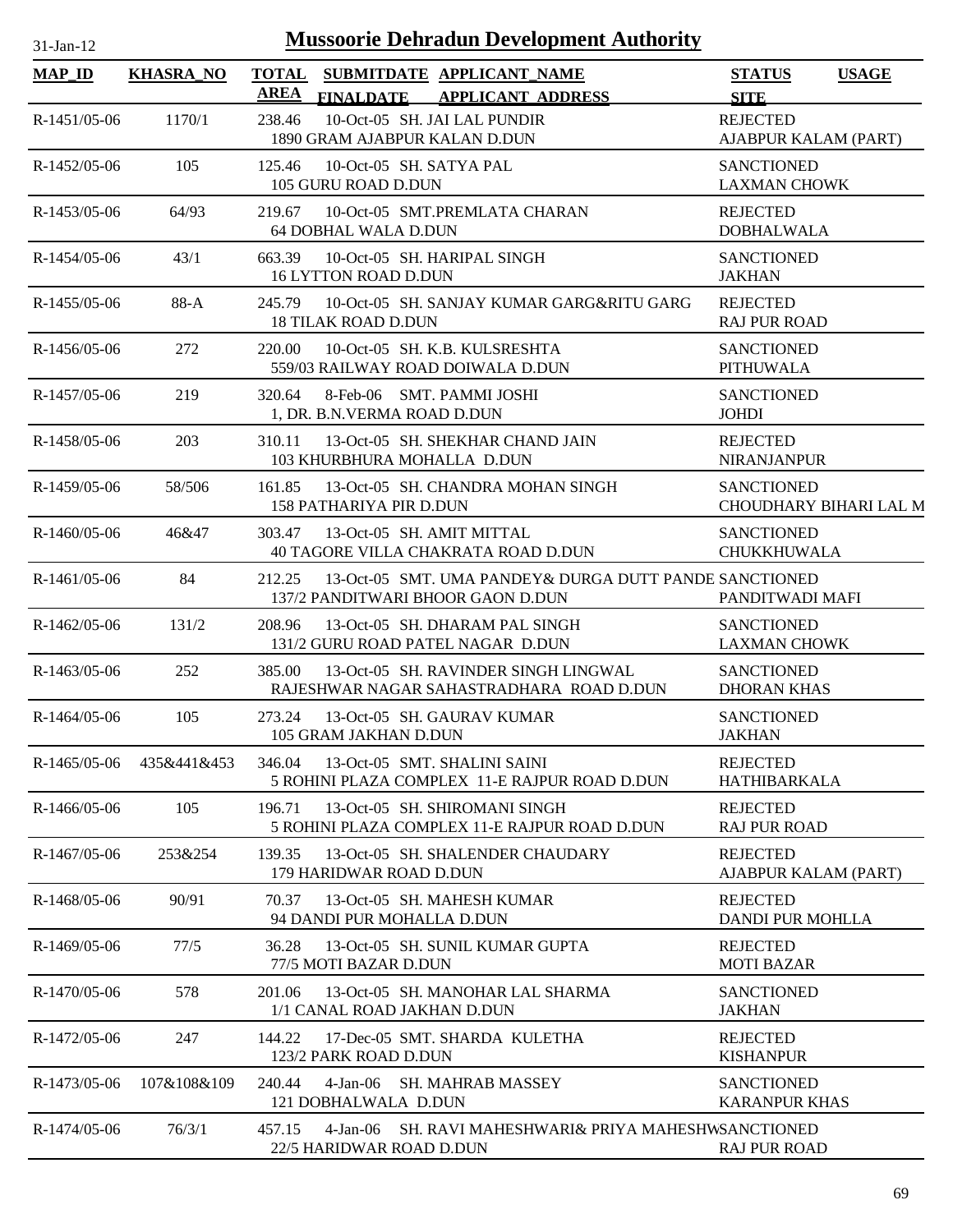| $31$ -Jan-12 |  |
|--------------|--|
|              |  |

| <b>MAP_ID</b>  | <b>KHASRA_NO</b> | <b>TOTAL</b><br><b>AREA</b>                    | SUBMITDATE APPLICANT NAME                                                                   | <b>STATUS</b><br><b>USAGE</b>               |
|----------------|------------------|------------------------------------------------|---------------------------------------------------------------------------------------------|---------------------------------------------|
|                |                  | <b>FINALDATE</b>                               | <b>APPLICANT ADDRESS</b>                                                                    | <b>SITE</b>                                 |
| R-1451/05-06   | 1170/1           | 238.46<br>1890 GRAM AJABPUR KALAN D.DUN        | 10-Oct-05 SH. JAI LAL PUNDIR                                                                | <b>REJECTED</b><br>AJABPUR KALAM (PART)     |
| R-1452/05-06   | 105              | 125.46<br>105 GURU ROAD D.DUN                  | 10-Oct-05 SH, SATYA PAL                                                                     | <b>SANCTIONED</b><br><b>LAXMAN CHOWK</b>    |
| R-1453/05-06   | 64/93            | 219.67<br>64 DOBHAL WALA D.DUN                 | 10-Oct-05 SMT.PREMLATA CHARAN                                                               | <b>REJECTED</b><br><b>DOBHALWALA</b>        |
| R-1454/05-06   | 43/1             | 663.39<br><b>16 LYTTON ROAD D.DUN</b>          | 10-Oct-05 SH. HARIPAL SINGH                                                                 | <b>SANCTIONED</b><br><b>JAKHAN</b>          |
| R-1455/05-06   | $88-A$           | 245.79<br><b>18 TILAK ROAD D.DUN</b>           | 10-Oct-05 SH. SANJAY KUMAR GARG&RITU GARG                                                   | <b>REJECTED</b><br><b>RAJ PUR ROAD</b>      |
| $R-1456/05-06$ | 272              | 220.00                                         | 10-Oct-05 SH. K.B. KULSRESHTA<br>559/03 RAILWAY ROAD DOIWALA D.DUN                          | <b>SANCTIONED</b><br><b>PITHUWALA</b>       |
| R-1457/05-06   | 219              | 320.64<br>1, DR. B.N.VERMA ROAD D.DUN          | 8-Feb-06 SMT. PAMMI JOSHI                                                                   | <b>SANCTIONED</b><br><b>JOHDI</b>           |
| R-1458/05-06   | 203              | 310.11<br>103 KHURBHURA MOHALLA D.DUN          | 13-Oct-05 SH. SHEKHAR CHAND JAIN                                                            | <b>REJECTED</b><br><b>NIRANJANPUR</b>       |
| R-1459/05-06   | 58/506           | 161.85<br>158 PATHARIYA PIR D.DUN              | 13-Oct-05 SH. CHANDRA MOHAN SINGH                                                           | <b>SANCTIONED</b><br>CHOUDHARY BIHARI LAL M |
| R-1460/05-06   | 46&47            | 303.47                                         | 13-Oct-05 SH. AMIT MITTAL<br>40 TAGORE VILLA CHAKRATA ROAD D.DUN                            | <b>SANCTIONED</b><br><b>CHUKKHUWALA</b>     |
| $R-1461/05-06$ | 84               | 212.25                                         | 13-Oct-05 SMT. UMA PANDEY& DURGA DUTT PANDE SANCTIONED<br>137/2 PANDITWARI BHOOR GAON D.DUN | PANDITWADI MAFI                             |
| R-1462/05-06   | 131/2            | 208.96                                         | 13-Oct-05 SH. DHARAM PAL SINGH<br>131/2 GURU ROAD PATEL NAGAR D.DUN                         | <b>SANCTIONED</b><br><b>LAXMAN CHOWK</b>    |
| $R-1463/05-06$ | 252              | 385.00                                         | 13-Oct-05 SH. RAVINDER SINGH LINGWAL<br>RAJESHWAR NAGAR SAHASTRADHARA ROAD D.DUN            | <b>SANCTIONED</b><br><b>DHORAN KHAS</b>     |
| $R-1464/05-06$ | 105              | 273.24<br>105 GRAM JAKHAN D.DUN                | 13-Oct-05 SH. GAURAV KUMAR                                                                  | <b>SANCTIONED</b><br><b>JAKHAN</b>          |
| $R-1465/05-06$ | 435&441&453      | 346.04 13-Oct-05 SMT. SHALINI SAINI            | 5 ROHINI PLAZA COMPLEX 11-E RAJPUR ROAD D.DUN                                               | <b>REJECTED</b><br><b>HATHIBARKALA</b>      |
| $R-1466/05-06$ | 105              | 196.71                                         | 13-Oct-05 SH. SHIROMANI SINGH<br>5 ROHINI PLAZA COMPLEX 11-E RAJPUR ROAD D.DUN              | <b>REJECTED</b><br><b>RAJ PUR ROAD</b>      |
| R-1467/05-06   | 253&254          | 139.35<br>179 HARIDWAR ROAD D.DUN              | 13-Oct-05 SH. SHALENDER CHAUDARY                                                            | <b>REJECTED</b><br>AJABPUR KALAM (PART)     |
| R-1468/05-06   | 90/91            | 70.37<br>94 DANDI PUR MOHALLA D.DUN            | 13-Oct-05 SH. MAHESH KUMAR                                                                  | <b>REJECTED</b><br>DANDI PUR MOHLLA         |
| R-1469/05-06   | 77/5             | 36.28<br>77/5 MOTI BAZAR D.DUN                 | 13-Oct-05 SH. SUNIL KUMAR GUPTA                                                             | <b>REJECTED</b><br><b>MOTI BAZAR</b>        |
| R-1470/05-06   | 578              | 201.06<br>1/1 CANAL ROAD JAKHAN D.DUN          | 13-Oct-05 SH. MANOHAR LAL SHARMA                                                            | <b>SANCTIONED</b><br><b>JAKHAN</b>          |
| R-1472/05-06   | 247              | 144.22<br>123/2 PARK ROAD D.DUN                | 17-Dec-05 SMT. SHARDA KULETHA                                                               | <b>REJECTED</b><br><b>KISHANPUR</b>         |
| R-1473/05-06   | 107&108&109      | 240.44<br>121 DOBHALWALA D.DUN                 | 4-Jan-06 SH. MAHRAB MASSEY                                                                  | <b>SANCTIONED</b><br><b>KARANPUR KHAS</b>   |
| R-1474/05-06   | 76/3/1           | 457.15<br>4-Jan-06<br>22/5 HARIDWAR ROAD D.DUN | SH. RAVI MAHESHWARI& PRIYA MAHESHWSANCTIONED                                                | <b>RAJ PUR ROAD</b>                         |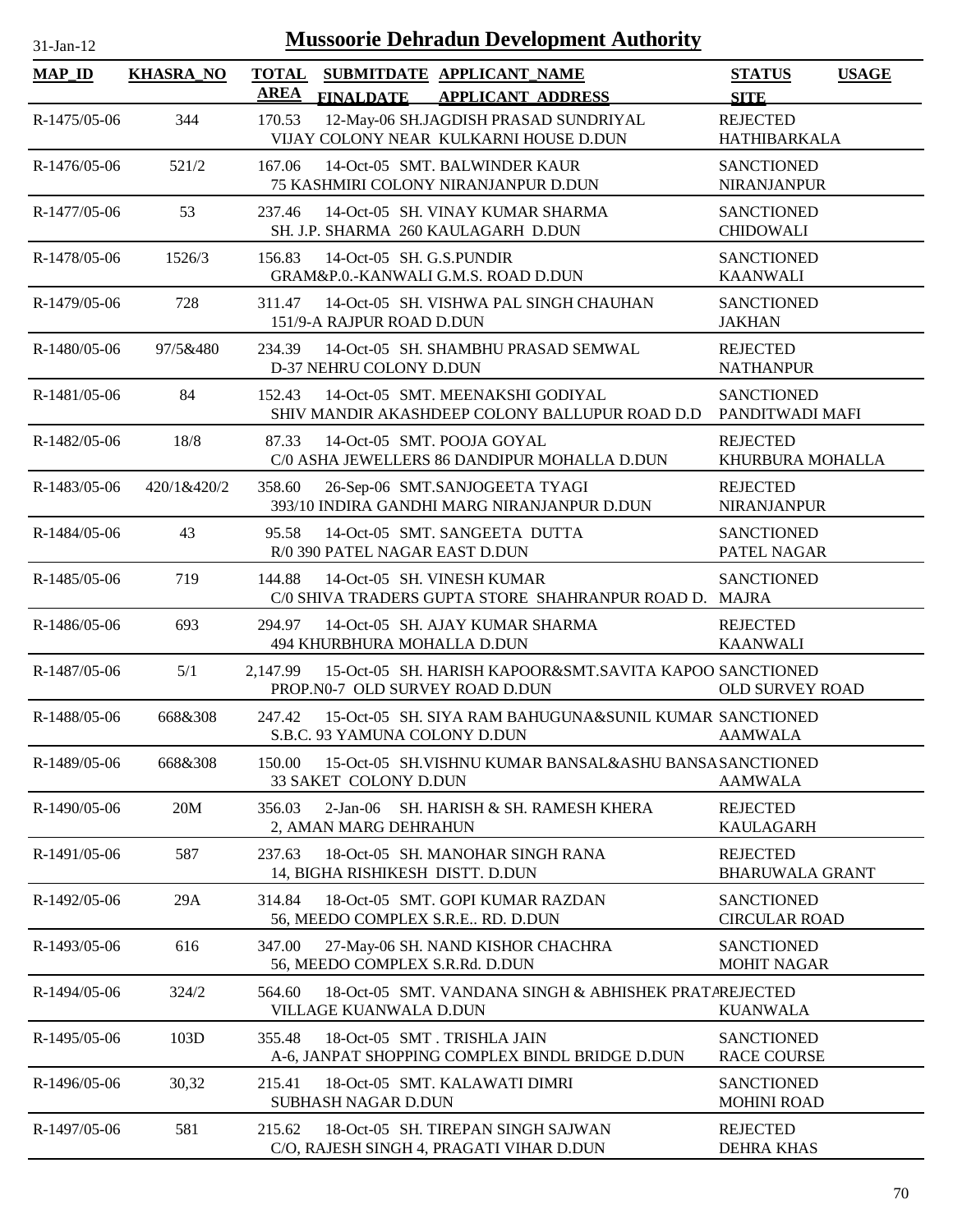| $31-Jan-12$    |                  | <b>Mussoorie Dehradun Development Authority</b>                                                        |                                           |              |
|----------------|------------------|--------------------------------------------------------------------------------------------------------|-------------------------------------------|--------------|
| $MAP$ ID       | <b>KHASRA_NO</b> | <b>TOTAL</b><br>SUBMITDATE APPLICANT_NAME<br><b>AREA</b><br>FINALDATE APPLICANT ADDRESS                | <b>STATUS</b><br><b>SITE</b>              | <b>USAGE</b> |
| $R-1475/05-06$ | 344              | 12-May-06 SH.JAGDISH PRASAD SUNDRIYAL<br>170.53<br>VIJAY COLONY NEAR KULKARNI HOUSE D.DUN              | <b>REJECTED</b><br><b>HATHIBARKALA</b>    |              |
| R-1476/05-06   | 521/2            | 167.06<br>14-Oct-05 SMT. BALWINDER KAUR<br>75 KASHMIRI COLONY NIRANJANPUR D.DUN                        | <b>SANCTIONED</b><br><b>NIRANJANPUR</b>   |              |
| R-1477/05-06   | 53               | 14-Oct-05 SH. VINAY KUMAR SHARMA<br>237.46<br>SH. J.P. SHARMA 260 KAULAGARH D.DUN                      | <b>SANCTIONED</b><br><b>CHIDOWALI</b>     |              |
| R-1478/05-06   | 1526/3           | 156.83<br>14-Oct-05 SH, G.S.PUNDIR<br>GRAM&P.0.-KANWALI G.M.S. ROAD D.DUN                              | <b>SANCTIONED</b><br><b>KAANWALI</b>      |              |
| R-1479/05-06   | 728              | 14-Oct-05 SH. VISHWA PAL SINGH CHAUHAN<br>311.47<br>151/9-A RAJPUR ROAD D.DUN                          | <b>SANCTIONED</b><br><b>JAKHAN</b>        |              |
| R-1480/05-06   | 97/5&480         | 14-Oct-05 SH. SHAMBHU PRASAD SEMWAL<br>234.39<br>D-37 NEHRU COLONY D.DUN                               | <b>REJECTED</b><br><b>NATHANPUR</b>       |              |
| R-1481/05-06   | 84               | 14-Oct-05 SMT. MEENAKSHI GODIYAL<br>152.43<br>SHIV MANDIR AKASHDEEP COLONY BALLUPUR ROAD D.D           | <b>SANCTIONED</b><br>PANDITWADI MAFI      |              |
| R-1482/05-06   | 18/8             | 87.33<br>14-Oct-05 SMT. POOJA GOYAL<br>C/0 ASHA JEWELLERS 86 DANDIPUR MOHALLA D.DUN                    | <b>REJECTED</b><br>KHURBURA MOHALLA       |              |
| R-1483/05-06   | 420/1&420/2      | 26-Sep-06 SMT.SANJOGEETA TYAGI<br>358.60<br>393/10 INDIRA GANDHI MARG NIRANJANPUR D.DUN                | <b>REJECTED</b><br>NIRANJANPUR            |              |
| R-1484/05-06   | 43               | 95.58<br>14-Oct-05 SMT. SANGEETA DUTTA<br>R/0 390 PATEL NAGAR EAST D.DUN                               | <b>SANCTIONED</b><br>PATEL NAGAR          |              |
| R-1485/05-06   | 719              | 14-Oct-05 SH. VINESH KUMAR<br>144.88<br>C/0 SHIVA TRADERS GUPTA STORE SHAHRANPUR ROAD D. MAJRA         | <b>SANCTIONED</b>                         |              |
| R-1486/05-06   | 693              | 294.97<br>14-Oct-05 SH. AJAY KUMAR SHARMA<br>494 KHURBHURA MOHALLA D.DUN                               | <b>REJECTED</b><br><b>KAANWALI</b>        |              |
| R-1487/05-06   | 5/1              | 15-Oct-05 SH. HARISH KAPOOR&SMT.SAVITA KAPOO SANCTIONED<br>2,147.99<br>PROP.N0-7 OLD SURVEY ROAD D.DUN | <b>OLD SURVEY ROAD</b>                    |              |
| R-1488/05-06   | 668&308          | 247.42<br>15-Oct-05 SH. SIYA RAM BAHUGUNA&SUNIL KUMAR SANCTIONED<br>S.B.C. 93 YAMUNA COLONY D.DUN      | <b>AAMWALA</b>                            |              |
| R-1489/05-06   | 668&308          | 15-Oct-05 SH.VISHNU KUMAR BANSAL&ASHU BANSASANCTIONED<br>150.00<br>33 SAKET COLONY D.DUN               | <b>AAMWALA</b>                            |              |
| R-1490/05-06   | 20M              | $2-Jan-06$<br>356.03<br>SH. HARISH & SH. RAMESH KHERA<br>2, AMAN MARG DEHRAHUN                         | <b>REJECTED</b><br><b>KAULAGARH</b>       |              |
| R-1491/05-06   | 587              | 18-Oct-05 SH. MANOHAR SINGH RANA<br>237.63<br>14, BIGHA RISHIKESH DISTT. D.DUN                         | <b>REJECTED</b><br><b>BHARUWALA GRANT</b> |              |
| R-1492/05-06   | 29A              | 314.84<br>18-Oct-05 SMT. GOPI KUMAR RAZDAN<br>56, MEEDO COMPLEX S.R.E RD. D.DUN                        | <b>SANCTIONED</b><br><b>CIRCULAR ROAD</b> |              |
| R-1493/05-06   | 616              | 27-May-06 SH. NAND KISHOR CHACHRA<br>347.00<br>56, MEEDO COMPLEX S.R.Rd. D.DUN                         | <b>SANCTIONED</b><br><b>MOHIT NAGAR</b>   |              |
| R-1494/05-06   | 324/2            | 564.60<br>18-Oct-05 SMT. VANDANA SINGH & ABHISHEK PRATAREJECTED<br>VILLAGE KUANWALA D.DUN              | <b>KUANWALA</b>                           |              |
| R-1495/05-06   | 103D             | 18-Oct-05 SMT. TRISHLA JAIN<br>355.48<br>A-6, JANPAT SHOPPING COMPLEX BINDL BRIDGE D.DUN               | <b>SANCTIONED</b><br><b>RACE COURSE</b>   |              |
| R-1496/05-06   | 30,32            | 215.41<br>18-Oct-05 SMT. KALAWATI DIMRI<br>SUBHASH NAGAR D.DUN                                         | <b>SANCTIONED</b><br><b>MOHINI ROAD</b>   |              |

R-1497/05-06 581 18-Oct-05 REJECTED SH. TIREPAN SINGH SAJWAN

215.62

C/O, RAJESH SINGH 4, PRAGATI VIHAR D.DUN

DEHRA KHAS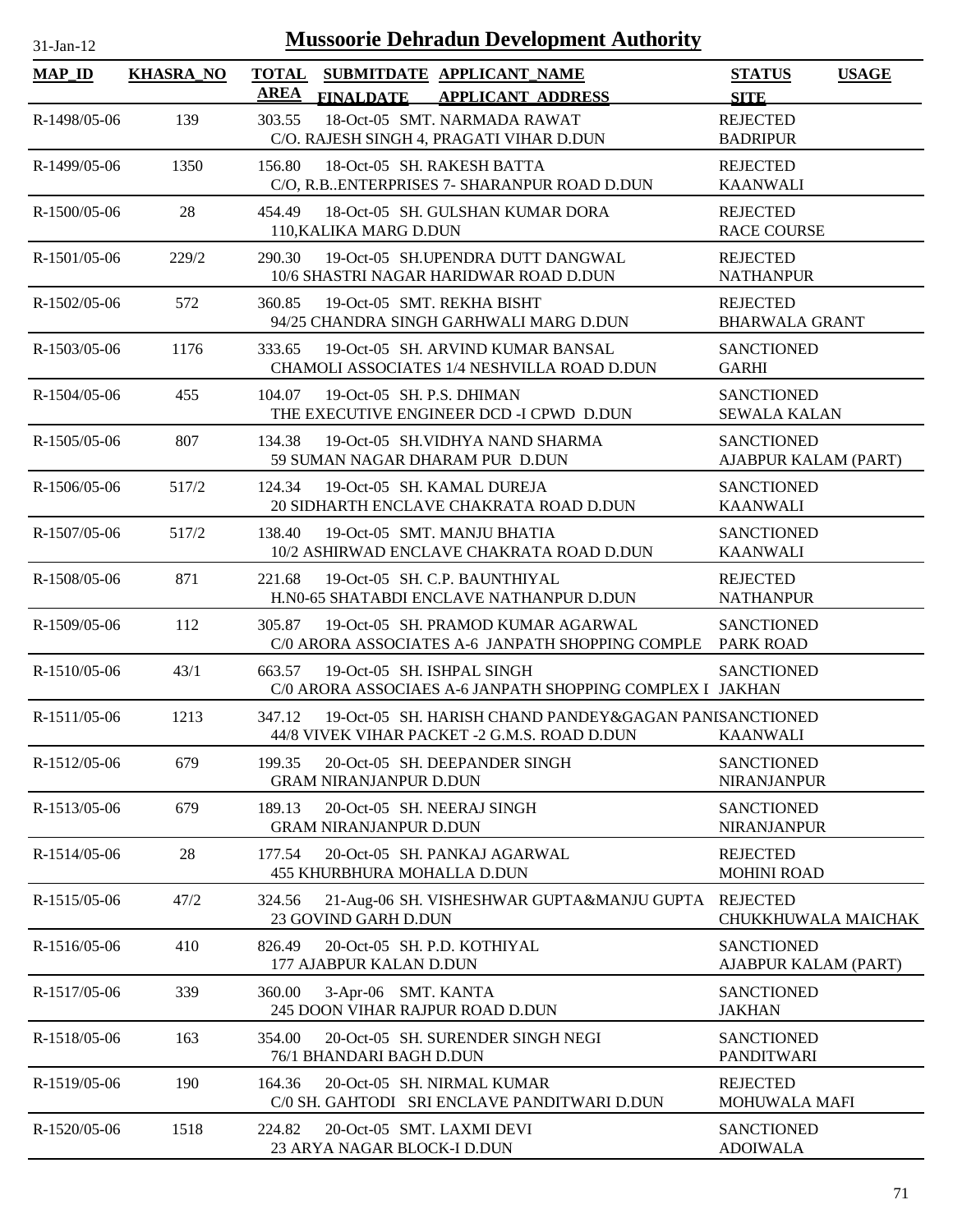| $31$ -Jan-12   |                  | <b>Mussoorie Dehradun Development Authority</b>                                                                  |                                              |
|----------------|------------------|------------------------------------------------------------------------------------------------------------------|----------------------------------------------|
| <b>MAP_ID</b>  | <b>KHASRA_NO</b> | <b>TOTAL</b><br>SUBMITDATE APPLICANT_NAME<br><b>AREA</b><br>FINALDATE APPLICANT ADDRESS                          | <b>USAGE</b><br><b>STATUS</b><br><b>SITE</b> |
| R-1498/05-06   | 139              | 18-Oct-05 SMT. NARMADA RAWAT<br>303.55<br>C/O. RAJESH SINGH 4, PRAGATI VIHAR D.DUN                               | <b>REJECTED</b><br><b>BADRIPUR</b>           |
| R-1499/05-06   | 1350             | 156.80<br>18-Oct-05 SH. RAKESH BATTA<br>C/O, R.B. ENTERPRISES 7- SHARANPUR ROAD D.DUN                            | <b>REJECTED</b><br><b>KAANWALI</b>           |
| R-1500/05-06   | 28               | 454.49<br>18-Oct-05 SH, GULSHAN KUMAR DORA<br>110, KALIKA MARG D.DUN                                             | <b>REJECTED</b><br><b>RACE COURSE</b>        |
| $R-1501/05-06$ | 229/2            | 19-Oct-05 SH.UPENDRA DUTT DANGWAL<br>290.30<br>10/6 SHASTRI NAGAR HARIDWAR ROAD D.DUN                            | <b>REJECTED</b><br><b>NATHANPUR</b>          |
| R-1502/05-06   | 572              | 19-Oct-05 SMT. REKHA BISHT<br>360.85<br>94/25 CHANDRA SINGH GARHWALI MARG D.DUN                                  | <b>REJECTED</b><br><b>BHARWALA GRANT</b>     |
| $R-1503/05-06$ | 1176             | 333.65<br>19-Oct-05 SH. ARVIND KUMAR BANSAL<br>CHAMOLI ASSOCIATES 1/4 NESHVILLA ROAD D.DUN                       | <b>SANCTIONED</b><br><b>GARHI</b>            |
| $R-1504/05-06$ | 455              | 19-Oct-05 SH. P.S. DHIMAN<br>104.07<br>THE EXECUTIVE ENGINEER DCD -I CPWD D.DUN                                  | <b>SANCTIONED</b><br><b>SEWALA KALAN</b>     |
| R-1505/05-06   | 807              | 134.38<br>19-Oct-05 SH.VIDHYA NAND SHARMA<br>59 SUMAN NAGAR DHARAM PUR D.DUN                                     | <b>SANCTIONED</b><br>AJABPUR KALAM (PART)    |
| R-1506/05-06   | 517/2            | 19-Oct-05 SH. KAMAL DUREJA<br>124.34<br>20 SIDHARTH ENCLAVE CHAKRATA ROAD D.DUN                                  | <b>SANCTIONED</b><br><b>KAANWALI</b>         |
| $R-1507/05-06$ | 517/2            | 19-Oct-05 SMT. MANJU BHATIA<br>138.40<br>10/2 ASHIRWAD ENCLAVE CHAKRATA ROAD D.DUN                               | <b>SANCTIONED</b><br><b>KAANWALI</b>         |
| R-1508/05-06   | 871              | 19-Oct-05 SH. C.P. BAUNTHIYAL<br>221.68<br>H.N0-65 SHATABDI ENCLAVE NATHANPUR D.DUN                              | <b>REJECTED</b><br><b>NATHANPUR</b>          |
| R-1509/05-06   | 112              | 305.87<br>19-Oct-05 SH. PRAMOD KUMAR AGARWAL<br>C/0 ARORA ASSOCIATES A-6 JANPATH SHOPPING COMPLE                 | <b>SANCTIONED</b><br><b>PARK ROAD</b>        |
| R-1510/05-06   | 43/1             | 663.57<br>19-Oct-05 SH. ISHPAL SINGH<br>C/0 ARORA ASSOCIAES A-6 JANPATH SHOPPING COMPLEX I JAKHAN                | <b>SANCTIONED</b>                            |
| $R-1511/05-06$ | 1213             | 347.12<br>19-Oct-05 SH. HARISH CHAND PANDEY&GAGAN PANISANCTIONED<br>44/8 VIVEK VIHAR PACKET -2 G.M.S. ROAD D.DUN | <b>KAANWALI</b>                              |
| R-1512/05-06   | 679              | 20-Oct-05 SH. DEEPANDER SINGH<br>199.35<br><b>GRAM NIRANJANPUR D.DUN</b>                                         | <b>SANCTIONED</b><br><b>NIRANJANPUR</b>      |
| R-1513/05-06   | 679              | 189.13<br>20-Oct-05 SH. NEERAJ SINGH<br><b>GRAM NIRANJANPUR D.DUN</b>                                            | <b>SANCTIONED</b><br>NIRANJANPUR             |
| R-1514/05-06   | 28               | 20-Oct-05 SH. PANKAJ AGARWAL<br>177.54<br><b>455 KHURBHURA MOHALLA D.DUN</b>                                     | <b>REJECTED</b><br><b>MOHINI ROAD</b>        |
| R-1515/05-06   | 47/2             | 324.56<br>21-Aug-06 SH. VISHESHWAR GUPTA&MANJU GUPTA REJECTED<br>23 GOVIND GARH D.DUN                            | CHUKKHUWALA MAICHAK                          |
| R-1516/05-06   | 410              | 20-Oct-05 SH. P.D. KOTHIYAL<br>826.49<br>177 AJABPUR KALAN D.DUN                                                 | <b>SANCTIONED</b><br>AJABPUR KALAM (PART)    |
| R-1517/05-06   | 339              | 360.00<br>3-Apr-06 SMT. KANTA<br>245 DOON VIHAR RAJPUR ROAD D.DUN                                                | <b>SANCTIONED</b><br><b>JAKHAN</b>           |
| R-1518/05-06   | 163              | 20-Oct-05 SH. SURENDER SINGH NEGI<br>354.00<br>76/1 BHANDARI BAGH D.DUN                                          | <b>SANCTIONED</b><br><b>PANDITWARI</b>       |
| R-1519/05-06   | 190              | 20-Oct-05 SH. NIRMAL KUMAR<br>164.36<br>C/0 SH. GAHTODI SRI ENCLAVE PANDITWARI D.DUN                             | <b>REJECTED</b><br><b>MOHUWALA MAFI</b>      |
| R-1520/05-06   | 1518             | 20-Oct-05 SMT. LAXMI DEVI<br>224.82<br>23 ARYA NAGAR BLOCK-I D.DUN                                               | <b>SANCTIONED</b><br><b>ADOIWALA</b>         |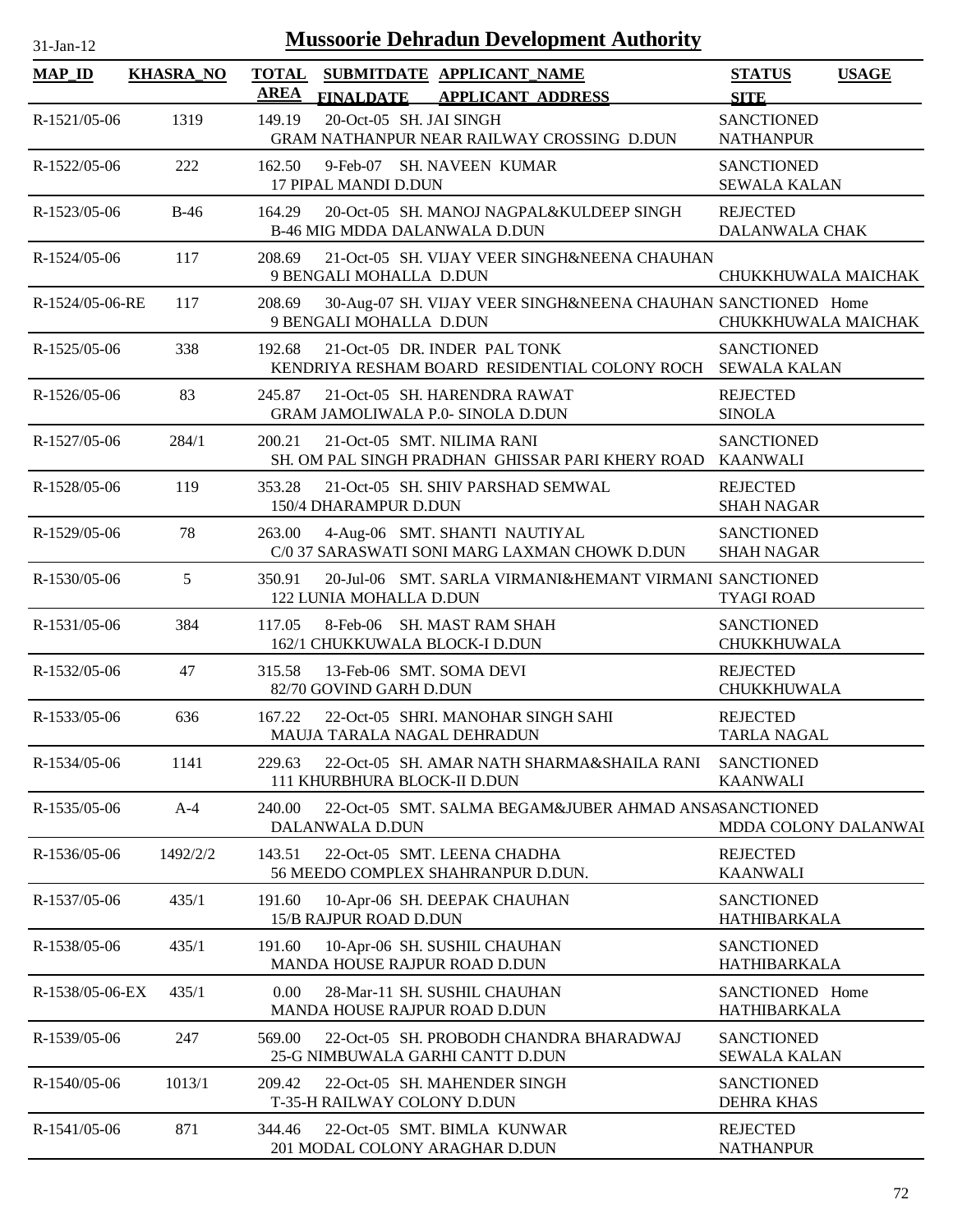| <b>Mussoorie Dehradun Development Authority</b><br>31-Jan-12 |                  |                                                                                                          |                                          |              |
|--------------------------------------------------------------|------------------|----------------------------------------------------------------------------------------------------------|------------------------------------------|--------------|
| $MAP$ <sub>ID</sub>                                          | <b>KHASRA_NO</b> | <b>TOTAL</b><br>SUBMITDATE APPLICANT NAME<br><b>AREA</b><br><b>FINALDATE</b><br><b>APPLICANT ADDRESS</b> | <b>STATUS</b><br><b>SITE</b>             | <b>USAGE</b> |
| R-1521/05-06                                                 | 1319             | 20-Oct-05 SH. JAI SINGH<br>149.19<br>GRAM NATHANPUR NEAR RAILWAY CROSSING D.DUN                          | <b>SANCTIONED</b><br><b>NATHANPUR</b>    |              |
| R-1522/05-06                                                 | 222              | 9-Feb-07 SH. NAVEEN KUMAR<br>162.50<br>17 PIPAL MANDI D.DUN                                              | <b>SANCTIONED</b><br><b>SEWALA KALAN</b> |              |
| R-1523/05-06                                                 | $B-46$           | 20-Oct-05 SH. MANOJ NAGPAL&KULDEEP SINGH<br>164.29<br><b>B-46 MIG MDDA DALANWALA D.DUN</b>               | <b>REJECTED</b><br>DALANWALA CHAK        |              |
| R-1524/05-06                                                 | 117              | 21-Oct-05 SH. VIJAY VEER SINGH&NEENA CHAUHAN<br>208.69<br>9 BENGALI MOHALLA D.DUN                        | CHUKKHUWALA MAICHAK                      |              |
| R-1524/05-06-RE                                              | 117              | 208.69<br>30-Aug-07 SH. VIJAY VEER SINGH&NEENA CHAUHAN SANCTIONED Home<br>9 BENGALI MOHALLA D.DUN        | CHUKKHUWALA MAICHAK                      |              |
| R-1525/05-06                                                 | 338              | 21-Oct-05 DR. INDER PAL TONK<br>192.68<br>KENDRIYA RESHAM BOARD RESIDENTIAL COLONY ROCH                  | <b>SANCTIONED</b><br><b>SEWALA KALAN</b> |              |
| R-1526/05-06                                                 | 83               | 245.87<br>21-Oct-05 SH. HARENDRA RAWAT<br>GRAM JAMOLIWALA P.0- SINOLA D.DUN                              | <b>REJECTED</b><br><b>SINOLA</b>         |              |
| R-1527/05-06                                                 | 284/1            | 21-Oct-05 SMT. NILIMA RANI<br>200.21<br>SH. OM PAL SINGH PRADHAN GHISSAR PARI KHERY ROAD                 | <b>SANCTIONED</b><br>KAANWALI            |              |
| R-1528/05-06                                                 | 119              | 353.28<br>21-Oct-05 SH. SHIV PARSHAD SEMWAL<br>150/4 DHARAMPUR D.DUN                                     | <b>REJECTED</b><br><b>SHAH NAGAR</b>     |              |
| R-1529/05-06                                                 | 78               | 4-Aug-06 SMT. SHANTI NAUTIYAL<br>263.00<br>C/0 37 SARASWATI SONI MARG LAXMAN CHOWK D.DUN                 | <b>SANCTIONED</b><br><b>SHAH NAGAR</b>   |              |
| R-1530/05-06                                                 | 5                | 350.91<br>20-Jul-06 SMT. SARLA VIRMANI&HEMANT VIRMANI SANCTIONED<br>122 LUNIA MOHALLA D.DUN              | <b>TYAGI ROAD</b>                        |              |
| R-1531/05-06                                                 | 384              | 8-Feb-06 SH. MAST RAM SHAH<br>117.05<br>162/1 CHUKKUWALA BLOCK-I D.DUN                                   | <b>SANCTIONED</b><br>CHUKKHUWALA         |              |
| R-1532/05-06                                                 | 47               | 13-Feb-06 SMT. SOMA DEVI<br>315.58<br>82/70 GOVIND GARH D.DUN                                            | <b>REJECTED</b><br>CHUKKHUWALA           |              |
| R-1533/05-06                                                 | 636              | 167.22<br>22-Oct-05 SHRI. MANOHAR SINGH SAHI<br><b>MAUJA TARALA NAGAL DEHRADUN</b>                       | <b>REJECTED</b><br><b>TARLA NAGAL</b>    |              |
| R-1534/05-06                                                 | 1141             | 229.63<br>22-Oct-05 SH. AMAR NATH SHARMA&SHAILA RANI<br>111 KHURBHURA BLOCK-II D.DUN                     | <b>SANCTIONED</b><br><b>KAANWALI</b>     |              |
| R-1535/05-06                                                 | $A-4$            | 22-Oct-05 SMT. SALMA BEGAM&JUBER AHMAD ANSASANCTIONED<br>240.00<br>DALANWALA D.DUN                       | MDDA COLONY DALANWAI                     |              |
| R-1536/05-06                                                 | 1492/2/2         | 143.51<br>22-Oct-05 SMT. LEENA CHADHA<br>56 MEEDO COMPLEX SHAHRANPUR D.DUN.                              | <b>REJECTED</b><br><b>KAANWALI</b>       |              |
| R-1537/05-06                                                 | 435/1            | 10-Apr-06 SH. DEEPAK CHAUHAN<br>191.60<br>15/B RAJPUR ROAD D.DUN                                         | <b>SANCTIONED</b><br>HATHIBARKALA        |              |
| R-1538/05-06                                                 | 435/1            | 191.60<br>10-Apr-06 SH. SUSHIL CHAUHAN<br>MANDA HOUSE RAJPUR ROAD D.DUN                                  | <b>SANCTIONED</b><br>HATHIBARKALA        |              |
| R-1538/05-06-EX                                              | 435/1            | 0.00<br>28-Mar-11 SH. SUSHIL CHAUHAN<br>MANDA HOUSE RAJPUR ROAD D.DUN                                    | SANCTIONED Home<br>HATHIBARKALA          |              |
| R-1539/05-06                                                 | 247              | 569.00<br>22-Oct-05 SH. PROBODH CHANDRA BHARADWAJ<br>25-G NIMBUWALA GARHI CANTT D.DUN                    | <b>SANCTIONED</b><br><b>SEWALA KALAN</b> |              |
| R-1540/05-06                                                 | 1013/1           | 209.42<br>22-Oct-05 SH. MAHENDER SINGH<br>T-35-H RAILWAY COLONY D.DUN                                    | <b>SANCTIONED</b><br><b>DEHRA KHAS</b>   |              |
| R-1541/05-06                                                 | 871              | 22-Oct-05 SMT. BIMLA KUNWAR<br>344.46<br>201 MODAL COLONY ARAGHAR D.DUN                                  | <b>REJECTED</b><br><b>NATHANPUR</b>      |              |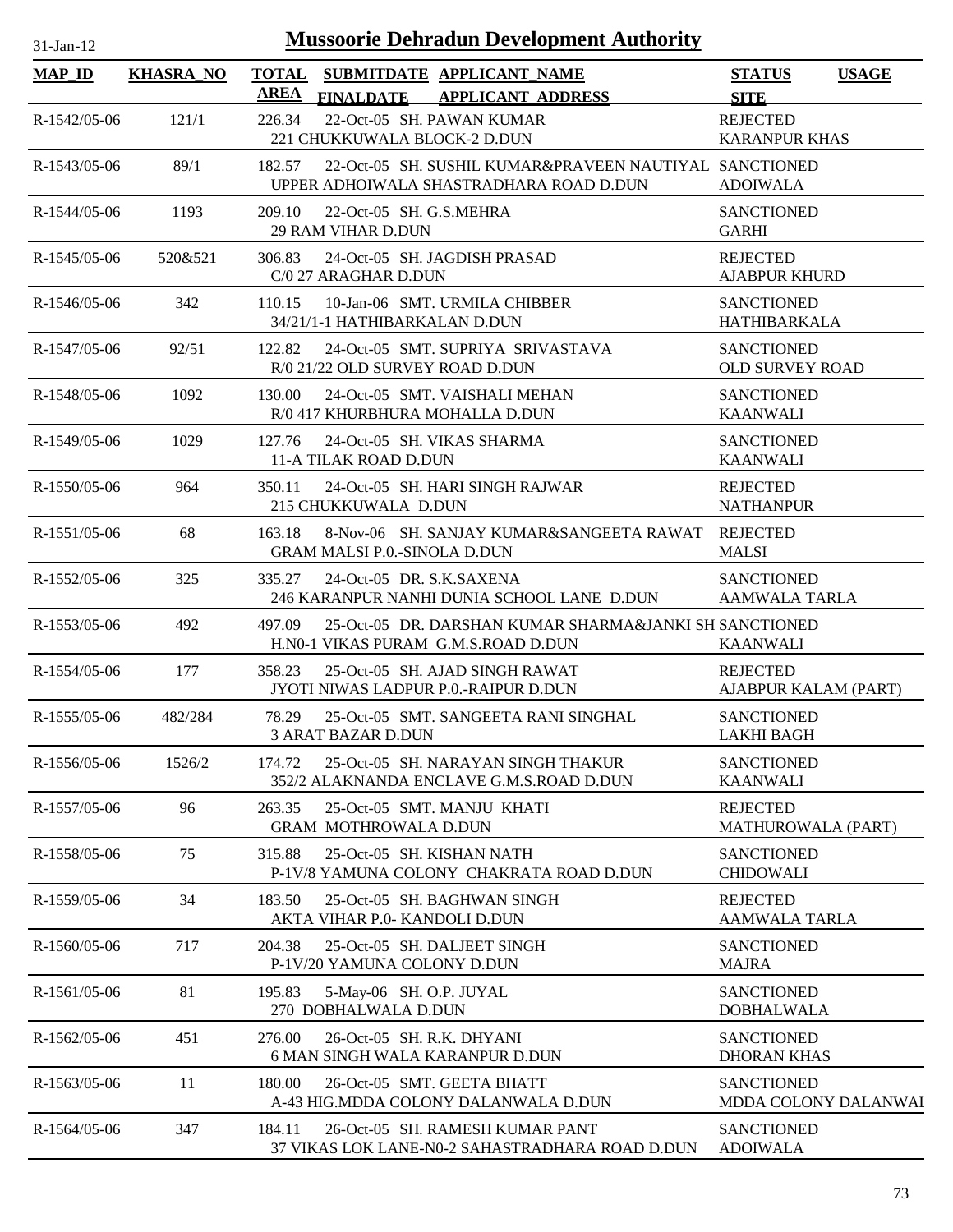| $31-Jan-12$    |                  | <b>Mussoorie Dehradun Development Authority</b>                                                             |                                              |
|----------------|------------------|-------------------------------------------------------------------------------------------------------------|----------------------------------------------|
| $MAP_ID$       | <b>KHASRA_NO</b> | <b>TOTAL</b><br>SUBMITDATE APPLICANT_NAME<br>AREA<br><b>FINALDATE</b><br><b>APPLICANT ADDRESS</b>           | <b>STATUS</b><br><b>USAGE</b><br><b>SITE</b> |
| R-1542/05-06   | 121/1            | 22-Oct-05 SH. PAWAN KUMAR<br>226.34<br>221 CHUKKUWALA BLOCK-2 D.DUN                                         | <b>REJECTED</b><br><b>KARANPUR KHAS</b>      |
| $R-1543/05-06$ | 89/1             | 182.57<br>22-Oct-05 SH. SUSHIL KUMAR&PRAVEEN NAUTIYAL SANCTIONED<br>UPPER ADHOIWALA SHASTRADHARA ROAD D.DUN | <b>ADOIWALA</b>                              |
| R-1544/05-06   | 1193             | 209.10<br>22-Oct-05 SH, G.S.MEHRA<br><b>29 RAM VIHAR D.DUN</b>                                              | <b>SANCTIONED</b><br><b>GARHI</b>            |
| $R-1545/05-06$ | 520&521          | 306.83<br>24-Oct-05 SH. JAGDISH PRASAD<br>C/0 27 ARAGHAR D.DUN                                              | <b>REJECTED</b><br><b>AJABPUR KHURD</b>      |
| $R-1546/05-06$ | 342              | 10-Jan-06 SMT. URMILA CHIBBER<br>110.15<br>34/21/1-1 HATHIBARKALAN D.DUN                                    | <b>SANCTIONED</b><br><b>HATHIBARKALA</b>     |
| R-1547/05-06   | 92/51            | 122.82<br>24-Oct-05 SMT. SUPRIYA SRIVASTAVA<br>R/0 21/22 OLD SURVEY ROAD D.DUN                              | <b>SANCTIONED</b><br><b>OLD SURVEY ROAD</b>  |
| R-1548/05-06   | 1092             | 130.00<br>24-Oct-05 SMT. VAISHALI MEHAN<br>R/0 417 KHURBHURA MOHALLA D.DUN                                  | <b>SANCTIONED</b><br><b>KAANWALI</b>         |
| $R-1549/05-06$ | 1029             | 127.76<br>24-Oct-05 SH, VIKAS SHARMA<br>11-A TILAK ROAD D.DUN                                               | <b>SANCTIONED</b><br><b>KAANWALI</b>         |
| R-1550/05-06   | 964              | 350.11<br>24-Oct-05 SH. HARI SINGH RAJWAR<br>215 CHUKKUWALA D.DUN                                           | <b>REJECTED</b><br><b>NATHANPUR</b>          |
| $R-1551/05-06$ | 68               | 8-Nov-06 SH. SANJAY KUMAR&SANGEETA RAWAT REJECTED<br>163.18<br><b>GRAM MALSI P.0.-SINOLA D.DUN</b>          | <b>MALSI</b>                                 |
| R-1552/05-06   | 325              | 24-Oct-05 DR. S.K.SAXENA<br>335.27<br>246 KARANPUR NANHI DUNIA SCHOOL LANE D.DUN                            | <b>SANCTIONED</b><br><b>AAMWALA TARLA</b>    |
| R-1553/05-06   | 492              | 497.09<br>25-Oct-05 DR. DARSHAN KUMAR SHARMA&JANKI SH SANCTIONED<br>H.NO-1 VIKAS PURAM G.M.S.ROAD D.DUN     | <b>KAANWALI</b>                              |
| $R-1554/05-06$ | 177              | 358.23<br>25-Oct-05 SH. AJAD SINGH RAWAT<br>JYOTI NIWAS LADPUR P.O.-RAIPUR D.DUN                            | <b>REJECTED</b><br>AJABPUR KALAM (PART)      |
| R-1555/05-06   | 482/284          | 78.29<br>25-Oct-05 SMT. SANGEETA RANI SINGHAL<br><b>3 ARAT BAZAR D.DUN</b>                                  | <b>SANCTIONED</b><br><b>LAKHI BAGH</b>       |
| R-1556/05-06   | 1526/2           | 25-Oct-05 SH. NARAYAN SINGH THAKUR<br>174.72<br>352/2 ALAKNANDA ENCLAVE G.M.S.ROAD D.DUN                    | <b>SANCTIONED</b><br><b>KAANWALI</b>         |
| R-1557/05-06   | 96               | 263.35<br>25-Oct-05 SMT. MANJU KHATI<br><b>GRAM MOTHROWALA D.DUN</b>                                        | <b>REJECTED</b><br>MATHUROWALA (PART)        |
| R-1558/05-06   | 75               | 25-Oct-05 SH. KISHAN NATH<br>315.88<br>P-1V/8 YAMUNA COLONY CHAKRATA ROAD D.DUN                             | <b>SANCTIONED</b><br><b>CHIDOWALI</b>        |
| R-1559/05-06   | 34               | 183.50<br>25-Oct-05 SH. BAGHWAN SINGH<br>AKTA VIHAR P.0- KANDOLI D.DUN                                      | <b>REJECTED</b><br><b>AAMWALA TARLA</b>      |
| R-1560/05-06   | 717              | 204.38<br>25-Oct-05 SH. DALJEET SINGH<br>P-1V/20 YAMUNA COLONY D.DUN                                        | <b>SANCTIONED</b><br><b>MAJRA</b>            |
| R-1561/05-06   | 81               | 195.83<br>5-May-06 SH. O.P. JUYAL<br>270 DOBHALWALA D.DUN                                                   | <b>SANCTIONED</b><br><b>DOBHALWALA</b>       |
| R-1562/05-06   | 451              | 276.00<br>26-Oct-05 SH, R.K. DHYANI<br><b>6 MAN SINGH WALA KARANPUR D.DUN</b>                               | <b>SANCTIONED</b><br><b>DHORAN KHAS</b>      |
| R-1563/05-06   | 11               | 26-Oct-05 SMT. GEETA BHATT<br>180.00<br>A-43 HIG.MDDA COLONY DALANWALA D.DUN                                | <b>SANCTIONED</b><br>MDDA COLONY DALANWAI    |
| R-1564/05-06   | 347              | 26-Oct-05 SH. RAMESH KUMAR PANT<br>184.11<br>37 VIKAS LOK LANE-N0-2 SAHASTRADHARA ROAD D.DUN                | <b>SANCTIONED</b><br><b>ADOIWALA</b>         |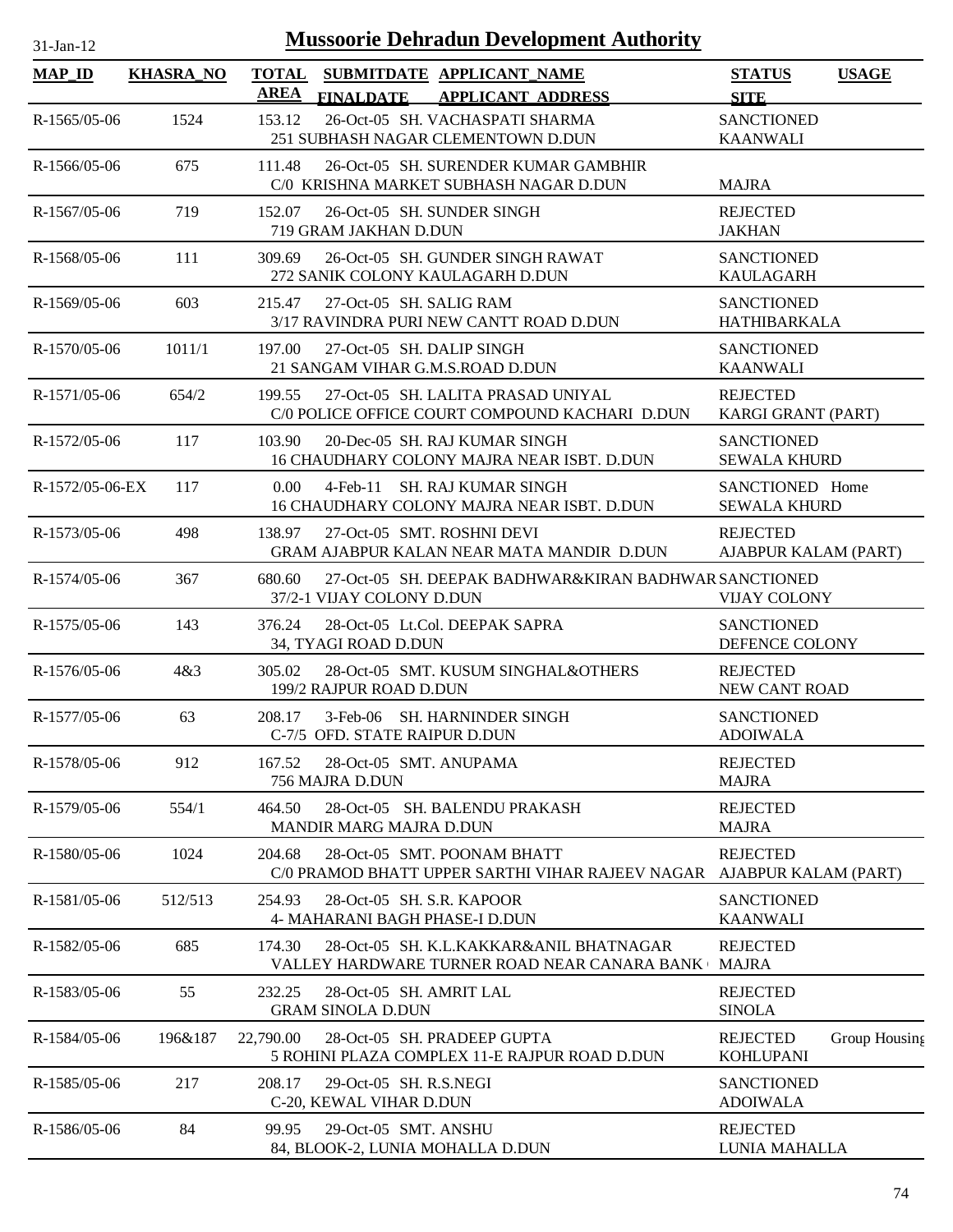| $31-Jan-12$     |                  |                             |                                                   |                                                                       | <b>Mussoorie Dehradun Development Authority</b>                                         |                                          |               |
|-----------------|------------------|-----------------------------|---------------------------------------------------|-----------------------------------------------------------------------|-----------------------------------------------------------------------------------------|------------------------------------------|---------------|
| <b>MAP_ID</b>   | <b>KHASRA_NO</b> | <b>TOTAL</b><br><b>AREA</b> | <b>FINALDATE</b>                                  | SUBMITDATE APPLICANT_NAME                                             | <b>APPLICANT ADDRESS</b>                                                                | <b>STATUS</b><br><b>SITE</b>             | <b>USAGE</b>  |
| $R-1565/05-06$  | 1524             | 153.12                      |                                                   | 26-Oct-05 SH. VACHASPATI SHARMA<br>251 SUBHASH NAGAR CLEMENTOWN D.DUN |                                                                                         | <b>SANCTIONED</b><br><b>KAANWALI</b>     |               |
| R-1566/05-06    | 675              | 111.48                      |                                                   | C/0 KRISHNA MARKET SUBHASH NAGAR D.DUN                                | 26-Oct-05 SH. SURENDER KUMAR GAMBHIR                                                    | <b>MAJRA</b>                             |               |
| $R-1567/05-06$  | 719              | 152.07                      | 719 GRAM JAKHAN D.DUN                             | 26-Oct-05 SH. SUNDER SINGH                                            |                                                                                         | <b>REJECTED</b><br><b>JAKHAN</b>         |               |
| R-1568/05-06    | 111              | 309.69                      |                                                   | 26-Oct-05 SH. GUNDER SINGH RAWAT<br>272 SANIK COLONY KAULAGARH D.DUN  |                                                                                         | <b>SANCTIONED</b><br><b>KAULAGARH</b>    |               |
| R-1569/05-06    | 603              | 215.47                      |                                                   | 27-Oct-05 SH. SALIG RAM<br>3/17 RAVINDRA PURI NEW CANTT ROAD D.DUN    |                                                                                         | <b>SANCTIONED</b><br>HATHIBARKALA        |               |
| $R-1570/05-06$  | 1011/1           | 197.00                      |                                                   | 27-Oct-05 SH, DALIP SINGH<br>21 SANGAM VIHAR G.M.S.ROAD D.DUN         |                                                                                         | <b>SANCTIONED</b><br><b>KAANWALI</b>     |               |
| $R-1571/05-06$  | 654/2            | 199.55                      |                                                   | 27-Oct-05 SH. LALITA PRASAD UNIYAL                                    | C/0 POLICE OFFICE COURT COMPOUND KACHARI D.DUN                                          | <b>REJECTED</b><br>KARGI GRANT (PART)    |               |
| R-1572/05-06    | 117              | 103.90                      |                                                   | 20-Dec-05 SH. RAJ KUMAR SINGH                                         | 16 CHAUDHARY COLONY MAJRA NEAR ISBT. D.DUN                                              | <b>SANCTIONED</b><br><b>SEWALA KHURD</b> |               |
| R-1572/05-06-EX | 117              | 0.00                        | 4-Feb-11                                          | <b>SH. RAJ KUMAR SINGH</b>                                            | 16 CHAUDHARY COLONY MAJRA NEAR ISBT. D.DUN                                              | SANCTIONED Home<br><b>SEWALA KHURD</b>   |               |
| R-1573/05-06    | 498              | 138.97                      |                                                   | 27-Oct-05 SMT. ROSHNI DEVI                                            | GRAM AJABPUR KALAN NEAR MATA MANDIR D.DUN                                               | <b>REJECTED</b><br>AJABPUR KALAM (PART)  |               |
| R-1574/05-06    | 367              | 680.60                      | 37/2-1 VIJAY COLONY D.DUN                         |                                                                       | 27-Oct-05 SH. DEEPAK BADHWAR&KIRAN BADHWAR SANCTIONED                                   | <b>VIJAY COLONY</b>                      |               |
| R-1575/05-06    | 143              | 376.24                      | 34, TYAGI ROAD D.DUN                              | 28-Oct-05 Lt.Col. DEEPAK SAPRA                                        |                                                                                         | <b>SANCTIONED</b><br>DEFENCE COLONY      |               |
| R-1576/05-06    | 4&3              | 305.02                      | 199/2 RAJPUR ROAD D.DUN                           |                                                                       | 28-Oct-05 SMT. KUSUM SINGHAL&OTHERS                                                     | <b>REJECTED</b><br>NEW CANT ROAD         |               |
| R-1577/05-06    | 63               | 208.17                      |                                                   | 3-Feb-06 SH. HARNINDER SINGH<br>C-7/5 OFD. STATE RAIPUR D.DUN         |                                                                                         | <b>SANCTIONED</b><br><b>ADOIWALA</b>     |               |
| R-1578/05-06    | 912              | 167.52                      | 756 MAJRA D.DUN                                   | 28-Oct-05 SMT. ANUPAMA                                                |                                                                                         | <b>REJECTED</b><br><b>MAJRA</b>          |               |
| R-1579/05-06    | 554/1            | 464.50                      | MANDIR MARG MAJRA D.DUN                           | 28-Oct-05 SH. BALENDU PRAKASH                                         |                                                                                         | <b>REJECTED</b><br><b>MAJRA</b>          |               |
| R-1580/05-06    | 1024             | 204.68                      |                                                   | 28-Oct-05 SMT. POONAM BHATT                                           | C/0 PRAMOD BHATT UPPER SARTHI VIHAR RAJEEV NAGAR AJABPUR KALAM (PART)                   | <b>REJECTED</b>                          |               |
| R-1581/05-06    | 512/513          | 254.93                      |                                                   | 28-Oct-05 SH. S.R. KAPOOR<br>4- MAHARANI BAGH PHASE-I D.DUN           |                                                                                         | <b>SANCTIONED</b><br><b>KAANWALI</b>     |               |
| R-1582/05-06    | 685              | 174.30                      |                                                   |                                                                       | 28-Oct-05 SH. K.L.KAKKAR&ANIL BHATNAGAR<br>VALLEY HARDWARE TURNER ROAD NEAR CANARA BANK | <b>REJECTED</b><br><b>MAJRA</b>          |               |
| R-1583/05-06    | 55               | 232.25                      | <b>GRAM SINOLA D.DUN</b>                          | 28-Oct-05 SH. AMRIT LAL                                               |                                                                                         | <b>REJECTED</b><br><b>SINOLA</b>         |               |
| R-1584/05-06    | 196&187          | 22,790.00                   |                                                   | 28-Oct-05 SH. PRADEEP GUPTA                                           | 5 ROHINI PLAZA COMPLEX 11-E RAJPUR ROAD D.DUN                                           | <b>REJECTED</b><br><b>KOHLUPANI</b>      | Group Housing |
| R-1585/05-06    | 217              | 208.17                      | 29-Oct-05 SH. R.S.NEGI<br>C-20, KEWAL VIHAR D.DUN |                                                                       |                                                                                         | <b>SANCTIONED</b><br><b>ADOIWALA</b>     |               |
| R-1586/05-06    | 84               | 99.95                       | 29-Oct-05 SMT. ANSHU                              |                                                                       |                                                                                         | <b>REJECTED</b>                          |               |

84, BLOOK-2, LUNIA MOHALLA D.DUN

LUNIA MAHALLA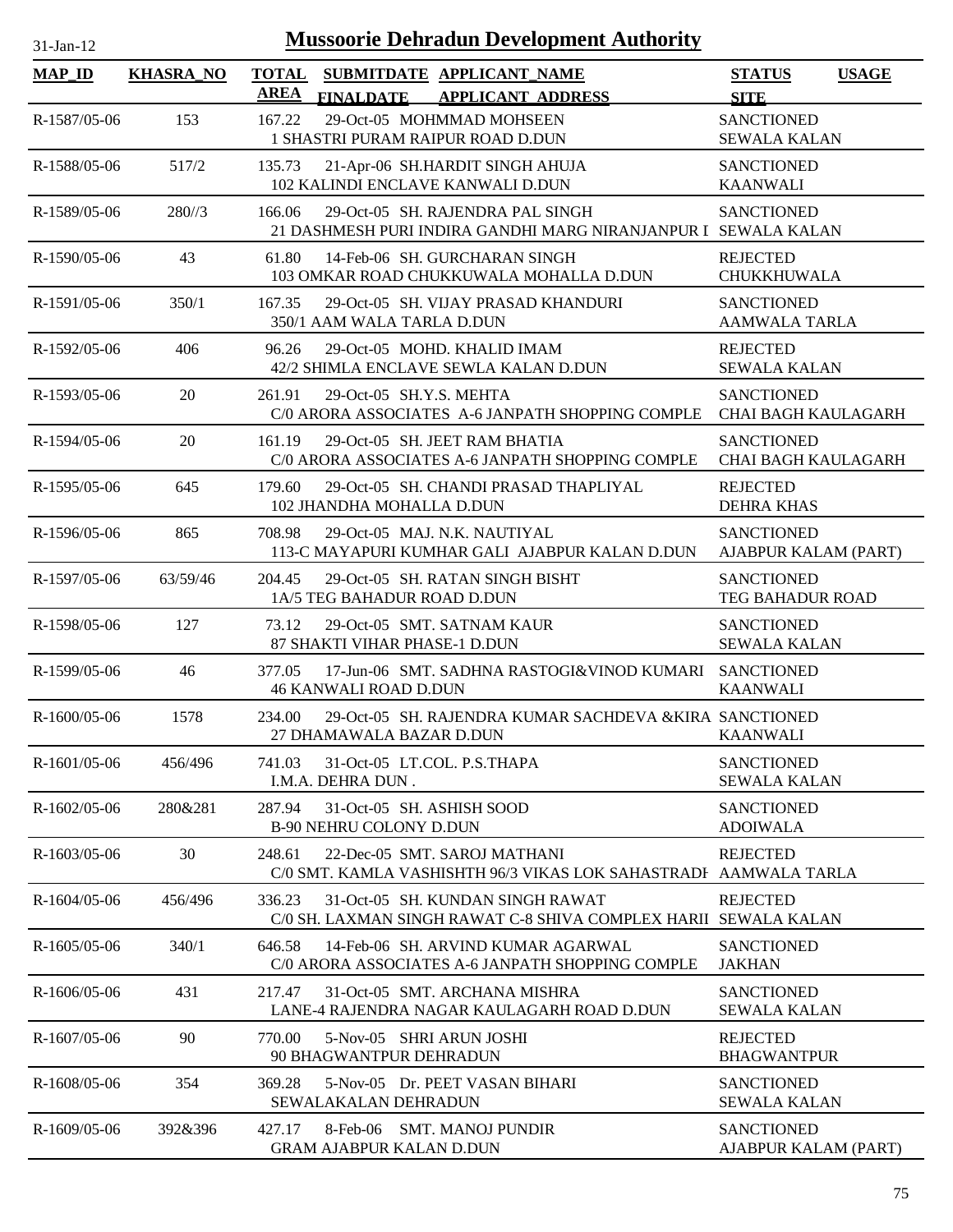| $31$ -Jan-12 |  |
|--------------|--|
|              |  |

| <b>MAP_ID</b>  | <b>KHASRA_NO</b> | <b>TOTAL</b><br><b>AREA</b> | <b>FINALDATE</b>                                            | SUBMITDATE APPLICANT_NAME<br><b>APPLICANT ADDRESS</b>                                              | <b>STATUS</b><br><b>SITE</b>                    | <b>USAGE</b> |
|----------------|------------------|-----------------------------|-------------------------------------------------------------|----------------------------------------------------------------------------------------------------|-------------------------------------------------|--------------|
| R-1587/05-06   | 153              | 167.22                      |                                                             | 29-Oct-05 MOHMMAD MOHSEEN<br>1 SHASTRI PURAM RAIPUR ROAD D.DUN                                     | <b>SANCTIONED</b><br><b>SEWALA KALAN</b>        |              |
| R-1588/05-06   | 517/2            | 135.73                      |                                                             | 21-Apr-06 SH.HARDIT SINGH AHUJA<br>102 KALINDI ENCLAVE KANWALI D.DUN                               | <b>SANCTIONED</b><br><b>KAANWALI</b>            |              |
| R-1589/05-06   | 280/3            | 166.06                      |                                                             | 29-Oct-05 SH. RAJENDRA PAL SINGH<br>21 DASHMESH PURI INDIRA GANDHI MARG NIRANJANPUR I SEWALA KALAN | <b>SANCTIONED</b>                               |              |
| $R-1590/05-06$ | 43               | 61.80                       |                                                             | 14-Feb-06 SH. GURCHARAN SINGH<br>103 OMKAR ROAD CHUKKUWALA MOHALLA D.DUN                           | <b>REJECTED</b><br>CHUKKHUWALA                  |              |
| R-1591/05-06   | 350/1            | 167.35                      | 350/1 AAM WALA TARLA D.DUN                                  | 29-Oct-05 SH. VIJAY PRASAD KHANDURI                                                                | <b>SANCTIONED</b><br><b>AAMWALA TARLA</b>       |              |
| R-1592/05-06   | 406              | 96.26                       |                                                             | 29-Oct-05 MOHD. KHALID IMAM<br>42/2 SHIMLA ENCLAVE SEWLA KALAN D.DUN                               | <b>REJECTED</b><br><b>SEWALA KALAN</b>          |              |
| R-1593/05-06   | 20               | 261.91                      | 29-Oct-05 SH.Y.S. MEHTA                                     | C/0 ARORA ASSOCIATES A-6 JANPATH SHOPPING COMPLE                                                   | <b>SANCTIONED</b><br><b>CHAI BAGH KAULAGARH</b> |              |
| R-1594/05-06   | 20               | 161.19                      |                                                             | 29-Oct-05 SH. JEET RAM BHATIA<br>C/0 ARORA ASSOCIATES A-6 JANPATH SHOPPING COMPLE                  | <b>SANCTIONED</b><br><b>CHAI BAGH KAULAGARH</b> |              |
| R-1595/05-06   | 645              | 179.60                      | 102 JHANDHA MOHALLA D.DUN                                   | 29-Oct-05 SH. CHANDI PRASAD THAPLIYAL                                                              | <b>REJECTED</b><br><b>DEHRA KHAS</b>            |              |
| R-1596/05-06   | 865              | 708.98                      |                                                             | 29-Oct-05 MAJ, N.K. NAUTIYAL<br>113-C MAYAPURI KUMHAR GALI AJABPUR KALAN D.DUN                     | <b>SANCTIONED</b><br>AJABPUR KALAM (PART)       |              |
| R-1597/05-06   | 63/59/46         | 204.45                      | 1A/5 TEG BAHADUR ROAD D.DUN                                 | 29-Oct-05 SH. RATAN SINGH BISHT                                                                    | <b>SANCTIONED</b><br>TEG BAHADUR ROAD           |              |
| R-1598/05-06   | 127              | 73.12                       | 87 SHAKTI VIHAR PHASE-1 D.DUN                               | 29-Oct-05 SMT. SATNAM KAUR                                                                         | <b>SANCTIONED</b><br><b>SEWALA KALAN</b>        |              |
| R-1599/05-06   | 46               | 377.05                      | <b>46 KANWALI ROAD D.DUN</b>                                | 17-Jun-06 SMT. SADHNA RASTOGI&VINOD KUMARI                                                         | <b>SANCTIONED</b><br><b>KAANWALI</b>            |              |
| $R-1600/05-06$ | 1578             | 234.00                      | 27 DHAMAWALA BAZAR D.DUN                                    | 29-Oct-05 SH. RAJENDRA KUMAR SACHDEVA & KIRA SANCTIONED                                            | <b>KAANWALI</b>                                 |              |
| R-1601/05-06   | 456/496          | 741.03                      | 31-Oct-05 LT.COL. P.S.THAPA<br>I.M.A. DEHRA DUN.            |                                                                                                    | <b>SANCTIONED</b><br><b>SEWALA KALAN</b>        |              |
| R-1602/05-06   | 280&281          | 287.94                      | 31-Oct-05 SH. ASHISH SOOD<br><b>B-90 NEHRU COLONY D.DUN</b> |                                                                                                    | <b>SANCTIONED</b><br><b>ADOIWALA</b>            |              |
| R-1603/05-06   | 30               | 248.61                      |                                                             | 22-Dec-05 SMT. SAROJ MATHANI<br>C/0 SMT. KAMLA VASHISHTH 96/3 VIKAS LOK SAHASTRADI                 | <b>REJECTED</b><br>AAMWALA TARLA                |              |
| $R-1604/05-06$ | 456/496          | 336.23                      |                                                             | 31-Oct-05 SH. KUNDAN SINGH RAWAT<br>C/0 SH. LAXMAN SINGH RAWAT C-8 SHIVA COMPLEX HARII             | <b>REJECTED</b><br><b>SEWALA KALAN</b>          |              |
| $R-1605/05-06$ | 340/1            | 646.58                      |                                                             | 14-Feb-06 SH. ARVIND KUMAR AGARWAL<br>C/0 ARORA ASSOCIATES A-6 JANPATH SHOPPING COMPLE             | <b>SANCTIONED</b><br><b>JAKHAN</b>              |              |
| R-1606/05-06   | 431              | 217.47                      |                                                             | 31-Oct-05 SMT. ARCHANA MISHRA<br>LANE-4 RAJENDRA NAGAR KAULAGARH ROAD D.DUN                        | <b>SANCTIONED</b><br><b>SEWALA KALAN</b>        |              |
| R-1607/05-06   | 90               | 770.00                      | 5-Nov-05 SHRI ARUN JOSHI<br>90 BHAGWANTPUR DEHRADUN         |                                                                                                    | <b>REJECTED</b><br><b>BHAGWANTPUR</b>           |              |
| R-1608/05-06   | 354              | 369.28                      | SEWALAKALAN DEHRADUN                                        | 5-Nov-05 Dr. PEET VASAN BIHARI                                                                     | <b>SANCTIONED</b><br><b>SEWALA KALAN</b>        |              |
| $R-1609/05-06$ | 392&396          | 427.17                      | 8-Feb-06<br><b>GRAM AJABPUR KALAN D.DUN</b>                 | <b>SMT. MANOJ PUNDIR</b>                                                                           | <b>SANCTIONED</b><br>AJABPUR KALAM (PART)       |              |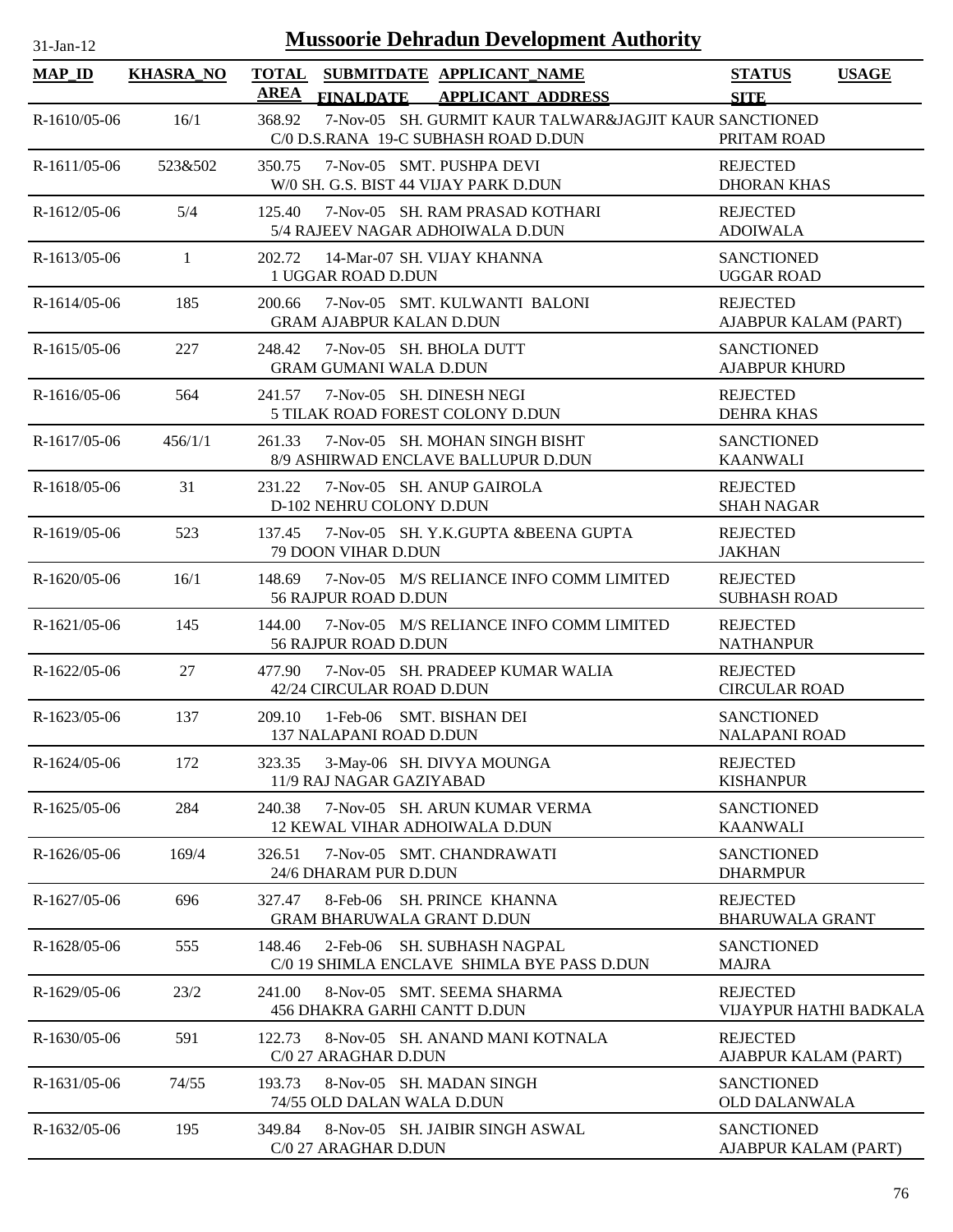| <b>Mussoorie Dehradun Development Authority</b><br>$31-Jan-12$ |                  |                                |                                                                                                |                                              |  |
|----------------------------------------------------------------|------------------|--------------------------------|------------------------------------------------------------------------------------------------|----------------------------------------------|--|
| <b>MAP_ID</b>                                                  | <b>KHASRA_NO</b> | <b>AREA</b>                    | TOTAL SUBMITDATE APPLICANT NAME<br><b>FINALDATE</b><br><b>APPLICANT ADDRESS</b>                | <b>STATUS</b><br><b>USAGE</b><br><b>SITE</b> |  |
| $R-1610/05-06$                                                 | 16/1             | 368.92                         | 7-Nov-05 SH. GURMIT KAUR TALWAR&JAGJIT KAUR SANCTIONED<br>C/0 D.S.RANA 19-C SUBHASH ROAD D.DUN | PRITAM ROAD                                  |  |
| $R-1611/05-06$                                                 | 523&502          | 350.75                         | 7-Nov-05 SMT. PUSHPA DEVI<br>W/0 SH. G.S. BIST 44 VIJAY PARK D.DUN                             | <b>REJECTED</b><br><b>DHORAN KHAS</b>        |  |
| R-1612/05-06                                                   | 5/4              | 125.40                         | 7-Nov-05 SH, RAM PRASAD KOTHARI<br>5/4 RAJEEV NAGAR ADHOIWALA D.DUN                            | <b>REJECTED</b><br><b>ADOIWALA</b>           |  |
| R-1613/05-06                                                   | $\mathbf{1}$     | 202.72<br>1 UGGAR ROAD D.DUN   | 14-Mar-07 SH. VIJAY KHANNA                                                                     | <b>SANCTIONED</b><br><b>UGGAR ROAD</b>       |  |
| R-1614/05-06                                                   | 185              | 200.66                         | 7-Nov-05 SMT. KULWANTI BALONI<br><b>GRAM AJABPUR KALAN D.DUN</b>                               | <b>REJECTED</b><br>AJABPUR KALAM (PART)      |  |
| $R-1615/05-06$                                                 | 227              | 248.42                         | 7-Nov-05 SH. BHOLA DUTT<br><b>GRAM GUMANI WALA D.DUN</b>                                       | <b>SANCTIONED</b><br><b>AJABPUR KHURD</b>    |  |
| $R-1616/05-06$                                                 | 564              | 241.57                         | 7-Nov-05 SH. DINESH NEGI<br>5 TILAK ROAD FOREST COLONY D.DUN                                   | <b>REJECTED</b><br><b>DEHRA KHAS</b>         |  |
| R-1617/05-06                                                   | 456/1/1          |                                | 261.33 7-Nov-05 SH. MOHAN SINGH BISHT<br>8/9 ASHIRWAD ENCLAVE BALLUPUR D.DUN                   | <b>SANCTIONED</b><br><b>KAANWALI</b>         |  |
| R-1618/05-06                                                   | 31               | 231.22                         | 7-Nov-05 SH. ANUP GAIROLA<br>D-102 NEHRU COLONY D.DUN                                          | <b>REJECTED</b><br><b>SHAH NAGAR</b>         |  |
| $R-1619/05-06$                                                 | 523              | 137.45<br>79 DOON VIHAR D.DUN  | 7-Nov-05 SH. Y.K.GUPTA &BEENA GUPTA                                                            | <b>REJECTED</b><br><b>JAKHAN</b>             |  |
| $R-1620/05-06$                                                 | 16/1             | 148.69<br>56 RAJPUR ROAD D.DUN | 7-Nov-05 M/S RELIANCE INFO COMM LIMITED                                                        | <b>REJECTED</b><br><b>SUBHASH ROAD</b>       |  |
| R-1621/05-06                                                   | 145              | 144.00<br>56 RAJPUR ROAD D.DUN | 7-Nov-05 M/S RELIANCE INFO COMM LIMITED                                                        | <b>REJECTED</b><br><b>NATHANPUR</b>          |  |
| $R-1622/05-06$                                                 | 27               | 477.90                         | 7-Nov-05 SH. PRADEEP KUMAR WALIA<br>42/24 CIRCULAR ROAD D.DUN                                  | <b>REJECTED</b><br><b>CIRCULAR ROAD</b>      |  |
| R-1623/05-06                                                   | 137              | 209.10                         | 1-Feb-06 SMT. BISHAN DEI<br><b>137 NALAPANI ROAD D.DUN</b>                                     | <b>SANCTIONED</b><br><b>NALAPANI ROAD</b>    |  |
| R-1624/05-06                                                   | 172              | 323.35                         | 3-May-06 SH. DIVYA MOUNGA<br>11/9 RAJ NAGAR GAZIYABAD                                          | <b>REJECTED</b><br><b>KISHANPUR</b>          |  |
| $R-1625/05-06$                                                 | 284              | 240.38                         | 7-Nov-05 SH. ARUN KUMAR VERMA<br><b>12 KEWAL VIHAR ADHOIWALA D.DUN</b>                         | <b>SANCTIONED</b><br><b>KAANWALI</b>         |  |
| R-1626/05-06                                                   | 169/4            | 326.51                         | 7-Nov-05 SMT. CHANDRAWATI<br>24/6 DHARAM PUR D.DUN                                             | <b>SANCTIONED</b><br><b>DHARMPUR</b>         |  |
| R-1627/05-06                                                   | 696              | 327.47                         | 8-Feb-06 SH. PRINCE KHANNA<br><b>GRAM BHARUWALA GRANT D.DUN</b>                                | <b>REJECTED</b><br><b>BHARUWALA GRANT</b>    |  |
| R-1628/05-06                                                   | 555              | 148.46                         | 2-Feb-06 SH. SUBHASH NAGPAL<br>C/0 19 SHIMLA ENCLAVE SHIMLA BYE PASS D.DUN                     | <b>SANCTIONED</b><br><b>MAJRA</b>            |  |
| R-1629/05-06                                                   | 23/2             | 241.00                         | 8-Nov-05 SMT. SEEMA SHARMA<br>456 DHAKRA GARHI CANTT D.DUN                                     | <b>REJECTED</b><br>VIJAYPUR HATHI BADKALA    |  |
| R-1630/05-06                                                   | 591              | 122.73<br>C/0 27 ARAGHAR D.DUN | 8-Nov-05 SH. ANAND MANI KOTNALA                                                                | <b>REJECTED</b><br>AJABPUR KALAM (PART)      |  |
| R-1631/05-06                                                   | 74/55            | 193.73                         | 8-Nov-05 SH. MADAN SINGH<br>74/55 OLD DALAN WALA D.DUN                                         | <b>SANCTIONED</b><br><b>OLD DALANWALA</b>    |  |
| R-1632/05-06                                                   | 195              | 349.84<br>C/0 27 ARAGHAR D.DUN | 8-Nov-05 SH. JAIBIR SINGH ASWAL                                                                | <b>SANCTIONED</b><br>AJABPUR KALAM (PART)    |  |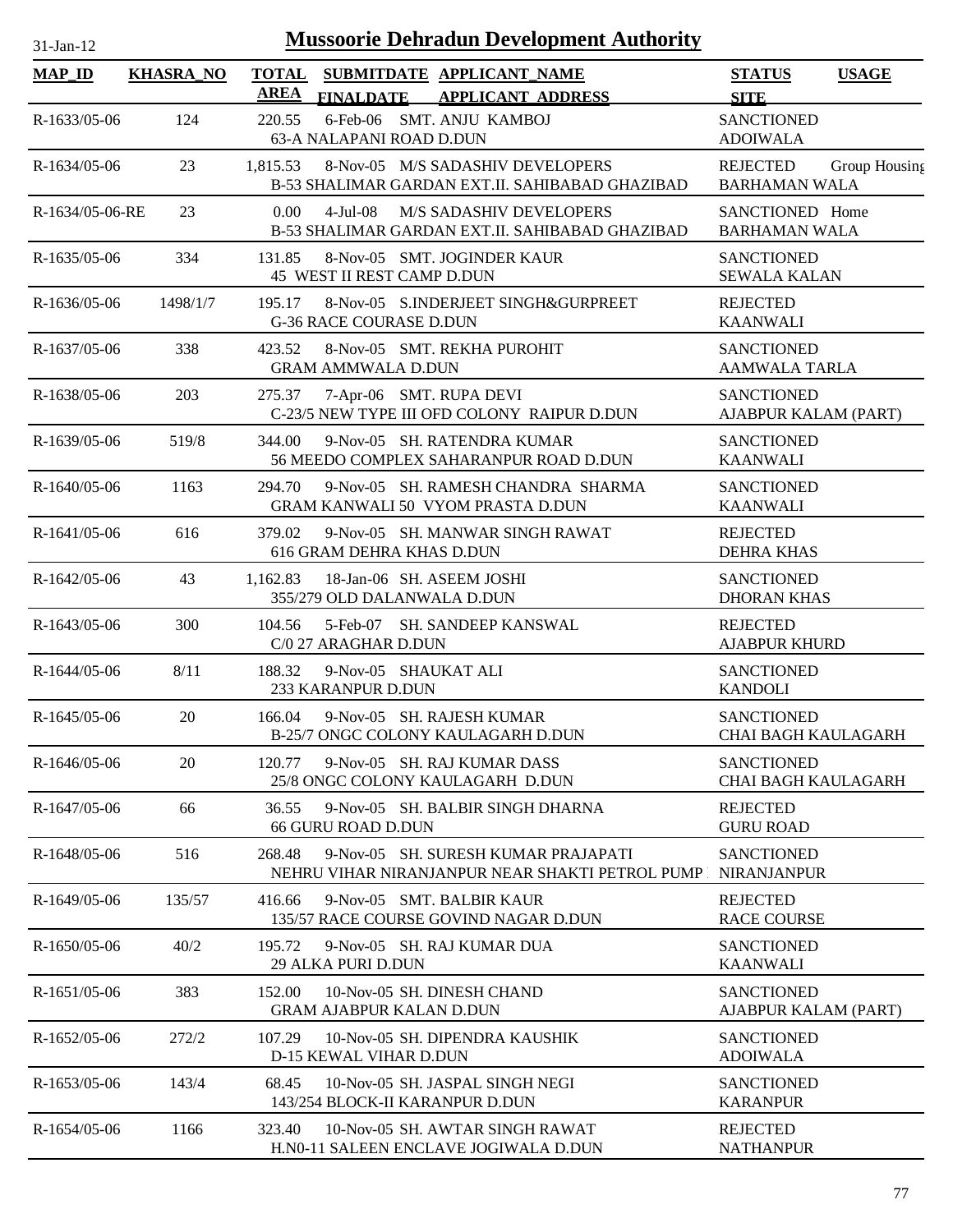| $31$ -Jan-12    |                  | <b>Mussoorie Dehradun Development Authority</b>                                                         |                                                          |
|-----------------|------------------|---------------------------------------------------------------------------------------------------------|----------------------------------------------------------|
| $MAP_ID$        | <b>KHASRA_NO</b> | <b>TOTAL</b><br>SUBMITDATE APPLICANT_NAME<br><b>AREA</b><br>FINALDATE APPLICANT ADDRESS                 | <b>STATUS</b><br><b>USAGE</b><br><b>SITE</b>             |
| R-1633/05-06    | 124              | 6-Feb-06 SMT. ANJU KAMBOJ<br>220.55<br>63-A NALAPANI ROAD D.DUN                                         | <b>SANCTIONED</b><br><b>ADOIWALA</b>                     |
| $R-1634/05-06$  | 23               | 8-Nov-05 M/S SADASHIV DEVELOPERS<br>1,815.53<br>B-53 SHALIMAR GARDAN EXT.II. SAHIBABAD GHAZIBAD         | <b>REJECTED</b><br>Group Housing<br><b>BARHAMAN WALA</b> |
| R-1634/05-06-RE | 23               | <b>M/S SADASHIV DEVELOPERS</b><br>0.00<br>$4-Jul-08$<br>B-53 SHALIMAR GARDAN EXT.II. SAHIBABAD GHAZIBAD | SANCTIONED Home<br><b>BARHAMAN WALA</b>                  |
| $R-1635/05-06$  | 334              | 131.85<br>8-Nov-05 SMT. JOGINDER KAUR<br>45 WEST II REST CAMP D.DUN                                     | <b>SANCTIONED</b><br><b>SEWALA KALAN</b>                 |
| $R-1636/05-06$  | 1498/1/7         | 8-Nov-05 S.INDERJEET SINGH&GURPREET<br>195.17<br><b>G-36 RACE COURASE D.DUN</b>                         | <b>REJECTED</b><br>KAANWALI                              |
| $R-1637/05-06$  | 338              | 423.52<br>8-Nov-05 SMT. REKHA PUROHIT<br><b>GRAM AMMWALA D.DUN</b>                                      | <b>SANCTIONED</b><br><b>AAMWALA TARLA</b>                |
| R-1638/05-06    | 203              | 7-Apr-06 SMT. RUPA DEVI<br>275.37<br>C-23/5 NEW TYPE III OFD COLONY RAIPUR D.DUN                        | <b>SANCTIONED</b><br>AJABPUR KALAM (PART)                |
| $R-1639/05-06$  | 519/8            | 9-Nov-05 SH. RATENDRA KUMAR<br>344.00<br>56 MEEDO COMPLEX SAHARANPUR ROAD D.DUN                         | <b>SANCTIONED</b><br><b>KAANWALI</b>                     |
| R-1640/05-06    | 1163             | 294.70<br>9-Nov-05 SH. RAMESH CHANDRA SHARMA<br><b>GRAM KANWALI 50 VYOM PRASTA D.DUN</b>                | <b>SANCTIONED</b><br><b>KAANWALI</b>                     |
| $R-1641/05-06$  | 616              | 379.02<br>9-Nov-05 SH. MANWAR SINGH RAWAT<br>616 GRAM DEHRA KHAS D.DUN                                  | <b>REJECTED</b><br><b>DEHRA KHAS</b>                     |
| R-1642/05-06    | 43               | 1.162.83<br>18-Jan-06 SH. ASEEM JOSHI<br>355/279 OLD DALANWALA D.DUN                                    | <b>SANCTIONED</b><br><b>DHORAN KHAS</b>                  |
| R-1643/05-06    | 300              | 104.56<br>5-Feb-07 SH. SANDEEP KANSWAL<br>C/0 27 ARAGHAR D.DUN                                          | <b>REJECTED</b><br><b>AJABPUR KHURD</b>                  |
| R-1644/05-06    | 8/11             | 9-Nov-05 SHAUKAT ALI<br>188.32<br>233 KARANPUR D.DUN                                                    | <b>SANCTIONED</b><br><b>KANDOLI</b>                      |
| $R-1645/05-06$  | 20               | 166.04<br>9-Nov-05 SH, RAJESH KUMAR<br>B-25/7 ONGC COLONY KAULAGARH D.DUN                               | <b>SANCTIONED</b><br><b>CHAI BAGH KAULAGARH</b>          |
| R-1646/05-06    | 20               | 9-Nov-05 SH, RAJ KUMAR DASS<br>120.77<br>25/8 ONGC COLONY KAULAGARH D.DUN                               | <b>SANCTIONED</b><br><b>CHAI BAGH KAULAGARH</b>          |
| R-1647/05-06    | 66               | 36.55<br>9-Nov-05 SH. BALBIR SINGH DHARNA<br><b>66 GURU ROAD D.DUN</b>                                  | <b>REJECTED</b><br><b>GURU ROAD</b>                      |
| R-1648/05-06    | 516              | 9-Nov-05 SH. SURESH KUMAR PRAJAPATI<br>268.48<br>NEHRU VIHAR NIRANJANPUR NEAR SHAKTI PETROL PUMP        | <b>SANCTIONED</b><br><b>NIRANJANPUR</b>                  |
| R-1649/05-06    | 135/57           | 416.66<br>9-Nov-05 SMT, BALBIR KAUR<br>135/57 RACE COURSE GOVIND NAGAR D.DUN                            | <b>REJECTED</b><br><b>RACE COURSE</b>                    |
| $R-1650/05-06$  | 40/2             | 195.72<br>9-Nov-05 SH, RAJ KUMAR DUA<br>29 ALKA PURI D.DUN                                              | <b>SANCTIONED</b><br><b>KAANWALI</b>                     |
| $R-1651/05-06$  | 383              | 152.00<br>10-Nov-05 SH. DINESH CHAND<br><b>GRAM AJABPUR KALAN D.DUN</b>                                 | <b>SANCTIONED</b><br>AJABPUR KALAM (PART)                |
| R-1652/05-06    | 272/2            | 10-Nov-05 SH. DIPENDRA KAUSHIK<br>107.29<br><b>D-15 KEWAL VIHAR D.DUN</b>                               | <b>SANCTIONED</b><br><b>ADOIWALA</b>                     |
| R-1653/05-06    | 143/4            | 10-Nov-05 SH. JASPAL SINGH NEGI<br>68.45<br>143/254 BLOCK-II KARANPUR D.DUN                             | <b>SANCTIONED</b><br><b>KARANPUR</b>                     |
| R-1654/05-06    | 1166             | 323.40<br>10-Nov-05 SH. AWTAR SINGH RAWAT<br>H.N0-11 SALEEN ENCLAVE JOGIWALA D.DUN                      | <b>REJECTED</b><br><b>NATHANPUR</b>                      |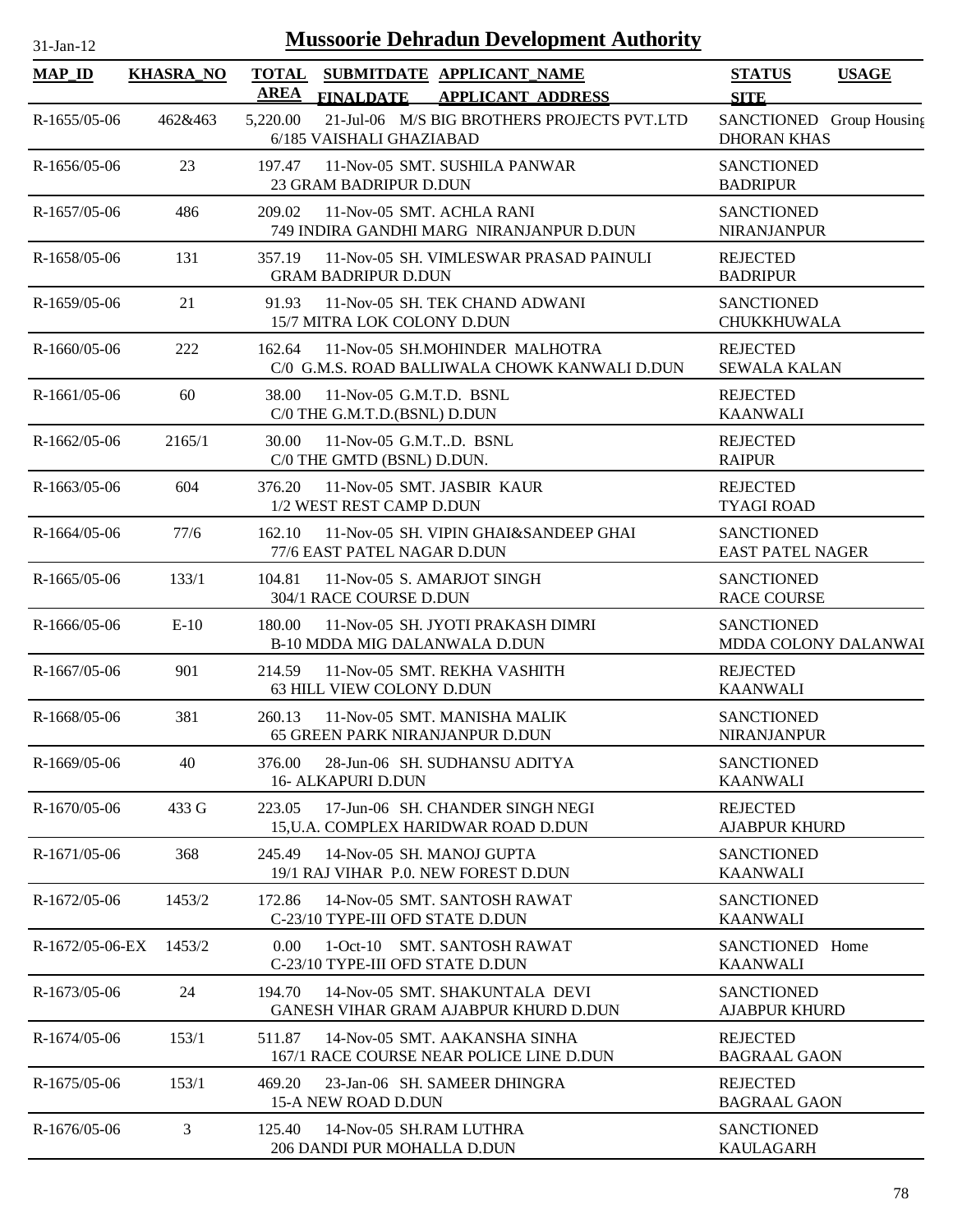| $31-Jan-12$       | <b>Mussoorie Dehradun Development Authority</b> |                                                                                                          |                                                |  |  |
|-------------------|-------------------------------------------------|----------------------------------------------------------------------------------------------------------|------------------------------------------------|--|--|
| <b>MAP_ID</b>     | <b>KHASRA_NO</b>                                | <b>TOTAL</b><br>SUBMITDATE APPLICANT_NAME<br><b>AREA</b><br><b>APPLICANT ADDRESS</b><br><b>FINALDATE</b> | <b>STATUS</b><br><b>USAGE</b><br><b>SITE</b>   |  |  |
| $R-1655/05-06$    | 462&463                                         | 21-Jul-06 M/S BIG BROTHERS PROJECTS PVT.LTD<br>5,220.00<br>6/185 VAISHALI GHAZIABAD                      | SANCTIONED Group Housing<br><b>DHORAN KHAS</b> |  |  |
| $R-1656/05-06$    | 23                                              | 11-Nov-05 SMT. SUSHILA PANWAR<br>197.47<br>23 GRAM BADRIPUR D.DUN                                        | <b>SANCTIONED</b><br><b>BADRIPUR</b>           |  |  |
| R-1657/05-06      | 486                                             | 209.02<br>11-Nov-05 SMT, ACHLA RANI<br>749 INDIRA GANDHI MARG NIRANJANPUR D.DUN                          | <b>SANCTIONED</b><br><b>NIRANJANPUR</b>        |  |  |
| R-1658/05-06      | 131                                             | 11-Nov-05 SH. VIMLESWAR PRASAD PAINULI<br>357.19<br><b>GRAM BADRIPUR D.DUN</b>                           | <b>REJECTED</b><br><b>BADRIPUR</b>             |  |  |
| R-1659/05-06      | 21                                              | 91.93<br>11-Nov-05 SH. TEK CHAND ADWANI<br>15/7 MITRA LOK COLONY D.DUN                                   | <b>SANCTIONED</b><br>CHUKKHUWALA               |  |  |
| R-1660/05-06      | 222                                             | 162.64<br>11-Nov-05 SH.MOHINDER MALHOTRA<br>C/0 G.M.S. ROAD BALLIWALA CHOWK KANWALI D.DUN                | <b>REJECTED</b><br><b>SEWALA KALAN</b>         |  |  |
| $R-1661/05-06$    | 60                                              | 38.00<br>11-Nov-05 G.M.T.D. BSNL<br>C/0 THE G.M.T.D.(BSNL) D.DUN                                         | <b>REJECTED</b><br><b>KAANWALI</b>             |  |  |
| $R-1662/05-06$    | 2165/1                                          | 11-Nov-05 G.M.TD. BSNL<br>30.00<br>C/0 THE GMTD (BSNL) D.DUN.                                            | <b>REJECTED</b><br><b>RAIPUR</b>               |  |  |
| $R-1663/05-06$    | 604                                             | 11-Nov-05 SMT. JASBIR KAUR<br>376.20<br>1/2 WEST REST CAMP D.DUN                                         | <b>REJECTED</b><br><b>TYAGI ROAD</b>           |  |  |
| R-1664/05-06      | 77/6                                            | 162.10<br>11-Nov-05 SH. VIPIN GHAI&SANDEEP GHAI<br>77/6 EAST PATEL NAGAR D.DUN                           | <b>SANCTIONED</b><br><b>EAST PATEL NAGER</b>   |  |  |
| $R-1665/05-06$    | 133/1                                           | 104.81<br>11-Nov-05 S. AMARJOT SINGH<br>304/1 RACE COURSE D.DUN                                          | <b>SANCTIONED</b><br><b>RACE COURSE</b>        |  |  |
| R-1666/05-06      | $E-10$                                          | 180.00<br>11-Nov-05 SH. JYOTI PRAKASH DIMRI<br>B-10 MDDA MIG DALANWALA D.DUN                             | <b>SANCTIONED</b><br>MDDA COLONY DALANWAI      |  |  |
| $R-1667/05-06$    | 901                                             | 11-Nov-05 SMT. REKHA VASHITH<br>214.59<br>63 HILL VIEW COLONY D.DUN                                      | <b>REJECTED</b><br><b>KAANWALI</b>             |  |  |
| R-1668/05-06      | 381                                             | 260.13<br>11-Nov-05 SMT. MANISHA MALIK<br><b>65 GREEN PARK NIRANJANPUR D.DUN</b>                         | <b>SANCTIONED</b><br><b>NIRANJANPUR</b>        |  |  |
| R-1669/05-06      | 40                                              | 376.00<br>28-Jun-06 SH. SUDHANSU ADITYA<br><b>16- ALKAPURI D.DUN</b>                                     | <b>SANCTIONED</b><br><b>KAANWALI</b>           |  |  |
| R-1670/05-06      | 433 G                                           | 223.05<br>17-Jun-06 SH. CHANDER SINGH NEGI<br>15, U.A. COMPLEX HARIDWAR ROAD D.DUN                       | <b>REJECTED</b><br><b>AJABPUR KHURD</b>        |  |  |
| R-1671/05-06      | 368                                             | 245.49<br>14-Nov-05 SH, MANOJ GUPTA<br>19/1 RAJ VIHAR P.0. NEW FOREST D.DUN                              | <b>SANCTIONED</b><br><b>KAANWALI</b>           |  |  |
| R-1672/05-06      | 1453/2                                          | 14-Nov-05 SMT, SANTOSH RAWAT<br>172.86<br>C-23/10 TYPE-III OFD STATE D.DUN                               | <b>SANCTIONED</b><br><b>KAANWALI</b>           |  |  |
| $R-1672/05-06-EX$ | 1453/2                                          | 0.00<br>1-Oct-10 SMT. SANTOSH RAWAT<br>C-23/10 TYPE-III OFD STATE D.DUN                                  | SANCTIONED Home<br><b>KAANWALI</b>             |  |  |
| R-1673/05-06      | 24                                              | 14-Nov-05 SMT. SHAKUNTALA DEVI<br>194.70<br>GANESH VIHAR GRAM AJABPUR KHURD D.DUN                        | <b>SANCTIONED</b><br><b>AJABPUR KHURD</b>      |  |  |
| $R-1674/05-06$    | 153/1                                           | 511.87<br>14-Nov-05 SMT. AAKANSHA SINHA<br>167/1 RACE COURSE NEAR POLICE LINE D.DUN                      | <b>REJECTED</b><br><b>BAGRAAL GAON</b>         |  |  |
| R-1675/05-06      | 153/1                                           | 469.20<br>23-Jan-06 SH. SAMEER DHINGRA<br>15-A NEW ROAD D.DUN                                            | <b>REJECTED</b><br><b>BAGRAAL GAON</b>         |  |  |
| R-1676/05-06      | 3                                               | 125.40<br>14-Nov-05 SH.RAM LUTHRA<br>206 DANDI PUR MOHALLA D.DUN                                         | <b>SANCTIONED</b><br><b>KAULAGARH</b>          |  |  |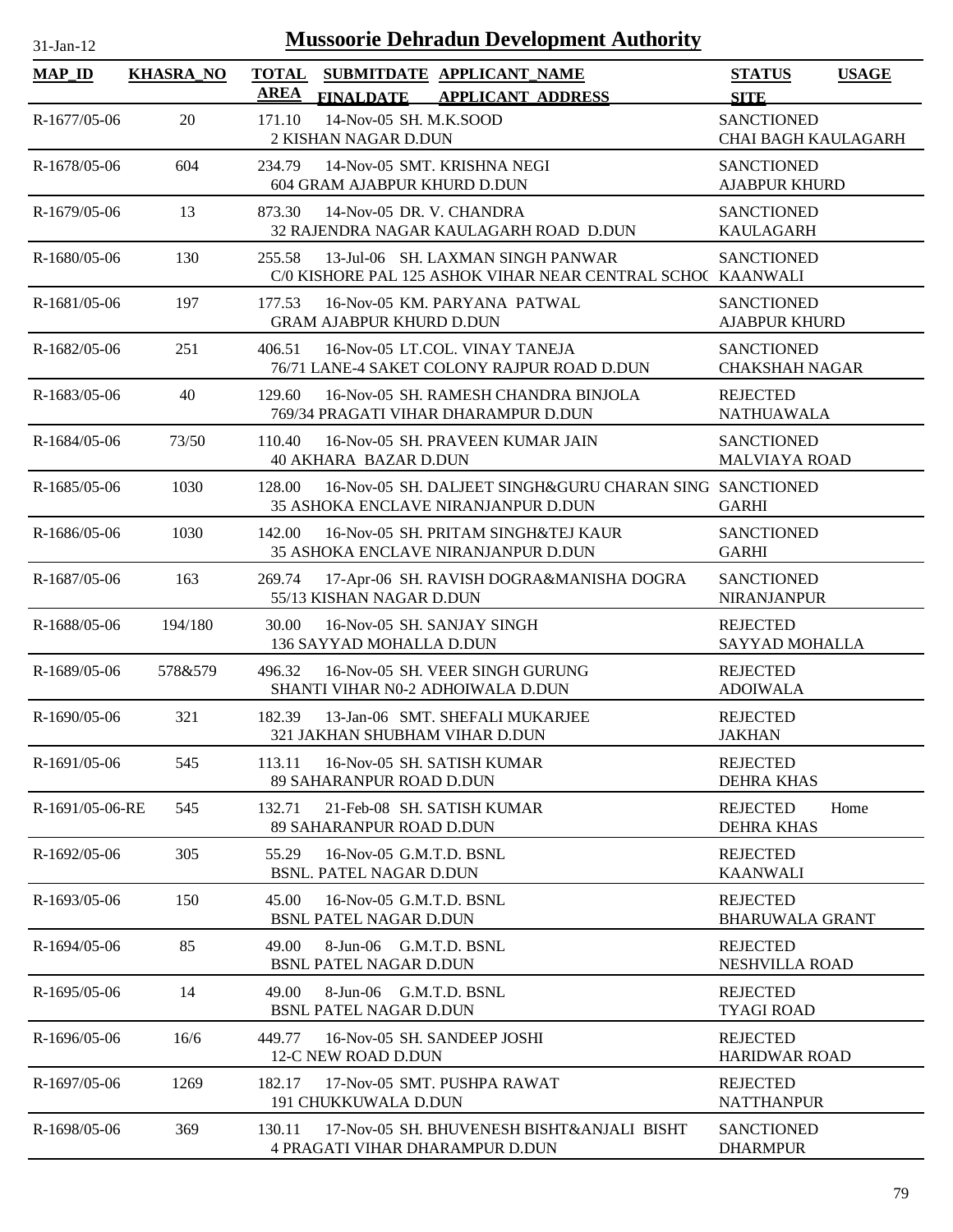| $31$ -Jan-12    |                  | <b>Mussoorie Dehradun Development Authority</b>                                                           |                                              |
|-----------------|------------------|-----------------------------------------------------------------------------------------------------------|----------------------------------------------|
| <b>MAP_ID</b>   | <b>KHASRA_NO</b> | <b>TOTAL</b><br>SUBMITDATE APPLICANT_NAME<br><b>AREA</b><br><b>FINALDATE</b><br><b>APPLICANT ADDRESS</b>  | <b>STATUS</b><br><b>USAGE</b><br><b>SITE</b> |
| R-1677/05-06    | 20               | 14-Nov-05 SH, M.K.SOOD<br>171.10<br>2 KISHAN NAGAR D.DUN                                                  | <b>SANCTIONED</b><br>CHAI BAGH KAULAGARH     |
| R-1678/05-06    | 604              | 234.79<br>14-Nov-05 SMT. KRISHNA NEGI<br>604 GRAM AJABPUR KHURD D.DUN                                     | <b>SANCTIONED</b><br><b>AJABPUR KHURD</b>    |
| R-1679/05-06    | 13               | 873.30<br>14-Nov-05 DR. V. CHANDRA<br>32 RAJENDRA NAGAR KAULAGARH ROAD D.DUN                              | <b>SANCTIONED</b><br><b>KAULAGARH</b>        |
| R-1680/05-06    | 130              | 13-Jul-06 SH. LAXMAN SINGH PANWAR<br>255.58<br>C/0 KISHORE PAL 125 ASHOK VIHAR NEAR CENTRAL SCHO(KAANWALI | <b>SANCTIONED</b>                            |
| R-1681/05-06    | 197              | 16-Nov-05 KM. PARYANA PATWAL<br>177.53<br><b>GRAM AJABPUR KHURD D.DUN</b>                                 | <b>SANCTIONED</b><br><b>AJABPUR KHURD</b>    |
| R-1682/05-06    | 251              | 406.51<br>16-Nov-05 LT.COL. VINAY TANEJA<br>76/71 LANE-4 SAKET COLONY RAJPUR ROAD D.DUN                   | <b>SANCTIONED</b><br><b>CHAKSHAH NAGAR</b>   |
| R-1683/05-06    | 40               | 16-Nov-05 SH. RAMESH CHANDRA BINJOLA<br>129.60<br>769/34 PRAGATI VIHAR DHARAMPUR D.DUN                    | <b>REJECTED</b><br><b>NATHUAWALA</b>         |
| R-1684/05-06    | 73/50            | 110.40<br>16-Nov-05 SH. PRAVEEN KUMAR JAIN<br><b>40 AKHARA BAZAR D.DUN</b>                                | <b>SANCTIONED</b><br><b>MALVIAYA ROAD</b>    |
| R-1685/05-06    | 1030             | 16-Nov-05 SH. DALJEET SINGH&GURU CHARAN SING SANCTIONED<br>128.00<br>35 ASHOKA ENCLAVE NIRANJANPUR D.DUN  | <b>GARHI</b>                                 |
| R-1686/05-06    | 1030             | 142.00<br>16-Nov-05 SH. PRITAM SINGH&TEJ KAUR<br>35 ASHOKA ENCLAVE NIRANJANPUR D.DUN                      | <b>SANCTIONED</b><br><b>GARHI</b>            |
| R-1687/05-06    | 163              | 269.74<br>17-Apr-06 SH. RAVISH DOGRA&MANISHA DOGRA<br>55/13 KISHAN NAGAR D.DUN                            | <b>SANCTIONED</b><br><b>NIRANJANPUR</b>      |
| R-1688/05-06    | 194/180          | 30.00<br>16-Nov-05 SH. SANJAY SINGH<br>136 SAYYAD MOHALLA D.DUN                                           | <b>REJECTED</b><br>SAYYAD MOHALLA            |
| R-1689/05-06    | 578&579          | 496.32<br>16-Nov-05 SH. VEER SINGH GURUNG<br>SHANTI VIHAR N0-2 ADHOIWALA D.DUN                            | <b>REJECTED</b><br><b>ADOIWALA</b>           |
| $R-1690/05-06$  | 321              | 182.39<br>13-Jan-06 SMT, SHEFALI MUKARJEE<br>321 JAKHAN SHUBHAM VIHAR D.DUN                               | <b>REJECTED</b><br><b>JAKHAN</b>             |
| R-1691/05-06    | 545              | 16-Nov-05 SH, SATISH KUMAR<br>113.11<br>89 SAHARANPUR ROAD D.DUN                                          | <b>REJECTED</b><br><b>DEHRA KHAS</b>         |
| R-1691/05-06-RE | 545              | 132.71<br>21-Feb-08 SH, SATISH KUMAR<br>89 SAHARANPUR ROAD D.DUN                                          | <b>REJECTED</b><br>Home<br><b>DEHRA KHAS</b> |
| R-1692/05-06    | 305              | 16-Nov-05 G.M.T.D. BSNL<br>55.29<br><b>BSNL. PATEL NAGAR D.DUN</b>                                        | <b>REJECTED</b><br><b>KAANWALI</b>           |
| R-1693/05-06    | 150              | 45.00<br>16-Nov-05 G.M.T.D. BSNL<br><b>BSNL PATEL NAGAR D.DUN</b>                                         | <b>REJECTED</b><br><b>BHARUWALA GRANT</b>    |
| R-1694/05-06    | 85               | 8-Jun-06 G.M.T.D. BSNL<br>49.00<br><b>BSNL PATEL NAGAR D.DUN</b>                                          | <b>REJECTED</b><br>NESHVILLA ROAD            |
| R-1695/05-06    | 14               | 8-Jun-06 G.M.T.D. BSNL<br>49.00<br><b>BSNL PATEL NAGAR D.DUN</b>                                          | <b>REJECTED</b><br><b>TYAGI ROAD</b>         |
| R-1696/05-06    | 16/6             | 16-Nov-05 SH, SANDEEP JOSHI<br>449.77<br>12-C NEW ROAD D.DUN                                              | <b>REJECTED</b><br><b>HARIDWAR ROAD</b>      |
| R-1697/05-06    | 1269             | 182.17<br>17-Nov-05 SMT. PUSHPA RAWAT<br>191 CHUKKUWALA D.DUN                                             | <b>REJECTED</b><br><b>NATTHANPUR</b>         |
| R-1698/05-06    | 369              | 17-Nov-05 SH. BHUVENESH BISHT&ANJALI BISHT<br>130.11<br><b>4 PRAGATI VIHAR DHARAMPUR D.DUN</b>            | <b>SANCTIONED</b><br><b>DHARMPUR</b>         |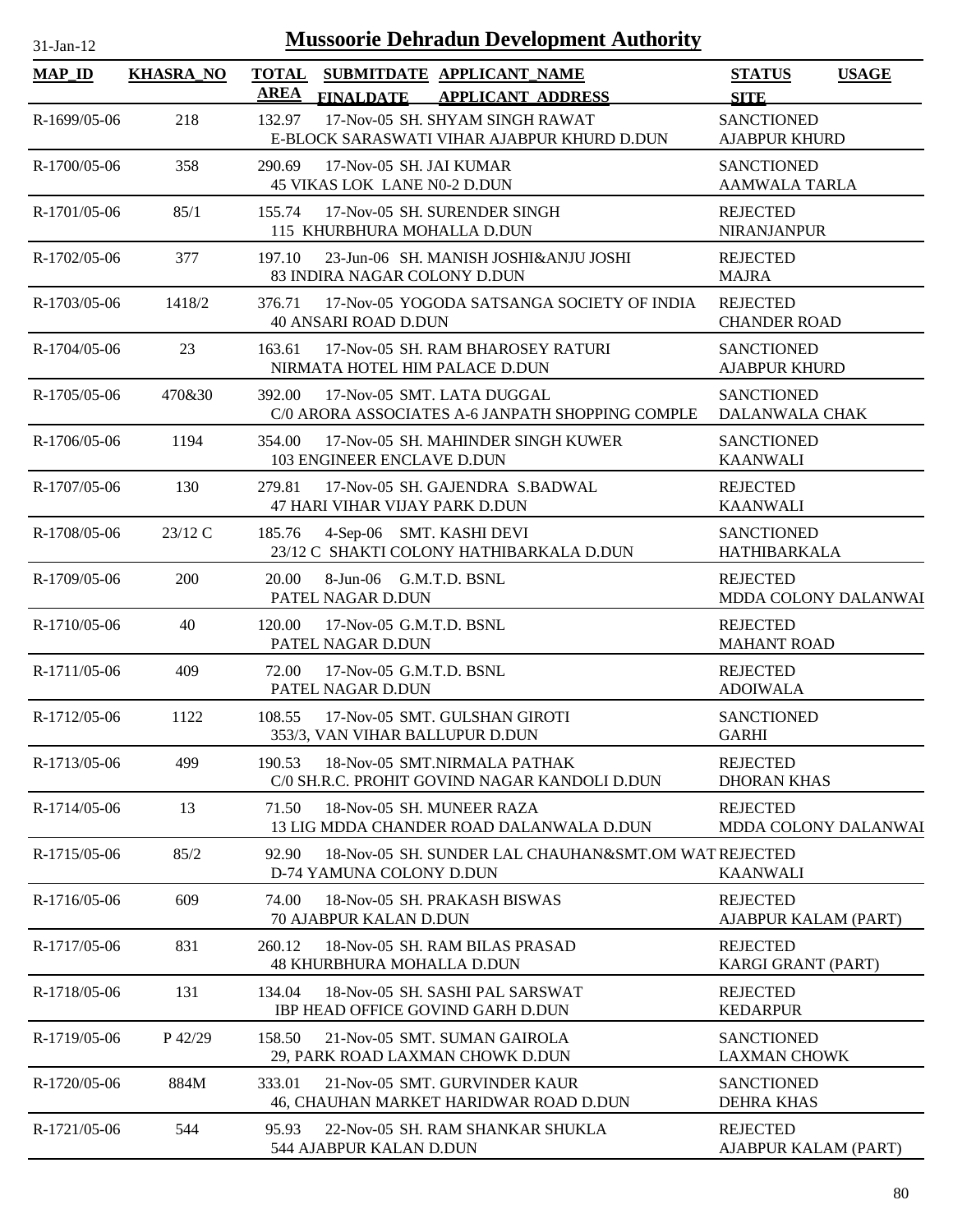| $31$ -Jan-12   |                  | <b>Mussoorie Dehradun Development Authority</b>                                                          |                                              |
|----------------|------------------|----------------------------------------------------------------------------------------------------------|----------------------------------------------|
| <b>MAP_ID</b>  | <b>KHASRA NO</b> | <b>TOTAL</b><br>SUBMITDATE APPLICANT_NAME<br><b>AREA</b><br><b>FINALDATE</b><br><b>APPLICANT ADDRESS</b> | <b>USAGE</b><br><b>STATUS</b><br><b>SITE</b> |
| R-1699/05-06   | 218              | 17-Nov-05 SH. SHYAM SINGH RAWAT<br>132.97<br>E-BLOCK SARASWATI VIHAR AJABPUR KHURD D.DUN                 | <b>SANCTIONED</b><br><b>AJABPUR KHURD</b>    |
| $R-1700/05-06$ | 358              | 17-Nov-05 SH. JAI KUMAR<br>290.69<br>45 VIKAS LOK LANE N0-2 D.DUN                                        | <b>SANCTIONED</b><br><b>AAMWALA TARLA</b>    |
| R-1701/05-06   | 85/1             | 17-Nov-05 SH. SURENDER SINGH<br>155.74<br>115 KHURBHURA MOHALLA D.DUN                                    | <b>REJECTED</b><br><b>NIRANJANPUR</b>        |
| R-1702/05-06   | 377              | 23-Jun-06 SH. MANISH JOSHI&ANJU JOSHI<br>197.10<br>83 INDIRA NAGAR COLONY D.DUN                          | <b>REJECTED</b><br><b>MAJRA</b>              |
| R-1703/05-06   | 1418/2           | 17-Nov-05 YOGODA SATSANGA SOCIETY OF INDIA<br>376.71<br><b>40 ANSARI ROAD D.DUN</b>                      | <b>REJECTED</b><br><b>CHANDER ROAD</b>       |
| $R-1704/05-06$ | 23               | 17-Nov-05 SH. RAM BHAROSEY RATURI<br>163.61<br>NIRMATA HOTEL HIM PALACE D.DUN                            | <b>SANCTIONED</b><br><b>AJABPUR KHURD</b>    |
| R-1705/05-06   | 470&30           | 17-Nov-05 SMT. LATA DUGGAL<br>392.00<br>C/0 ARORA ASSOCIATES A-6 JANPATH SHOPPING COMPLE                 | <b>SANCTIONED</b><br>DALANWALA CHAK          |
| R-1706/05-06   | 1194             | 354.00<br>17-Nov-05 SH, MAHINDER SINGH KUWER<br>103 ENGINEER ENCLAVE D.DUN                               | <b>SANCTIONED</b><br><b>KAANWALI</b>         |
| R-1707/05-06   | 130              | 279.81<br>17-Nov-05 SH. GAJENDRA S.BADWAL<br>47 HARI VIHAR VIJAY PARK D.DUN                              | <b>REJECTED</b><br><b>KAANWALI</b>           |
| R-1708/05-06   | $23/12$ C        | 185.76<br>4-Sep-06 SMT. KASHI DEVI<br>23/12 C SHAKTI COLONY HATHIBARKALA D.DUN                           | <b>SANCTIONED</b><br><b>HATHIBARKALA</b>     |
| R-1709/05-06   | 200              | 20.00<br>8-Jun-06 G.M.T.D. BSNL<br>PATEL NAGAR D.DUN                                                     | <b>REJECTED</b><br>MDDA COLONY DALANWAI      |
| R-1710/05-06   | 40               | 17-Nov-05 G.M.T.D. BSNL<br>120.00<br>PATEL NAGAR D.DUN                                                   | <b>REJECTED</b><br><b>MAHANT ROAD</b>        |
| R-1711/05-06   | 409              | 72.00<br>17-Nov-05 G.M.T.D. BSNL<br>PATEL NAGAR D.DUN                                                    | <b>REJECTED</b><br><b>ADOIWALA</b>           |
| R-1712/05-06   | 1122             | 108.55<br>17-Nov-05 SMT. GULSHAN GIROTI<br>353/3, VAN VIHAR BALLUPUR D.DUN                               | <b>SANCTIONED</b><br><b>GARHI</b>            |
| R-1713/05-06   | 499              | 18-Nov-05 SMT.NIRMALA PATHAK<br>190.53<br>C/0 SH.R.C. PROHIT GOVIND NAGAR KANDOLI D.DUN                  | <b>REJECTED</b><br><b>DHORAN KHAS</b>        |
| R-1714/05-06   | 13               | 71.50<br>18-Nov-05 SH. MUNEER RAZA<br>13 LIG MDDA CHANDER ROAD DALANWALA D.DUN                           | <b>REJECTED</b><br>MDDA COLONY DALANWAI      |
| R-1715/05-06   | 85/2             | 92.90<br>18-Nov-05 SH. SUNDER LAL CHAUHAN&SMT.OM WAT REJECTED<br>D-74 YAMUNA COLONY D.DUN                | <b>KAANWALI</b>                              |
| R-1716/05-06   | 609              | 74.00<br>18-Nov-05 SH. PRAKASH BISWAS<br><b>70 AJABPUR KALAN D.DUN</b>                                   | <b>REJECTED</b><br>AJABPUR KALAM (PART)      |
| R-1717/05-06   | 831              | 18-Nov-05 SH. RAM BILAS PRASAD<br>260.12<br><b>48 KHURBHURA MOHALLA D.DUN</b>                            | <b>REJECTED</b><br>KARGI GRANT (PART)        |
| R-1718/05-06   | 131              | 134.04<br>18-Nov-05 SH. SASHI PAL SARSWAT<br><b>IBP HEAD OFFICE GOVIND GARH D.DUN</b>                    | <b>REJECTED</b><br><b>KEDARPUR</b>           |
| R-1719/05-06   | P 42/29          | 158.50<br>21-Nov-05 SMT. SUMAN GAIROLA<br>29, PARK ROAD LAXMAN CHOWK D.DUN                               | <b>SANCTIONED</b><br><b>LAXMAN CHOWK</b>     |
| R-1720/05-06   | 884M             | 333.01<br>21-Nov-05 SMT. GURVINDER KAUR<br>46, CHAUHAN MARKET HARIDWAR ROAD D.DUN                        | <b>SANCTIONED</b><br><b>DEHRA KHAS</b>       |
| R-1721/05-06   | 544              | 95.93<br>22-Nov-05 SH. RAM SHANKAR SHUKLA<br>544 AJABPUR KALAN D.DUN                                     | <b>REJECTED</b><br>AJABPUR KALAM (PART)      |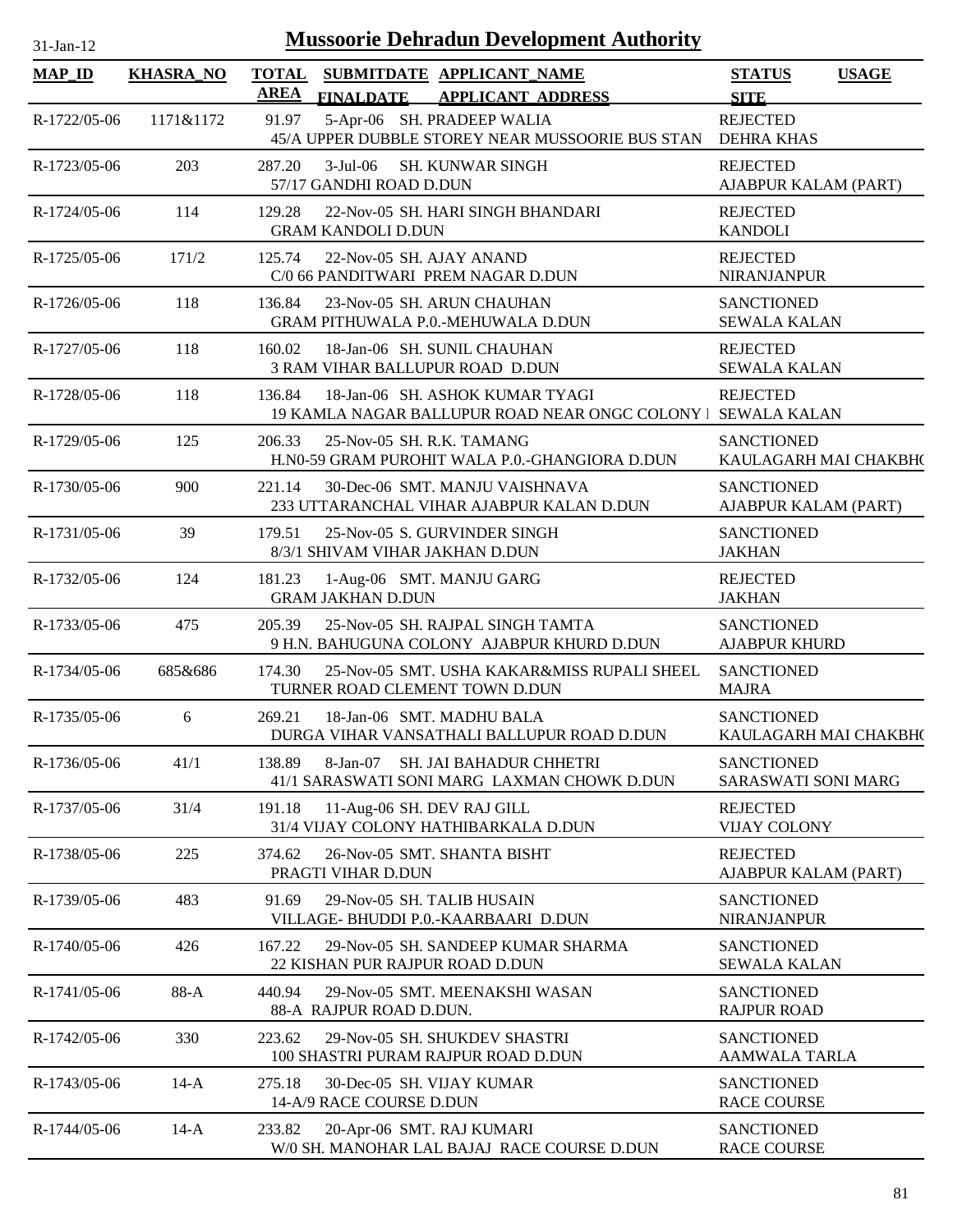| $31$ -Jan-12   |                  |             | <b>Mussoorie Dehradun Development Authority</b>                                                 |                                            |              |
|----------------|------------------|-------------|-------------------------------------------------------------------------------------------------|--------------------------------------------|--------------|
| <b>MAP_ID</b>  | <b>KHASRA_NO</b> | <b>AREA</b> | TOTAL SUBMITDATE APPLICANT NAME<br>FINALDATE APPLICANT ADDRESS                                  | <b>STATUS</b><br><b>SITE</b>               | <b>USAGE</b> |
| R-1722/05-06   | 1171&1172        | 91.97       | 5-Apr-06 SH. PRADEEP WALIA<br>45/A UPPER DUBBLE STOREY NEAR MUSSOORIE BUS STAN                  | <b>REJECTED</b><br><b>DEHRA KHAS</b>       |              |
| R-1723/05-06   | 203              | 287.20      | 3-Jul-06 SH. KUNWAR SINGH<br>57/17 GANDHI ROAD D.DUN                                            | <b>REJECTED</b><br>AJABPUR KALAM (PART)    |              |
| R-1724/05-06   | 114              | 129.28      | 22-Nov-05 SH, HARI SINGH BHANDARI<br><b>GRAM KANDOLI D.DUN</b>                                  | <b>REJECTED</b><br><b>KANDOLI</b>          |              |
| R-1725/05-06   | 171/2            | 125.74      | 22-Nov-05 SH. AJAY ANAND<br>C/0 66 PANDITWARI PREM NAGAR D.DUN                                  | <b>REJECTED</b><br><b>NIRANJANPUR</b>      |              |
| R-1726/05-06   | 118              | 136.84      | 23-Nov-05 SH. ARUN CHAUHAN<br><b>GRAM PITHUWALA P.0.-MEHUWALA D.DUN</b>                         | <b>SANCTIONED</b><br><b>SEWALA KALAN</b>   |              |
| R-1727/05-06   | 118              | 160.02      | 18-Jan-06 SH, SUNIL CHAUHAN<br><b>3 RAM VIHAR BALLUPUR ROAD D.DUN</b>                           | <b>REJECTED</b><br><b>SEWALA KALAN</b>     |              |
| R-1728/05-06   | 118              | 136.84      | 18-Jan-06 SH. ASHOK KUMAR TYAGI<br>19 KAMLA NAGAR BALLUPUR ROAD NEAR ONGC COLONY   SEWALA KALAN | <b>REJECTED</b>                            |              |
| R-1729/05-06   | 125              | 206.33      | 25-Nov-05 SH. R.K. TAMANG<br>H.N0-59 GRAM PUROHIT WALA P.O.-GHANGIORA D.DUN                     | <b>SANCTIONED</b><br>KAULAGARH MAI CHAKBH( |              |
| R-1730/05-06   | 900              | 221.14      | 30-Dec-06 SMT. MANJU VAISHNAVA<br>233 UTTARANCHAL VIHAR AJABPUR KALAN D.DUN                     | <b>SANCTIONED</b><br>AJABPUR KALAM (PART)  |              |
| R-1731/05-06   | 39               | 179.51      | 25-Nov-05 S. GURVINDER SINGH<br>8/3/1 SHIVAM VIHAR JAKHAN D.DUN                                 | <b>SANCTIONED</b><br><b>JAKHAN</b>         |              |
| R-1732/05-06   | 124              | 181.23      | 1-Aug-06 SMT. MANJU GARG<br><b>GRAM JAKHAN D.DUN</b>                                            | <b>REJECTED</b><br><b>JAKHAN</b>           |              |
| R-1733/05-06   | 475              | 205.39      | 25-Nov-05 SH. RAJPAL SINGH TAMTA<br>9 H.N. BAHUGUNA COLONY AJABPUR KHURD D.DUN                  | <b>SANCTIONED</b><br><b>AJABPUR KHURD</b>  |              |
| R-1734/05-06   | 685&686          | 174.30      | 25-Nov-05 SMT. USHA KAKAR&MISS RUPALI SHEEL<br>TURNER ROAD CLEMENT TOWN D.DUN                   | <b>SANCTIONED</b><br><b>MAJRA</b>          |              |
| $R-1735/05-06$ | 6                |             | 269.21 18-Jan-06 SMT. MADHU BALA<br>DURGA VIHAR VANSATHALI BALLUPUR ROAD D.DUN                  | <b>SANCTIONED</b><br>KAULAGARH MAI CHAKBH( |              |
| R-1736/05-06   | 41/1             | 138.89      | SH. JAI BAHADUR CHHETRI<br>$8-Jan-07$<br>41/1 SARASWATI SONI MARG LAXMAN CHOWK D.DUN            | <b>SANCTIONED</b><br>SARASWATI SONI MARG   |              |
| R-1737/05-06   | 31/4             | 191.18      | 11-Aug-06 SH. DEV RAJ GILL<br>31/4 VIJAY COLONY HATHIBARKALA D.DUN                              | <b>REJECTED</b><br><b>VIJAY COLONY</b>     |              |
| R-1738/05-06   | 225              | 374.62      | 26-Nov-05 SMT. SHANTA BISHT<br>PRAGTI VIHAR D.DUN                                               | <b>REJECTED</b><br>AJABPUR KALAM (PART)    |              |
| R-1739/05-06   | 483              | 91.69       | 29-Nov-05 SH. TALIB HUSAIN<br>VILLAGE- BHUDDI P.O.-KAARBAARI D.DUN                              | <b>SANCTIONED</b><br><b>NIRANJANPUR</b>    |              |
| R-1740/05-06   | 426              | 167.22      | 29-Nov-05 SH. SANDEEP KUMAR SHARMA<br>22 KISHAN PUR RAJPUR ROAD D.DUN                           | <b>SANCTIONED</b><br><b>SEWALA KALAN</b>   |              |
| R-1741/05-06   | 88-A             | 440.94      | 29-Nov-05 SMT. MEENAKSHI WASAN<br>88-A RAJPUR ROAD D.DUN.                                       | <b>SANCTIONED</b><br><b>RAJPUR ROAD</b>    |              |
| R-1742/05-06   | 330              | 223.62      | 29-Nov-05 SH. SHUKDEV SHASTRI<br>100 SHASTRI PURAM RAJPUR ROAD D.DUN                            | <b>SANCTIONED</b><br><b>AAMWALA TARLA</b>  |              |
| R-1743/05-06   | $14-A$           | 275.18      | 30-Dec-05 SH. VIJAY KUMAR<br>14-A/9 RACE COURSE D.DUN                                           | <b>SANCTIONED</b><br><b>RACE COURSE</b>    |              |
| R-1744/05-06   | $14-A$           | 233.82      | 20-Apr-06 SMT. RAJ KUMARI<br>W/0 SH. MANOHAR LAL BAJAJ RACE COURSE D.DUN                        | <b>SANCTIONED</b><br><b>RACE COURSE</b>    |              |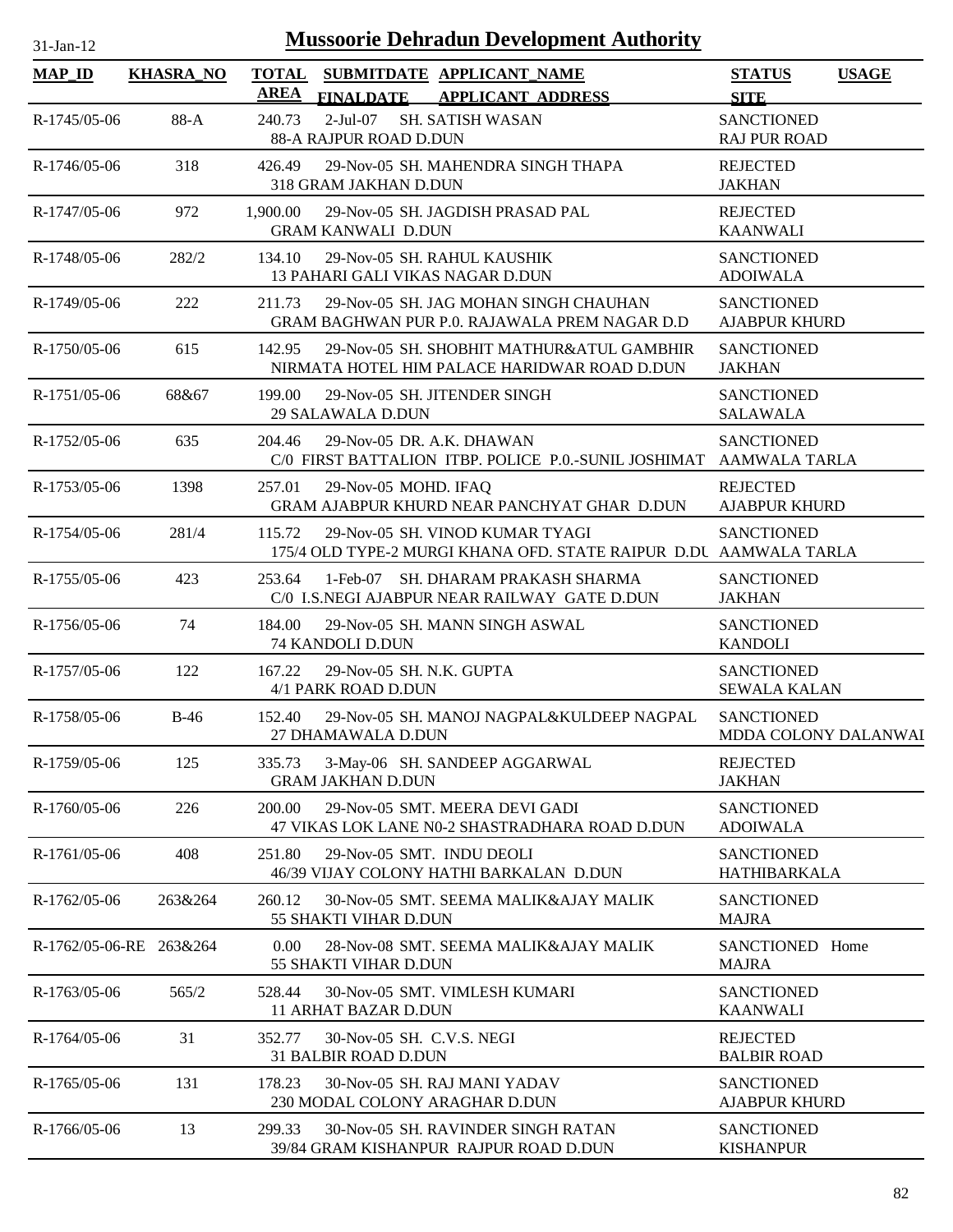| <b>Mussoorie Dehradun Development Authority</b><br>$31-Ian-12$ |                  |                      |                                                                                                      |                                              |
|----------------------------------------------------------------|------------------|----------------------|------------------------------------------------------------------------------------------------------|----------------------------------------------|
| <b>MAP_ID</b>                                                  | <b>KHASRA_NO</b> | <b>TOTAL</b><br>AREA | SUBMITDATE APPLICANT NAME<br><b>FINALDATE</b><br><b>APPLICANT ADDRESS</b>                            | <b>STATUS</b><br><b>USAGE</b><br><b>SITE</b> |
| R-1745/05-06                                                   | 88-A             | 240.73               | $2-Jul-07$<br><b>SH. SATISH WASAN</b><br>88-A RAJPUR ROAD D.DUN                                      | <b>SANCTIONED</b><br><b>RAJ PUR ROAD</b>     |
| R-1746/05-06                                                   | 318              | 426.49               | 29-Nov-05 SH. MAHENDRA SINGH THAPA<br>318 GRAM JAKHAN D.DUN                                          | <b>REJECTED</b><br><b>JAKHAN</b>             |
| R-1747/05-06                                                   | 972              | 1,900.00             | 29-Nov-05 SH. JAGDISH PRASAD PAL<br><b>GRAM KANWALI D.DUN</b>                                        | <b>REJECTED</b><br><b>KAANWALI</b>           |
| R-1748/05-06                                                   | 282/2            | 134.10               | 29-Nov-05 SH. RAHUL KAUSHIK<br>13 PAHARI GALI VIKAS NAGAR D.DUN                                      | <b>SANCTIONED</b><br><b>ADOIWALA</b>         |
| R-1749/05-06                                                   | 222              | 211.73               | 29-Nov-05 SH. JAG MOHAN SINGH CHAUHAN<br>GRAM BAGHWAN PUR P.O. RAJAWALA PREM NAGAR D.D               | <b>SANCTIONED</b><br><b>AJABPUR KHURD</b>    |
| R-1750/05-06                                                   | 615              | 142.95               | 29-Nov-05 SH. SHOBHIT MATHUR&ATUL GAMBHIR<br>NIRMATA HOTEL HIM PALACE HARIDWAR ROAD D.DUN            | <b>SANCTIONED</b><br><b>JAKHAN</b>           |
| R-1751/05-06                                                   | 68&67            | 199.00               | 29-Nov-05 SH. JITENDER SINGH<br>29 SALAWALA D.DUN                                                    | <b>SANCTIONED</b><br><b>SALAWALA</b>         |
| R-1752/05-06                                                   | 635              | 204.46               | 29-Nov-05 DR. A.K. DHAWAN<br>C/0 FIRST BATTALION ITBP. POLICE P.O.-SUNIL JOSHIMAT AAMWALA TARLA      | <b>SANCTIONED</b>                            |
| R-1753/05-06                                                   | 1398             | 257.01               | 29-Nov-05 MOHD. IFAQ<br>GRAM AJABPUR KHURD NEAR PANCHYAT GHAR D.DUN                                  | <b>REJECTED</b><br><b>AJABPUR KHURD</b>      |
| R-1754/05-06                                                   | 281/4            | 115.72               | 29-Nov-05 SH. VINOD KUMAR TYAGI<br>175/4 OLD TYPE-2 MURGI KHANA OFD. STATE RAIPUR D.DU AAMWALA TARLA | <b>SANCTIONED</b>                            |
| R-1755/05-06                                                   | 423              | 253.64               | 1-Feb-07 SH. DHARAM PRAKASH SHARMA<br>C/0 I.S.NEGI AJABPUR NEAR RAILWAY GATE D.DUN                   | <b>SANCTIONED</b><br><b>JAKHAN</b>           |
| R-1756/05-06                                                   | 74               | 184.00               | 29-Nov-05 SH. MANN SINGH ASWAL<br>74 KANDOLI D.DUN                                                   | <b>SANCTIONED</b><br><b>KANDOLI</b>          |
| $R-1757/05-06$                                                 | 122              | 167.22               | 29-Nov-05 SH, N.K. GUPTA<br>4/1 PARK ROAD D.DUN                                                      | <b>SANCTIONED</b><br><b>SEWALA KALAN</b>     |
| R-1758/05-06                                                   | $B-46$           | 152.40               | 29-Nov-05 SH. MANOJ NAGPAL&KULDEEP NAGPAL<br>27 DHAMAWALA D.DUN                                      | <b>SANCTIONED</b><br>MDDA COLONY DALANWAI    |
| R-1759/05-06                                                   | 125              | 335.73               | 3-May-06 SH. SANDEEP AGGARWAL<br><b>GRAM JAKHAN D.DUN</b>                                            | <b>REJECTED</b><br><b>JAKHAN</b>             |
| R-1760/05-06                                                   | 226              | 200.00               | 29-Nov-05 SMT. MEERA DEVI GADI<br>47 VIKAS LOK LANE N0-2 SHASTRADHARA ROAD D.DUN                     | <b>SANCTIONED</b><br><b>ADOIWALA</b>         |
| R-1761/05-06                                                   | 408              | 251.80               | 29-Nov-05 SMT. INDU DEOLI<br>46/39 VIJAY COLONY HATHI BARKALAN D.DUN                                 | <b>SANCTIONED</b><br><b>HATHIBARKALA</b>     |
| R-1762/05-06                                                   | 263&264          | 260.12               | 30-Nov-05 SMT, SEEMA MALIK&AJAY MALIK<br>55 SHAKTI VIHAR D.DUN                                       | <b>SANCTIONED</b><br><b>MAJRA</b>            |
| R-1762/05-06-RE 263&264                                        |                  | 0.00                 | 28-Nov-08 SMT. SEEMA MALIK&AJAY MALIK<br><b>55 SHAKTI VIHAR D.DUN</b>                                | SANCTIONED Home<br><b>MAJRA</b>              |
| R-1763/05-06                                                   | 565/2            | 528.44               | 30-Nov-05 SMT. VIMLESH KUMARI<br>11 ARHAT BAZAR D.DUN                                                | <b>SANCTIONED</b><br><b>KAANWALI</b>         |
| R-1764/05-06                                                   | 31               | 352.77               | 30-Nov-05 SH. C.V.S. NEGI<br><b>31 BALBIR ROAD D.DUN</b>                                             | <b>REJECTED</b><br><b>BALBIR ROAD</b>        |
| R-1765/05-06                                                   | 131              | 178.23               | 30-Nov-05 SH, RAJ MANI YADAV<br>230 MODAL COLONY ARAGHAR D.DUN                                       | <b>SANCTIONED</b><br><b>AJABPUR KHURD</b>    |
| R-1766/05-06                                                   | 13               | 299.33               | 30-Nov-05 SH. RAVINDER SINGH RATAN<br>39/84 GRAM KISHANPUR RAJPUR ROAD D.DUN                         | <b>SANCTIONED</b><br><b>KISHANPUR</b>        |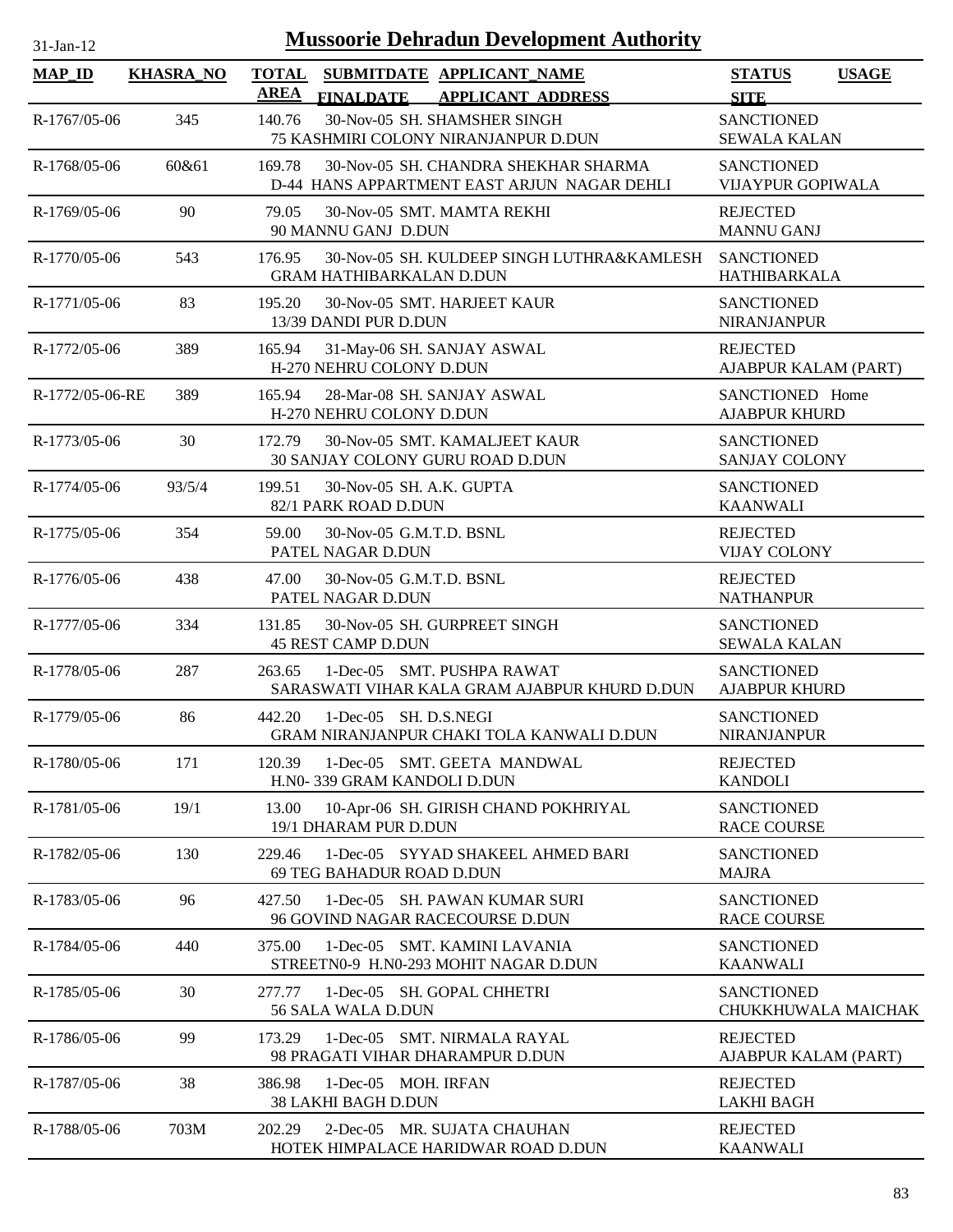| $31-Jan-12$         |                  | <b>Mussoorie Dehradun Development Authority</b>                                               |                                               |
|---------------------|------------------|-----------------------------------------------------------------------------------------------|-----------------------------------------------|
| $MAP$ <sub>ID</sub> | <b>KHASRA_NO</b> | <b>TOTAL</b><br>SUBMITDATE APPLICANT_NAME<br><b>AREA</b><br>FINALDATE APPLICANT ADDRESS       | <b>USAGE</b><br><b>STATUS</b><br><b>SITE</b>  |
| R-1767/05-06        | 345              | 30-Nov-05 SH. SHAMSHER SINGH<br>140.76<br>75 KASHMIRI COLONY NIRANJANPUR D.DUN                | <b>SANCTIONED</b><br><b>SEWALA KALAN</b>      |
| R-1768/05-06        | 60&61            | 30-Nov-05 SH. CHANDRA SHEKHAR SHARMA<br>169.78<br>D-44 HANS APPARTMENT EAST ARJUN NAGAR DEHLI | <b>SANCTIONED</b><br><b>VIJAYPUR GOPIWALA</b> |
| R-1769/05-06        | 90               | 79.05<br>30-Nov-05 SMT, MAMTA REKHI<br>90 MANNU GANJ D.DUN                                    | <b>REJECTED</b><br><b>MANNU GANJ</b>          |
| R-1770/05-06        | 543              | 176.95<br>30-Nov-05 SH. KULDEEP SINGH LUTHRA&KAMLESH<br><b>GRAM HATHIBARKALAN D.DUN</b>       | <b>SANCTIONED</b><br><b>HATHIBARKALA</b>      |
| R-1771/05-06        | 83               | 30-Nov-05 SMT. HARJEET KAUR<br>195.20<br>13/39 DANDI PUR D.DUN                                | <b>SANCTIONED</b><br><b>NIRANJANPUR</b>       |
| R-1772/05-06        | 389              | 165.94<br>31-May-06 SH. SANJAY ASWAL<br>H-270 NEHRU COLONY D.DUN                              | <b>REJECTED</b><br>AJABPUR KALAM (PART)       |
| R-1772/05-06-RE     | 389              | 28-Mar-08 SH. SANJAY ASWAL<br>165.94<br>H-270 NEHRU COLONY D.DUN                              | SANCTIONED Home<br><b>AJABPUR KHURD</b>       |
| R-1773/05-06        | 30               | 30-Nov-05 SMT. KAMALJEET KAUR<br>172.79<br>30 SANJAY COLONY GURU ROAD D.DUN                   | <b>SANCTIONED</b><br><b>SANJAY COLONY</b>     |
| R-1774/05-06        | 93/5/4           | 30-Nov-05 SH. A.K. GUPTA<br>199.51<br>82/1 PARK ROAD D.DUN                                    | <b>SANCTIONED</b><br><b>KAANWALI</b>          |
| R-1775/05-06        | 354              | 59.00<br>30-Nov-05 G.M.T.D. BSNL<br>PATEL NAGAR D.DUN                                         | <b>REJECTED</b><br><b>VIJAY COLONY</b>        |
| R-1776/05-06        | 438              | 47.00<br>30-Nov-05 G.M.T.D. BSNL<br>PATEL NAGAR D.DUN                                         | <b>REJECTED</b><br><b>NATHANPUR</b>           |
| R-1777/05-06        | 334              | 131.85<br>30-Nov-05 SH. GURPREET SINGH<br><b>45 REST CAMP D.DUN</b>                           | <b>SANCTIONED</b><br><b>SEWALA KALAN</b>      |
| R-1778/05-06        | 287              | 1-Dec-05 SMT. PUSHPA RAWAT<br>263.65<br>SARASWATI VIHAR KALA GRAM AJABPUR KHURD D.DUN         | <b>SANCTIONED</b><br><b>AJABPUR KHURD</b>     |
| R-1779/05-06        | 86               | 442.20<br>1-Dec-05 SH. D.S.NEGI<br>GRAM NIRANJANPUR CHAKI TOLA KANWALI D.DUN                  | <b>SANCTIONED</b><br><b>NIRANJANPUR</b>       |
| R-1780/05-06        | 171              | 1-Dec-05 SMT. GEETA MANDWAL<br>120.39<br>H.N0-339 GRAM KANDOLI D.DUN                          | <b>REJECTED</b><br><b>KANDOLI</b>             |
| R-1781/05-06        | 19/1             | 13.00<br>10-Apr-06 SH. GIRISH CHAND POKHRIYAL<br>19/1 DHARAM PUR D.DUN                        | <b>SANCTIONED</b><br><b>RACE COURSE</b>       |
| R-1782/05-06        | 130              | 1-Dec-05 SYYAD SHAKEEL AHMED BARI<br>229.46<br>69 TEG BAHADUR ROAD D.DUN                      | <b>SANCTIONED</b><br><b>MAJRA</b>             |
| R-1783/05-06        | 96               | 427.50<br>1-Dec-05 SH. PAWAN KUMAR SURI<br>96 GOVIND NAGAR RACECOURSE D.DUN                   | <b>SANCTIONED</b><br><b>RACE COURSE</b>       |
| R-1784/05-06        | 440              | 1-Dec-05 SMT. KAMINI LAVANIA<br>375.00<br>STREETN0-9 H.N0-293 MOHIT NAGAR D.DUN               | <b>SANCTIONED</b><br><b>KAANWALI</b>          |
| R-1785/05-06        | 30               | 277.77<br>1-Dec-05 SH. GOPAL CHHETRI<br>56 SALA WALA D.DUN                                    | <b>SANCTIONED</b><br>CHUKKHUWALA MAICHAK      |
| R-1786/05-06        | 99               | 1-Dec-05 SMT. NIRMALA RAYAL<br>173.29<br>98 PRAGATI VIHAR DHARAMPUR D.DUN                     | <b>REJECTED</b><br>AJABPUR KALAM (PART)       |
| R-1787/05-06        | 38               | 386.98<br>1-Dec-05 MOH. IRFAN<br>38 LAKHI BAGH D.DUN                                          | <b>REJECTED</b><br><b>LAKHI BAGH</b>          |
| R-1788/05-06        | 703M             | 2-Dec-05 MR. SUJATA CHAUHAN<br>202.29<br>HOTEK HIMPALACE HARIDWAR ROAD D.DUN                  | <b>REJECTED</b><br><b>KAANWALI</b>            |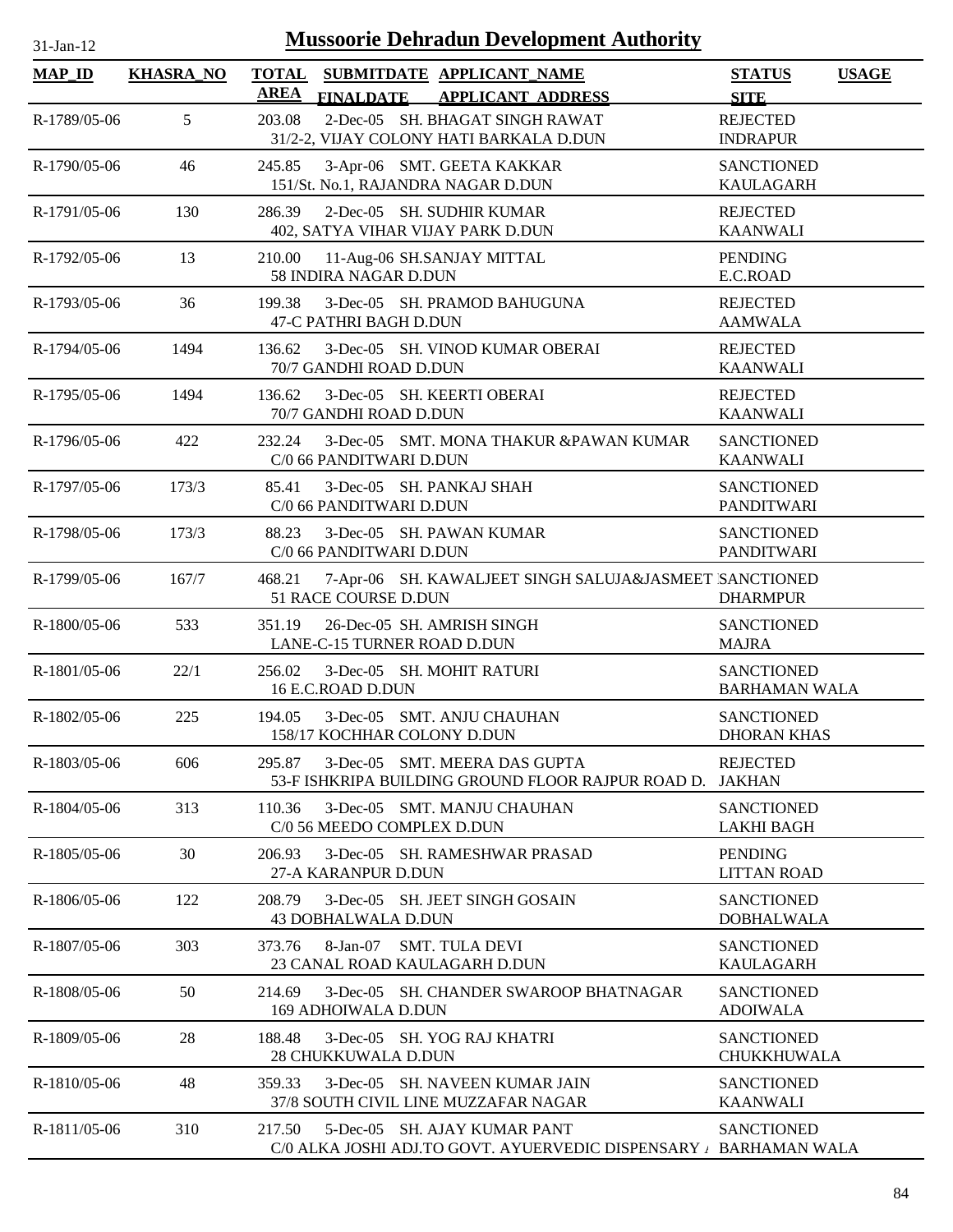| и |  |
|---|--|
|   |  |

| <b>MAP_ID</b> | <b>KHASRA_NO</b> | <b>TOTAL</b> |                             | SUBMITDATE APPLICANT NAME                                                                         | <b>STATUS</b>                             | <b>USAGE</b> |
|---------------|------------------|--------------|-----------------------------|---------------------------------------------------------------------------------------------------|-------------------------------------------|--------------|
|               |                  | <b>AREA</b>  | <b>FINALDATE</b>            | <b>APPLICANT ADDRESS</b>                                                                          | <b>SITE</b>                               |              |
| R-1789/05-06  | 5                | 203.08       |                             | 2-Dec-05 SH. BHAGAT SINGH RAWAT<br>31/2-2, VIJAY COLONY HATI BARKALA D.DUN                        | <b>REJECTED</b><br><b>INDRAPUR</b>        |              |
| R-1790/05-06  | 46               | 245.85       |                             | 3-Apr-06 SMT. GEETA KAKKAR                                                                        | <b>SANCTIONED</b>                         |              |
|               |                  |              |                             | 151/St. No.1, RAJANDRA NAGAR D.DUN                                                                | <b>KAULAGARH</b>                          |              |
| R-1791/05-06  | 130              | 286.39       |                             | 2-Dec-05 SH. SUDHIR KUMAR                                                                         | <b>REJECTED</b>                           |              |
|               |                  |              |                             | 402, SATYA VIHAR VIJAY PARK D.DUN                                                                 | <b>KAANWALI</b>                           |              |
| R-1792/05-06  | 13               | 210.00       | 58 INDIRA NAGAR D.DUN       | 11-Aug-06 SH.SANJAY MITTAL                                                                        | <b>PENDING</b><br>E.C.ROAD                |              |
| R-1793/05-06  | 36               | 199.38       | 47-C PATHRI BAGH D.DUN      | 3-Dec-05 SH. PRAMOD BAHUGUNA                                                                      | <b>REJECTED</b><br><b>AAMWALA</b>         |              |
| R-1794/05-06  | 1494             | 136.62       | 70/7 GANDHI ROAD D.DUN      | 3-Dec-05 SH. VINOD KUMAR OBERAI                                                                   | <b>REJECTED</b><br><b>KAANWALI</b>        |              |
| R-1795/05-06  | 1494             | 136.62       | 70/7 GANDHI ROAD D.DUN      | 3-Dec-05 SH. KEERTI OBERAI                                                                        | <b>REJECTED</b><br><b>KAANWALI</b>        |              |
| R-1796/05-06  | 422              | 232.24       |                             | 3-Dec-05 SMT. MONA THAKUR &PAWAN KUMAR                                                            | <b>SANCTIONED</b>                         |              |
|               |                  |              | C/0 66 PANDITWARI D.DUN     |                                                                                                   | <b>KAANWALI</b>                           |              |
| R-1797/05-06  | 173/3            | 85.41        | C/0 66 PANDITWARI D.DUN     | 3-Dec-05 SH. PANKAJ SHAH                                                                          | <b>SANCTIONED</b><br><b>PANDITWARI</b>    |              |
| R-1798/05-06  | 173/3            | 88.23        |                             | 3-Dec-05 SH. PAWAN KUMAR                                                                          | <b>SANCTIONED</b>                         |              |
|               |                  |              | C/0 66 PANDITWARI D.DUN     |                                                                                                   | <b>PANDITWARI</b>                         |              |
| R-1799/05-06  | 167/7            | 468.21       | 51 RACE COURSE D.DUN        | 7-Apr-06 SH. KAWALJEET SINGH SALUJA&JASMEET SANCTIONED                                            | <b>DHARMPUR</b>                           |              |
| R-1800/05-06  | 533              | 351.19       | LANE-C-15 TURNER ROAD D.DUN | 26-Dec-05 SH. AMRISH SINGH                                                                        | <b>SANCTIONED</b><br><b>MAJRA</b>         |              |
| R-1801/05-06  | 22/1             | 256.02       | 16 E.C.ROAD D.DUN           | 3-Dec-05 SH. MOHIT RATURI                                                                         | <b>SANCTIONED</b><br><b>BARHAMAN WALA</b> |              |
| R-1802/05-06  | 225              | 194.05       | 158/17 KOCHHAR COLONY D.DUN | 3-Dec-05 SMT. ANJU CHAUHAN                                                                        | <b>SANCTIONED</b><br><b>DHORAN KHAS</b>   |              |
| R-1803/05-06  | 606              | 295.87       |                             | 3-Dec-05 SMT. MEERA DAS GUPTA<br>53-F ISHKRIPA BUILDING GROUND FLOOR RAJPUR ROAD D.               | <b>REJECTED</b><br><b>JAKHAN</b>          |              |
| R-1804/05-06  | 313              | 110.36       | C/0 56 MEEDO COMPLEX D.DUN  | 3-Dec-05 SMT. MANJU CHAUHAN                                                                       | <b>SANCTIONED</b><br><b>LAKHI BAGH</b>    |              |
| R-1805/05-06  | 30               | 206.93       | 27-A KARANPUR D.DUN         | 3-Dec-05 SH. RAMESHWAR PRASAD                                                                     | <b>PENDING</b><br><b>LITTAN ROAD</b>      |              |
| R-1806/05-06  | 122              | 208.79       | <b>43 DOBHALWALA D.DUN</b>  | 3-Dec-05 SH. JEET SINGH GOSAIN                                                                    | <b>SANCTIONED</b><br><b>DOBHALWALA</b>    |              |
| R-1807/05-06  | 303              | 373.76       | 8-Jan-07                    | <b>SMT. TULA DEVI</b><br>23 CANAL ROAD KAULAGARH D.DUN                                            | <b>SANCTIONED</b><br><b>KAULAGARH</b>     |              |
| R-1808/05-06  | 50               | 214.69       | 169 ADHOIWALA D.DUN         | 3-Dec-05 SH. CHANDER SWAROOP BHATNAGAR                                                            | <b>SANCTIONED</b><br><b>ADOIWALA</b>      |              |
| R-1809/05-06  | 28               | 188.48       | <b>28 CHUKKUWALA D.DUN</b>  | 3-Dec-05 SH. YOG RAJ KHATRI                                                                       | <b>SANCTIONED</b><br>CHUKKHUWALA          |              |
| R-1810/05-06  | 48               | 359.33       |                             | 3-Dec-05 SH. NAVEEN KUMAR JAIN<br>37/8 SOUTH CIVIL LINE MUZZAFAR NAGAR                            | <b>SANCTIONED</b><br><b>KAANWALI</b>      |              |
| R-1811/05-06  | 310              | 217.50       |                             | 5-Dec-05 SH. AJAY KUMAR PANT<br>C/0 ALKA JOSHI ADJ.TO GOVT. AYUERVEDIC DISPENSARY / BARHAMAN WALA | <b>SANCTIONED</b>                         |              |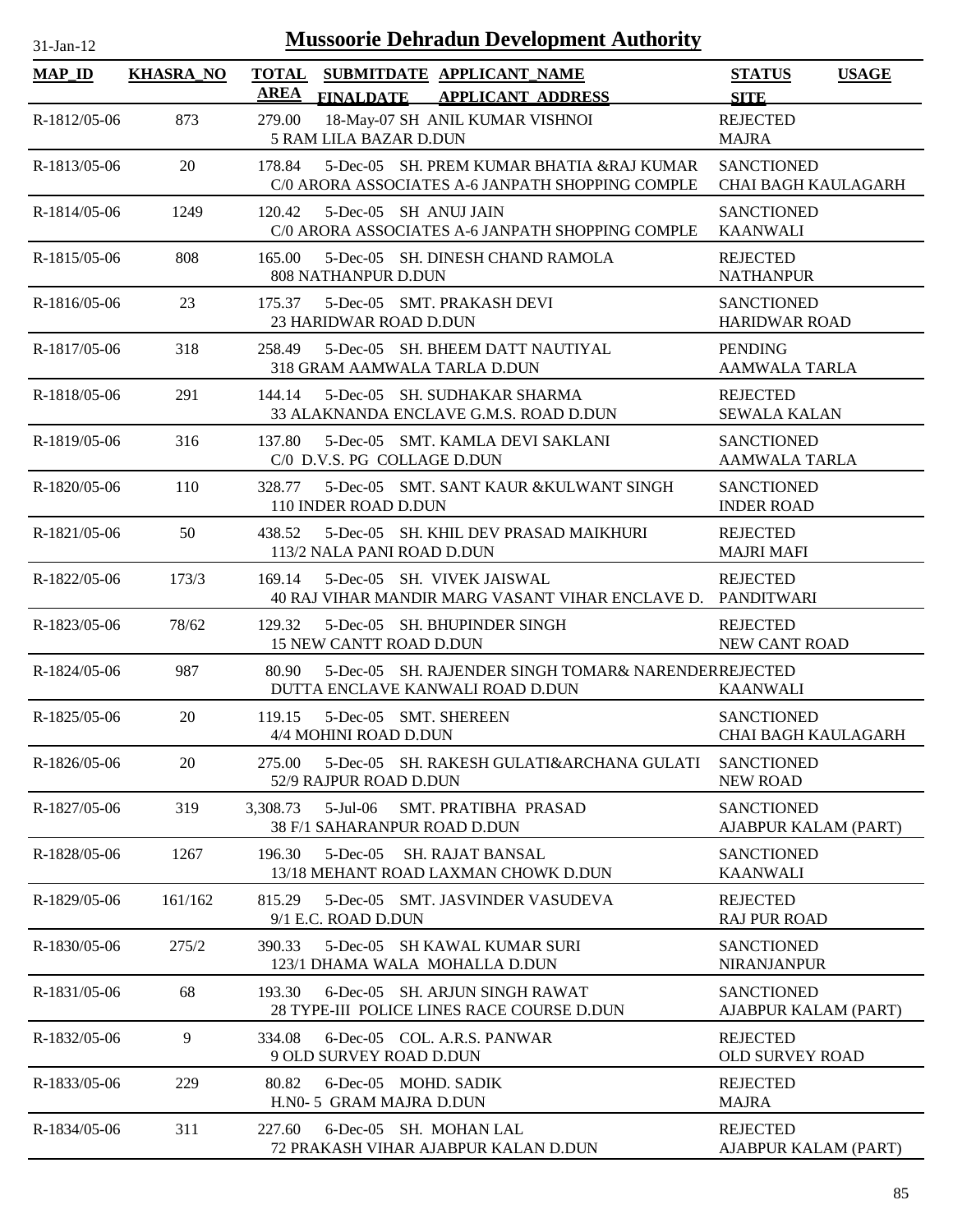| $31$ -Jan- $12$ |                  |                             | <b>Mussoorie Dehradun Development Authority</b>                                                           |                                                 |              |
|-----------------|------------------|-----------------------------|-----------------------------------------------------------------------------------------------------------|-------------------------------------------------|--------------|
| <b>MAP_ID</b>   | <b>KHASRA_NO</b> | <b>TOTAL</b><br><b>AREA</b> | SUBMITDATE APPLICANT_NAME                                                                                 | <b>STATUS</b>                                   | <b>USAGE</b> |
| R-1812/05-06    | 873              | 279.00                      | <b>FINALDATE</b><br><b>APPLICANT ADDRESS</b><br>18-May-07 SH ANIL KUMAR VISHNOI<br>5 RAM LILA BAZAR D.DUN | <b>SITE</b><br><b>REJECTED</b><br><b>MAJRA</b>  |              |
| R-1813/05-06    | 20               | 178.84                      | 5-Dec-05 SH. PREM KUMAR BHATIA &RAJ KUMAR<br>C/0 ARORA ASSOCIATES A-6 JANPATH SHOPPING COMPLE             | <b>SANCTIONED</b><br><b>CHAI BAGH KAULAGARH</b> |              |
| R-1814/05-06    | 1249             | 120.42                      | 5-Dec-05 SH ANUJ JAIN<br>C/0 ARORA ASSOCIATES A-6 JANPATH SHOPPING COMPLE                                 | <b>SANCTIONED</b><br><b>KAANWALI</b>            |              |
| R-1815/05-06    | 808              | 165.00                      | 5-Dec-05 SH, DINESH CHAND RAMOLA<br>808 NATHANPUR D.DUN                                                   | <b>REJECTED</b><br><b>NATHANPUR</b>             |              |
| R-1816/05-06    | 23               | 175.37                      | 5-Dec-05 SMT. PRAKASH DEVI<br>23 HARIDWAR ROAD D.DUN                                                      | <b>SANCTIONED</b><br><b>HARIDWAR ROAD</b>       |              |
| R-1817/05-06    | 318              | 258.49                      | 5-Dec-05 SH, BHEEM DATT NAUTIYAL<br>318 GRAM AAMWALA TARLA D.DUN                                          | <b>PENDING</b><br><b>AAMWALA TARLA</b>          |              |
| R-1818/05-06    | 291              | 144.14                      | 5-Dec-05 SH. SUDHAKAR SHARMA<br>33 ALAKNANDA ENCLAVE G.M.S. ROAD D.DUN                                    | <b>REJECTED</b><br><b>SEWALA KALAN</b>          |              |
| R-1819/05-06    | 316              | 137.80                      | 5-Dec-05 SMT. KAMLA DEVI SAKLANI<br>C/0 D.V.S. PG COLLAGE D.DUN                                           | <b>SANCTIONED</b><br><b>AAMWALA TARLA</b>       |              |
| R-1820/05-06    | 110              | 328.77                      | 5-Dec-05 SMT. SANT KAUR & KULWANT SINGH<br>110 INDER ROAD D.DUN                                           | <b>SANCTIONED</b><br><b>INDER ROAD</b>          |              |
| R-1821/05-06    | 50               | 438.52                      | 5-Dec-05 SH. KHIL DEV PRASAD MAIKHURI<br>113/2 NALA PANI ROAD D.DUN                                       | <b>REJECTED</b><br><b>MAJRI MAFI</b>            |              |
| R-1822/05-06    | 173/3            | 169.14                      | 5-Dec-05 SH. VIVEK JAISWAL<br>40 RAJ VIHAR MANDIR MARG VASANT VIHAR ENCLAVE D.                            | <b>REJECTED</b><br>PANDITWARI                   |              |
| R-1823/05-06    | 78/62            | 129.32                      | 5-Dec-05 SH. BHUPINDER SINGH<br>15 NEW CANTT ROAD D.DUN                                                   | <b>REJECTED</b><br>NEW CANT ROAD                |              |
| R-1824/05-06    | 987              | 80.90                       | 5-Dec-05 SH. RAJENDER SINGH TOMAR& NARENDERREJECTED<br>DUTTA ENCLAVE KANWALI ROAD D.DUN                   | <b>KAANWALI</b>                                 |              |
| R-1825/05-06    | 20               | 119.15                      | 5-Dec-05 SMT. SHEREEN<br>4/4 MOHINI ROAD D.DUN                                                            | <b>SANCTIONED</b><br><b>CHAI BAGH KAULAGARH</b> |              |
| R-1826/05-06    | 20               | 275.00                      | 5-Dec-05 SH. RAKESH GULATI&ARCHANA GULATI<br>52/9 RAJPUR ROAD D.DUN                                       | <b>SANCTIONED</b><br><b>NEW ROAD</b>            |              |
| R-1827/05-06    | 319              | 3,308.73                    | $5$ -Jul $-06$<br><b>SMT. PRATIBHA PRASAD</b><br>38 F/1 SAHARANPUR ROAD D.DUN                             | <b>SANCTIONED</b><br>AJABPUR KALAM (PART)       |              |
| R-1828/05-06    | 1267             | 196.30                      | $5$ -Dec-05<br><b>SH. RAJAT BANSAL</b><br>13/18 MEHANT ROAD LAXMAN CHOWK D.DUN                            | <b>SANCTIONED</b><br><b>KAANWALI</b>            |              |
| R-1829/05-06    | 161/162          | 815.29                      | 5-Dec-05 SMT, JASVINDER VASUDEVA<br>9/1 E.C. ROAD D.DUN                                                   | <b>REJECTED</b><br><b>RAJ PUR ROAD</b>          |              |
| R-1830/05-06    | 275/2            | 390.33                      | 5-Dec-05 SH KAWAL KUMAR SURI<br>123/1 DHAMA WALA MOHALLA D.DUN                                            | <b>SANCTIONED</b><br>NIRANJANPUR                |              |
| R-1831/05-06    | 68               | 193.30                      | 6-Dec-05 SH. ARJUN SINGH RAWAT<br>28 TYPE-III POLICE LINES RACE COURSE D.DUN                              | <b>SANCTIONED</b><br>AJABPUR KALAM (PART)       |              |
| R-1832/05-06    | 9                | 334.08                      | 6-Dec-05 COL. A.R.S. PANWAR<br>9 OLD SURVEY ROAD D.DUN                                                    | <b>REJECTED</b><br><b>OLD SURVEY ROAD</b>       |              |
| R-1833/05-06    | 229              | 80.82                       | 6-Dec-05 MOHD, SADIK<br>H.N0-5 GRAM MAJRA D.DUN                                                           | <b>REJECTED</b><br><b>MAJRA</b>                 |              |
| R-1834/05-06    | 311              | 227.60                      | 6-Dec-05 SH. MOHAN LAL<br>72 PRAKASH VIHAR AJABPUR KALAN D.DUN                                            | <b>REJECTED</b><br>AJABPUR KALAM (PART)         |              |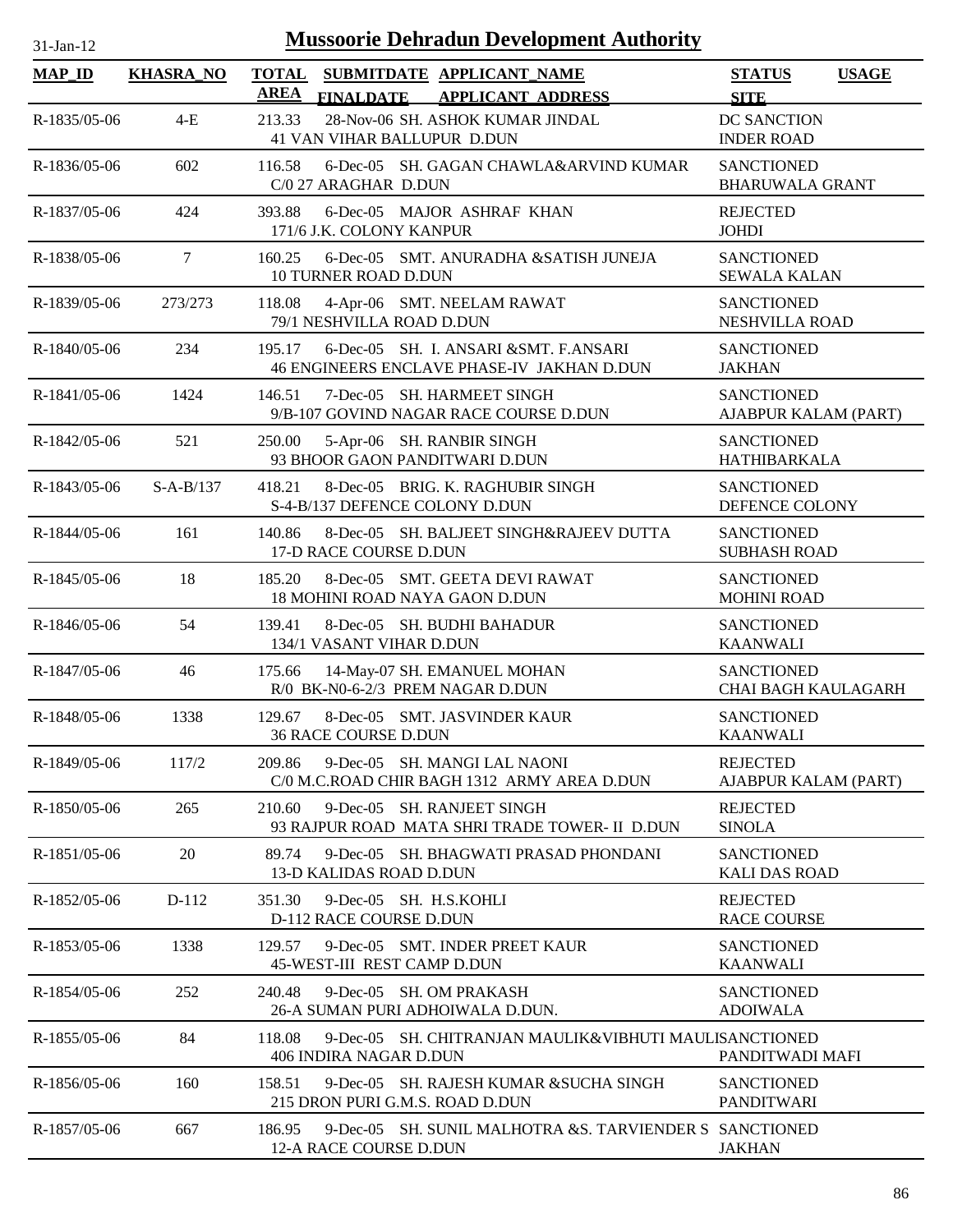| $31$ -Jan-12   |                  |                             | <b>Mussoorie Dehradun Development Authority</b>                                      |                                                 |              |
|----------------|------------------|-----------------------------|--------------------------------------------------------------------------------------|-------------------------------------------------|--------------|
| <b>MAP_ID</b>  | <b>KHASRA_NO</b> | <b>TOTAL</b><br><b>AREA</b> | SUBMITDATE APPLICANT NAME<br><b>FINALDATE</b><br><b>APPLICANT ADDRESS</b>            | <b>STATUS</b><br><b>SITE</b>                    | <b>USAGE</b> |
| R-1835/05-06   | $4-E$            | 213.33                      | 28-Nov-06 SH. ASHOK KUMAR JINDAL<br>41 VAN VIHAR BALLUPUR D.DUN                      | DC SANCTION<br><b>INDER ROAD</b>                |              |
| R-1836/05-06   | 602              | 116.58                      | 6-Dec-05 SH. GAGAN CHAWLA&ARVIND KUMAR<br>C/0 27 ARAGHAR D.DUN                       | <b>SANCTIONED</b><br><b>BHARUWALA GRANT</b>     |              |
| R-1837/05-06   | 424              | 393.88                      | 6-Dec-05 MAJOR ASHRAF KHAN<br>171/6 J.K. COLONY KANPUR                               | <b>REJECTED</b><br><b>JOHDI</b>                 |              |
| R-1838/05-06   | $\overline{7}$   | 160.25                      | 6-Dec-05 SMT. ANURADHA &SATISH JUNEJA<br><b>10 TURNER ROAD D.DUN</b>                 | <b>SANCTIONED</b><br><b>SEWALA KALAN</b>        |              |
| R-1839/05-06   | 273/273          | 118.08                      | 4-Apr-06 SMT. NEELAM RAWAT<br>79/1 NESHVILLA ROAD D.DUN                              | <b>SANCTIONED</b><br>NESHVILLA ROAD             |              |
| R-1840/05-06   | 234              | 195.17                      | 6-Dec-05 SH. I. ANSARI & SMT. F.ANSARI<br>46 ENGINEERS ENCLAVE PHASE-IV JAKHAN D.DUN | <b>SANCTIONED</b><br><b>JAKHAN</b>              |              |
| $R-1841/05-06$ | 1424             | 146.51                      | 7-Dec-05 SH. HARMEET SINGH<br>9/B-107 GOVIND NAGAR RACE COURSE D.DUN                 | <b>SANCTIONED</b><br>AJABPUR KALAM (PART)       |              |
| R-1842/05-06   | 521              | 250.00                      | 5-Apr-06 SH. RANBIR SINGH<br>93 BHOOR GAON PANDITWARI D.DUN                          | <b>SANCTIONED</b><br>HATHIBARKALA               |              |
| R-1843/05-06   | $S-A-B/137$      | 418.21                      | 8-Dec-05 BRIG. K. RAGHUBIR SINGH<br>S-4-B/137 DEFENCE COLONY D.DUN                   | <b>SANCTIONED</b><br>DEFENCE COLONY             |              |
| R-1844/05-06   | 161              | 140.86                      | 8-Dec-05 SH. BALJEET SINGH&RAJEEV DUTTA<br>17-D RACE COURSE D.DUN                    | <b>SANCTIONED</b><br><b>SUBHASH ROAD</b>        |              |
| R-1845/05-06   | 18               | 185.20                      | 8-Dec-05 SMT. GEETA DEVI RAWAT<br>18 MOHINI ROAD NAYA GAON D.DUN                     | <b>SANCTIONED</b><br><b>MOHINI ROAD</b>         |              |
| R-1846/05-06   | 54               | 139.41                      | 8-Dec-05 SH. BUDHI BAHADUR<br>134/1 VASANT VIHAR D.DUN                               | <b>SANCTIONED</b><br><b>KAANWALI</b>            |              |
| R-1847/05-06   | 46               | 175.66                      | 14-May-07 SH. EMANUEL MOHAN<br>R/0 BK-N0-6-2/3 PREM NAGAR D.DUN                      | <b>SANCTIONED</b><br><b>CHAI BAGH KAULAGARH</b> |              |
| R-1848/05-06   | 1338             | 129.67                      | 8-Dec-05 SMT. JASVINDER KAUR<br><b>36 RACE COURSE D.DUN</b>                          | <b>SANCTIONED</b><br><b>KAANWALI</b>            |              |
| R-1849/05-06   | 117/2            | 209.86                      | 9-Dec-05 SH. MANGI LAL NAONI<br>C/0 M.C.ROAD CHIR BAGH 1312 ARMY AREA D.DUN          | <b>REJECTED</b><br>AJABPUR KALAM (PART)         |              |
| R-1850/05-06   | 265              | 210.60                      | 9-Dec-05 SH. RANJEET SINGH<br>93 RAJPUR ROAD MATA SHRI TRADE TOWER- II D.DUN         | <b>REJECTED</b><br><b>SINOLA</b>                |              |
| R-1851/05-06   | 20               | 89.74                       | 9-Dec-05 SH. BHAGWATI PRASAD PHONDANI<br>13-D KALIDAS ROAD D.DUN                     | <b>SANCTIONED</b><br><b>KALI DAS ROAD</b>       |              |
| R-1852/05-06   | D-112            | 351.30                      | 9-Dec-05 SH. H.S.KOHLI<br>D-112 RACE COURSE D.DUN                                    | <b>REJECTED</b><br><b>RACE COURSE</b>           |              |
| R-1853/05-06   | 1338             | 129.57                      | 9-Dec-05 SMT. INDER PREET KAUR<br>45-WEST-III REST CAMP D.DUN                        | <b>SANCTIONED</b><br><b>KAANWALI</b>            |              |
| R-1854/05-06   | 252              | 240.48                      | 9-Dec-05 SH. OM PRAKASH<br>26-A SUMAN PURI ADHOIWALA D.DUN.                          | <b>SANCTIONED</b><br><b>ADOIWALA</b>            |              |
| R-1855/05-06   | 84               | 118.08                      | 9-Dec-05 SH. CHITRANJAN MAULIK&VIBHUTI MAULISANCTIONED<br>406 INDIRA NAGAR D.DUN     | PANDITWADI MAFI                                 |              |
| R-1856/05-06   | 160              | 158.51                      | 9-Dec-05 SH. RAJESH KUMAR & SUCHA SINGH<br>215 DRON PURI G.M.S. ROAD D.DUN           | <b>SANCTIONED</b><br>PANDITWARI                 |              |
| R-1857/05-06   | 667              | 186.95                      | 9-Dec-05 SH. SUNIL MALHOTRA & S. TARVIENDER S SANCTIONED<br>12-A RACE COURSE D.DUN   | <b>JAKHAN</b>                                   |              |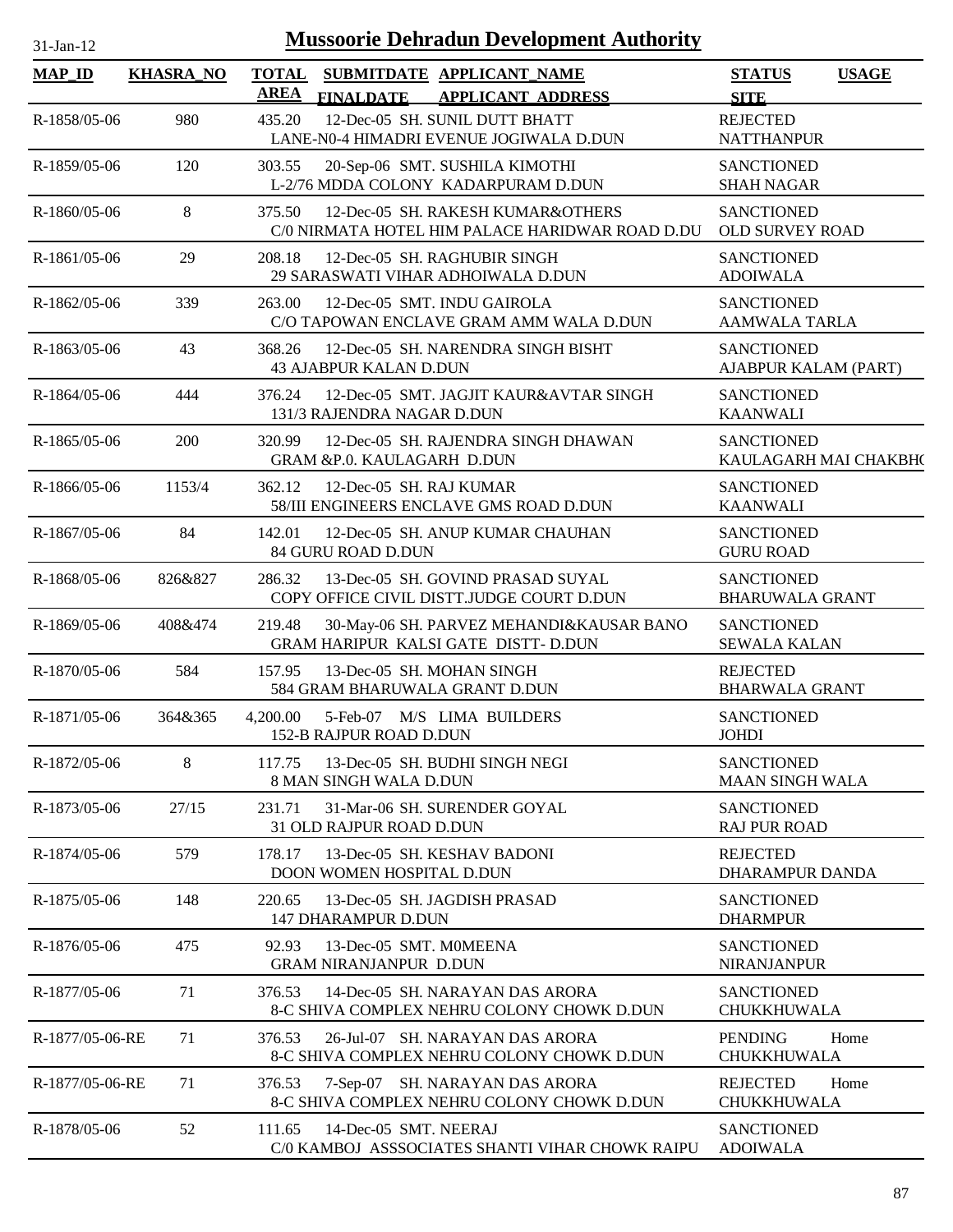| $31-Ian-1'$ |  |
|-------------|--|

| <b>MAP_ID</b>   | <b>KHASRA_NO</b> | <b>TOTAL</b><br>SUBMITDATE APPLICANT NAME<br><b>AREA</b>                                       | <b>STATUS</b><br><b>USAGE</b>               |
|-----------------|------------------|------------------------------------------------------------------------------------------------|---------------------------------------------|
|                 |                  | <b>APPLICANT ADDRESS</b><br><b>FINALDATE</b>                                                   | <b>SITE</b>                                 |
| R-1858/05-06    | 980              | 12-Dec-05 SH. SUNIL DUTT BHATT<br>435.20<br>LANE-N0-4 HIMADRI EVENUE JOGIWALA D.DUN            | <b>REJECTED</b><br><b>NATTHANPUR</b>        |
| R-1859/05-06    | 120              | 20-Sep-06 SMT. SUSHILA KIMOTHI<br>303.55<br>L-2/76 MDDA COLONY KADARPURAM D.DUN                | <b>SANCTIONED</b><br><b>SHAH NAGAR</b>      |
| R-1860/05-06    | 8                | 375.50<br>12-Dec-05 SH. RAKESH KUMAR&OTHERS<br>C/0 NIRMATA HOTEL HIM PALACE HARIDWAR ROAD D.DU | <b>SANCTIONED</b><br><b>OLD SURVEY ROAD</b> |
| R-1861/05-06    | 29               | 208.18<br>12-Dec-05 SH. RAGHUBIR SINGH<br>29 SARASWATI VIHAR ADHOIWALA D.DUN                   | <b>SANCTIONED</b><br><b>ADOIWALA</b>        |
| R-1862/05-06    | 339              | 263.00<br>12-Dec-05 SMT. INDU GAIROLA<br>C/O TAPOWAN ENCLAVE GRAM AMM WALA D.DUN               | <b>SANCTIONED</b><br><b>AAMWALA TARLA</b>   |
| R-1863/05-06    | 43               | 12-Dec-05 SH. NARENDRA SINGH BISHT<br>368.26<br><b>43 AJABPUR KALAN D.DUN</b>                  | <b>SANCTIONED</b><br>AJABPUR KALAM (PART)   |
| R-1864/05-06    | 444              | 12-Dec-05 SMT. JAGJIT KAUR&AVTAR SINGH<br>376.24<br>131/3 RAJENDRA NAGAR D.DUN                 | <b>SANCTIONED</b><br><b>KAANWALI</b>        |
| $R-1865/05-06$  | 200              | 12-Dec-05 SH. RAJENDRA SINGH DHAWAN<br>320.99<br>GRAM &P.0. KAULAGARH D.DUN                    | <b>SANCTIONED</b><br>KAULAGARH MAI CHAKBH(  |
| R-1866/05-06    | 1153/4           | 12-Dec-05 SH. RAJ KUMAR<br>362.12<br>58/III ENGINEERS ENCLAVE GMS ROAD D.DUN                   | <b>SANCTIONED</b><br><b>KAANWALI</b>        |
| R-1867/05-06    | 84               | 12-Dec-05 SH. ANUP KUMAR CHAUHAN<br>142.01<br>84 GURU ROAD D.DUN                               | <b>SANCTIONED</b><br><b>GURU ROAD</b>       |
| R-1868/05-06    | 826&827          | 13-Dec-05 SH. GOVIND PRASAD SUYAL<br>286.32<br>COPY OFFICE CIVIL DISTT.JUDGE COURT D.DUN       | <b>SANCTIONED</b><br><b>BHARUWALA GRANT</b> |
| R-1869/05-06    | 408&474          | 30-May-06 SH. PARVEZ MEHANDI&KAUSAR BANO<br>219.48<br>GRAM HARIPUR KALSI GATE DISTT- D.DUN     | <b>SANCTIONED</b><br><b>SEWALA KALAN</b>    |
| R-1870/05-06    | 584              | 13-Dec-05 SH. MOHAN SINGH<br>157.95<br>584 GRAM BHARUWALA GRANT D.DUN                          | <b>REJECTED</b><br><b>BHARWALA GRANT</b>    |
| R-1871/05-06    | 364&365          | 4,200.00<br>5-Feb-07 M/S LIMA BUILDERS<br>152-B RAJPUR ROAD D.DUN                              | <b>SANCTIONED</b><br><b>JOHDI</b>           |
| R-1872/05-06    | 8                | 117.75 13-Dec-05 SH. BUDHI SINGH NEGI<br>8 MAN SINGH WALA D.DUN                                | <b>SANCTIONED</b><br><b>MAAN SINGH WALA</b> |
| R-1873/05-06    | 27/15            | 231.71<br>31-Mar-06 SH. SURENDER GOYAL<br>31 OLD RAJPUR ROAD D.DUN                             | <b>SANCTIONED</b><br><b>RAJ PUR ROAD</b>    |
| R-1874/05-06    | 579              | 13-Dec-05 SH. KESHAV BADONI<br>178.17<br>DOON WOMEN HOSPITAL D.DUN                             | <b>REJECTED</b><br><b>DHARAMPUR DANDA</b>   |
| R-1875/05-06    | 148              | 13-Dec-05 SH. JAGDISH PRASAD<br>220.65<br>147 DHARAMPUR D.DUN                                  | <b>SANCTIONED</b><br><b>DHARMPUR</b>        |
| R-1876/05-06    | 475              | 92.93<br>13-Dec-05 SMT. MOMEENA<br><b>GRAM NIRANJANPUR D.DUN</b>                               | <b>SANCTIONED</b><br><b>NIRANJANPUR</b>     |
| R-1877/05-06    | 71               | 376.53<br>14-Dec-05 SH. NARAYAN DAS ARORA<br>8-C SHIVA COMPLEX NEHRU COLONY CHOWK D.DUN        | <b>SANCTIONED</b><br><b>CHUKKHUWALA</b>     |
| R-1877/05-06-RE | 71               | 376.53<br>26-Jul-07 SH. NARAYAN DAS ARORA<br>8-C SHIVA COMPLEX NEHRU COLONY CHOWK D.DUN        | <b>PENDING</b><br>Home<br>CHUKKHUWALA       |
| R-1877/05-06-RE | 71               | 376.53<br>7-Sep-07 SH. NARAYAN DAS ARORA<br>8-C SHIVA COMPLEX NEHRU COLONY CHOWK D.DUN         | <b>REJECTED</b><br>Home<br>CHUKKHUWALA      |
| R-1878/05-06    | 52               | 111.65<br>14-Dec-05 SMT. NEERAJ<br>C/0 KAMBOJ ASSSOCIATES SHANTI VIHAR CHOWK RAIPU             | <b>SANCTIONED</b><br><b>ADOIWALA</b>        |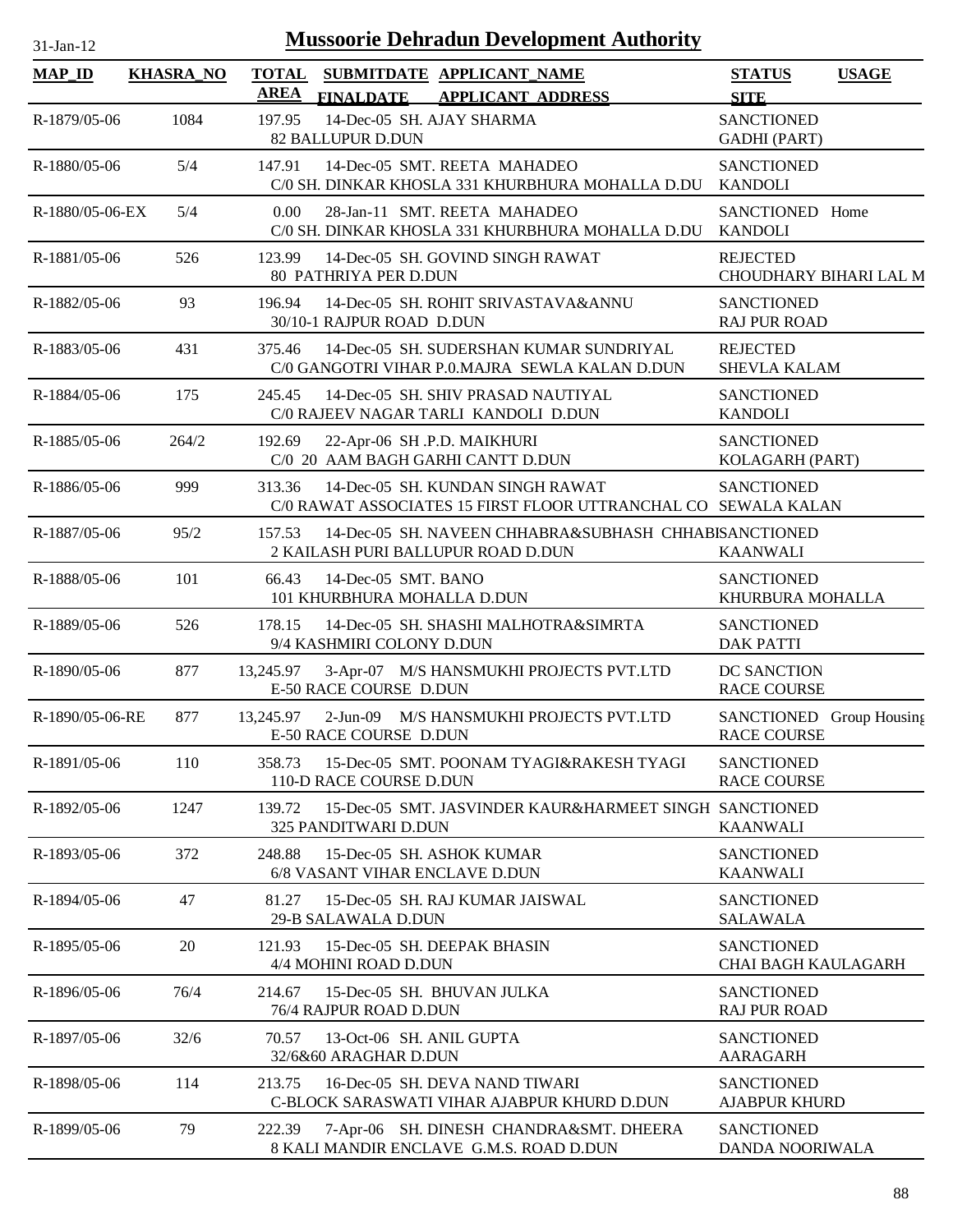| $31$ -Jan-12    |                  |                      | <b>Mussoorie Dehradun Development Authority</b>                                                    |                                                |              |
|-----------------|------------------|----------------------|----------------------------------------------------------------------------------------------------|------------------------------------------------|--------------|
| <b>MAP_ID</b>   | <b>KHASRA_NO</b> | <b>TOTAL</b><br>AREA | SUBMITDATE APPLICANT_NAME<br>FINALDATE APPLICANT ADDRESS                                           | <b>STATUS</b><br><b>SITE</b>                   | <b>USAGE</b> |
| R-1879/05-06    | 1084             | 197.95               | 14-Dec-05 SH. AJAY SHARMA<br>82 BALLUPUR D.DUN                                                     | <b>SANCTIONED</b><br><b>GADHI</b> (PART)       |              |
| R-1880/05-06    | 5/4              | 147.91               | 14-Dec-05 SMT. REETA MAHADEO<br>C/0 SH. DINKAR KHOSLA 331 KHURBHURA MOHALLA D.DU                   | <b>SANCTIONED</b><br><b>KANDOLI</b>            |              |
| R-1880/05-06-EX | 5/4              | 0.00                 | 28-Jan-11 SMT. REETA MAHADEO<br>C/0 SH. DINKAR KHOSLA 331 KHURBHURA MOHALLA D.DU                   | SANCTIONED Home<br><b>KANDOLI</b>              |              |
| R-1881/05-06    | 526              |                      | 123.99 14-Dec-05 SH. GOVIND SINGH RAWAT<br>80 PATHRIYA PER D.DUN                                   | <b>REJECTED</b><br>CHOUDHARY BIHARI LAL M      |              |
| R-1882/05-06    | 93               | 196.94               | 14-Dec-05 SH. ROHIT SRIVASTAVA&ANNU<br>30/10-1 RAJPUR ROAD D.DUN                                   | <b>SANCTIONED</b><br><b>RAJ PUR ROAD</b>       |              |
| R-1883/05-06    | 431              | 375.46               | 14-Dec-05 SH. SUDERSHAN KUMAR SUNDRIYAL<br>C/0 GANGOTRI VIHAR P.O.MAJRA SEWLA KALAN D.DUN          | <b>REJECTED</b><br><b>SHEVLA KALAM</b>         |              |
| R-1884/05-06    | 175              | 245.45               | 14-Dec-05 SH. SHIV PRASAD NAUTIYAL<br>C/0 RAJEEV NAGAR TARLI KANDOLI D.DUN                         | <b>SANCTIONED</b><br><b>KANDOLI</b>            |              |
| $R-1885/05-06$  | 264/2            | 192.69               | 22-Apr-06 SH .P.D. MAIKHURI<br>C/0 20 AAM BAGH GARHI CANTT D.DUN                                   | <b>SANCTIONED</b><br>KOLAGARH (PART)           |              |
| R-1886/05-06    | 999              | 313.36               | 14-Dec-05 SH. KUNDAN SINGH RAWAT<br>C/0 RAWAT ASSOCIATES 15 FIRST FLOOR UTTRANCHAL CO SEWALA KALAN | <b>SANCTIONED</b>                              |              |
| R-1887/05-06    | 95/2             | 157.53               | 14-Dec-05 SH. NAVEEN CHHABRA&SUBHASH CHHABISANCTIONED<br>2 KAILASH PURI BALLUPUR ROAD D.DUN        | <b>KAANWALI</b>                                |              |
| R-1888/05-06    | 101              | 66.43                | 14-Dec-05 SMT. BANO<br>101 KHURBHURA MOHALLA D.DUN                                                 | <b>SANCTIONED</b><br>KHURBURA MOHALLA          |              |
| R-1889/05-06    | 526              | 178.15               | 14-Dec-05 SH. SHASHI MALHOTRA&SIMRTA<br>9/4 KASHMIRI COLONY D.DUN                                  | <b>SANCTIONED</b><br><b>DAK PATTI</b>          |              |
| R-1890/05-06    | 877              | 13,245.97            | 3-Apr-07 M/S HANSMUKHI PROJECTS PVT.LTD<br>E-50 RACE COURSE D.DUN                                  | DC SANCTION<br><b>RACE COURSE</b>              |              |
| R-1890/05-06-RE | 877              | 13,245.97            | 2-Jun-09 M/S HANSMUKHI PROJECTS PVT.LTD<br>E-50 RACE COURSE D.DUN                                  | SANCTIONED Group Housing<br><b>RACE COURSE</b> |              |
| R-1891/05-06    | 110              | 358.73               | 15-Dec-05 SMT. POONAM TYAGI&RAKESH TYAGI<br>110-D RACE COURSE D.DUN                                | <b>SANCTIONED</b><br><b>RACE COURSE</b>        |              |
| R-1892/05-06    | 1247             | 139.72               | 15-Dec-05 SMT. JASVINDER KAUR&HARMEET SINGH SANCTIONED<br>325 PANDITWARI D.DUN                     | <b>KAANWALI</b>                                |              |
| R-1893/05-06    | 372              | 248.88               | 15-Dec-05 SH. ASHOK KUMAR<br>6/8 VASANT VIHAR ENCLAVE D.DUN                                        | <b>SANCTIONED</b><br><b>KAANWALI</b>           |              |
| R-1894/05-06    | 47               | 81.27                | 15-Dec-05 SH. RAJ KUMAR JAISWAL<br>29-B SALAWALA D.DUN                                             | <b>SANCTIONED</b><br><b>SALAWALA</b>           |              |
| R-1895/05-06    | 20               | 121.93               | 15-Dec-05 SH. DEEPAK BHASIN<br>4/4 MOHINI ROAD D.DUN                                               | <b>SANCTIONED</b><br>CHAI BAGH KAULAGARH       |              |
| R-1896/05-06    | 76/4             | 214.67               | 15-Dec-05 SH. BHUVAN JULKA<br>76/4 RAJPUR ROAD D.DUN                                               | <b>SANCTIONED</b><br><b>RAJ PUR ROAD</b>       |              |
| R-1897/05-06    | 32/6             | 70.57                | 13-Oct-06 SH. ANIL GUPTA<br>32/6&60 ARAGHAR D.DUN                                                  | <b>SANCTIONED</b><br>AARAGARH                  |              |
| R-1898/05-06    | 114              | 213.75               | 16-Dec-05 SH. DEVA NAND TIWARI<br>C-BLOCK SARASWATI VIHAR AJABPUR KHURD D.DUN                      | <b>SANCTIONED</b><br><b>AJABPUR KHURD</b>      |              |
| R-1899/05-06    | 79               | 222.39               | 7-Apr-06 SH. DINESH CHANDRA&SMT. DHEERA<br>8 KALI MANDIR ENCLAVE G.M.S. ROAD D.DUN                 | <b>SANCTIONED</b><br>DANDA NOORIWALA           |              |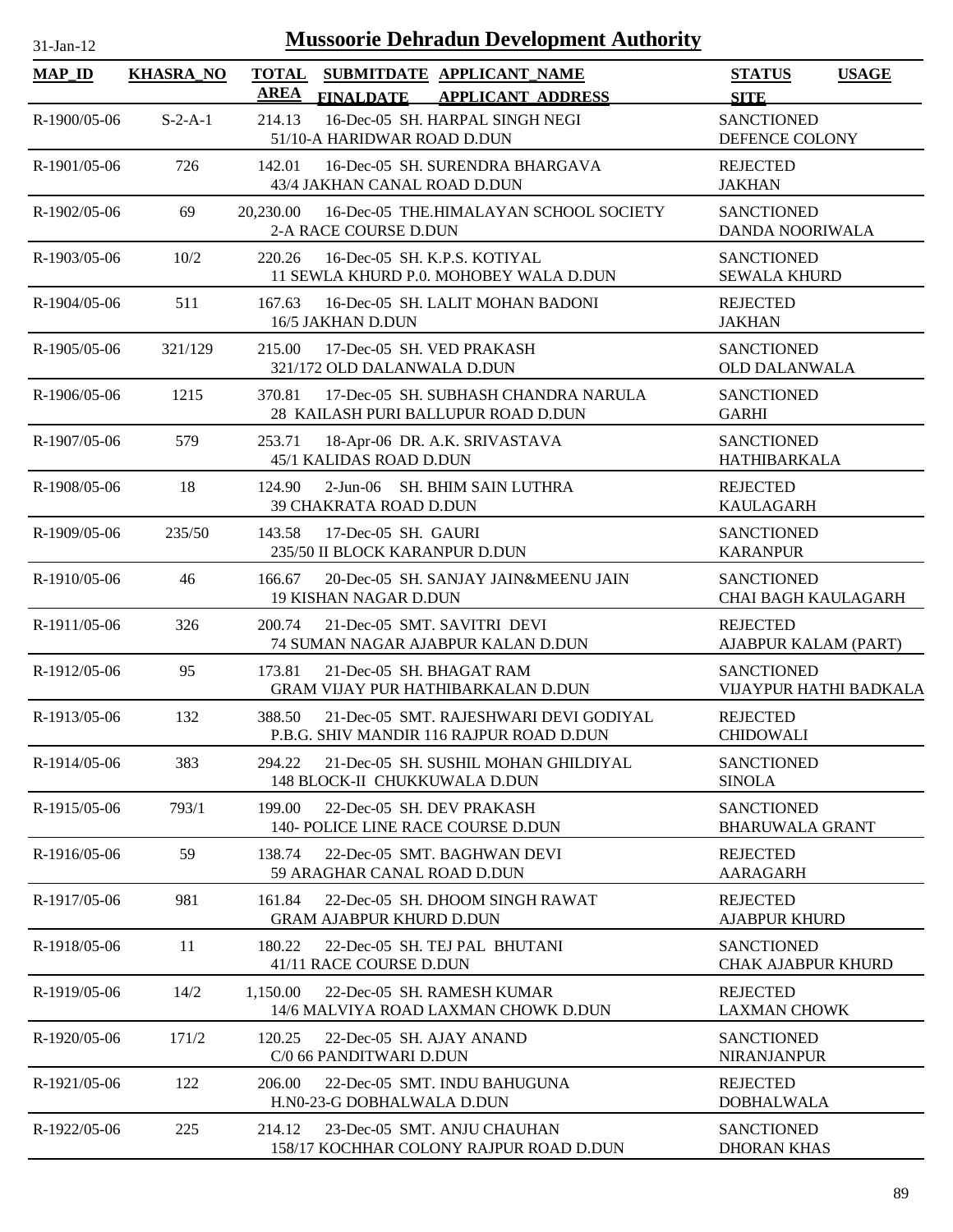| 1-Jan-1 |  |
|---------|--|

| <b>MAP_ID</b> | <b>KHASRA_NO</b> | <b>TOTAL</b><br>SUBMITDATE APPLICANT NAME                                                    | <b>STATUS</b><br><b>USAGE</b>                  |
|---------------|------------------|----------------------------------------------------------------------------------------------|------------------------------------------------|
|               |                  | <b>AREA</b><br><b>FINALDATE</b><br><b>APPLICANT ADDRESS</b>                                  | <b>SITE</b>                                    |
| R-1900/05-06  | $S-2-A-1$        | 16-Dec-05 SH. HARPAL SINGH NEGI<br>214.13<br>51/10-A HARIDWAR ROAD D.DUN                     | <b>SANCTIONED</b><br>DEFENCE COLONY            |
| R-1901/05-06  | 726              | 16-Dec-05 SH. SURENDRA BHARGAVA<br>142.01<br>43/4 JAKHAN CANAL ROAD D.DUN                    | <b>REJECTED</b><br><b>JAKHAN</b>               |
| R-1902/05-06  | 69               | 20,230.00<br>16-Dec-05 THE.HIMALAYAN SCHOOL SOCIETY<br>2-A RACE COURSE D.DUN                 | <b>SANCTIONED</b><br>DANDA NOORIWALA           |
| R-1903/05-06  | 10/2             | 16-Dec-05 SH. K.P.S. KOTIYAL<br>220.26<br>11 SEWLA KHURD P.0. MOHOBEY WALA D.DUN             | <b>SANCTIONED</b><br><b>SEWALA KHURD</b>       |
| R-1904/05-06  | 511              | 16-Dec-05 SH. LALIT MOHAN BADONI<br>167.63<br>16/5 JAKHAN D.DUN                              | <b>REJECTED</b><br><b>JAKHAN</b>               |
| R-1905/05-06  | 321/129          | 17-Dec-05 SH. VED PRAKASH<br>215.00<br>321/172 OLD DALANWALA D.DUN                           | <b>SANCTIONED</b><br><b>OLD DALANWALA</b>      |
| R-1906/05-06  | 1215             | 17-Dec-05 SH. SUBHASH CHANDRA NARULA<br>370.81<br>28 KAILASH PURI BALLUPUR ROAD D.DUN        | <b>SANCTIONED</b><br><b>GARHI</b>              |
| R-1907/05-06  | 579              | 253.71<br>18-Apr-06 DR. A.K. SRIVASTAVA<br>45/1 KALIDAS ROAD D.DUN                           | <b>SANCTIONED</b><br><b>HATHIBARKALA</b>       |
| R-1908/05-06  | 18               | 124.90<br>2-Jun-06 SH. BHIM SAIN LUTHRA<br>39 CHAKRATA ROAD D.DUN                            | <b>REJECTED</b><br><b>KAULAGARH</b>            |
| R-1909/05-06  | 235/50           | 143.58<br>17-Dec-05 SH. GAURI<br>235/50 II BLOCK KARANPUR D.DUN                              | <b>SANCTIONED</b><br><b>KARANPUR</b>           |
| R-1910/05-06  | 46               | 20-Dec-05 SH. SANJAY JAIN&MEENU JAIN<br>166.67<br><b>19 KISHAN NAGAR D.DUN</b>               | <b>SANCTIONED</b><br>CHAI BAGH KAULAGARH       |
| R-1911/05-06  | 326              | 21-Dec-05 SMT. SAVITRI DEVI<br>200.74<br>74 SUMAN NAGAR AJABPUR KALAN D.DUN                  | <b>REJECTED</b><br>AJABPUR KALAM (PART)        |
| R-1912/05-06  | 95               | 21-Dec-05 SH. BHAGAT RAM<br>173.81<br>GRAM VIJAY PUR HATHIBARKALAN D.DUN                     | <b>SANCTIONED</b><br>VIJAYPUR HATHI BADKALA    |
| R-1913/05-06  | 132              | 388.50<br>21-Dec-05 SMT. RAJESHWARI DEVI GODIYAL<br>P.B.G. SHIV MANDIR 116 RAJPUR ROAD D.DUN | <b>REJECTED</b><br><b>CHIDOWALI</b>            |
| R-1914/05-06  | 383              | 21-Dec-05 SH. SUSHIL MOHAN GHILDIYAL<br>294.22<br>148 BLOCK-II CHUKKUWALA D.DUN              | <b>SANCTIONED</b><br><b>SINOLA</b>             |
| R-1915/05-06  | 793/1            | 199.00<br>22-Dec-05 SH. DEV PRAKASH<br>140- POLICE LINE RACE COURSE D.DUN                    | <b>SANCTIONED</b><br><b>BHARUWALA GRANT</b>    |
| R-1916/05-06  | 59               | 138.74<br>22-Dec-05 SMT. BAGHWAN DEVI<br>59 ARAGHAR CANAL ROAD D.DUN                         | <b>REJECTED</b><br>AARAGARH                    |
| R-1917/05-06  | 981              | 161.84<br>22-Dec-05 SH. DHOOM SINGH RAWAT<br><b>GRAM AJABPUR KHURD D.DUN</b>                 | <b>REJECTED</b><br><b>AJABPUR KHURD</b>        |
| R-1918/05-06  | 11               | 180.22<br>22-Dec-05 SH. TEJ PAL BHUTANI<br>41/11 RACE COURSE D.DUN                           | <b>SANCTIONED</b><br><b>CHAK AJABPUR KHURD</b> |
| R-1919/05-06  | 14/2             | 1.150.00<br>22-Dec-05 SH. RAMESH KUMAR<br>14/6 MALVIYA ROAD LAXMAN CHOWK D.DUN               | <b>REJECTED</b><br><b>LAXMAN CHOWK</b>         |
| R-1920/05-06  | 171/2            | 22-Dec-05 SH. AJAY ANAND<br>120.25<br>C/0 66 PANDITWARI D.DUN                                | <b>SANCTIONED</b><br><b>NIRANJANPUR</b>        |
| R-1921/05-06  | 122              | 206.00<br>22-Dec-05 SMT. INDU BAHUGUNA<br>H.N0-23-G DOBHALWALA D.DUN                         | <b>REJECTED</b><br><b>DOBHALWALA</b>           |
| R-1922/05-06  | 225              | 214.12<br>23-Dec-05 SMT. ANJU CHAUHAN<br>158/17 KOCHHAR COLONY RAJPUR ROAD D.DUN             | <b>SANCTIONED</b><br><b>DHORAN KHAS</b>        |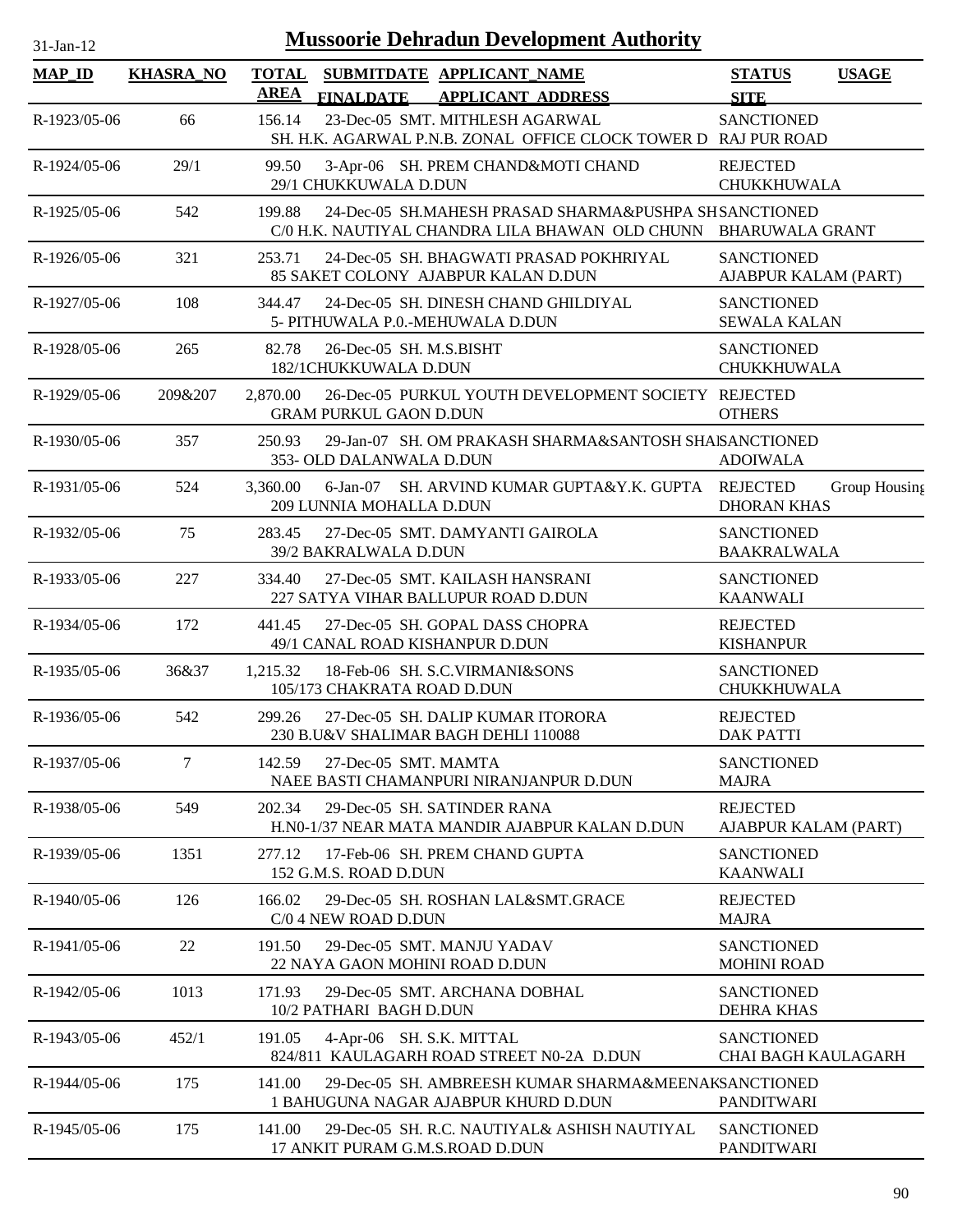| $31$ -Jan-12   | <b>Mussoorie Dehradun Development Authority</b> |                             |                                                  |                                                                                                                          |                                                 |               |
|----------------|-------------------------------------------------|-----------------------------|--------------------------------------------------|--------------------------------------------------------------------------------------------------------------------------|-------------------------------------------------|---------------|
| <b>MAP_ID</b>  | <b>KHASRA NO</b>                                | <b>TOTAL</b><br><b>AREA</b> | <b>FINALDATE</b>                                 | SUBMITDATE APPLICANT_NAME<br><b>APPLICANT ADDRESS</b>                                                                    | <b>STATUS</b><br><b>SITE</b>                    | <b>USAGE</b>  |
| R-1923/05-06   | 66                                              | 156.14                      |                                                  | 23-Dec-05 SMT. MITHLESH AGARWAL<br>SH. H.K. AGARWAL P.N.B. ZONAL OFFICE CLOCK TOWER D RAJ PUR ROAD                       | <b>SANCTIONED</b>                               |               |
| R-1924/05-06   | 29/1                                            | 99.50                       | 29/1 CHUKKUWALA D.DUN                            | 3-Apr-06 SH. PREM CHAND&MOTI CHAND                                                                                       | <b>REJECTED</b><br>CHUKKHUWALA                  |               |
| R-1925/05-06   | 542                                             | 199.88                      |                                                  | 24-Dec-05 SH.MAHESH PRASAD SHARMA&PUSHPA SHSANCTIONED<br>C/0 H.K. NAUTIYAL CHANDRA LILA BHAWAN OLD CHUNN BHARUWALA GRANT |                                                 |               |
| R-1926/05-06   | 321                                             | 253.71                      |                                                  | 24-Dec-05 SH. BHAGWATI PRASAD POKHRIYAL<br>85 SAKET COLONY AJABPUR KALAN D.DUN                                           | <b>SANCTIONED</b><br>AJABPUR KALAM (PART)       |               |
| R-1927/05-06   | 108                                             | 344.47                      |                                                  | 24-Dec-05 SH. DINESH CHAND GHILDIYAL<br>5- PITHUWALA P.O.-MEHUWALA D.DUN                                                 | <b>SANCTIONED</b><br><b>SEWALA KALAN</b>        |               |
| R-1928/05-06   | 265                                             | 82.78                       | 26-Dec-05 SH. M.S.BISHT<br>182/1CHUKKUWALA D.DUN |                                                                                                                          | <b>SANCTIONED</b><br>CHUKKHUWALA                |               |
| R-1929/05-06   | 209&207                                         | 2,870.00                    | <b>GRAM PURKUL GAON D.DUN</b>                    | 26-Dec-05 PURKUL YOUTH DEVELOPMENT SOCIETY REJECTED                                                                      | <b>OTHERS</b>                                   |               |
| R-1930/05-06   | 357                                             | 250.93                      | 353- OLD DALANWALA D.DUN                         | 29-Jan-07 SH. OM PRAKASH SHARMA&SANTOSH SHAISANCTIONED                                                                   | <b>ADOIWALA</b>                                 |               |
| R-1931/05-06   | 524                                             | 3,360.00                    | 209 LUNNIA MOHALLA D.DUN                         | 6-Jan-07 SH. ARVIND KUMAR GUPTA&Y.K. GUPTA REJECTED                                                                      | <b>DHORAN KHAS</b>                              | Group Housing |
| R-1932/05-06   | 75                                              | 283.45                      | 39/2 BAKRALWALA D.DUN                            | 27-Dec-05 SMT. DAMYANTI GAIROLA                                                                                          | <b>SANCTIONED</b><br><b>BAAKRALWALA</b>         |               |
| R-1933/05-06   | 227                                             | 334.40                      |                                                  | 27-Dec-05 SMT. KAILASH HANSRANI<br>227 SATYA VIHAR BALLUPUR ROAD D.DUN                                                   | <b>SANCTIONED</b><br><b>KAANWALI</b>            |               |
| R-1934/05-06   | 172                                             | 441.45                      | 49/1 CANAL ROAD KISHANPUR D.DUN                  | 27-Dec-05 SH. GOPAL DASS CHOPRA                                                                                          | <b>REJECTED</b><br><b>KISHANPUR</b>             |               |
| $R-1935/05-06$ | 36&37                                           | 1,215.32                    | 105/173 CHAKRATA ROAD D.DUN                      | 18-Feb-06 SH. S.C.VIRMANI&SONS                                                                                           | <b>SANCTIONED</b><br><b>CHUKKHUWALA</b>         |               |
| R-1936/05-06   | 542                                             | 299.26                      |                                                  | 27-Dec-05 SH. DALIP KUMAR ITORORA<br>230 B.U&V SHALIMAR BAGH DEHLI 110088                                                | <b>REJECTED</b><br><b>DAK PATTI</b>             |               |
| R-1937/05-06   | 7                                               | 142.59                      | 27-Dec-05 SMT. MAMTA                             | NAEE BASTI CHAMANPURI NIRANJANPUR D.DUN                                                                                  | <b>SANCTIONED</b><br><b>MAJRA</b>               |               |
| R-1938/05-06   | 549                                             | 202.34                      |                                                  | 29-Dec-05 SH. SATINDER RANA<br>H.N0-1/37 NEAR MATA MANDIR AJABPUR KALAN D.DUN                                            | <b>REJECTED</b><br>AJABPUR KALAM (PART)         |               |
| R-1939/05-06   | 1351                                            | 277.12                      | 152 G.M.S. ROAD D.DUN                            | 17-Feb-06 SH. PREM CHAND GUPTA                                                                                           | <b>SANCTIONED</b><br><b>KAANWALI</b>            |               |
| R-1940/05-06   | 126                                             | 166.02                      | C/0 4 NEW ROAD D.DUN                             | 29-Dec-05 SH. ROSHAN LAL&SMT.GRACE                                                                                       | <b>REJECTED</b><br><b>MAJRA</b>                 |               |
| R-1941/05-06   | 22                                              | 191.50                      | 22 NAYA GAON MOHINI ROAD D.DUN                   | 29-Dec-05 SMT. MANJU YADAV                                                                                               | <b>SANCTIONED</b><br><b>MOHINI ROAD</b>         |               |
| R-1942/05-06   | 1013                                            | 171.93                      | 10/2 PATHARI BAGH D.DUN                          | 29-Dec-05 SMT. ARCHANA DOBHAL                                                                                            | <b>SANCTIONED</b><br><b>DEHRA KHAS</b>          |               |
| R-1943/05-06   | 452/1                                           | 191.05                      | 4-Apr-06 SH. S.K. MITTAL                         | 824/811 KAULAGARH ROAD STREET N0-2A D.DUN                                                                                | <b>SANCTIONED</b><br><b>CHAI BAGH KAULAGARH</b> |               |
| R-1944/05-06   | 175                                             | 141.00                      |                                                  | 29-Dec-05 SH. AMBREESH KUMAR SHARMA&MEENAKSANCTIONED<br>1 BAHUGUNA NAGAR AJABPUR KHURD D.DUN                             | <b>PANDITWARI</b>                               |               |
| R-1945/05-06   | 175                                             | 141.00                      | 17 ANKIT PURAM G.M.S.ROAD D.DUN                  | 29-Dec-05 SH. R.C. NAUTIYAL& ASHISH NAUTIYAL                                                                             | <b>SANCTIONED</b><br><b>PANDITWARI</b>          |               |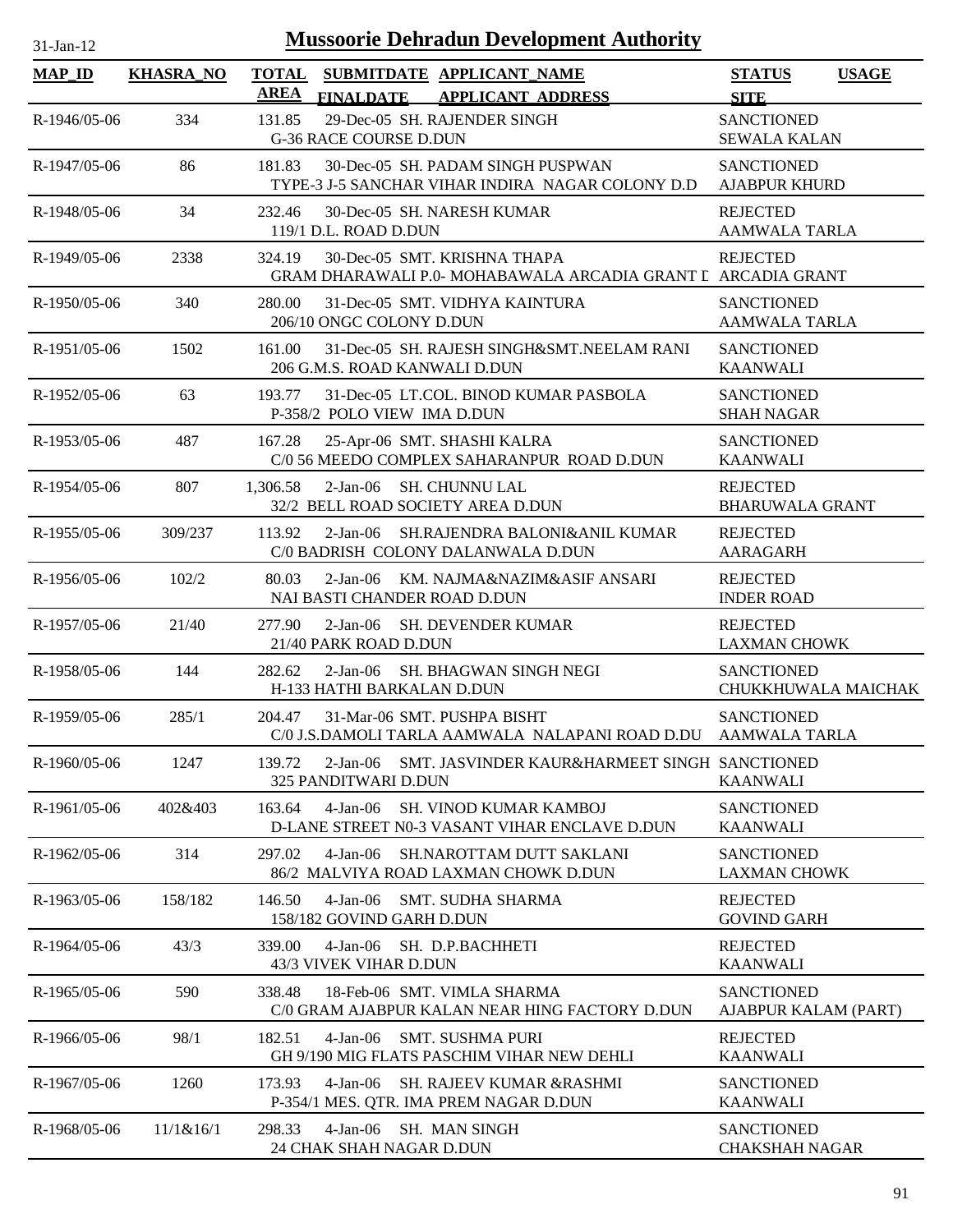| $31-Jan-12$    |                  | <b>Mussoorie Dehradun Development Authority</b>                                                          |                                              |  |
|----------------|------------------|----------------------------------------------------------------------------------------------------------|----------------------------------------------|--|
| <b>MAP_ID</b>  | <b>KHASRA_NO</b> | <b>TOTAL</b><br>SUBMITDATE APPLICANT_NAME<br><b>AREA</b><br><b>FINALDATE</b><br><b>APPLICANT ADDRESS</b> | <b>STATUS</b><br><b>USAGE</b><br><b>SITE</b> |  |
| R-1946/05-06   | 334              | 29-Dec-05 SH. RAJENDER SINGH<br>131.85<br><b>G-36 RACE COURSE D.DUN</b>                                  | <b>SANCTIONED</b><br><b>SEWALA KALAN</b>     |  |
| R-1947/05-06   | 86               | 30-Dec-05 SH. PADAM SINGH PUSPWAN<br>181.83<br>TYPE-3 J-5 SANCHAR VIHAR INDIRA NAGAR COLONY D.D          | <b>SANCTIONED</b><br><b>AJABPUR KHURD</b>    |  |
| R-1948/05-06   | 34               | 232.46<br>30-Dec-05 SH. NARESH KUMAR<br>119/1 D.L. ROAD D.DUN                                            | <b>REJECTED</b><br>AAMWALA TARLA             |  |
| R-1949/05-06   | 2338             | 30-Dec-05 SMT. KRISHNA THAPA<br>324.19<br>GRAM DHARAWALI P.0- MOHABAWALA ARCADIA GRANT I ARCADIA GRANT   | <b>REJECTED</b>                              |  |
| R-1950/05-06   | 340              | 280.00<br>31-Dec-05 SMT. VIDHYA KAINTURA<br>206/10 ONGC COLONY D.DUN                                     | <b>SANCTIONED</b><br><b>AAMWALA TARLA</b>    |  |
| R-1951/05-06   | 1502             | 31-Dec-05 SH. RAJESH SINGH&SMT.NEELAM RANI<br>161.00<br>206 G.M.S. ROAD KANWALI D.DUN                    | <b>SANCTIONED</b><br><b>KAANWALI</b>         |  |
| R-1952/05-06   | 63               | 193.77<br>31-Dec-05 LT.COL. BINOD KUMAR PASBOLA<br>P-358/2 POLO VIEW IMA D.DUN                           | <b>SANCTIONED</b><br><b>SHAH NAGAR</b>       |  |
| R-1953/05-06   | 487              | 25-Apr-06 SMT. SHASHI KALRA<br>167.28<br>C/0 56 MEEDO COMPLEX SAHARANPUR ROAD D.DUN                      | <b>SANCTIONED</b><br><b>KAANWALI</b>         |  |
| R-1954/05-06   | 807              | 1,306.58<br>2-Jan-06 SH. CHUNNU LAL<br>32/2 BELL ROAD SOCIETY AREA D.DUN                                 | <b>REJECTED</b><br><b>BHARUWALA GRANT</b>    |  |
| R-1955/05-06   | 309/237          | 2-Jan-06 SH.RAJENDRA BALONI&ANIL KUMAR<br>113.92<br>C/0 BADRISH COLONY DALANWALA D.DUN                   | <b>REJECTED</b><br>AARAGARH                  |  |
| $R-1956/05-06$ | 102/2            | 80.03<br>2-Jan-06 KM. NAJMA&NAZIM&ASIF ANSARI<br>NAI BASTI CHANDER ROAD D.DUN                            | <b>REJECTED</b><br><b>INDER ROAD</b>         |  |
| R-1957/05-06   | 21/40            | 277.90<br>2-Jan-06 SH. DEVENDER KUMAR<br>21/40 PARK ROAD D.DUN                                           | <b>REJECTED</b><br><b>LAXMAN CHOWK</b>       |  |
| R-1958/05-06   | 144              | 282.62<br>2-Jan-06 SH. BHAGWAN SINGH NEGI<br>H-133 HATHI BARKALAN D.DUN                                  | <b>SANCTIONED</b><br>CHUKKHUWALA MAICHAK     |  |
| R-1959/05-06   | 285/1            | 204.47<br>31-Mar-06 SMT. PUSHPA BISHT<br>C/0 J.S.DAMOLI TARLA AAMWALA NALAPANI ROAD D.DU AAMWALA TARLA   | <b>SANCTIONED</b>                            |  |
| R-1960/05-06   | 1247             | 139.72<br>2-Jan-06 SMT, JASVINDER KAUR&HARMEET SINGH SANCTIONED<br>325 PANDITWARI D.DUN                  | <b>KAANWALI</b>                              |  |
| R-1961/05-06   | 402&403          | $4-Jan-06$<br><b>SH. VINOD KUMAR KAMBOJ</b><br>163.64<br>D-LANE STREET N0-3 VASANT VIHAR ENCLAVE D.DUN   | <b>SANCTIONED</b><br><b>KAANWALI</b>         |  |
| R-1962/05-06   | 314              | 297.02<br>$4-Jan-06$<br><b>SH.NAROTTAM DUTT SAKLANI</b><br>86/2 MALVIYA ROAD LAXMAN CHOWK D.DUN          | <b>SANCTIONED</b><br><b>LAXMAN CHOWK</b>     |  |
| R-1963/05-06   | 158/182          | 4-Jan-06 SMT. SUDHA SHARMA<br>146.50<br>158/182 GOVIND GARH D.DUN                                        | <b>REJECTED</b><br><b>GOVIND GARH</b>        |  |
| R-1964/05-06   | 43/3             | 4-Jan-06 SH. D.P.BACHHETI<br>339.00<br>43/3 VIVEK VIHAR D.DUN                                            | <b>REJECTED</b><br><b>KAANWALI</b>           |  |
| R-1965/05-06   | 590              | 338.48<br>18-Feb-06 SMT. VIMLA SHARMA<br>C/0 GRAM AJABPUR KALAN NEAR HING FACTORY D.DUN                  | <b>SANCTIONED</b><br>AJABPUR KALAM (PART)    |  |
| R-1966/05-06   | 98/1             | 182.51<br>4-Jan-06 SMT. SUSHMA PURI<br>GH 9/190 MIG FLATS PASCHIM VIHAR NEW DEHLI                        | <b>REJECTED</b><br><b>KAANWALI</b>           |  |
| R-1967/05-06   | 1260             | 4-Jan-06 SH. RAJEEV KUMAR & RASHMI<br>173.93<br>P-354/1 MES. QTR. IMA PREM NAGAR D.DUN                   | <b>SANCTIONED</b><br><b>KAANWALI</b>         |  |
| R-1968/05-06   | 11/1& 16/1       | 298.33<br>4-Jan-06 SH. MAN SINGH<br>24 CHAK SHAH NAGAR D.DUN                                             | <b>SANCTIONED</b><br><b>CHAKSHAH NAGAR</b>   |  |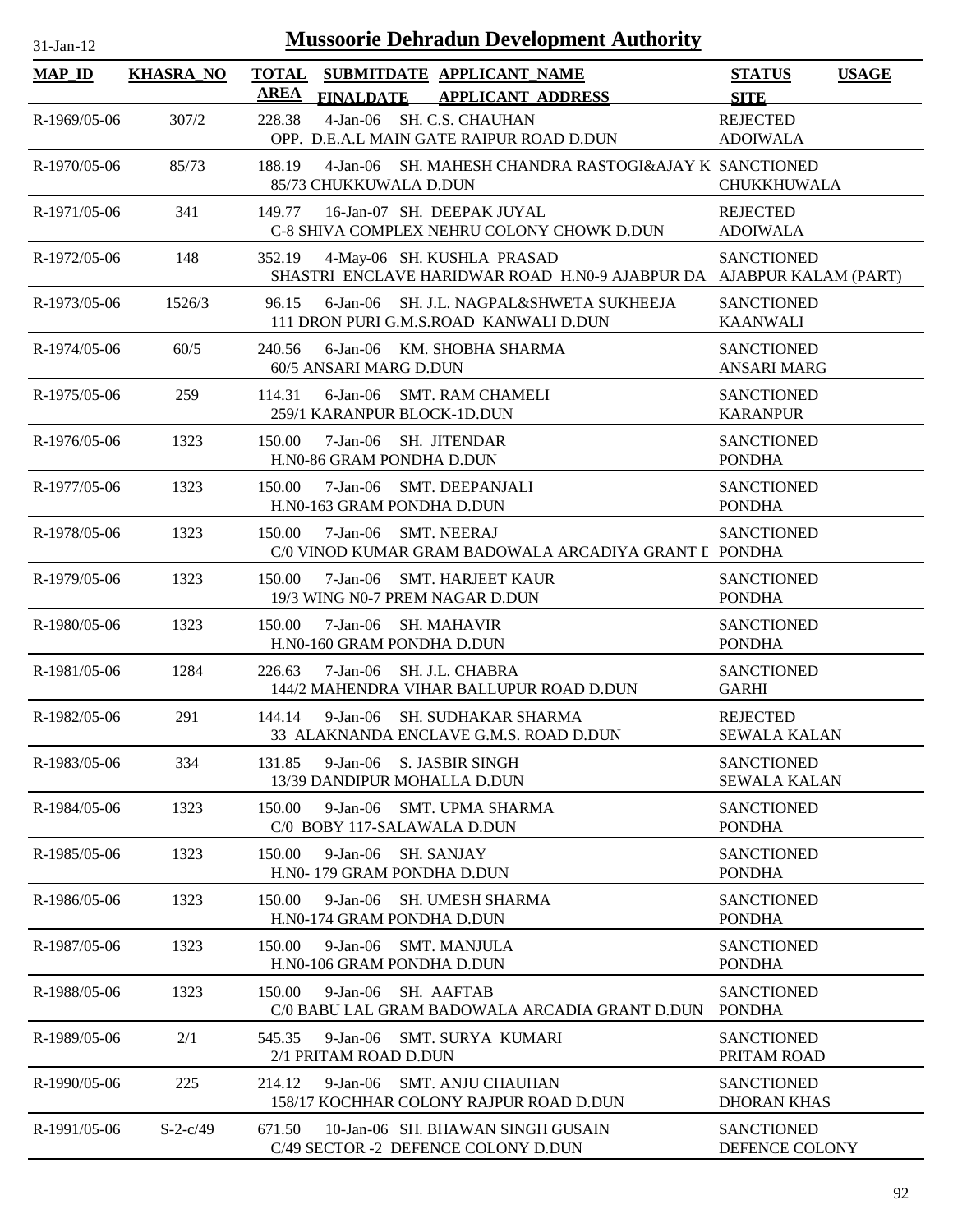| $31$ -Jan-12  |                  | <b>Mussoorie Dehradun Development Authority</b>                                                              |                                              |
|---------------|------------------|--------------------------------------------------------------------------------------------------------------|----------------------------------------------|
| <b>MAP_ID</b> | <b>KHASRA_NO</b> | <b>TOTAL</b><br>SUBMITDATE APPLICANT_NAME<br>AREA<br>FINALDATE APPLICANT ADDRESS                             | <b>STATUS</b><br><b>USAGE</b><br><b>SITE</b> |
| R-1969/05-06  | 307/2            | 4-Jan-06 SH. C.S. CHAUHAN<br>228.38<br>OPP. D.E.A.L MAIN GATE RAIPUR ROAD D.DUN                              | <b>REJECTED</b><br><b>ADOIWALA</b>           |
| R-1970/05-06  | 85/73            | 188.19<br>4-Jan-06 SH. MAHESH CHANDRA RASTOGI&AJAY K SANCTIONED<br>85/73 CHUKKUWALA D.DUN                    | <b>CHUKKHUWALA</b>                           |
| R-1971/05-06  | 341              | 16-Jan-07 SH. DEEPAK JUYAL<br>149.77<br>C-8 SHIVA COMPLEX NEHRU COLONY CHOWK D.DUN                           | <b>REJECTED</b><br><b>ADOIWALA</b>           |
| R-1972/05-06  | 148              | 352.19<br>4-May-06 SH. KUSHLA PRASAD<br>SHASTRI ENCLAVE HARIDWAR ROAD H.N0-9 AJABPUR DA AJABPUR KALAM (PART) | <b>SANCTIONED</b>                            |
| R-1973/05-06  | 1526/3           | SH. J.L. NAGPAL&SHWETA SUKHEEJA<br>96.15<br>6-Jan-06<br>111 DRON PURI G.M.S.ROAD KANWALI D.DUN               | <b>SANCTIONED</b><br><b>KAANWALI</b>         |
| R-1974/05-06  | 60/5             | 6-Jan-06 KM. SHOBHA SHARMA<br>240.56<br>60/5 ANSARI MARG D.DUN                                               | <b>SANCTIONED</b><br><b>ANSARI MARG</b>      |
| R-1975/05-06  | 259              | <b>SMT. RAM CHAMELI</b><br>114.31<br>6-Jan-06<br>259/1 KARANPUR BLOCK-1D.DUN                                 | <b>SANCTIONED</b><br><b>KARANPUR</b>         |
| R-1976/05-06  | 1323             | $7-Jan-06$<br>SH. JITENDAR<br>150.00<br>H.N0-86 GRAM PONDHA D.DUN                                            | <b>SANCTIONED</b><br><b>PONDHA</b>           |
| R-1977/05-06  | 1323             | $7-Jan-06$<br><b>SMT. DEEPANJALI</b><br>150.00<br>H.N0-163 GRAM PONDHA D.DUN                                 | <b>SANCTIONED</b><br><b>PONDHA</b>           |
| R-1978/05-06  | 1323             | <b>SMT. NEERAJ</b><br>150.00<br>$7-Jan-06$<br>C/0 VINOD KUMAR GRAM BADOWALA ARCADIYA GRANT L PONDHA          | <b>SANCTIONED</b>                            |
| R-1979/05-06  | 1323             | 150.00<br>$7-Jan-06$<br><b>SMT. HARJEET KAUR</b><br>19/3 WING N0-7 PREM NAGAR D.DUN                          | <b>SANCTIONED</b><br><b>PONDHA</b>           |
| R-1980/05-06  | 1323             | 150.00<br>$7-Jan-06$<br><b>SH. MAHAVIR</b><br>H.N0-160 GRAM PONDHA D.DUN                                     | <b>SANCTIONED</b><br><b>PONDHA</b>           |
| R-1981/05-06  | 1284             | $7-Jan-06$<br>SH. J.L. CHABRA<br>226.63<br>144/2 MAHENDRA VIHAR BALLUPUR ROAD D.DUN                          | <b>SANCTIONED</b><br><b>GARHI</b>            |
| R-1982/05-06  | 291              | 144.14<br>9-Jan-06 SH. SUDHAKAR SHARMA<br>33 ALAKNANDA ENCLAVE G.M.S. ROAD D.DUN                             | <b>REJECTED</b><br><b>SEWALA KALAN</b>       |
| R-1983/05-06  | 334              | $9-Ian-06$<br><b>S. JASBIR SINGH</b><br>131.85<br>13/39 DANDIPUR MOHALLA D.DUN                               | <b>SANCTIONED</b><br><b>SEWALA KALAN</b>     |
| R-1984/05-06  | 1323             | $9$ -Jan-06<br>150.00<br><b>SMT. UPMA SHARMA</b><br>C/0 BOBY 117-SALAWALA D.DUN                              | <b>SANCTIONED</b><br><b>PONDHA</b>           |
| R-1985/05-06  | 1323             | SH. SANJAY<br>150.00<br>$9-Jan-06$<br>H.N0-179 GRAM PONDHA D.DUN                                             | <b>SANCTIONED</b><br><b>PONDHA</b>           |
| R-1986/05-06  | 1323             | 150.00<br>$9-Jan-06$<br><b>SH. UMESH SHARMA</b><br>H.N0-174 GRAM PONDHA D.DUN                                | <b>SANCTIONED</b><br><b>PONDHA</b>           |
| R-1987/05-06  | 1323             | 150.00<br>$9-Jan-06$<br><b>SMT. MANJULA</b><br>H.N0-106 GRAM PONDHA D.DUN                                    | <b>SANCTIONED</b><br><b>PONDHA</b>           |
| R-1988/05-06  | 1323             | 150.00<br>$9-Jan-06$<br>SH. AAFTAB<br>C/0 BABU LAL GRAM BADOWALA ARCADIA GRANT D.DUN                         | <b>SANCTIONED</b><br><b>PONDHA</b>           |
| R-1989/05-06  | 2/1              | $9-Jan-06$<br><b>SMT. SURYA KUMARI</b><br>545.35<br>2/1 PRITAM ROAD D.DUN                                    | <b>SANCTIONED</b><br>PRITAM ROAD             |
| R-1990/05-06  | 225              | $9-Jan-06$<br><b>SMT. ANJU CHAUHAN</b><br>214.12<br>158/17 KOCHHAR COLONY RAJPUR ROAD D.DUN                  | <b>SANCTIONED</b><br><b>DHORAN KHAS</b>      |
| R-1991/05-06  | $S-2-c/49$       | 671.50<br>10-Jan-06 SH. BHAWAN SINGH GUSAIN<br>C/49 SECTOR -2 DEFENCE COLONY D.DUN                           | <b>SANCTIONED</b><br>DEFENCE COLONY          |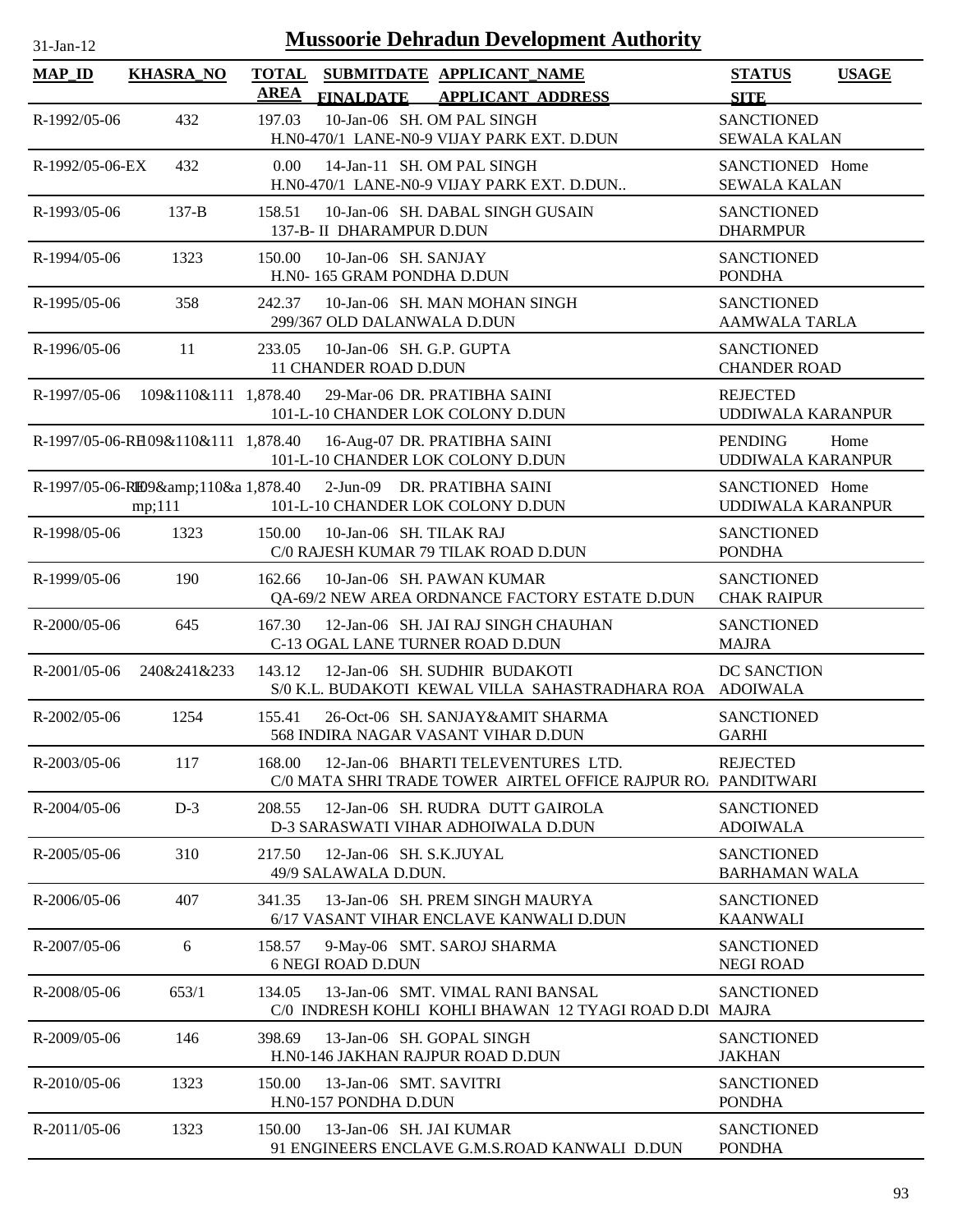| $31$ -Jan-12       |                                   | <b>Mussoorie Dehradun Development Authority</b>                                                               |                                            |              |
|--------------------|-----------------------------------|---------------------------------------------------------------------------------------------------------------|--------------------------------------------|--------------|
| $MAP$ ID           | <b>KHASRA_NO</b>                  | <b>TOTAL</b><br>SUBMITDATE APPLICANT_NAME<br><b>AREA</b><br><b>FINALDATE</b><br><b>APPLICANT ADDRESS</b>      | <b>STATUS</b><br><b>SITE</b>               | <b>USAGE</b> |
| R-1992/05-06       | 432                               | 10-Jan-06 SH. OM PAL SINGH<br>197.03<br>H.N0-470/1 LANE-N0-9 VIJAY PARK EXT. D.DUN                            | <b>SANCTIONED</b><br><b>SEWALA KALAN</b>   |              |
| R-1992/05-06-EX    | 432                               | 0.00<br>14-Jan-11 SH. OM PAL SINGH<br>H.N0-470/1 LANE-N0-9 VIJAY PARK EXT. D.DUN                              | SANCTIONED Home<br><b>SEWALA KALAN</b>     |              |
| R-1993/05-06       | $137 - B$                         | 10-Jan-06 SH. DABAL SINGH GUSAIN<br>158.51<br>137-B- II DHARAMPUR D.DUN                                       | <b>SANCTIONED</b><br><b>DHARMPUR</b>       |              |
| R-1994/05-06       | 1323                              | 150.00<br>10-Jan-06 SH. SANJAY<br>H.N0-165 GRAM PONDHA D.DUN                                                  | <b>SANCTIONED</b><br><b>PONDHA</b>         |              |
| R-1995/05-06       | 358                               | 10-Jan-06 SH. MAN MOHAN SINGH<br>242.37<br>299/367 OLD DALANWALA D.DUN                                        | <b>SANCTIONED</b><br><b>AAMWALA TARLA</b>  |              |
| R-1996/05-06       | 11                                | 10-Jan-06 SH. G.P. GUPTA<br>233.05<br>11 CHANDER ROAD D.DUN                                                   | <b>SANCTIONED</b><br><b>CHANDER ROAD</b>   |              |
|                    | R-1997/05-06 109&110&111 1,878.40 | 29-Mar-06 DR. PRATIBHA SAINI<br>101-L-10 CHANDER LOK COLONY D.DUN                                             | <b>REJECTED</b><br>UDDIWALA KARANPUR       |              |
|                    |                                   | R-1997/05-06-RH09&110&111 1,878.40 16-Aug-07 DR. PRATIBHA SAINI<br>101-L-10 CHANDER LOK COLONY D.DUN          | <b>PENDING</b><br><b>UDDIWALA KARANPUR</b> | Home         |
|                    | mp;111                            | R-1997/05-06-RIB9&110&a 1,878.40 2-Jun-09 DR. PRATIBHA SAINI<br>101-L-10 CHANDER LOK COLONY D.DUN             | SANCTIONED Home<br>UDDIWALA KARANPUR       |              |
| R-1998/05-06       | 1323                              | 10-Jan-06 SH. TILAK RAJ<br>150.00<br>C/0 RAJESH KUMAR 79 TILAK ROAD D.DUN                                     | <b>SANCTIONED</b><br><b>PONDHA</b>         |              |
| R-1999/05-06       | 190                               | 10-Jan-06 SH. PAWAN KUMAR<br>162.66<br>QA-69/2 NEW AREA ORDNANCE FACTORY ESTATE D.DUN                         | <b>SANCTIONED</b><br><b>CHAK RAIPUR</b>    |              |
| R-2000/05-06       | 645                               | 12-Jan-06 SH. JAI RAJ SINGH CHAUHAN<br>167.30<br>C-13 OGAL LANE TURNER ROAD D.DUN                             | <b>SANCTIONED</b><br><b>MAJRA</b>          |              |
| $R-2001/05-06$     | 240&241&233                       | 143.12<br>12-Jan-06 SH. SUDHIR BUDAKOTI<br>S/0 K.L. BUDAKOTI KEWAL VILLA SAHASTRADHARA ROA ADOIWALA           | DC SANCTION                                |              |
| $R - 2002/05 - 06$ | 1254                              | 155.41<br>26-Oct-06 SH, SANJAY&AMIT SHARMA<br>568 INDIRA NAGAR VASANT VIHAR D.DUN                             | <b>SANCTIONED</b><br><b>GARHI</b>          |              |
| R-2003/05-06       | 117                               | 12-Jan-06 BHARTI TELEVENTURES LTD.<br>168.00<br>C/0 MATA SHRI TRADE TOWER AIRTEL OFFICE RAJPUR RO. PANDITWARI | <b>REJECTED</b>                            |              |
| $R - 2004/05 - 06$ | $D-3$                             | 208.55<br>12-Jan-06 SH. RUDRA DUTT GAIROLA<br>D-3 SARASWATI VIHAR ADHOIWALA D.DUN                             | <b>SANCTIONED</b><br><b>ADOIWALA</b>       |              |
| R-2005/05-06       | 310                               | 12-Jan-06 SH. S.K.JUYAL<br>217.50<br>49/9 SALAWALA D.DUN.                                                     | <b>SANCTIONED</b><br><b>BARHAMAN WALA</b>  |              |
| R-2006/05-06       | 407                               | 341.35<br>13-Jan-06 SH. PREM SINGH MAURYA<br>6/17 VASANT VIHAR ENCLAVE KANWALI D.DUN                          | <b>SANCTIONED</b><br><b>KAANWALI</b>       |              |
| R-2007/05-06       | 6                                 | 9-May-06 SMT. SAROJ SHARMA<br>158.57<br><b>6 NEGI ROAD D.DUN</b>                                              | <b>SANCTIONED</b><br><b>NEGI ROAD</b>      |              |
| R-2008/05-06       | 653/1                             | 13-Jan-06 SMT. VIMAL RANI BANSAL<br>134.05<br>C/0 INDRESH KOHLI KOHLI BHAWAN 12 TYAGI ROAD D.DI MAJRA         | <b>SANCTIONED</b>                          |              |
| R-2009/05-06       | 146                               | 398.69<br>13-Jan-06 SH. GOPAL SINGH<br>H.N0-146 JAKHAN RAJPUR ROAD D.DUN                                      | <b>SANCTIONED</b><br><b>JAKHAN</b>         |              |
| R-2010/05-06       | 1323                              | 150.00<br>13-Jan-06 SMT. SAVITRI<br>H.N0-157 PONDHA D.DUN                                                     | <b>SANCTIONED</b><br><b>PONDHA</b>         |              |
| R-2011/05-06       | 1323                              | 150.00<br>13-Jan-06 SH. JAI KUMAR<br>91 ENGINEERS ENCLAVE G.M.S.ROAD KANWALI D.DUN                            | <b>SANCTIONED</b><br><b>PONDHA</b>         |              |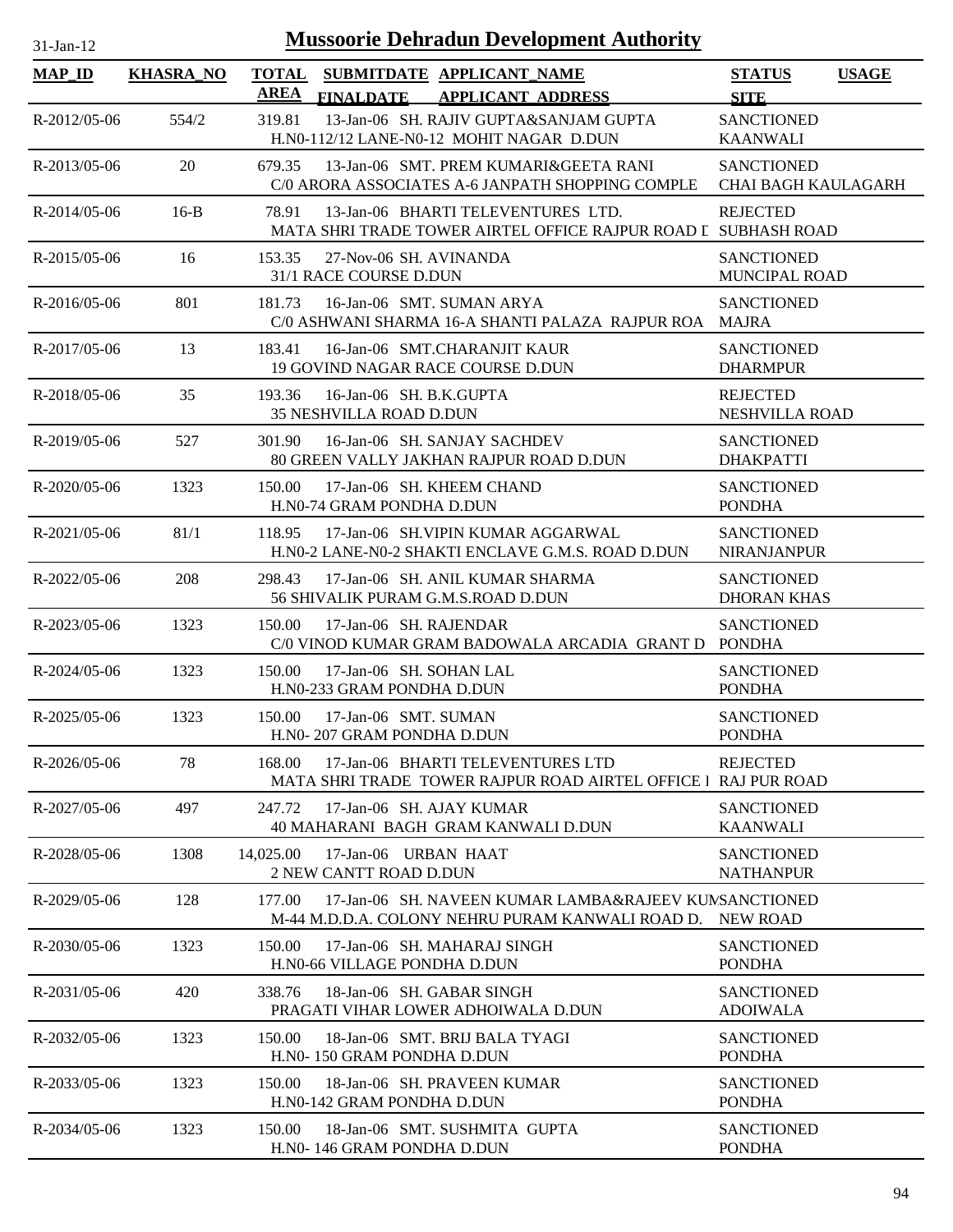| $31$ -Jan-12       |                  |                             |                                                           | <b>Mussoorie Dehradun Development Authority</b>                                                           |                                                 |              |
|--------------------|------------------|-----------------------------|-----------------------------------------------------------|-----------------------------------------------------------------------------------------------------------|-------------------------------------------------|--------------|
| <b>MAP_ID</b>      | <b>KHASRA_NO</b> | <b>TOTAL</b><br><b>AREA</b> | <b>FINALDATE</b>                                          | SUBMITDATE APPLICANT_NAME<br><b>APPLICANT ADDRESS</b>                                                     | <b>STATUS</b><br><b>SITE</b>                    | <b>USAGE</b> |
| R-2012/05-06       | 554/2            | 319.81                      |                                                           | 13-Jan-06 SH. RAJIV GUPTA&SANJAM GUPTA<br>H.N0-112/12 LANE-N0-12 MOHIT NAGAR D.DUN                        | <b>SANCTIONED</b><br><b>KAANWALI</b>            |              |
| R-2013/05-06       | 20               | 679.35                      |                                                           | 13-Jan-06 SMT. PREM KUMARI&GEETA RANI<br>C/0 ARORA ASSOCIATES A-6 JANPATH SHOPPING COMPLE                 | <b>SANCTIONED</b><br><b>CHAI BAGH KAULAGARH</b> |              |
| $R-2014/05-06$     | $16-B$           | 78.91                       |                                                           | 13-Jan-06 BHARTI TELEVENTURES LTD.<br>MATA SHRI TRADE TOWER AIRTEL OFFICE RAJPUR ROAD I SUBHASH ROAD      | <b>REJECTED</b>                                 |              |
| R-2015/05-06       | 16               | 153.35                      | 27-Nov-06 SH, AVINANDA<br>31/1 RACE COURSE D.DUN          |                                                                                                           | <b>SANCTIONED</b><br><b>MUNCIPAL ROAD</b>       |              |
| R-2016/05-06       | 801              | 181.73                      |                                                           | 16-Jan-06 SMT. SUMAN ARYA<br>C/0 ASHWANI SHARMA 16-A SHANTI PALAZA RAJPUR ROA MAJRA                       | <b>SANCTIONED</b>                               |              |
| $R-2017/05-06$     | 13               | 183.41                      |                                                           | 16-Jan-06 SMT.CHARANJIT KAUR<br>19 GOVIND NAGAR RACE COURSE D.DUN                                         | <b>SANCTIONED</b><br><b>DHARMPUR</b>            |              |
| R-2018/05-06       | 35               | 193.36                      | 16-Jan-06 SH. B.K.GUPTA<br>35 NESHVILLA ROAD D.DUN        |                                                                                                           | <b>REJECTED</b><br>NESHVILLA ROAD               |              |
| $R - 2019/05 - 06$ | 527              | 301.90                      |                                                           | 16-Jan-06 SH, SANJAY SACHDEV<br>80 GREEN VALLY JAKHAN RAJPUR ROAD D.DUN                                   | <b>SANCTIONED</b><br><b>DHAKPATTI</b>           |              |
| $R - 2020/05 - 06$ | 1323             | 150.00                      | H.N0-74 GRAM PONDHA D.DUN                                 | 17-Jan-06 SH. KHEEM CHAND                                                                                 | <b>SANCTIONED</b><br><b>PONDHA</b>              |              |
| R-2021/05-06       | 81/1             | 118.95                      |                                                           | 17-Jan-06 SH. VIPIN KUMAR AGGARWAL<br>H.N0-2 LANE-N0-2 SHAKTI ENCLAVE G.M.S. ROAD D.DUN                   | <b>SANCTIONED</b><br><b>NIRANJANPUR</b>         |              |
| R-2022/05-06       | 208              | 298.43                      |                                                           | 17-Jan-06 SH. ANIL KUMAR SHARMA<br>56 SHIVALIK PURAM G.M.S.ROAD D.DUN                                     | <b>SANCTIONED</b><br><b>DHORAN KHAS</b>         |              |
| R-2023/05-06       | 1323             | 150.00                      | 17-Jan-06 SH. RAJENDAR                                    | C/0 VINOD KUMAR GRAM BADOWALA ARCADIA GRANT D PONDHA                                                      | <b>SANCTIONED</b>                               |              |
| R-2024/05-06       | 1323             | 150.00                      | 17-Jan-06 SH. SOHAN LAL<br>H.N0-233 GRAM PONDHA D.DUN     |                                                                                                           | <b>SANCTIONED</b><br><b>PONDHA</b>              |              |
| $R - 2025/05 - 06$ | 1323             |                             | 150.00 17-Jan-06 SMT. SUMAN<br>H.N0-207 GRAM PONDHA D.DUN |                                                                                                           | <b>SANCTIONED</b><br><b>PONDHA</b>              |              |
| R-2026/05-06       | 78               | 168.00                      |                                                           | 17-Jan-06 BHARTI TELEVENTURES LTD<br>MATA SHRI TRADE TOWER RAJPUR ROAD AIRTEL OFFICE I RAJ PUR ROAD       | <b>REJECTED</b>                                 |              |
| R-2027/05-06       | 497              | 247.72                      | 17-Jan-06 SH, AJAY KUMAR                                  | 40 MAHARANI BAGH GRAM KANWALI D.DUN                                                                       | <b>SANCTIONED</b><br><b>KAANWALI</b>            |              |
| R-2028/05-06       | 1308             | 14,025.00                   | 17-Jan-06 URBAN HAAT<br>2 NEW CANTT ROAD D.DUN            |                                                                                                           | <b>SANCTIONED</b><br><b>NATHANPUR</b>           |              |
| R-2029/05-06       | 128              | 177.00                      |                                                           | 17-Jan-06 SH, NAVEEN KUMAR LAMBA&RAJEEV KUNSANCTIONED<br>M-44 M.D.D.A. COLONY NEHRU PURAM KANWALI ROAD D. | NEW ROAD                                        |              |
| R-2030/05-06       | 1323             | 150.00                      | H.N0-66 VILLAGE PONDHA D.DUN                              | 17-Jan-06 SH. MAHARAJ SINGH                                                                               | <b>SANCTIONED</b><br><b>PONDHA</b>              |              |
| $R - 2031/05 - 06$ | 420              | 338.76                      | 18-Jan-06 SH. GABAR SINGH                                 | PRAGATI VIHAR LOWER ADHOIWALA D.DUN                                                                       | <b>SANCTIONED</b><br><b>ADOIWALA</b>            |              |
| R-2032/05-06       | 1323             | 150.00                      | H.NO-150 GRAM PONDHA D.DUN                                | 18-Jan-06 SMT. BRIJ BALA TYAGI                                                                            | <b>SANCTIONED</b><br><b>PONDHA</b>              |              |
| R-2033/05-06       | 1323             | 150.00                      | H.NO-142 GRAM PONDHA D.DUN                                | 18-Jan-06 SH. PRAVEEN KUMAR                                                                               | <b>SANCTIONED</b><br><b>PONDHA</b>              |              |
| R-2034/05-06       | 1323             | 150.00                      | H.N0-146 GRAM PONDHA D.DUN                                | 18-Jan-06 SMT. SUSHMITA GUPTA                                                                             | <b>SANCTIONED</b><br><b>PONDHA</b>              |              |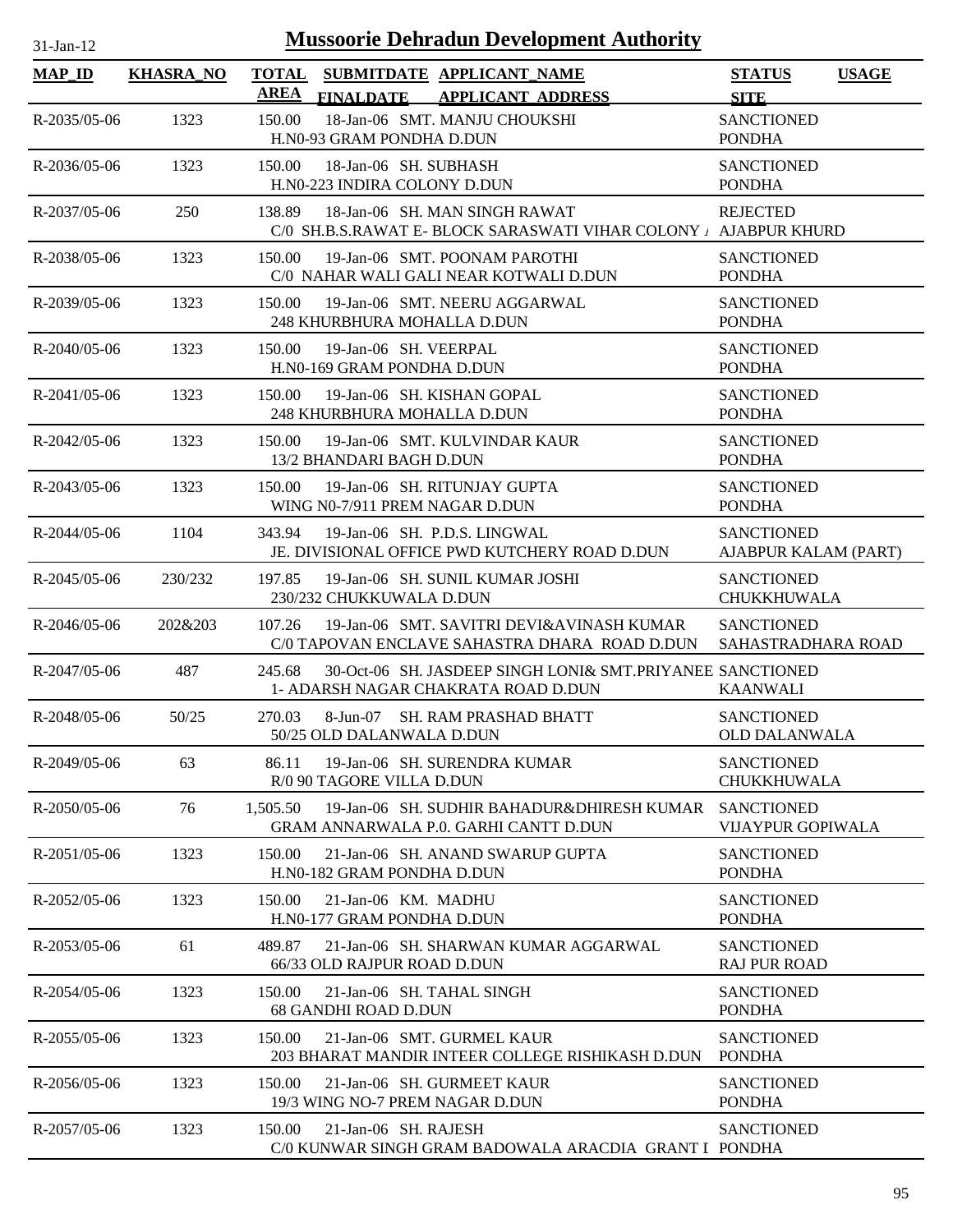| $1$ -Jan- $1$ |  |
|---------------|--|

| <b>MAP_ID</b>      | <b>KHASRA_NO</b> | <b>TOTAL</b><br><b>AREA</b> | <b>FINALDATE</b>                                         | SUBMITDATE APPLICANT NAME<br><b>APPLICANT ADDRESS</b>                                             | <b>STATUS</b><br><b>SITE</b>                  | <b>USAGE</b> |
|--------------------|------------------|-----------------------------|----------------------------------------------------------|---------------------------------------------------------------------------------------------------|-----------------------------------------------|--------------|
| $R - 2035/05 - 06$ | 1323             | 150.00                      | H.N0-93 GRAM PONDHA D.DUN                                | 18-Jan-06 SMT. MANJU CHOUKSHI                                                                     | <b>SANCTIONED</b><br><b>PONDHA</b>            |              |
| $R - 2036/05 - 06$ | 1323             | 150.00                      | 18-Jan-06 SH. SUBHASH<br>H.N0-223 INDIRA COLONY D.DUN    |                                                                                                   | <b>SANCTIONED</b><br><b>PONDHA</b>            |              |
| R-2037/05-06       | 250              | 138.89                      |                                                          | 18-Jan-06 SH. MAN SINGH RAWAT<br>C/0 SH.B.S.RAWAT E- BLOCK SARASWATI VIHAR COLONY / AJABPUR KHURD | <b>REJECTED</b>                               |              |
| R-2038/05-06       | 1323             | 150.00                      |                                                          | 19-Jan-06 SMT. POONAM PAROTHI<br>C/0 NAHAR WALI GALI NEAR KOTWALI D.DUN                           | <b>SANCTIONED</b><br><b>PONDHA</b>            |              |
| R-2039/05-06       | 1323             | 150.00                      | 248 KHURBHURA MOHALLA D.DUN                              | 19-Jan-06 SMT. NEERU AGGARWAL                                                                     | <b>SANCTIONED</b><br><b>PONDHA</b>            |              |
| R-2040/05-06       | 1323             | 150.00                      | 19-Jan-06 SH. VEERPAL<br>H.N0-169 GRAM PONDHA D.DUN      |                                                                                                   | <b>SANCTIONED</b><br><b>PONDHA</b>            |              |
| $R - 2041/05 - 06$ | 1323             | 150.00                      | 248 KHURBHURA MOHALLA D.DUN                              | 19-Jan-06 SH, KISHAN GOPAL                                                                        | <b>SANCTIONED</b><br><b>PONDHA</b>            |              |
| $R - 2042/05 - 06$ | 1323             | 150.00                      | 13/2 BHANDARI BAGH D.DUN                                 | 19-Jan-06 SMT. KULVINDAR KAUR                                                                     | <b>SANCTIONED</b><br><b>PONDHA</b>            |              |
| $R - 2043/05 - 06$ | 1323             | 150.00                      | WING N0-7/911 PREM NAGAR D.DUN                           | 19-Jan-06 SH. RITUNJAY GUPTA                                                                      | <b>SANCTIONED</b><br><b>PONDHA</b>            |              |
| $R - 2044/05 - 06$ | 1104             | 343.94                      |                                                          | 19-Jan-06 SH. P.D.S. LINGWAL<br>JE. DIVISIONAL OFFICE PWD KUTCHERY ROAD D.DUN                     | <b>SANCTIONED</b><br>AJABPUR KALAM (PART)     |              |
| $R - 2045/05 - 06$ | 230/232          | 197.85                      | 230/232 CHUKKUWALA D.DUN                                 | 19-Jan-06 SH. SUNIL KUMAR JOSHI                                                                   | <b>SANCTIONED</b><br>CHUKKHUWALA              |              |
| $R - 2046/05-06$   | 202&203          | 107.26                      |                                                          | 19-Jan-06 SMT. SAVITRI DEVI&AVINASH KUMAR<br>C/0 TAPOVAN ENCLAVE SAHASTRA DHARA ROAD D.DUN        | <b>SANCTIONED</b><br>SAHASTRADHARA ROAD       |              |
| R-2047/05-06       | 487              | 245.68                      |                                                          | 30-Oct-06 SH. JASDEEP SINGH LONI& SMT.PRIYANEE SANCTIONED<br>1- ADARSH NAGAR CHAKRATA ROAD D.DUN  | <b>KAANWALI</b>                               |              |
| R-2048/05-06       | 50/25            | 270.03                      | 8-Jun-07<br>50/25 OLD DALANWALA D.DUN                    | <b>SH. RAM PRASHAD BHATT</b>                                                                      | <b>SANCTIONED</b><br><b>OLD DALANWALA</b>     |              |
| R-2049/05-06       | 63               | 86.11                       | R/0 90 TAGORE VILLA D.DUN                                | 19-Jan-06 SH. SURENDRA KUMAR                                                                      | <b>SANCTIONED</b><br><b>CHUKKHUWALA</b>       |              |
| R-2050/05-06       | 76               | 1,505.50                    |                                                          | 19-Jan-06 SH, SUDHIR BAHADUR&DHIRESH KUMAR<br><b>GRAM ANNARWALA P.0. GARHI CANTT D.DUN</b>        | <b>SANCTIONED</b><br><b>VIJAYPUR GOPIWALA</b> |              |
| $R-2051/05-06$     | 1323             | 150.00                      | H.NO-182 GRAM PONDHA D.DUN                               | 21-Jan-06 SH, ANAND SWARUP GUPTA                                                                  | <b>SANCTIONED</b><br><b>PONDHA</b>            |              |
| R-2052/05-06       | 1323             | 150.00                      | 21-Jan-06 KM. MADHU<br>H.N0-177 GRAM PONDHA D.DUN        |                                                                                                   | <b>SANCTIONED</b><br><b>PONDHA</b>            |              |
| R-2053/05-06       | 61               | 489.87                      | 66/33 OLD RAJPUR ROAD D.DUN                              | 21-Jan-06 SH. SHARWAN KUMAR AGGARWAL                                                              | <b>SANCTIONED</b><br><b>RAJ PUR ROAD</b>      |              |
| R-2054/05-06       | 1323             | 150.00                      | 21-Jan-06 SH. TAHAL SINGH<br><b>68 GANDHI ROAD D.DUN</b> |                                                                                                   | <b>SANCTIONED</b><br><b>PONDHA</b>            |              |
| R-2055/05-06       | 1323             | 150.00                      |                                                          | 21-Jan-06 SMT. GURMEL KAUR<br>203 BHARAT MANDIR INTEER COLLEGE RISHIKASH D.DUN                    | <b>SANCTIONED</b><br><b>PONDHA</b>            |              |
| R-2056/05-06       | 1323             | 150.00                      | 19/3 WING NO-7 PREM NAGAR D.DUN                          | 21-Jan-06 SH. GURMEET KAUR                                                                        | <b>SANCTIONED</b><br><b>PONDHA</b>            |              |
| R-2057/05-06       | 1323             | 150.00                      | 21-Jan-06 SH. RAJESH                                     | C/0 KUNWAR SINGH GRAM BADOWALA ARACDIA GRANT I PONDHA                                             | <b>SANCTIONED</b>                             |              |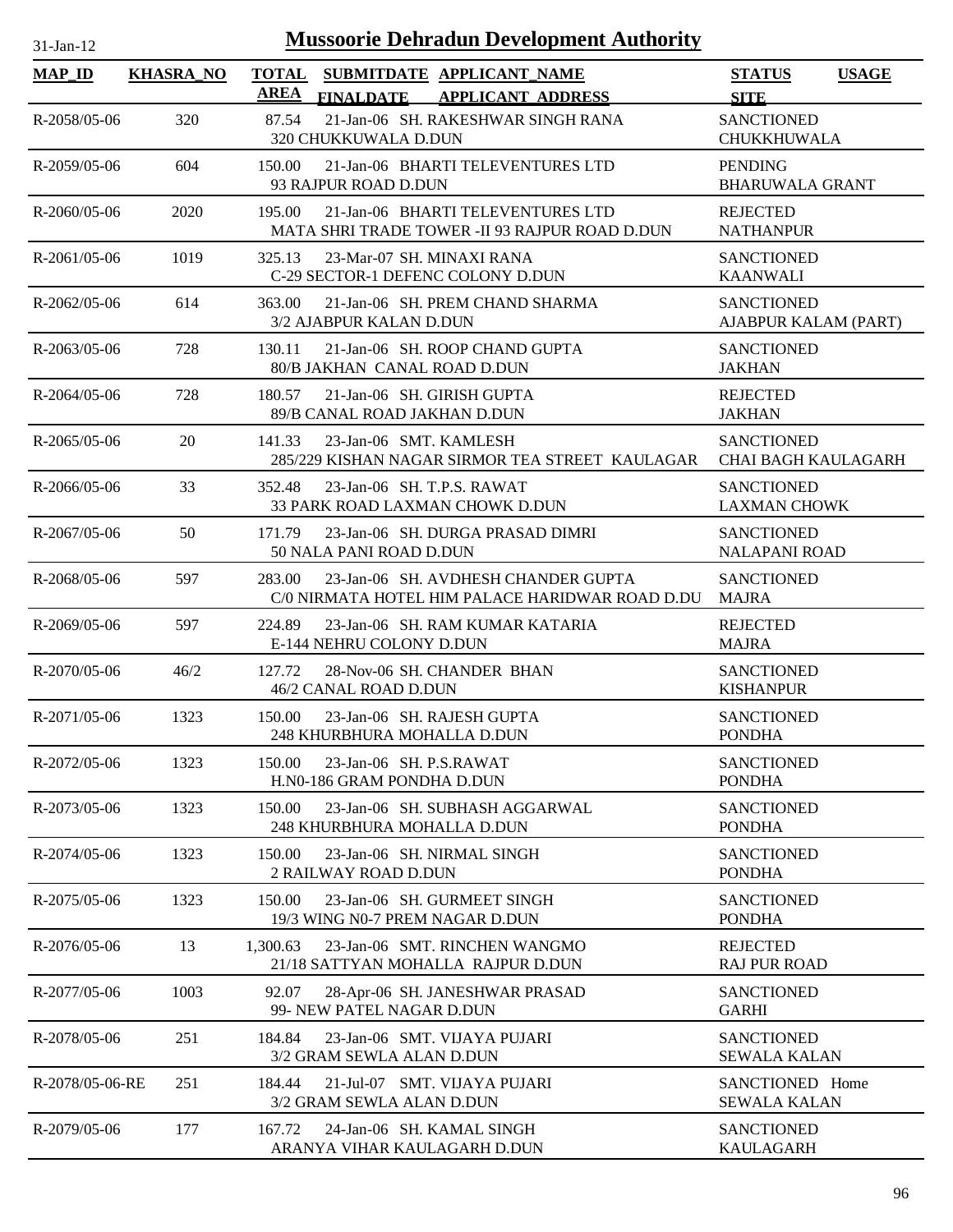| $31$ -Jan-12       |                  | <b>Mussoorie Dehradun Development Authority</b>                                                   |                                                 |
|--------------------|------------------|---------------------------------------------------------------------------------------------------|-------------------------------------------------|
| $MAP_ID$           | <b>KHASRA_NO</b> | <b>TOTAL</b><br>SUBMITDATE APPLICANT_NAME<br>AREA<br><b>APPLICANT ADDRESS</b><br><b>FINALDATE</b> | <b>STATUS</b><br><b>USAGE</b><br><b>SITE</b>    |
| $R - 2058/05 - 06$ | 320              | 87.54<br>21-Jan-06 SH. RAKESHWAR SINGH RANA<br>320 CHUKKUWALA D.DUN                               | <b>SANCTIONED</b><br>CHUKKHUWALA                |
| R-2059/05-06       | 604              | 150.00<br>21-Jan-06 BHARTI TELEVENTURES LTD<br>93 RAJPUR ROAD D.DUN                               | <b>PENDING</b><br><b>BHARUWALA GRANT</b>        |
| $R - 2060/05 - 06$ | 2020             | 21-Jan-06 BHARTI TELEVENTURES LTD<br>195.00<br>MATA SHRI TRADE TOWER -II 93 RAJPUR ROAD D.DUN     | <b>REJECTED</b><br><b>NATHANPUR</b>             |
| $R-2061/05-06$     | 1019             | 325.13<br>23-Mar-07 SH. MINAXI RANA<br>C-29 SECTOR-1 DEFENC COLONY D.DUN                          | <b>SANCTIONED</b><br><b>KAANWALI</b>            |
| R-2062/05-06       | 614              | 21-Jan-06 SH. PREM CHAND SHARMA<br>363.00<br>3/2 AJABPUR KALAN D.DUN                              | <b>SANCTIONED</b><br>AJABPUR KALAM (PART)       |
| $R - 2063/05 - 06$ | 728              | 130.11<br>21-Jan-06 SH, ROOP CHAND GUPTA<br>80/B JAKHAN CANAL ROAD D.DUN                          | <b>SANCTIONED</b><br><b>JAKHAN</b>              |
| $R - 2064/05 - 06$ | 728              | 21-Jan-06 SH. GIRISH GUPTA<br>180.57<br>89/B CANAL ROAD JAKHAN D.DUN                              | <b>REJECTED</b><br><b>JAKHAN</b>                |
| $R - 2065/05 - 06$ | 20               | 141.33<br>23-Jan-06 SMT. KAMLESH<br>285/229 KISHAN NAGAR SIRMOR TEA STREET KAULAGAR               | <b>SANCTIONED</b><br><b>CHAI BAGH KAULAGARH</b> |
| $R - 2066/05 - 06$ | 33               | 23-Jan-06 SH. T.P.S. RAWAT<br>352.48<br>33 PARK ROAD LAXMAN CHOWK D.DUN                           | <b>SANCTIONED</b><br><b>LAXMAN CHOWK</b>        |
| $R-2067/05-06$     | 50               | 23-Jan-06 SH. DURGA PRASAD DIMRI<br>171.79<br>50 NALA PANI ROAD D.DUN                             | <b>SANCTIONED</b><br><b>NALAPANI ROAD</b>       |
| R-2068/05-06       | 597              | 283.00<br>23-Jan-06 SH. AVDHESH CHANDER GUPTA<br>C/0 NIRMATA HOTEL HIM PALACE HARIDWAR ROAD D.DU  | <b>SANCTIONED</b><br>MAJRA                      |
| R-2069/05-06       | 597              | 224.89<br>23-Jan-06 SH. RAM KUMAR KATARIA<br>E-144 NEHRU COLONY D.DUN                             | <b>REJECTED</b><br><b>MAJRA</b>                 |
| $R - 2070/05 - 06$ | 46/2             | 127.72<br>28-Nov-06 SH, CHANDER BHAN<br>46/2 CANAL ROAD D.DUN                                     | <b>SANCTIONED</b><br><b>KISHANPUR</b>           |
| $R-2071/05-06$     | 1323             | 150.00<br>23-Jan-06 SH. RAJESH GUPTA<br>248 KHURBHURA MOHALLA D.DUN                               | <b>SANCTIONED</b><br><b>PONDHA</b>              |
| R-2072/05-06       | 1323             | 23-Jan-06 SH. P.S.RAWAT<br>150.00<br>H.N0-186 GRAM PONDHA D.DUN                                   | <b>SANCTIONED</b><br><b>PONDHA</b>              |
| R-2073/05-06       | 1323             | 23-Jan-06 SH. SUBHASH AGGARWAL<br>150.00<br>248 KHURBHURA MOHALLA D.DUN                           | <b>SANCTIONED</b><br><b>PONDHA</b>              |
| R-2074/05-06       | 1323             | 23-Jan-06 SH. NIRMAL SINGH<br>150.00<br><b>2 RAILWAY ROAD D.DUN</b>                               | <b>SANCTIONED</b><br><b>PONDHA</b>              |
| R-2075/05-06       | 1323             | 150.00<br>23-Jan-06 SH. GURMEET SINGH<br>19/3 WING N0-7 PREM NAGAR D.DUN                          | <b>SANCTIONED</b><br><b>PONDHA</b>              |
| R-2076/05-06       | 13               | 1,300.63<br>23-Jan-06 SMT. RINCHEN WANGMO<br>21/18 SATTYAN MOHALLA RAJPUR D.DUN                   | <b>REJECTED</b><br><b>RAJ PUR ROAD</b>          |
| R-2077/05-06       | 1003             | 92.07<br>28-Apr-06 SH. JANESHWAR PRASAD<br>99- NEW PATEL NAGAR D.DUN                              | <b>SANCTIONED</b><br><b>GARHI</b>               |
| R-2078/05-06       | 251              | 184.84<br>23-Jan-06 SMT. VIJAYA PUJARI<br>3/2 GRAM SEWLA ALAN D.DUN                               | <b>SANCTIONED</b><br><b>SEWALA KALAN</b>        |
| R-2078/05-06-RE    | 251              | 21-Jul-07 SMT. VIJAYA PUJARI<br>184.44<br>3/2 GRAM SEWLA ALAN D.DUN                               | SANCTIONED Home<br><b>SEWALA KALAN</b>          |
| R-2079/05-06       | 177              | 24-Jan-06 SH. KAMAL SINGH<br>167.72<br>ARANYA VIHAR KAULAGARH D.DUN                               | <b>SANCTIONED</b><br><b>KAULAGARH</b>           |

۰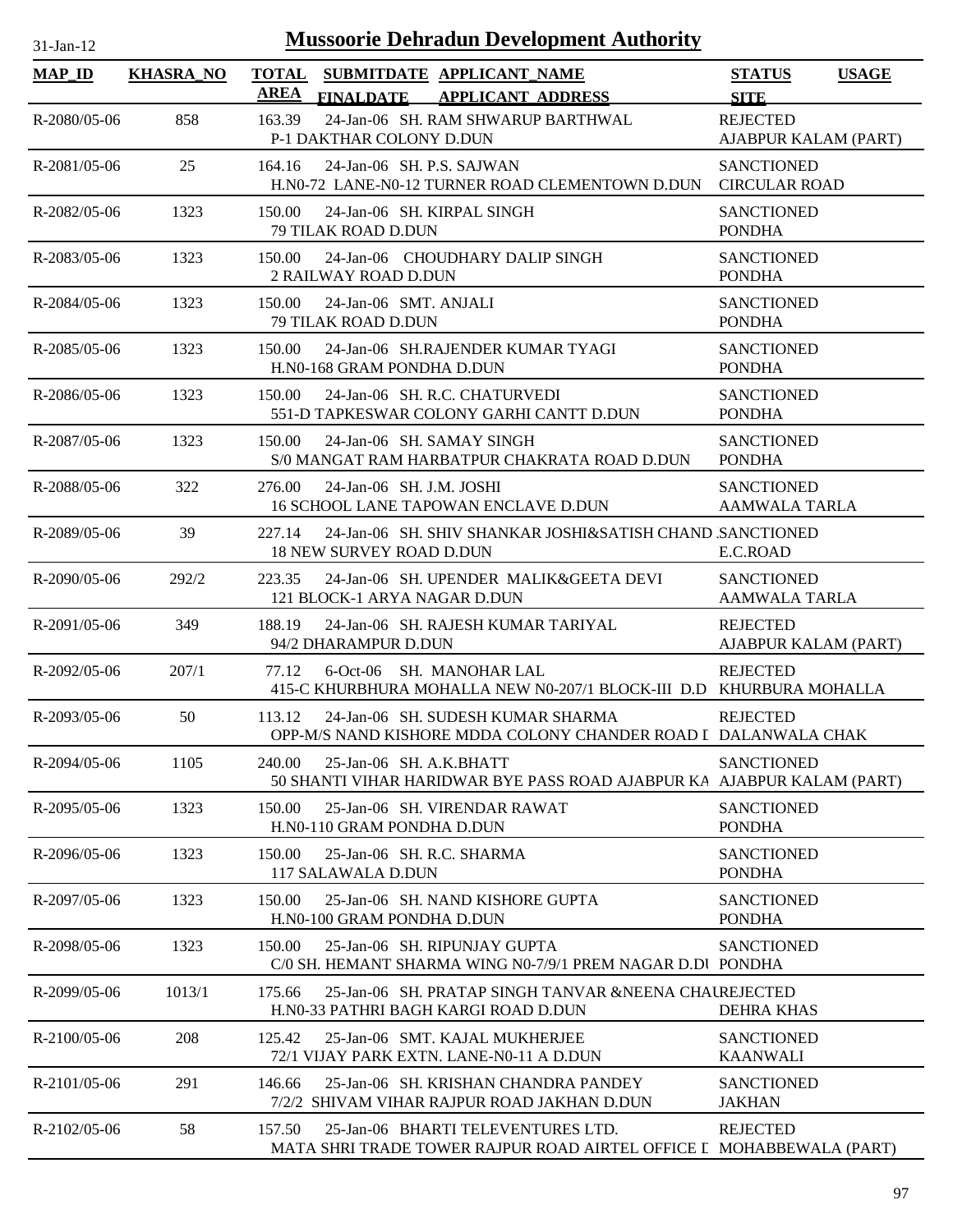| $31-Jan-12$        |                  |             | <b>Mussoorie Dehradun Development Authority</b>                                                            |                                           |              |
|--------------------|------------------|-------------|------------------------------------------------------------------------------------------------------------|-------------------------------------------|--------------|
| <b>MAP ID</b>      | <b>KHASRA_NO</b> | <b>AREA</b> | TOTAL SUBMITDATE APPLICANT NAME<br><b>FINALDATE</b><br><b>APPLICANT ADDRESS</b>                            | <b>STATUS</b><br><b>SITE</b>              | <b>USAGE</b> |
| R-2080/05-06       | 858              | 163.39      | 24-Jan-06 SH. RAM SHWARUP BARTHWAL<br>P-1 DAKTHAR COLONY D.DUN                                             | <b>REJECTED</b><br>AJABPUR KALAM (PART)   |              |
| $R - 2081/05 - 06$ | 25               | 164.16      | 24-Jan-06 SH. P.S. SAJWAN<br>H.NO-72 LANE-NO-12 TURNER ROAD CLEMENTOWN D.DUN                               | <b>SANCTIONED</b><br><b>CIRCULAR ROAD</b> |              |
| R-2082/05-06       | 1323             | 150.00      | 24-Jan-06 SH, KIRPAL SINGH<br>79 TILAK ROAD D.DUN                                                          | <b>SANCTIONED</b><br><b>PONDHA</b>        |              |
| $R - 2083/05 - 06$ | 1323             | 150.00      | 24-Jan-06 CHOUDHARY DALIP SINGH<br>2 RAILWAY ROAD D.DUN                                                    | <b>SANCTIONED</b><br><b>PONDHA</b>        |              |
| R-2084/05-06       | 1323             | 150.00      | 24-Jan-06 SMT. ANJALI<br>79 TILAK ROAD D.DUN                                                               | <b>SANCTIONED</b><br><b>PONDHA</b>        |              |
| R-2085/05-06       | 1323             | 150.00      | 24-Jan-06 SH.RAJENDER KUMAR TYAGI<br>H.N0-168 GRAM PONDHA D.DUN                                            | <b>SANCTIONED</b><br><b>PONDHA</b>        |              |
| R-2086/05-06       | 1323             | 150.00      | 24-Jan-06 SH. R.C. CHATURVEDI<br>551-D TAPKESWAR COLONY GARHI CANTT D.DUN                                  | <b>SANCTIONED</b><br><b>PONDHA</b>        |              |
| $R - 2087/05 - 06$ | 1323             | 150.00      | 24-Jan-06 SH. SAMAY SINGH<br>S/0 MANGAT RAM HARBATPUR CHAKRATA ROAD D.DUN                                  | <b>SANCTIONED</b><br><b>PONDHA</b>        |              |
| R-2088/05-06       | 322              | 276.00      | 24-Jan-06 SH. J.M. JOSHI<br>16 SCHOOL LANE TAPOWAN ENCLAVE D.DUN                                           | <b>SANCTIONED</b><br><b>AAMWALA TARLA</b> |              |
| R-2089/05-06       | 39               | 227.14      | 24-Jan-06 SH. SHIV SHANKAR JOSHI&SATISH CHAND SANCTIONED<br>18 NEW SURVEY ROAD D.DUN                       | E.C.ROAD                                  |              |
| $R - 2090/05 - 06$ | 292/2            | 223.35      | 24-Jan-06 SH. UPENDER MALIK&GEETA DEVI<br>121 BLOCK-1 ARYA NAGAR D.DUN                                     | <b>SANCTIONED</b><br><b>AAMWALA TARLA</b> |              |
| R-2091/05-06       | 349              | 188.19      | 24-Jan-06 SH. RAJESH KUMAR TARIYAL<br>94/2 DHARAMPUR D.DUN                                                 | <b>REJECTED</b><br>AJABPUR KALAM (PART)   |              |
| $R-2092/05-06$     | 207/1            | 77.12       | 6-Oct-06 SH. MANOHAR LAL<br>415-C KHURBHURA MOHALLA NEW N0-207/1 BLOCK-III D.D KHURBURA MOHALLA            | <b>REJECTED</b>                           |              |
| R-2093/05-06       | 50               | 113.12      | 24-Jan-06 SH. SUDESH KUMAR SHARMA<br>OPP-M/S NAND KISHORE MDDA COLONY CHANDER ROAD I DALANWALA CHAK        | <b>REJECTED</b>                           |              |
| R-2094/05-06       | 1105             | 240.00      | 25-Jan-06 SH. A.K.BHATT<br>50 SHANTI VIHAR HARIDWAR BYE PASS ROAD AJABPUR KA AJABPUR KALAM (PART)          | <b>SANCTIONED</b>                         |              |
| R-2095/05-06       | 1323             | 150.00      | 25-Jan-06 SH. VIRENDAR RAWAT<br>H.N0-110 GRAM PONDHA D.DUN                                                 | <b>SANCTIONED</b><br><b>PONDHA</b>        |              |
| R-2096/05-06       | 1323             | 150.00      | 25-Jan-06 SH. R.C. SHARMA<br>117 SALAWALA D.DUN                                                            | <b>SANCTIONED</b><br><b>PONDHA</b>        |              |
| R-2097/05-06       | 1323             | 150.00      | 25-Jan-06 SH. NAND KISHORE GUPTA<br>H.NO-100 GRAM PONDHA D.DUN                                             | <b>SANCTIONED</b><br><b>PONDHA</b>        |              |
| R-2098/05-06       | 1323             | 150.00      | 25-Jan-06 SH. RIPUNJAY GUPTA<br>C/0 SH. HEMANT SHARMA WING N0-7/9/1 PREM NAGAR D.DI PONDHA                 | <b>SANCTIONED</b>                         |              |
| R-2099/05-06       | 1013/1           | 175.66      | 25-Jan-06 SH. PRATAP SINGH TANVAR &NEENA CHAUREJECTED<br>H.NO-33 PATHRI BAGH KARGI ROAD D.DUN              | <b>DEHRA KHAS</b>                         |              |
| $R-2100/05-06$     | 208              | 125.42      | 25-Jan-06 SMT. KAJAL MUKHERJEE<br>72/1 VIJAY PARK EXTN. LANE-N0-11 A D.DUN                                 | <b>SANCTIONED</b><br><b>KAANWALI</b>      |              |
| R-2101/05-06       | 291              | 146.66      | 25-Jan-06 SH. KRISHAN CHANDRA PANDEY<br>7/2/2 SHIVAM VIHAR RAJPUR ROAD JAKHAN D.DUN                        | <b>SANCTIONED</b><br>JAKHAN               |              |
| R-2102/05-06       | 58               | 157.50      | 25-Jan-06 BHARTI TELEVENTURES LTD.<br>MATA SHRI TRADE TOWER RAJPUR ROAD AIRTEL OFFICE I MOHABBEWALA (PART) | <b>REJECTED</b>                           |              |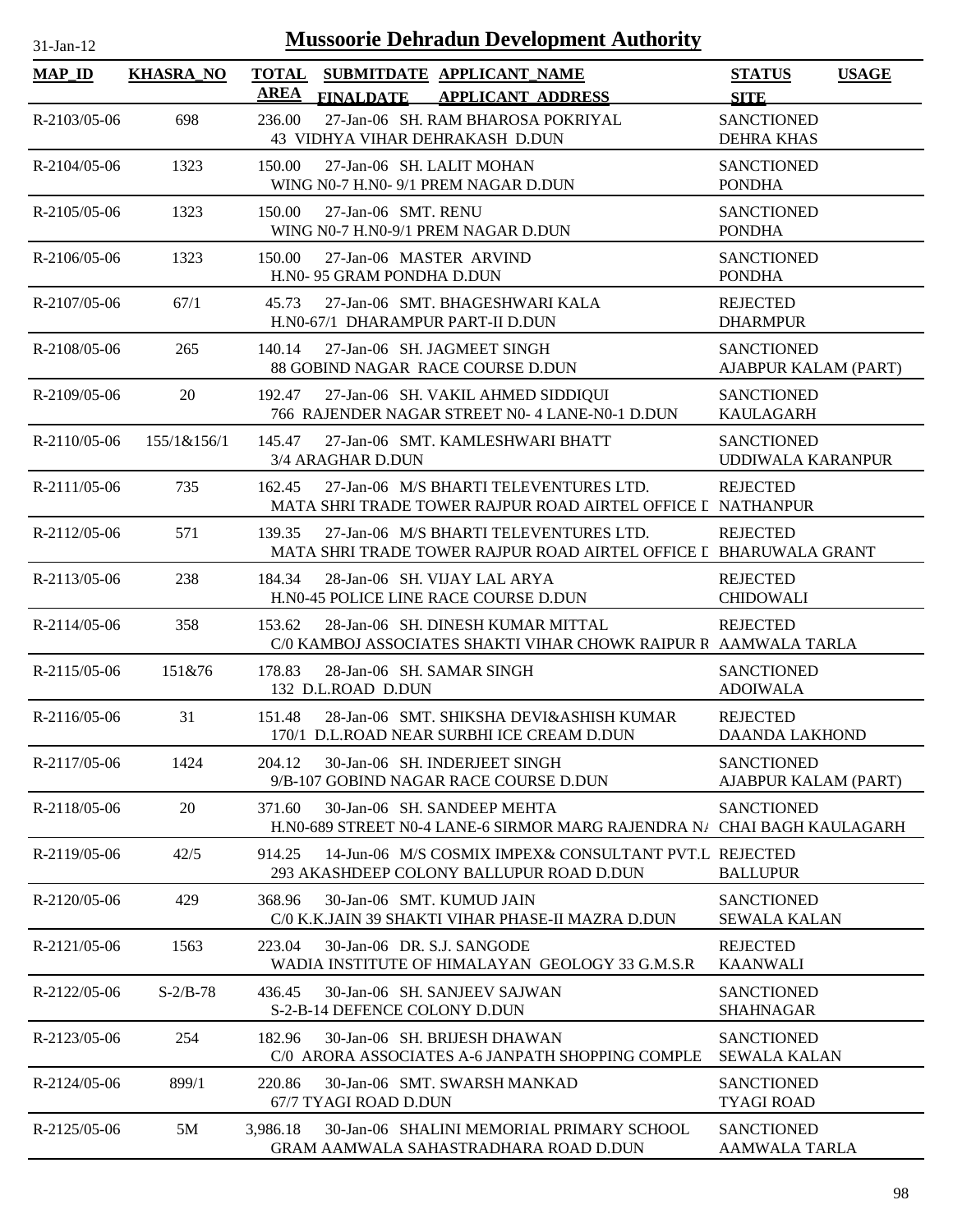| $31$ -Jan-1 |  |
|-------------|--|
|             |  |

| <b>MAP_ID</b>      | <b>KHASRA_NO</b> | <b>TOTAL</b><br><b>AREA</b> | <b>FINALDATE</b>              | SUBMITDATE APPLICANT_NAME<br><b>APPLICANT ADDRESS</b>                                                       | <b>STATUS</b><br><b>SITE</b>              | <b>USAGE</b> |
|--------------------|------------------|-----------------------------|-------------------------------|-------------------------------------------------------------------------------------------------------------|-------------------------------------------|--------------|
| R-2103/05-06       | 698              | 236.00                      |                               | 27-Jan-06 SH. RAM BHAROSA POKRIYAL<br>43 VIDHYA VIHAR DEHRAKASH D.DUN                                       | <b>SANCTIONED</b><br><b>DEHRA KHAS</b>    |              |
| R-2104/05-06       | 1323             | 150.00                      |                               | 27-Jan-06 SH. LALIT MOHAN<br>WING N0-7 H.N0- 9/1 PREM NAGAR D.DUN                                           | <b>SANCTIONED</b><br><b>PONDHA</b>        |              |
| R-2105/05-06       | 1323             | 150.00                      | 27-Jan-06 SMT. RENU           | WING N0-7 H.N0-9/1 PREM NAGAR D.DUN                                                                         | <b>SANCTIONED</b><br><b>PONDHA</b>        |              |
| $R - 2106/05 - 06$ | 1323             | 150.00                      | H.N0-95 GRAM PONDHA D.DUN     | 27-Jan-06 MASTER ARVIND                                                                                     | <b>SANCTIONED</b><br><b>PONDHA</b>        |              |
| R-2107/05-06       | 67/1             | 45.73                       |                               | 27-Jan-06 SMT. BHAGESHWARI KALA<br>H.N0-67/1 DHARAMPUR PART-II D.DUN                                        | <b>REJECTED</b><br><b>DHARMPUR</b>        |              |
| R-2108/05-06       | 265              | 140.14                      |                               | 27-Jan-06 SH. JAGMEET SINGH<br>88 GOBIND NAGAR RACE COURSE D.DUN                                            | <b>SANCTIONED</b><br>AJABPUR KALAM (PART) |              |
| $R-2109/05-06$     | 20               | 192.47                      |                               | 27-Jan-06 SH. VAKIL AHMED SIDDIQUI<br>766 RAJENDER NAGAR STREET N0- 4 LANE-N0-1 D.DUN                       | <b>SANCTIONED</b><br><b>KAULAGARH</b>     |              |
| $R-2110/05-06$     | 155/1&156/1      | 145.47                      | 3/4 ARAGHAR D.DUN             | 27-Jan-06 SMT. KAMLESHWARI BHATT                                                                            | <b>SANCTIONED</b><br>UDDIWALA KARANPUR    |              |
| $R-2111/05-06$     | 735              | 162.45                      |                               | 27-Jan-06 M/S BHARTI TELEVENTURES LTD.<br>MATA SHRI TRADE TOWER RAJPUR ROAD AIRTEL OFFICE I NATHANPUR       | <b>REJECTED</b>                           |              |
| R-2112/05-06       | 571              | 139.35                      |                               | 27-Jan-06 M/S BHARTI TELEVENTURES LTD.<br>MATA SHRI TRADE TOWER RAJPUR ROAD AIRTEL OFFICE I BHARUWALA GRANT | <b>REJECTED</b>                           |              |
| $R-2113/05-06$     | 238              | 184.34                      |                               | 28-Jan-06 SH. VIJAY LAL ARYA<br>H.N0-45 POLICE LINE RACE COURSE D.DUN                                       | <b>REJECTED</b><br><b>CHIDOWALI</b>       |              |
| R-2114/05-06       | 358              | 153.62                      |                               | 28-Jan-06 SH. DINESH KUMAR MITTAL<br>C/0 KAMBOJ ASSOCIATES SHAKTI VIHAR CHOWK RAIPUR R AAMWALA TARLA        | <b>REJECTED</b>                           |              |
| R-2115/05-06       | 151&76           | 178.83                      | 132 D.L.ROAD D.DUN            | 28-Jan-06 SH. SAMAR SINGH                                                                                   | <b>SANCTIONED</b><br><b>ADOIWALA</b>      |              |
| R-2116/05-06       | 31               | 151.48                      |                               | 28-Jan-06 SMT, SHIKSHA DEVI&ASHISH KUMAR<br>170/1 D.L.ROAD NEAR SURBHI ICE CREAM D.DUN                      | <b>REJECTED</b><br><b>DAANDA LAKHOND</b>  |              |
| R-2117/05-06       | 1424             | 204.12                      |                               | 30-Jan-06 SH. INDERJEET SINGH<br>9/B-107 GOBIND NAGAR RACE COURSE D.DUN                                     | <b>SANCTIONED</b><br>AJABPUR KALAM (PART) |              |
| R-2118/05-06       | 20               | 371.60                      |                               | 30-Jan-06 SH, SANDEEP MEHTA<br>H.N0-689 STREET N0-4 LANE-6 SIRMOR MARG RAJENDRA N/ CHAI BAGH KAULAGARH      | <b>SANCTIONED</b>                         |              |
| R-2119/05-06       | 42/5             | 914.25                      |                               | 14-Jun-06 M/S COSMIX IMPEX& CONSULTANT PVT.L REJECTED<br>293 AKASHDEEP COLONY BALLUPUR ROAD D.DUN           | <b>BALLUPUR</b>                           |              |
| R-2120/05-06       | 429              | 368.96                      |                               | 30-Jan-06 SMT. KUMUD JAIN<br>C/0 K.K.JAIN 39 SHAKTI VIHAR PHASE-II MAZRA D.DUN                              | <b>SANCTIONED</b><br><b>SEWALA KALAN</b>  |              |
| R-2121/05-06       | 1563             | 223.04                      |                               | 30-Jan-06 DR. S.J. SANGODE<br>WADIA INSTITUTE OF HIMALAYAN GEOLOGY 33 G.M.S.R                               | <b>REJECTED</b><br><b>KAANWALI</b>        |              |
| R-2122/05-06       | $S-2/B-78$       | 436.45                      | S-2-B-14 DEFENCE COLONY D.DUN | 30-Jan-06 SH, SANJEEV SAJWAN                                                                                | <b>SANCTIONED</b><br><b>SHAHNAGAR</b>     |              |
| R-2123/05-06       | 254              | 182.96                      |                               | 30-Jan-06 SH. BRIJESH DHAWAN<br>C/0 ARORA ASSOCIATES A-6 JANPATH SHOPPING COMPLE                            | <b>SANCTIONED</b><br><b>SEWALA KALAN</b>  |              |
| R-2124/05-06       | 899/1            | 220.86                      | 67/7 TYAGI ROAD D.DUN         | 30-Jan-06 SMT. SWARSH MANKAD                                                                                | <b>SANCTIONED</b><br><b>TYAGI ROAD</b>    |              |
| R-2125/05-06       | 5M               | 3,986.18                    |                               | 30-Jan-06 SHALINI MEMORIAL PRIMARY SCHOOL<br>GRAM AAMWALA SAHASTRADHARA ROAD D.DUN                          | <b>SANCTIONED</b><br><b>AAMWALA TARLA</b> |              |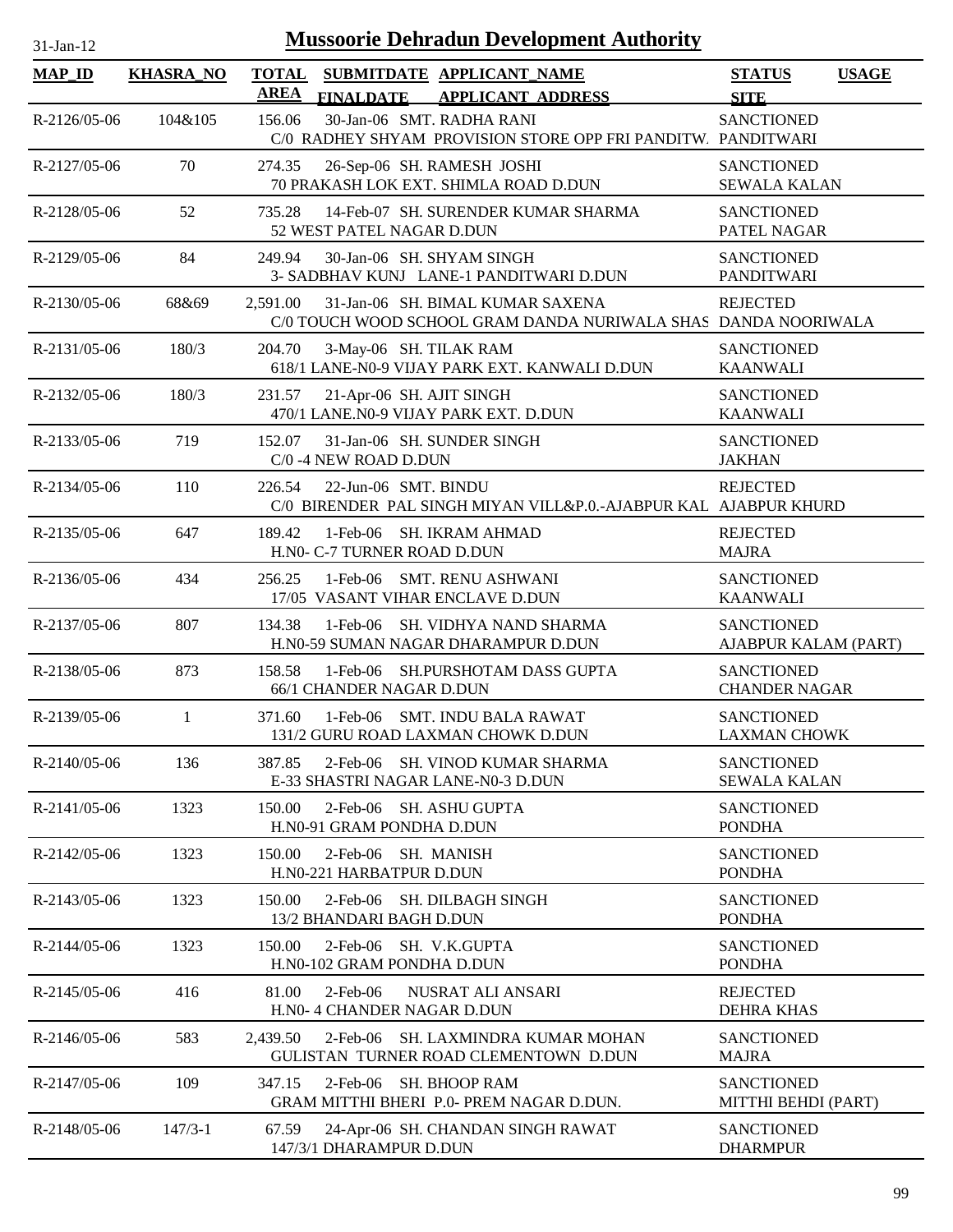| $31$ -Jan-12   |                  | <b>Mussoorie Dehradun Development Authority</b>                                                                |                                              |
|----------------|------------------|----------------------------------------------------------------------------------------------------------------|----------------------------------------------|
| <b>MAP_ID</b>  | <b>KHASRA_NO</b> | <b>TOTAL</b><br>SUBMITDATE APPLICANT NAME<br>AREA<br><b>FINALDATE</b><br><b>APPLICANT ADDRESS</b>              | <b>STATUS</b><br><b>USAGE</b><br><b>SITE</b> |
| R-2126/05-06   | 104&105          | 30-Jan-06 SMT. RADHA RANI<br>156.06<br>C/0 RADHEY SHYAM PROVISION STORE OPP FRI PANDITW. PANDITWARI            | <b>SANCTIONED</b>                            |
| R-2127/05-06   | 70               | 274.35<br>26-Sep-06 SH. RAMESH JOSHI<br>70 PRAKASH LOK EXT. SHIMLA ROAD D.DUN                                  | <b>SANCTIONED</b><br><b>SEWALA KALAN</b>     |
| R-2128/05-06   | 52               | 14-Feb-07 SH. SURENDER KUMAR SHARMA<br>735.28<br>52 WEST PATEL NAGAR D.DUN                                     | <b>SANCTIONED</b><br>PATEL NAGAR             |
| R-2129/05-06   | 84               | 30-Jan-06 SH. SHYAM SINGH<br>249.94<br>3- SADBHAV KUNJ LANE-1 PANDITWARI D.DUN                                 | <b>SANCTIONED</b><br><b>PANDITWARI</b>       |
| $R-2130/05-06$ | 68&69            | 31-Jan-06 SH. BIMAL KUMAR SAXENA<br>2,591.00<br>C/0 TOUCH WOOD SCHOOL GRAM DANDA NURIWALA SHAS DANDA NOORIWALA | <b>REJECTED</b>                              |
| R-2131/05-06   | 180/3            | 204.70<br>3-May-06 SH. TILAK RAM<br>618/1 LANE-N0-9 VIJAY PARK EXT. KANWALI D.DUN                              | <b>SANCTIONED</b><br><b>KAANWALI</b>         |
| R-2132/05-06   | 180/3            | 21-Apr-06 SH. AJIT SINGH<br>231.57<br>470/1 LANE.N0-9 VIJAY PARK EXT. D.DUN                                    | <b>SANCTIONED</b><br><b>KAANWALI</b>         |
| R-2133/05-06   | 719              | 31-Jan-06 SH. SUNDER SINGH<br>152.07<br>C/0 -4 NEW ROAD D.DUN                                                  | <b>SANCTIONED</b><br><b>JAKHAN</b>           |
| R-2134/05-06   | 110              | 22-Jun-06 SMT. BINDU<br>226.54<br>C/0 BIRENDER PAL SINGH MIYAN VILL&P.O.-AJABPUR KAL AJABPUR KHURD             | <b>REJECTED</b>                              |
| R-2135/05-06   | 647              | 189.42<br>1-Feb-06 SH. IKRAM AHMAD<br>H.N0- C-7 TURNER ROAD D.DUN                                              | <b>REJECTED</b><br><b>MAJRA</b>              |
| R-2136/05-06   | 434              | 1-Feb-06 SMT. RENU ASHWANI<br>256.25<br>17/05 VASANT VIHAR ENCLAVE D.DUN                                       | <b>SANCTIONED</b><br><b>KAANWALI</b>         |
| R-2137/05-06   | 807              | 1-Feb-06 SH. VIDHYA NAND SHARMA<br>134.38<br>H.N0-59 SUMAN NAGAR DHARAMPUR D.DUN                               | <b>SANCTIONED</b><br>AJABPUR KALAM (PART)    |
| R-2138/05-06   | 873              | 158.58<br>1-Feb-06 SH.PURSHOTAM DASS GUPTA<br>66/1 CHANDER NAGAR D.DUN                                         | <b>SANCTIONED</b><br><b>CHANDER NAGAR</b>    |
| R-2139/05-06   | 1                | 371.60<br>1-Feb-06 SMT. INDU BALA RAWAT<br>131/2 GURU ROAD LAXMAN CHOWK D.DUN                                  | <b>SANCTIONED</b><br><b>LAXMAN CHOWK</b>     |
| $R-2140/05-06$ | 136              | 387.85<br>2-Feb-06 SH. VINOD KUMAR SHARMA<br>E-33 SHASTRI NAGAR LANE-N0-3 D.DUN                                | <b>SANCTIONED</b><br><b>SEWALA KALAN</b>     |
| $R-2141/05-06$ | 1323             | 150.00<br>2-Feb-06 SH. ASHU GUPTA<br>H.N0-91 GRAM PONDHA D.DUN                                                 | <b>SANCTIONED</b><br><b>PONDHA</b>           |
| R-2142/05-06   | 1323             | 2-Feb-06 SH. MANISH<br>150.00<br>H.N0-221 HARBATPUR D.DUN                                                      | <b>SANCTIONED</b><br><b>PONDHA</b>           |
| R-2143/05-06   | 1323             | 2-Feb-06 SH. DILBAGH SINGH<br>150.00<br>13/2 BHANDARI BAGH D.DUN                                               | <b>SANCTIONED</b><br><b>PONDHA</b>           |
| R-2144/05-06   | 1323             | 2-Feb-06 SH. V.K.GUPTA<br>150.00<br>H.N0-102 GRAM PONDHA D.DUN                                                 | <b>SANCTIONED</b><br><b>PONDHA</b>           |
| $R-2145/05-06$ | 416              | 81.00<br>$2$ -Feb-06<br>NUSRAT ALI ANSARI<br>H.N0- 4 CHANDER NAGAR D.DUN                                       | <b>REJECTED</b><br><b>DEHRA KHAS</b>         |
| $R-2146/05-06$ | 583              | 2,439.50<br>2-Feb-06 SH. LAXMINDRA KUMAR MOHAN<br>GULISTAN TURNER ROAD CLEMENTOWN D.DUN                        | <b>SANCTIONED</b><br><b>MAJRA</b>            |
| R-2147/05-06   | 109              | 347.15<br>2-Feb-06 SH. BHOOP RAM<br>GRAM MITTHI BHERI P.0- PREM NAGAR D.DUN.                                   | <b>SANCTIONED</b><br>MITTHI BEHDI (PART)     |
| R-2148/05-06   | $147/3 - 1$      | 67.59<br>24-Apr-06 SH. CHANDAN SINGH RAWAT<br>147/3/1 DHARAMPUR D.DUN                                          | <b>SANCTIONED</b><br><b>DHARMPUR</b>         |

 $\overline{\phantom{a}}$ 

 $\overline{\phantom{0}}$ 

 $\overline{\phantom{0}}$ 

L.

 $\blacksquare$ 

L.

 $\overline{\phantom{a}}$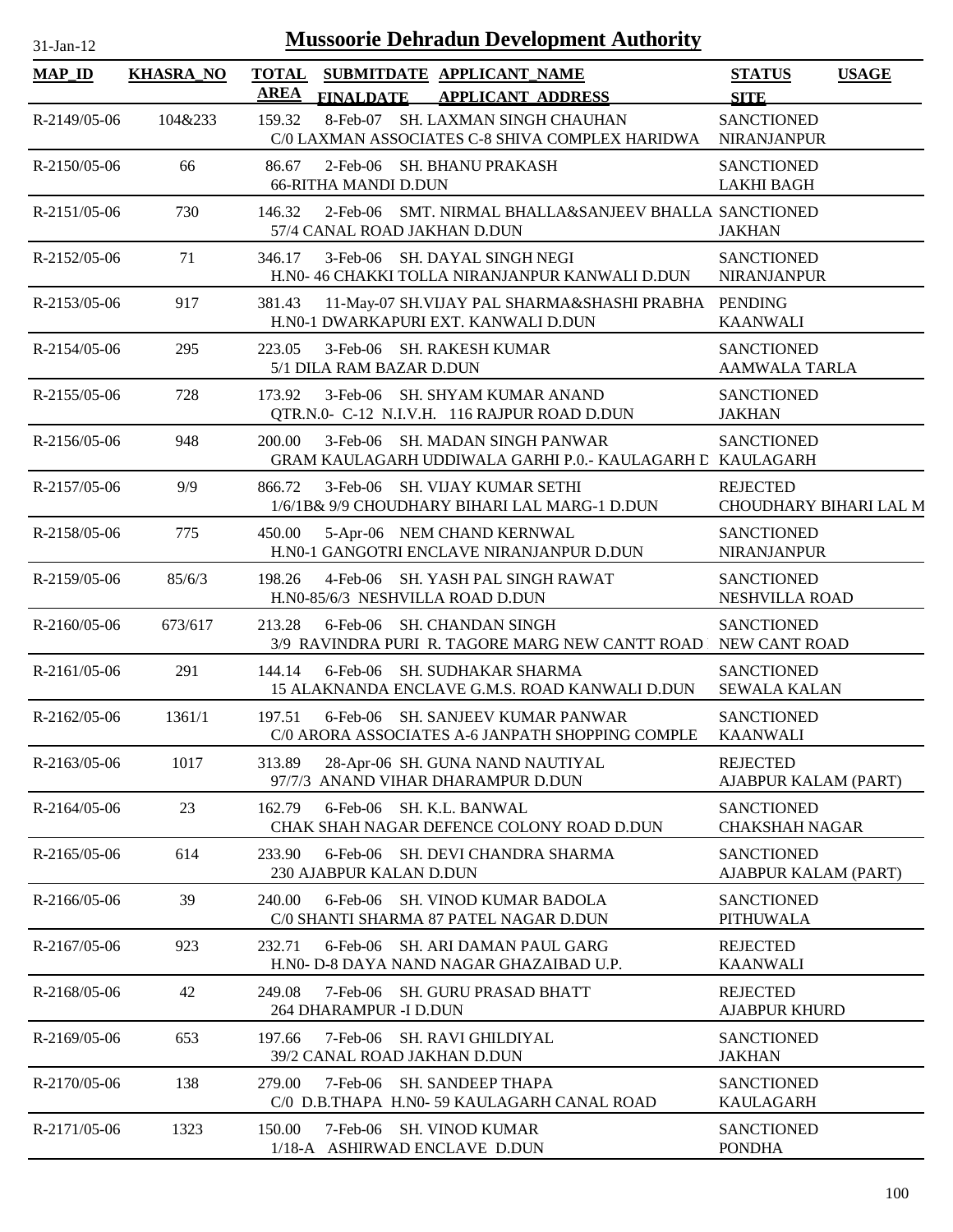| $31$ -Jan-12       |                  | <b>Mussoorie Dehradun Development Authority</b>                                                          |                                              |
|--------------------|------------------|----------------------------------------------------------------------------------------------------------|----------------------------------------------|
| <b>MAP_ID</b>      | <b>KHASRA_NO</b> | <b>TOTAL</b><br>SUBMITDATE APPLICANT_NAME<br><b>AREA</b><br><b>FINALDATE</b><br><b>APPLICANT ADDRESS</b> | <b>STATUS</b><br><b>USAGE</b><br><b>SITE</b> |
| R-2149/05-06       | 104&233          | 8-Feb-07 SH. LAXMAN SINGH CHAUHAN<br>159.32<br>C/0 LAXMAN ASSOCIATES C-8 SHIVA COMPLEX HARIDWA           | <b>SANCTIONED</b><br><b>NIRANJANPUR</b>      |
| $R-2150/05-06$     | 66               | 2-Feb-06 SH. BHANU PRAKASH<br>86.67<br><b>66-RITHA MANDI D.DUN</b>                                       | <b>SANCTIONED</b><br><b>LAKHI BAGH</b>       |
| $R-2151/05-06$     | 730              | 2-Feb-06 SMT. NIRMAL BHALLA&SANJEEV BHALLA SANCTIONED<br>146.32<br>57/4 CANAL ROAD JAKHAN D.DUN          | <b>JAKHAN</b>                                |
| $R - 2152/05 - 06$ | 71               | 3-Feb-06 SH. DAYAL SINGH NEGI<br>346.17<br>H.N0- 46 CHAKKI TOLLA NIRANJANPUR KANWALI D.DUN               | <b>SANCTIONED</b><br><b>NIRANJANPUR</b>      |
| R-2153/05-06       | 917              | 11-May-07 SH.VIJAY PAL SHARMA&SHASHI PRABHA PENDING<br>381.43<br>H.N0-1 DWARKAPURI EXT. KANWALI D.DUN    | <b>KAANWALI</b>                              |
| R-2154/05-06       | 295              | 223.05<br>3-Feb-06 SH. RAKESH KUMAR<br>5/1 DILA RAM BAZAR D.DUN                                          | <b>SANCTIONED</b><br><b>AAMWALA TARLA</b>    |
| R-2155/05-06       | 728              | 3-Feb-06 SH. SHYAM KUMAR ANAND<br>173.92<br>QTR.N.0- C-12 N.I.V.H. 116 RAJPUR ROAD D.DUN                 | <b>SANCTIONED</b><br><b>JAKHAN</b>           |
| R-2156/05-06       | 948              | 3-Feb-06 SH. MADAN SINGH PANWAR<br>200.00<br>GRAM KAULAGARH UDDIWALA GARHI P.O.- KAULAGARH E KAULAGARH   | <b>SANCTIONED</b>                            |
| R-2157/05-06       | 9/9              | 866.72<br>3-Feb-06 SH. VIJAY KUMAR SETHI<br>1/6/1B& 9/9 CHOUDHARY BIHARI LAL MARG-1 D.DUN                | <b>REJECTED</b><br>CHOUDHARY BIHARI LAL M    |
| R-2158/05-06       | 775              | 5-Apr-06 NEM CHAND KERNWAL<br>450.00<br>H.N0-1 GANGOTRI ENCLAVE NIRANJANPUR D.DUN                        | <b>SANCTIONED</b><br><b>NIRANJANPUR</b>      |
| R-2159/05-06       | 85/6/3           | 198.26<br>4-Feb-06 SH. YASH PAL SINGH RAWAT<br>H.N0-85/6/3 NESHVILLA ROAD D.DUN                          | <b>SANCTIONED</b><br>NESHVILLA ROAD          |
| $R-2160/05-06$     | 673/617          | 213.28<br>6-Feb-06 SH. CHANDAN SINGH<br>3/9 RAVINDRA PURI R. TAGORE MARG NEW CANTT ROAD                  | <b>SANCTIONED</b><br>NEW CANT ROAD           |
| $R-2161/05-06$     | 291              | 144.14<br>6-Feb-06 SH. SUDHAKAR SHARMA<br>15 ALAKNANDA ENCLAVE G.M.S. ROAD KANWALI D.DUN                 | <b>SANCTIONED</b><br><b>SEWALA KALAN</b>     |
| $R - 2162/05 - 06$ | 1361/1           | 197.51<br>6-Feb-06 SH. SANJEEV KUMAR PANWAR<br>C/0 ARORA ASSOCIATES A-6 JANPATH SHOPPING COMPLE          | <b>SANCTIONED</b><br><b>KAANWALI</b>         |
| R-2163/05-06       | 1017             | 313.89<br>28-Apr-06 SH. GUNA NAND NAUTIYAL<br>97/7/3 ANAND VIHAR DHARAMPUR D.DUN                         | <b>REJECTED</b><br>AJABPUR KALAM (PART)      |
| $R-2164/05-06$     | 23               | 6-Feb-06 SH. K.L. BANWAL<br>162.79<br>CHAK SHAH NAGAR DEFENCE COLONY ROAD D.DUN                          | <b>SANCTIONED</b><br><b>CHAKSHAH NAGAR</b>   |
| R-2165/05-06       | 614              | 233.90<br>6-Feb-06 SH. DEVI CHANDRA SHARMA<br>230 AJABPUR KALAN D.DUN                                    | <b>SANCTIONED</b><br>AJABPUR KALAM (PART)    |
| R-2166/05-06       | 39               | 240.00<br>$6$ -Feb-06<br>SH. VINOD KUMAR BADOLA<br>C/0 SHANTI SHARMA 87 PATEL NAGAR D.DUN                | <b>SANCTIONED</b><br><b>PITHUWALA</b>        |
| R-2167/05-06       | 923              | 6-Feb-06 SH. ARI DAMAN PAUL GARG<br>232.71<br>H.NO- D-8 DAYA NAND NAGAR GHAZAIBAD U.P.                   | <b>REJECTED</b><br><b>KAANWALI</b>           |
| R-2168/05-06       | 42               | 7-Feb-06 SH. GURU PRASAD BHATT<br>249.08<br>264 DHARAMPUR -I D.DUN                                       | <b>REJECTED</b><br><b>AJABPUR KHURD</b>      |
| R-2169/05-06       | 653              | 7-Feb-06 SH. RAVI GHILDIYAL<br>197.66<br>39/2 CANAL ROAD JAKHAN D.DUN                                    | <b>SANCTIONED</b><br><b>JAKHAN</b>           |
| R-2170/05-06       | 138              | 7-Feb-06 SH. SANDEEP THAPA<br>279.00<br>C/0 D.B.THAPA H.N0-59 KAULAGARH CANAL ROAD                       | <b>SANCTIONED</b><br><b>KAULAGARH</b>        |
| R-2171/05-06       | 1323             | 150.00<br>7-Feb-06 SH. VINOD KUMAR<br>1/18-A ASHIRWAD ENCLAVE D.DUN                                      | <b>SANCTIONED</b><br><b>PONDHA</b>           |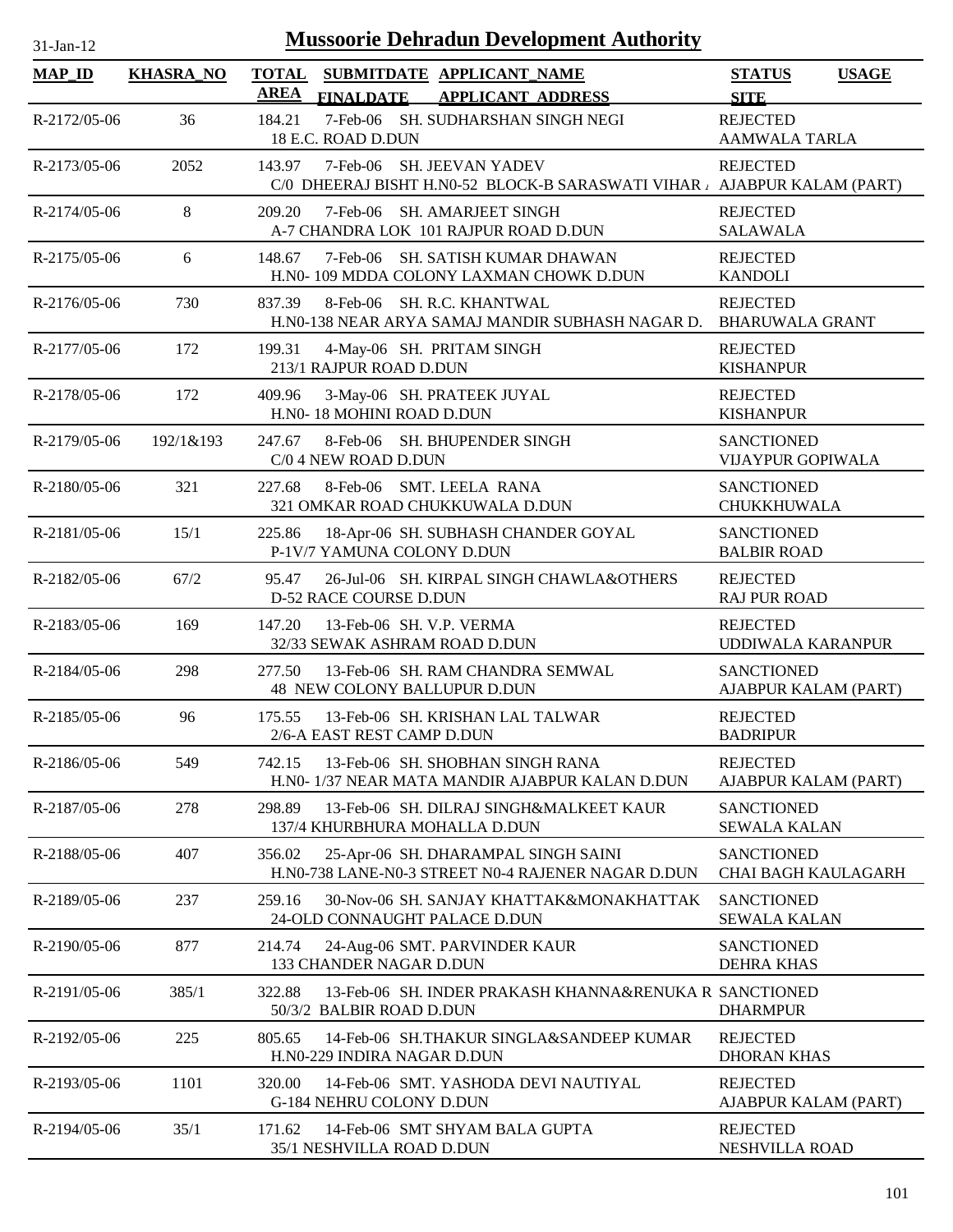| $31-Ian-12$        |                  | <b>Mussoorie Dehradun Development Authority</b>                                                                 |                                                 |
|--------------------|------------------|-----------------------------------------------------------------------------------------------------------------|-------------------------------------------------|
| <b>MAP_ID</b>      | <b>KHASRA_NO</b> | <b>TOTAL</b><br>SUBMITDATE APPLICANT_NAME<br><b>AREA</b><br><b>FINALDATE</b><br><b>APPLICANT ADDRESS</b>        | <b>USAGE</b><br><b>STATUS</b><br><b>SITE</b>    |
| R-2172/05-06       | 36               | 7-Feb-06 SH. SUDHARSHAN SINGH NEGI<br>184.21<br>18 E.C. ROAD D.DUN                                              | <b>REJECTED</b><br>AAMWALA TARLA                |
| R-2173/05-06       | 2052             | 7-Feb-06 SH. JEEVAN YADEV<br>143.97<br>C/0 DHEERAJ BISHT H.N0-52 BLOCK-B SARASWATI VIHAR , AJABPUR KALAM (PART) | <b>REJECTED</b>                                 |
| R-2174/05-06       | 8                | 209.20<br>7-Feb-06 SH. AMARJEET SINGH<br>A-7 CHANDRA LOK 101 RAJPUR ROAD D.DUN                                  | <b>REJECTED</b><br><b>SALAWALA</b>              |
| R-2175/05-06       | 6                | 7-Feb-06 SH. SATISH KUMAR DHAWAN<br>148.67<br>H.N0-109 MDDA COLONY LAXMAN CHOWK D.DUN                           | <b>REJECTED</b><br><b>KANDOLI</b>               |
| R-2176/05-06       | 730              | 8-Feb-06 SH. R.C. KHANTWAL<br>837.39<br>H.NO-138 NEAR ARYA SAMAJ MANDIR SUBHASH NAGAR D.                        | <b>REJECTED</b><br><b>BHARUWALA GRANT</b>       |
| R-2177/05-06       | 172              | 199.31<br>4-May-06 SH. PRITAM SINGH<br>213/1 RAJPUR ROAD D.DUN                                                  | <b>REJECTED</b><br><b>KISHANPUR</b>             |
| R-2178/05-06       | 172              | 409.96<br>3-May-06 SH. PRATEEK JUYAL<br>H.N0-18 MOHINI ROAD D.DUN                                               | <b>REJECTED</b><br><b>KISHANPUR</b>             |
| $R-2179/05-06$     | 192/1&193        | 8-Feb-06 SH. BHUPENDER SINGH<br>247.67<br>C/0 4 NEW ROAD D.DUN                                                  | <b>SANCTIONED</b><br><b>VIJAYPUR GOPIWALA</b>   |
| R-2180/05-06       | 321              | 8-Feb-06 SMT. LEELA RANA<br>227.68<br>321 OMKAR ROAD CHUKKUWALA D.DUN                                           | <b>SANCTIONED</b><br>CHUKKHUWALA                |
| R-2181/05-06       | 15/1             | 225.86<br>18-Apr-06 SH. SUBHASH CHANDER GOYAL<br>P-1V/7 YAMUNA COLONY D.DUN                                     | <b>SANCTIONED</b><br><b>BALBIR ROAD</b>         |
| R-2182/05-06       | 67/2             | 95.47<br>26-Jul-06 SH. KIRPAL SINGH CHAWLA&OTHERS<br>D-52 RACE COURSE D.DUN                                     | <b>REJECTED</b><br><b>RAJ PUR ROAD</b>          |
| R-2183/05-06       | 169              | 13-Feb-06 SH. V.P. VERMA<br>147.20<br>32/33 SEWAK ASHRAM ROAD D.DUN                                             | <b>REJECTED</b><br>UDDIWALA KARANPUR            |
| R-2184/05-06       | 298              | 13-Feb-06 SH. RAM CHANDRA SEMWAL<br>277.50<br>48 NEW COLONY BALLUPUR D.DUN                                      | <b>SANCTIONED</b><br>AJABPUR KALAM (PART)       |
| $R - 2185/05 - 06$ | 96               | 175.55<br>13-Feb-06 SH. KRISHAN LAL TALWAR<br>2/6-A EAST REST CAMP D.DUN                                        | <b>REJECTED</b><br><b>BADRIPUR</b>              |
| R-2186/05-06       | 549              | 13-Feb-06 SH. SHOBHAN SINGH RANA<br>742.15<br>H.N0- 1/37 NEAR MATA MANDIR AJABPUR KALAN D.DUN                   | <b>REJECTED</b><br>AJABPUR KALAM (PART)         |
| R-2187/05-06       | 278              | 298.89<br>13-Feb-06 SH. DILRAJ SINGH&MALKEET KAUR<br>137/4 KHURBHURA MOHALLA D.DUN                              | <b>SANCTIONED</b><br><b>SEWALA KALAN</b>        |
| R-2188/05-06       | 407              | 356.02<br>25-Apr-06 SH. DHARAMPAL SINGH SAINI<br>H.N0-738 LANE-N0-3 STREET N0-4 RAJENER NAGAR D.DUN             | <b>SANCTIONED</b><br><b>CHAI BAGH KAULAGARH</b> |
| R-2189/05-06       | 237              | 259.16<br>30-Nov-06 SH. SANJAY KHATTAK&MONAKHATTAK<br>24-OLD CONNAUGHT PALACE D.DUN                             | <b>SANCTIONED</b><br><b>SEWALA KALAN</b>        |
| R-2190/05-06       | 877              | 214.74<br>24-Aug-06 SMT. PARVINDER KAUR<br>133 CHANDER NAGAR D.DUN                                              | <b>SANCTIONED</b><br><b>DEHRA KHAS</b>          |
| R-2191/05-06       | 385/1            | 13-Feb-06 SH. INDER PRAKASH KHANNA&RENUKA R SANCTIONED<br>322.88<br>50/3/2 BALBIR ROAD D.DUN                    | <b>DHARMPUR</b>                                 |
| R-2192/05-06       | 225              | 805.65<br>14-Feb-06 SH.THAKUR SINGLA&SANDEEP KUMAR<br>H.N0-229 INDIRA NAGAR D.DUN                               | <b>REJECTED</b><br><b>DHORAN KHAS</b>           |
| R-2193/05-06       | 1101             | 320.00<br>14-Feb-06 SMT. YASHODA DEVI NAUTIYAL<br>G-184 NEHRU COLONY D.DUN                                      | <b>REJECTED</b><br>AJABPUR KALAM (PART)         |
| R-2194/05-06       | 35/1             | 14-Feb-06 SMT SHYAM BALA GUPTA<br>171.62<br>35/1 NESHVILLA ROAD D.DUN                                           | <b>REJECTED</b><br>NESHVILLA ROAD               |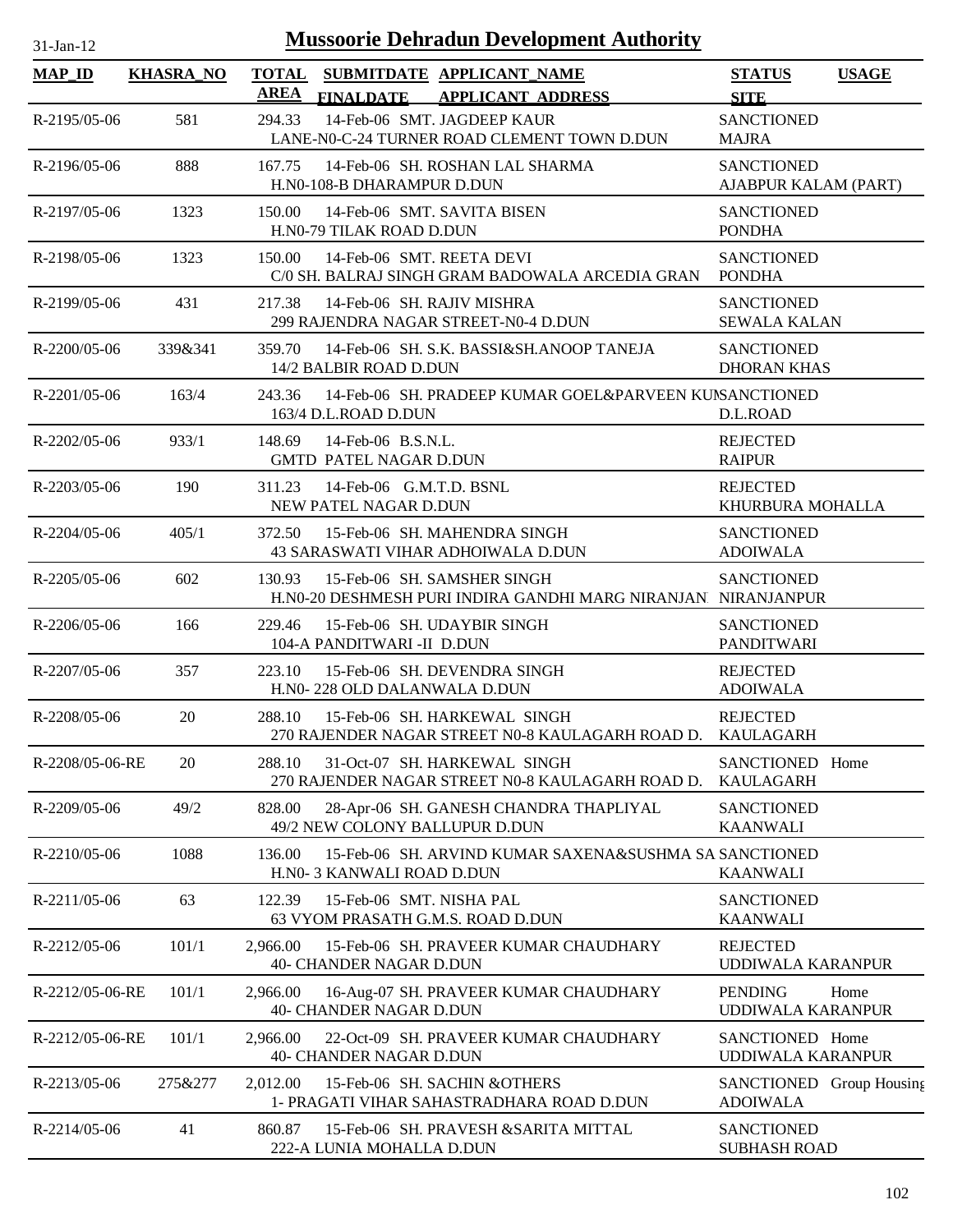| 31-Jan-12          |                  | <b>Mussoorie Dehradun Development Authority</b>                                                         |                                                    |
|--------------------|------------------|---------------------------------------------------------------------------------------------------------|----------------------------------------------------|
| <b>MAP_ID</b>      | <b>KHASRA_NO</b> | <b>TOTAL</b><br>SUBMITDATE APPLICANT NAME<br><b>AREA</b><br>FINALDATE APPLICANT ADDRESS                 | <b>STATUS</b><br><b>USAGE</b><br><b>SITE</b>       |
| R-2195/05-06       | 581              | 14-Feb-06 SMT. JAGDEEP KAUR<br>294.33<br>LANE-N0-C-24 TURNER ROAD CLEMENT TOWN D.DUN                    | <b>SANCTIONED</b><br><b>MAJRA</b>                  |
| R-2196/05-06       | 888              | 167.75<br>14-Feb-06 SH. ROSHAN LAL SHARMA<br>H.NO-108-B DHARAMPUR D.DUN                                 | <b>SANCTIONED</b><br>AJABPUR KALAM (PART)          |
| R-2197/05-06       | 1323             | 150.00<br>14-Feb-06 SMT, SAVITA BISEN<br>H.N0-79 TILAK ROAD D.DUN                                       | <b>SANCTIONED</b><br><b>PONDHA</b>                 |
| R-2198/05-06       | 1323             | 150.00<br>14-Feb-06 SMT. REETA DEVI<br>C/0 SH. BALRAJ SINGH GRAM BADOWALA ARCEDIA GRAN                  | <b>SANCTIONED</b><br><b>PONDHA</b>                 |
| R-2199/05-06       | 431              | 14-Feb-06 SH. RAJIV MISHRA<br>217.38<br>299 RAJENDRA NAGAR STREET-N0-4 D.DUN                            | <b>SANCTIONED</b><br><b>SEWALA KALAN</b>           |
| $R - 2200/05 - 06$ | 339&341          | 14-Feb-06 SH. S.K. BASSI&SH.ANOOP TANEJA<br>359.70<br>14/2 BALBIR ROAD D.DUN                            | <b>SANCTIONED</b><br><b>DHORAN KHAS</b>            |
| $R-2201/05-06$     | 163/4            | 243.36<br>14-Feb-06 SH, PRADEEP KUMAR GOEL&PARVEEN KUNSANCTIONED<br>163/4 D.L.ROAD D.DUN                | D.L.ROAD                                           |
| $R - 2202/05 - 06$ | 933/1            | 148.69<br>14-Feb-06 B.S.N.L.<br><b>GMTD PATEL NAGAR D.DUN</b>                                           | <b>REJECTED</b><br><b>RAIPUR</b>                   |
| $R - 2203/05 - 06$ | 190              | 14-Feb-06 G.M.T.D. BSNL<br>311.23<br>NEW PATEL NAGAR D.DUN                                              | <b>REJECTED</b><br>KHURBURA MOHALLA                |
| $R-2204/05-06$     | 405/1            | 372.50<br>15-Feb-06 SH. MAHENDRA SINGH<br>43 SARASWATI VIHAR ADHOIWALA D.DUN                            | <b>SANCTIONED</b><br><b>ADOIWALA</b>               |
| $R - 2205/05 - 06$ | 602              | 130.93<br>15-Feb-06 SH, SAMSHER SINGH<br>H.NO-20 DESHMESH PURI INDIRA GANDHI MARG NIRANJAN. NIRANJANPUR | <b>SANCTIONED</b>                                  |
| $R-2206/05-06$     | 166              | 15-Feb-06 SH. UDAYBIR SINGH<br>229.46<br>104-A PANDITWARI -II D.DUN                                     | <b>SANCTIONED</b><br><b>PANDITWARI</b>             |
| R-2207/05-06       | 357              | 223.10<br>15-Feb-06 SH. DEVENDRA SINGH<br>H.N0-228 OLD DALANWALA D.DUN                                  | <b>REJECTED</b><br><b>ADOIWALA</b>                 |
| R-2208/05-06       | 20               | 288.10<br>15-Feb-06 SH. HARKEWAL SINGH<br>270 RAJENDER NAGAR STREET N0-8 KAULAGARH ROAD D.              | <b>REJECTED</b><br>KAULAGARH                       |
| R-2208/05-06-RE    | 20               | 288.10<br>31-Oct-07 SH. HARKEWAL SINGH<br>270 RAJENDER NAGAR STREET N0-8 KAULAGARH ROAD D.              | SANCTIONED Home<br><b>KAULAGARH</b>                |
| R-2209/05-06       | 49/2             | 828.00<br>28-Apr-06 SH. GANESH CHANDRA THAPLIYAL<br>49/2 NEW COLONY BALLUPUR D.DUN                      | <b>SANCTIONED</b><br><b>KAANWALI</b>               |
| R-2210/05-06       | 1088             | 15-Feb-06 SH. ARVIND KUMAR SAXENA&SUSHMA SA SANCTIONED<br>136.00<br>H.N0-3 KANWALI ROAD D.DUN           | <b>KAANWALI</b>                                    |
| $R-2211/05-06$     | 63               | 15-Feb-06 SMT. NISHA PAL<br>122.39<br>63 VYOM PRASATH G.M.S. ROAD D.DUN                                 | <b>SANCTIONED</b><br><b>KAANWALI</b>               |
| R-2212/05-06       | 101/1            | 2,966.00<br>15-Feb-06 SH. PRAVEER KUMAR CHAUDHARY<br>40- CHANDER NAGAR D.DUN                            | <b>REJECTED</b><br>UDDIWALA KARANPUR               |
| R-2212/05-06-RE    | 101/1            | 2,966.00<br>16-Aug-07 SH. PRAVEER KUMAR CHAUDHARY<br><b>40- CHANDER NAGAR D.DUN</b>                     | <b>PENDING</b><br>Home<br><b>UDDIWALA KARANPUR</b> |
| R-2212/05-06-RE    | 101/1            | 22-Oct-09 SH. PRAVEER KUMAR CHAUDHARY<br>2,966.00<br>40- CHANDER NAGAR D.DUN                            | SANCTIONED Home<br>UDDIWALA KARANPUR               |
| R-2213/05-06       | 275&277          | 2,012.00<br>15-Feb-06 SH. SACHIN & OTHERS<br>1- PRAGATI VIHAR SAHASTRADHARA ROAD D.DUN                  | SANCTIONED Group Housing<br><b>ADOIWALA</b>        |
| R-2214/05-06       | 41               | 860.87<br>15-Feb-06 SH. PRAVESH & SARITA MITTAL<br>222-A LUNIA MOHALLA D.DUN                            | <b>SANCTIONED</b><br><b>SUBHASH ROAD</b>           |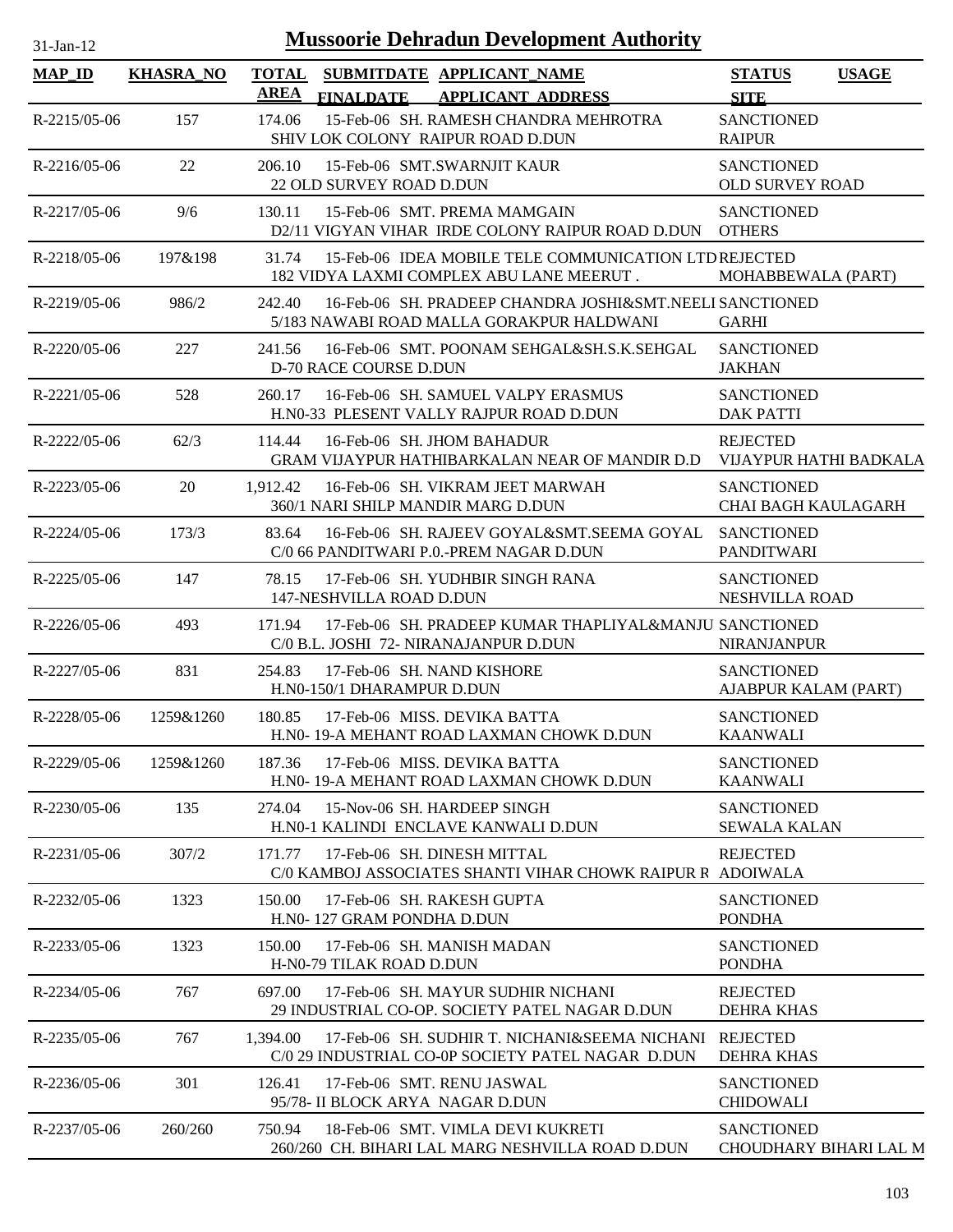| $31$ -Jan-12       |                  |             | <b>Mussoorie Dehradun Development Authority</b>                                                             |                                                 |              |
|--------------------|------------------|-------------|-------------------------------------------------------------------------------------------------------------|-------------------------------------------------|--------------|
| <b>MAP_ID</b>      | <b>KHASRA_NO</b> | <b>AREA</b> | TOTAL SUBMITDATE APPLICANT_NAME<br><b>FINALDATE</b><br><b>APPLICANT ADDRESS</b>                             | <b>STATUS</b><br><b>SITE</b>                    | <b>USAGE</b> |
| $R-2215/05-06$     | 157              | 174.06      | 15-Feb-06 SH. RAMESH CHANDRA MEHROTRA<br>SHIV LOK COLONY RAIPUR ROAD D.DUN                                  | <b>SANCTIONED</b><br><b>RAIPUR</b>              |              |
| $R-2216/05-06$     | 22               | 206.10      | 15-Feb-06 SMT.SWARNJIT KAUR<br>22 OLD SURVEY ROAD D.DUN                                                     | <b>SANCTIONED</b><br><b>OLD SURVEY ROAD</b>     |              |
| R-2217/05-06       | 9/6              | 130.11      | 15-Feb-06 SMT, PREMA MAMGAIN<br>D2/11 VIGYAN VIHAR IRDE COLONY RAIPUR ROAD D.DUN OTHERS                     | <b>SANCTIONED</b>                               |              |
| R-2218/05-06       | 197&198          | 31.74       | 15-Feb-06 IDEA MOBILE TELE COMMUNICATION LTD REJECTED<br>182 VIDYA LAXMI COMPLEX ABU LANE MEERUT.           | MOHABBEWALA (PART)                              |              |
| R-2219/05-06       | 986/2            | 242.40      | 16-Feb-06 SH. PRADEEP CHANDRA JOSHI&SMT.NEELI SANCTIONED<br>5/183 NAWABI ROAD MALLA GORAKPUR HALDWANI       | <b>GARHI</b>                                    |              |
| R-2220/05-06       | 227              | 241.56      | 16-Feb-06 SMT. POONAM SEHGAL&SH.S.K.SEHGAL<br>D-70 RACE COURSE D.DUN                                        | <b>SANCTIONED</b><br><b>JAKHAN</b>              |              |
| R-2221/05-06       | 528              | 260.17      | 16-Feb-06 SH. SAMUEL VALPY ERASMUS<br>H.NO-33 PLESENT VALLY RAJPUR ROAD D.DUN                               | <b>SANCTIONED</b><br><b>DAK PATTI</b>           |              |
| R-2222/05-06       | 62/3             | 114.44      | 16-Feb-06 SH. JHOM BAHADUR<br>GRAM VIJAYPUR HATHIBARKALAN NEAR OF MANDIR D.D                                | <b>REJECTED</b><br>VIJAYPUR HATHI BADKALA       |              |
| R-2223/05-06       | 20               |             | 1,912.42 16-Feb-06 SH. VIKRAM JEET MARWAH<br>360/1 NARI SHILP MANDIR MARG D.DUN                             | <b>SANCTIONED</b><br><b>CHAI BAGH KAULAGARH</b> |              |
| R-2224/05-06       | 173/3            | 83.64       | 16-Feb-06 SH. RAJEEV GOYAL&SMT.SEEMA GOYAL SANCTIONED<br>C/0 66 PANDITWARI P.0.-PREM NAGAR D.DUN            | <b>PANDITWARI</b>                               |              |
| $R - 2225/05 - 06$ | 147              | 78.15       | 17-Feb-06 SH. YUDHBIR SINGH RANA<br>147-NESHVILLA ROAD D.DUN                                                | <b>SANCTIONED</b><br>NESHVILLA ROAD             |              |
| $R - 2226/05 - 06$ | 493              | 171.94      | 17-Feb-06 SH. PRADEEP KUMAR THAPLIYAL&MANJU SANCTIONED<br>C/0 B.L. JOSHI 72- NIRANAJANPUR D.DUN             | <b>NIRANJANPUR</b>                              |              |
| $R - 2227/05 - 06$ | 831              | 254.83      | 17-Feb-06 SH, NAND KISHORE<br>H.N0-150/1 DHARAMPUR D.DUN                                                    | <b>SANCTIONED</b><br>AJABPUR KALAM (PART)       |              |
| R-2228/05-06       | 1259&1260        | 180.85      | 17-Feb-06 MISS, DEVIKA BATTA<br>H.NO-19-A MEHANT ROAD LAXMAN CHOWK D.DUN                                    | <b>SANCTIONED</b><br><b>KAANWALI</b>            |              |
| R-2229/05-06       | 1259&1260        | 187.36      | 17-Feb-06 MISS, DEVIKA BATTA<br>H.NO-19-A MEHANT ROAD LAXMAN CHOWK D.DUN                                    | <b>SANCTIONED</b><br><b>KAANWALI</b>            |              |
| R-2230/05-06       | 135              | 274.04      | 15-Nov-06 SH. HARDEEP SINGH<br>H.N0-1 KALINDI ENCLAVE KANWALI D.DUN                                         | <b>SANCTIONED</b><br><b>SEWALA KALAN</b>        |              |
| R-2231/05-06       | 307/2            | 171.77      | 17-Feb-06 SH. DINESH MITTAL<br>C/0 KAMBOJ ASSOCIATES SHANTI VIHAR CHOWK RAIPUR R ADOIWALA                   | <b>REJECTED</b>                                 |              |
| R-2232/05-06       | 1323             | 150.00      | 17-Feb-06 SH. RAKESH GUPTA<br>H.NO-127 GRAM PONDHA D.DUN                                                    | <b>SANCTIONED</b><br><b>PONDHA</b>              |              |
| R-2233/05-06       | 1323             | 150.00      | 17-Feb-06 SH, MANISH MADAN<br>H-N0-79 TILAK ROAD D.DUN                                                      | <b>SANCTIONED</b><br><b>PONDHA</b>              |              |
| R-2234/05-06       | 767              | 697.00      | 17-Feb-06 SH. MAYUR SUDHIR NICHANI<br>29 INDUSTRIAL CO-OP. SOCIETY PATEL NAGAR D.DUN                        | <b>REJECTED</b><br><b>DEHRA KHAS</b>            |              |
| R-2235/05-06       | 767              | 1,394.00    | 17-Feb-06 SH. SUDHIR T. NICHANI&SEEMA NICHANI REJECTED<br>C/0 29 INDUSTRIAL CO-0P SOCIETY PATEL NAGAR D.DUN | DEHRA KHAS                                      |              |
| R-2236/05-06       | 301              | 126.41      | 17-Feb-06 SMT. RENU JASWAL<br>95/78- II BLOCK ARYA NAGAR D.DUN                                              | <b>SANCTIONED</b><br><b>CHIDOWALI</b>           |              |
| R-2237/05-06       | 260/260          | 750.94      | 18-Feb-06 SMT. VIMLA DEVI KUKRETI<br>260/260 CH. BIHARI LAL MARG NESHVILLA ROAD D.DUN                       | <b>SANCTIONED</b><br>CHOUDHARY BIHARI LAL M     |              |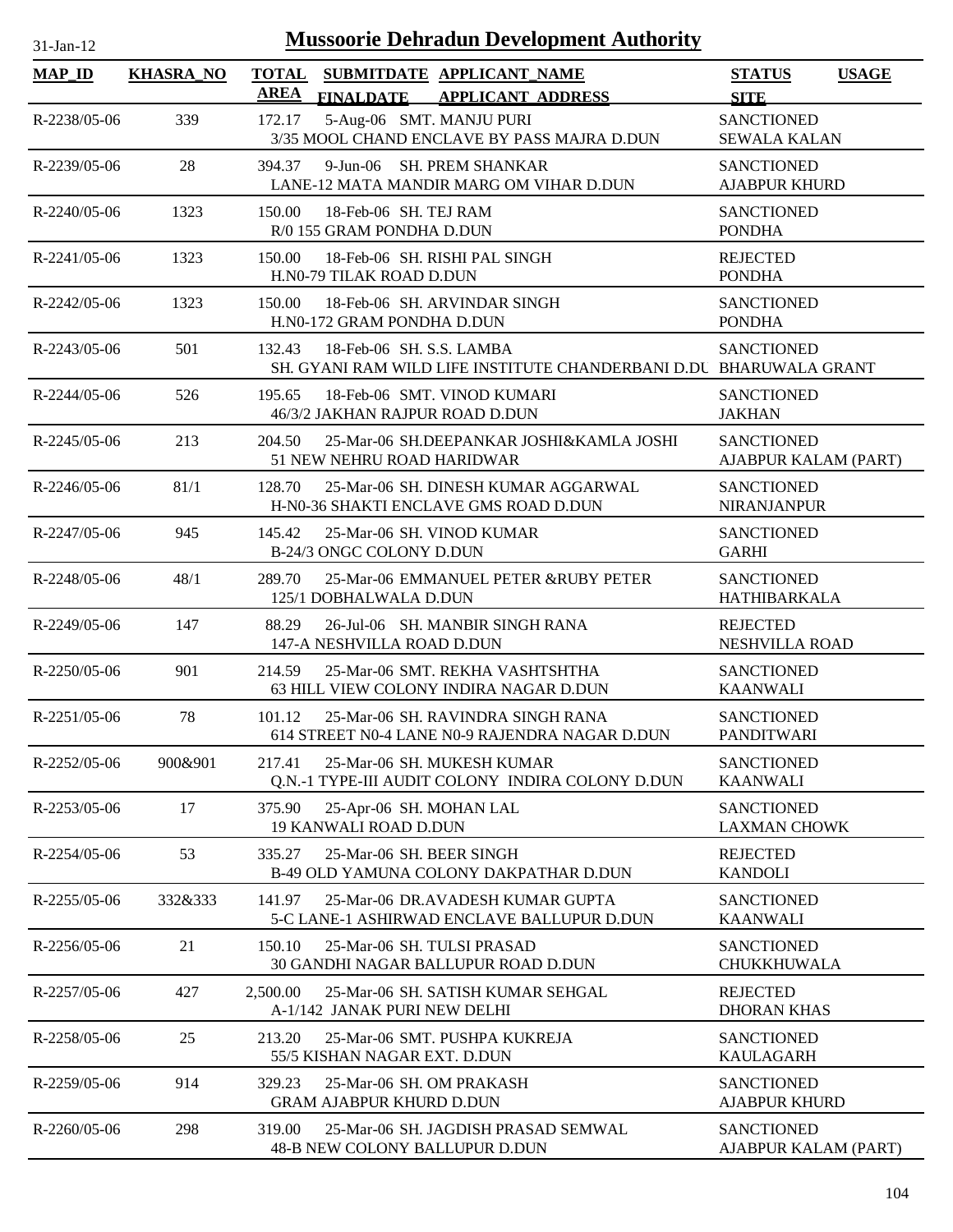| <b>Mussoorie Dehradun Development Authority</b><br>$31-Jan-12$ |                  |                             |                                                                                                |                                           |              |  |  |
|----------------------------------------------------------------|------------------|-----------------------------|------------------------------------------------------------------------------------------------|-------------------------------------------|--------------|--|--|
| <b>MAP_ID</b>                                                  | <b>KHASRA_NO</b> | <b>TOTAL</b><br><b>AREA</b> | SUBMITDATE APPLICANT_NAME<br><b>FINALDATE</b><br><b>APPLICANT ADDRESS</b>                      | <b>STATUS</b><br><b>SITE</b>              | <b>USAGE</b> |  |  |
| R-2238/05-06                                                   | 339              | 172.17                      | 5-Aug-06 SMT. MANJU PURI<br>3/35 MOOL CHAND ENCLAVE BY PASS MAJRA D.DUN                        | <b>SANCTIONED</b><br><b>SEWALA KALAN</b>  |              |  |  |
| R-2239/05-06                                                   | 28               | 394.37                      | 9-Jun-06 SH. PREM SHANKAR<br>LANE-12 MATA MANDIR MARG OM VIHAR D.DUN                           | <b>SANCTIONED</b><br><b>AJABPUR KHURD</b> |              |  |  |
| R-2240/05-06                                                   | 1323             | 150.00                      | 18-Feb-06 SH. TEJ RAM<br>R/0 155 GRAM PONDHA D.DUN                                             | <b>SANCTIONED</b><br><b>PONDHA</b>        |              |  |  |
| $R-2241/05-06$                                                 | 1323             | 150.00                      | 18-Feb-06 SH. RISHI PAL SINGH<br>H.N0-79 TILAK ROAD D.DUN                                      | <b>REJECTED</b><br><b>PONDHA</b>          |              |  |  |
| R-2242/05-06                                                   | 1323             | 150.00                      | 18-Feb-06 SH. ARVINDAR SINGH<br>H.N0-172 GRAM PONDHA D.DUN                                     | <b>SANCTIONED</b><br><b>PONDHA</b>        |              |  |  |
| R-2243/05-06                                                   | 501              | 132.43                      | 18-Feb-06 SH. S.S. LAMBA<br>SH. GYANI RAM WILD LIFE INSTITUTE CHANDERBANI D.DU BHARUWALA GRANT | <b>SANCTIONED</b>                         |              |  |  |
| $R - 2244/05 - 06$                                             | 526              | 195.65                      | 18-Feb-06 SMT, VINOD KUMARI<br>46/3/2 JAKHAN RAJPUR ROAD D.DUN                                 | <b>SANCTIONED</b><br><b>JAKHAN</b>        |              |  |  |
| R-2245/05-06                                                   | 213              | 204.50                      | 25-Mar-06 SH.DEEPANKAR JOSHI&KAMLA JOSHI<br>51 NEW NEHRU ROAD HARIDWAR                         | <b>SANCTIONED</b><br>AJABPUR KALAM (PART) |              |  |  |
| $R-2246/05-06$                                                 | 81/1             | 128.70                      | 25-Mar-06 SH. DINESH KUMAR AGGARWAL<br>H-N0-36 SHAKTI ENCLAVE GMS ROAD D.DUN                   | <b>SANCTIONED</b><br><b>NIRANJANPUR</b>   |              |  |  |
| R-2247/05-06                                                   | 945              | 145.42                      | 25-Mar-06 SH. VINOD KUMAR<br>B-24/3 ONGC COLONY D.DUN                                          | <b>SANCTIONED</b><br><b>GARHI</b>         |              |  |  |
| R-2248/05-06                                                   | 48/1             | 289.70                      | 25-Mar-06 EMMANUEL PETER &RUBY PETER<br>125/1 DOBHALWALA D.DUN                                 | <b>SANCTIONED</b><br>HATHIBARKALA         |              |  |  |
| R-2249/05-06                                                   | 147              | 88.29                       | 26-Jul-06 SH. MANBIR SINGH RANA<br>147-A NESHVILLA ROAD D.DUN                                  | <b>REJECTED</b><br>NESHVILLA ROAD         |              |  |  |
| $R - 2250/05 - 06$                                             | 901              | 214.59                      | 25-Mar-06 SMT. REKHA VASHTSHTHA<br>63 HILL VIEW COLONY INDIRA NAGAR D.DUN                      | <b>SANCTIONED</b><br><b>KAANWALI</b>      |              |  |  |
| $R-2251/05-06$                                                 | 78               | 101.12                      | 25-Mar-06 SH. RAVINDRA SINGH RANA<br>614 STREET N0-4 LANE N0-9 RAJENDRA NAGAR D.DUN            | <b>SANCTIONED</b><br><b>PANDITWARI</b>    |              |  |  |
| R-2252/05-06                                                   | 900&901          | 217.41                      | 25-Mar-06 SH. MUKESH KUMAR<br>Q.N.-1 TYPE-III AUDIT COLONY INDIRA COLONY D.DUN                 | <b>SANCTIONED</b><br><b>KAANWALI</b>      |              |  |  |
| R-2253/05-06                                                   | 17               | 375.90                      | 25-Apr-06 SH. MOHAN LAL<br><b>19 KANWALI ROAD D.DUN</b>                                        | <b>SANCTIONED</b><br><b>LAXMAN CHOWK</b>  |              |  |  |
| R-2254/05-06                                                   | 53               | 335.27                      | 25-Mar-06 SH. BEER SINGH<br>B-49 OLD YAMUNA COLONY DAKPATHAR D.DUN                             | <b>REJECTED</b><br><b>KANDOLI</b>         |              |  |  |
| R-2255/05-06                                                   | 332&333          | 141.97                      | 25-Mar-06 DR.AVADESH KUMAR GUPTA<br>5-C LANE-1 ASHIRWAD ENCLAVE BALLUPUR D.DUN                 | <b>SANCTIONED</b><br><b>KAANWALI</b>      |              |  |  |
| R-2256/05-06                                                   | 21               | 150.10                      | 25-Mar-06 SH. TULSI PRASAD<br><b>30 GANDHI NAGAR BALLUPUR ROAD D.DUN</b>                       | <b>SANCTIONED</b><br>CHUKKHUWALA          |              |  |  |
| R-2257/05-06                                                   | 427              | 2,500.00                    | 25-Mar-06 SH. SATISH KUMAR SEHGAL<br>A-1/142 JANAK PURI NEW DELHI                              | <b>REJECTED</b><br><b>DHORAN KHAS</b>     |              |  |  |
| R-2258/05-06                                                   | 25               | 213.20                      | 25-Mar-06 SMT. PUSHPA KUKREJA<br>55/5 KISHAN NAGAR EXT. D.DUN                                  | <b>SANCTIONED</b><br><b>KAULAGARH</b>     |              |  |  |
| R-2259/05-06                                                   | 914              | 329.23                      | 25-Mar-06 SH. OM PRAKASH<br><b>GRAM AJABPUR KHURD D.DUN</b>                                    | <b>SANCTIONED</b><br><b>AJABPUR KHURD</b> |              |  |  |
| $R-2260/05-06$                                                 | 298              | 319.00                      | 25-Mar-06 SH. JAGDISH PRASAD SEMWAL<br>48-B NEW COLONY BALLUPUR D.DUN                          | <b>SANCTIONED</b><br>AJABPUR KALAM (PART) |              |  |  |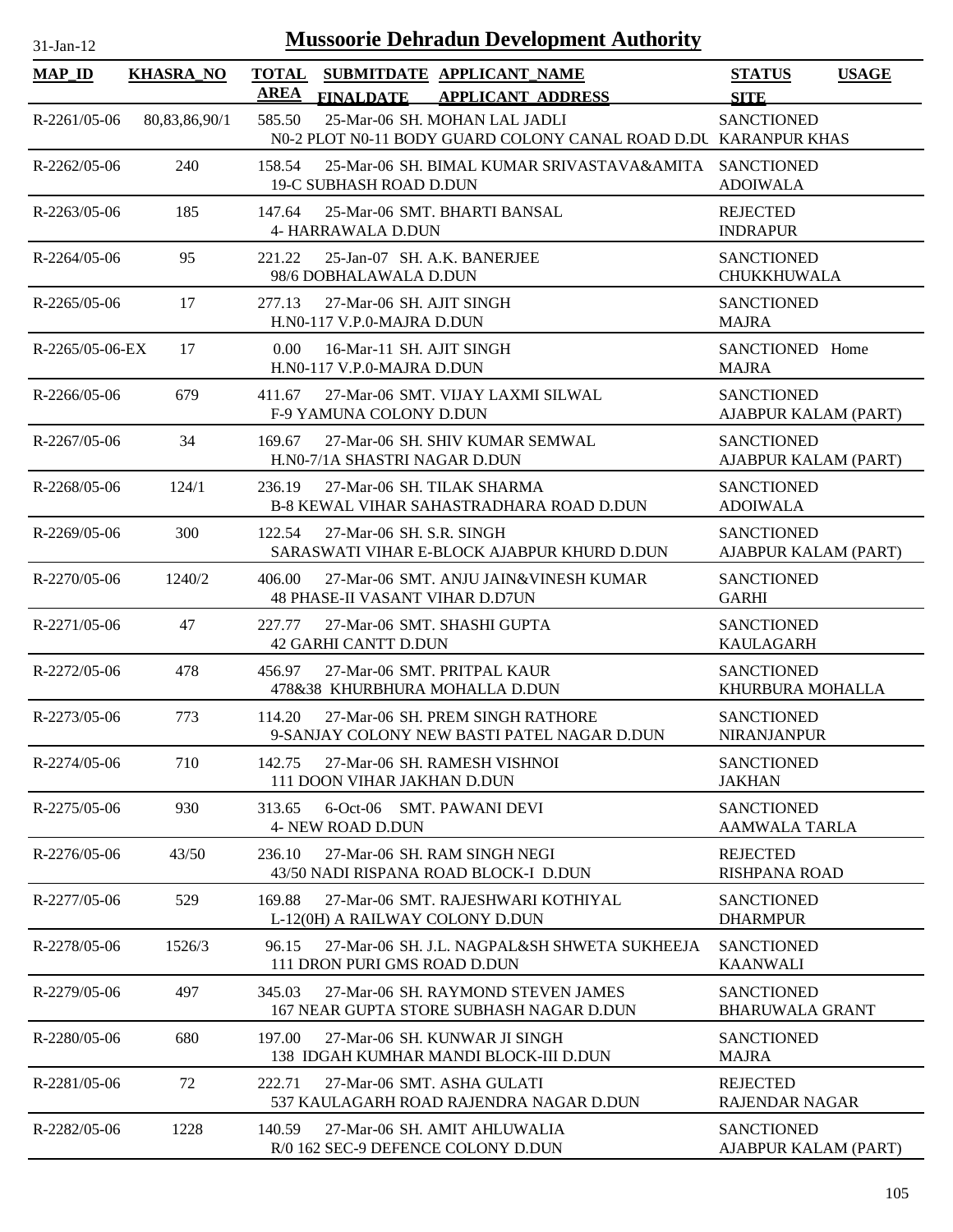| <b>MAP ID</b>      | <b>KHASRA_NO</b> | <b>TOTAL</b><br><b>AREA</b> | <b>FINALDATE</b>                                       | SUBMITDATE APPLICANT NAME<br><b>APPLICANT ADDRESS</b>                                            | <b>STATUS</b><br><b>SITE</b>                | <b>USAGE</b> |
|--------------------|------------------|-----------------------------|--------------------------------------------------------|--------------------------------------------------------------------------------------------------|---------------------------------------------|--------------|
| $R-2261/05-06$     | 80,83,86,90/1    | 585.50                      |                                                        | 25-Mar-06 SH. MOHAN LAL JADLI<br>N0-2 PLOT N0-11 BODY GUARD COLONY CANAL ROAD D.DU KARANPUR KHAS | <b>SANCTIONED</b>                           |              |
| $R-2262/05-06$     | 240              | 158.54                      | 19-C SUBHASH ROAD D.DUN                                | 25-Mar-06 SH. BIMAL KUMAR SRIVASTAVA&AMITA SANCTIONED                                            | <b>ADOIWALA</b>                             |              |
| $R - 2263/05 - 06$ | 185              | 147.64                      | <b>4- HARRAWALA D.DUN</b>                              | 25-Mar-06 SMT. BHARTI BANSAL                                                                     | <b>REJECTED</b><br><b>INDRAPUR</b>          |              |
| $R - 2264/05 - 06$ | 95               | 221.22                      | 98/6 DOBHALAWALA D.DUN                                 | 25-Jan-07 SH. A.K. BANERJEE                                                                      | <b>SANCTIONED</b><br><b>CHUKKHUWALA</b>     |              |
| $R - 2265/05 - 06$ | 17               | 277.13                      | 27-Mar-06 SH, AJIT SINGH<br>H.N0-117 V.P.0-MAJRA D.DUN |                                                                                                  | <b>SANCTIONED</b><br><b>MAJRA</b>           |              |
| $R-2265/05-06-EX$  | 17               | 0.00                        | 16-Mar-11 SH. AJIT SINGH<br>H.N0-117 V.P.0-MAJRA D.DUN |                                                                                                  | SANCTIONED Home<br><b>MAJRA</b>             |              |
| $R - 2266/05 - 06$ | 679              | 411.67                      | F-9 YAMUNA COLONY D.DUN                                | 27-Mar-06 SMT. VIJAY LAXMI SILWAL                                                                | <b>SANCTIONED</b><br>AJABPUR KALAM (PART)   |              |
| R-2267/05-06       | 34               | 169.67                      | H.NO-7/1A SHASTRI NAGAR D.DUN                          | 27-Mar-06 SH. SHIV KUMAR SEMWAL                                                                  | <b>SANCTIONED</b><br>AJABPUR KALAM (PART)   |              |
| $R-2268/05-06$     | 124/1            | 236.19                      |                                                        | 27-Mar-06 SH, TILAK SHARMA<br><b>B-8 KEWAL VIHAR SAHASTRADHARA ROAD D.DUN</b>                    | <b>SANCTIONED</b><br><b>ADOIWALA</b>        |              |
| R-2269/05-06       | 300              | 122.54                      | 27-Mar-06 SH, S.R. SINGH                               | SARASWATI VIHAR E-BLOCK AJABPUR KHURD D.DUN                                                      | <b>SANCTIONED</b><br>AJABPUR KALAM (PART)   |              |
| $R-2270/05-06$     | 1240/2           | 406.00                      | <b>48 PHASE-II VASANT VIHAR D.D7UN</b>                 | 27-Mar-06 SMT. ANJU JAIN&VINESH KUMAR                                                            | <b>SANCTIONED</b><br><b>GARHI</b>           |              |
| $R-2271/05-06$     | 47               | 227.77                      | <b>42 GARHI CANTT D.DUN</b>                            | 27-Mar-06 SMT. SHASHI GUPTA                                                                      | <b>SANCTIONED</b><br><b>KAULAGARH</b>       |              |
| R-2272/05-06       | 478              | 456.97                      |                                                        | 27-Mar-06 SMT. PRITPAL KAUR<br>478&38 KHURBHURA MOHALLA D.DUN                                    | <b>SANCTIONED</b><br>KHURBURA MOHALLA       |              |
| R-2273/05-06       | 773              | 114.20                      |                                                        | 27-Mar-06 SH, PREM SINGH RATHORE<br>9-SANJAY COLONY NEW BASTI PATEL NAGAR D.DUN                  | <b>SANCTIONED</b><br><b>NIRANJANPUR</b>     |              |
| R-2274/05-06       | 710              | 142.75                      | 111 DOON VIHAR JAKHAN D.DUN                            | 27-Mar-06 SH. RAMESH VISHNOI                                                                     | <b>SANCTIONED</b><br><b>JAKHAN</b>          |              |
| R-2275/05-06       | 930              | 313.65                      | <b>4- NEW ROAD D.DUN</b>                               | 6-Oct-06 SMT. PAWANI DEVI                                                                        | <b>SANCTIONED</b><br><b>AAMWALA TARLA</b>   |              |
| R-2276/05-06       | 43/50            | 236.10                      |                                                        | 27-Mar-06 SH. RAM SINGH NEGI<br>43/50 NADI RISPANA ROAD BLOCK-I D.DUN                            | <b>REJECTED</b><br><b>RISHPANA ROAD</b>     |              |
| R-2277/05-06       | 529              | 169.88                      | L-12(0H) A RAILWAY COLONY D.DUN                        | 27-Mar-06 SMT. RAJESHWARI KOTHIYAL                                                               | <b>SANCTIONED</b><br><b>DHARMPUR</b>        |              |
| R-2278/05-06       | 1526/3           | 96.15                       | 111 DRON PURI GMS ROAD D.DUN                           | 27-Mar-06 SH, J.L. NAGPAL&SH SHWETA SUKHEEJA                                                     | <b>SANCTIONED</b><br><b>KAANWALI</b>        |              |
| R-2279/05-06       | 497              | 345.03                      |                                                        | 27-Mar-06 SH. RAYMOND STEVEN JAMES<br>167 NEAR GUPTA STORE SUBHASH NAGAR D.DUN                   | <b>SANCTIONED</b><br><b>BHARUWALA GRANT</b> |              |
| $R-2280/05-06$     | 680              | 197.00                      |                                                        | 27-Mar-06 SH. KUNWAR JI SINGH<br>138 IDGAH KUMHAR MANDI BLOCK-III D.DUN                          | <b>SANCTIONED</b><br><b>MAJRA</b>           |              |
| R-2281/05-06       | 72               | 222.71                      |                                                        | 27-Mar-06 SMT. ASHA GULATI<br>537 KAULAGARH ROAD RAJENDRA NAGAR D.DUN                            | <b>REJECTED</b><br><b>RAJENDAR NAGAR</b>    |              |
| R-2282/05-06       | 1228             | 140.59                      |                                                        | 27-Mar-06 SH. AMIT AHLUWALIA<br>R/0 162 SEC-9 DEFENCE COLONY D.DUN                               | <b>SANCTIONED</b><br>AJABPUR KALAM (PART)   |              |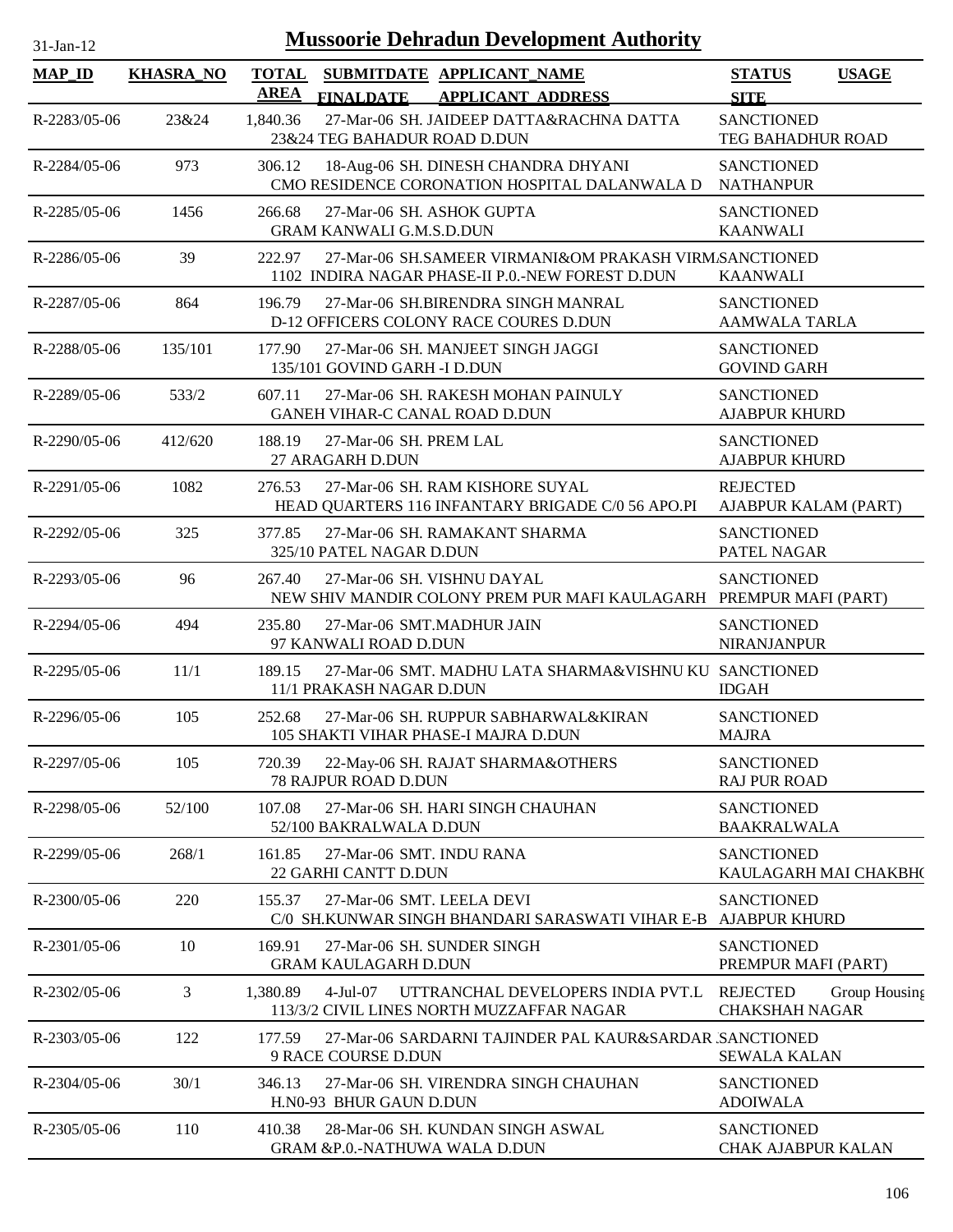| $31$ -Jan-12       |                  | <b>Mussoorie Dehradun Development Authority</b>                                                                      |                                                           |
|--------------------|------------------|----------------------------------------------------------------------------------------------------------------------|-----------------------------------------------------------|
| <b>MAP_ID</b>      | <b>KHASRA_NO</b> | <b>TOTAL</b><br>SUBMITDATE APPLICANT NAME<br><b>AREA</b><br><b>FINALDATE</b><br><b>APPLICANT ADDRESS</b>             | <b>USAGE</b><br><b>STATUS</b><br><b>SITE</b>              |
| R-2283/05-06       | 23&24            | 27-Mar-06 SH. JAIDEEP DATTA&RACHNA DATTA<br>1,840.36<br>23&24 TEG BAHADUR ROAD D.DUN                                 | <b>SANCTIONED</b><br>TEG BAHADHUR ROAD                    |
| R-2284/05-06       | 973              | 306.12<br>18-Aug-06 SH. DINESH CHANDRA DHYANI<br>CMO RESIDENCE CORONATION HOSPITAL DALANWALA D                       | <b>SANCTIONED</b><br><b>NATHANPUR</b>                     |
| R-2285/05-06       | 1456             | 266.68<br>27-Mar-06 SH. ASHOK GUPTA<br><b>GRAM KANWALI G.M.S.D.DUN</b>                                               | <b>SANCTIONED</b><br><b>KAANWALI</b>                      |
| $R - 2286/05 - 06$ | 39               | 27-Mar-06 SH.SAMEER VIRMANI&OM PRAKASH VIRM.SANCTIONED<br>222.97<br>1102 INDIRA NAGAR PHASE-II P.O.-NEW FOREST D.DUN | <b>KAANWALI</b>                                           |
| R-2287/05-06       | 864              | 27-Mar-06 SH.BIRENDRA SINGH MANRAL<br>196.79<br>D-12 OFFICERS COLONY RACE COURES D.DUN                               | <b>SANCTIONED</b><br><b>AAMWALA TARLA</b>                 |
| R-2288/05-06       | 135/101          | 27-Mar-06 SH. MANJEET SINGH JAGGI<br>177.90<br>135/101 GOVIND GARH -I D.DUN                                          | <b>SANCTIONED</b><br><b>GOVIND GARH</b>                   |
| R-2289/05-06       | 533/2            | 607.11<br>27-Mar-06 SH. RAKESH MOHAN PAINULY<br>GANEH VIHAR-C CANAL ROAD D.DUN                                       | <b>SANCTIONED</b><br><b>AJABPUR KHURD</b>                 |
| R-2290/05-06       | 412/620          | 188.19<br>27-Mar-06 SH. PREM LAL<br>27 ARAGARH D.DUN                                                                 | <b>SANCTIONED</b><br><b>AJABPUR KHURD</b>                 |
| R-2291/05-06       | 1082             | 276.53<br>27-Mar-06 SH. RAM KISHORE SUYAL<br>HEAD QUARTERS 116 INFANTARY BRIGADE C/0 56 APO.PI                       | <b>REJECTED</b><br>AJABPUR KALAM (PART)                   |
| R-2292/05-06       | 325              | 27-Mar-06 SH. RAMAKANT SHARMA<br>377.85<br>325/10 PATEL NAGAR D.DUN                                                  | <b>SANCTIONED</b><br>PATEL NAGAR                          |
| R-2293/05-06       | 96               | 27-Mar-06 SH. VISHNU DAYAL<br>267.40<br>NEW SHIV MANDIR COLONY PREM PUR MAFI KAULAGARH PREMPUR MAFI (PART)           | <b>SANCTIONED</b>                                         |
| R-2294/05-06       | 494              | 27-Mar-06 SMT.MADHUR JAIN<br>235.80<br>97 KANWALI ROAD D.DUN                                                         | <b>SANCTIONED</b><br><b>NIRANJANPUR</b>                   |
| R-2295/05-06       | 11/1             | 189.15<br>27-Mar-06 SMT. MADHU LATA SHARMA&VISHNU KU SANCTIONED<br>11/1 PRAKASH NAGAR D.DUN                          | <b>IDGAH</b>                                              |
| $R-2296/05-06$     | 105              | 252.68<br>27-Mar-06 SH. RUPPUR SABHARWAL&KIRAN<br>105 SHAKTI VIHAR PHASE-I MAJRA D.DUN                               | <b>SANCTIONED</b><br><b>MAJRA</b>                         |
| R-2297/05-06       | 105              | 720.39<br>22-May-06 SH. RAJAT SHARMA&OTHERS<br>78 RAJPUR ROAD D.DUN                                                  | <b>SANCTIONED</b><br><b>RAJ PUR ROAD</b>                  |
| R-2298/05-06       | 52/100           | 107.08<br>27-Mar-06 SH. HARI SINGH CHAUHAN<br>52/100 BAKRALWALA D.DUN                                                | <b>SANCTIONED</b><br><b>BAAKRALWALA</b>                   |
| R-2299/05-06       | 268/1            | 161.85<br>27-Mar-06 SMT. INDU RANA<br>22 GARHI CANTT D.DUN                                                           | <b>SANCTIONED</b><br>KAULAGARH MAI CHAKBH(                |
| R-2300/05-06       | 220              | 155.37<br>27-Mar-06 SMT, LEELA DEVI<br>C/0 SH.KUNWAR SINGH BHANDARI SARASWATI VIHAR E-B                              | <b>SANCTIONED</b><br><b>AJABPUR KHURD</b>                 |
| R-2301/05-06       | 10               | 169.91<br>27-Mar-06 SH. SUNDER SINGH<br><b>GRAM KAULAGARH D.DUN</b>                                                  | <b>SANCTIONED</b><br>PREMPUR MAFI (PART)                  |
| R-2302/05-06       | 3                | 1,380.89<br>$4-Jul-07$<br>UTTRANCHAL DEVELOPERS INDIA PVT.L<br>113/3/2 CIVIL LINES NORTH MUZZAFFAR NAGAR             | <b>REJECTED</b><br>Group Housing<br><b>CHAKSHAH NAGAR</b> |
| R-2303/05-06       | 122              | 177.59<br>27-Mar-06 SARDARNI TAJINDER PAL KAUR&SARDAR ISANCTIONED<br>9 RACE COURSE D.DUN                             | <b>SEWALA KALAN</b>                                       |
| R-2304/05-06       | 30/1             | 346.13<br>27-Mar-06 SH. VIRENDRA SINGH CHAUHAN<br>H.N0-93 BHUR GAUN D.DUN                                            | <b>SANCTIONED</b><br><b>ADOIWALA</b>                      |
| R-2305/05-06       | 110              | 410.38<br>28-Mar-06 SH. KUNDAN SINGH ASWAL<br>GRAM &P.0.-NATHUWA WALA D.DUN                                          | <b>SANCTIONED</b><br>CHAK AJABPUR KALAN                   |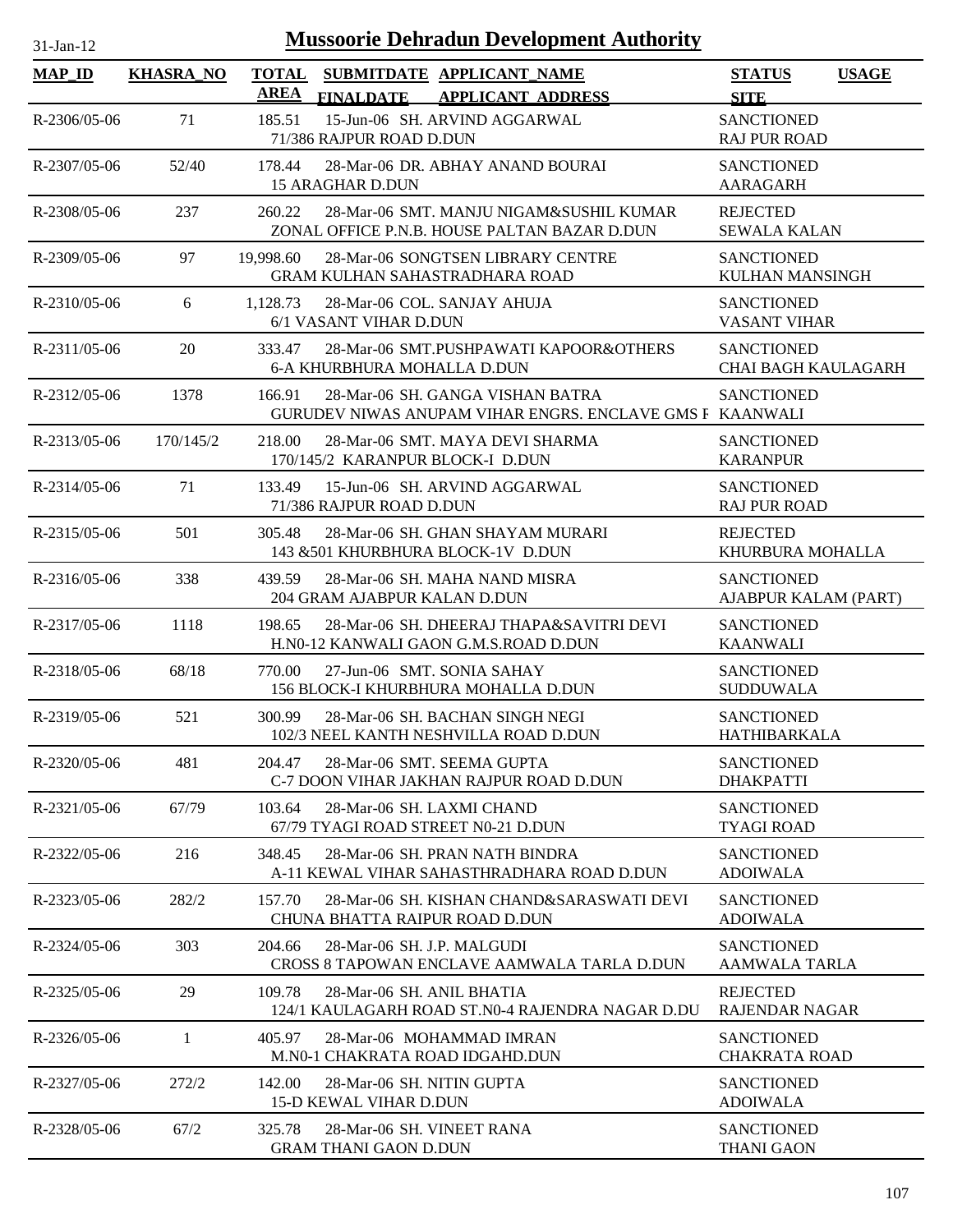| <b>Mussoorie Dehradun Development Authority</b><br>$31$ -Jan-12 |                  |                             |                                                                                              |                                                 |              |  |
|-----------------------------------------------------------------|------------------|-----------------------------|----------------------------------------------------------------------------------------------|-------------------------------------------------|--------------|--|
| <b>MAP_ID</b>                                                   | <b>KHASRA_NO</b> | <b>TOTAL</b><br><b>AREA</b> | SUBMITDATE APPLICANT NAME<br><b>FINALDATE</b><br><b>APPLICANT ADDRESS</b>                    | <b>STATUS</b><br><b>SITE</b>                    | <b>USAGE</b> |  |
| R-2306/05-06                                                    | 71               | 185.51                      | 15-Jun-06 SH. ARVIND AGGARWAL<br>71/386 RAJPUR ROAD D.DUN                                    | <b>SANCTIONED</b><br><b>RAJ PUR ROAD</b>        |              |  |
| R-2307/05-06                                                    | 52/40            | 178.44                      | 28-Mar-06 DR. ABHAY ANAND BOURAI<br><b>15 ARAGHAR D.DUN</b>                                  | <b>SANCTIONED</b><br>AARAGARH                   |              |  |
| R-2308/05-06                                                    | 237              | 260.22                      | 28-Mar-06 SMT, MANJU NIGAM&SUSHIL KUMAR<br>ZONAL OFFICE P.N.B. HOUSE PALTAN BAZAR D.DUN      | <b>REJECTED</b><br><b>SEWALA KALAN</b>          |              |  |
| R-2309/05-06                                                    | 97               | 19,998.60                   | 28-Mar-06 SONGTSEN LIBRARY CENTRE<br><b>GRAM KULHAN SAHASTRADHARA ROAD</b>                   | <b>SANCTIONED</b><br><b>KULHAN MANSINGH</b>     |              |  |
| $R-2310/05-06$                                                  | 6                | 1,128.73                    | 28-Mar-06 COL. SANJAY AHUJA<br>6/1 VASANT VIHAR D.DUN                                        | <b>SANCTIONED</b><br><b>VASANT VIHAR</b>        |              |  |
| $R-2311/05-06$                                                  | 20               | 333.47                      | 28-Mar-06 SMT.PUSHPAWATI KAPOOR&OTHERS<br><b>6-A KHURBHURA MOHALLA D.DUN</b>                 | <b>SANCTIONED</b><br><b>CHAI BAGH KAULAGARH</b> |              |  |
| R-2312/05-06                                                    | 1378             | 166.91                      | 28-Mar-06 SH, GANGA VISHAN BATRA<br>GURUDEV NIWAS ANUPAM VIHAR ENGRS. ENCLAVE GMS F KAANWALI | <b>SANCTIONED</b>                               |              |  |
| $R - 2313/05 - 06$                                              | 170/145/2        | 218.00                      | 28-Mar-06 SMT, MAYA DEVI SHARMA<br>170/145/2 KARANPUR BLOCK-I D.DUN                          | <b>SANCTIONED</b><br><b>KARANPUR</b>            |              |  |
| R-2314/05-06                                                    | 71               | 133.49                      | 15-Jun-06 SH. ARVIND AGGARWAL<br>71/386 RAJPUR ROAD D.DUN                                    | <b>SANCTIONED</b><br><b>RAJ PUR ROAD</b>        |              |  |
| R-2315/05-06                                                    | 501              | 305.48                      | 28-Mar-06 SH. GHAN SHAYAM MURARI<br>143 & 501 KHURBHURA BLOCK-1V D.DUN                       | <b>REJECTED</b><br>KHURBURA MOHALLA             |              |  |
| R-2316/05-06                                                    | 338              | 439.59                      | 28-Mar-06 SH. MAHA NAND MISRA<br>204 GRAM AJABPUR KALAN D.DUN                                | <b>SANCTIONED</b><br>AJABPUR KALAM (PART)       |              |  |
| R-2317/05-06                                                    | 1118             | 198.65                      | 28-Mar-06 SH. DHEERAJ THAPA&SAVITRI DEVI<br>H.N0-12 KANWALI GAON G.M.S.ROAD D.DUN            | <b>SANCTIONED</b><br><b>KAANWALI</b>            |              |  |
| R-2318/05-06                                                    | 68/18            | 770.00                      | 27-Jun-06 SMT. SONIA SAHAY<br>156 BLOCK-I KHURBHURA MOHALLA D.DUN                            | <b>SANCTIONED</b><br><b>SUDDUWALA</b>           |              |  |
| R-2319/05-06                                                    | 521              | 300.99                      | 28-Mar-06 SH. BACHAN SINGH NEGI<br>102/3 NEEL KANTH NESHVILLA ROAD D.DUN                     | <b>SANCTIONED</b><br>HATHIBARKALA               |              |  |
| R-2320/05-06                                                    | 481              | 204.47                      | 28-Mar-06 SMT. SEEMA GUPTA<br>C-7 DOON VIHAR JAKHAN RAJPUR ROAD D.DUN                        | <b>SANCTIONED</b><br><b>DHAKPATTI</b>           |              |  |
| R-2321/05-06                                                    | 67/79            | 103.64                      | 28-Mar-06 SH. LAXMI CHAND<br>67/79 TYAGI ROAD STREET N0-21 D.DUN                             | <b>SANCTIONED</b><br><b>TYAGI ROAD</b>          |              |  |
| R-2322/05-06                                                    | 216              | 348.45                      | 28-Mar-06 SH, PRAN NATH BINDRA<br>A-11 KEWAL VIHAR SAHASTHRADHARA ROAD D.DUN                 | <b>SANCTIONED</b><br><b>ADOIWALA</b>            |              |  |
| R-2323/05-06                                                    | 282/2            | 157.70                      | 28-Mar-06 SH. KISHAN CHAND&SARASWATI DEVI<br>CHUNA BHATTA RAIPUR ROAD D.DUN                  | <b>SANCTIONED</b><br><b>ADOIWALA</b>            |              |  |
| R-2324/05-06                                                    | 303              | 204.66                      | 28-Mar-06 SH. J.P. MALGUDI<br>CROSS 8 TAPOWAN ENCLAVE AAMWALA TARLA D.DUN                    | <b>SANCTIONED</b><br><b>AAMWALA TARLA</b>       |              |  |
| R-2325/05-06                                                    | 29               | 109.78                      | 28-Mar-06 SH. ANIL BHATIA<br>124/1 KAULAGARH ROAD ST.N0-4 RAJENDRA NAGAR D.DU                | <b>REJECTED</b><br><b>RAJENDAR NAGAR</b>        |              |  |
| $R-2326/05-06$                                                  | 1                | 405.97                      | 28-Mar-06 MOHAMMAD IMRAN<br>M.N0-1 CHAKRATA ROAD IDGAHD.DUN                                  | <b>SANCTIONED</b><br><b>CHAKRATA ROAD</b>       |              |  |
| R-2327/05-06                                                    | 272/2            | 142.00                      | 28-Mar-06 SH. NITIN GUPTA<br><b>15-D KEWAL VIHAR D.DUN</b>                                   | <b>SANCTIONED</b><br><b>ADOIWALA</b>            |              |  |
| R-2328/05-06                                                    | 67/2             | 325.78                      | 28-Mar-06 SH. VINEET RANA<br><b>GRAM THANI GAON D.DUN</b>                                    | <b>SANCTIONED</b><br><b>THANI GAON</b>          |              |  |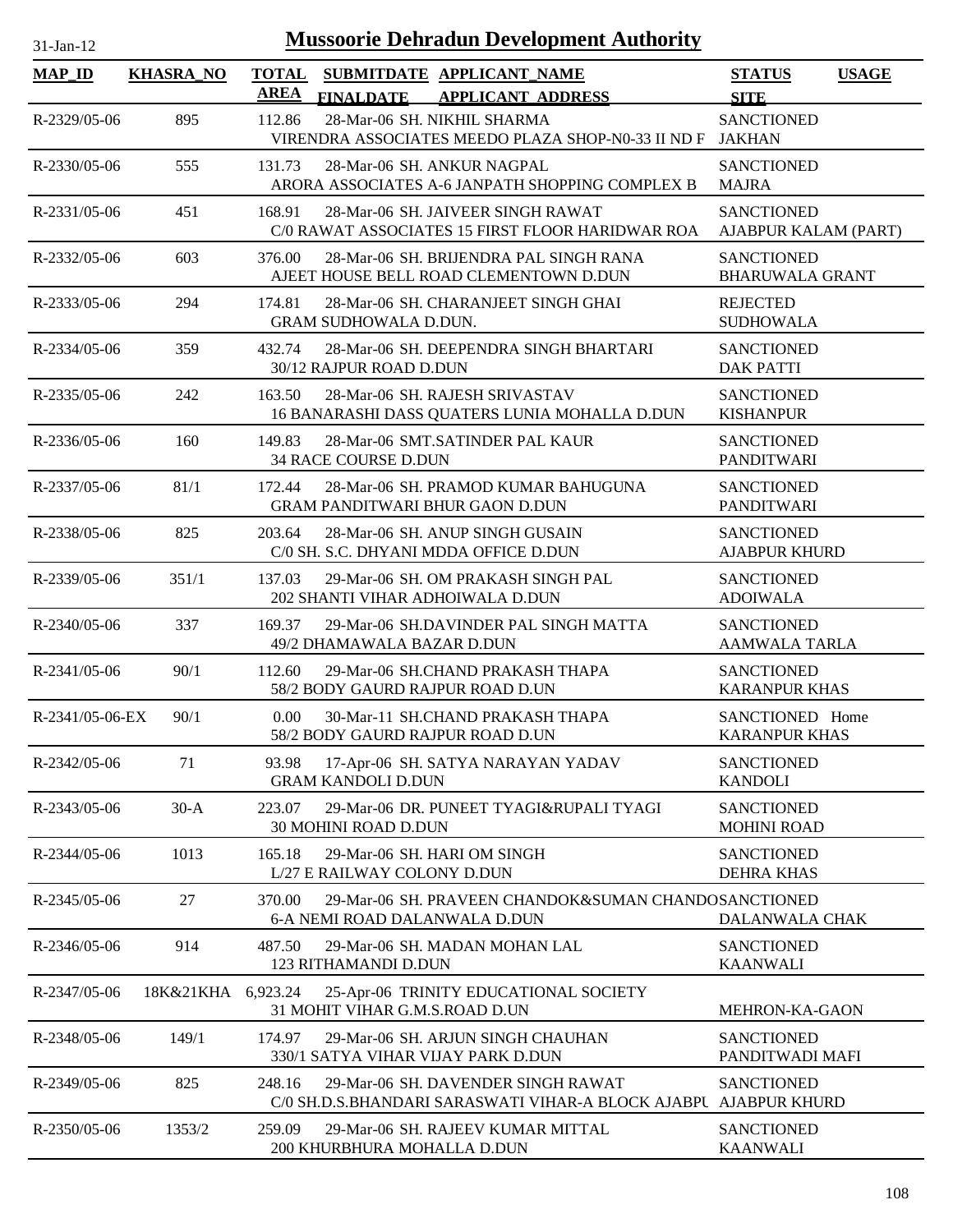| <b>Mussoorie Dehradun Development Authority</b><br>$31-Jan-12$ |                  |                                                                                                                  |                                             |              |  |
|----------------------------------------------------------------|------------------|------------------------------------------------------------------------------------------------------------------|---------------------------------------------|--------------|--|
| $MAP$ <sub>ID</sub>                                            | <b>KHASRA_NO</b> | <b>TOTAL</b><br>SUBMITDATE APPLICANT_NAME<br><b>AREA</b><br><b>FINALDATE</b><br><b>APPLICANT ADDRESS</b>         | <b>STATUS</b><br><b>SITE</b>                | <b>USAGE</b> |  |
| R-2329/05-06                                                   | 895              | 28-Mar-06 SH. NIKHIL SHARMA<br>112.86<br>VIRENDRA ASSOCIATES MEEDO PLAZA SHOP-N0-33 II ND F JAKHAN               | <b>SANCTIONED</b>                           |              |  |
| R-2330/05-06                                                   | 555              | 131.73<br>28-Mar-06 SH. ANKUR NAGPAL<br>ARORA ASSOCIATES A-6 JANPATH SHOPPING COMPLEX B                          | <b>SANCTIONED</b><br><b>MAJRA</b>           |              |  |
| R-2331/05-06                                                   | 451              | 168.91<br>28-Mar-06 SH. JAIVEER SINGH RAWAT<br>C/0 RAWAT ASSOCIATES 15 FIRST FLOOR HARIDWAR ROA                  | <b>SANCTIONED</b><br>AJABPUR KALAM (PART)   |              |  |
| R-2332/05-06                                                   | 603              | 28-Mar-06 SH. BRIJENDRA PAL SINGH RANA<br>376.00<br>AJEET HOUSE BELL ROAD CLEMENTOWN D.DUN                       | <b>SANCTIONED</b><br><b>BHARUWALA GRANT</b> |              |  |
| R-2333/05-06                                                   | 294              | 174.81<br>28-Mar-06 SH. CHARANJEET SINGH GHAI<br><b>GRAM SUDHOWALA D.DUN.</b>                                    | <b>REJECTED</b><br><b>SUDHOWALA</b>         |              |  |
| R-2334/05-06                                                   | 359              | 432.74<br>28-Mar-06 SH. DEEPENDRA SINGH BHARTARI<br>30/12 RAJPUR ROAD D.DUN                                      | <b>SANCTIONED</b><br><b>DAK PATTI</b>       |              |  |
| R-2335/05-06                                                   | 242              | 28-Mar-06 SH. RAJESH SRIVASTAV<br>163.50<br>16 BANARASHI DASS QUATERS LUNIA MOHALLA D.DUN                        | <b>SANCTIONED</b><br><b>KISHANPUR</b>       |              |  |
| R-2336/05-06                                                   | 160              | 28-Mar-06 SMT.SATINDER PAL KAUR<br>149.83<br>34 RACE COURSE D.DUN                                                | <b>SANCTIONED</b><br><b>PANDITWARI</b>      |              |  |
| R-2337/05-06                                                   | 81/1             | 28-Mar-06 SH. PRAMOD KUMAR BAHUGUNA<br>172.44<br>GRAM PANDITWARI BHUR GAON D.DUN                                 | <b>SANCTIONED</b><br><b>PANDITWARI</b>      |              |  |
| R-2338/05-06                                                   | 825              | 203.64<br>28-Mar-06 SH. ANUP SINGH GUSAIN<br>C/0 SH. S.C. DHYANI MDDA OFFICE D.DUN                               | <b>SANCTIONED</b><br><b>AJABPUR KHURD</b>   |              |  |
| R-2339/05-06                                                   | 351/1            | 29-Mar-06 SH. OM PRAKASH SINGH PAL<br>137.03<br>202 SHANTI VIHAR ADHOIWALA D.DUN                                 | <b>SANCTIONED</b><br><b>ADOIWALA</b>        |              |  |
| $R-2340/05-06$                                                 | 337              | 169.37<br>29-Mar-06 SH.DAVINDER PAL SINGH MATTA<br>49/2 DHAMAWALA BAZAR D.DUN                                    | <b>SANCTIONED</b><br><b>AAMWALA TARLA</b>   |              |  |
| R-2341/05-06                                                   | 90/1             | 112.60<br>29-Mar-06 SH.CHAND PRAKASH THAPA<br>58/2 BODY GAURD RAJPUR ROAD D.UN                                   | <b>SANCTIONED</b><br><b>KARANPUR KHAS</b>   |              |  |
| R-2341/05-06-EX                                                | 90/1             | 0.00<br>30-Mar-11 SH.CHAND PRAKASH THAPA<br>58/2 BODY GAURD RAJPUR ROAD D.UN                                     | SANCTIONED Home<br><b>KARANPUR KHAS</b>     |              |  |
| R-2342/05-06                                                   | 71               | 93.98<br>17-Apr-06 SH. SATYA NARAYAN YADAV<br><b>GRAM KANDOLI D.DUN</b>                                          | <b>SANCTIONED</b><br><b>KANDOLI</b>         |              |  |
| R-2343/05-06                                                   | $30-A$           | 223.07<br>29-Mar-06 DR. PUNEET TYAGI&RUPALI TYAGI<br>30 MOHINI ROAD D.DUN                                        | <b>SANCTIONED</b><br><b>MOHINI ROAD</b>     |              |  |
| R-2344/05-06                                                   | 1013             | 29-Mar-06 SH. HARI OM SINGH<br>165.18<br>L/27 E RAILWAY COLONY D.DUN                                             | <b>SANCTIONED</b><br><b>DEHRA KHAS</b>      |              |  |
| R-2345/05-06                                                   | 27               | 370.00<br>29-Mar-06 SH. PRAVEEN CHANDOK&SUMAN CHANDOSANCTIONED<br>6-A NEMI ROAD DALANWALA D.DUN                  | DALANWALA CHAK                              |              |  |
| $R-2346/05-06$                                                 | 914              | 487.50<br>29-Mar-06 SH. MADAN MOHAN LAL<br>123 RITHAMANDI D.DUN                                                  | <b>SANCTIONED</b><br><b>KAANWALI</b>        |              |  |
| R-2347/05-06                                                   | 18K&21KHA        | 6,923.24<br>25-Apr-06 TRINITY EDUCATIONAL SOCIETY<br>31 MOHIT VIHAR G.M.S.ROAD D.UN                              | MEHRON-KA-GAON                              |              |  |
| R-2348/05-06                                                   | 149/1            | 174.97<br>29-Mar-06 SH. ARJUN SINGH CHAUHAN<br>330/1 SATYA VIHAR VIJAY PARK D.DUN                                | <b>SANCTIONED</b><br>PANDITWADI MAFI        |              |  |
| R-2349/05-06                                                   | 825              | 248.16<br>29-Mar-06 SH. DAVENDER SINGH RAWAT<br>C/0 SH.D.S.BHANDARI SARASWATI VIHAR-A BLOCK AJABPU AJABPUR KHURD | <b>SANCTIONED</b>                           |              |  |
| $R-2350/05-06$                                                 | 1353/2           | 259.09<br>29-Mar-06 SH. RAJEEV KUMAR MITTAL<br>200 KHURBHURA MOHALLA D.DUN                                       | <b>SANCTIONED</b><br><b>KAANWALI</b>        |              |  |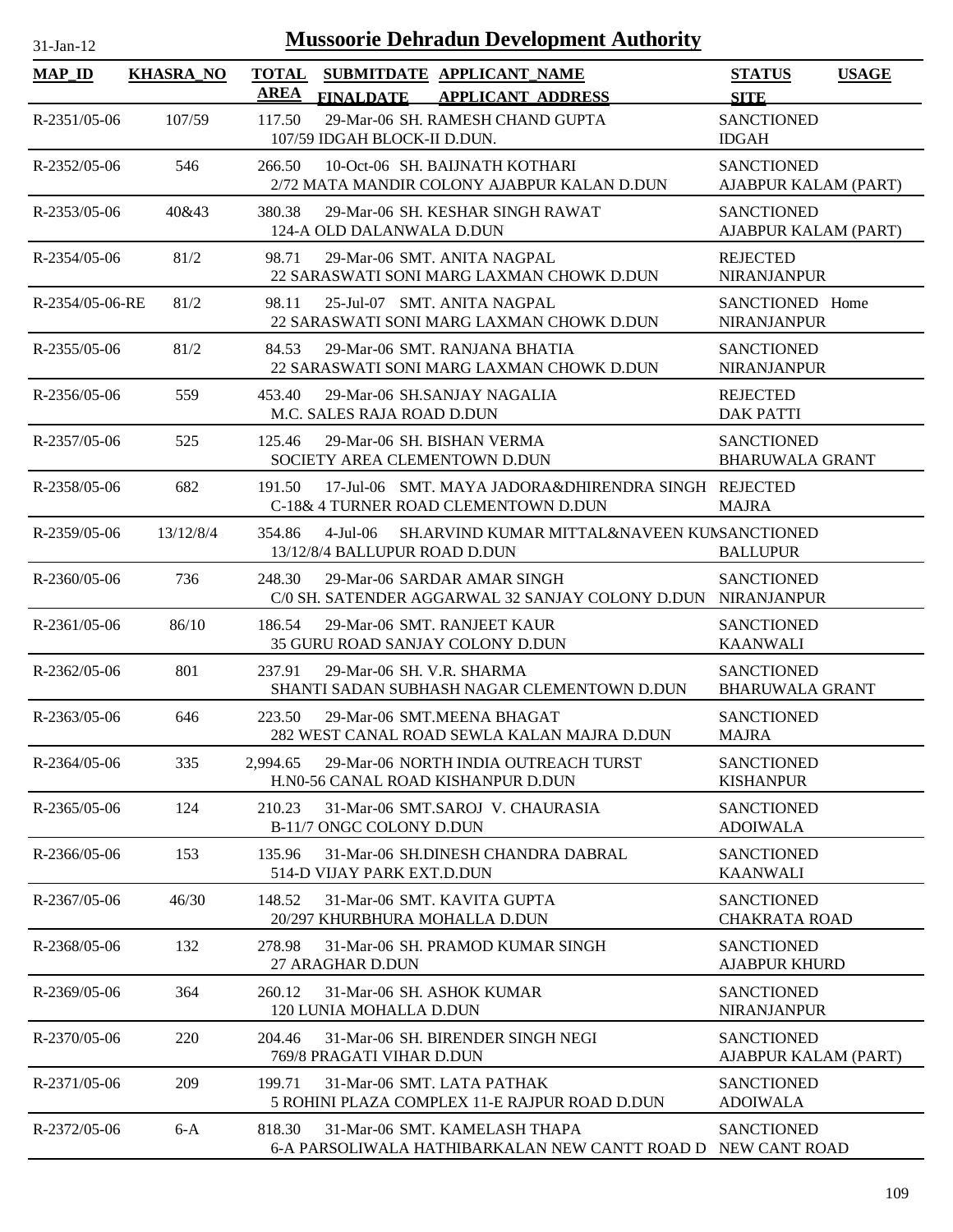| <b>Mussoorie Dehradun Development Authority</b><br>31-Jan-12 |                  |                                                                                                         |                                             |              |  |
|--------------------------------------------------------------|------------------|---------------------------------------------------------------------------------------------------------|---------------------------------------------|--------------|--|
| <b>MAP_ID</b>                                                | <b>KHASRA NO</b> | <b>TOTAL</b><br>SUBMITDATE APPLICANT NAME<br>AREA<br><b>FINALDATE</b><br><b>APPLICANT ADDRESS</b>       | <b>STATUS</b><br><b>SITE</b>                | <b>USAGE</b> |  |
| $R-2351/05-06$                                               | 107/59           | 29-Mar-06 SH. RAMESH CHAND GUPTA<br>117.50<br>107/59 IDGAH BLOCK-II D.DUN.                              | <b>SANCTIONED</b><br><b>IDGAH</b>           |              |  |
| R-2352/05-06                                                 | 546              | 266.50<br>10-Oct-06 SH. BAIJNATH KOTHARI<br>2/72 MATA MANDIR COLONY AJABPUR KALAN D.DUN                 | <b>SANCTIONED</b><br>AJABPUR KALAM (PART)   |              |  |
| R-2353/05-06                                                 | 40&43            | 380.38<br>29-Mar-06 SH. KESHAR SINGH RAWAT<br>124-A OLD DALANWALA D.DUN                                 | <b>SANCTIONED</b><br>AJABPUR KALAM (PART)   |              |  |
| R-2354/05-06                                                 | 81/2             | 98.71<br>29-Mar-06 SMT. ANITA NAGPAL<br>22 SARASWATI SONI MARG LAXMAN CHOWK D.DUN                       | <b>REJECTED</b><br><b>NIRANJANPUR</b>       |              |  |
| R-2354/05-06-RE                                              | 81/2             | 25-Jul-07 SMT. ANITA NAGPAL<br>98.11<br>22 SARASWATI SONI MARG LAXMAN CHOWK D.DUN                       | SANCTIONED Home<br><b>NIRANJANPUR</b>       |              |  |
| $R - 2355/05 - 06$                                           | 81/2             | 29-Mar-06 SMT. RANJANA BHATIA<br>84.53<br>22 SARASWATI SONI MARG LAXMAN CHOWK D.DUN                     | <b>SANCTIONED</b><br><b>NIRANJANPUR</b>     |              |  |
| R-2356/05-06                                                 | 559              | 453.40<br>29-Mar-06 SH.SANJAY NAGALIA<br>M.C. SALES RAJA ROAD D.DUN                                     | <b>REJECTED</b><br><b>DAK PATTI</b>         |              |  |
| $R-2357/05-06$                                               | 525              | 29-Mar-06 SH. BISHAN VERMA<br>125.46<br>SOCIETY AREA CLEMENTOWN D.DUN                                   | <b>SANCTIONED</b><br><b>BHARUWALA GRANT</b> |              |  |
| R-2358/05-06                                                 | 682              | 17-Jul-06 SMT. MAYA JADORA&DHIRENDRA SINGH REJECTED<br>191.50<br>C-18& 4 TURNER ROAD CLEMENTOWN D.DUN   | <b>MAJRA</b>                                |              |  |
| R-2359/05-06                                                 | 13/12/8/4        | 354.86<br>SH.ARVIND KUMAR MITTAL&NAVEEN KUMSANCTIONED<br>4-Jul-06<br>13/12/8/4 BALLUPUR ROAD D.DUN      | <b>BALLUPUR</b>                             |              |  |
| $R-2360/05-06$                                               | 736              | 248.30<br>29-Mar-06 SARDAR AMAR SINGH<br>C/0 SH. SATENDER AGGARWAL 32 SANJAY COLONY D.DUN NIRANJANPUR   | <b>SANCTIONED</b>                           |              |  |
| $R-2361/05-06$                                               | 86/10            | 186.54<br>29-Mar-06 SMT. RANJEET KAUR<br>35 GURU ROAD SANJAY COLONY D.DUN                               | <b>SANCTIONED</b><br><b>KAANWALI</b>        |              |  |
| R-2362/05-06                                                 | 801              | 237.91<br>29-Mar-06 SH. V.R. SHARMA<br>SHANTI SADAN SUBHASH NAGAR CLEMENTOWN D.DUN                      | <b>SANCTIONED</b><br><b>BHARUWALA GRANT</b> |              |  |
| $R-2363/05-06$                                               | 646              | 223.50<br>29-Mar-06 SMT.MEENA BHAGAT<br>282 WEST CANAL ROAD SEWLA KALAN MAJRA D.DUN                     | <b>SANCTIONED</b><br><b>MAJRA</b>           |              |  |
| R-2364/05-06                                                 | 335              | 29-Mar-06 NORTH INDIA OUTREACH TURST<br>2.994.65<br>H.N0-56 CANAL ROAD KISHANPUR D.DUN                  | <b>SANCTIONED</b><br><b>KISHANPUR</b>       |              |  |
| $R-2365/05-06$                                               | 124              | 210.23<br>31-Mar-06 SMT.SAROJ V. CHAURASIA<br>B-11/7 ONGC COLONY D.DUN                                  | <b>SANCTIONED</b><br><b>ADOIWALA</b>        |              |  |
| $R-2366/05-06$                                               | 153              | 31-Mar-06 SH.DINESH CHANDRA DABRAL<br>135.96<br>514-D VIJAY PARK EXT.D.DUN                              | <b>SANCTIONED</b><br><b>KAANWALI</b>        |              |  |
| $R-2367/05-06$                                               | 46/30            | 148.52<br>31-Mar-06 SMT. KAVITA GUPTA<br>20/297 KHURBHURA MOHALLA D.DUN                                 | <b>SANCTIONED</b><br><b>CHAKRATA ROAD</b>   |              |  |
| R-2368/05-06                                                 | 132              | 278.98<br>31-Mar-06 SH. PRAMOD KUMAR SINGH<br>27 ARAGHAR D.DUN                                          | <b>SANCTIONED</b><br><b>AJABPUR KHURD</b>   |              |  |
| R-2369/05-06                                                 | 364              | 260.12<br>31-Mar-06 SH, ASHOK KUMAR<br>120 LUNIA MOHALLA D.DUN                                          | <b>SANCTIONED</b><br><b>NIRANJANPUR</b>     |              |  |
| R-2370/05-06                                                 | 220              | 31-Mar-06 SH. BIRENDER SINGH NEGI<br>204.46<br>769/8 PRAGATI VIHAR D.DUN                                | <b>SANCTIONED</b><br>AJABPUR KALAM (PART)   |              |  |
| R-2371/05-06                                                 | 209              | 199.71<br>31-Mar-06 SMT. LATA PATHAK<br>5 ROHINI PLAZA COMPLEX 11-E RAJPUR ROAD D.DUN                   | <b>SANCTIONED</b><br><b>ADOIWALA</b>        |              |  |
| R-2372/05-06                                                 | $6-A$            | 818.30<br>31-Mar-06 SMT. KAMELASH THAPA<br>6-A PARSOLIWALA HATHIBARKALAN NEW CANTT ROAD D NEW CANT ROAD | <b>SANCTIONED</b>                           |              |  |

 $\overline{\phantom{a}}$